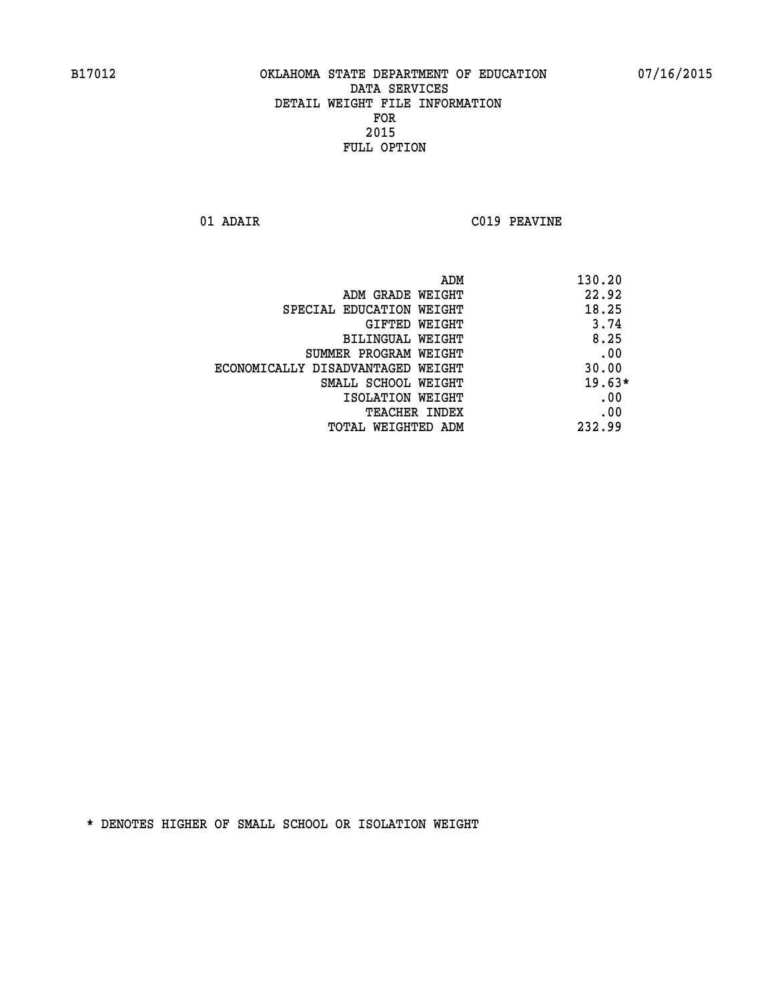**01 ADAIR C019 PEAVINE** 

|                                   | ADM<br>130.20 |
|-----------------------------------|---------------|
| ADM GRADE WEIGHT                  | 22.92         |
| SPECIAL EDUCATION WEIGHT          | 18.25         |
| GIFTED WEIGHT                     | 3.74          |
| BILINGUAL WEIGHT                  | 8.25          |
| SUMMER PROGRAM WEIGHT             | .00           |
| ECONOMICALLY DISADVANTAGED WEIGHT | 30.00         |
| SMALL SCHOOL WEIGHT               | $19.63*$      |
| ISOLATION WEIGHT                  | .00           |
| <b>TEACHER INDEX</b>              | .00           |
| TOTAL WEIGHTED ADM                | 232.99        |
|                                   |               |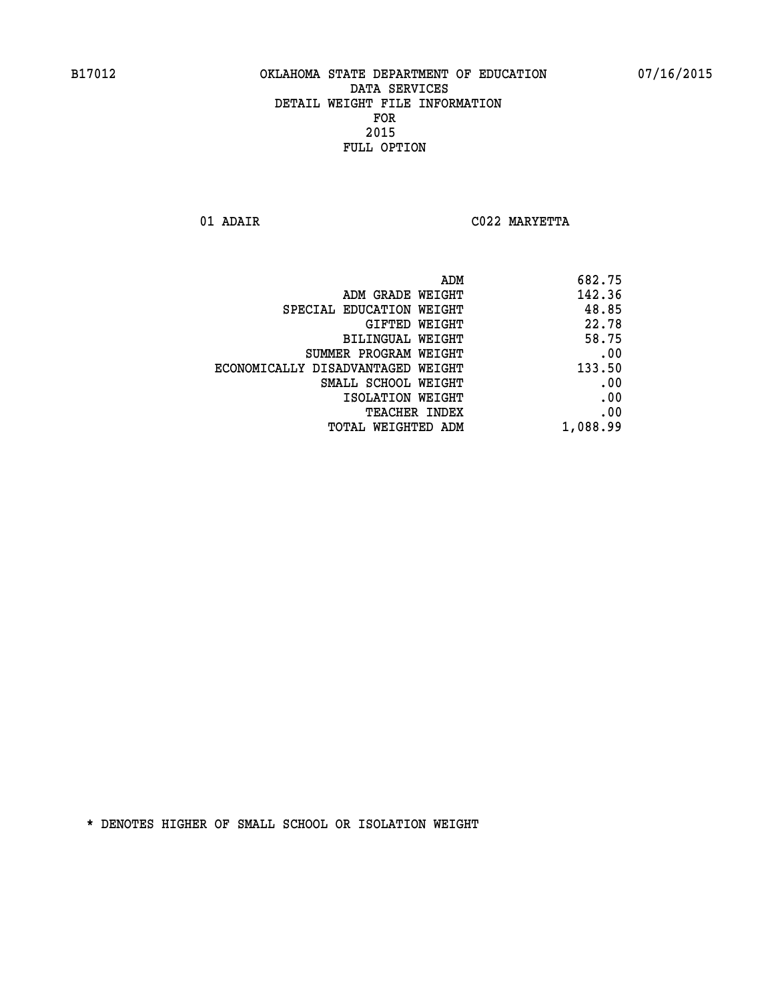**01 ADAIR C022 MARYETTA** 

| 682.75   |
|----------|
| 142.36   |
| 48.85    |
| 22.78    |
| 58.75    |
| .00      |
| 133.50   |
| .00      |
| .00      |
| .00      |
| 1,088.99 |
|          |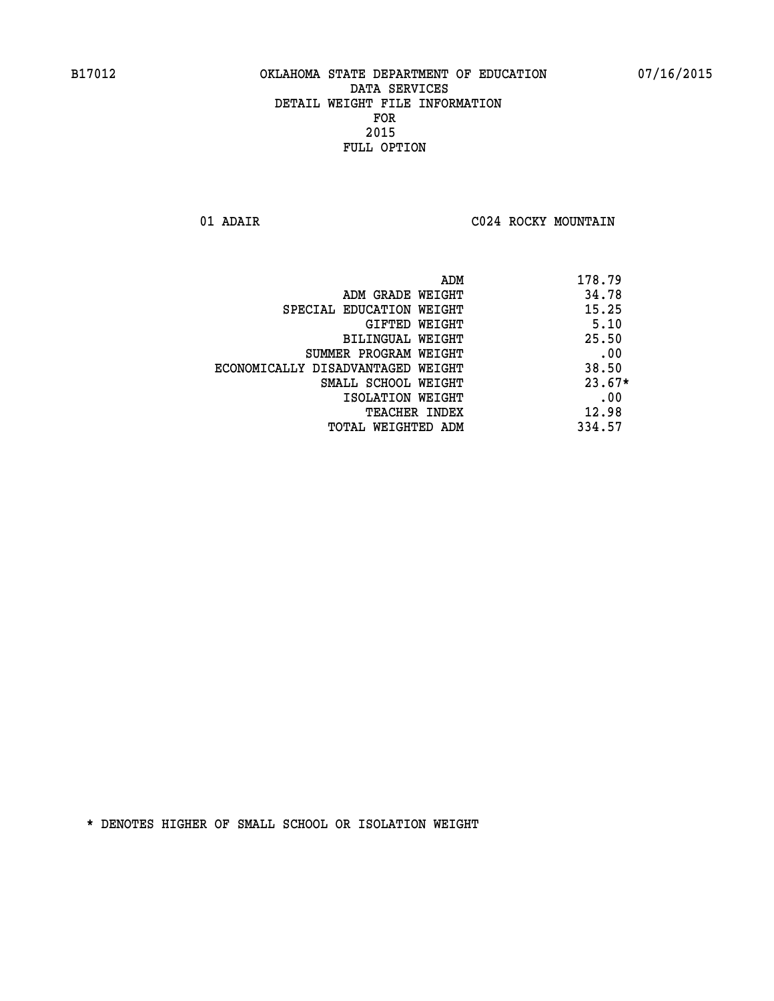**01 ADAIR C024 ROCKY MOUNTAIN** 

|                                   | 178.79<br>ADM |
|-----------------------------------|---------------|
| ADM GRADE WEIGHT                  | 34.78         |
| SPECIAL EDUCATION WEIGHT          | 15.25         |
| GIFTED WEIGHT                     | 5.10          |
| BILINGUAL WEIGHT                  | 25.50         |
| SUMMER PROGRAM WEIGHT             | .00           |
| ECONOMICALLY DISADVANTAGED WEIGHT | 38.50         |
| SMALL SCHOOL WEIGHT               | $23.67*$      |
| ISOLATION WEIGHT                  | .00           |
| <b>TEACHER INDEX</b>              | 12.98         |
| TOTAL WEIGHTED ADM                | 334.57        |
|                                   |               |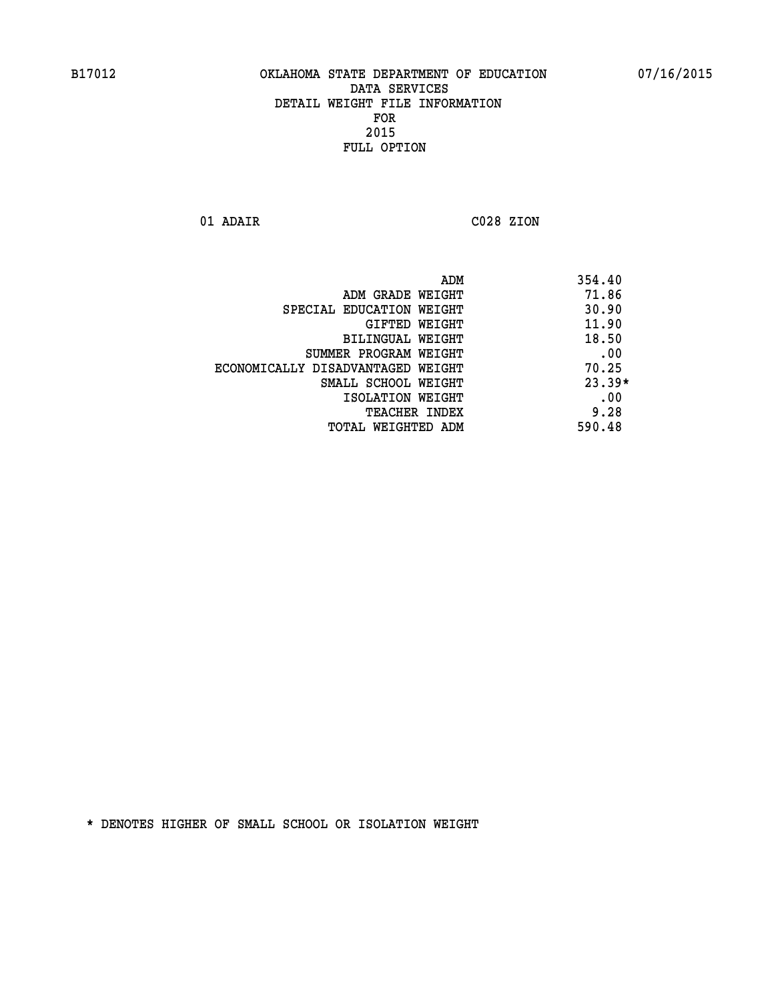**01 ADAIR C028 ZION** 

| 354.40   |
|----------|
| 71.86    |
| 30.90    |
| 11.90    |
| 18.50    |
| .00      |
| 70.25    |
| $23.39*$ |
| .00      |
| 9.28     |
| 590.48   |
|          |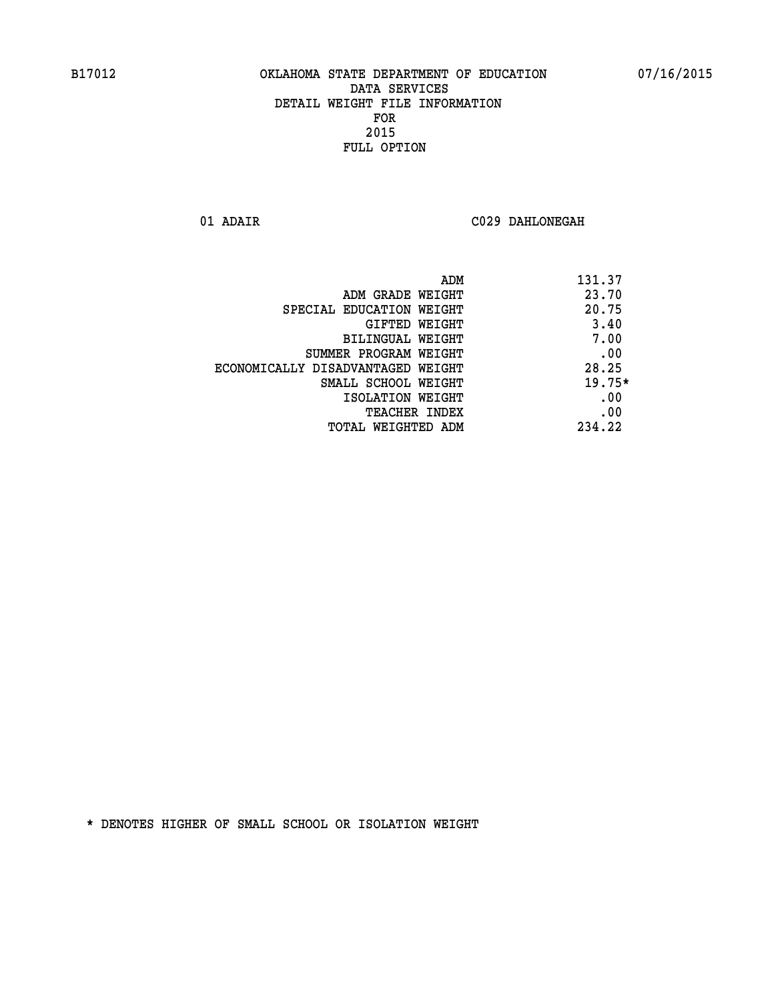**01 ADAIR C029 DAHLONEGAH** 

| ADM                               | 131.37   |
|-----------------------------------|----------|
| ADM GRADE WEIGHT                  | 23.70    |
| SPECIAL EDUCATION WEIGHT          | 20.75    |
| GIFTED WEIGHT                     | 3.40     |
| BILINGUAL WEIGHT                  | 7.00     |
| SUMMER PROGRAM WEIGHT             | .00      |
| ECONOMICALLY DISADVANTAGED WEIGHT | 28.25    |
| SMALL SCHOOL WEIGHT               | $19.75*$ |
| ISOLATION WEIGHT                  | .00      |
| <b>TEACHER INDEX</b>              | .00      |
| TOTAL WEIGHTED ADM                | 234.22   |
|                                   |          |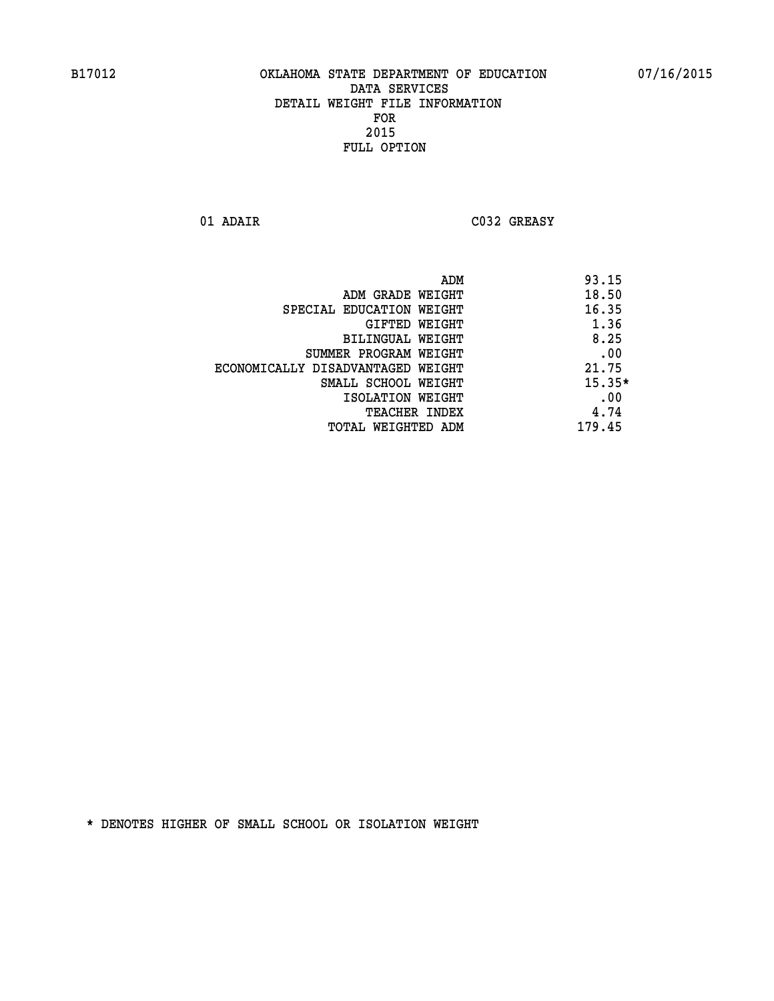**01 ADAIR C032 GREASY** 

|                                   | ADM | 93.15    |
|-----------------------------------|-----|----------|
| ADM GRADE WEIGHT                  |     | 18.50    |
| SPECIAL EDUCATION WEIGHT          |     | 16.35    |
| GIFTED WEIGHT                     |     | 1.36     |
| BILINGUAL WEIGHT                  |     | 8.25     |
| SUMMER PROGRAM WEIGHT             |     | .00      |
| ECONOMICALLY DISADVANTAGED WEIGHT |     | 21.75    |
| SMALL SCHOOL WEIGHT               |     | $15.35*$ |
| ISOLATION WEIGHT                  |     | .00      |
| TEACHER INDEX                     |     | 4.74     |
| TOTAL WEIGHTED ADM                |     | 179.45   |
|                                   |     |          |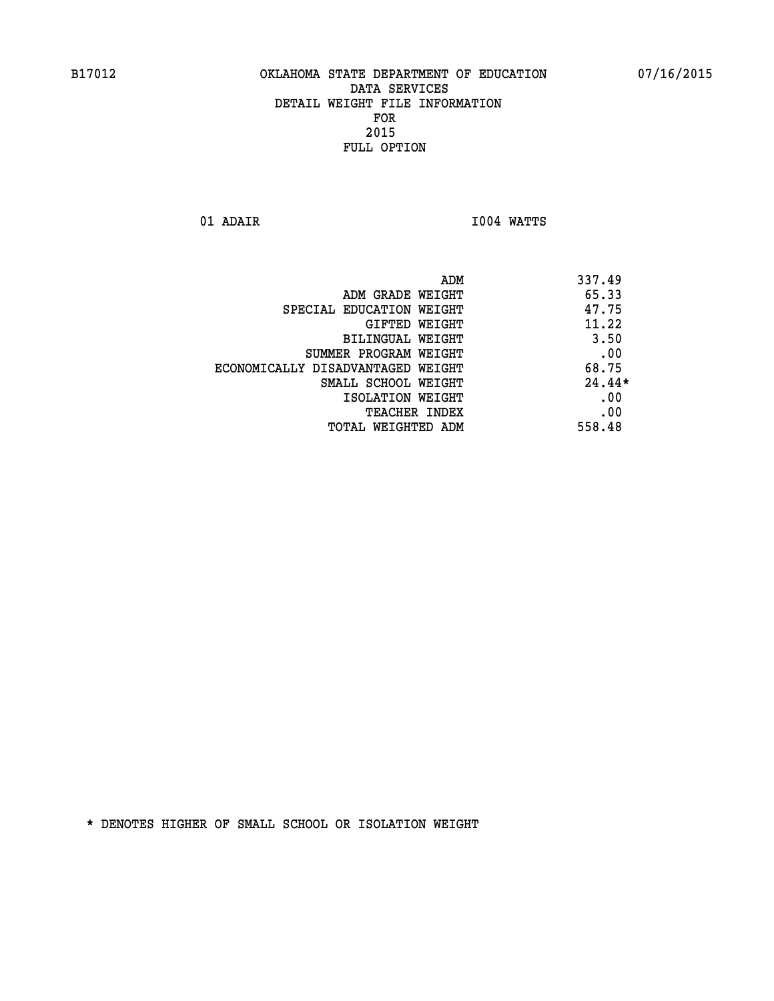**01 ADAIR I004 WATTS** 

|                                   | ADM | 337.49   |
|-----------------------------------|-----|----------|
| ADM GRADE WEIGHT                  |     | 65.33    |
| SPECIAL EDUCATION WEIGHT          |     | 47.75    |
| GIFTED WEIGHT                     |     | 11.22    |
| BILINGUAL WEIGHT                  |     | 3.50     |
| SUMMER PROGRAM WEIGHT             |     | .00      |
| ECONOMICALLY DISADVANTAGED WEIGHT |     | 68.75    |
| SMALL SCHOOL WEIGHT               |     | $24.44*$ |
| ISOLATION WEIGHT                  |     | .00      |
| TEACHER INDEX                     |     | .00      |
| TOTAL WEIGHTED ADM                |     | 558.48   |
|                                   |     |          |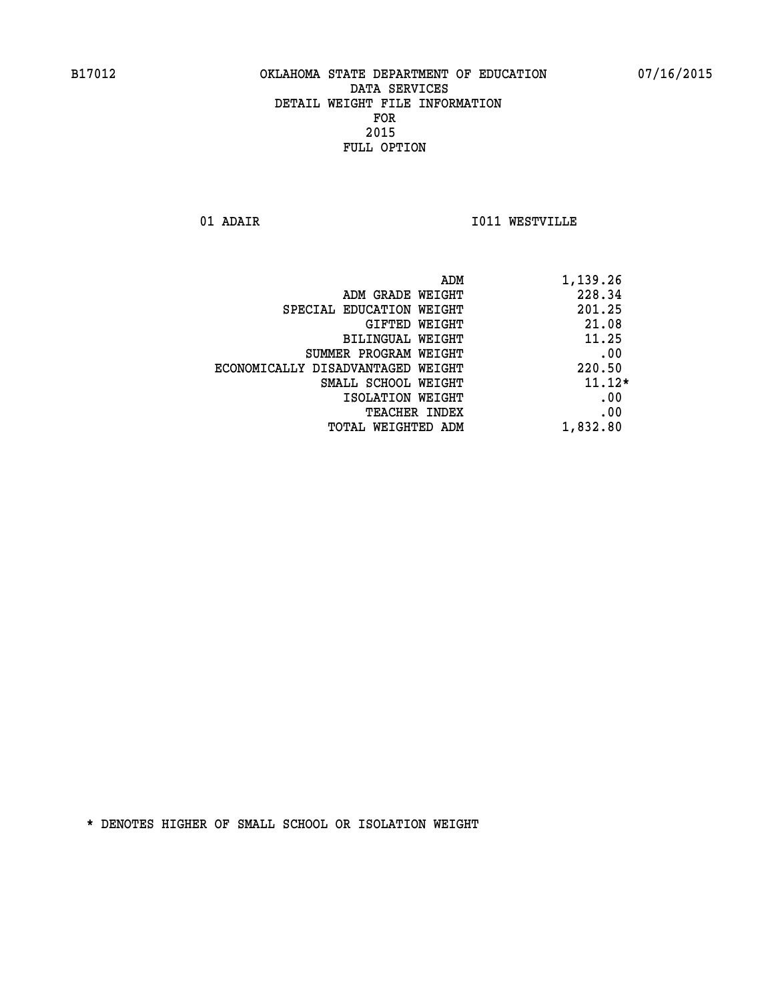**01 ADAIR I011 WESTVILLE** 

| ADM                               | 1,139.26 |
|-----------------------------------|----------|
| ADM GRADE WEIGHT                  | 228.34   |
| SPECIAL EDUCATION WEIGHT          | 201.25   |
| <b>GIFTED WEIGHT</b>              | 21.08    |
| BILINGUAL WEIGHT                  | 11.25    |
| SUMMER PROGRAM WEIGHT             | .00      |
| ECONOMICALLY DISADVANTAGED WEIGHT | 220.50   |
| SMALL SCHOOL WEIGHT               | $11.12*$ |
| ISOLATION WEIGHT                  | .00      |
| <b>TEACHER INDEX</b>              | .00      |
| TOTAL WEIGHTED ADM                | 1,832.80 |
|                                   |          |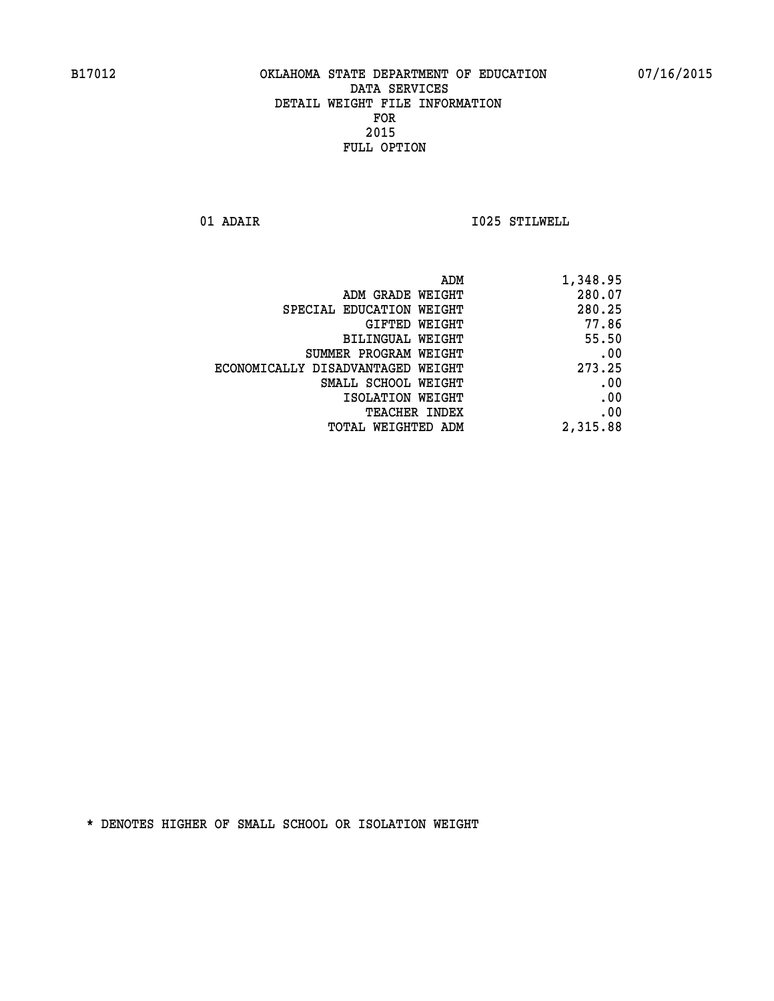**01 ADAIR I025 STILWELL** 

| ADM                               | 1,348.95 |
|-----------------------------------|----------|
| ADM GRADE WEIGHT                  | 280.07   |
| SPECIAL EDUCATION WEIGHT          | 280.25   |
| GIFTED WEIGHT                     | 77.86    |
| BILINGUAL WEIGHT                  | 55.50    |
| SUMMER PROGRAM WEIGHT             | .00      |
| ECONOMICALLY DISADVANTAGED WEIGHT | 273.25   |
| SMALL SCHOOL WEIGHT               | .00      |
| ISOLATION WEIGHT                  | .00      |
| <b>TEACHER INDEX</b>              | .00      |
| TOTAL WEIGHTED ADM                | 2,315.88 |
|                                   |          |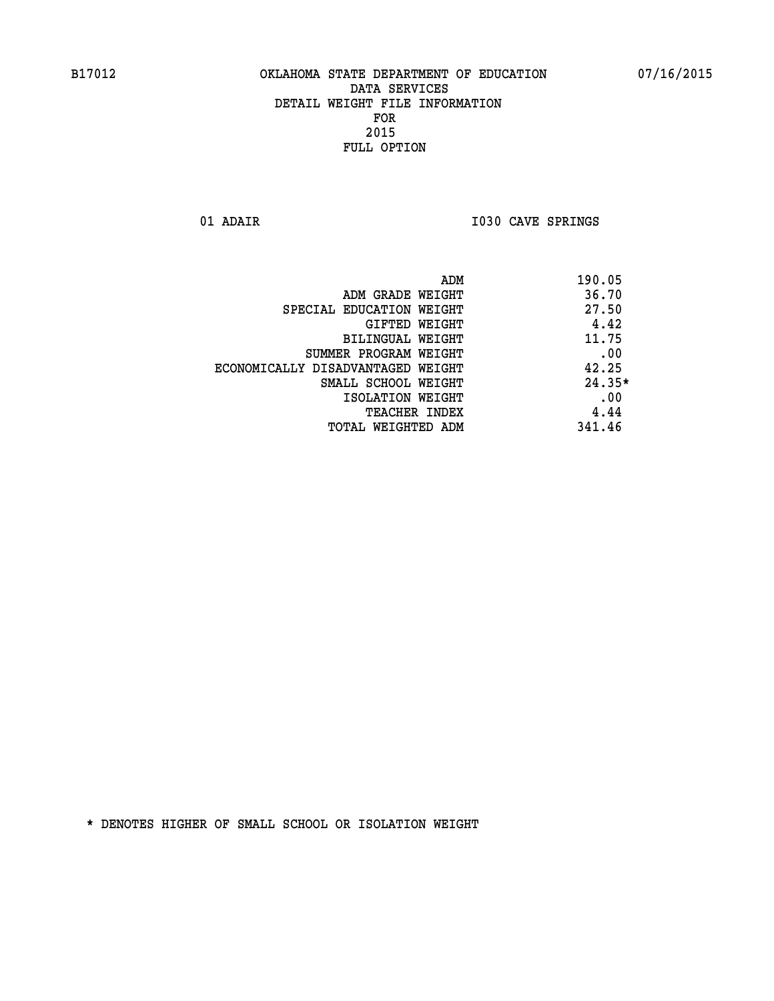01 ADAIR **I030 CAVE SPRINGS** 

| ADM                               | 190.05   |
|-----------------------------------|----------|
| ADM GRADE WEIGHT                  | 36.70    |
| SPECIAL EDUCATION WEIGHT          | 27.50    |
| GIFTED WEIGHT                     | 4.42     |
| BILINGUAL WEIGHT                  | 11.75    |
| SUMMER PROGRAM WEIGHT             | .00      |
| ECONOMICALLY DISADVANTAGED WEIGHT | 42.25    |
| SMALL SCHOOL WEIGHT               | $24.35*$ |
| ISOLATION WEIGHT                  | .00      |
| <b>TEACHER INDEX</b>              | 4.44     |
| TOTAL WEIGHTED ADM                | 341.46   |
|                                   |          |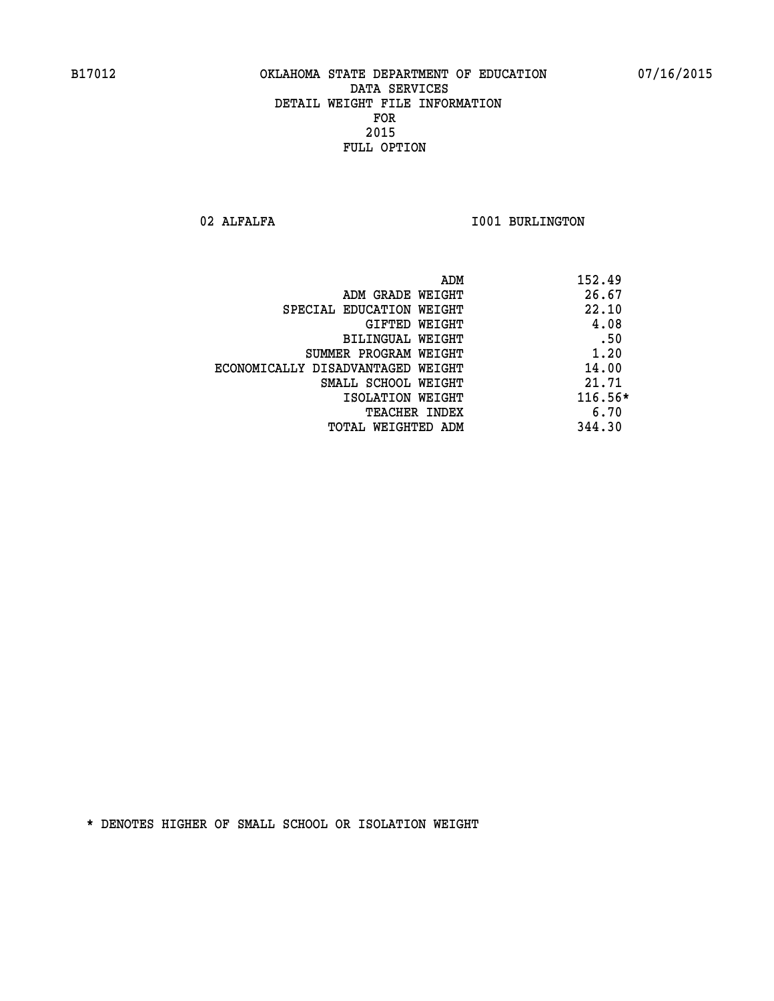02 ALFALFA **I001 BURLINGTON** 

| ADM                               | 152.49    |
|-----------------------------------|-----------|
| ADM GRADE WEIGHT                  | 26.67     |
| SPECIAL EDUCATION WEIGHT          | 22.10     |
| GIFTED WEIGHT                     | 4.08      |
| BILINGUAL WEIGHT                  | .50       |
| SUMMER PROGRAM WEIGHT             | 1.20      |
| ECONOMICALLY DISADVANTAGED WEIGHT | 14.00     |
| SMALL SCHOOL WEIGHT               | 21.71     |
| ISOLATION WEIGHT                  | $116.56*$ |
| <b>TEACHER INDEX</b>              | 6.70      |
| TOTAL WEIGHTED ADM                | 344.30    |
|                                   |           |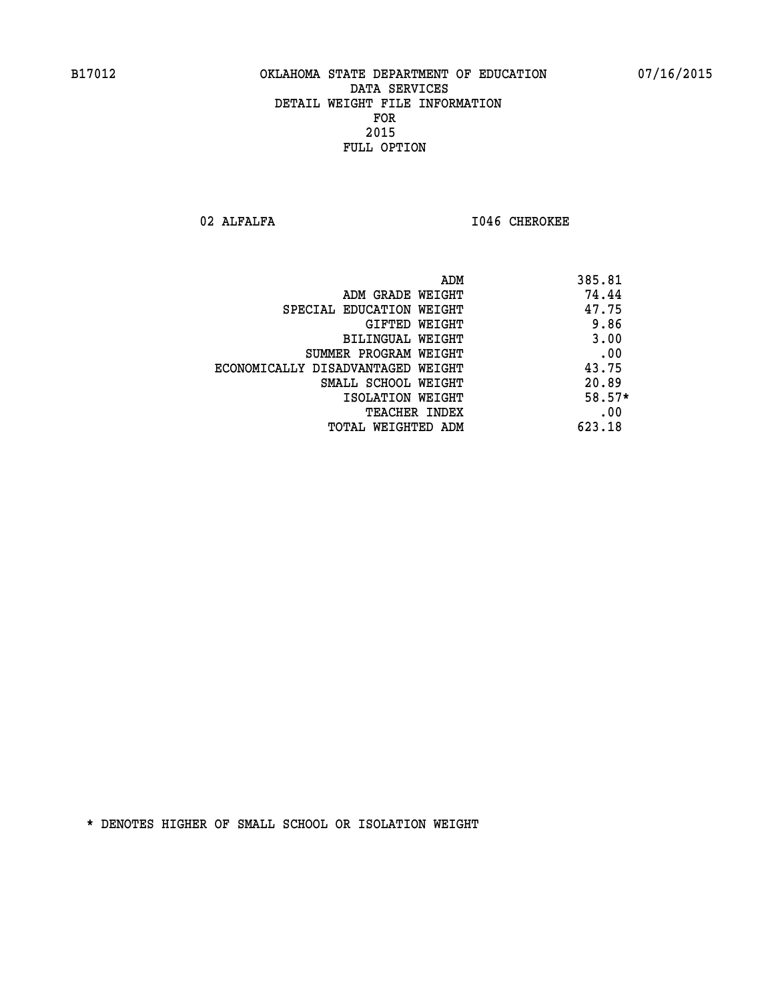02 ALFALFA **I046 CHEROKEE** 

| ADM                               | 385.81 |
|-----------------------------------|--------|
| ADM GRADE WEIGHT                  | 74.44  |
| SPECIAL EDUCATION WEIGHT          | 47.75  |
| GIFTED WEIGHT                     | 9.86   |
| <b>BILINGUAL WEIGHT</b>           | 3.00   |
| SUMMER PROGRAM WEIGHT             | .00    |
| ECONOMICALLY DISADVANTAGED WEIGHT | 43.75  |
| SMALL SCHOOL WEIGHT               | 20.89  |
| ISOLATION WEIGHT                  | 58.57* |
| <b>TEACHER INDEX</b>              | .00    |
| TOTAL WEIGHTED ADM                | 623.18 |
|                                   |        |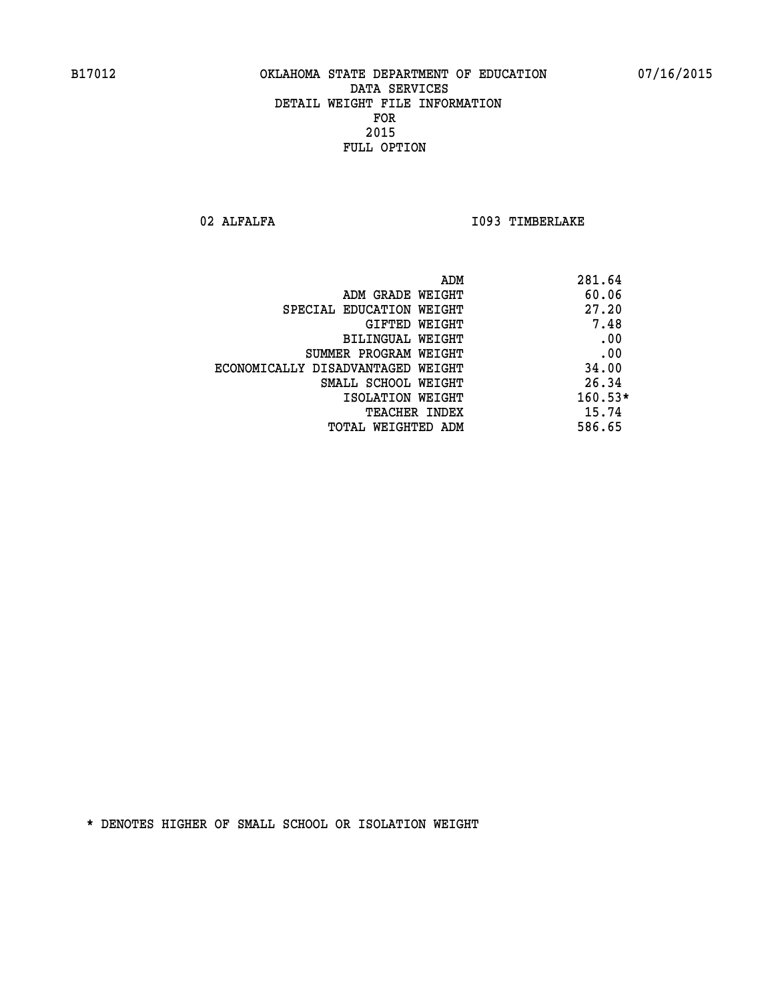02 ALFALFA **I093 TIMBERLAKE** 

| ADM                               | 281.64    |
|-----------------------------------|-----------|
| ADM GRADE WEIGHT                  | 60.06     |
| SPECIAL EDUCATION WEIGHT          | 27.20     |
| GIFTED WEIGHT                     | 7.48      |
| BILINGUAL WEIGHT                  | .00       |
| SUMMER PROGRAM WEIGHT             | .00       |
| ECONOMICALLY DISADVANTAGED WEIGHT | 34.00     |
| SMALL SCHOOL WEIGHT               | 26.34     |
| ISOLATION WEIGHT                  | $160.53*$ |
| <b>TEACHER INDEX</b>              | 15.74     |
| TOTAL WEIGHTED ADM                | 586.65    |
|                                   |           |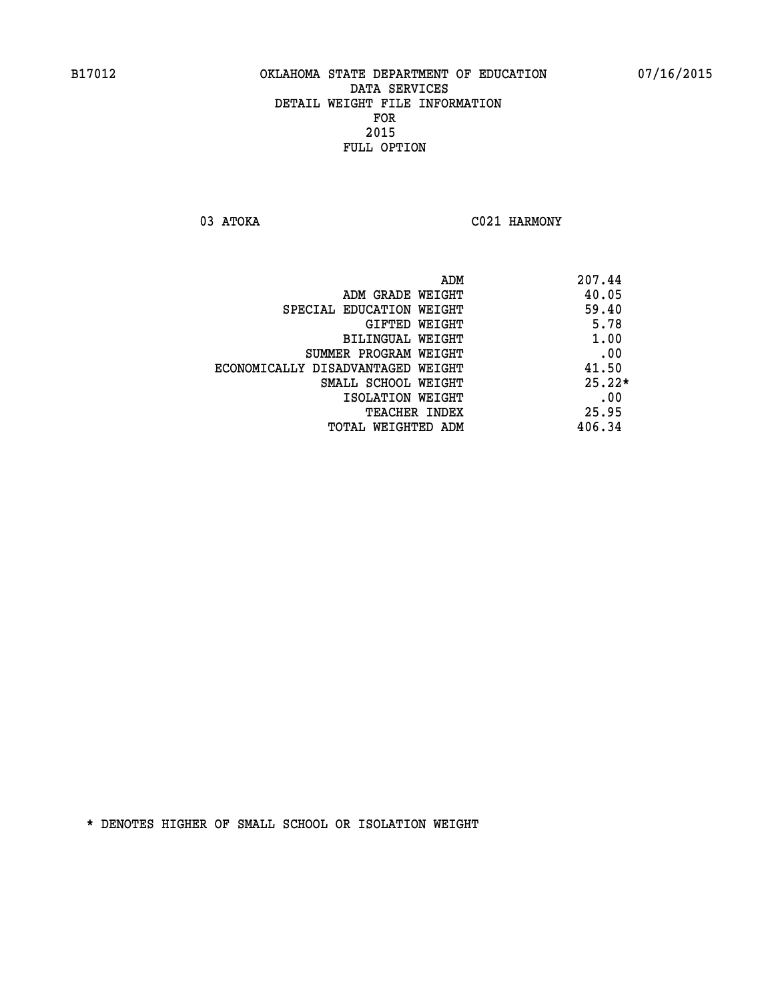03 ATOKA C021 HARMONY

| ADM                               | 207.44   |
|-----------------------------------|----------|
| ADM GRADE WEIGHT                  | 40.05    |
| SPECIAL EDUCATION WEIGHT          | 59.40    |
| GIFTED WEIGHT                     | 5.78     |
| BILINGUAL WEIGHT                  | 1.00     |
| SUMMER PROGRAM WEIGHT             | .00      |
| ECONOMICALLY DISADVANTAGED WEIGHT | 41.50    |
| SMALL SCHOOL WEIGHT               | $25.22*$ |
| ISOLATION WEIGHT                  | .00      |
| <b>TEACHER INDEX</b>              | 25.95    |
| TOTAL WEIGHTED ADM                | 406.34   |
|                                   |          |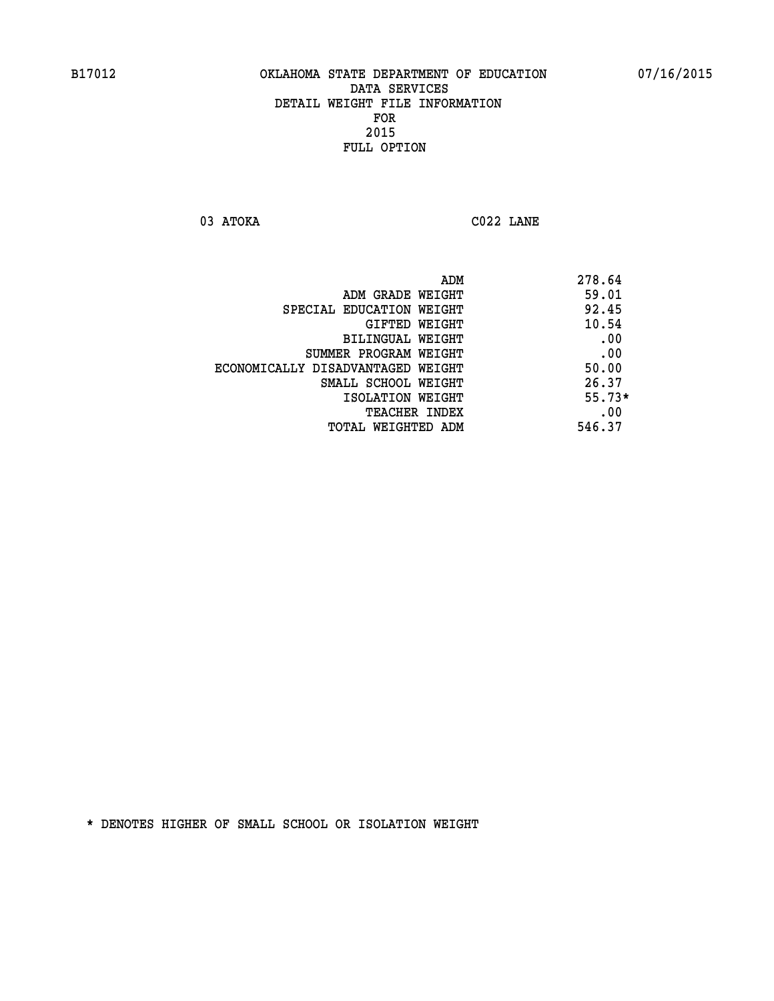**03 ATOKA C022 LANE** 

| 278.64   |
|----------|
| 59.01    |
| 92.45    |
| 10.54    |
| .00      |
| .00      |
| 50.00    |
| 26.37    |
| $55.73*$ |
| .00      |
| 546.37   |
|          |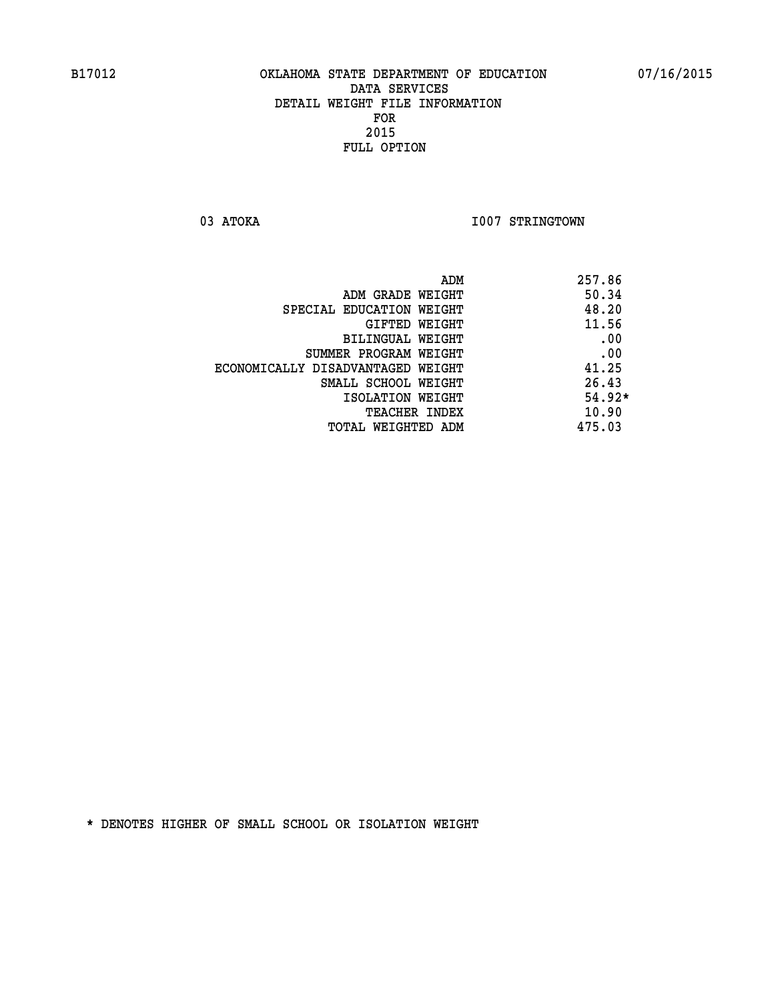03 ATOKA **I007 STRINGTOWN** 

|                                   | ADM | 257.86   |
|-----------------------------------|-----|----------|
| ADM GRADE WEIGHT                  |     | 50.34    |
| SPECIAL EDUCATION WEIGHT          |     | 48.20    |
| GIFTED WEIGHT                     |     | 11.56    |
| BILINGUAL WEIGHT                  |     | .00      |
| SUMMER PROGRAM WEIGHT             |     | .00      |
| ECONOMICALLY DISADVANTAGED WEIGHT |     | 41.25    |
| SMALL SCHOOL WEIGHT               |     | 26.43    |
| ISOLATION WEIGHT                  |     | $54.92*$ |
| TEACHER INDEX                     |     | 10.90    |
| TOTAL WEIGHTED ADM                |     | 475.03   |
|                                   |     |          |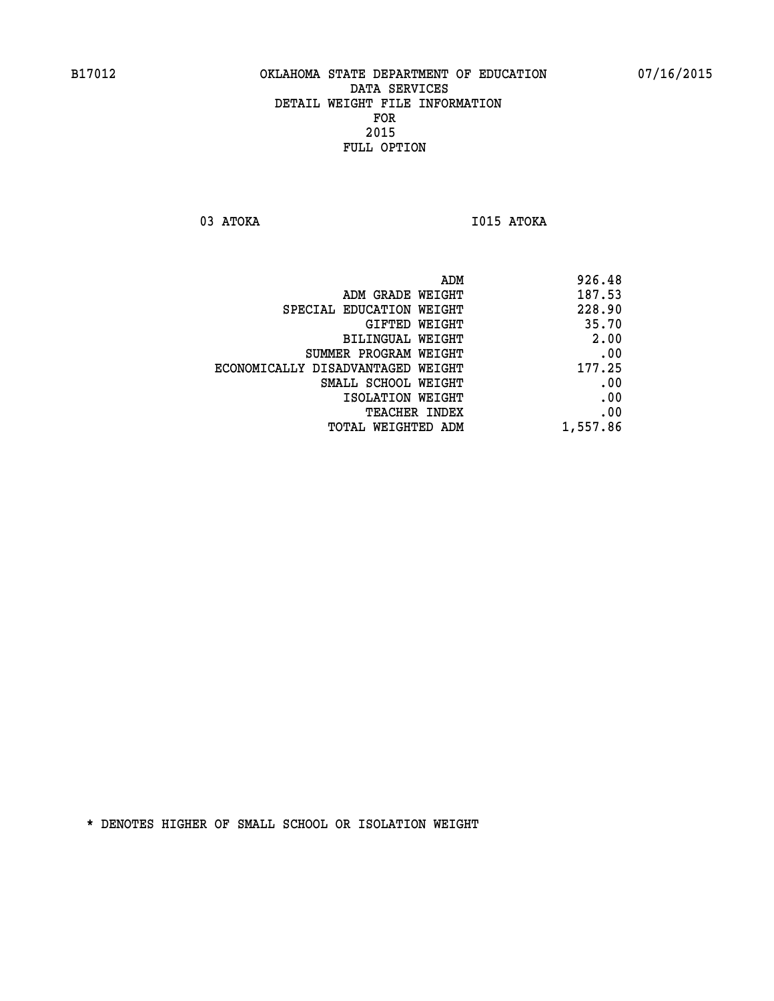**03 ATOKA I015 ATOKA** 

|                                   | 926.48<br>ADM |       |
|-----------------------------------|---------------|-------|
| ADM GRADE WEIGHT                  | 187.53        |       |
| SPECIAL EDUCATION WEIGHT          | 228.90        |       |
| GIFTED WEIGHT                     |               | 35.70 |
| BILINGUAL WEIGHT                  |               | 2.00  |
| SUMMER PROGRAM WEIGHT             |               | .00   |
| ECONOMICALLY DISADVANTAGED WEIGHT | 177.25        |       |
| SMALL SCHOOL WEIGHT               |               | .00   |
| ISOLATION WEIGHT                  |               | .00   |
| <b>TEACHER INDEX</b>              |               | .00   |
| TOTAL WEIGHTED ADM                | 1,557.86      |       |
|                                   |               |       |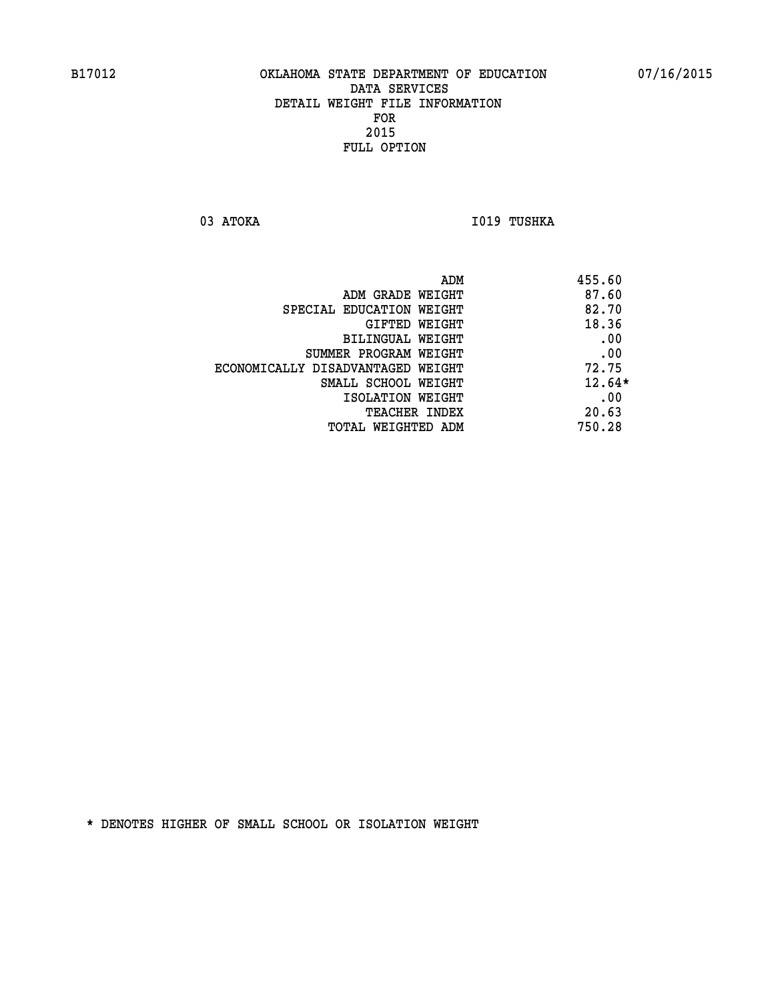03 ATOKA **I019 TUSHKA** 

| ADM                               | 455.60   |
|-----------------------------------|----------|
| ADM GRADE WEIGHT                  | 87.60    |
| SPECIAL EDUCATION WEIGHT          | 82.70    |
| GIFTED WEIGHT                     | 18.36    |
| BILINGUAL WEIGHT                  | .00      |
| SUMMER PROGRAM WEIGHT             | .00      |
| ECONOMICALLY DISADVANTAGED WEIGHT | 72.75    |
| SMALL SCHOOL WEIGHT               | $12.64*$ |
| ISOLATION WEIGHT                  | .00      |
| TEACHER INDEX                     | 20.63    |
| TOTAL WEIGHTED ADM                | 750.28   |
|                                   |          |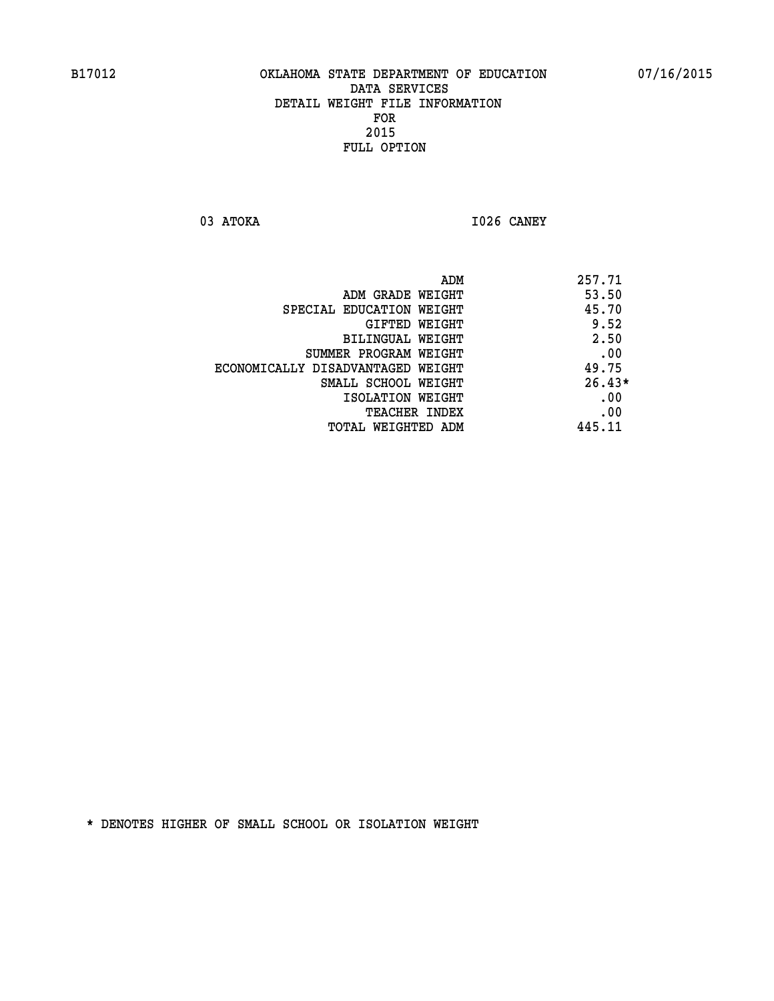**03 ATOKA I026 CANEY** 

|                                   | ADM | 257.71   |
|-----------------------------------|-----|----------|
| ADM GRADE WEIGHT                  |     | 53.50    |
| SPECIAL EDUCATION WEIGHT          |     | 45.70    |
| GIFTED WEIGHT                     |     | 9.52     |
| BILINGUAL WEIGHT                  |     | 2.50     |
| SUMMER PROGRAM WEIGHT             |     | .00      |
| ECONOMICALLY DISADVANTAGED WEIGHT |     | 49.75    |
| SMALL SCHOOL WEIGHT               |     | $26.43*$ |
| ISOLATION WEIGHT                  |     | .00      |
| TEACHER INDEX                     |     | .00      |
| TOTAL WEIGHTED ADM                |     | 445.11   |
|                                   |     |          |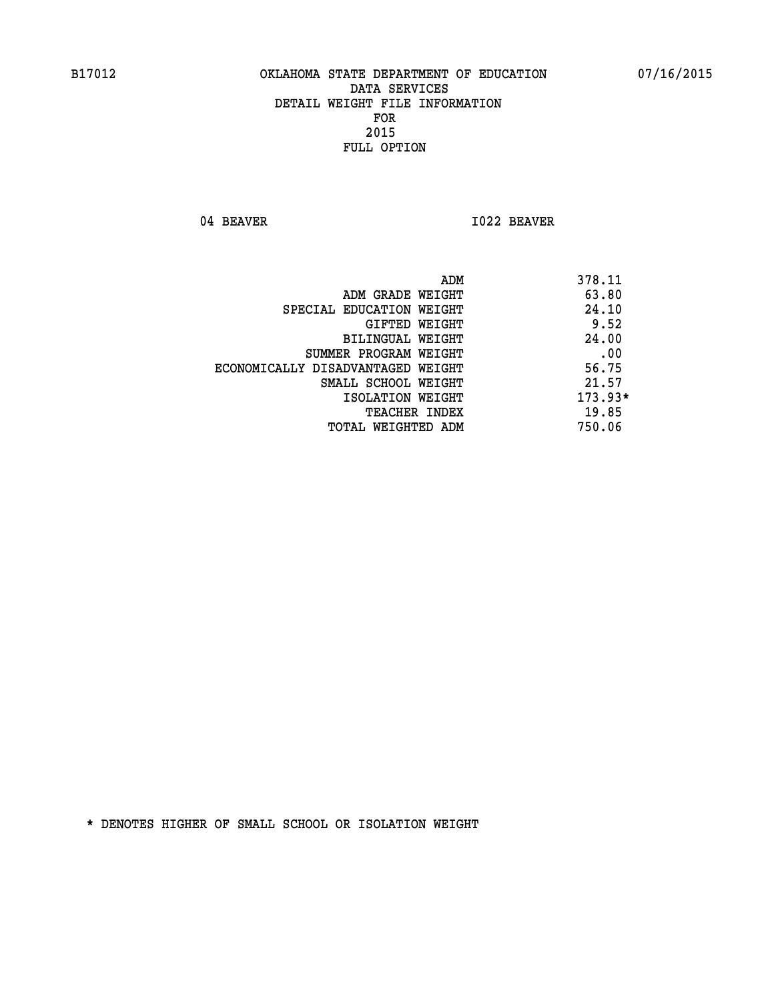04 BEAVER 1022 BEAVER

|                                   | ADM | 378.11    |
|-----------------------------------|-----|-----------|
| ADM GRADE WEIGHT                  |     | 63.80     |
| SPECIAL EDUCATION WEIGHT          |     | 24.10     |
| GIFTED WEIGHT                     |     | 9.52      |
| BILINGUAL WEIGHT                  |     | 24.00     |
| SUMMER PROGRAM WEIGHT             |     | .00       |
| ECONOMICALLY DISADVANTAGED WEIGHT |     | 56.75     |
| SMALL SCHOOL WEIGHT               |     | 21.57     |
| ISOLATION WEIGHT                  |     | $173.93*$ |
| TEACHER INDEX                     |     | 19.85     |
| TOTAL WEIGHTED ADM                |     | 750.06    |
|                                   |     |           |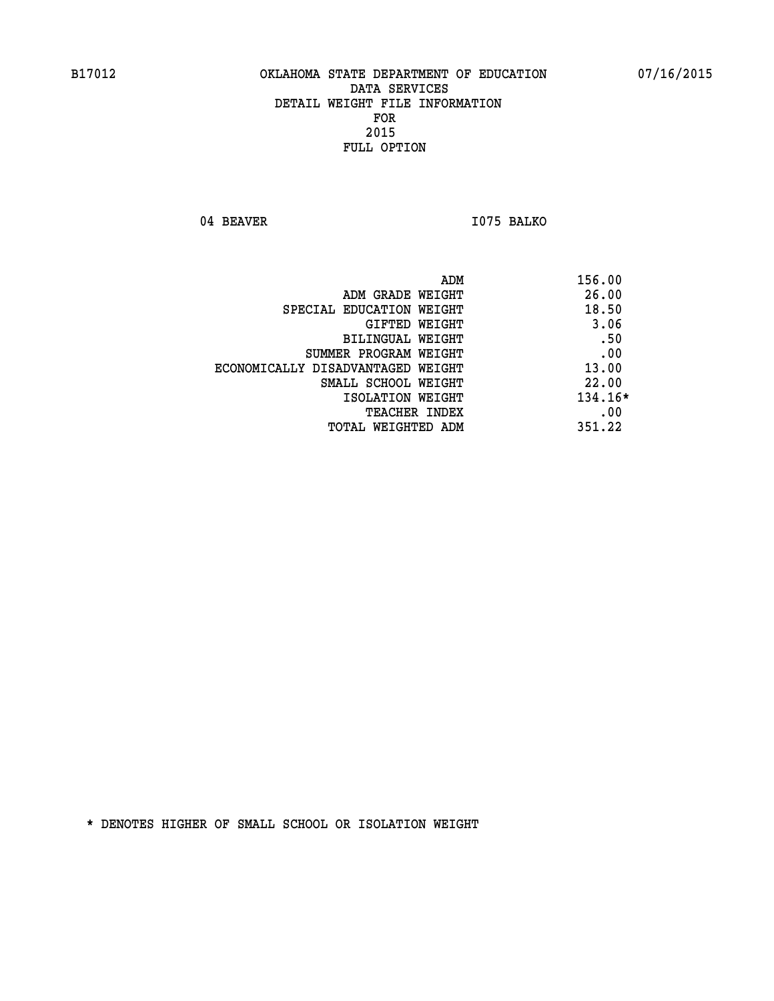04 BEAVER 1075 BALKO

| ADM<br>156.00 |                                   |
|---------------|-----------------------------------|
| 26.00         | ADM GRADE WEIGHT                  |
| 18.50         | SPECIAL EDUCATION WEIGHT          |
| 3.06          | GIFTED WEIGHT                     |
| .50           | BILINGUAL WEIGHT                  |
| .00           | SUMMER PROGRAM WEIGHT             |
| 13.00         | ECONOMICALLY DISADVANTAGED WEIGHT |
| 22.00         | SMALL SCHOOL WEIGHT               |
| 134.16*       | ISOLATION WEIGHT                  |
| .00           | <b>TEACHER INDEX</b>              |
| 351.22        | TOTAL WEIGHTED ADM                |
|               |                                   |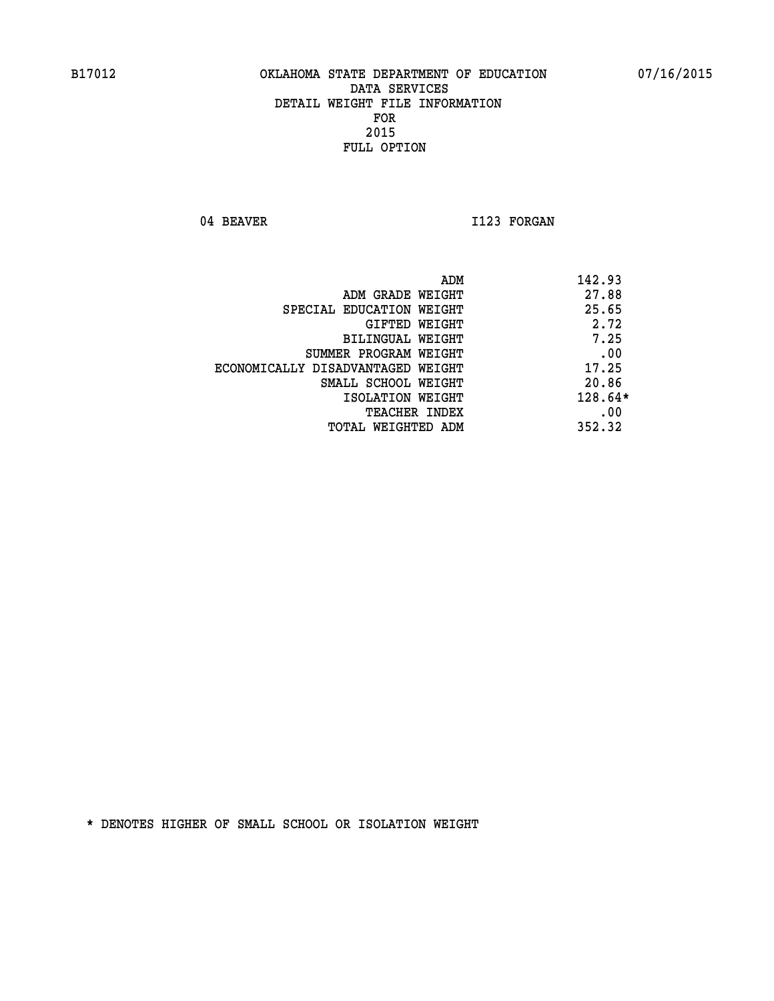04 BEAVER 1123 FORGAN

|                                   | ADM<br>142.93 |           |
|-----------------------------------|---------------|-----------|
| ADM GRADE WEIGHT                  |               | 27.88     |
| SPECIAL EDUCATION WEIGHT          |               | 25.65     |
| GIFTED WEIGHT                     |               | 2.72      |
| BILINGUAL WEIGHT                  |               | 7.25      |
| SUMMER PROGRAM WEIGHT             |               | .00       |
| ECONOMICALLY DISADVANTAGED WEIGHT |               | 17.25     |
| SMALL SCHOOL WEIGHT               |               | 20.86     |
| ISOLATION WEIGHT                  |               | $128.64*$ |
| TEACHER INDEX                     |               | .00       |
| TOTAL WEIGHTED ADM                | 352.32        |           |
|                                   |               |           |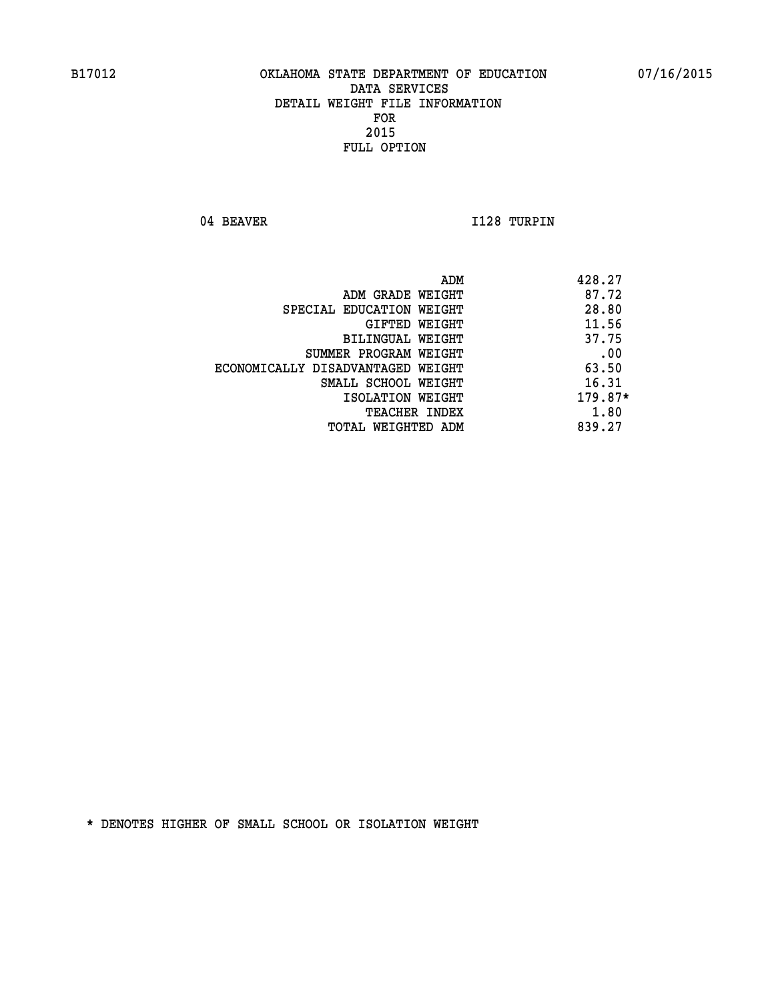04 BEAVER 1128 TURPIN

|                                   | ADM | 428.27  |
|-----------------------------------|-----|---------|
| ADM GRADE WEIGHT                  |     | 87.72   |
| SPECIAL EDUCATION WEIGHT          |     | 28.80   |
| GIFTED WEIGHT                     |     | 11.56   |
| BILINGUAL WEIGHT                  |     | 37.75   |
| SUMMER PROGRAM WEIGHT             |     | .00     |
| ECONOMICALLY DISADVANTAGED WEIGHT |     | 63.50   |
| SMALL SCHOOL WEIGHT               |     | 16.31   |
| ISOLATION WEIGHT                  |     | 179.87* |
| TEACHER INDEX                     |     | 1.80    |
| TOTAL WEIGHTED ADM                |     | 839.27  |
|                                   |     |         |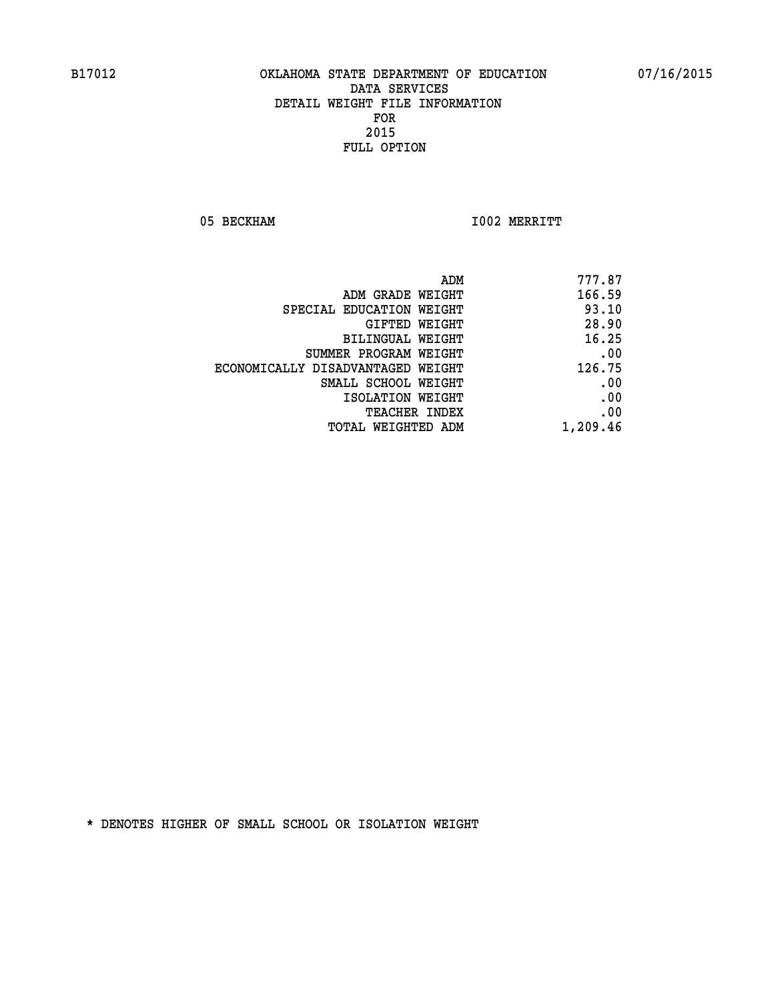05 BECKHAM 1002 MERRITT

| ADM<br>777.87                               |
|---------------------------------------------|
| 166.59<br>ADM GRADE WEIGHT                  |
| 93.10<br>SPECIAL EDUCATION WEIGHT           |
| 28.90<br><b>GIFTED WEIGHT</b>               |
| 16.25<br><b>BILINGUAL WEIGHT</b>            |
| .00<br>SUMMER PROGRAM WEIGHT                |
| 126.75<br>ECONOMICALLY DISADVANTAGED WEIGHT |
| .00<br>SMALL SCHOOL WEIGHT                  |
| .00<br>ISOLATION WEIGHT                     |
| .00<br>TEACHER INDEX                        |
| 1,209.46<br>TOTAL WEIGHTED ADM              |
|                                             |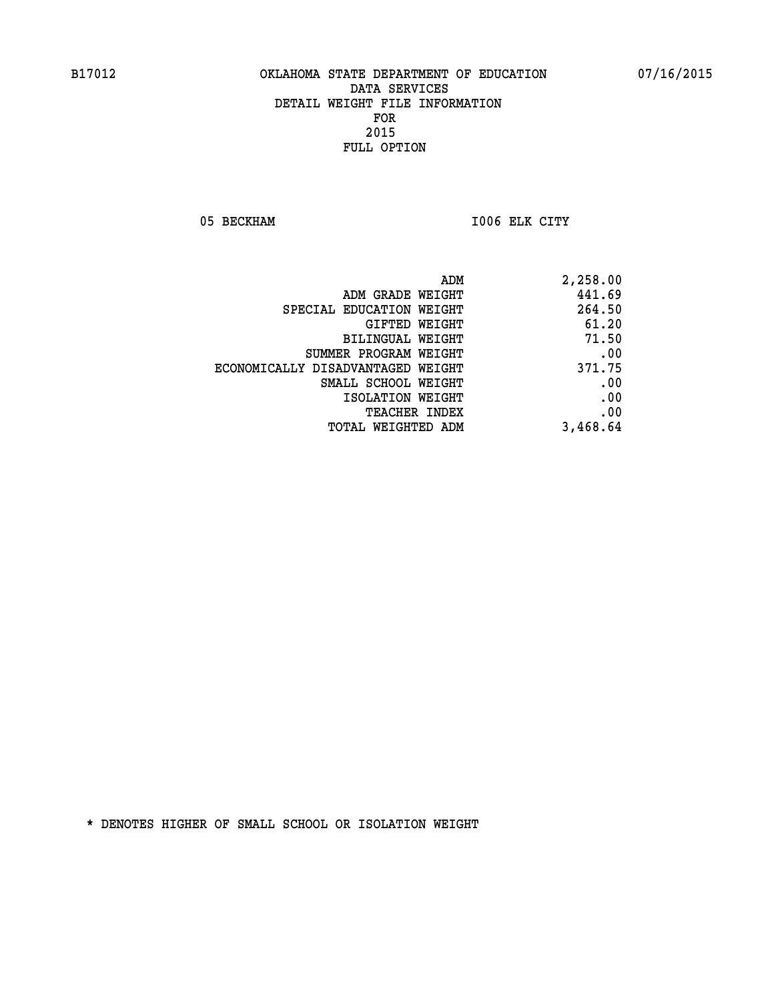05 BECKHAM 1006 ELK CITY

| ADM                               | 2,258.00 |
|-----------------------------------|----------|
| ADM GRADE WEIGHT                  | 441.69   |
| SPECIAL EDUCATION WEIGHT          | 264.50   |
| GIFTED WEIGHT                     | 61.20    |
| BILINGUAL WEIGHT                  | 71.50    |
| SUMMER PROGRAM WEIGHT             | .00      |
| ECONOMICALLY DISADVANTAGED WEIGHT | 371.75   |
| SMALL SCHOOL WEIGHT               | .00      |
| ISOLATION WEIGHT                  | .00      |
| <b>TEACHER INDEX</b>              | .00      |
| <b>TOTAL WEIGHTED ADM</b>         | 3,468.64 |
|                                   |          |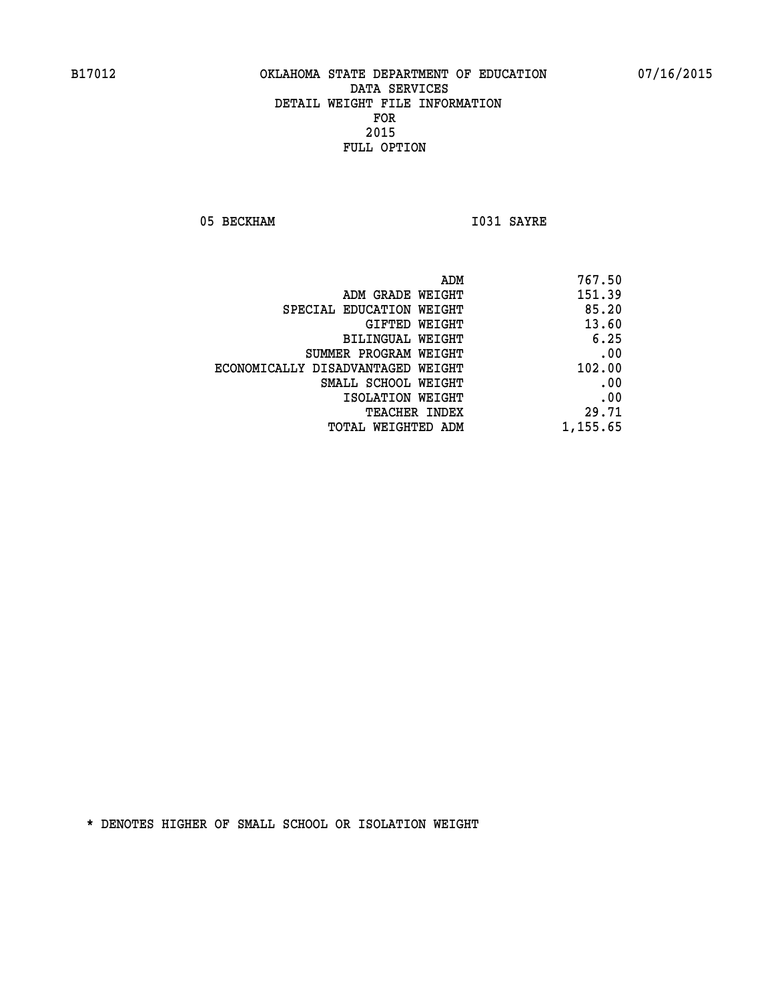05 BECKHAM 1031 SAYRE

| 767.50   |
|----------|
| 151.39   |
| 85.20    |
| 13.60    |
| 6.25     |
| .00      |
| 102.00   |
| .00      |
| .00      |
| 29.71    |
| 1,155.65 |
|          |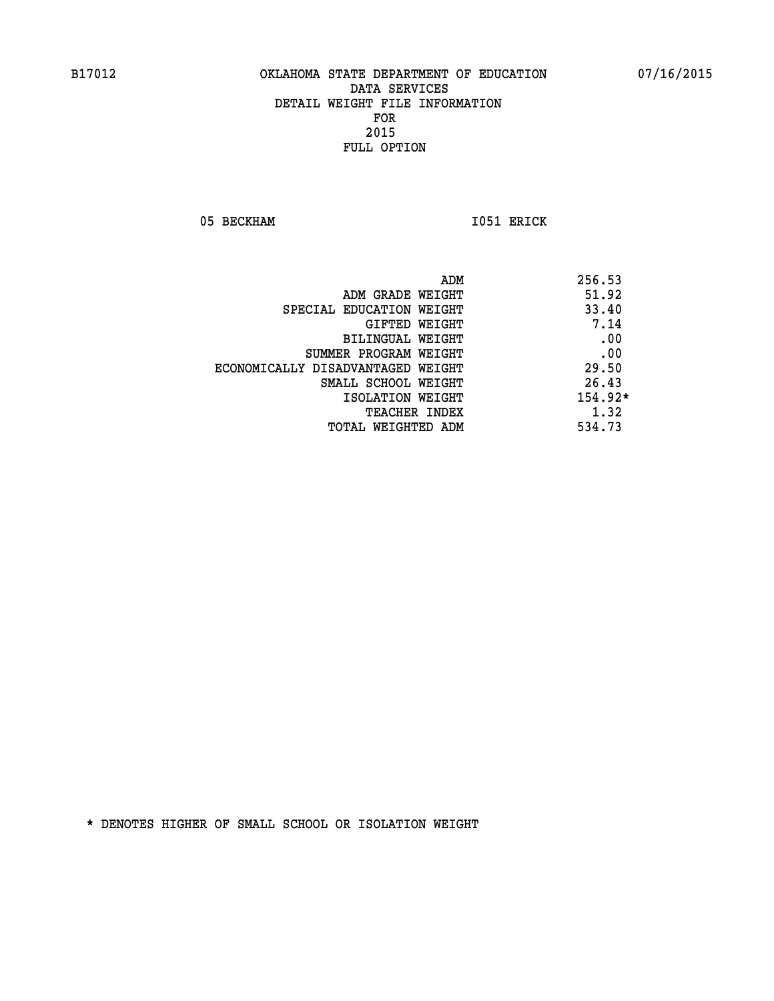05 BECKHAM 1051 ERICK

|                                   | ADM<br>256.53 |      |
|-----------------------------------|---------------|------|
| ADM GRADE WEIGHT                  | 51.92         |      |
| SPECIAL EDUCATION WEIGHT          | 33.40         |      |
| GIFTED WEIGHT                     |               | 7.14 |
| BILINGUAL WEIGHT                  |               | .00  |
| SUMMER PROGRAM WEIGHT             |               | .00  |
| ECONOMICALLY DISADVANTAGED WEIGHT | 29.50         |      |
| SMALL SCHOOL WEIGHT               | 26.43         |      |
| ISOLATION WEIGHT                  | $154.92*$     |      |
| <b>TEACHER INDEX</b>              |               | 1.32 |
| TOTAL WEIGHTED ADM                | 534.73        |      |
|                                   |               |      |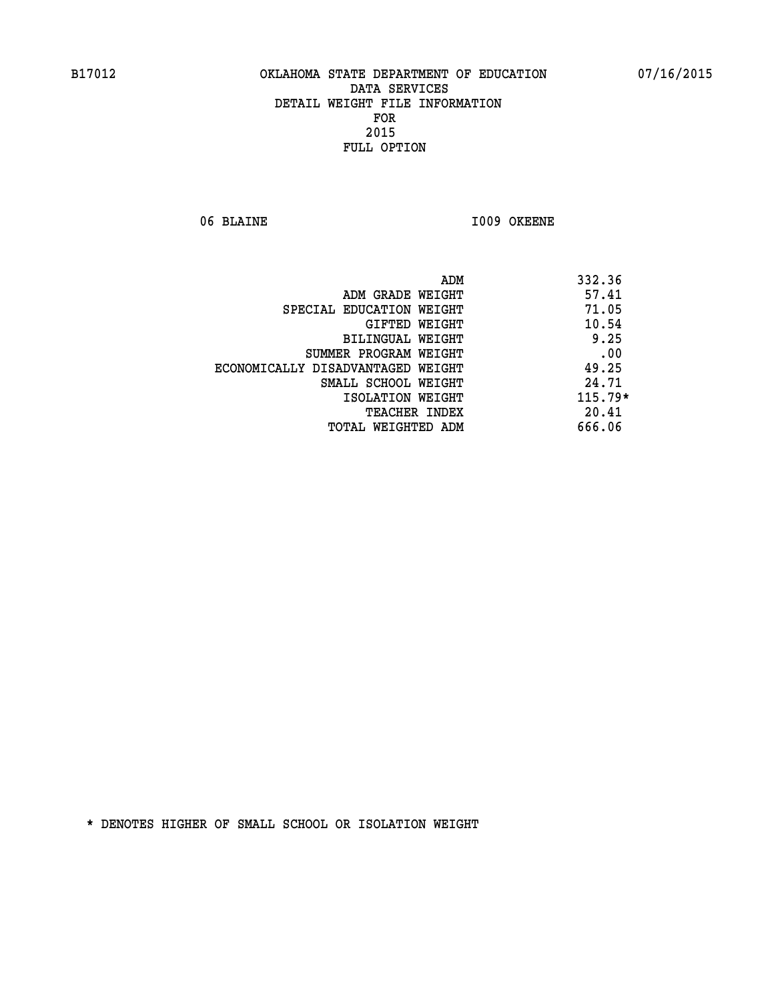06 BLAINE 1009 OKEENE

| ADM                               | 332.36    |
|-----------------------------------|-----------|
| ADM GRADE WEIGHT                  | 57.41     |
| SPECIAL EDUCATION WEIGHT          | 71.05     |
| GIFTED WEIGHT                     | 10.54     |
| <b>BILINGUAL WEIGHT</b>           | 9.25      |
| SUMMER PROGRAM WEIGHT             | .00       |
| ECONOMICALLY DISADVANTAGED WEIGHT | 49.25     |
| SMALL SCHOOL WEIGHT               | 24.71     |
| ISOLATION WEIGHT                  | $115.79*$ |
| <b>TEACHER INDEX</b>              | 20.41     |
| TOTAL WEIGHTED ADM                | 666.06    |
|                                   |           |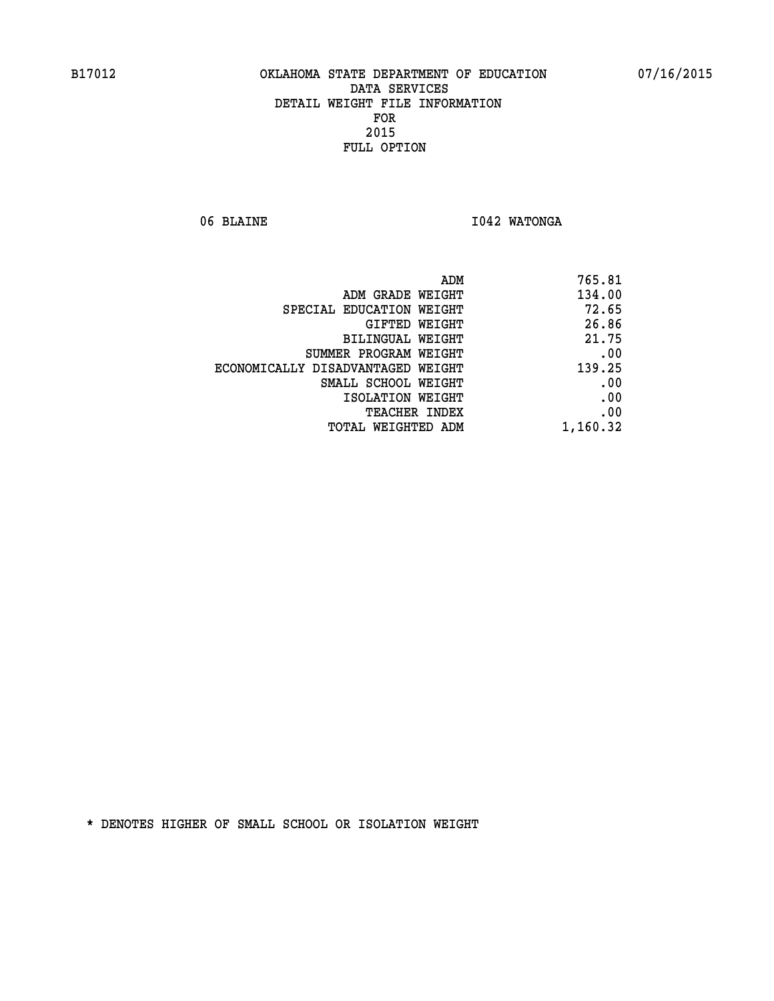06 BLAINE **I042 WATONGA** 

|                                   | ADM<br>765.81 |
|-----------------------------------|---------------|
| ADM GRADE WEIGHT                  | 134.00        |
| SPECIAL EDUCATION WEIGHT          | 72.65         |
| GIFTED WEIGHT                     | 26.86         |
| BILINGUAL WEIGHT                  | 21.75         |
| SUMMER PROGRAM WEIGHT             | .00           |
| ECONOMICALLY DISADVANTAGED WEIGHT | 139.25        |
| SMALL SCHOOL WEIGHT               | .00           |
| ISOLATION WEIGHT                  | .00           |
| TEACHER INDEX                     | .00           |
| TOTAL WEIGHTED ADM                | 1,160.32      |
|                                   |               |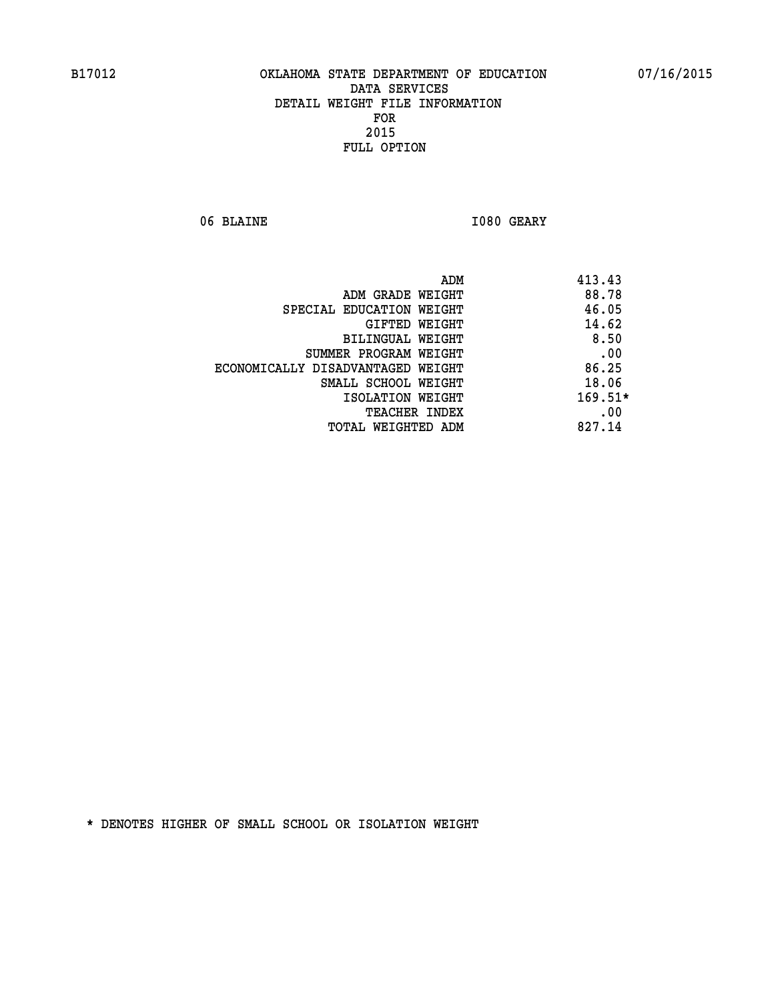06 BLAINE **I080 GEARY** 

| ADM<br>413.43 |                                   |
|---------------|-----------------------------------|
| 88.78         | ADM GRADE WEIGHT                  |
| 46.05         | SPECIAL EDUCATION WEIGHT          |
| 14.62         | GIFTED WEIGHT                     |
| 8.50          | <b>BILINGUAL WEIGHT</b>           |
| .00           | SUMMER PROGRAM WEIGHT             |
| 86.25         | ECONOMICALLY DISADVANTAGED WEIGHT |
| 18.06         | SMALL SCHOOL WEIGHT               |
| $169.51*$     | ISOLATION WEIGHT                  |
| .00           | <b>TEACHER INDEX</b>              |
| 827.14        | TOTAL WEIGHTED ADM                |
|               |                                   |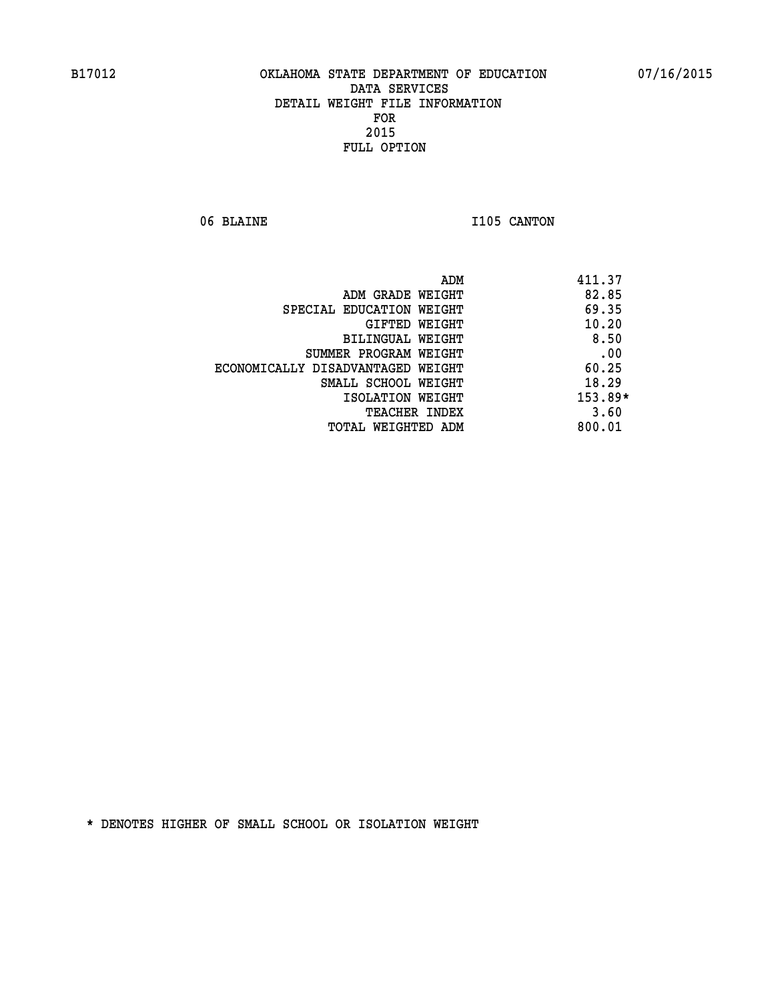06 BLAINE 1105 CANTON

|                                   | ADM | 411.37    |
|-----------------------------------|-----|-----------|
| ADM GRADE WEIGHT                  |     | 82.85     |
| SPECIAL EDUCATION WEIGHT          |     | 69.35     |
| GIFTED WEIGHT                     |     | 10.20     |
| BILINGUAL WEIGHT                  |     | 8.50      |
| SUMMER PROGRAM WEIGHT             |     | .00       |
| ECONOMICALLY DISADVANTAGED WEIGHT |     | 60.25     |
| SMALL SCHOOL WEIGHT               |     | 18.29     |
| ISOLATION WEIGHT                  |     | $153.89*$ |
| <b>TEACHER INDEX</b>              |     | 3.60      |
| TOTAL WEIGHTED ADM                |     | 800.01    |
|                                   |     |           |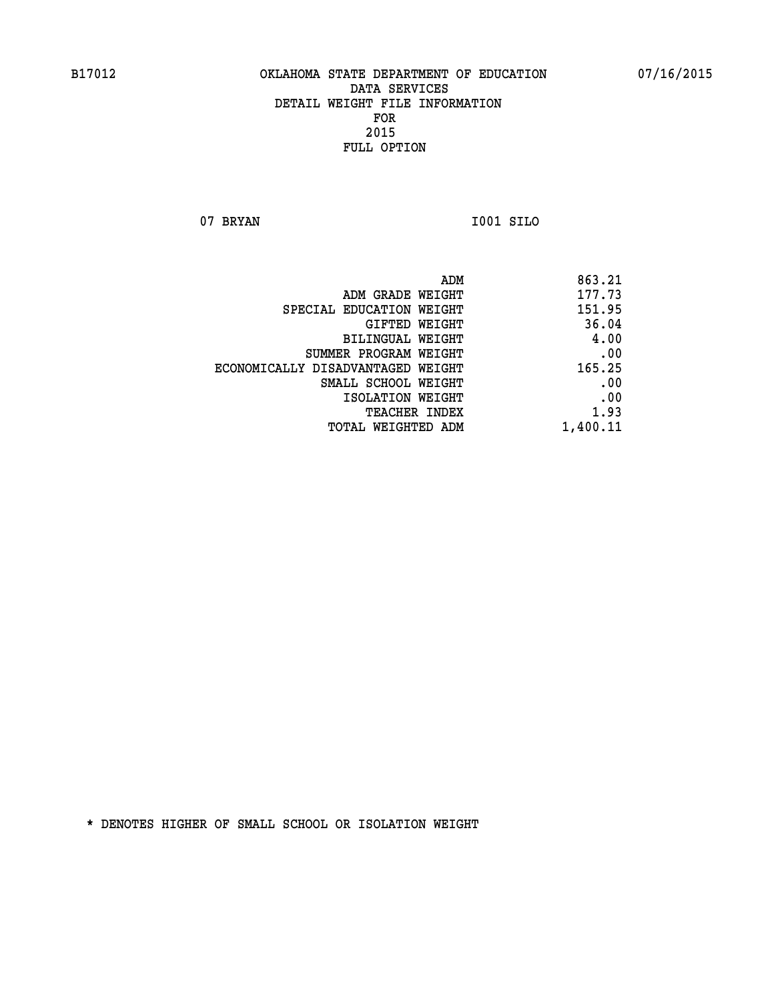**07 BRYAN I001 SILO** 

| 863.21   |
|----------|
| 177.73   |
| 151.95   |
| 36.04    |
| 4.00     |
| .00      |
| 165.25   |
| .00      |
| .00      |
| 1.93     |
| 1,400.11 |
|          |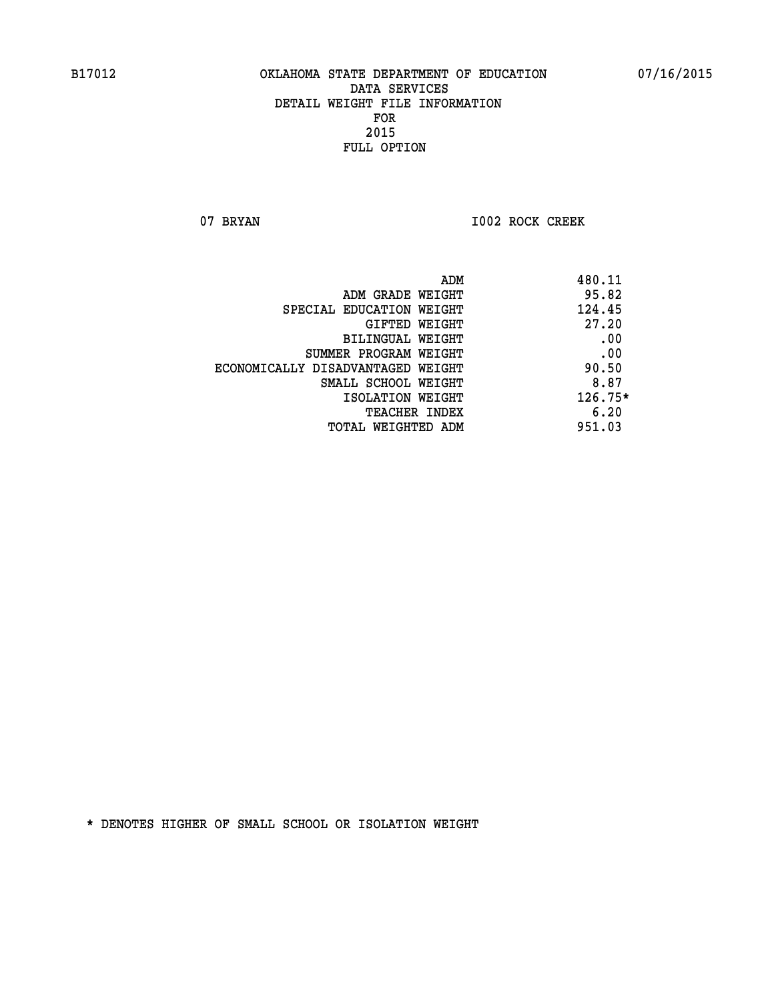07 BRYAN 1002 ROCK CREEK

| ADM                               | 480.11    |
|-----------------------------------|-----------|
| ADM GRADE WEIGHT                  | 95.82     |
| SPECIAL EDUCATION WEIGHT          | 124.45    |
| GIFTED WEIGHT                     | 27.20     |
| <b>BILINGUAL WEIGHT</b>           | .00       |
| SUMMER PROGRAM WEIGHT             | .00       |
| ECONOMICALLY DISADVANTAGED WEIGHT | 90.50     |
| SMALL SCHOOL WEIGHT               | 8.87      |
| ISOLATION WEIGHT                  | $126.75*$ |
| <b>TEACHER INDEX</b>              | 6.20      |
| TOTAL WEIGHTED ADM                | 951.03    |
|                                   |           |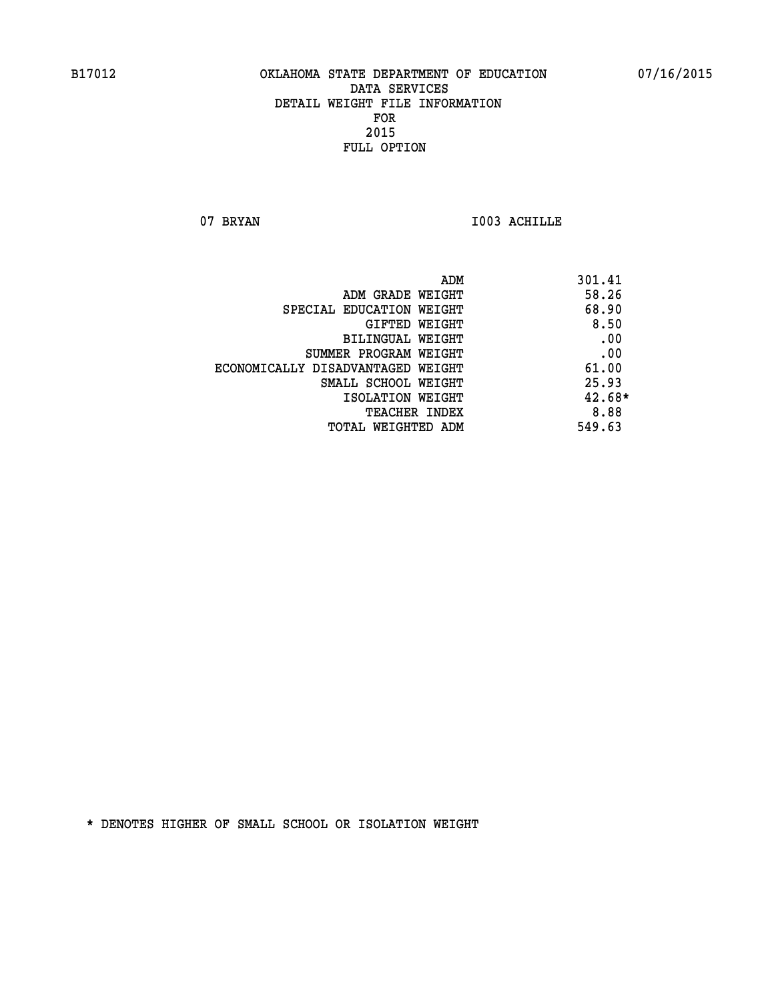07 BRYAN 1003 ACHILLE

| ADM                               | 301.41   |
|-----------------------------------|----------|
| ADM GRADE WEIGHT                  | 58.26    |
| SPECIAL EDUCATION WEIGHT          | 68.90    |
| GIFTED WEIGHT                     | 8.50     |
| <b>BILINGUAL WEIGHT</b>           | .00      |
| SUMMER PROGRAM WEIGHT             | .00      |
| ECONOMICALLY DISADVANTAGED WEIGHT | 61.00    |
| SMALL SCHOOL WEIGHT               | 25.93    |
| ISOLATION WEIGHT                  | $42.68*$ |
| <b>TEACHER INDEX</b>              | 8.88     |
| TOTAL WEIGHTED ADM                | 549.63   |
|                                   |          |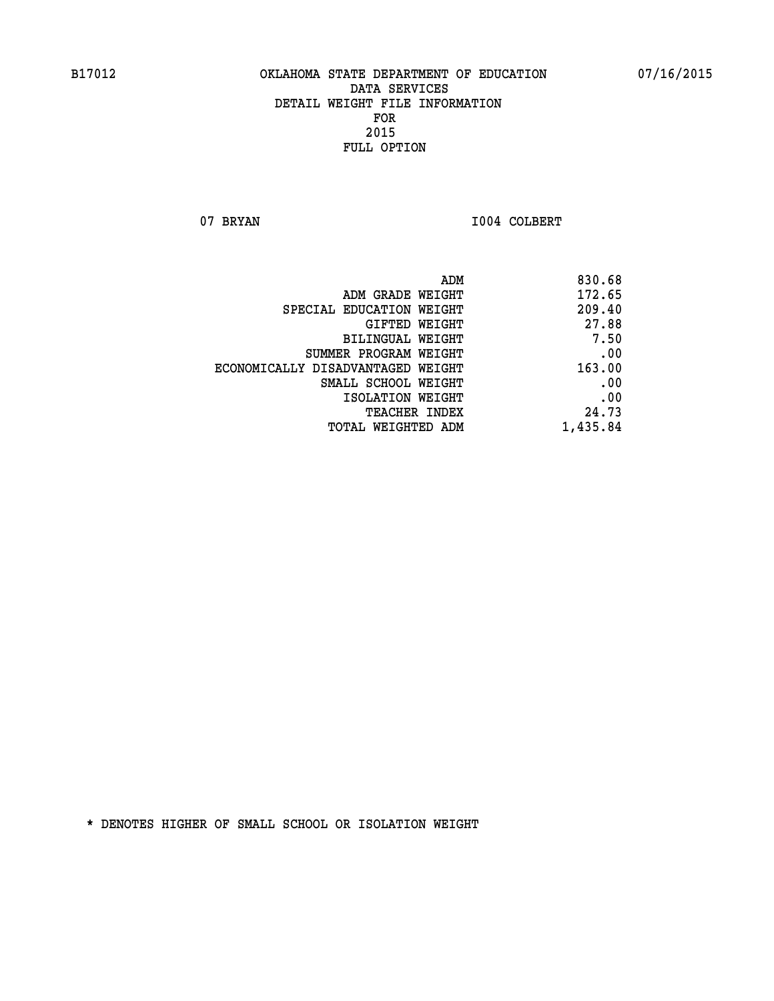07 BRYAN 1004 COLBERT

| 830.68   |
|----------|
| 172.65   |
| 209.40   |
| 27.88    |
| 7.50     |
| .00      |
| 163.00   |
| .00      |
| .00      |
| 24.73    |
| 1,435.84 |
|          |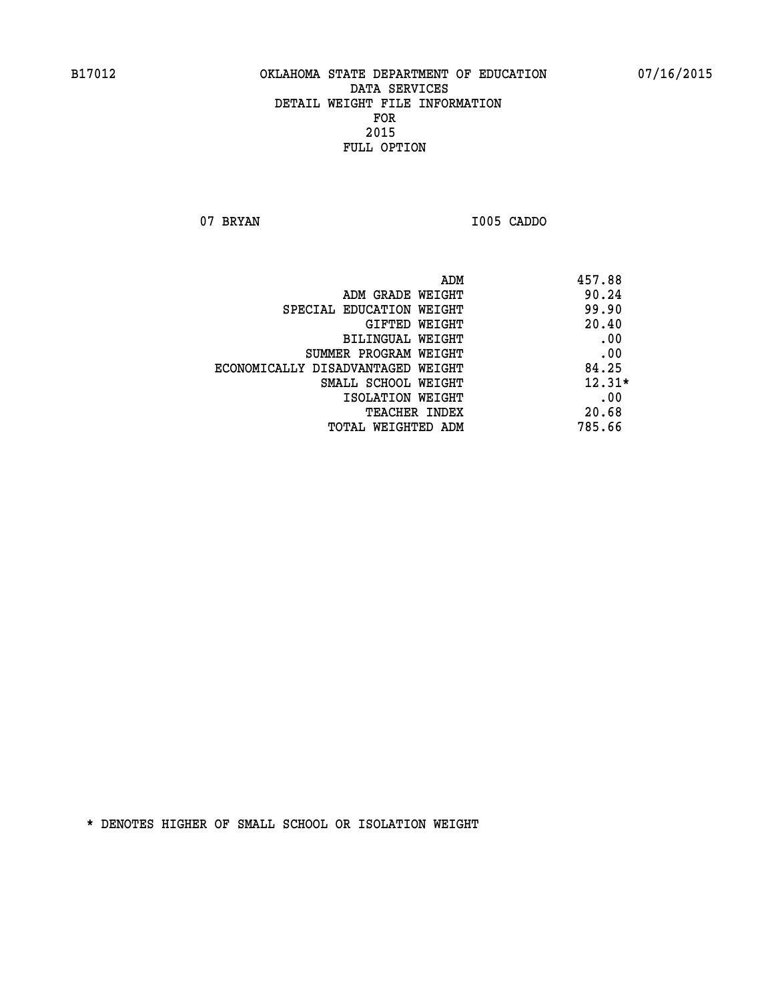**07 BRYAN I005 CADDO** 

|                                   | ADM | 457.88   |
|-----------------------------------|-----|----------|
| ADM GRADE WEIGHT                  |     | 90.24    |
| SPECIAL EDUCATION WEIGHT          |     | 99.90    |
| GIFTED WEIGHT                     |     | 20.40    |
| BILINGUAL WEIGHT                  |     | .00      |
| SUMMER PROGRAM WEIGHT             |     | .00      |
| ECONOMICALLY DISADVANTAGED WEIGHT |     | 84.25    |
| SMALL SCHOOL WEIGHT               |     | $12.31*$ |
| ISOLATION WEIGHT                  |     | .00      |
| TEACHER INDEX                     |     | 20.68    |
| TOTAL WEIGHTED ADM                |     | 785.66   |
|                                   |     |          |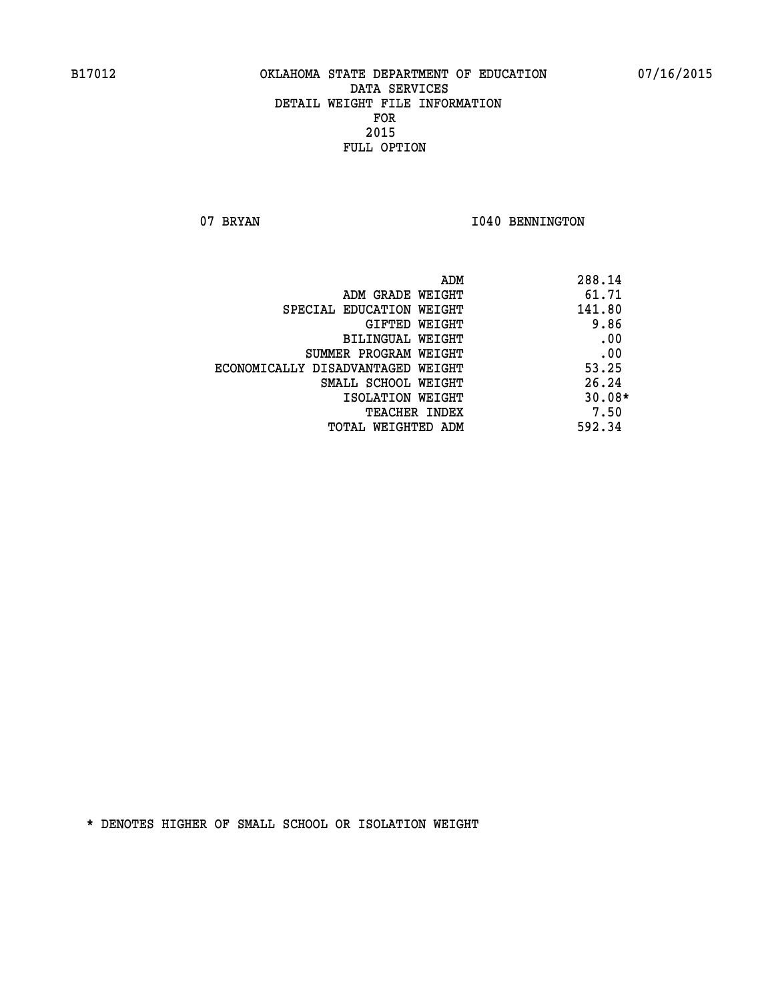07 BRYAN 1040 BENNINGTON

| ADM                               | 288.14   |
|-----------------------------------|----------|
| ADM GRADE WEIGHT                  | 61.71    |
| SPECIAL EDUCATION WEIGHT          | 141.80   |
| GIFTED WEIGHT                     | 9.86     |
| <b>BILINGUAL WEIGHT</b>           | .00      |
| SUMMER PROGRAM WEIGHT             | .00      |
| ECONOMICALLY DISADVANTAGED WEIGHT | 53.25    |
| SMALL SCHOOL WEIGHT               | 26.24    |
| ISOLATION WEIGHT                  | $30.08*$ |
| <b>TEACHER INDEX</b>              | 7.50     |
| TOTAL WEIGHTED ADM                | 592.34   |
|                                   |          |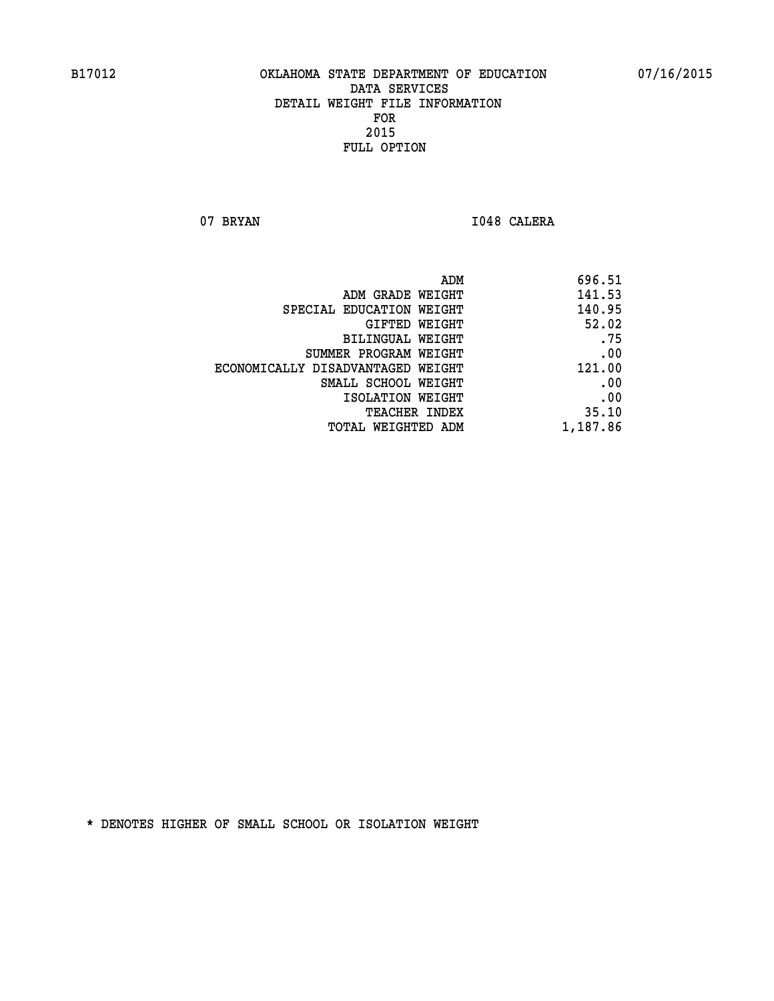07 BRYAN 1048 CALERA

| ADM                               | 696.51   |
|-----------------------------------|----------|
| ADM GRADE WEIGHT                  | 141.53   |
| SPECIAL EDUCATION WEIGHT          | 140.95   |
| GIFTED WEIGHT                     | 52.02    |
| BILINGUAL WEIGHT                  | .75      |
| SUMMER PROGRAM WEIGHT             | .00      |
| ECONOMICALLY DISADVANTAGED WEIGHT | 121.00   |
| SMALL SCHOOL WEIGHT               | .00      |
| ISOLATION WEIGHT                  | .00      |
| TEACHER INDEX                     | 35.10    |
| TOTAL WEIGHTED ADM                | 1,187.86 |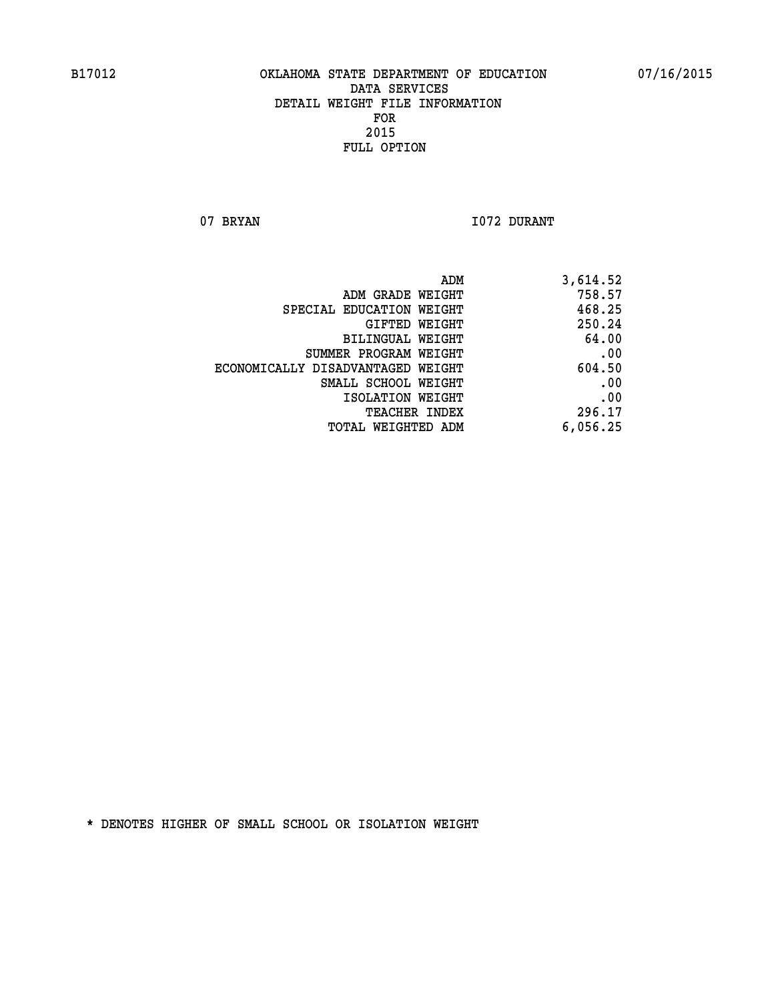07 BRYAN 1072 DURANT

| ADM                               | 3,614.52 |
|-----------------------------------|----------|
| ADM GRADE WEIGHT                  | 758.57   |
| SPECIAL EDUCATION WEIGHT          | 468.25   |
| GIFTED WEIGHT                     | 250.24   |
| BILINGUAL WEIGHT                  | 64.00    |
| SUMMER PROGRAM WEIGHT             | .00      |
| ECONOMICALLY DISADVANTAGED WEIGHT | 604.50   |
| SMALL SCHOOL WEIGHT               | .00      |
| ISOLATION WEIGHT                  | .00      |
| TEACHER INDEX                     | 296.17   |
| TOTAL WEIGHTED ADM                | 6,056.25 |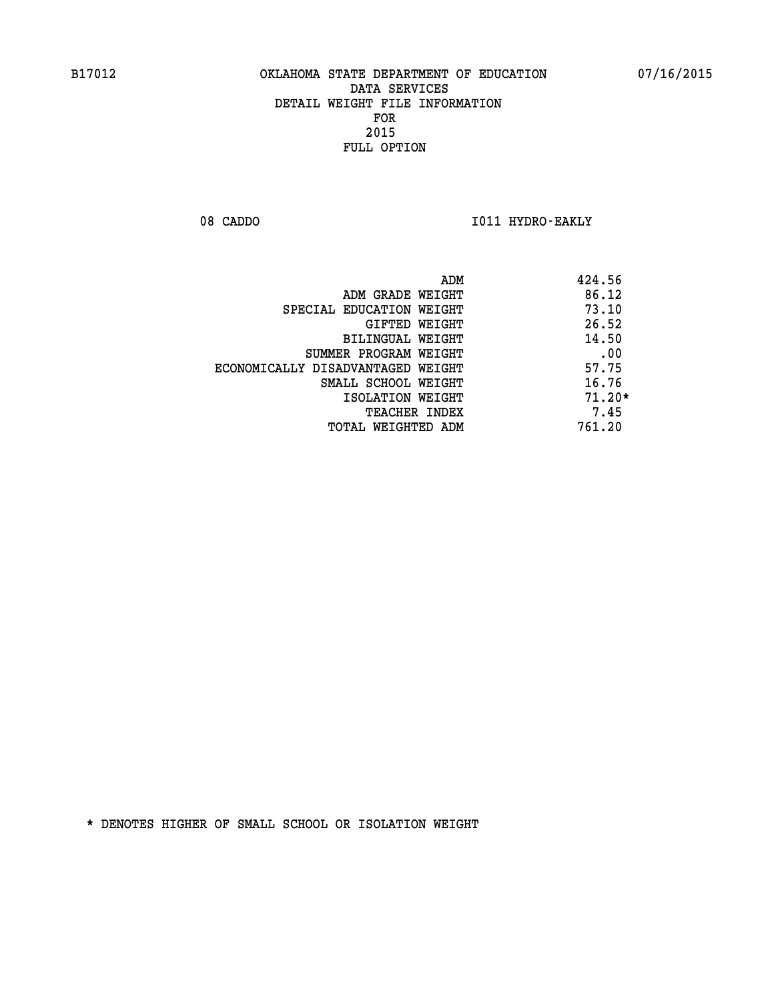08 CADDO **I011 HYDRO-EAKLY** 

| ADM                               | 424.56   |
|-----------------------------------|----------|
| ADM GRADE WEIGHT                  | 86.12    |
| SPECIAL EDUCATION WEIGHT          | 73.10    |
| GIFTED WEIGHT                     | 26.52    |
| BILINGUAL WEIGHT                  | 14.50    |
| SUMMER PROGRAM WEIGHT             | .00      |
| ECONOMICALLY DISADVANTAGED WEIGHT | 57.75    |
| SMALL SCHOOL WEIGHT               | 16.76    |
| ISOLATION WEIGHT                  | $71.20*$ |
| <b>TEACHER INDEX</b>              | 7.45     |
| TOTAL WEIGHTED ADM                | 761.20   |
|                                   |          |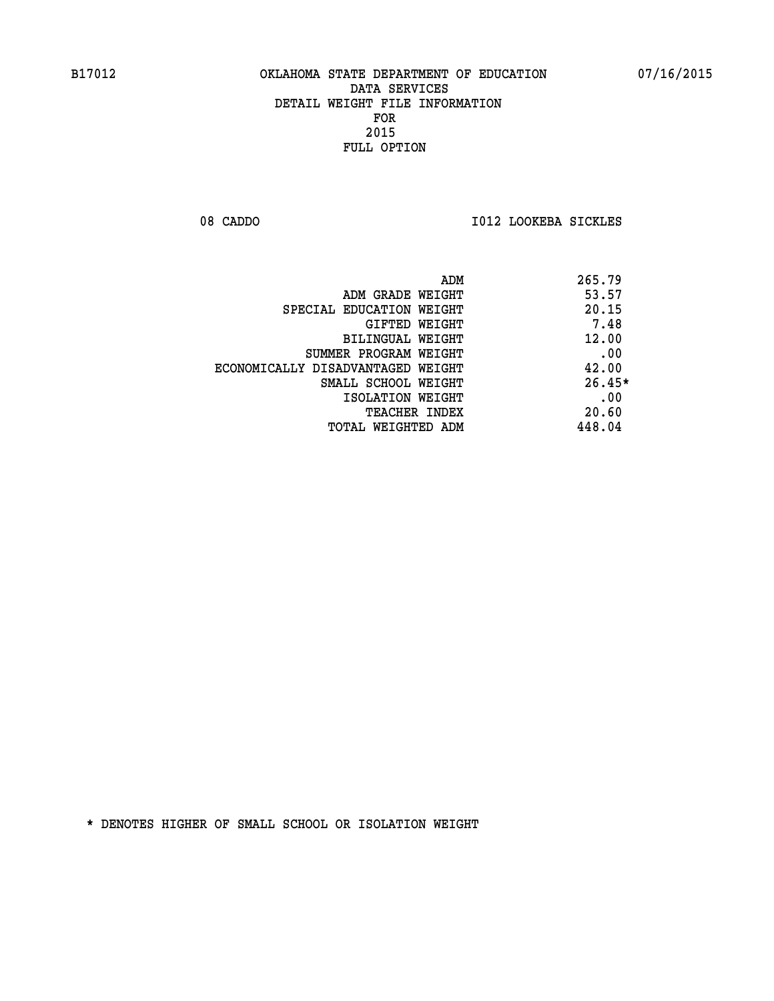08 CADDO **I012 LOOKEBA SICKLES** 

| ADM                               | 265.79   |
|-----------------------------------|----------|
| ADM GRADE WEIGHT                  | 53.57    |
| SPECIAL EDUCATION WEIGHT          | 20.15    |
| <b>GIFTED WEIGHT</b>              | 7.48     |
| BILINGUAL WEIGHT                  | 12.00    |
| SUMMER PROGRAM WEIGHT             | .00      |
| ECONOMICALLY DISADVANTAGED WEIGHT | 42.00    |
| SMALL SCHOOL WEIGHT               | $26.45*$ |
| ISOLATION WEIGHT                  | .00      |
| <b>TEACHER INDEX</b>              | 20.60    |
| TOTAL WEIGHTED ADM                | 448.04   |
|                                   |          |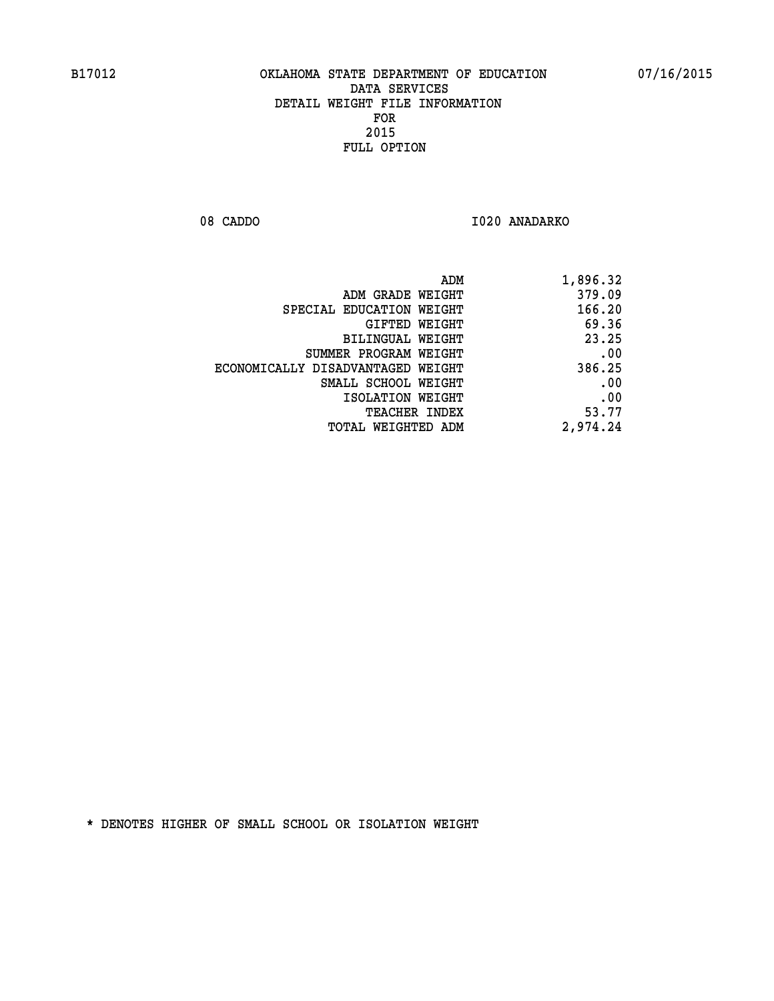08 CADDO 1020 ANADARKO

| 1,896.32 |
|----------|
| 379.09   |
| 166.20   |
| 69.36    |
| 23.25    |
| .00      |
| 386.25   |
| .00      |
| .00      |
| 53.77    |
| 2,974.24 |
|          |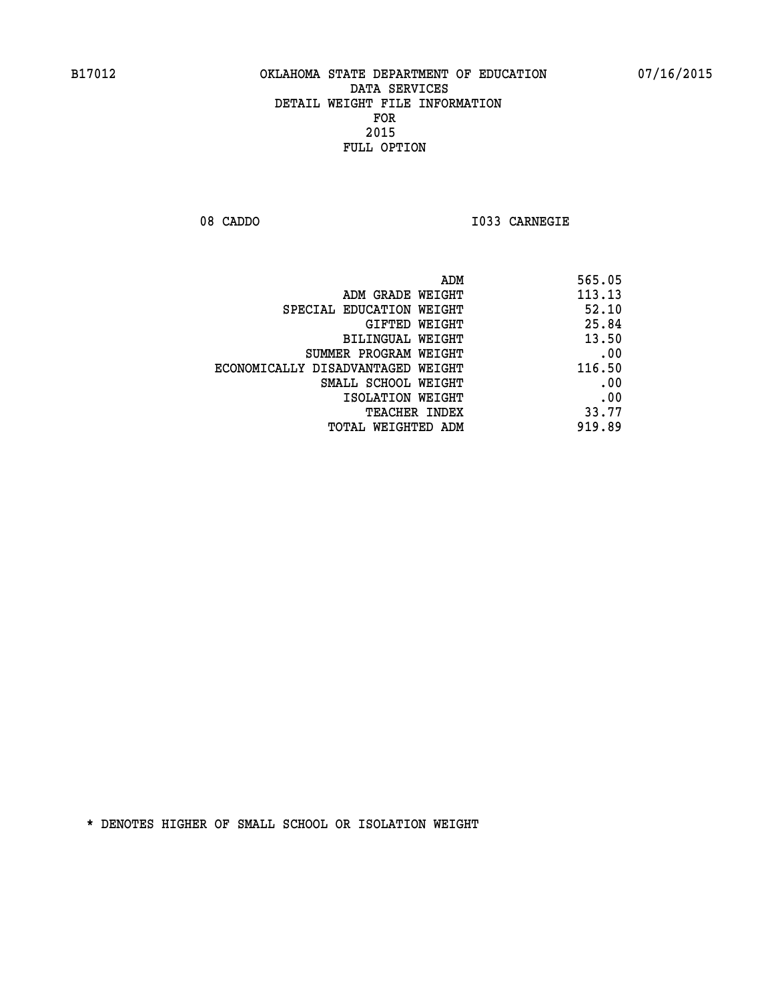**08 CADDO I033 CARNEGIE** 

| ADM<br>565.05                               |
|---------------------------------------------|
| 113.13<br>ADM GRADE WEIGHT                  |
| 52.10<br>SPECIAL EDUCATION WEIGHT           |
| 25.84<br>GIFTED WEIGHT                      |
| 13.50<br>BILINGUAL WEIGHT                   |
| .00<br>SUMMER PROGRAM WEIGHT                |
| 116.50<br>ECONOMICALLY DISADVANTAGED WEIGHT |
| .00<br>SMALL SCHOOL WEIGHT                  |
| .00<br>ISOLATION WEIGHT                     |
| 33.77<br>TEACHER INDEX                      |
| 919.89<br>TOTAL WEIGHTED ADM                |
|                                             |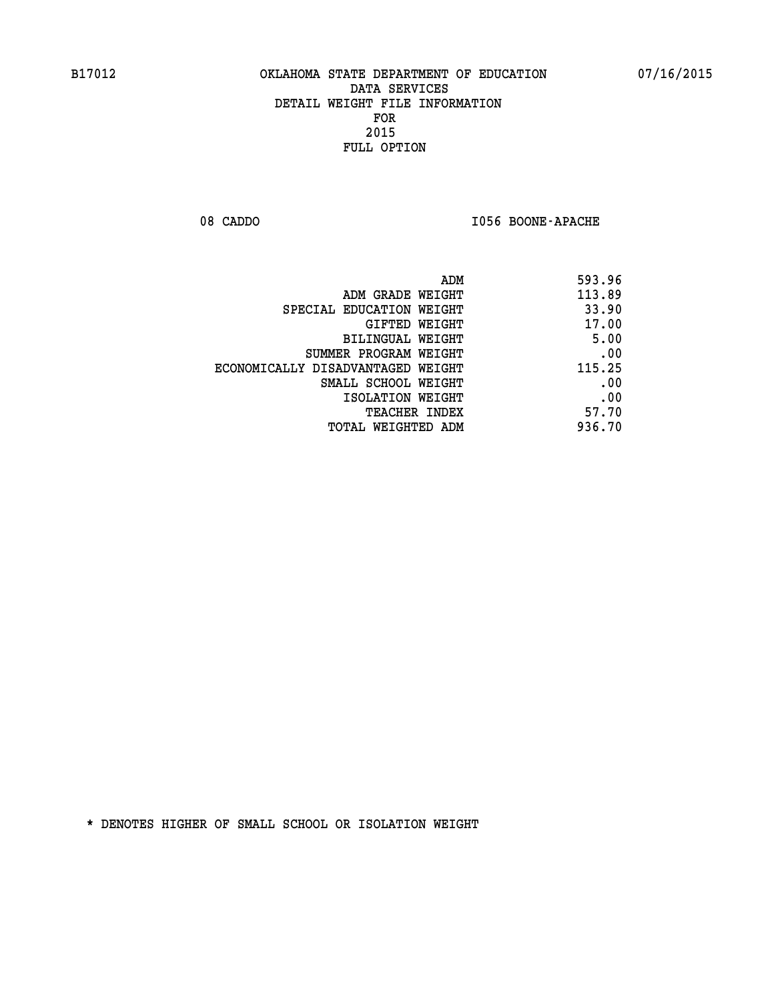08 CADDO **I056 BOONE-APACHE** 

| 593.96 |
|--------|
| 113.89 |
| 33.90  |
| 17.00  |
| 5.00   |
| .00    |
| 115.25 |
| .00    |
| .00    |
| 57.70  |
| 936.70 |
|        |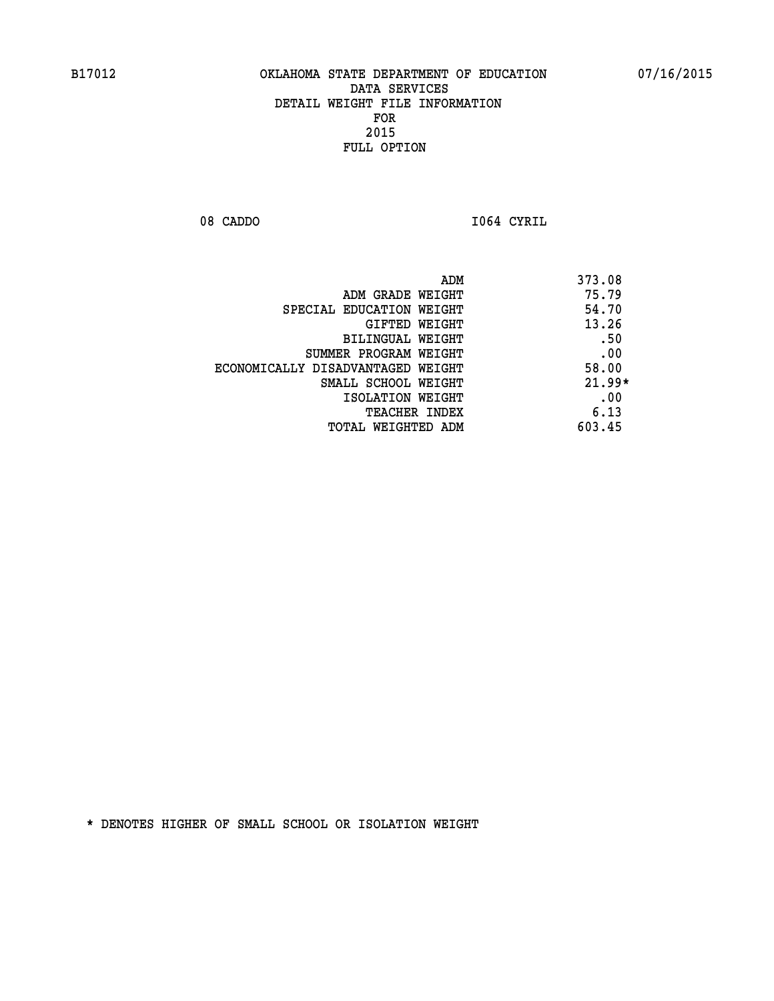**08 CADDO I064 CYRIL** 

| ADM                               | 373.08   |
|-----------------------------------|----------|
| ADM GRADE WEIGHT                  | 75.79    |
| SPECIAL EDUCATION WEIGHT          | 54.70    |
| GIFTED WEIGHT                     | 13.26    |
| BILINGUAL WEIGHT                  | .50      |
| SUMMER PROGRAM WEIGHT             | .00      |
| ECONOMICALLY DISADVANTAGED WEIGHT | 58.00    |
| SMALL SCHOOL WEIGHT               | $21.99*$ |
| ISOLATION WEIGHT                  | .00      |
| <b>TEACHER INDEX</b>              | 6.13     |
| TOTAL WEIGHTED ADM                | 603.45   |
|                                   |          |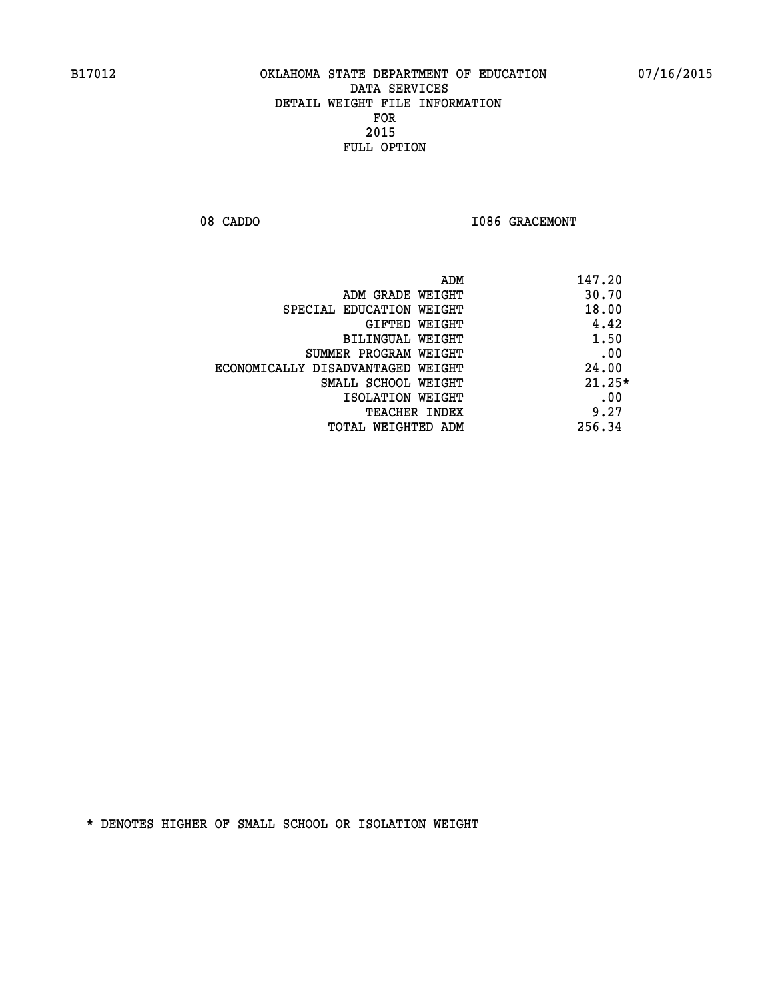08 CADDO **I086 GRACEMONT** 

| ADM                               | 147.20   |
|-----------------------------------|----------|
| ADM GRADE WEIGHT                  | 30.70    |
| SPECIAL EDUCATION WEIGHT          | 18.00    |
| GIFTED WEIGHT                     | 4.42     |
| BILINGUAL WEIGHT                  | 1.50     |
| SUMMER PROGRAM WEIGHT             | .00      |
| ECONOMICALLY DISADVANTAGED WEIGHT | 24.00    |
| SMALL SCHOOL WEIGHT               | $21.25*$ |
| ISOLATION WEIGHT                  | .00      |
| <b>TEACHER INDEX</b>              | 9.27     |
| TOTAL WEIGHTED ADM                | 256.34   |
|                                   |          |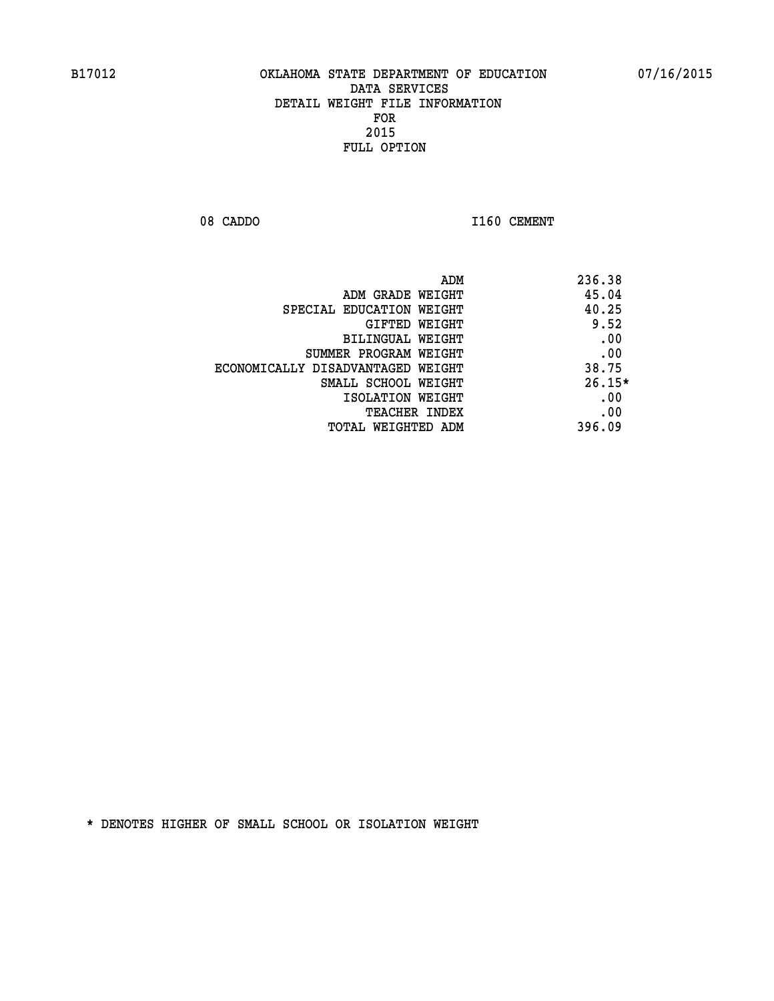08 CADDO 1160 CEMENT

| ADM                               | 236.38   |
|-----------------------------------|----------|
| ADM GRADE WEIGHT                  | 45.04    |
| SPECIAL EDUCATION WEIGHT          | 40.25    |
| GIFTED WEIGHT                     | 9.52     |
| BILINGUAL WEIGHT                  | .00      |
| SUMMER PROGRAM WEIGHT             | .00      |
| ECONOMICALLY DISADVANTAGED WEIGHT | 38.75    |
| SMALL SCHOOL WEIGHT               | $26.15*$ |
| ISOLATION WEIGHT                  | .00      |
| <b>TEACHER INDEX</b>              | .00      |
| TOTAL WEIGHTED ADM                | 396.09   |
|                                   |          |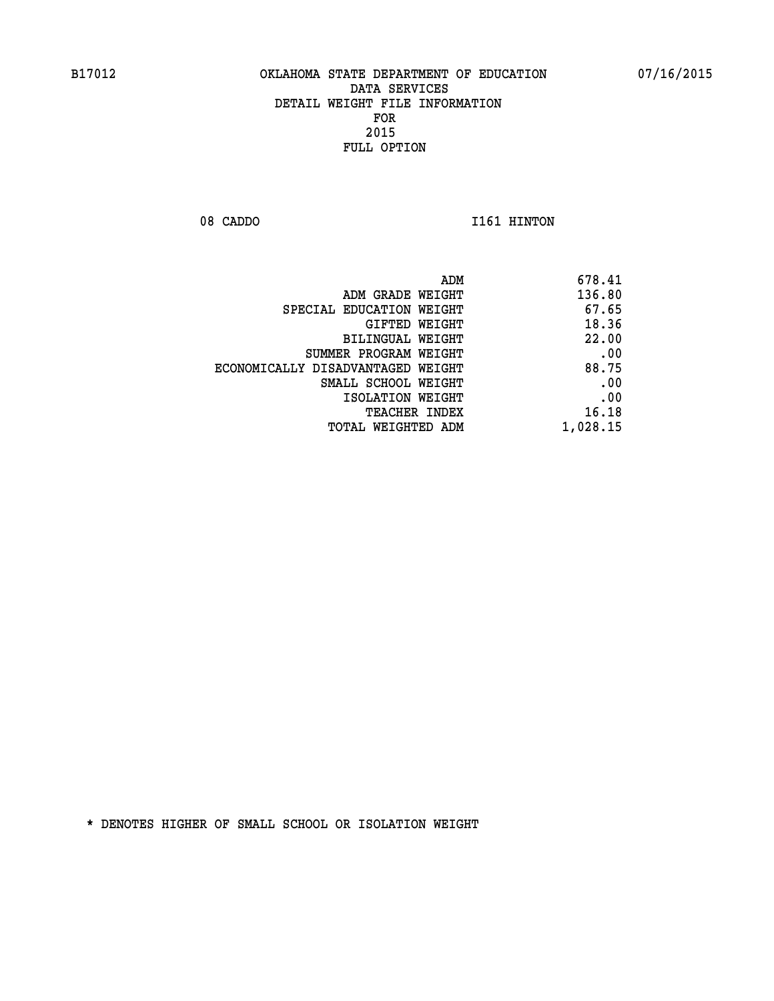08 CADDO 1161 HINTON

| 678.41   |
|----------|
| 136.80   |
| 67.65    |
| 18.36    |
| 22.00    |
| .00      |
| 88.75    |
| .00      |
| .00      |
| 16.18    |
| 1,028.15 |
|          |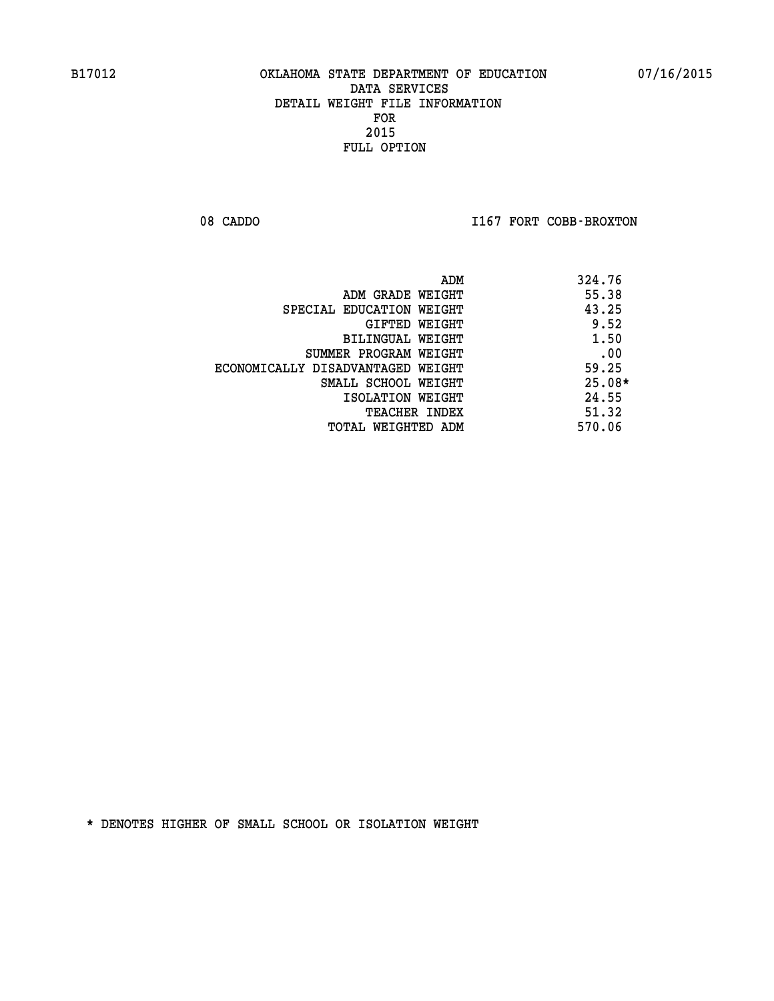08 CADDO **I167 FORT COBB-BROXTON** 

|                                   | ADM | 324.76   |
|-----------------------------------|-----|----------|
| ADM GRADE WEIGHT                  |     | 55.38    |
| SPECIAL EDUCATION WEIGHT          |     | 43.25    |
| GIFTED WEIGHT                     |     | 9.52     |
| BILINGUAL WEIGHT                  |     | 1.50     |
| SUMMER PROGRAM WEIGHT             |     | .00      |
| ECONOMICALLY DISADVANTAGED WEIGHT |     | 59.25    |
| SMALL SCHOOL WEIGHT               |     | $25.08*$ |
| ISOLATION WEIGHT                  |     | 24.55    |
| <b>TEACHER INDEX</b>              |     | 51.32    |
| TOTAL WEIGHTED ADM                |     | 570.06   |
|                                   |     |          |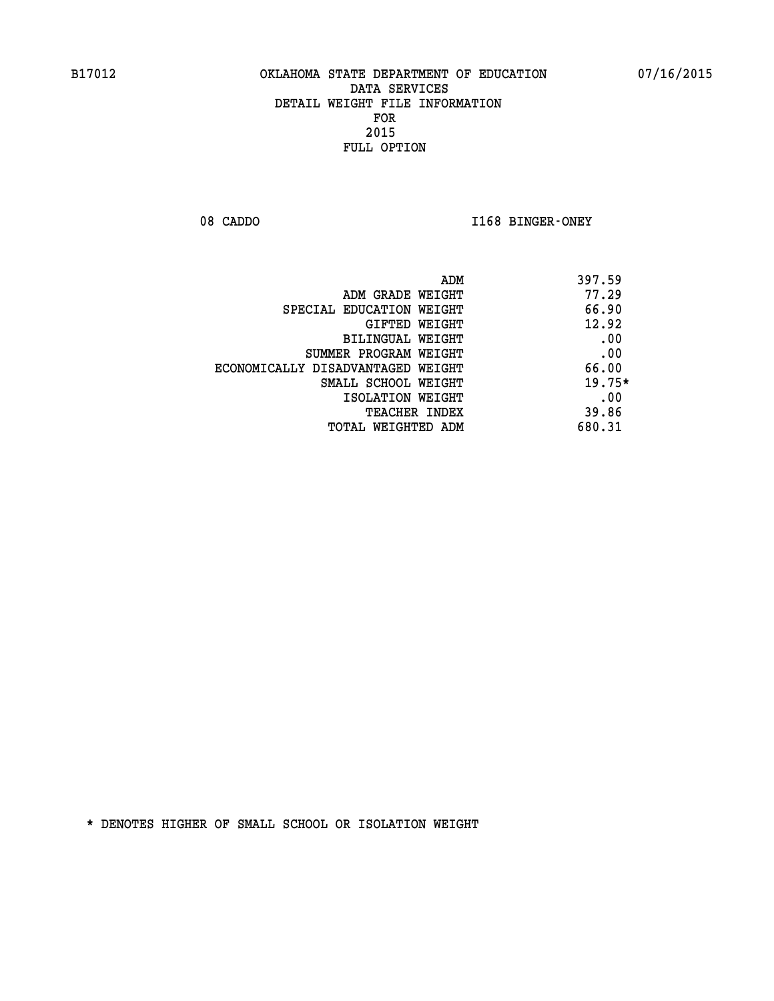08 CADDO **I168 BINGER-ONEY** 

|                                   | 397.59<br>ADM |
|-----------------------------------|---------------|
| ADM GRADE WEIGHT                  | 77.29         |
| SPECIAL EDUCATION WEIGHT          | 66.90         |
| GIFTED WEIGHT                     | 12.92         |
| BILINGUAL WEIGHT                  | .00           |
| SUMMER PROGRAM WEIGHT             | .00           |
| ECONOMICALLY DISADVANTAGED WEIGHT | 66.00         |
| SMALL SCHOOL WEIGHT               | $19.75*$      |
| ISOLATION WEIGHT                  | .00           |
| <b>TEACHER INDEX</b>              | 39.86         |
| TOTAL WEIGHTED ADM                | 680.31        |
|                                   |               |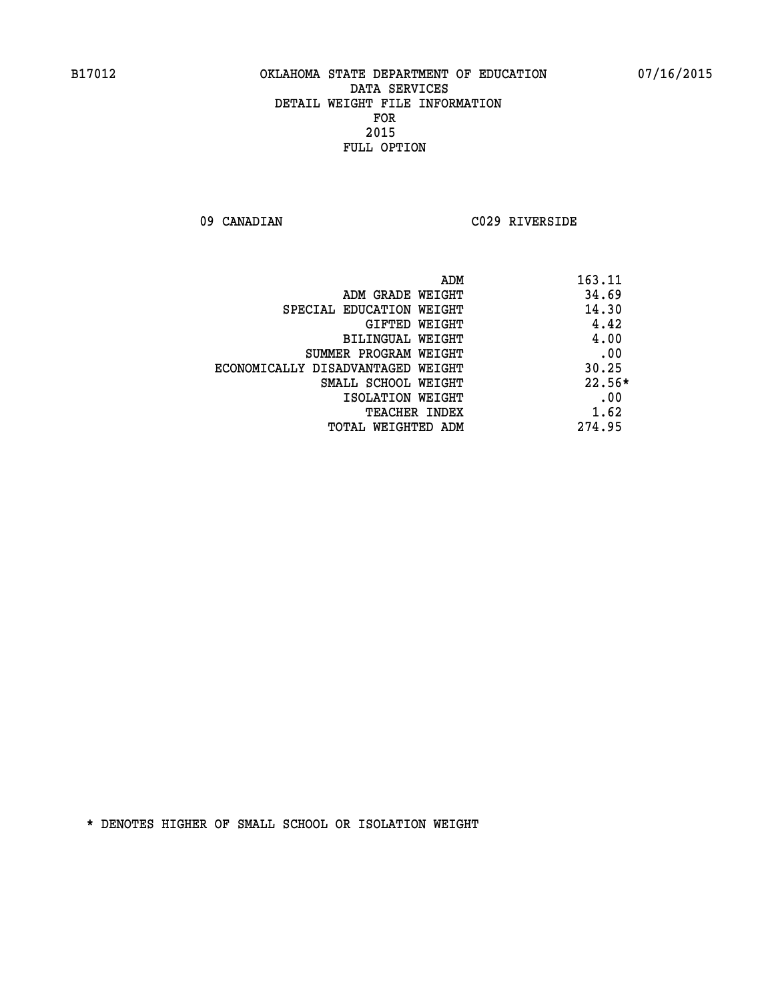**09 CANADIAN C029 RIVERSIDE** 

|                                   | 163.11<br>ADM |  |
|-----------------------------------|---------------|--|
| ADM GRADE WEIGHT                  | 34.69         |  |
| SPECIAL EDUCATION WEIGHT          | 14.30         |  |
| GIFTED WEIGHT                     | 4.42          |  |
| BILINGUAL WEIGHT                  | 4.00          |  |
| SUMMER PROGRAM WEIGHT             | .00           |  |
| ECONOMICALLY DISADVANTAGED WEIGHT | 30.25         |  |
| SMALL SCHOOL WEIGHT               | $22.56*$      |  |
| ISOLATION WEIGHT                  | .00           |  |
| <b>TEACHER INDEX</b>              | 1.62          |  |
| TOTAL WEIGHTED ADM                | 274.95        |  |
|                                   |               |  |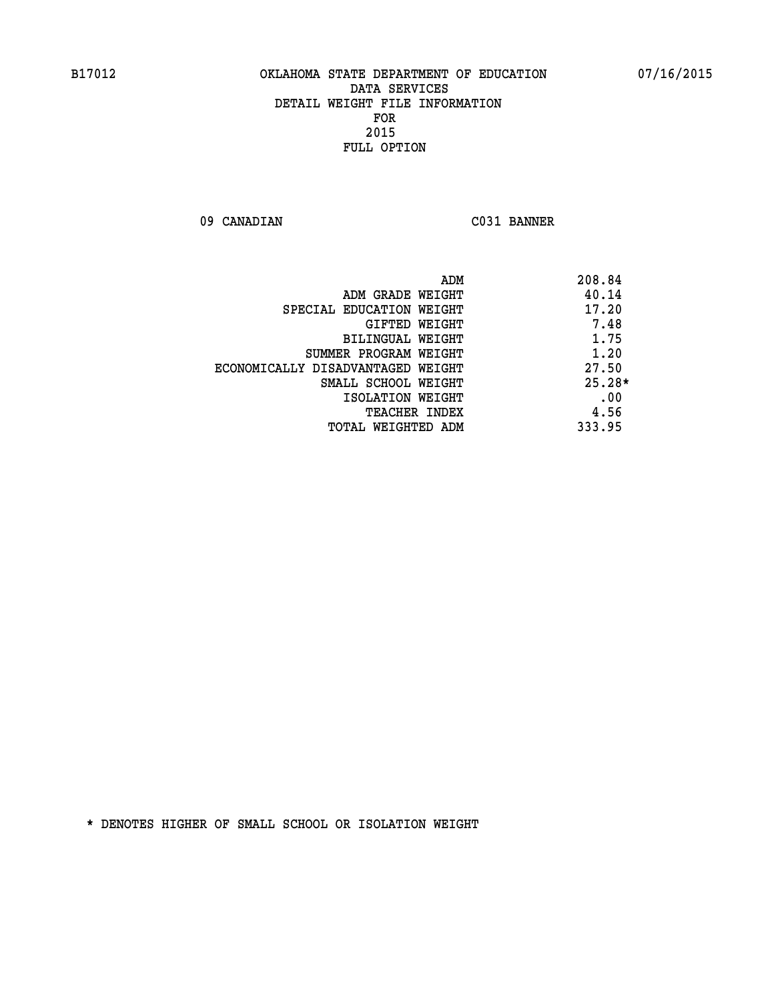**09 CANADIAN C031 BANNER** 

| ADM                               | 208.84   |
|-----------------------------------|----------|
| ADM GRADE WEIGHT                  | 40.14    |
| SPECIAL EDUCATION WEIGHT          | 17.20    |
| GIFTED WEIGHT                     | 7.48     |
| BILINGUAL WEIGHT                  | 1.75     |
| SUMMER PROGRAM WEIGHT             | 1.20     |
| ECONOMICALLY DISADVANTAGED WEIGHT | 27.50    |
| SMALL SCHOOL WEIGHT               | $25.28*$ |
| ISOLATION WEIGHT                  | .00      |
| <b>TEACHER INDEX</b>              | 4.56     |
| TOTAL WEIGHTED ADM                | 333.95   |
|                                   |          |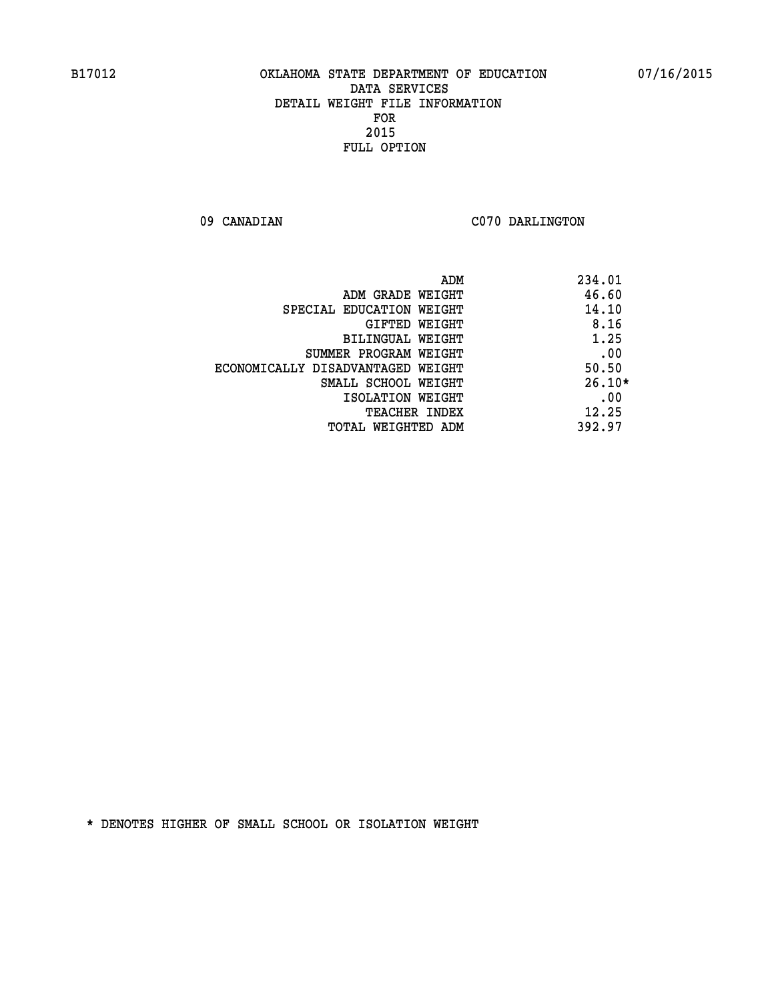09 CANADIAN C070 DARLINGTON

|                                   | ADM | 234.01   |
|-----------------------------------|-----|----------|
| ADM GRADE WEIGHT                  |     | 46.60    |
| SPECIAL EDUCATION WEIGHT          |     | 14.10    |
| GIFTED WEIGHT                     |     | 8.16     |
| BILINGUAL WEIGHT                  |     | 1.25     |
| SUMMER PROGRAM WEIGHT             |     | .00      |
| ECONOMICALLY DISADVANTAGED WEIGHT |     | 50.50    |
| SMALL SCHOOL WEIGHT               |     | $26.10*$ |
| ISOLATION WEIGHT                  |     | .00      |
| <b>TEACHER INDEX</b>              |     | 12.25    |
| TOTAL WEIGHTED ADM                |     | 392.97   |
|                                   |     |          |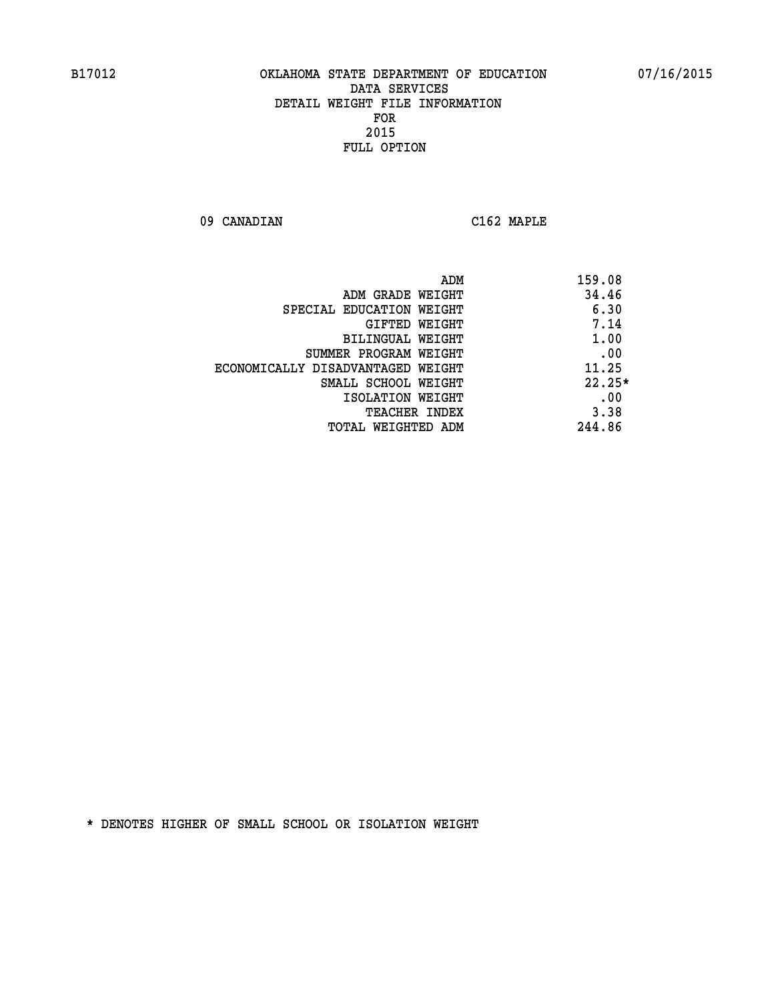**09 CANADIAN C162 MAPLE** 

 **ADM 159.08 EXAMPLE WEIGHT 44.46 SPECIAL EDUCATION WEIGHT** 6.30 **GIFTED WEIGHT 7.14 BILINGUAL WEIGHT 1.00 SUMMER PROGRAM WEIGHT .00 ECONOMICALLY DISADVANTAGED WEIGHT 11.25 SMALL SCHOOL WEIGHT 22.25\* EXECUTED ISOLATION WEIGHT AND RESOLATION WEIGHT TEACHER INDEX** 3.38  **TOTAL WEIGHTED ADM 244.86**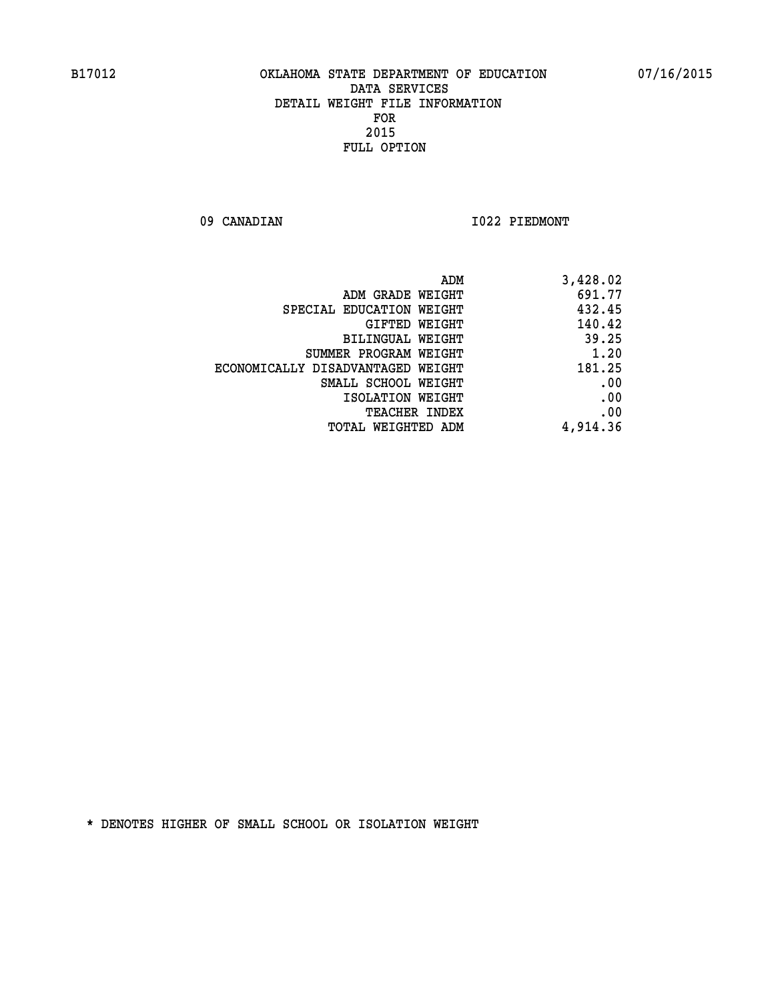09 CANADIAN 1022 PIEDMONT

| ADM                               | 3,428.02 |
|-----------------------------------|----------|
| ADM GRADE WEIGHT                  | 691.77   |
| SPECIAL EDUCATION WEIGHT          | 432.45   |
| GIFTED WEIGHT                     | 140.42   |
| BILINGUAL WEIGHT                  | 39.25    |
| SUMMER PROGRAM WEIGHT             | 1.20     |
| ECONOMICALLY DISADVANTAGED WEIGHT | 181.25   |
| SMALL SCHOOL WEIGHT               | .00      |
| ISOLATION WEIGHT                  | .00      |
| <b>TEACHER INDEX</b>              | .00      |
| <b>TOTAL WEIGHTED ADM</b>         | 4,914.36 |
|                                   |          |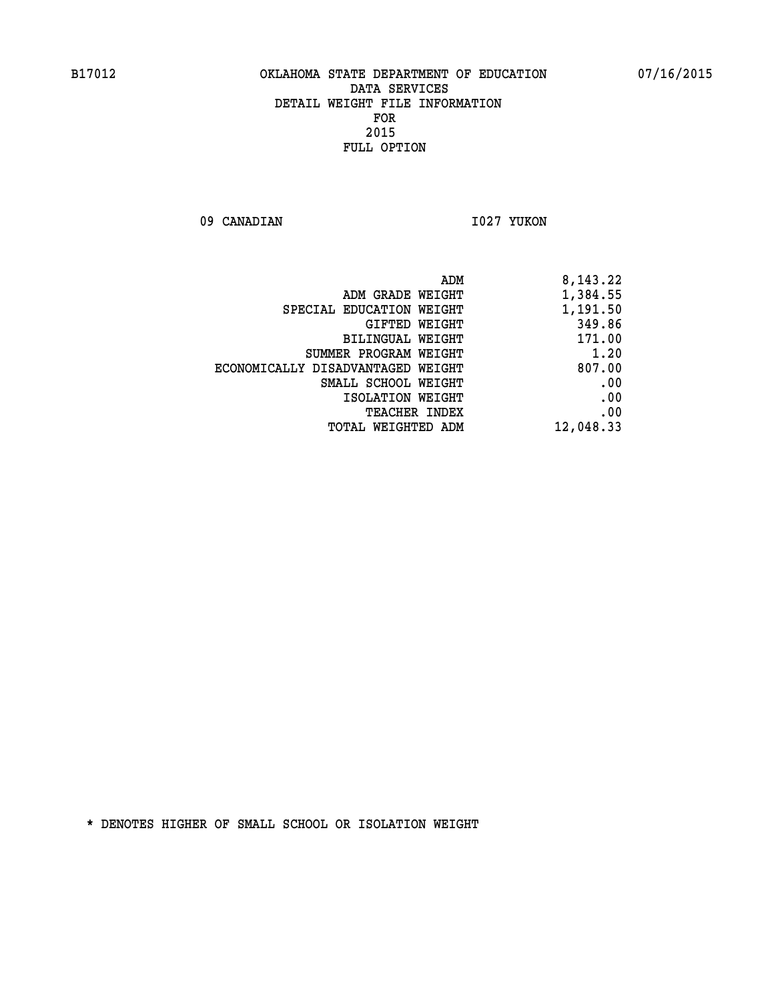09 CANADIAN 1027 YUKON

| ADM                               | 8,143.22  |
|-----------------------------------|-----------|
| ADM GRADE WEIGHT                  | 1,384.55  |
| SPECIAL EDUCATION WEIGHT          | 1,191.50  |
| GIFTED WEIGHT                     | 349.86    |
| BILINGUAL WEIGHT                  | 171.00    |
| SUMMER PROGRAM WEIGHT             | 1.20      |
| ECONOMICALLY DISADVANTAGED WEIGHT | 807.00    |
| SMALL SCHOOL WEIGHT               | .00       |
| ISOLATION WEIGHT                  | .00       |
| <b>TEACHER INDEX</b>              | .00       |
| <b>TOTAL WEIGHTED ADM</b>         | 12,048.33 |
|                                   |           |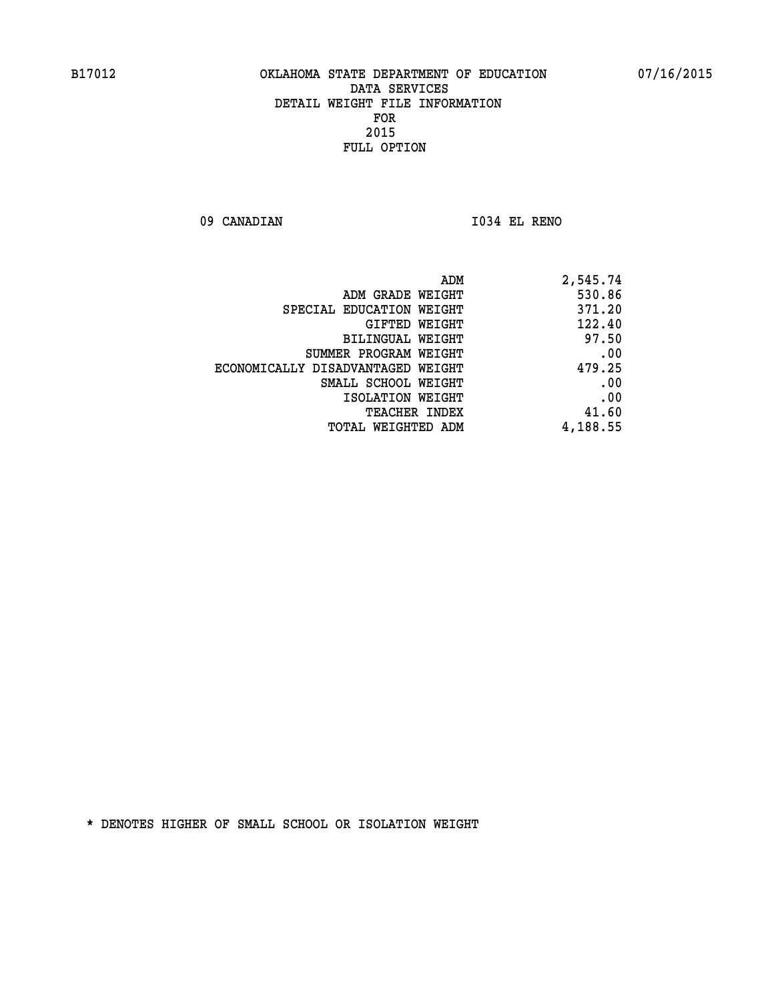**09 CANADIAN I034 EL RENO** 

| 2,545.74 |
|----------|
| 530.86   |
| 371.20   |
| 122.40   |
| 97.50    |
| .00      |
| 479.25   |
| .00      |
| .00      |
| 41.60    |
| 4,188.55 |
|          |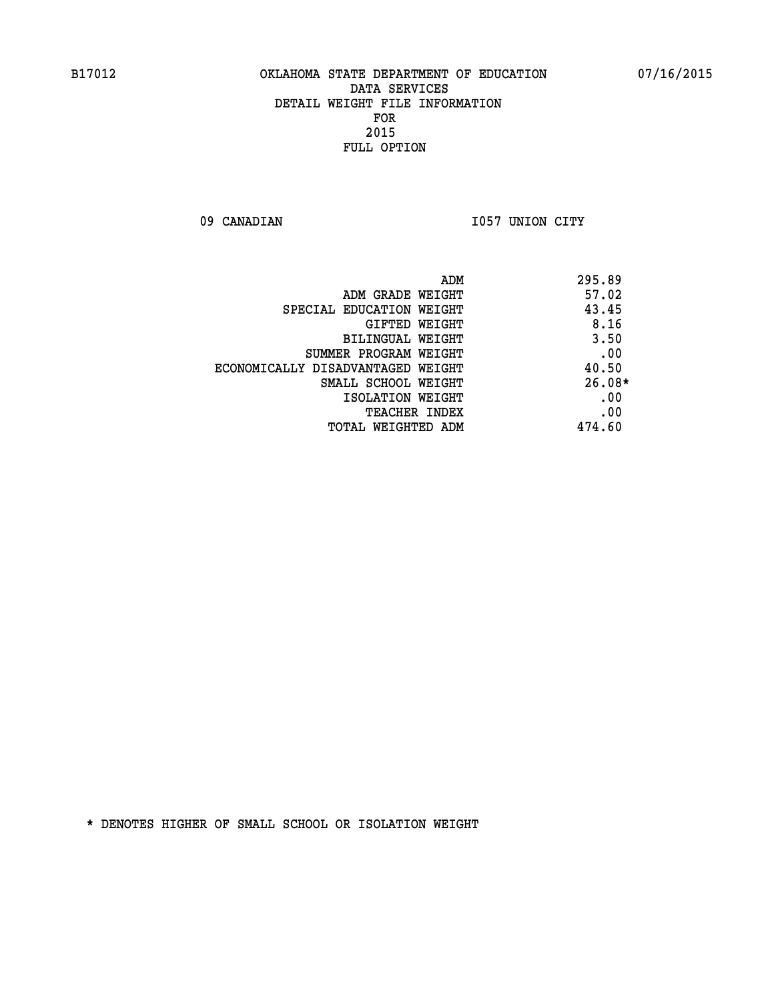09 CANADIAN 1057 UNION CITY

| ADM                               | 295.89   |
|-----------------------------------|----------|
| ADM GRADE WEIGHT                  | 57.02    |
| SPECIAL EDUCATION WEIGHT          | 43.45    |
| GIFTED WEIGHT                     | 8.16     |
| BILINGUAL WEIGHT                  | 3.50     |
| SUMMER PROGRAM WEIGHT             | .00      |
| ECONOMICALLY DISADVANTAGED WEIGHT | 40.50    |
| SMALL SCHOOL WEIGHT               | $26.08*$ |
| ISOLATION WEIGHT                  | .00      |
| <b>TEACHER INDEX</b>              | .00      |
| TOTAL WEIGHTED ADM                | 474.60   |
|                                   |          |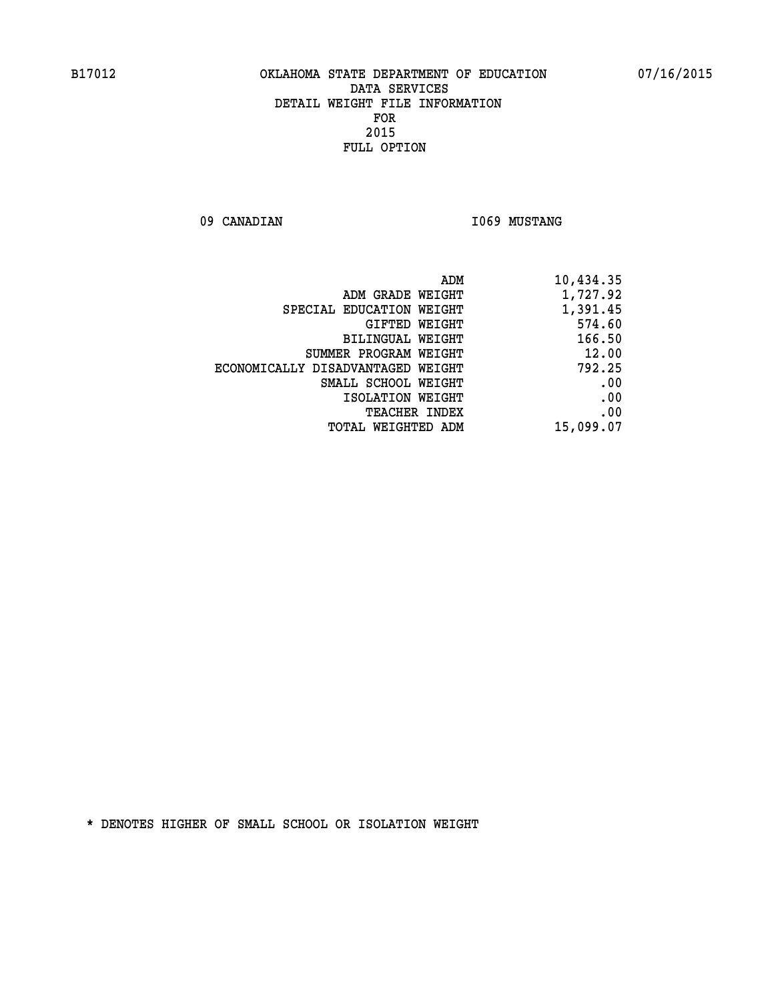09 CANADIAN **I069 MUSTANG** 

|                                   | ADM<br>10,434.35 |
|-----------------------------------|------------------|
| ADM GRADE WEIGHT                  | 1,727.92         |
| SPECIAL EDUCATION WEIGHT          | 1,391.45         |
| GIFTED WEIGHT                     | 574.60           |
| <b>BILINGUAL WEIGHT</b>           | 166.50           |
| SUMMER PROGRAM WEIGHT             | 12.00            |
| ECONOMICALLY DISADVANTAGED WEIGHT | 792.25           |
| SMALL SCHOOL WEIGHT               | .00              |
| ISOLATION WEIGHT                  | .00              |
| TEACHER INDEX                     | .00              |
| TOTAL WEIGHTED ADM                | 15,099.07        |
|                                   |                  |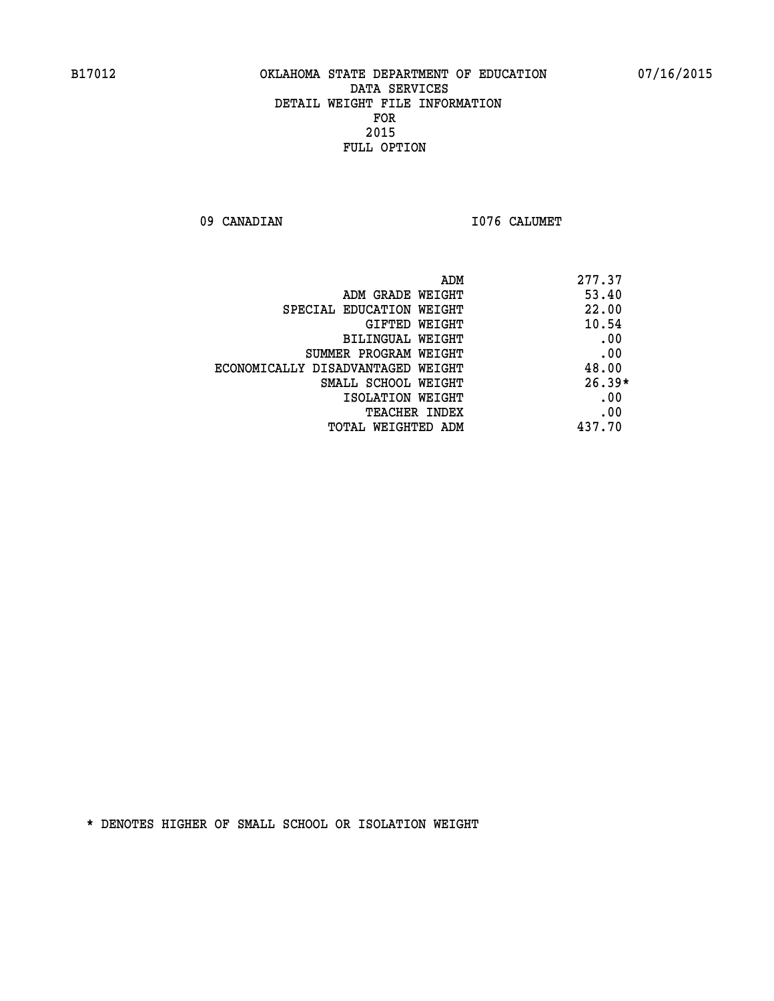09 CANADIAN 1076 CALUMET

| ADM<br>277.37                     |                                   |
|-----------------------------------|-----------------------------------|
| 53.40<br>ADM GRADE WEIGHT         |                                   |
| 22.00<br>SPECIAL EDUCATION WEIGHT |                                   |
| 10.54<br><b>GIFTED WEIGHT</b>     |                                   |
| .00<br>BILINGUAL WEIGHT           |                                   |
| .00<br>SUMMER PROGRAM WEIGHT      |                                   |
| 48.00                             | ECONOMICALLY DISADVANTAGED WEIGHT |
| $26.39*$<br>SMALL SCHOOL WEIGHT   |                                   |
| .00<br>ISOLATION WEIGHT           |                                   |
| .00<br><b>TEACHER INDEX</b>       |                                   |
| 437.70<br>TOTAL WEIGHTED ADM      |                                   |
|                                   |                                   |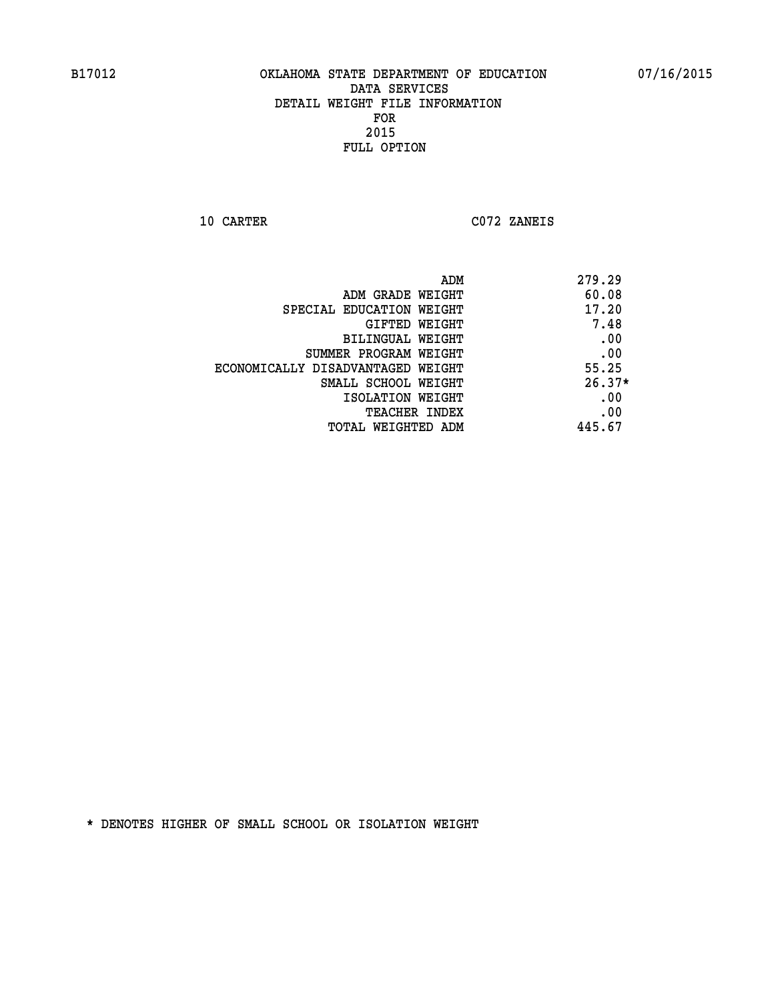**10 CARTER C072 ZANEIS** 

|                                   | 279.29<br>ADM |
|-----------------------------------|---------------|
| ADM GRADE WEIGHT                  | 60.08         |
| SPECIAL EDUCATION WEIGHT          | 17.20         |
| GIFTED WEIGHT                     | 7.48          |
| BILINGUAL WEIGHT                  | .00           |
| SUMMER PROGRAM WEIGHT             | .00           |
| ECONOMICALLY DISADVANTAGED WEIGHT | 55.25         |
| SMALL SCHOOL WEIGHT               | $26.37*$      |
| ISOLATION WEIGHT                  | .00           |
| TEACHER INDEX                     | .00           |
| TOTAL WEIGHTED ADM                | 445.67        |
|                                   |               |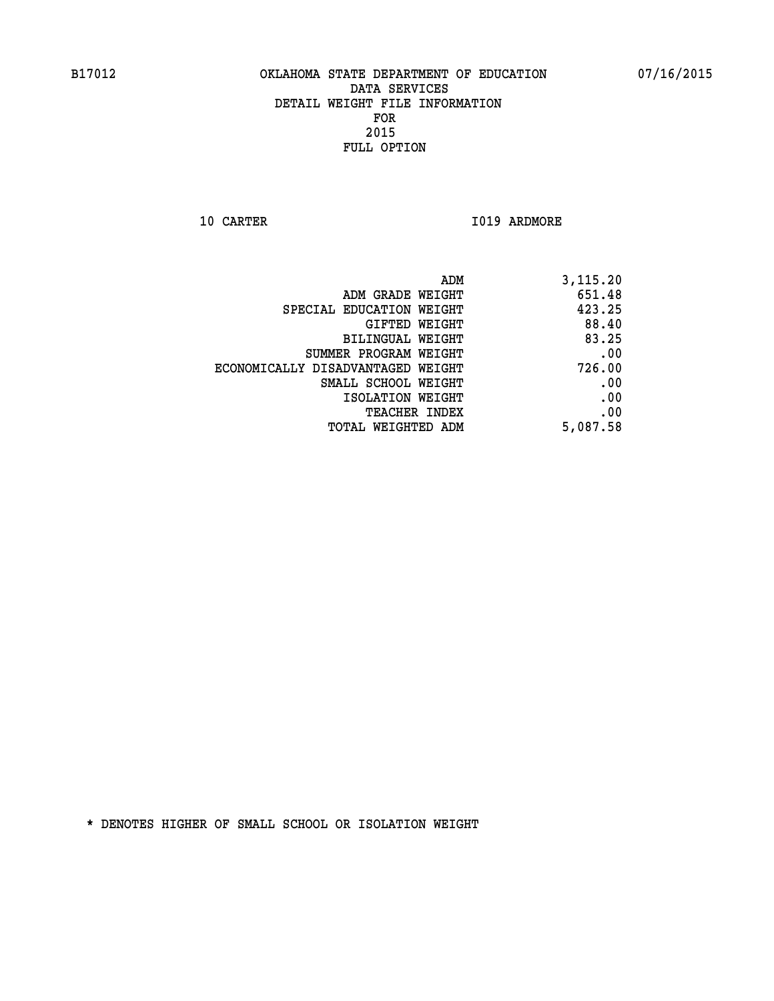**10 CARTER 1019 ARDMORE** 

| 3,115.20 |
|----------|
| 651.48   |
| 423.25   |
| 88.40    |
| 83.25    |
| .00      |
| 726.00   |
| .00      |
| .00      |
| .00      |
| 5,087.58 |
|          |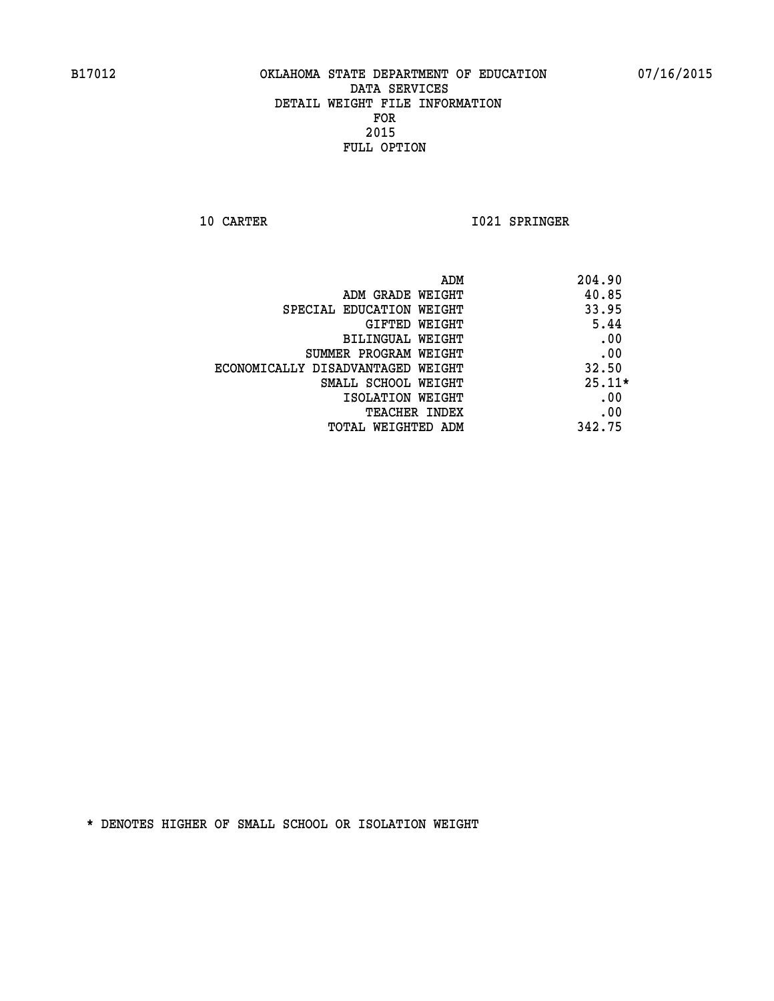**10 CARTER 1021 SPRINGER** 

|                                   | ADM<br>204.90 |
|-----------------------------------|---------------|
| ADM GRADE WEIGHT                  | 40.85         |
| SPECIAL EDUCATION WEIGHT          | 33.95         |
| GIFTED WEIGHT                     | 5.44          |
| BILINGUAL WEIGHT                  | .00           |
| SUMMER PROGRAM WEIGHT             | .00           |
| ECONOMICALLY DISADVANTAGED WEIGHT | 32.50         |
| SMALL SCHOOL WEIGHT               | $25.11*$      |
| ISOLATION WEIGHT                  | .00           |
| <b>TEACHER INDEX</b>              | .00           |
| TOTAL WEIGHTED ADM                | 342.75        |
|                                   |               |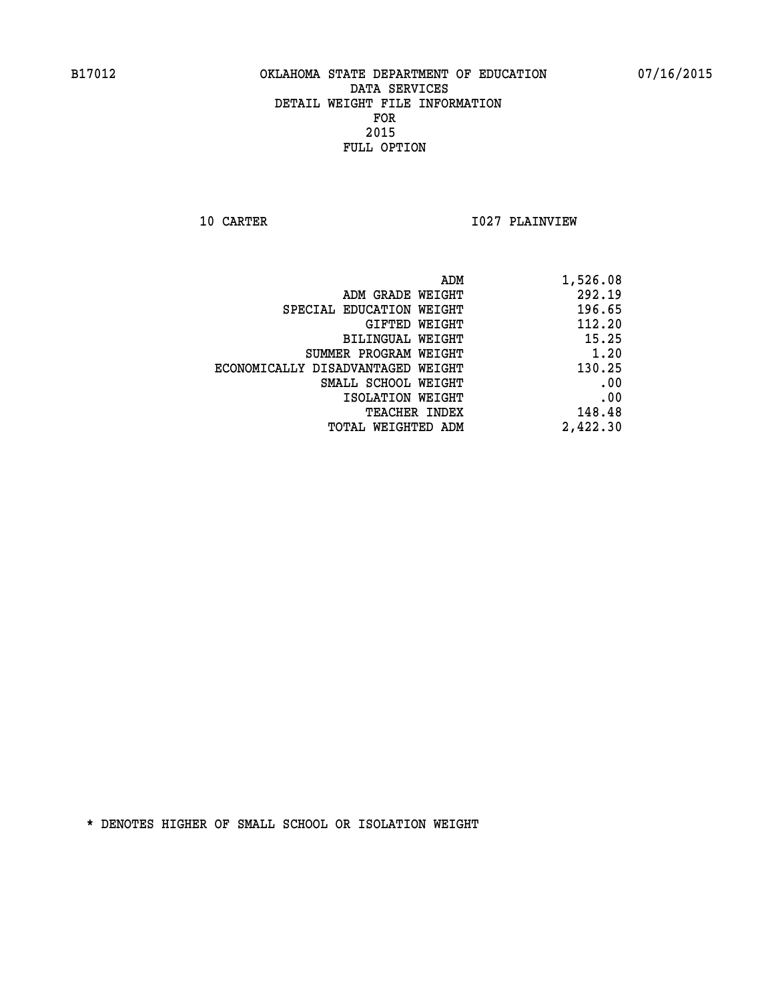**10 CARTER 1027 PLAINVIEW** 

| 1,526.08 |
|----------|
| 292.19   |
| 196.65   |
| 112.20   |
| 15.25    |
| 1.20     |
| 130.25   |
| .00      |
| .00      |
| 148.48   |
| 2,422.30 |
|          |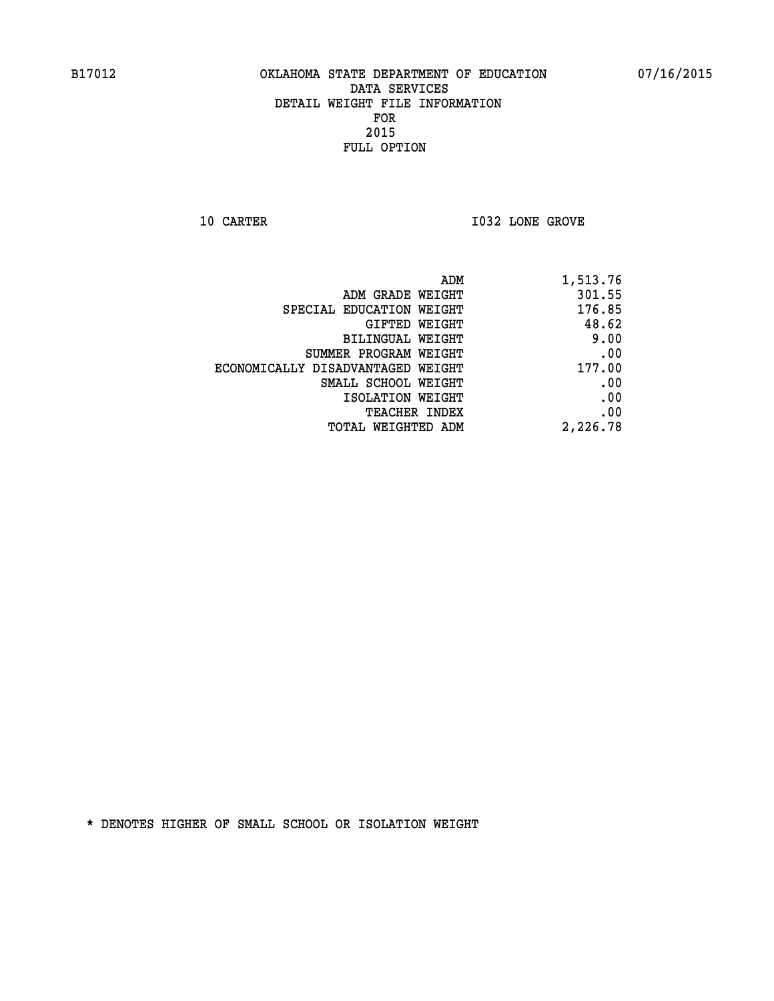**10 CARTER 10 CARTER 1032 LONE GROVE** 

| 1,513.76 |
|----------|
| 301.55   |
| 176.85   |
| 48.62    |
| 9.00     |
| .00      |
| 177.00   |
| .00      |
| .00      |
| .00      |
| 2,226.78 |
|          |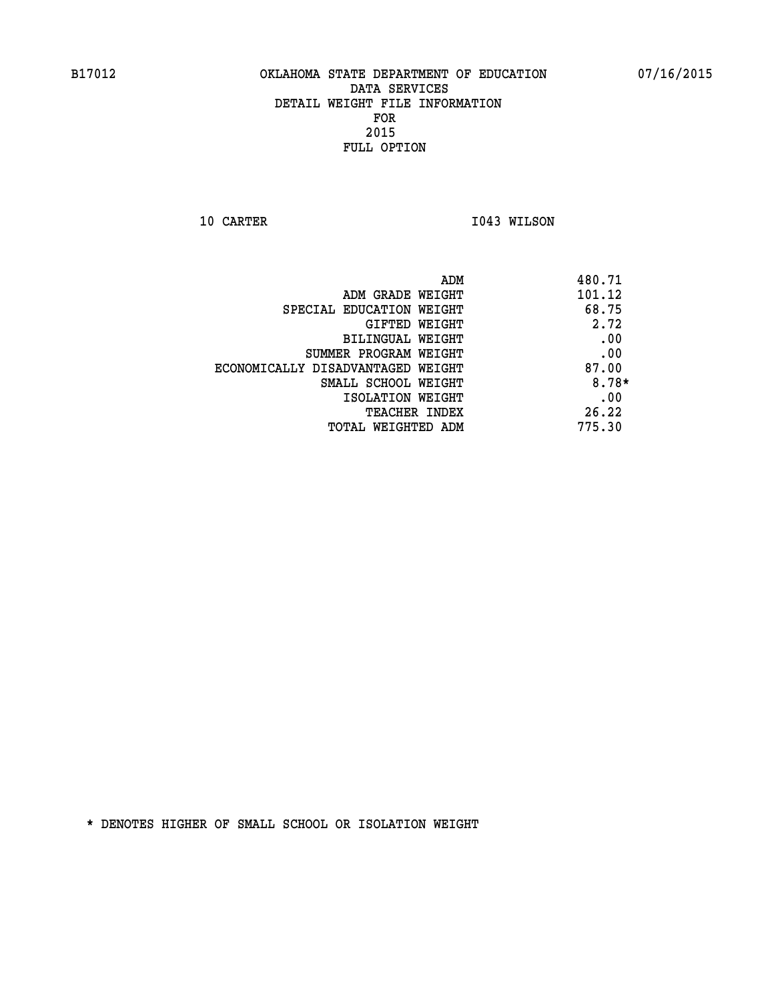**10 CARTER 1043 WILSON** 

| 101.12<br>ADM GRADE WEIGHT<br>68.75<br>SPECIAL EDUCATION WEIGHT<br>2.72<br>GIFTED WEIGHT<br>.00<br>BILINGUAL WEIGHT<br>.00<br>SUMMER PROGRAM WEIGHT<br>87.00<br>ECONOMICALLY DISADVANTAGED WEIGHT<br>SMALL SCHOOL WEIGHT<br>.00<br>ISOLATION WEIGHT<br>26.22<br><b>TEACHER INDEX</b><br>775.30<br>TOTAL WEIGHTED ADM | ADM | 480.71  |
|----------------------------------------------------------------------------------------------------------------------------------------------------------------------------------------------------------------------------------------------------------------------------------------------------------------------|-----|---------|
|                                                                                                                                                                                                                                                                                                                      |     |         |
|                                                                                                                                                                                                                                                                                                                      |     |         |
|                                                                                                                                                                                                                                                                                                                      |     |         |
|                                                                                                                                                                                                                                                                                                                      |     |         |
|                                                                                                                                                                                                                                                                                                                      |     |         |
|                                                                                                                                                                                                                                                                                                                      |     |         |
|                                                                                                                                                                                                                                                                                                                      |     | $8.78*$ |
|                                                                                                                                                                                                                                                                                                                      |     |         |
|                                                                                                                                                                                                                                                                                                                      |     |         |
|                                                                                                                                                                                                                                                                                                                      |     |         |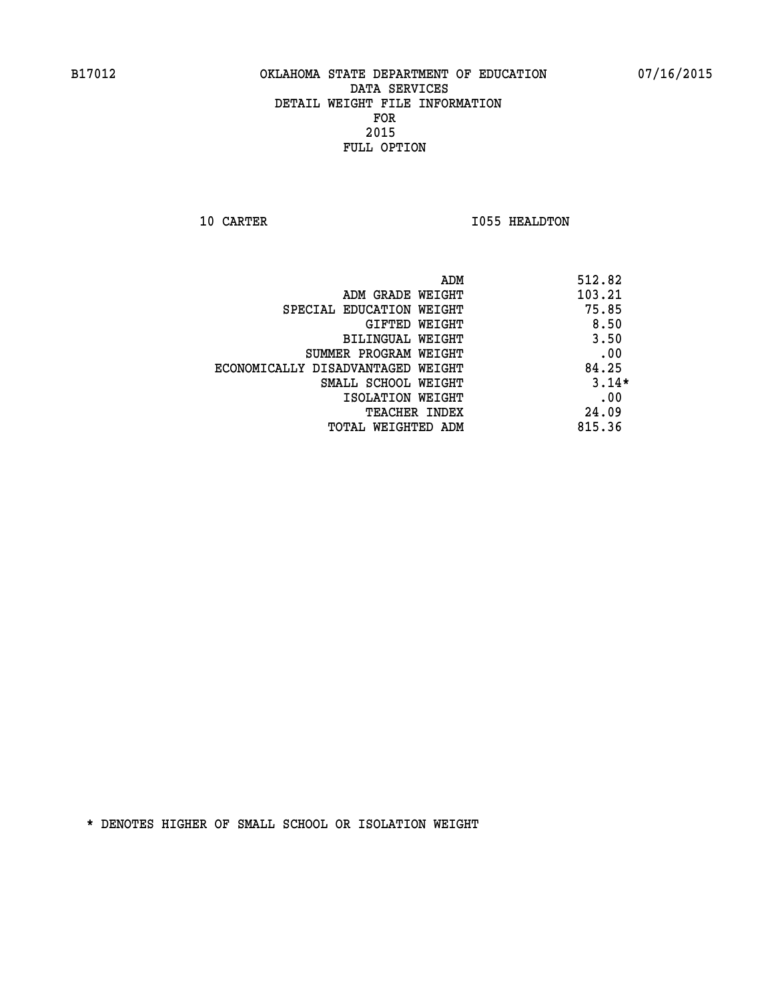**10 CARTER 1055 HEALDTON** 

|                                   | ADM<br>512.82 |
|-----------------------------------|---------------|
| ADM GRADE WEIGHT                  | 103.21        |
| SPECIAL EDUCATION WEIGHT          | 75.85         |
| GIFTED WEIGHT                     | 8.50          |
| BILINGUAL WEIGHT                  | 3.50          |
| SUMMER PROGRAM WEIGHT             | .00           |
| ECONOMICALLY DISADVANTAGED WEIGHT | 84.25         |
| SMALL SCHOOL WEIGHT               | $3.14*$       |
| ISOLATION WEIGHT                  | .00           |
| <b>TEACHER INDEX</b>              | 24.09         |
| TOTAL WEIGHTED ADM                | 815.36        |
|                                   |               |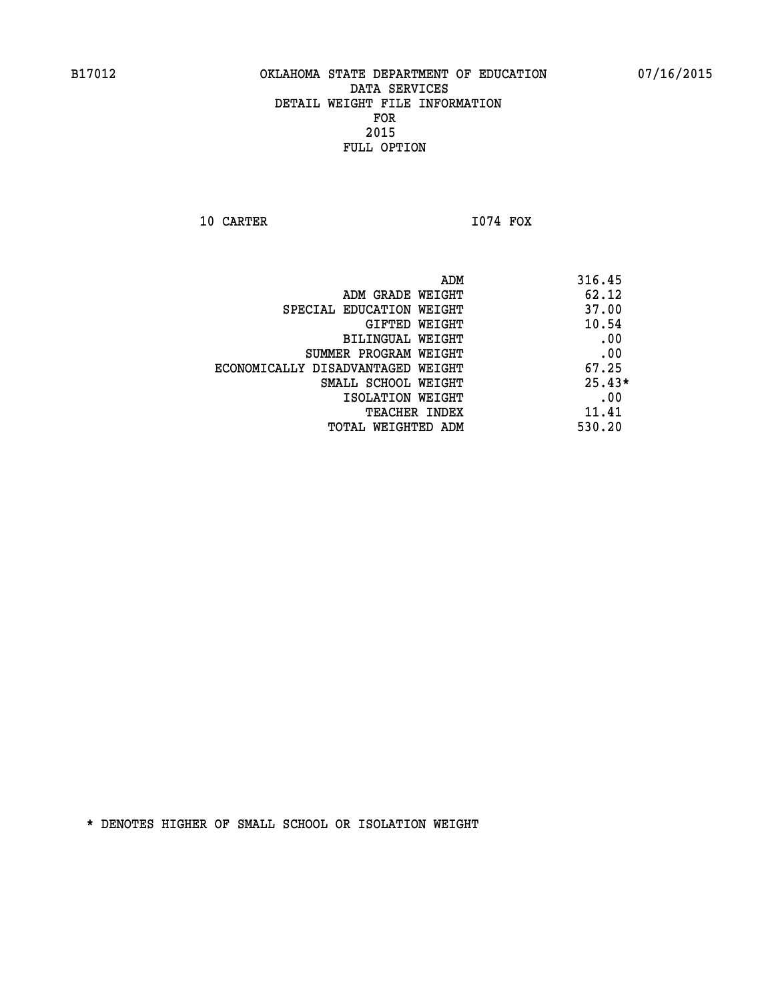**10 CARTER I074 FOX** 

 **ADM 316.45 ADM GRADE WEIGHT 62.12 SPECIAL EDUCATION WEIGHT 48 SPECIAL SPECIAL S GIFTED WEIGHT 40.54 BILINGUAL WEIGHT .00 SUMMER PROGRAM WEIGHT .00 ECONOMICALLY DISADVANTAGED WEIGHT 67.25 SMALL SCHOOL WEIGHT** 25.43\* **EXECUTED ISOLATION WEIGHT AND RESOLATION WEIGHT TEACHER INDEX** 11.41  **TOTAL WEIGHTED ADM 530.20**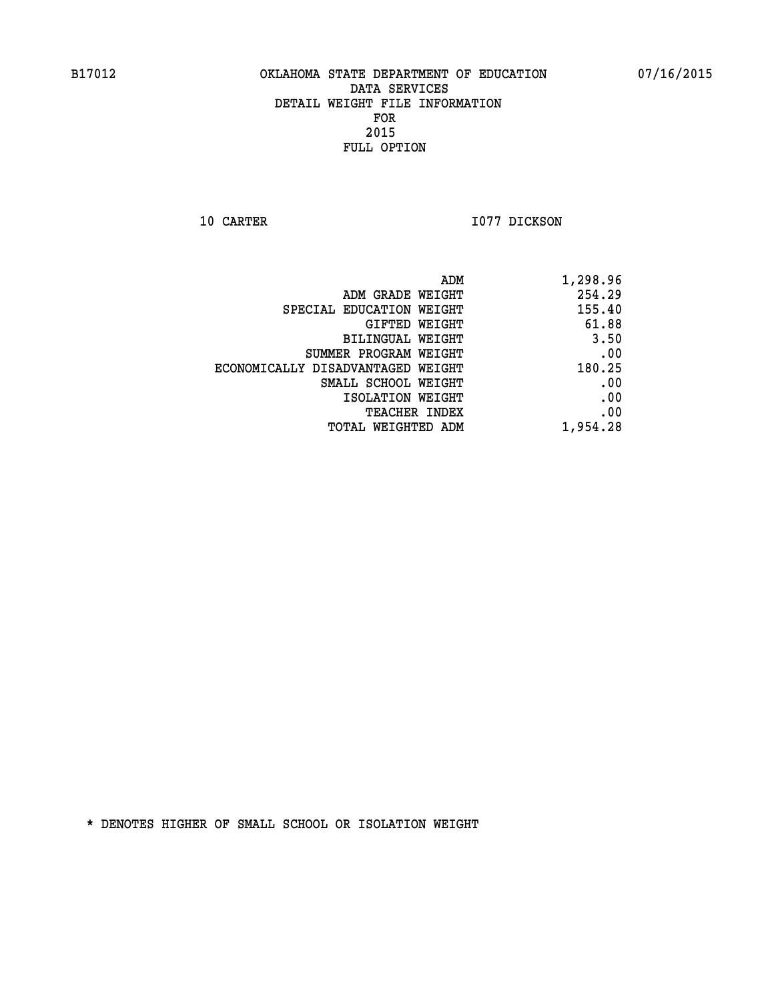**10 CARTER 1077 DICKSON** 

| ADM                               | 1,298.96 |
|-----------------------------------|----------|
| ADM GRADE WEIGHT                  | 254.29   |
| SPECIAL EDUCATION WEIGHT          | 155.40   |
| GIFTED WEIGHT                     | 61.88    |
| BILINGUAL WEIGHT                  | 3.50     |
| SUMMER PROGRAM WEIGHT             | .00      |
| ECONOMICALLY DISADVANTAGED WEIGHT | 180.25   |
| SMALL SCHOOL WEIGHT               | .00      |
| ISOLATION WEIGHT                  | .00      |
| <b>TEACHER INDEX</b>              | .00      |
| TOTAL WEIGHTED ADM                | 1,954.28 |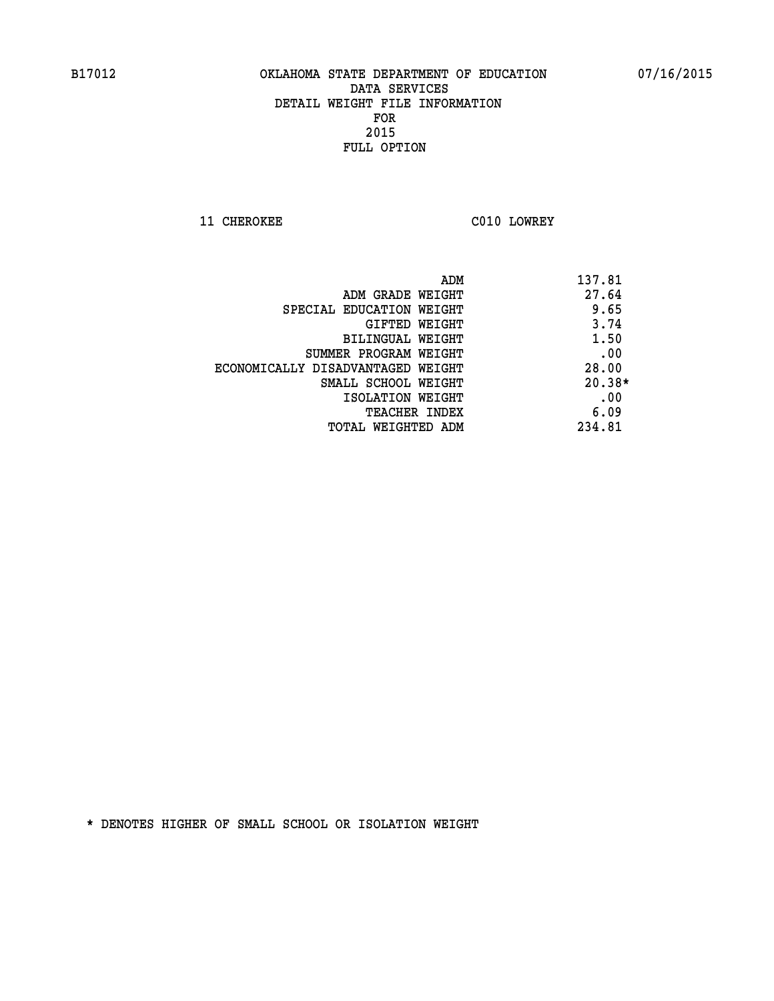**11 CHEROKEE C010 LOWREY** 

| ADM                               | 137.81   |
|-----------------------------------|----------|
| ADM GRADE WEIGHT                  | 27.64    |
| SPECIAL EDUCATION WEIGHT          | 9.65     |
| GIFTED WEIGHT                     | 3.74     |
| BILINGUAL WEIGHT                  | 1.50     |
| SUMMER PROGRAM WEIGHT             | .00      |
| ECONOMICALLY DISADVANTAGED WEIGHT | 28.00    |
| SMALL SCHOOL WEIGHT               | $20.38*$ |
| ISOLATION WEIGHT                  | .00      |
| <b>TEACHER INDEX</b>              | 6.09     |
| TOTAL WEIGHTED ADM                | 234.81   |
|                                   |          |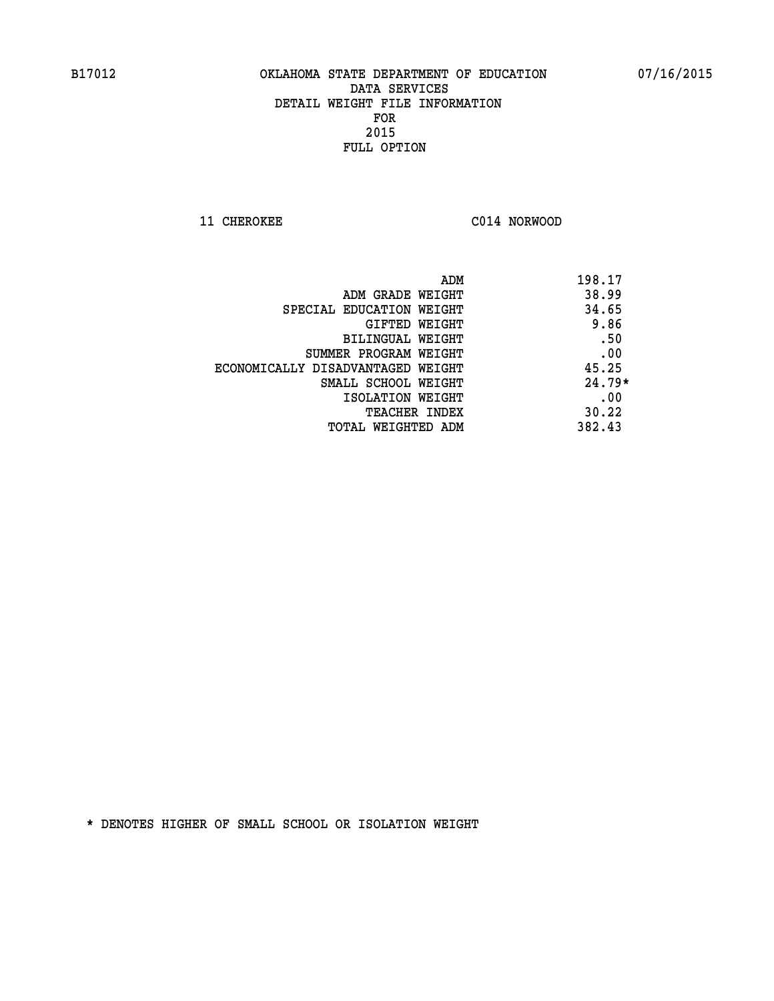**11 CHEROKEE C014 NORWOOD** 

| ADM                               | 198.17   |
|-----------------------------------|----------|
| ADM GRADE WEIGHT                  | 38.99    |
| SPECIAL EDUCATION WEIGHT          | 34.65    |
| GIFTED WEIGHT                     | 9.86     |
| BILINGUAL WEIGHT                  | .50      |
| SUMMER PROGRAM WEIGHT             | .00      |
| ECONOMICALLY DISADVANTAGED WEIGHT | 45.25    |
| SMALL SCHOOL WEIGHT               | $24.79*$ |
| ISOLATION WEIGHT                  | .00      |
| <b>TEACHER INDEX</b>              | 30.22    |
| TOTAL WEIGHTED ADM                | 382.43   |
|                                   |          |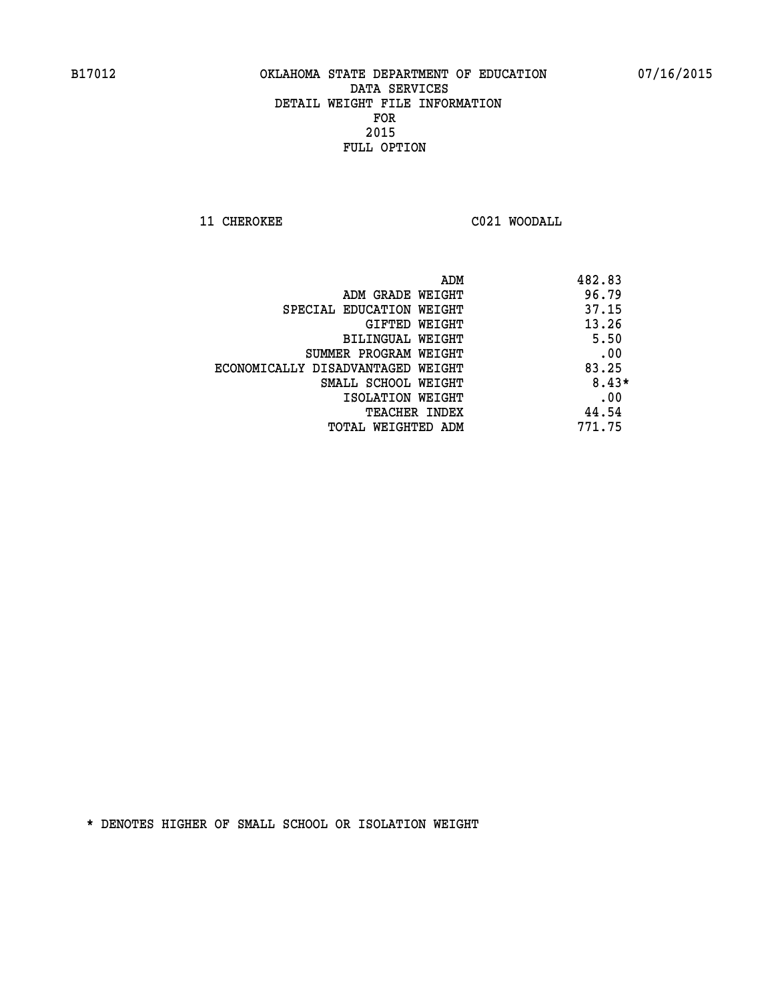**11 CHEROKEE C021 WOODALL** 

|                                   | 482.83<br>ADM |
|-----------------------------------|---------------|
| ADM GRADE WEIGHT                  | 96.79         |
| SPECIAL EDUCATION WEIGHT          | 37.15         |
| GIFTED WEIGHT                     | 13.26         |
| BILINGUAL WEIGHT                  | 5.50          |
| SUMMER PROGRAM WEIGHT             | .00           |
| ECONOMICALLY DISADVANTAGED WEIGHT | 83.25         |
| SMALL SCHOOL WEIGHT               | $8.43*$       |
| ISOLATION WEIGHT                  | .00           |
| <b>TEACHER INDEX</b>              | 44.54         |
| TOTAL WEIGHTED ADM                | 771.75        |
|                                   |               |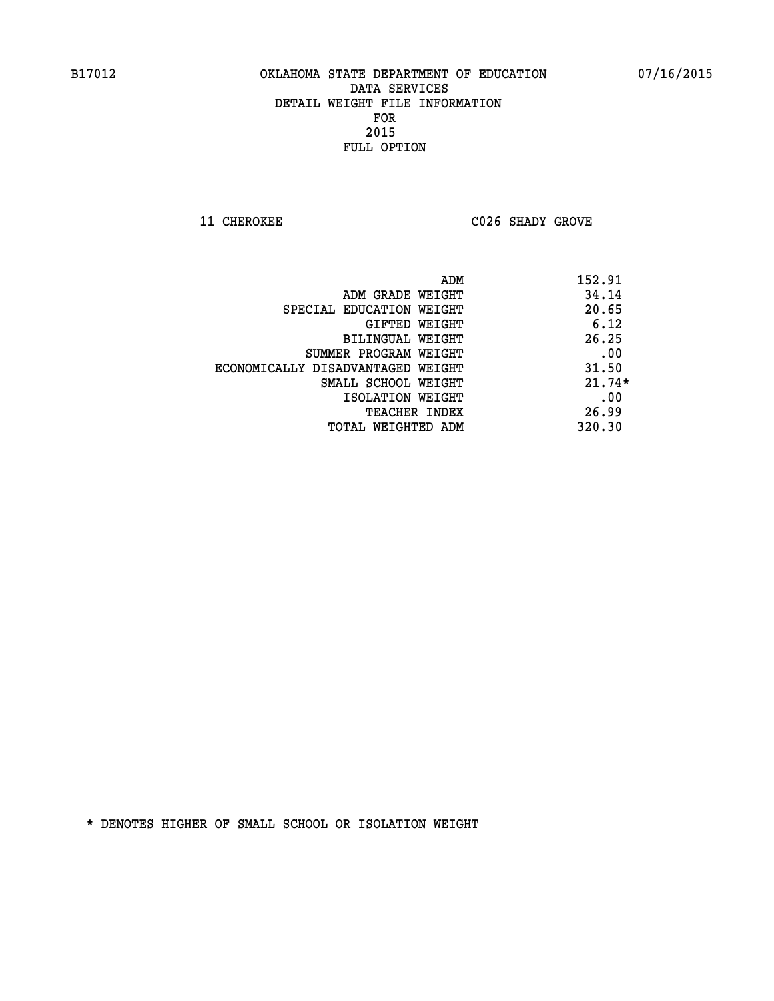**11 CHEROKEE C026 SHADY GROVE** 

| ADM                               | 152.91   |
|-----------------------------------|----------|
| ADM GRADE WEIGHT                  | 34.14    |
| SPECIAL EDUCATION WEIGHT          | 20.65    |
| GIFTED WEIGHT                     | 6.12     |
| BILINGUAL WEIGHT                  | 26.25    |
| SUMMER PROGRAM WEIGHT             | .00      |
| ECONOMICALLY DISADVANTAGED WEIGHT | 31.50    |
| SMALL SCHOOL WEIGHT               | $21.74*$ |
| ISOLATION WEIGHT                  | .00      |
| <b>TEACHER INDEX</b>              | 26.99    |
| TOTAL WEIGHTED ADM                | 320.30   |
|                                   |          |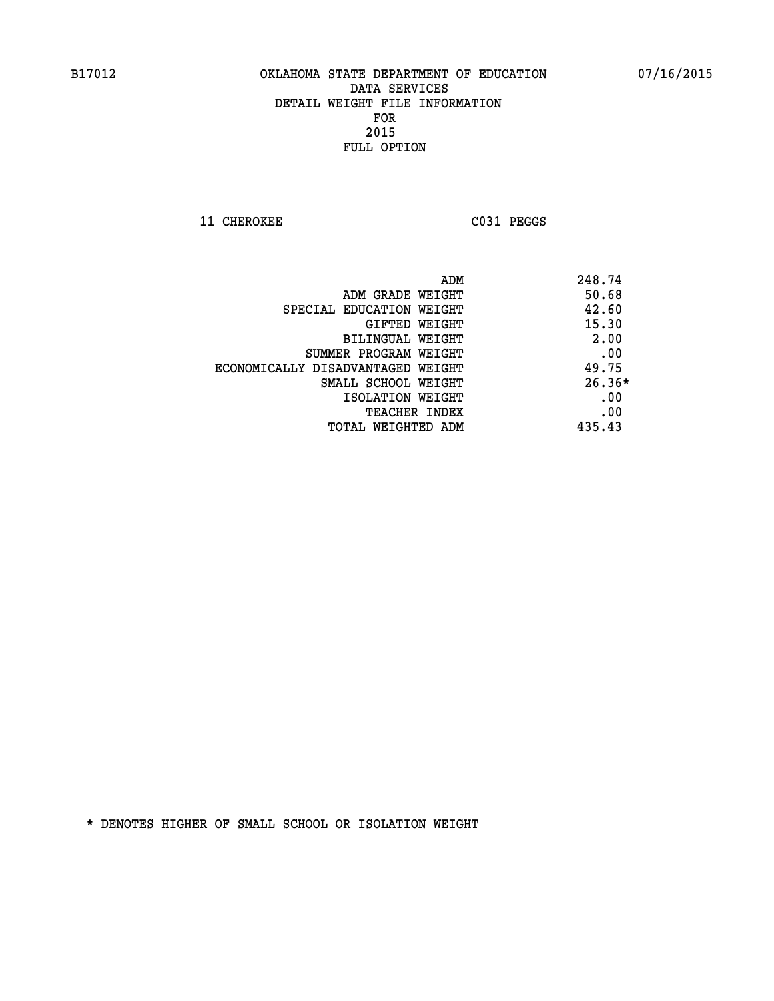**11 CHEROKEE C031 PEGGS** 

|                                   | ADM | 248.74   |
|-----------------------------------|-----|----------|
| ADM GRADE WEIGHT                  |     | 50.68    |
| SPECIAL EDUCATION WEIGHT          |     | 42.60    |
| GIFTED WEIGHT                     |     | 15.30    |
| BILINGUAL WEIGHT                  |     | 2.00     |
| SUMMER PROGRAM WEIGHT             |     | .00      |
| ECONOMICALLY DISADVANTAGED WEIGHT |     | 49.75    |
| SMALL SCHOOL WEIGHT               |     | $26.36*$ |
| ISOLATION WEIGHT                  |     | .00      |
| <b>TEACHER INDEX</b>              |     | .00      |
| TOTAL WEIGHTED ADM                |     | 435.43   |
|                                   |     |          |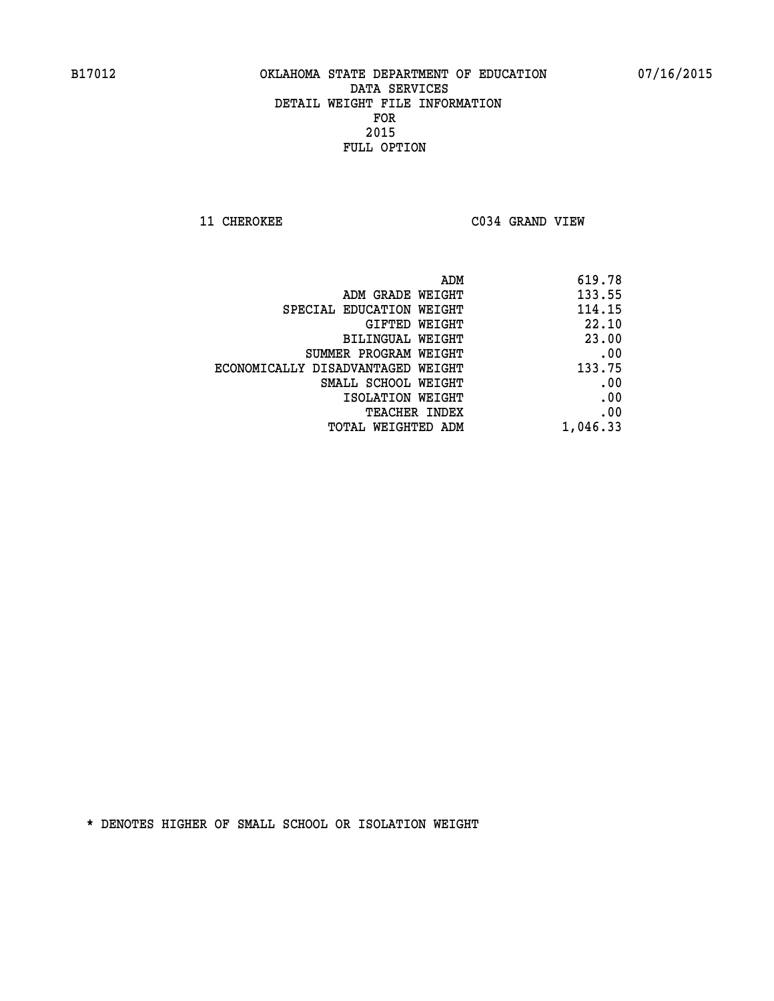**11 CHEROKEE C034 GRAND VIEW** 

|                                   | 619.78<br>ADM |
|-----------------------------------|---------------|
| ADM GRADE WEIGHT                  | 133.55        |
| SPECIAL EDUCATION WEIGHT          | 114.15        |
| GIFTED WEIGHT                     | 22.10         |
| BILINGUAL WEIGHT                  | 23.00         |
| SUMMER PROGRAM WEIGHT             | .00           |
| ECONOMICALLY DISADVANTAGED WEIGHT | 133.75        |
| SMALL SCHOOL WEIGHT               | .00           |
| ISOLATION WEIGHT                  | .00           |
| TEACHER INDEX                     | .00           |
| TOTAL WEIGHTED ADM                | 1,046.33      |
|                                   |               |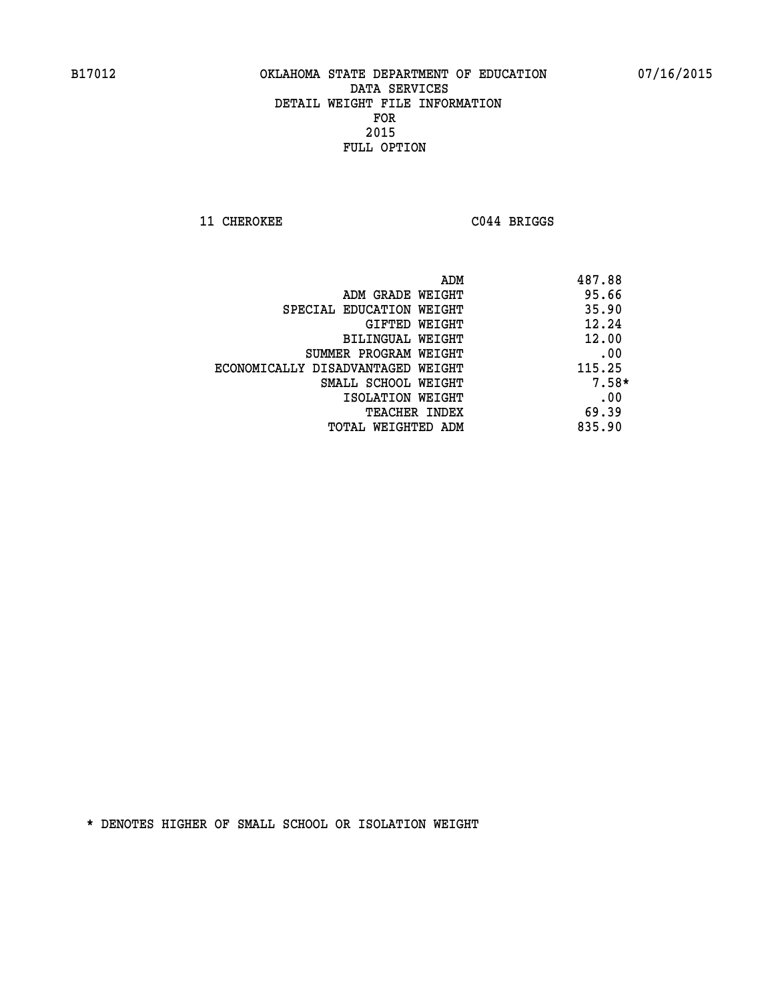**11 CHEROKEE C044 BRIGGS** 

|                                   | ADM | 487.88  |
|-----------------------------------|-----|---------|
| ADM GRADE WEIGHT                  |     | 95.66   |
| SPECIAL EDUCATION WEIGHT          |     | 35.90   |
| GIFTED WEIGHT                     |     | 12.24   |
| BILINGUAL WEIGHT                  |     | 12.00   |
| SUMMER PROGRAM WEIGHT             |     | .00     |
| ECONOMICALLY DISADVANTAGED WEIGHT |     | 115.25  |
| SMALL SCHOOL WEIGHT               |     | $7.58*$ |
| ISOLATION WEIGHT                  |     | .00     |
| TEACHER INDEX                     |     | 69.39   |
| TOTAL WEIGHTED ADM                |     | 835.90  |
|                                   |     |         |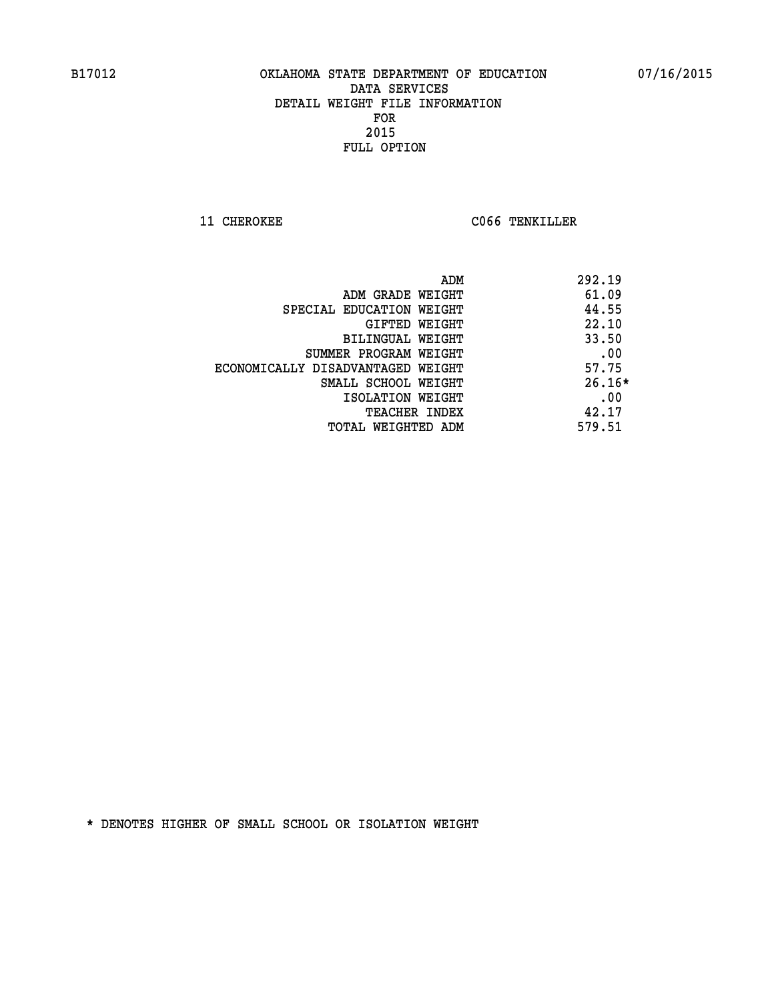**11 CHEROKEE CO66 TENKILLER** 

|                                   | 292.19<br>ADM |
|-----------------------------------|---------------|
| ADM GRADE WEIGHT                  | 61.09         |
| SPECIAL EDUCATION WEIGHT          | 44.55         |
| GIFTED WEIGHT                     | 22.10         |
| BILINGUAL WEIGHT                  | 33.50         |
| SUMMER PROGRAM WEIGHT             | .00           |
| ECONOMICALLY DISADVANTAGED WEIGHT | 57.75         |
| SMALL SCHOOL WEIGHT               | $26.16*$      |
| ISOLATION WEIGHT                  | .00           |
| <b>TEACHER INDEX</b>              | 42.17         |
| TOTAL WEIGHTED ADM                | 579.51        |
|                                   |               |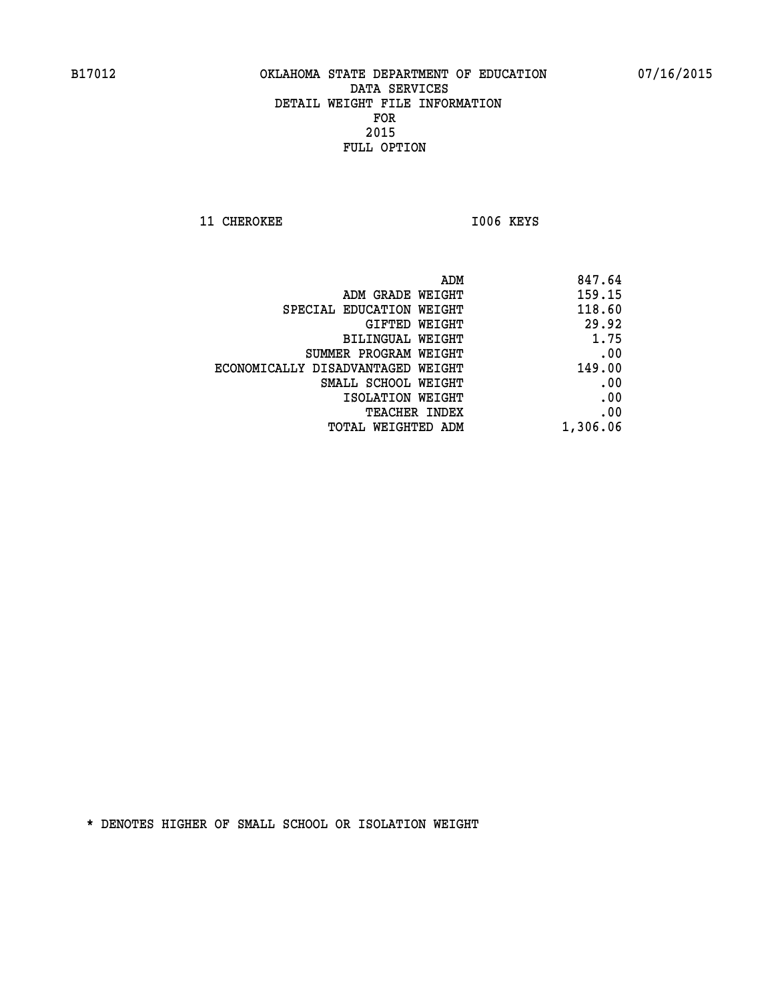11 CHEROKEE 1006 KEYS

| 847.64   |
|----------|
| 159.15   |
| 118.60   |
| 29.92    |
| 1.75     |
| .00      |
| 149.00   |
| .00      |
| .00      |
| .00      |
| 1,306.06 |
|          |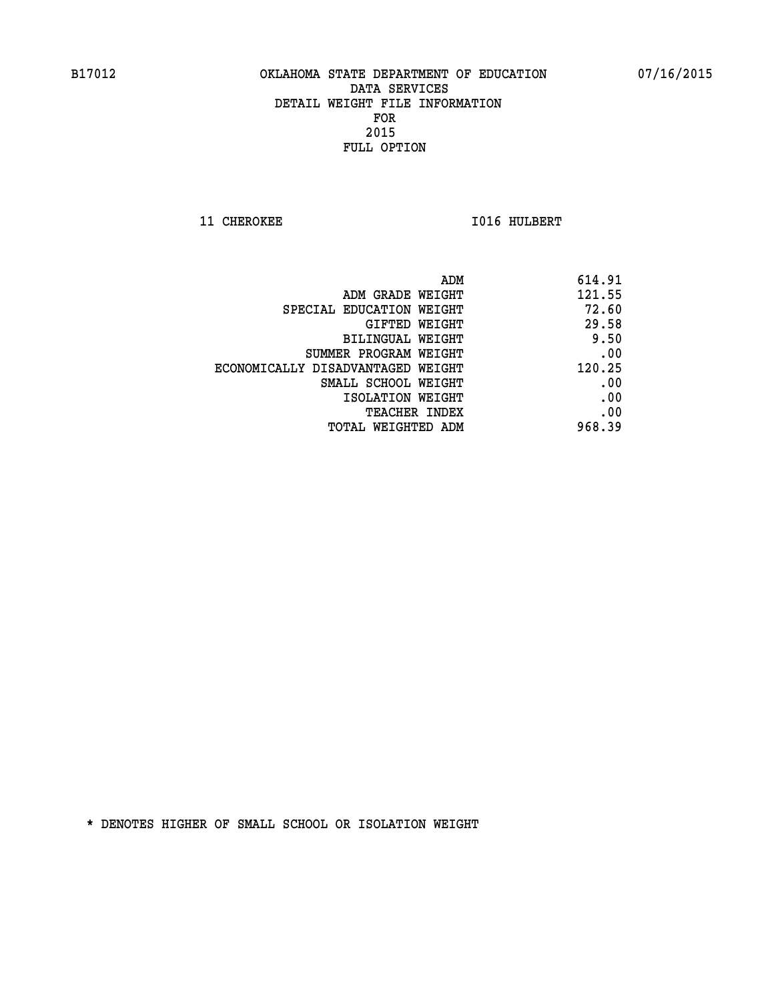**11 CHEROKEE 1016 HULBERT** 

| 614.91 |
|--------|
| 121.55 |
| 72.60  |
| 29.58  |
| 9.50   |
| .00    |
| 120.25 |
| .00    |
| .00    |
| .00    |
| 968.39 |
|        |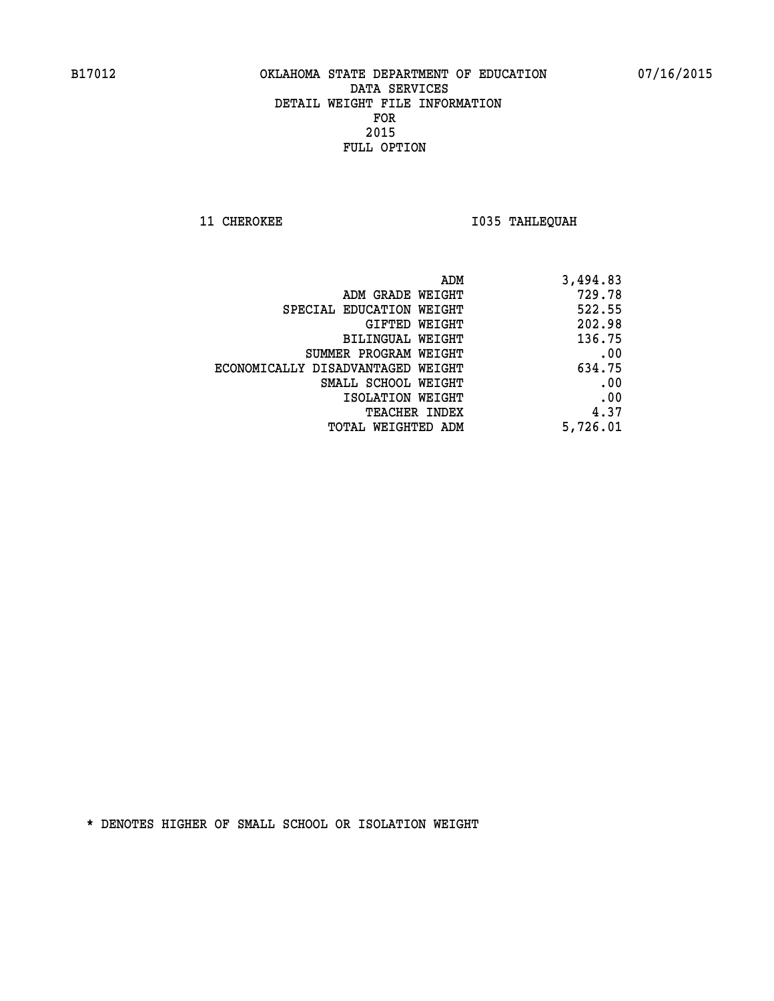**11 CHEROKEE 1035 TAHLEQUAH** 

| ADM                               | 3,494.83 |
|-----------------------------------|----------|
| ADM GRADE WEIGHT                  | 729.78   |
| SPECIAL EDUCATION WEIGHT          | 522.55   |
| GIFTED WEIGHT                     | 202.98   |
| BILINGUAL WEIGHT                  | 136.75   |
| SUMMER PROGRAM WEIGHT             | .00      |
| ECONOMICALLY DISADVANTAGED WEIGHT | 634.75   |
| SMALL SCHOOL WEIGHT               | .00      |
| ISOLATION WEIGHT                  | .00      |
| <b>TEACHER INDEX</b>              | 4.37     |
| TOTAL WEIGHTED ADM                | 5,726.01 |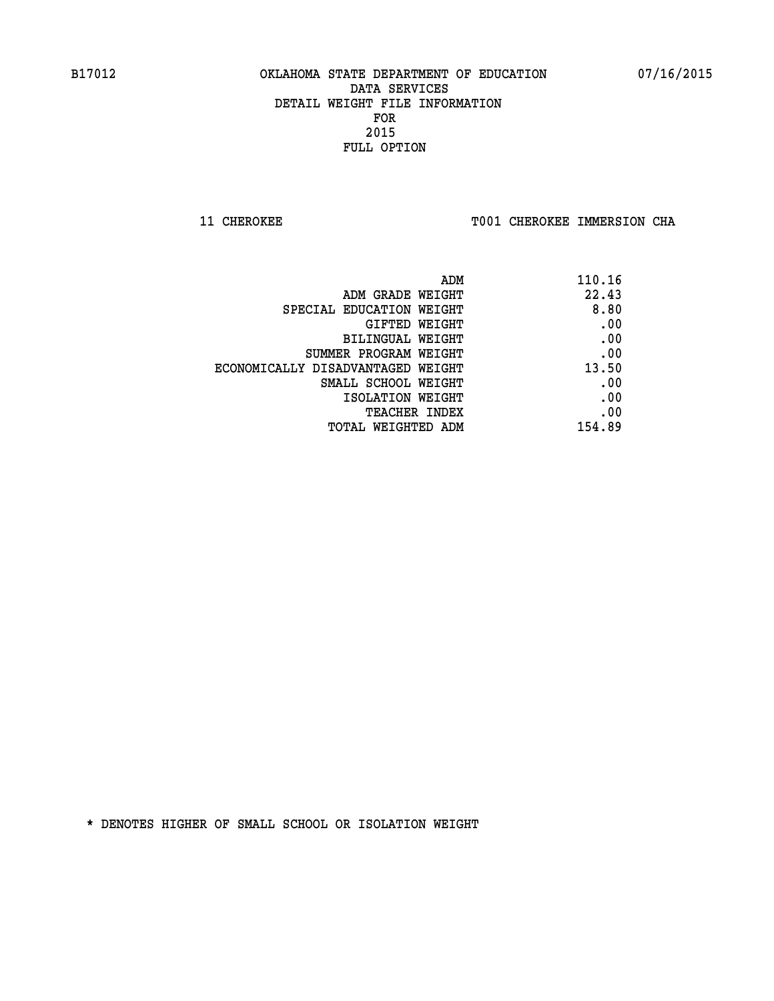**11 CHEROKEE TOO1 CHEROKEE IMMERSION CHA** 

| 110.16 |
|--------|
| 22.43  |
| 8.80   |
| .00    |
| .00    |
| .00    |
| 13.50  |
| .00    |
| .00    |
| .00    |
| 154.89 |
|        |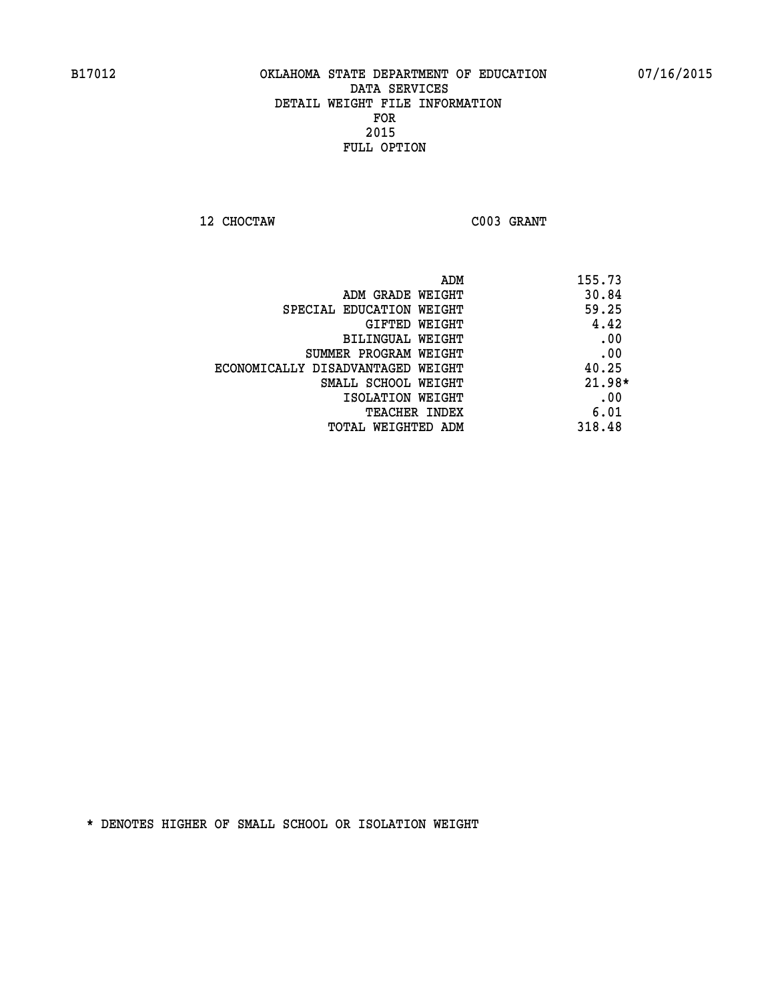**12 CHOCTAW C003 GRANT** 

| ADM                               | 155.73   |
|-----------------------------------|----------|
| ADM GRADE WEIGHT                  | 30.84    |
| SPECIAL EDUCATION WEIGHT          | 59.25    |
| GIFTED WEIGHT                     | 4.42     |
| BILINGUAL WEIGHT                  | .00      |
| SUMMER PROGRAM WEIGHT             | .00      |
| ECONOMICALLY DISADVANTAGED WEIGHT | 40.25    |
| SMALL SCHOOL WEIGHT               | $21.98*$ |
| ISOLATION WEIGHT                  | .00      |
| TEACHER INDEX                     | 6.01     |
| TOTAL WEIGHTED ADM                | 318.48   |
|                                   |          |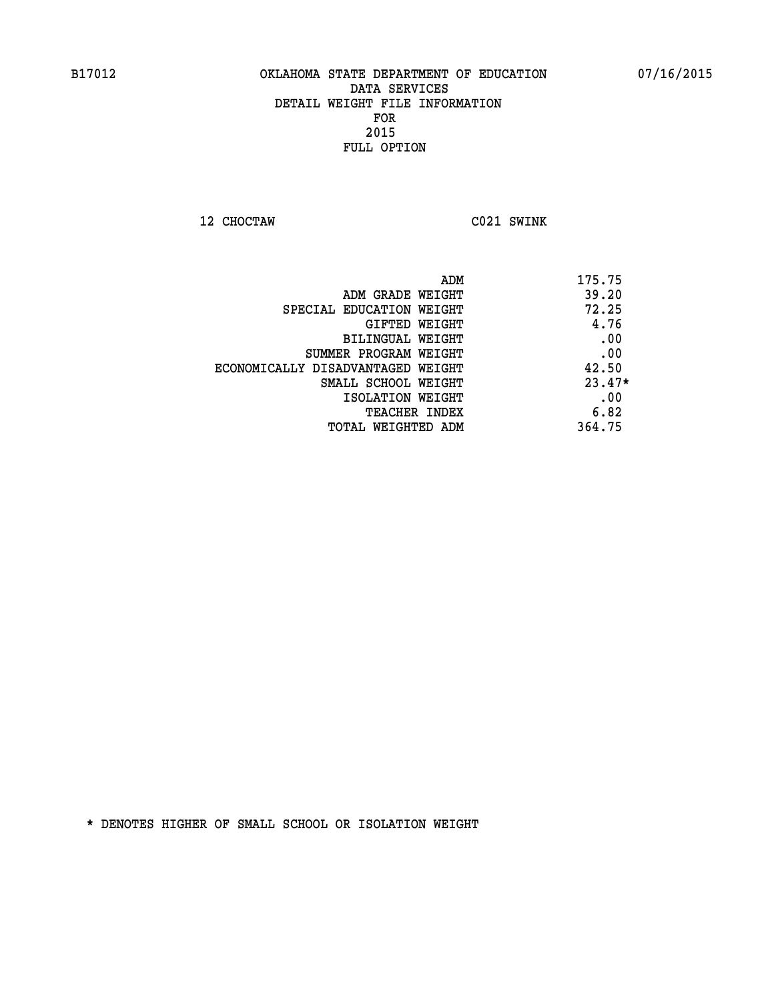**12 CHOCTAW C021 SWINK** 

| ADM                               | 175.75   |
|-----------------------------------|----------|
| ADM GRADE WEIGHT                  | 39.20    |
| SPECIAL EDUCATION WEIGHT          | 72.25    |
| GIFTED WEIGHT                     | 4.76     |
| BILINGUAL WEIGHT                  | .00      |
| SUMMER PROGRAM WEIGHT             | .00      |
| ECONOMICALLY DISADVANTAGED WEIGHT | 42.50    |
| SMALL SCHOOL WEIGHT               | $23.47*$ |
| ISOLATION WEIGHT                  | .00      |
| <b>TEACHER INDEX</b>              | 6.82     |
| TOTAL WEIGHTED ADM                | 364.75   |
|                                   |          |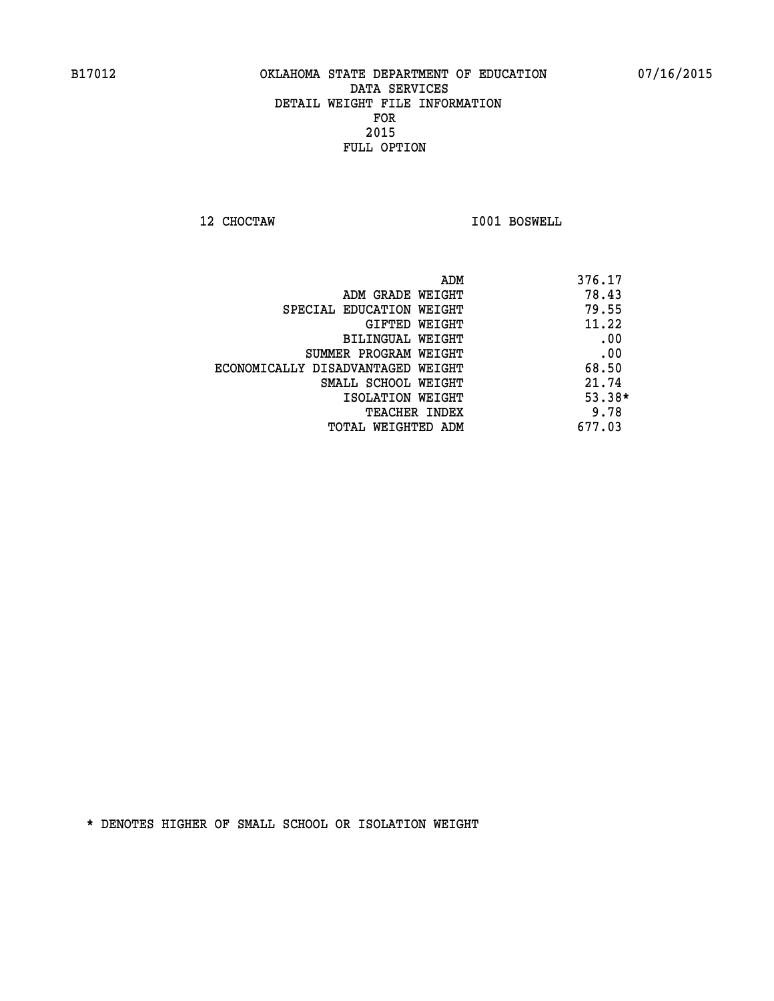**12 CHOCTAW I001 BOSWELL** 

| ADM                               | 376.17   |
|-----------------------------------|----------|
| ADM GRADE WEIGHT                  | 78.43    |
| SPECIAL EDUCATION WEIGHT          | 79.55    |
| GIFTED WEIGHT                     | 11.22    |
| BILINGUAL WEIGHT                  | .00      |
| SUMMER PROGRAM WEIGHT             | .00      |
| ECONOMICALLY DISADVANTAGED WEIGHT | 68.50    |
| SMALL SCHOOL WEIGHT               | 21.74    |
| ISOLATION WEIGHT                  | $53.38*$ |
| TEACHER INDEX                     | 9.78     |
| TOTAL WEIGHTED ADM                | 677.03   |
|                                   |          |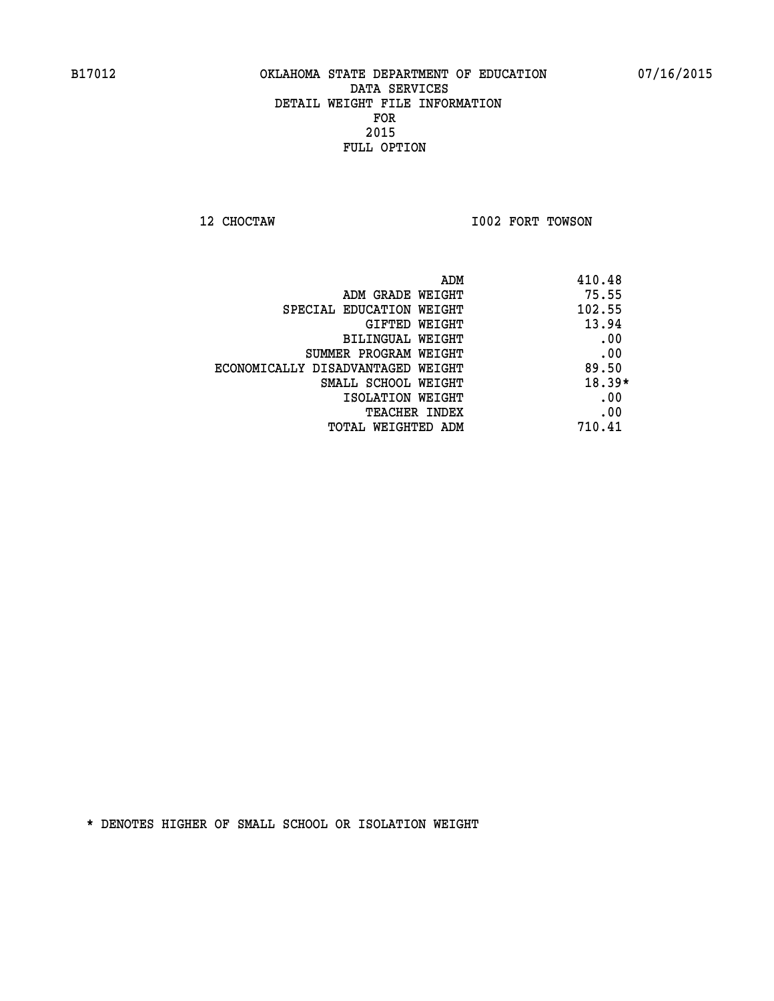**12 CHOCTAW I002 FORT TOWSON** 

| ADM                               | 410.48   |
|-----------------------------------|----------|
| ADM GRADE WEIGHT                  | 75.55    |
| SPECIAL EDUCATION WEIGHT          | 102.55   |
| GIFTED WEIGHT                     | 13.94    |
| BILINGUAL WEIGHT                  | .00      |
| SUMMER PROGRAM WEIGHT             | .00      |
| ECONOMICALLY DISADVANTAGED WEIGHT | 89.50    |
| SMALL SCHOOL WEIGHT               | $18.39*$ |
| ISOLATION WEIGHT                  | .00      |
| <b>TEACHER INDEX</b>              | .00      |
| TOTAL WEIGHTED ADM                | 710.41   |
|                                   |          |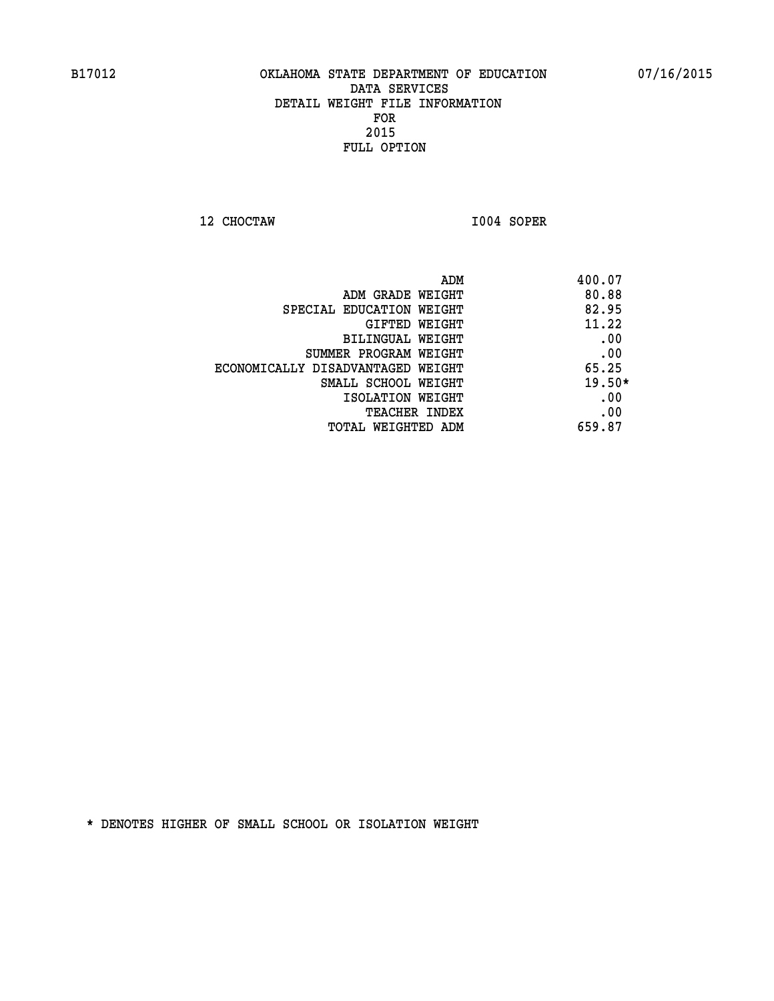**12 CHOCTAW I004 SOPER** 

| ADM                               | 400.07   |
|-----------------------------------|----------|
| ADM GRADE WEIGHT                  | 80.88    |
| SPECIAL EDUCATION WEIGHT          | 82.95    |
| GIFTED WEIGHT                     | 11.22    |
| BILINGUAL WEIGHT                  | .00      |
| SUMMER PROGRAM WEIGHT             | .00      |
| ECONOMICALLY DISADVANTAGED WEIGHT | 65.25    |
| SMALL SCHOOL WEIGHT               | $19.50*$ |
| ISOLATION WEIGHT                  | .00      |
| <b>TEACHER INDEX</b>              | .00      |
| TOTAL WEIGHTED ADM                | 659.87   |
|                                   |          |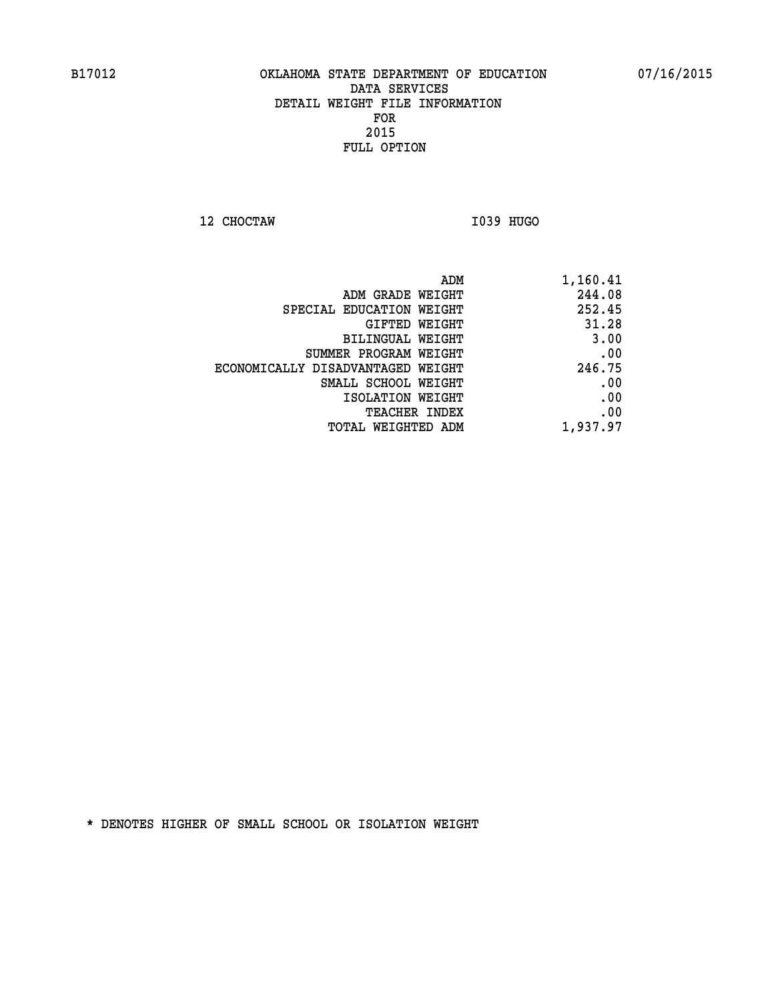**12 CHOCTAW I039 HUGO** 

| 1,160.41 |
|----------|
| 244.08   |
| 252.45   |
| 31.28    |
| 3.00     |
| .00      |
| 246.75   |
| .00      |
| .00      |
| .00      |
| 1,937.97 |
|          |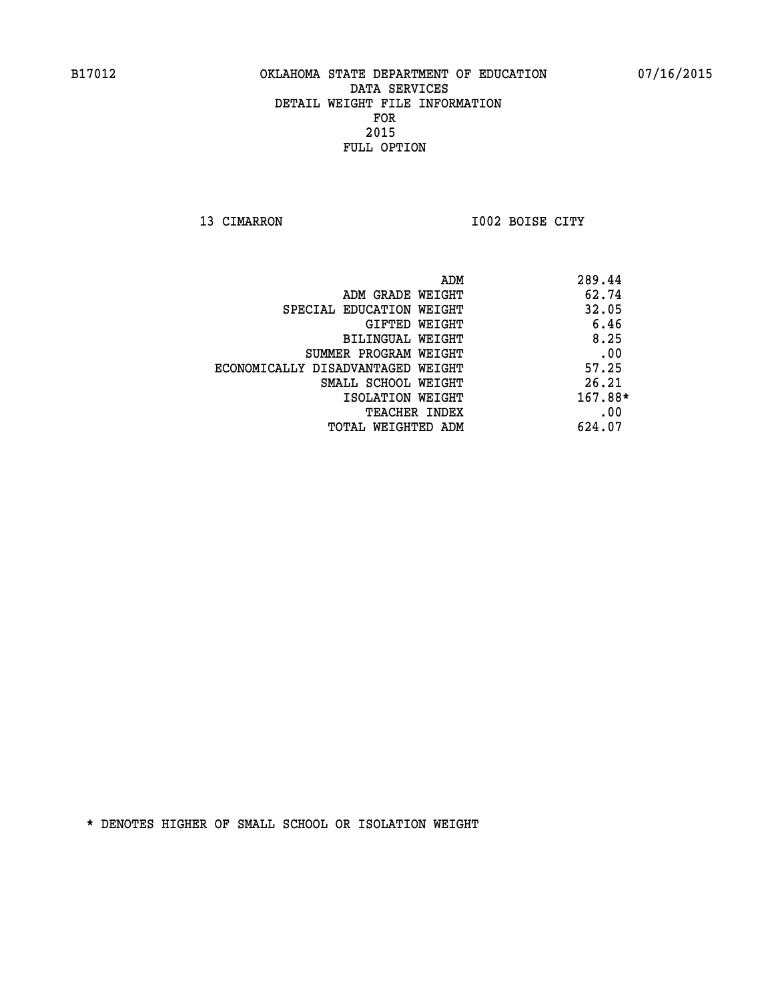**13 CIMARRON I002 BOISE CITY** 

| 289.44  |
|---------|
| 62.74   |
| 32.05   |
| 6.46    |
| 8.25    |
| .00     |
| 57.25   |
| 26.21   |
| 167.88* |
| .00     |
| 624.07  |
|         |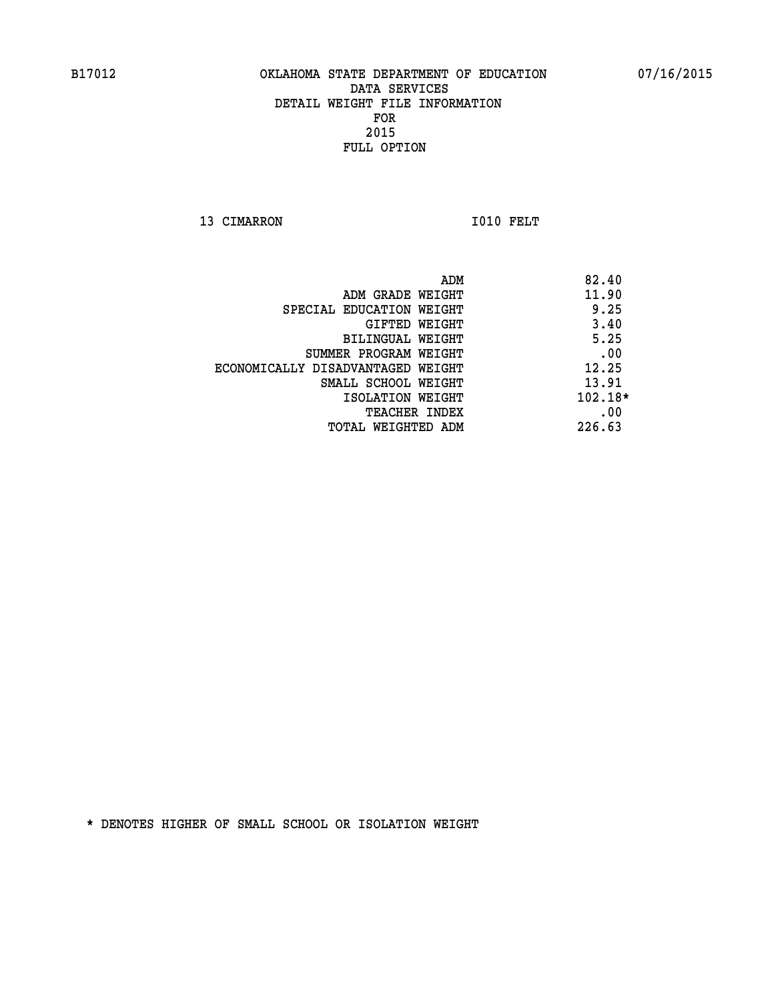13 CIMARRON 1010 FELT

| ADM                               | 82.40     |
|-----------------------------------|-----------|
| ADM GRADE WEIGHT                  | 11.90     |
| SPECIAL EDUCATION WEIGHT          | 9.25      |
| GIFTED WEIGHT                     | 3.40      |
| BILINGUAL WEIGHT                  | 5.25      |
| SUMMER PROGRAM WEIGHT             | .00       |
| ECONOMICALLY DISADVANTAGED WEIGHT | 12.25     |
| SMALL SCHOOL WEIGHT               | 13.91     |
| ISOLATION WEIGHT                  | $102.18*$ |
| <b>TEACHER INDEX</b>              | .00       |
| TOTAL WEIGHTED ADM                | 226.63    |
|                                   |           |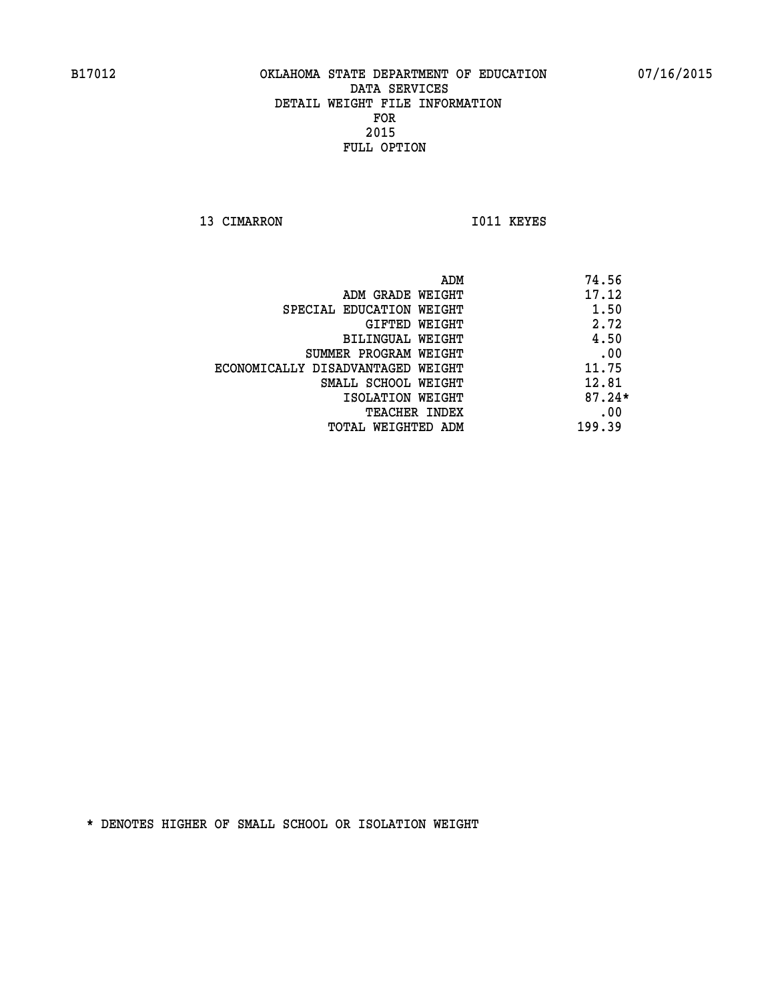13 CIMARRON 1011 KEYES

| ADM                               | 74.56    |
|-----------------------------------|----------|
| ADM GRADE WEIGHT                  | 17.12    |
| SPECIAL EDUCATION WEIGHT          | 1.50     |
| <b>GIFTED WEIGHT</b>              | 2.72     |
| BILINGUAL WEIGHT                  | 4.50     |
| SUMMER PROGRAM WEIGHT             | .00      |
| ECONOMICALLY DISADVANTAGED WEIGHT | 11.75    |
| SMALL SCHOOL WEIGHT               | 12.81    |
| ISOLATION WEIGHT                  | $87.24*$ |
| <b>TEACHER INDEX</b>              | .00      |
| TOTAL WEIGHTED ADM                | 199.39   |
|                                   |          |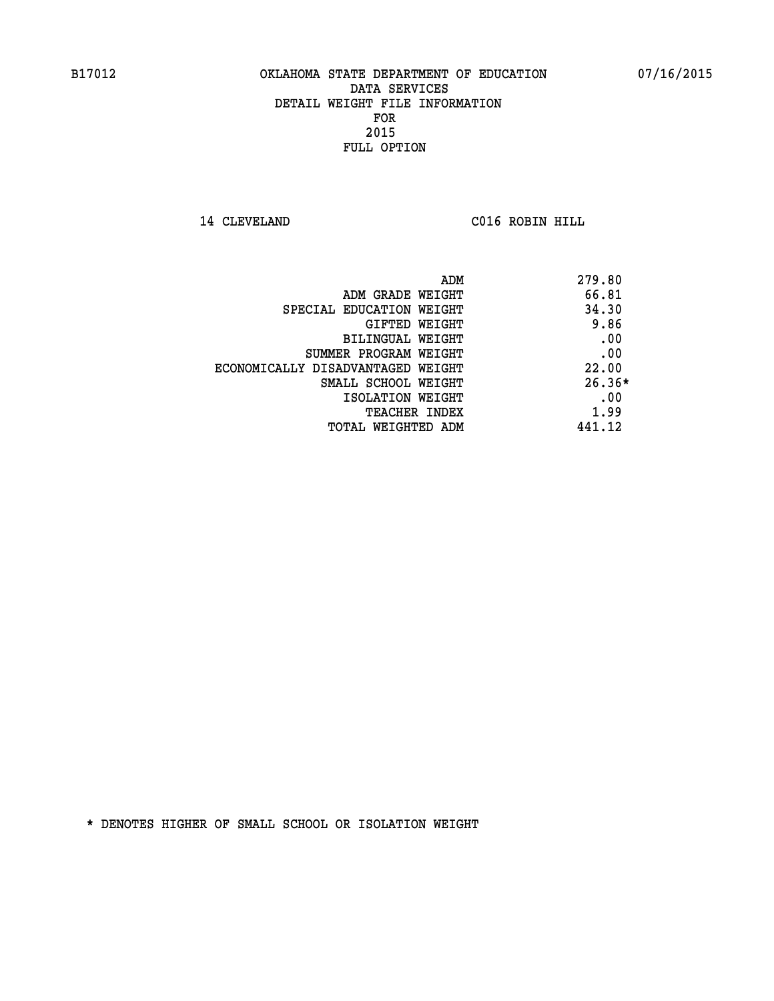**14 CLEVELAND C016 ROBIN HILL** 

| ADM                               | 279.80   |
|-----------------------------------|----------|
| ADM GRADE WEIGHT                  | 66.81    |
| SPECIAL EDUCATION WEIGHT          | 34.30    |
| GIFTED WEIGHT                     | 9.86     |
| BILINGUAL WEIGHT                  | .00      |
| SUMMER PROGRAM WEIGHT             | .00      |
| ECONOMICALLY DISADVANTAGED WEIGHT | 22.00    |
| SMALL SCHOOL WEIGHT               | $26.36*$ |
| ISOLATION WEIGHT                  | .00      |
| <b>TEACHER INDEX</b>              | 1.99     |
| TOTAL WEIGHTED ADM                | 441.12   |
|                                   |          |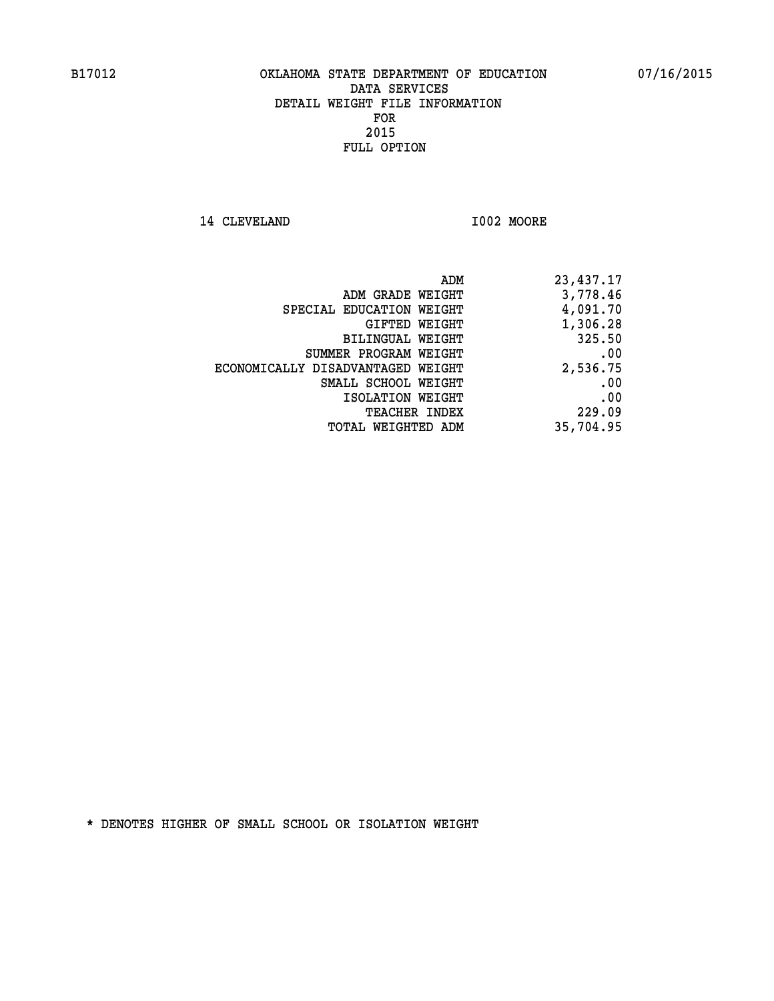**14 CLEVELAND I002 MOORE** 

| ADM                               | 23,437.17 |
|-----------------------------------|-----------|
| ADM GRADE WEIGHT                  | 3,778.46  |
| SPECIAL EDUCATION WEIGHT          | 4,091.70  |
| GIFTED WEIGHT                     | 1,306.28  |
| BILINGUAL WEIGHT                  | 325.50    |
| SUMMER PROGRAM WEIGHT             | .00       |
| ECONOMICALLY DISADVANTAGED WEIGHT | 2,536.75  |
| SMALL SCHOOL WEIGHT               | .00       |
| ISOLATION WEIGHT                  | .00       |
| <b>TEACHER INDEX</b>              | 229.09    |
| TOTAL WEIGHTED ADM                | 35,704.95 |
|                                   |           |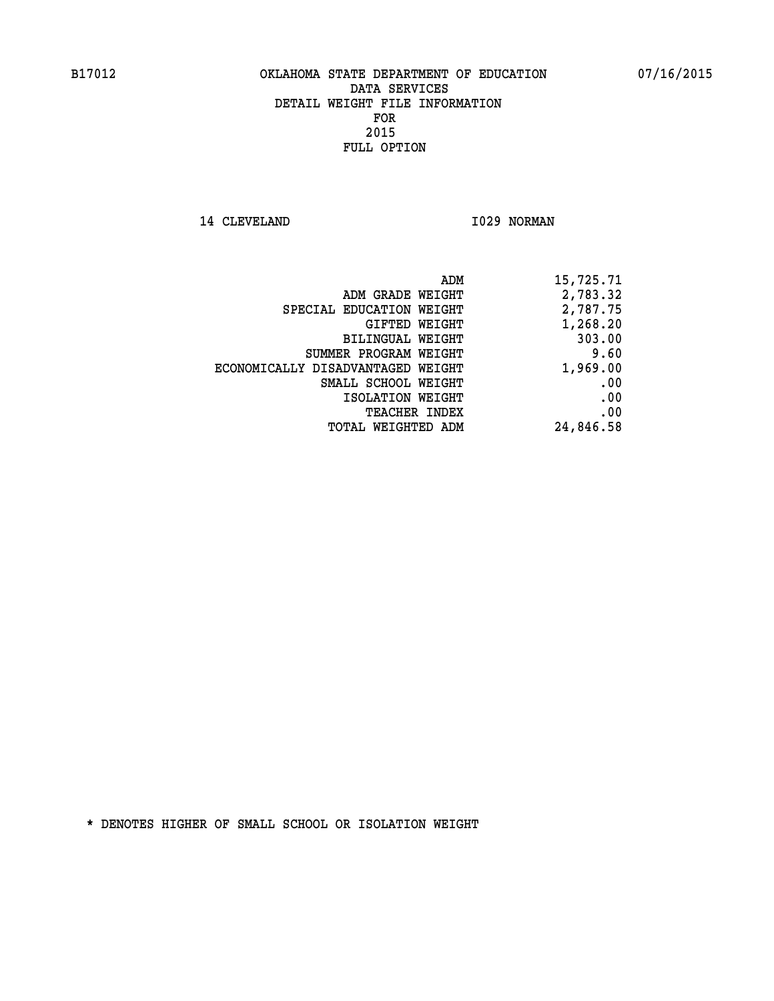14 CLEVELAND 1029 NORMAN

| ADM                               | 15,725.71 |
|-----------------------------------|-----------|
| ADM GRADE WEIGHT                  | 2,783.32  |
| SPECIAL EDUCATION WEIGHT          | 2,787.75  |
| GIFTED WEIGHT                     | 1,268.20  |
| <b>BILINGUAL WEIGHT</b>           | 303.00    |
| SUMMER PROGRAM WEIGHT             | 9.60      |
| ECONOMICALLY DISADVANTAGED WEIGHT | 1,969.00  |
| SMALL SCHOOL WEIGHT               | .00       |
| ISOLATION WEIGHT                  | .00       |
| TEACHER INDEX                     | .00       |
| TOTAL WEIGHTED ADM                | 24,846.58 |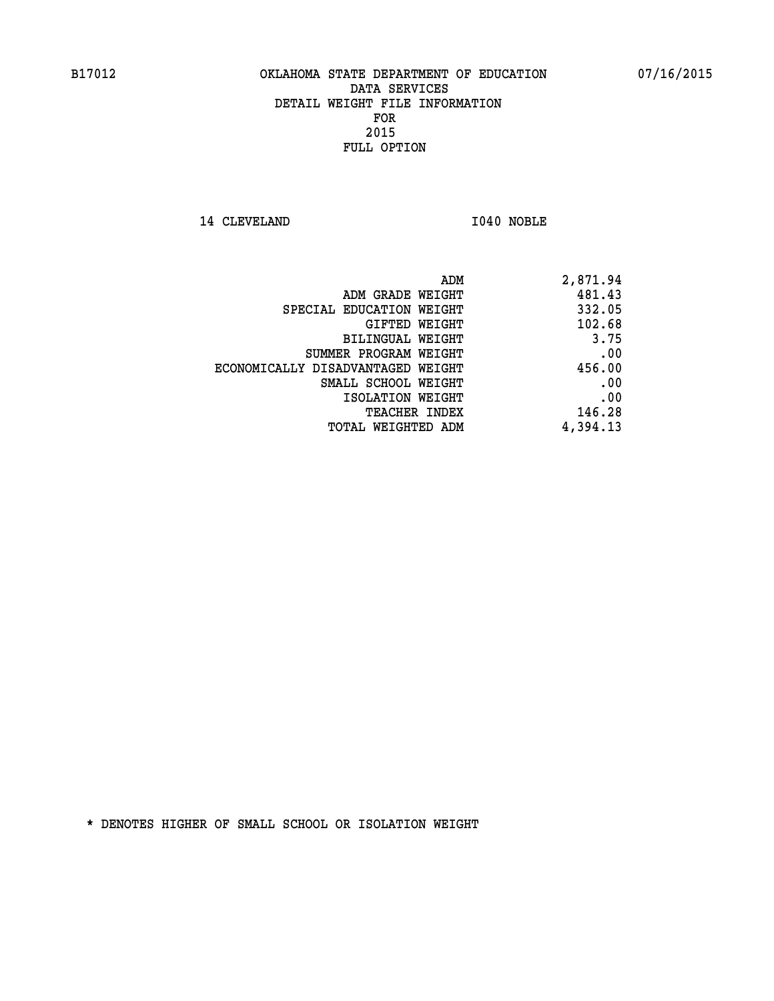14 CLEVELAND 1040 NOBLE

| ADM                               | 2,871.94 |
|-----------------------------------|----------|
| ADM GRADE WEIGHT                  | 481.43   |
| SPECIAL EDUCATION WEIGHT          | 332.05   |
| GIFTED WEIGHT                     | 102.68   |
| BILINGUAL WEIGHT                  | 3.75     |
| SUMMER PROGRAM WEIGHT             | .00      |
| ECONOMICALLY DISADVANTAGED WEIGHT | 456.00   |
| SMALL SCHOOL WEIGHT               | .00      |
| ISOLATION WEIGHT                  | .00      |
| <b>TEACHER INDEX</b>              | 146.28   |
| TOTAL WEIGHTED ADM                | 4,394.13 |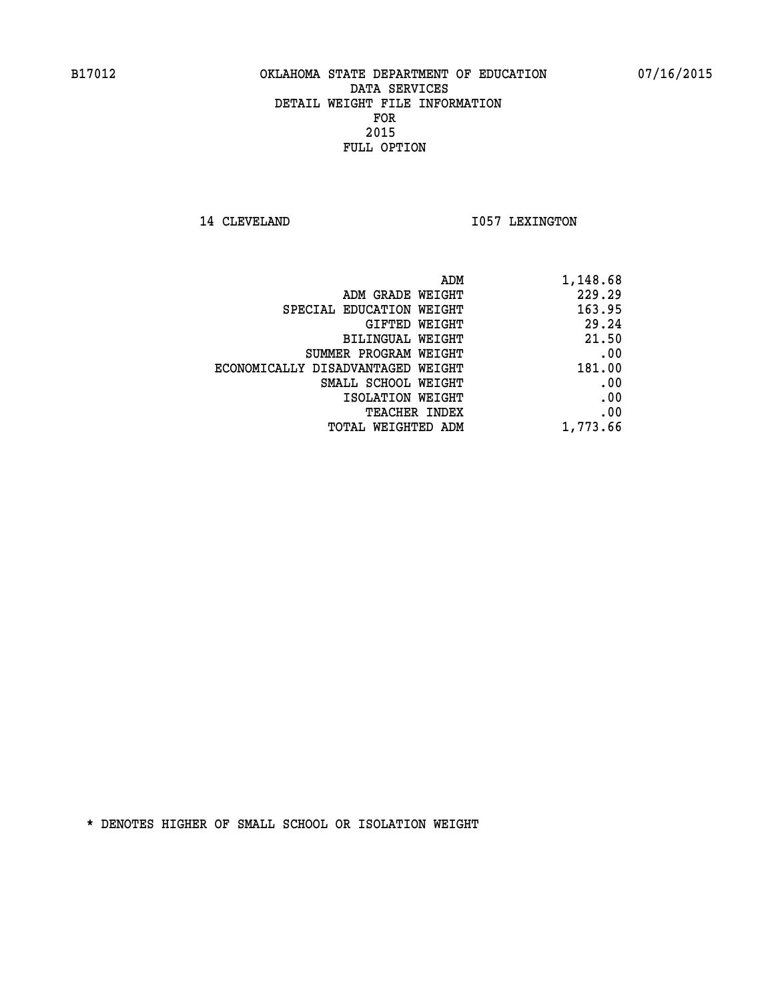14 CLEVELAND 1057 LEXINGTON

| ADM                               | 1,148.68 |
|-----------------------------------|----------|
| ADM GRADE WEIGHT                  | 229.29   |
| SPECIAL EDUCATION WEIGHT          | 163.95   |
| GIFTED WEIGHT                     | 29.24    |
| BILINGUAL WEIGHT                  | 21.50    |
| SUMMER PROGRAM WEIGHT             | .00      |
| ECONOMICALLY DISADVANTAGED WEIGHT | 181.00   |
| SMALL SCHOOL WEIGHT               | .00      |
| ISOLATION WEIGHT                  | .00      |
| <b>TEACHER INDEX</b>              | .00      |
| TOTAL WEIGHTED ADM                | 1,773.66 |
|                                   |          |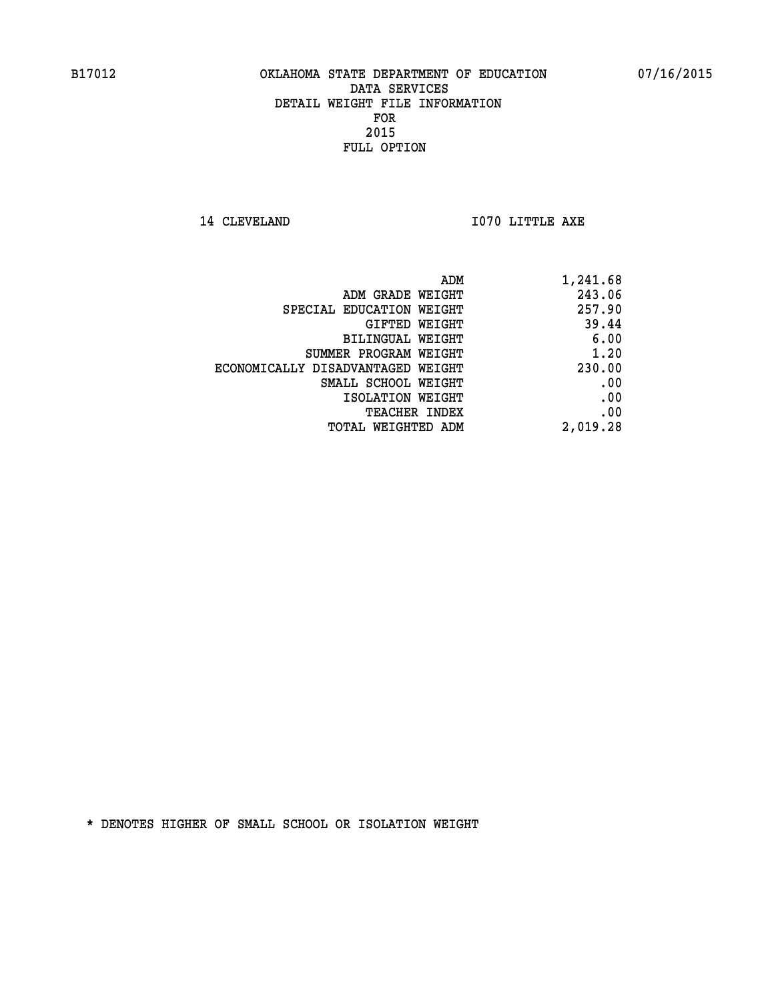**14 CLEVELAND 1070 LITTLE AXE** 

| 1,241.68 |
|----------|
| 243.06   |
| 257.90   |
| 39.44    |
| 6.00     |
| 1.20     |
| 230.00   |
| .00      |
| .00      |
| .00      |
| 2,019.28 |
|          |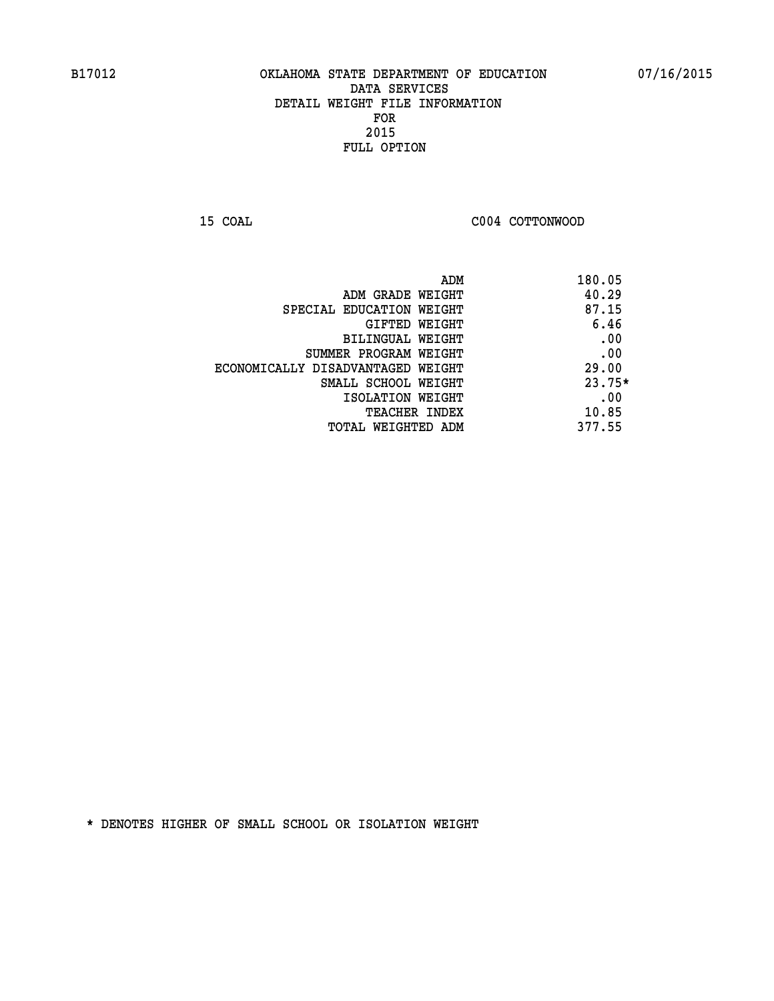**15 COAL COAL COAL COAL COAL COTTONWOOD** 

| ADM                               | 180.05   |
|-----------------------------------|----------|
| ADM GRADE WEIGHT                  | 40.29    |
| SPECIAL EDUCATION WEIGHT          | 87.15    |
| GIFTED WEIGHT                     | 6.46     |
| BILINGUAL WEIGHT                  | .00      |
| SUMMER PROGRAM WEIGHT             | .00      |
| ECONOMICALLY DISADVANTAGED WEIGHT | 29.00    |
| SMALL SCHOOL WEIGHT               | $23.75*$ |
| ISOLATION WEIGHT                  | .00      |
| <b>TEACHER INDEX</b>              | 10.85    |
| TOTAL WEIGHTED ADM                | 377.55   |
|                                   |          |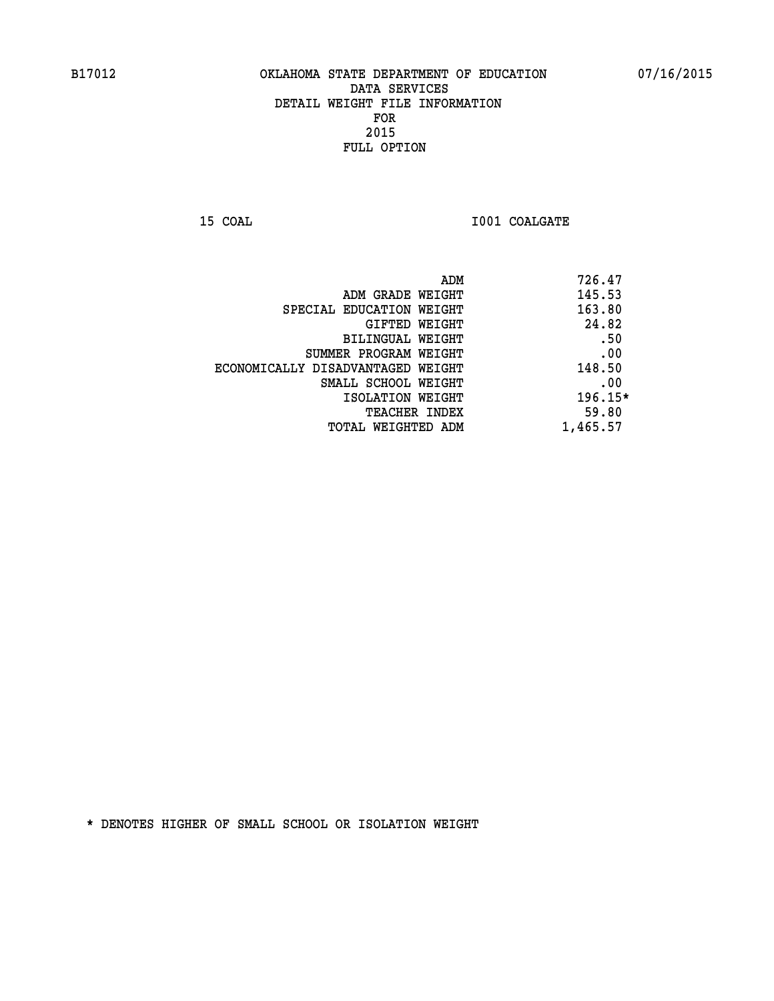**15 COAL 15 COAL I001 COALGATE** 

| 726.47<br>ADM |                                   |
|---------------|-----------------------------------|
| 145.53        | ADM GRADE WEIGHT                  |
| 163.80        | SPECIAL EDUCATION WEIGHT          |
| 24.82         | GIFTED WEIGHT                     |
| .50           | BILINGUAL WEIGHT                  |
| .00           | SUMMER PROGRAM WEIGHT             |
| 148.50        | ECONOMICALLY DISADVANTAGED WEIGHT |
| .00           | SMALL SCHOOL WEIGHT               |
| $196.15*$     | ISOLATION WEIGHT                  |
| 59.80         | <b>TEACHER INDEX</b>              |
| 1,465.57      | TOTAL WEIGHTED ADM                |
|               |                                   |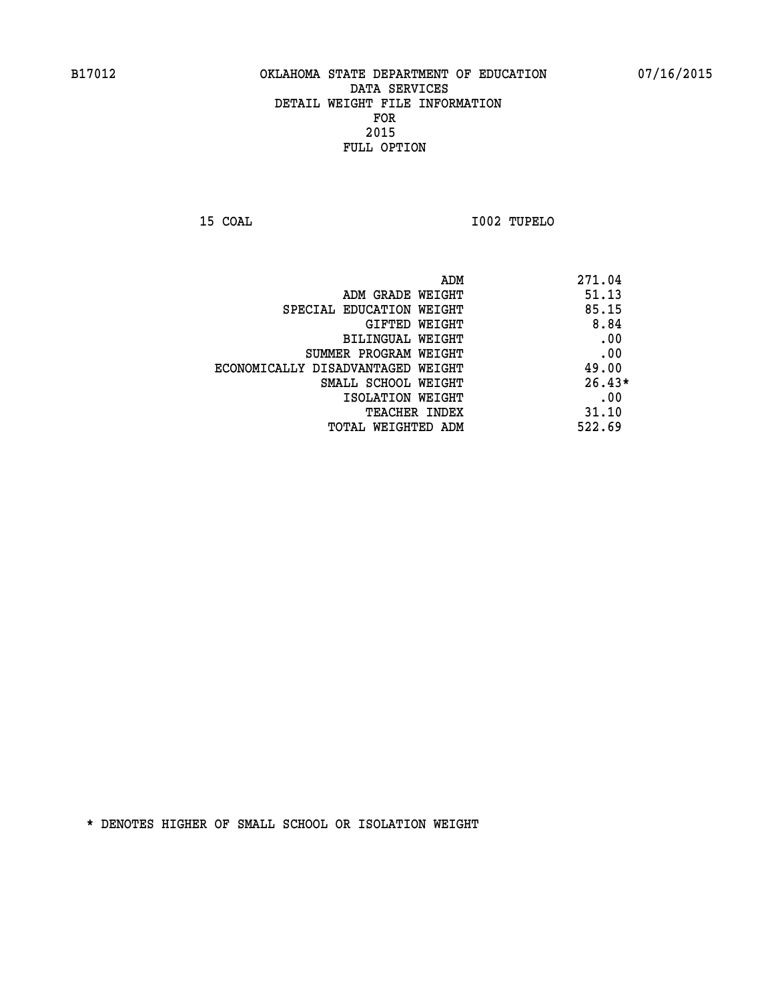**15 COAL I002 TUPELO** 

| ADM                               | 271.04   |
|-----------------------------------|----------|
| ADM GRADE WEIGHT                  | 51.13    |
| SPECIAL EDUCATION WEIGHT          | 85.15    |
| GIFTED WEIGHT                     | 8.84     |
| BILINGUAL WEIGHT                  | .00      |
| SUMMER PROGRAM WEIGHT             | .00      |
| ECONOMICALLY DISADVANTAGED WEIGHT | 49.00    |
| SMALL SCHOOL WEIGHT               | $26.43*$ |
| ISOLATION WEIGHT                  | .00      |
| <b>TEACHER INDEX</b>              | 31.10    |
| TOTAL WEIGHTED ADM                | 522.69   |
|                                   |          |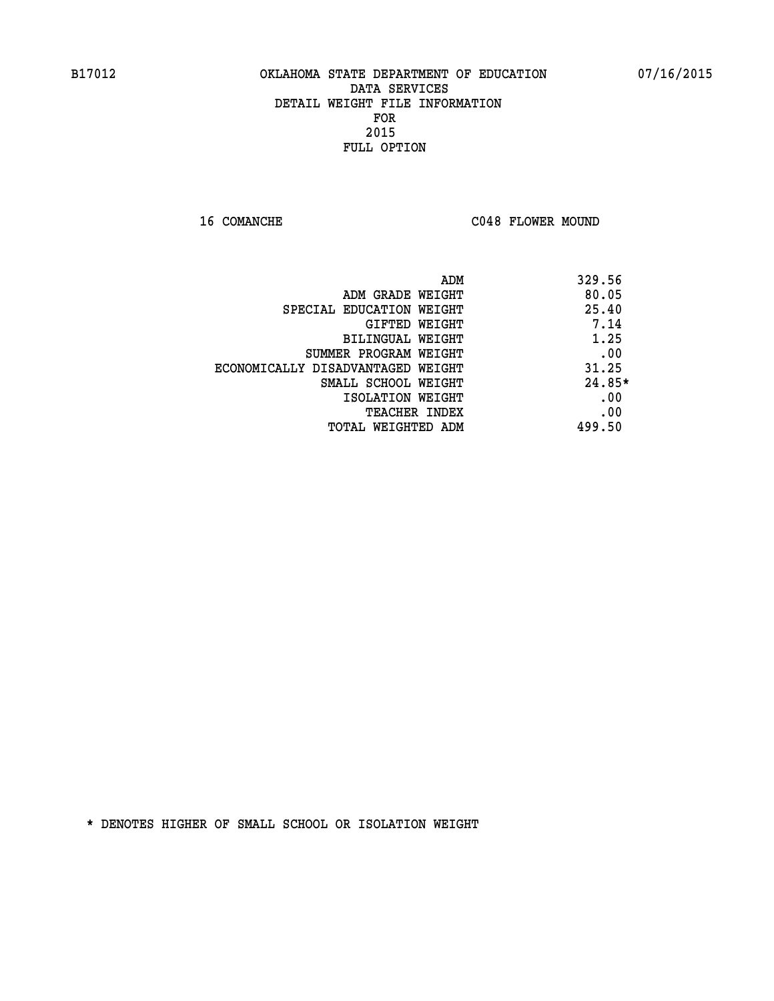16 COMANCHE C048 FLOWER MOUND

| ADM                               | 329.56 |
|-----------------------------------|--------|
| ADM GRADE WEIGHT                  | 80.05  |
| SPECIAL EDUCATION WEIGHT          | 25.40  |
| GIFTED WEIGHT                     | 7.14   |
| BILINGUAL WEIGHT                  | 1.25   |
| SUMMER PROGRAM WEIGHT             | .00    |
| ECONOMICALLY DISADVANTAGED WEIGHT | 31.25  |
| SMALL SCHOOL WEIGHT               | 24.85* |
| ISOLATION WEIGHT                  | .00    |
| <b>TEACHER INDEX</b>              | .00    |
| TOTAL WEIGHTED ADM                | 499.50 |
|                                   |        |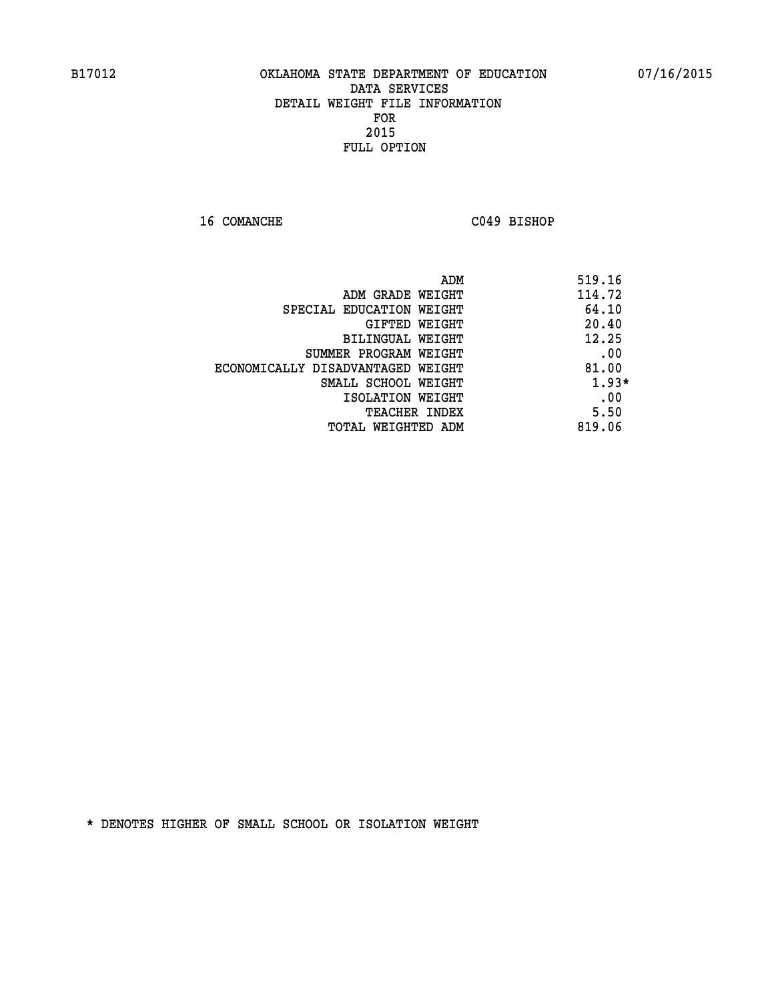**16 COMANCHE C049 BISHOP** 

|                                   | 519.16<br>ADM |
|-----------------------------------|---------------|
| ADM GRADE WEIGHT                  | 114.72        |
| SPECIAL EDUCATION WEIGHT          | 64.10         |
| GIFTED WEIGHT                     | 20.40         |
| BILINGUAL WEIGHT                  | 12.25         |
| SUMMER PROGRAM WEIGHT             | .00           |
| ECONOMICALLY DISADVANTAGED WEIGHT | 81.00         |
| SMALL SCHOOL WEIGHT               | $1.93*$       |
| ISOLATION WEIGHT                  | .00           |
| <b>TEACHER INDEX</b>              | 5.50          |
| TOTAL WEIGHTED ADM                | 819.06        |
|                                   |               |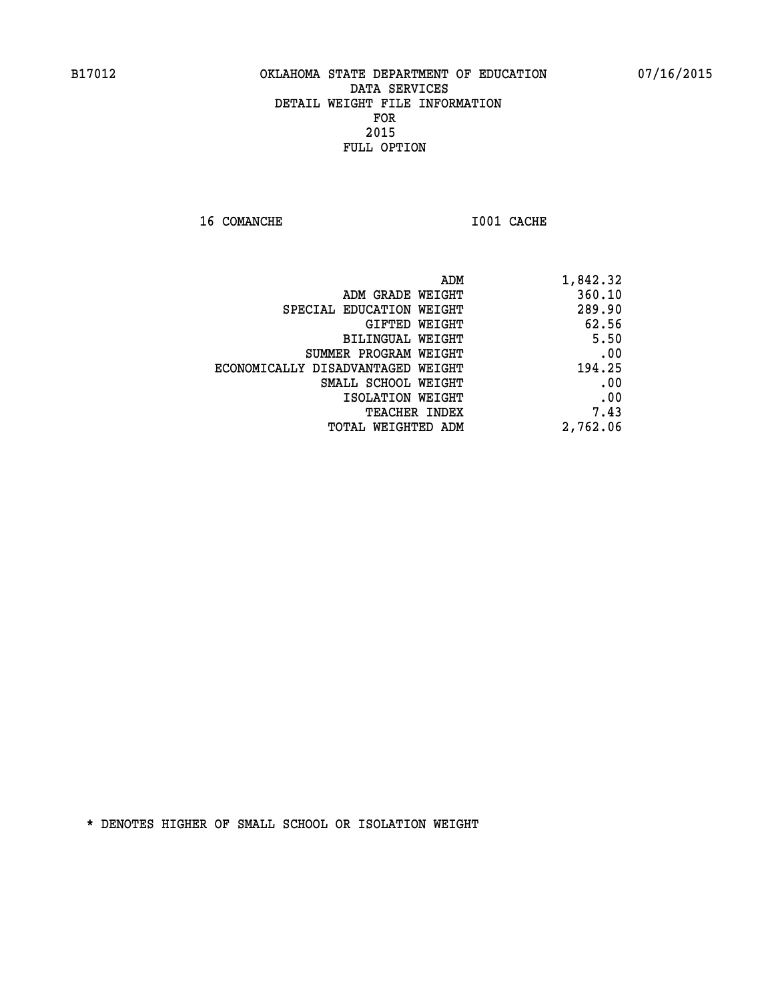**16 COMANCHE 1001 CACHE** 

| 1,842.32 |
|----------|
| 360.10   |
| 289.90   |
| 62.56    |
| 5.50     |
| .00      |
| 194.25   |
| .00      |
| .00      |
| 7.43     |
| 2,762.06 |
|          |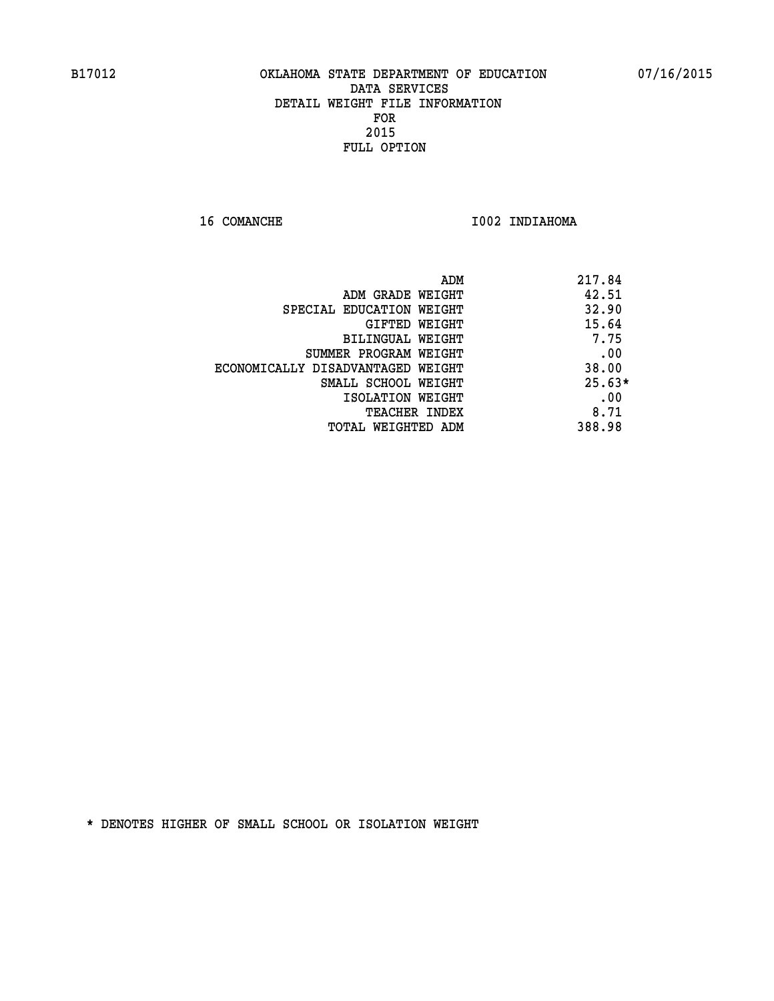**16 COMANCHE 1002 INDIAHOMA** 

|                                   | 217.84<br>ADM |
|-----------------------------------|---------------|
| ADM GRADE WEIGHT                  | 42.51         |
| SPECIAL EDUCATION WEIGHT          | 32.90         |
| GIFTED WEIGHT                     | 15.64         |
| <b>BILINGUAL WEIGHT</b>           | 7.75          |
| SUMMER PROGRAM WEIGHT             | .00           |
| ECONOMICALLY DISADVANTAGED WEIGHT | 38.00         |
| SMALL SCHOOL WEIGHT               | $25.63*$      |
| ISOLATION WEIGHT                  | .00           |
| <b>TEACHER INDEX</b>              | 8.71          |
| TOTAL WEIGHTED ADM                | 388.98        |
|                                   |               |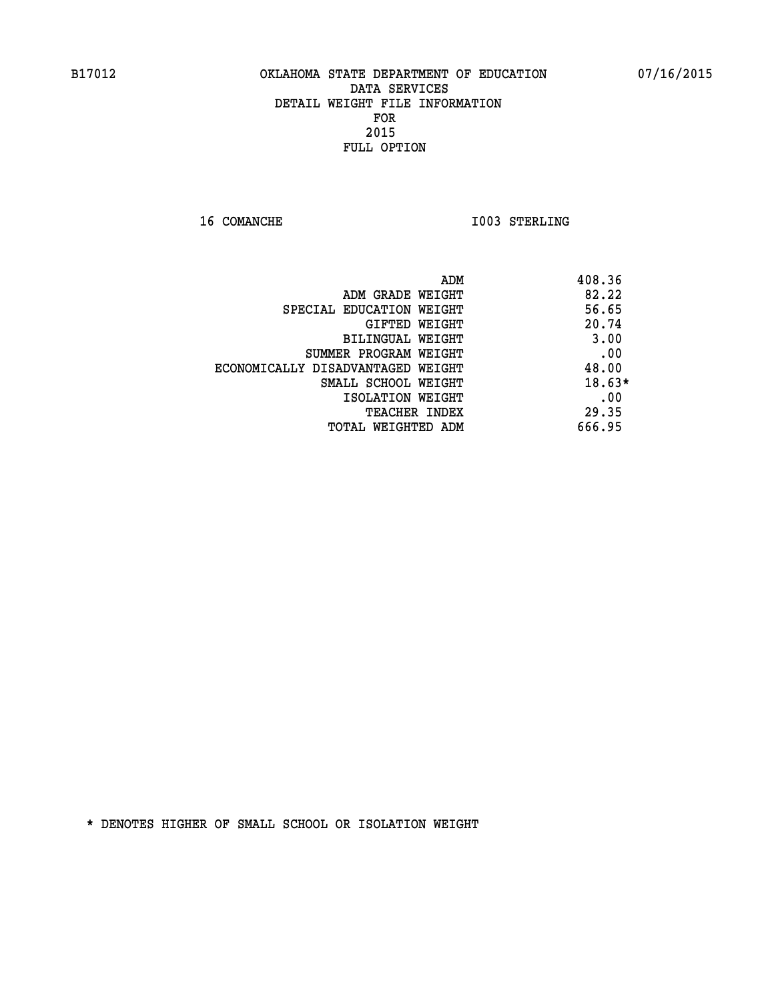**16 COMANCHE 1003 STERLING** 

| ADM<br>408.36                              |
|--------------------------------------------|
| 82.22<br>ADM GRADE WEIGHT                  |
| 56.65<br>SPECIAL EDUCATION WEIGHT          |
| 20.74<br>GIFTED WEIGHT                     |
| 3.00<br>BILINGUAL WEIGHT                   |
| .00<br>SUMMER PROGRAM WEIGHT               |
| 48.00<br>ECONOMICALLY DISADVANTAGED WEIGHT |
| $18.63*$<br>SMALL SCHOOL WEIGHT            |
| .00<br>ISOLATION WEIGHT                    |
| 29.35<br><b>TEACHER INDEX</b>              |
| 666.95<br>TOTAL WEIGHTED ADM               |
|                                            |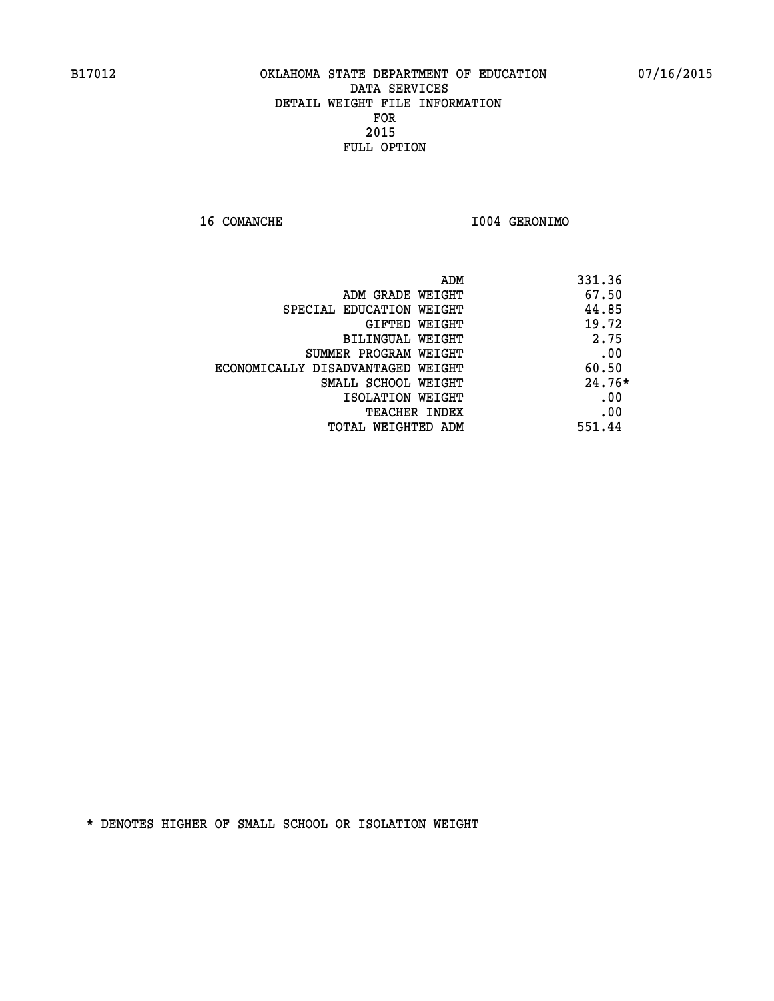**16 COMANCHE I004 GERONIMO** 

| ADM<br>331.36                     |          |
|-----------------------------------|----------|
| ADM GRADE WEIGHT                  | 67.50    |
| SPECIAL EDUCATION WEIGHT          | 44.85    |
| <b>GIFTED WEIGHT</b>              | 19.72    |
| BILINGUAL WEIGHT                  | 2.75     |
| SUMMER PROGRAM WEIGHT             | .00      |
| ECONOMICALLY DISADVANTAGED WEIGHT | 60.50    |
| SMALL SCHOOL WEIGHT               | $24.76*$ |
| ISOLATION WEIGHT                  | .00      |
| <b>TEACHER INDEX</b>              | .00      |
| 551.44<br>TOTAL WEIGHTED ADM      |          |
|                                   |          |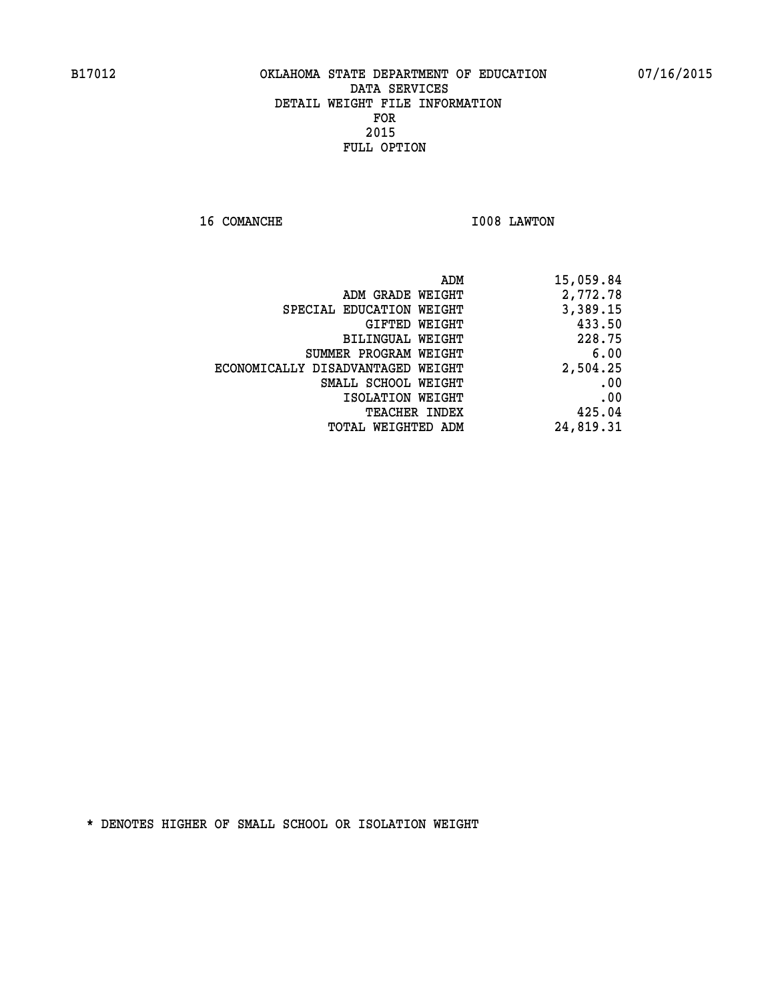**16 COMANCHE 1008 LAWTON** 

| 15,059.84 |
|-----------|
| 2,772.78  |
| 3,389.15  |
| 433.50    |
| 228.75    |
| 6.00      |
| 2,504.25  |
| .00       |
| .00       |
| 425.04    |
| 24,819.31 |
|           |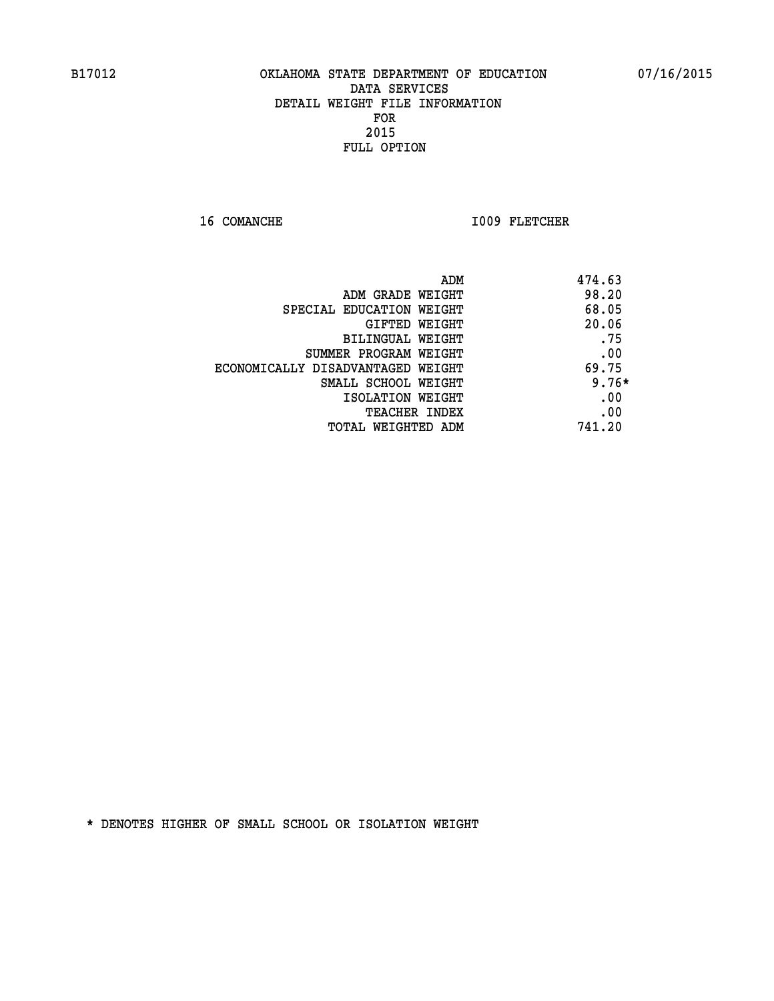16 COMANCHE 1009 FLETCHER

| ADM                               | 474.63  |
|-----------------------------------|---------|
| ADM GRADE WEIGHT                  | 98.20   |
| SPECIAL EDUCATION WEIGHT          | 68.05   |
| GIFTED WEIGHT                     | 20.06   |
| BILINGUAL WEIGHT                  | .75     |
| SUMMER PROGRAM WEIGHT             | .00     |
| ECONOMICALLY DISADVANTAGED WEIGHT | 69.75   |
| SMALL SCHOOL WEIGHT               | $9.76*$ |
| ISOLATION WEIGHT                  | .00     |
| <b>TEACHER INDEX</b>              | .00     |
| TOTAL WEIGHTED ADM                | 741.20  |
|                                   |         |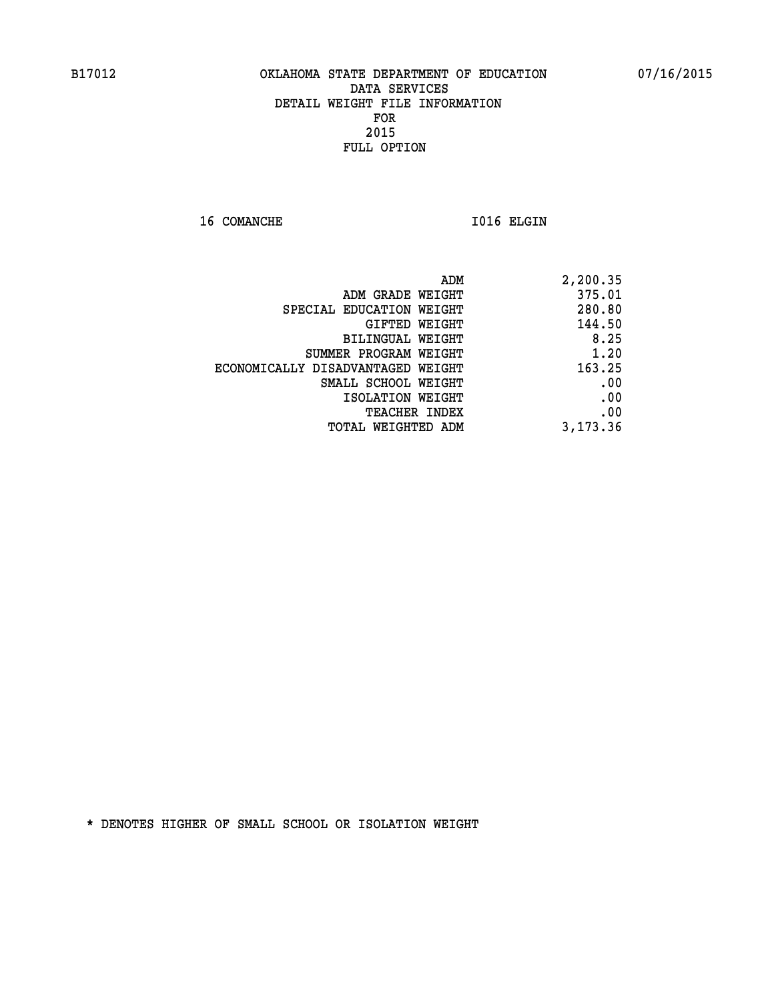16 COMANCHE 1016 ELGIN

| 2,200.35 |
|----------|
| 375.01   |
| 280.80   |
| 144.50   |
| 8.25     |
| 1.20     |
| 163.25   |
| .00      |
| .00      |
| .00      |
| 3,173.36 |
|          |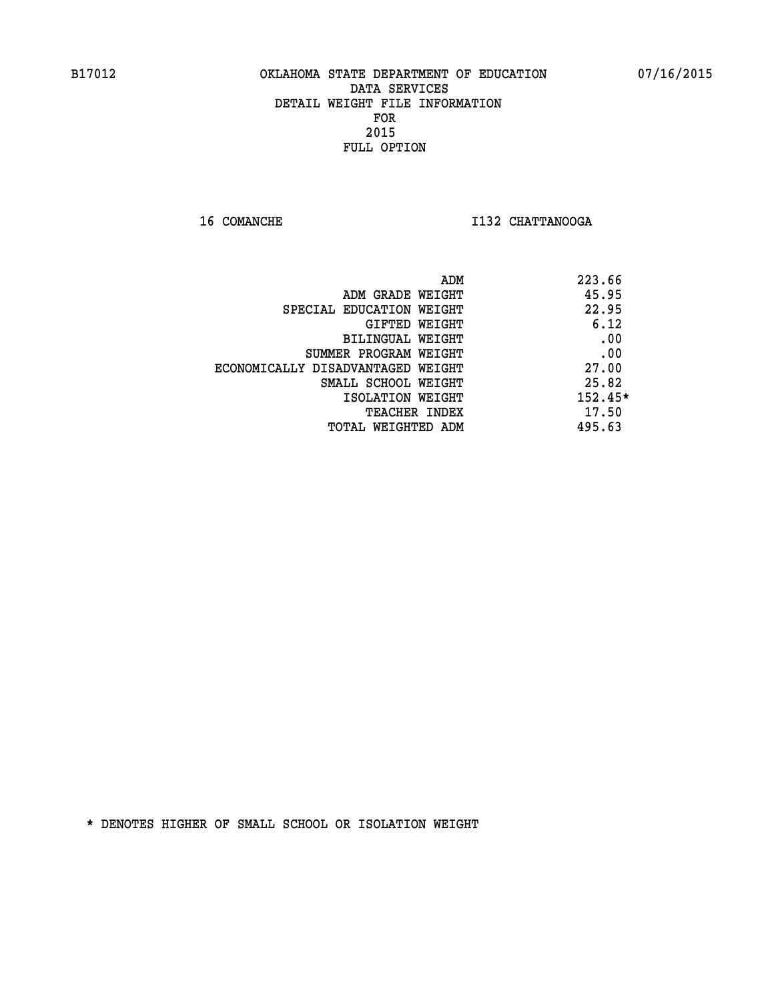**16 COMANCHE I132 CHATTANOOGA** 

|                                   | ADM | 223.66    |
|-----------------------------------|-----|-----------|
| ADM GRADE WEIGHT                  |     | 45.95     |
| SPECIAL EDUCATION WEIGHT          |     | 22.95     |
| GIFTED WEIGHT                     |     | 6.12      |
| BILINGUAL WEIGHT                  |     | .00       |
| SUMMER PROGRAM WEIGHT             |     | .00       |
| ECONOMICALLY DISADVANTAGED WEIGHT |     | 27.00     |
| SMALL SCHOOL WEIGHT               |     | 25.82     |
| ISOLATION WEIGHT                  |     | $152.45*$ |
| <b>TEACHER INDEX</b>              |     | 17.50     |
| TOTAL WEIGHTED ADM                |     | 495.63    |
|                                   |     |           |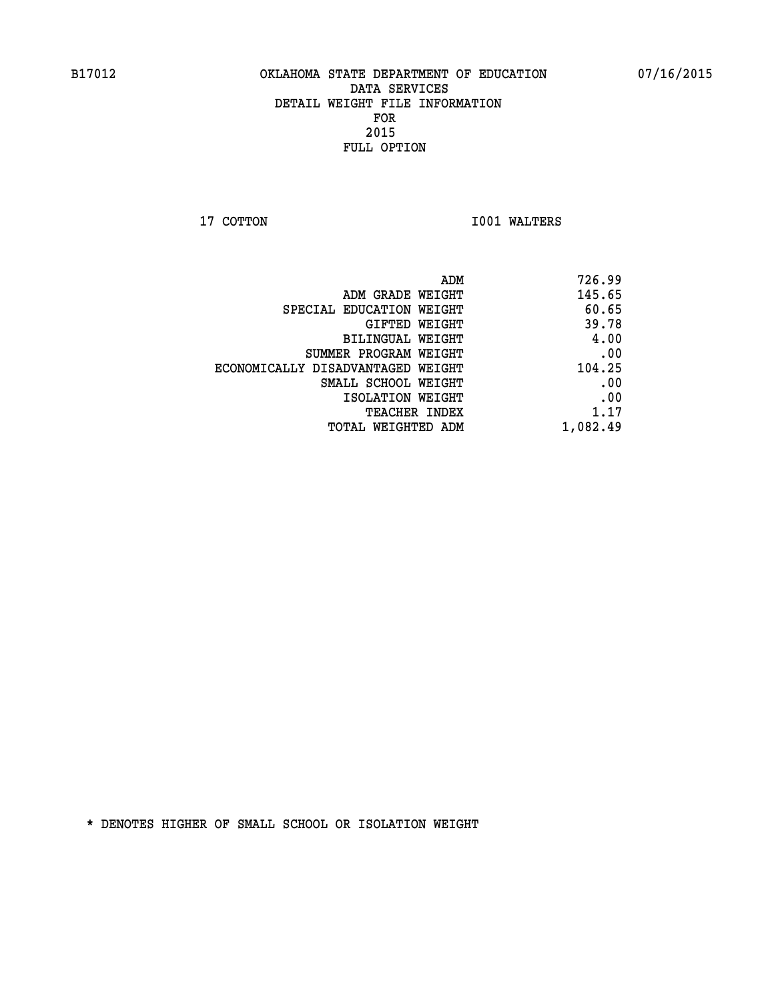**17 COTTON 1001 WALTERS** 

| 726.99   |
|----------|
| 145.65   |
| 60.65    |
| 39.78    |
| 4.00     |
| .00      |
| 104.25   |
| .00      |
| .00      |
| 1.17     |
| 1,082.49 |
|          |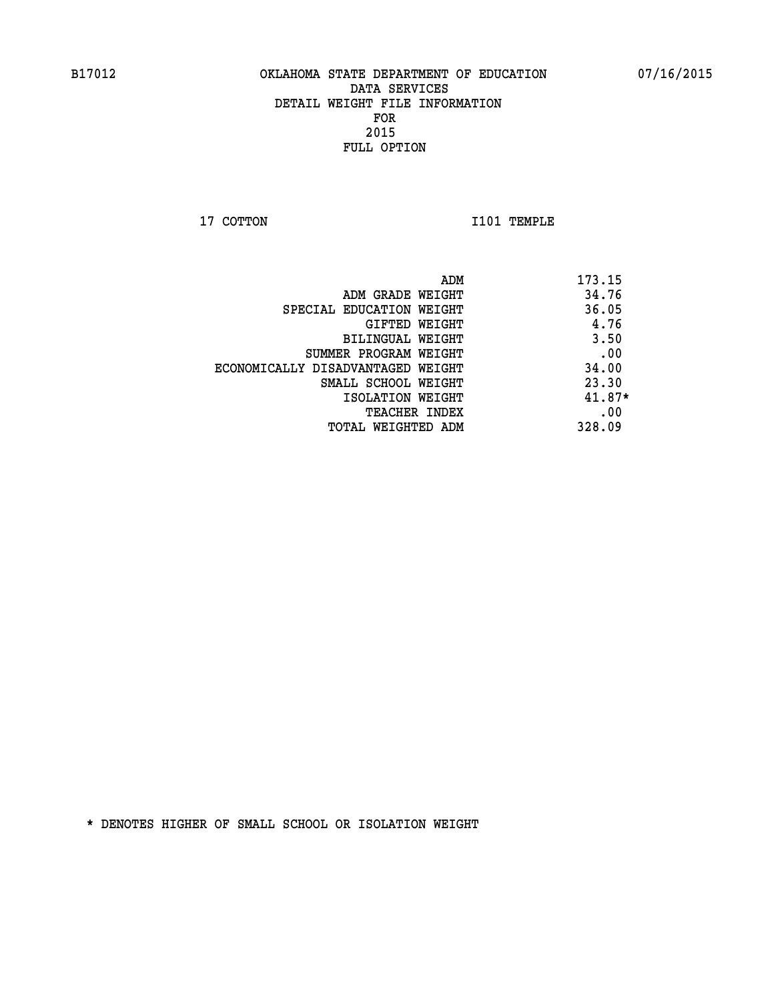**17 COTTON 1101 TEMPLE** 

| ADM                               | 173.15   |
|-----------------------------------|----------|
| ADM GRADE WEIGHT                  | 34.76    |
| SPECIAL EDUCATION WEIGHT          | 36.05    |
| GIFTED WEIGHT                     | 4.76     |
| BILINGUAL WEIGHT                  | 3.50     |
| SUMMER PROGRAM WEIGHT             | .00      |
| ECONOMICALLY DISADVANTAGED WEIGHT | 34.00    |
| SMALL SCHOOL WEIGHT               | 23.30    |
| ISOLATION WEIGHT                  | $41.87*$ |
| <b>TEACHER INDEX</b>              | .00      |
| TOTAL WEIGHTED ADM                | 328.09   |
|                                   |          |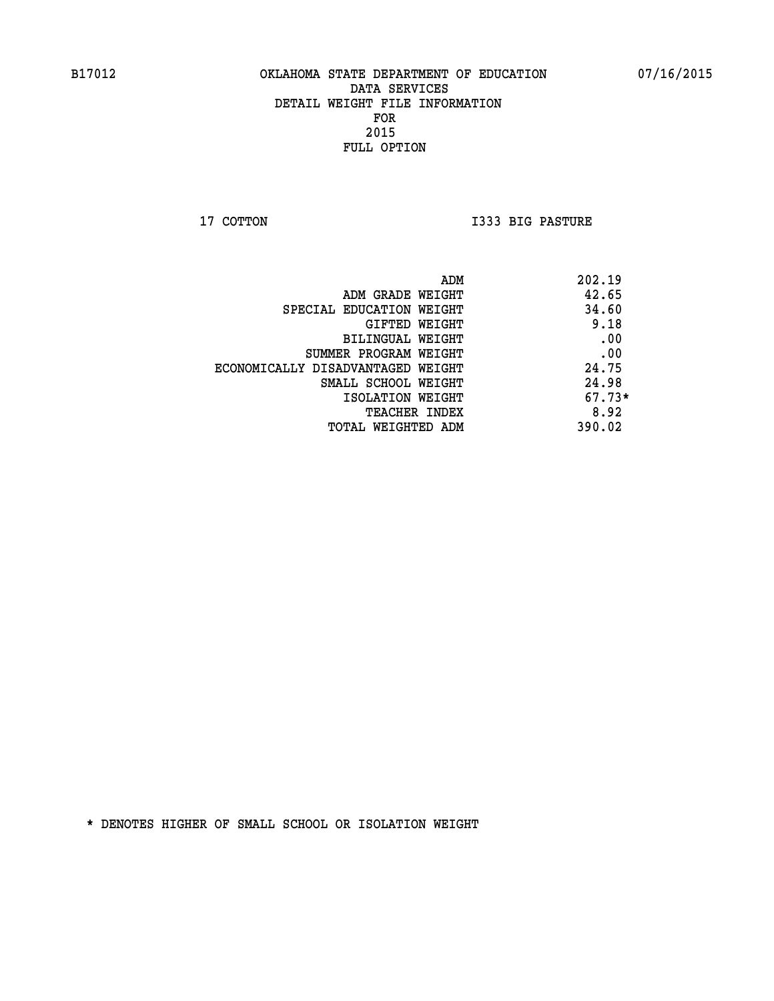**17 COTTON I333 BIG PASTURE** 

| ADM                               | 202.19   |
|-----------------------------------|----------|
| ADM GRADE WEIGHT                  | 42.65    |
| SPECIAL EDUCATION WEIGHT          | 34.60    |
| GIFTED WEIGHT                     | 9.18     |
| BILINGUAL WEIGHT                  | .00      |
| SUMMER PROGRAM WEIGHT             | .00      |
| ECONOMICALLY DISADVANTAGED WEIGHT | 24.75    |
| SMALL SCHOOL WEIGHT               | 24.98    |
| ISOLATION WEIGHT                  | $67.73*$ |
| <b>TEACHER INDEX</b>              | 8.92     |
| TOTAL WEIGHTED ADM                | 390.02   |
|                                   |          |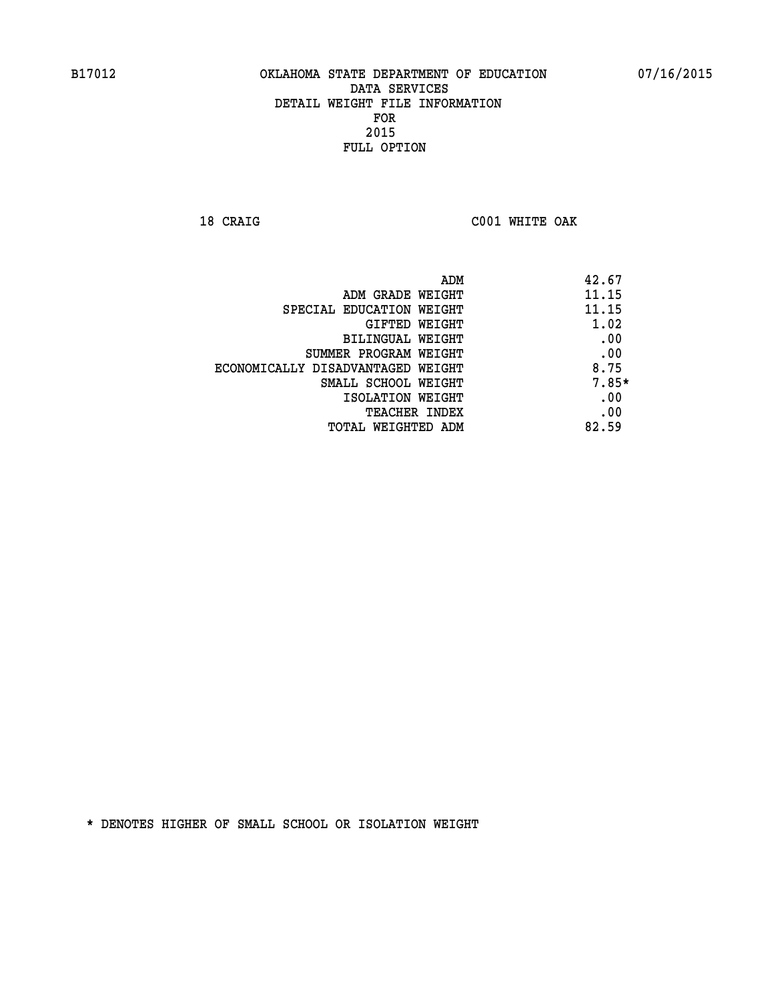**18 CRAIG C001 WHITE OAK** 

| ADM                               | 42.67   |
|-----------------------------------|---------|
| ADM GRADE WEIGHT                  | 11.15   |
| SPECIAL EDUCATION WEIGHT          | 11.15   |
| GIFTED WEIGHT                     | 1.02    |
| BILINGUAL WEIGHT                  | .00     |
| SUMMER PROGRAM WEIGHT             | .00     |
| ECONOMICALLY DISADVANTAGED WEIGHT | 8.75    |
| SMALL SCHOOL WEIGHT               | $7.85*$ |
| ISOLATION WEIGHT                  | .00     |
| <b>TEACHER INDEX</b>              | .00     |
| TOTAL WEIGHTED ADM                | 82.59   |
|                                   |         |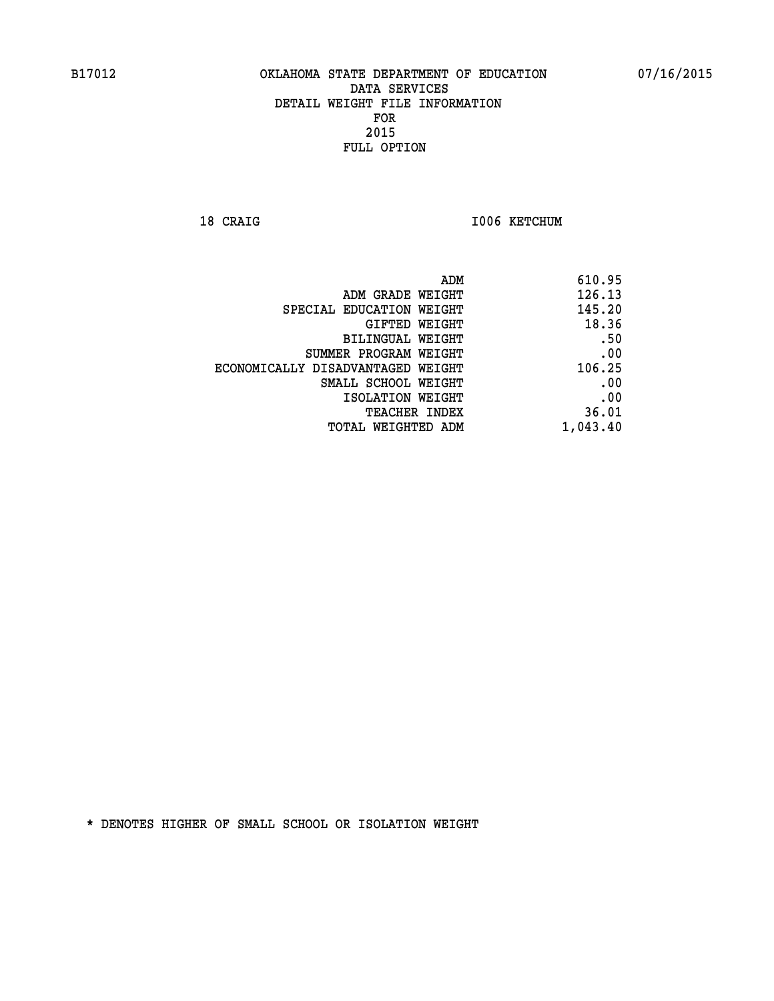18 CRAIG **I006 KETCHUM** 

| 610.95   |
|----------|
| 126.13   |
| 145.20   |
| 18.36    |
| .50      |
| .00      |
| 106.25   |
| .00      |
| .00      |
| 36.01    |
| 1,043.40 |
|          |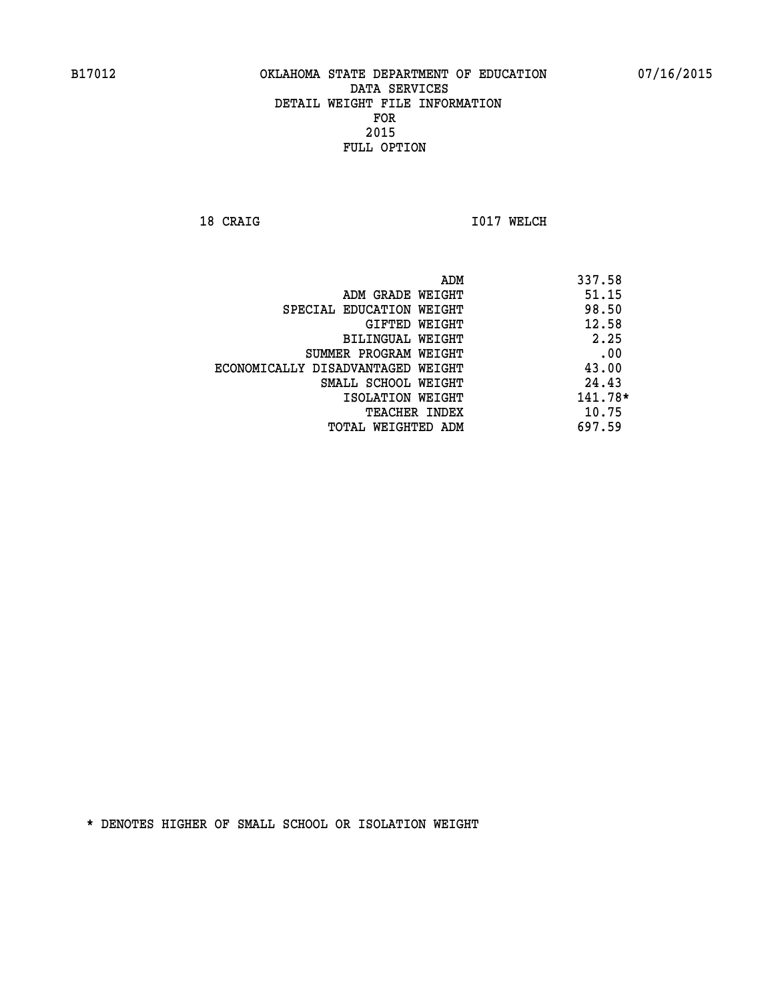**18 CRAIG 1017 WELCH** 

|                                   | ADM | 337.58  |
|-----------------------------------|-----|---------|
| ADM GRADE WEIGHT                  |     | 51.15   |
| SPECIAL EDUCATION WEIGHT          |     | 98.50   |
| GIFTED WEIGHT                     |     | 12.58   |
| BILINGUAL WEIGHT                  |     | 2.25    |
| SUMMER PROGRAM WEIGHT             |     | .00     |
| ECONOMICALLY DISADVANTAGED WEIGHT |     | 43.00   |
| SMALL SCHOOL WEIGHT               |     | 24.43   |
| ISOLATION WEIGHT                  |     | 141.78* |
| TEACHER INDEX                     |     | 10.75   |
| TOTAL WEIGHTED ADM                |     | 697.59  |
|                                   |     |         |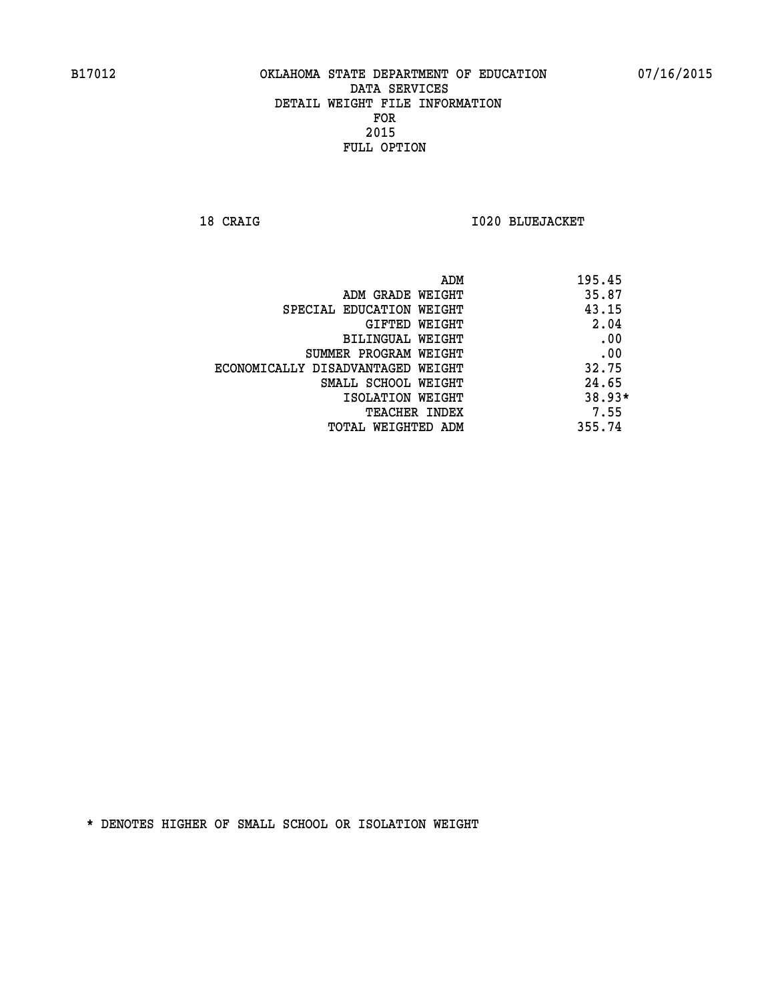**18 CRAIG I020 BLUEJACKET** 

|                                   | ADM | 195.45 |
|-----------------------------------|-----|--------|
| ADM GRADE WEIGHT                  |     | 35.87  |
| SPECIAL EDUCATION WEIGHT          |     | 43.15  |
| GIFTED WEIGHT                     |     | 2.04   |
| BILINGUAL WEIGHT                  |     | .00    |
| SUMMER PROGRAM WEIGHT             |     | .00    |
| ECONOMICALLY DISADVANTAGED WEIGHT |     | 32.75  |
| SMALL SCHOOL WEIGHT               |     | 24.65  |
| ISOLATION WEIGHT                  |     | 38.93* |
| TEACHER INDEX                     |     | 7.55   |
| TOTAL WEIGHTED ADM                |     | 355.74 |
|                                   |     |        |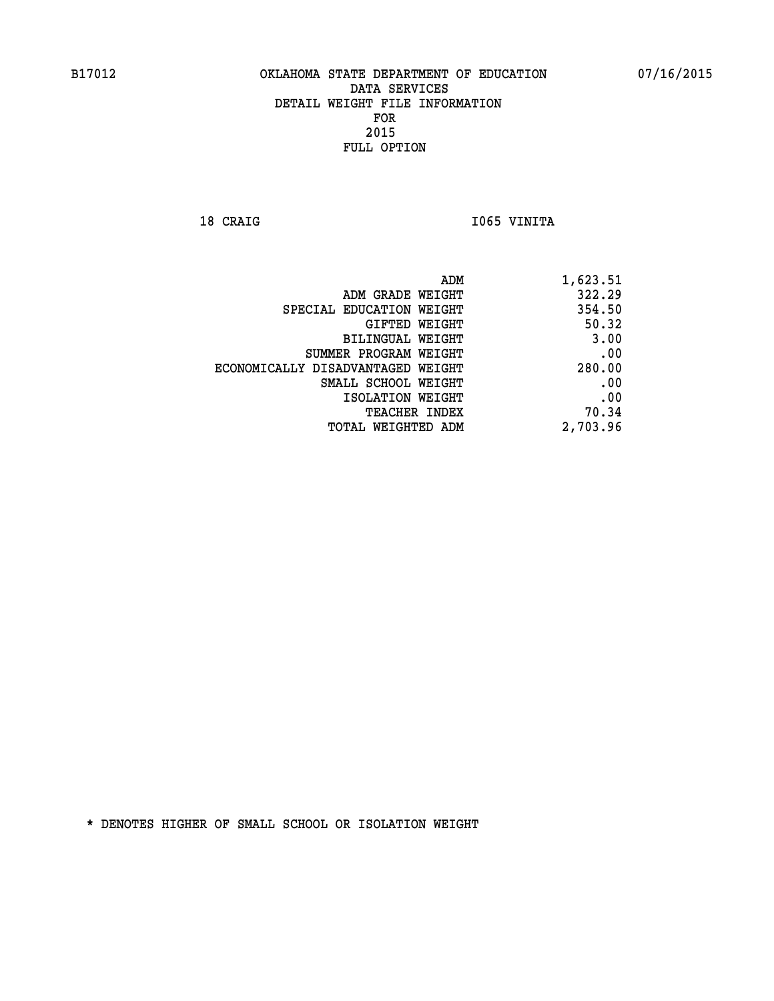18 CRAIG **I** 1065 VINITA

| ADM<br>1,623.51                       |                                   |
|---------------------------------------|-----------------------------------|
| 322.29<br>ADM GRADE WEIGHT            |                                   |
| 354.50<br>SPECIAL EDUCATION WEIGHT    |                                   |
| 50.32<br>GIFTED WEIGHT                |                                   |
| 3.00<br>BILINGUAL WEIGHT              |                                   |
| .00<br>SUMMER PROGRAM WEIGHT          |                                   |
| 280.00                                | ECONOMICALLY DISADVANTAGED WEIGHT |
| .00<br>SMALL SCHOOL WEIGHT            |                                   |
| .00<br>ISOLATION WEIGHT               |                                   |
| 70.34<br><b>TEACHER INDEX</b>         |                                   |
| 2,703.96<br><b>TOTAL WEIGHTED ADM</b> |                                   |
|                                       |                                   |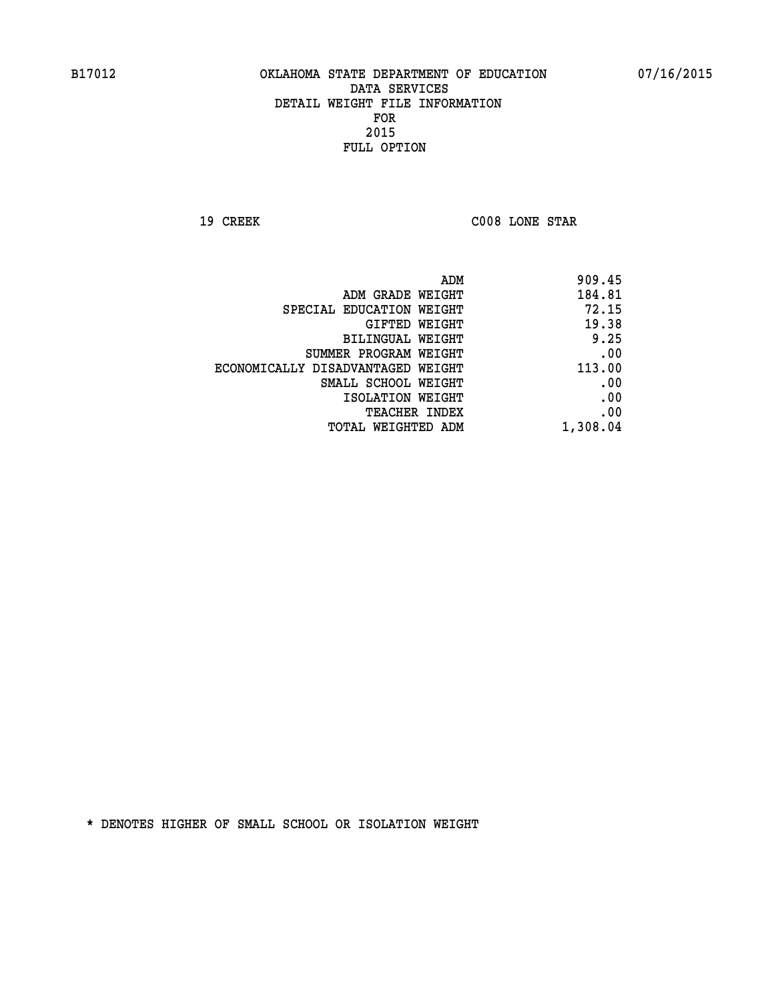**19 CREEK C008 LONE STAR** 

|                                   | ADM<br>909.45 |
|-----------------------------------|---------------|
| ADM GRADE WEIGHT                  | 184.81        |
| SPECIAL EDUCATION WEIGHT          | 72.15         |
| GIFTED WEIGHT                     | 19.38         |
| BILINGUAL WEIGHT                  | 9.25          |
| SUMMER PROGRAM WEIGHT             | .00           |
| ECONOMICALLY DISADVANTAGED WEIGHT | 113.00        |
| SMALL SCHOOL WEIGHT               | .00           |
| ISOLATION WEIGHT                  | .00           |
| TEACHER INDEX                     | .00           |
| TOTAL WEIGHTED ADM                | 1,308.04      |
|                                   |               |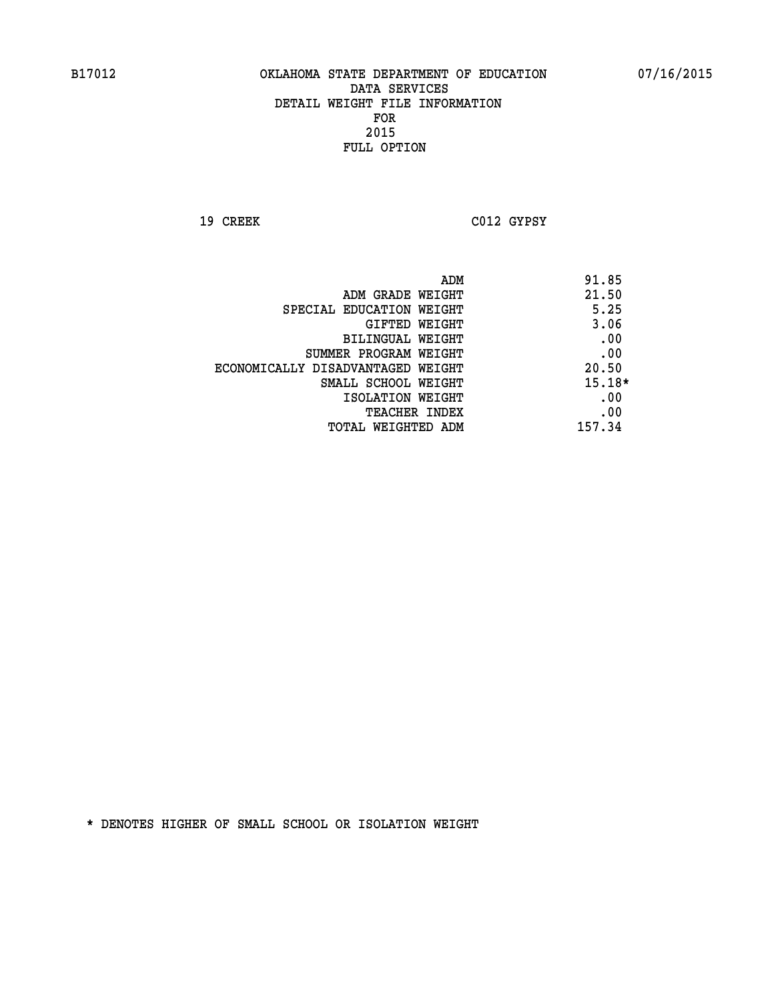**19 CREEK C012 GYPSY** 

|                                   | ADM | 91.85    |
|-----------------------------------|-----|----------|
| ADM GRADE WEIGHT                  |     | 21.50    |
| SPECIAL EDUCATION WEIGHT          |     | 5.25     |
| GIFTED WEIGHT                     |     | 3.06     |
| BILINGUAL WEIGHT                  |     | .00      |
| SUMMER PROGRAM WEIGHT             |     | .00      |
| ECONOMICALLY DISADVANTAGED WEIGHT |     | 20.50    |
| SMALL SCHOOL WEIGHT               |     | $15.18*$ |
| ISOLATION WEIGHT                  |     | .00      |
| TEACHER INDEX                     |     | .00      |
| TOTAL WEIGHTED ADM                |     | 157.34   |
|                                   |     |          |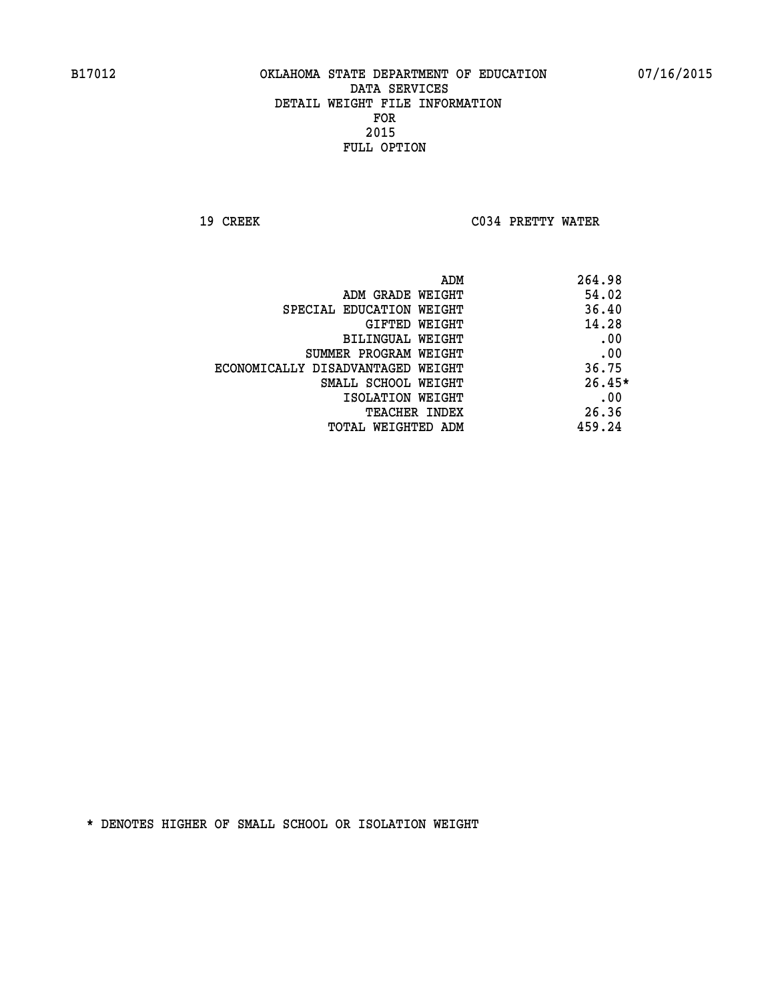**19 CREEK C034 PRETTY WATER** 

|                                   | 264.98<br>ADM |
|-----------------------------------|---------------|
| ADM GRADE WEIGHT                  | 54.02         |
| SPECIAL EDUCATION WEIGHT          | 36.40         |
| <b>GIFTED WEIGHT</b>              | 14.28         |
| BILINGUAL WEIGHT                  | .00           |
| SUMMER PROGRAM WEIGHT             | .00           |
| ECONOMICALLY DISADVANTAGED WEIGHT | 36.75         |
| SMALL SCHOOL WEIGHT               | $26.45*$      |
| ISOLATION WEIGHT                  | .00           |
| <b>TEACHER INDEX</b>              | 26.36         |
| TOTAL WEIGHTED ADM                | 459.24        |
|                                   |               |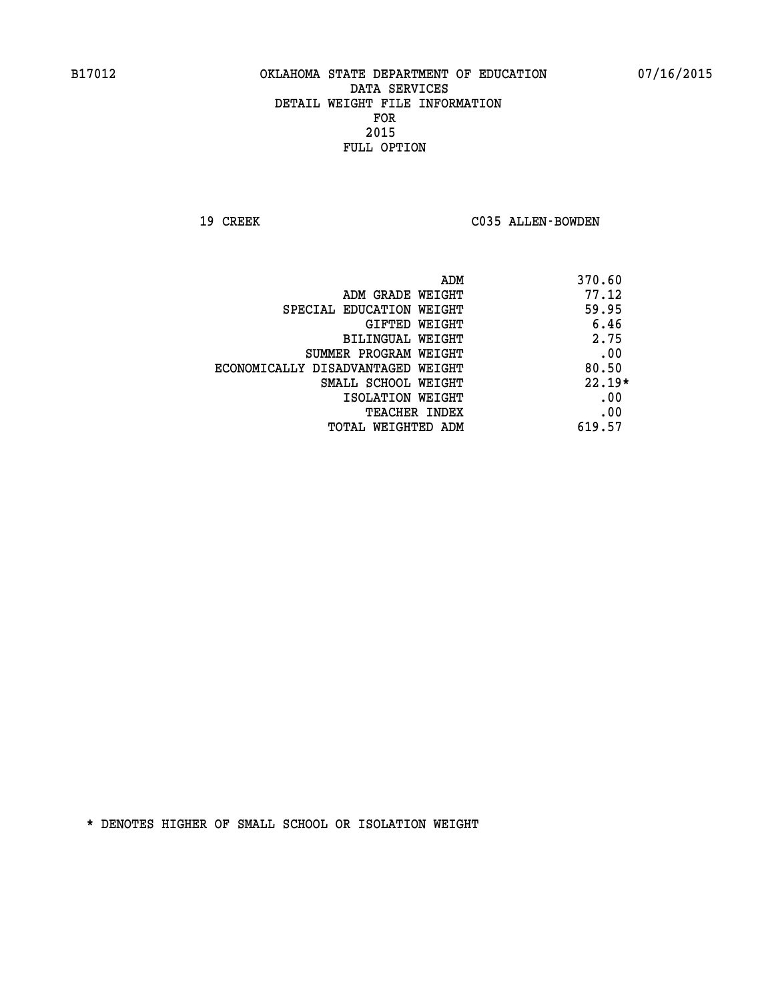19 CREEK C035 ALLEN-BOWDEN

| ADM                               | 370.60   |
|-----------------------------------|----------|
| ADM GRADE WEIGHT                  | 77.12    |
| SPECIAL EDUCATION WEIGHT          | 59.95    |
| GIFTED WEIGHT                     | 6.46     |
| BILINGUAL WEIGHT                  | 2.75     |
| SUMMER PROGRAM WEIGHT             | .00      |
| ECONOMICALLY DISADVANTAGED WEIGHT | 80.50    |
| SMALL SCHOOL WEIGHT               | $22.19*$ |
| ISOLATION WEIGHT                  | .00      |
| <b>TEACHER INDEX</b>              | .00      |
| TOTAL WEIGHTED ADM                | 619.57   |
|                                   |          |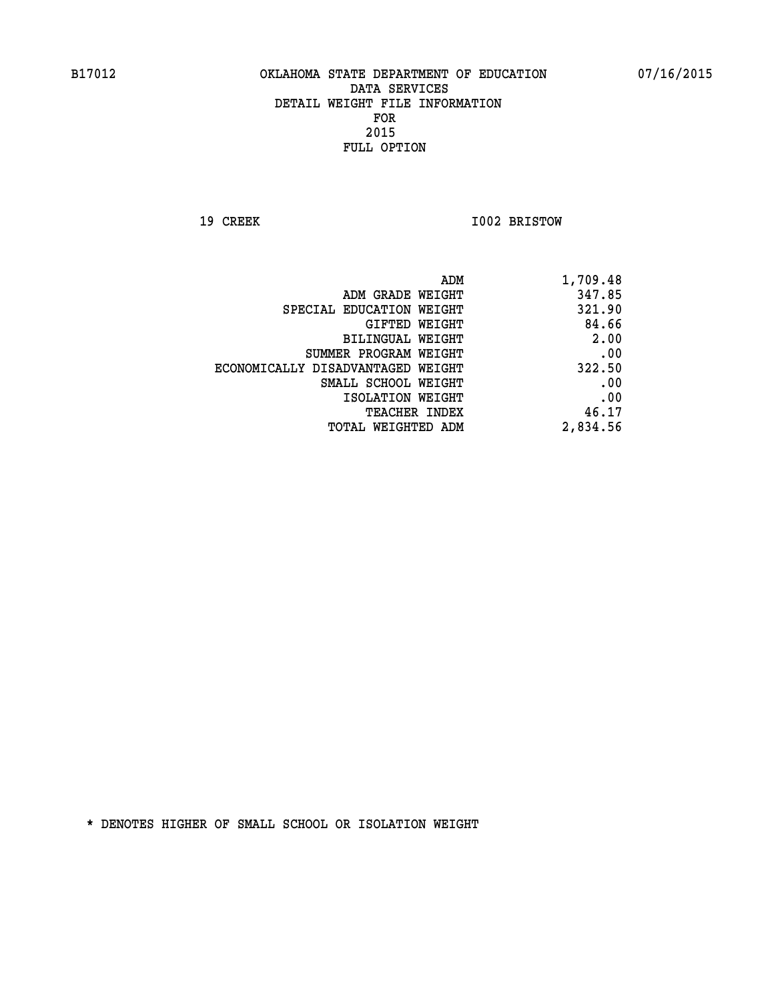**19 CREEK 1002 BRISTOW** 

| 1,709.48 |
|----------|
| 347.85   |
| 321.90   |
| 84.66    |
| 2.00     |
| .00      |
| 322.50   |
| .00      |
| .00      |
| 46.17    |
| 2,834.56 |
|          |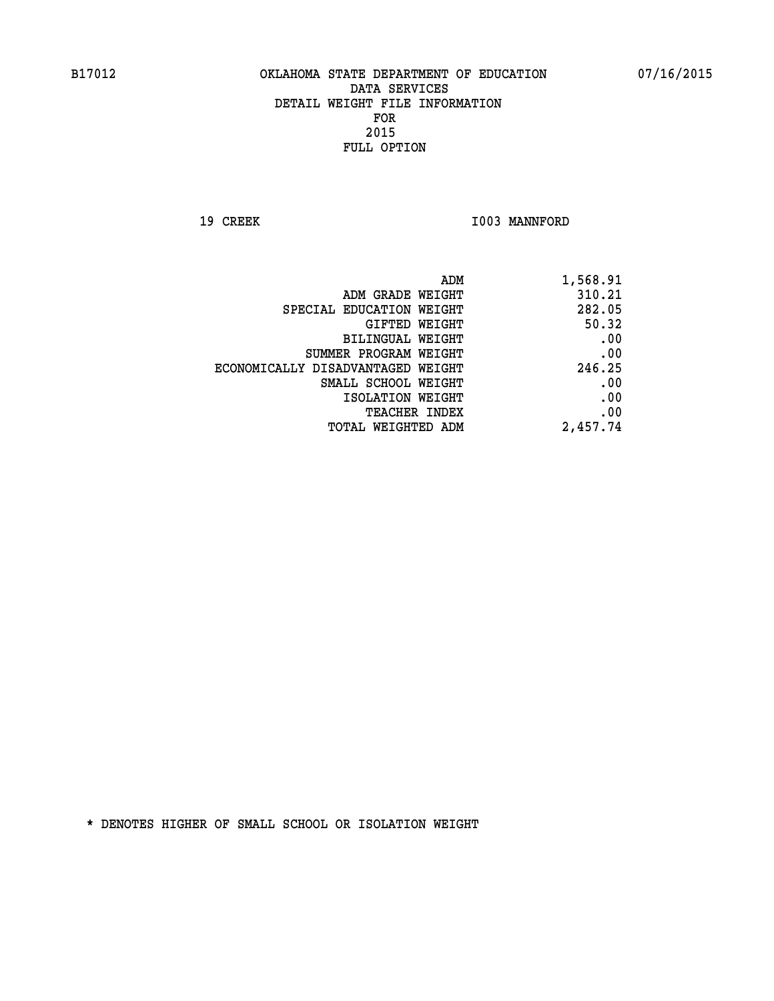19 CREEK 1003 MANNFORD

| 1,568.91 |
|----------|
| 310.21   |
| 282.05   |
| 50.32    |
| .00      |
| .00      |
| 246.25   |
| .00      |
| .00      |
| .00      |
| 2,457.74 |
|          |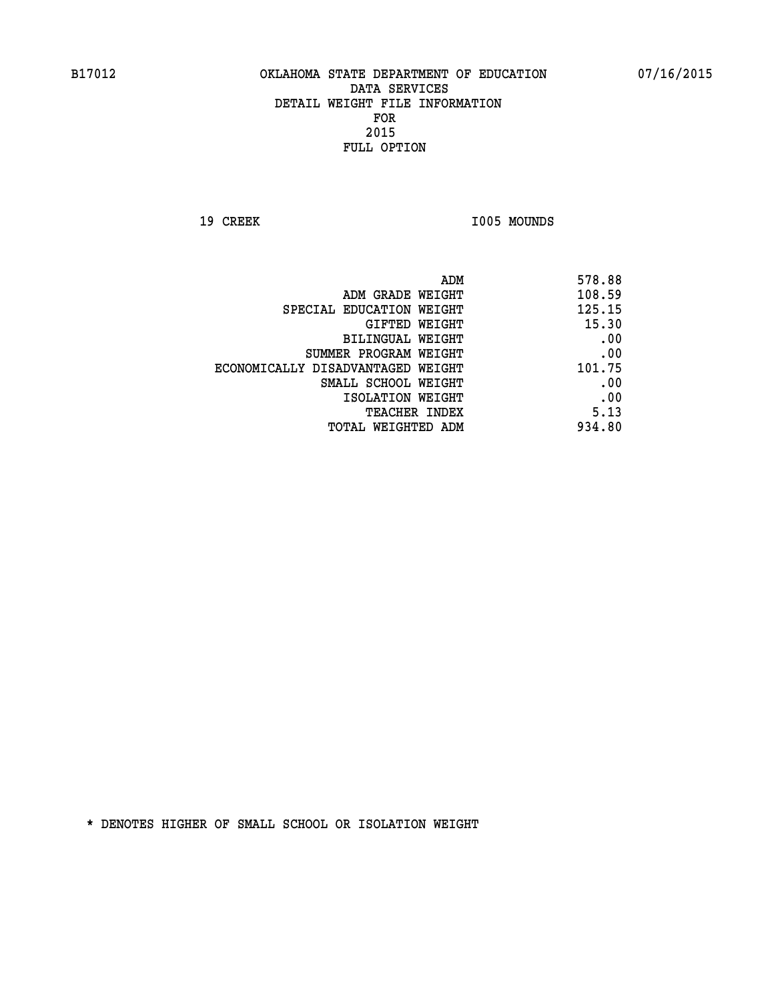19 CREEK 1005 MOUNDS

| 578.88 |
|--------|
| 108.59 |
| 125.15 |
| 15.30  |
| .00    |
| .00    |
| 101.75 |
| .00    |
| .00    |
| 5.13   |
| 934.80 |
|        |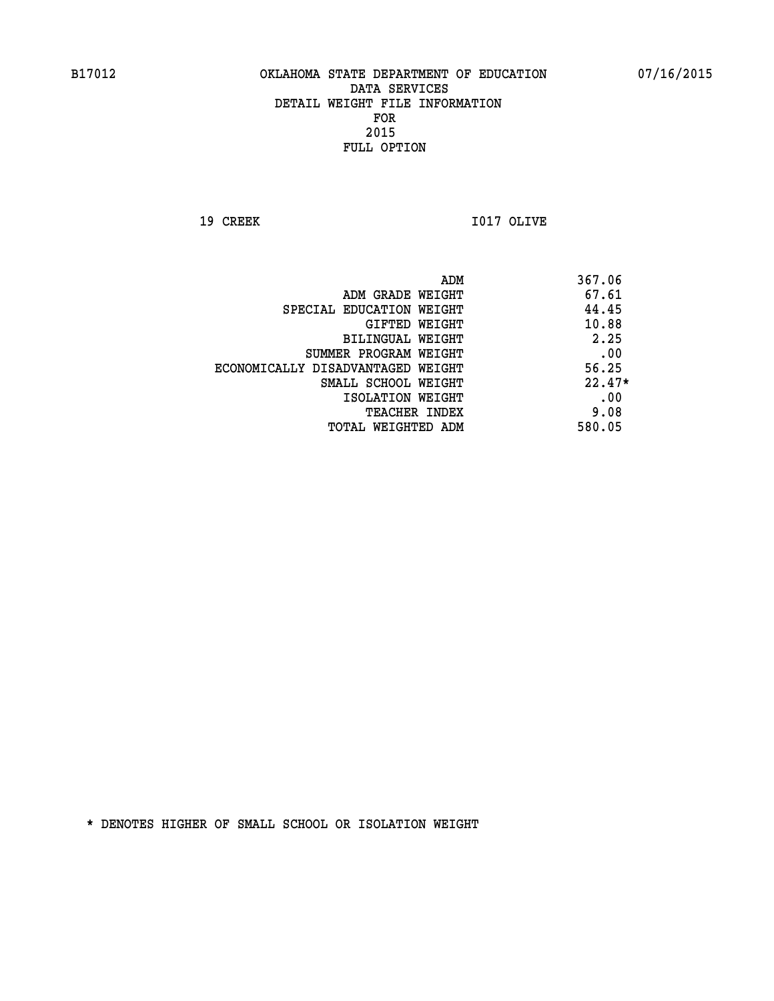**19 CREEK I017 OLIVE** 

|                                   | ADM | 367.06   |
|-----------------------------------|-----|----------|
| ADM GRADE WEIGHT                  |     | 67.61    |
| SPECIAL EDUCATION WEIGHT          |     | 44.45    |
| GIFTED WEIGHT                     |     | 10.88    |
| BILINGUAL WEIGHT                  |     | 2.25     |
| SUMMER PROGRAM WEIGHT             |     | .00      |
| ECONOMICALLY DISADVANTAGED WEIGHT |     | 56.25    |
| SMALL SCHOOL WEIGHT               |     | $22.47*$ |
| ISOLATION WEIGHT                  |     | .00      |
| <b>TEACHER INDEX</b>              |     | 9.08     |
| TOTAL WEIGHTED ADM                |     | 580.05   |
|                                   |     |          |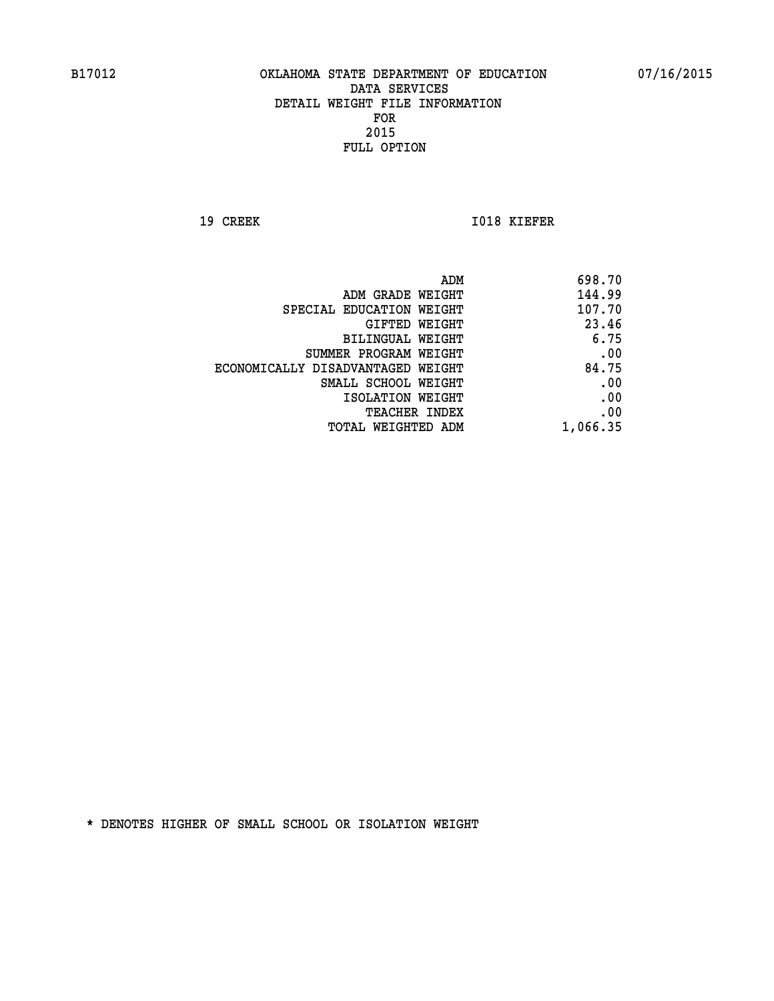**19 CREEK 1018 KIEFER** 

| ADM                               | 698.70   |
|-----------------------------------|----------|
| ADM GRADE WEIGHT                  | 144.99   |
| SPECIAL EDUCATION WEIGHT          | 107.70   |
| GIFTED WEIGHT                     | 23.46    |
| BILINGUAL WEIGHT                  | 6.75     |
| SUMMER PROGRAM WEIGHT             | .00      |
| ECONOMICALLY DISADVANTAGED WEIGHT | 84.75    |
| SMALL SCHOOL WEIGHT               | .00      |
| ISOLATION WEIGHT                  | .00      |
| <b>TEACHER INDEX</b>              | .00      |
| TOTAL WEIGHTED ADM                | 1,066.35 |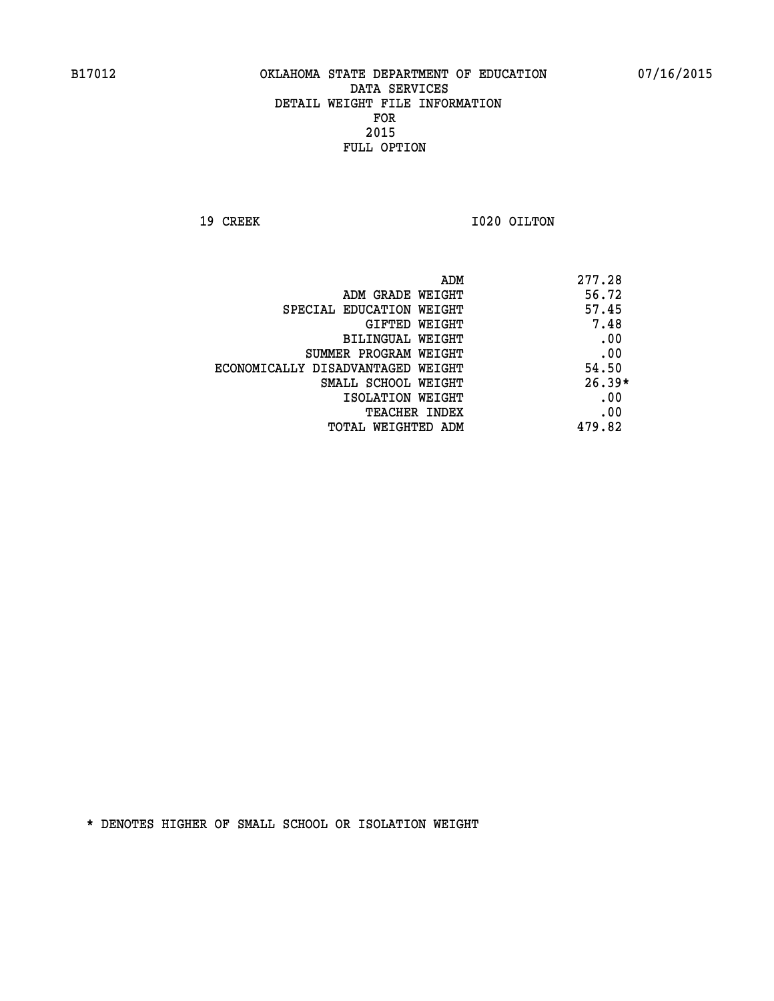**19 CREEK 1020 OILTON** 

|                                   | ADM | 277.28   |
|-----------------------------------|-----|----------|
| ADM GRADE WEIGHT                  |     | 56.72    |
| SPECIAL EDUCATION WEIGHT          |     | 57.45    |
| GIFTED WEIGHT                     |     | 7.48     |
| BILINGUAL WEIGHT                  |     | .00      |
| SUMMER PROGRAM WEIGHT             |     | .00      |
| ECONOMICALLY DISADVANTAGED WEIGHT |     | 54.50    |
| SMALL SCHOOL WEIGHT               |     | $26.39*$ |
| ISOLATION WEIGHT                  |     | .00      |
| <b>TEACHER INDEX</b>              |     | .00      |
| TOTAL WEIGHTED ADM                |     | 479.82   |
|                                   |     |          |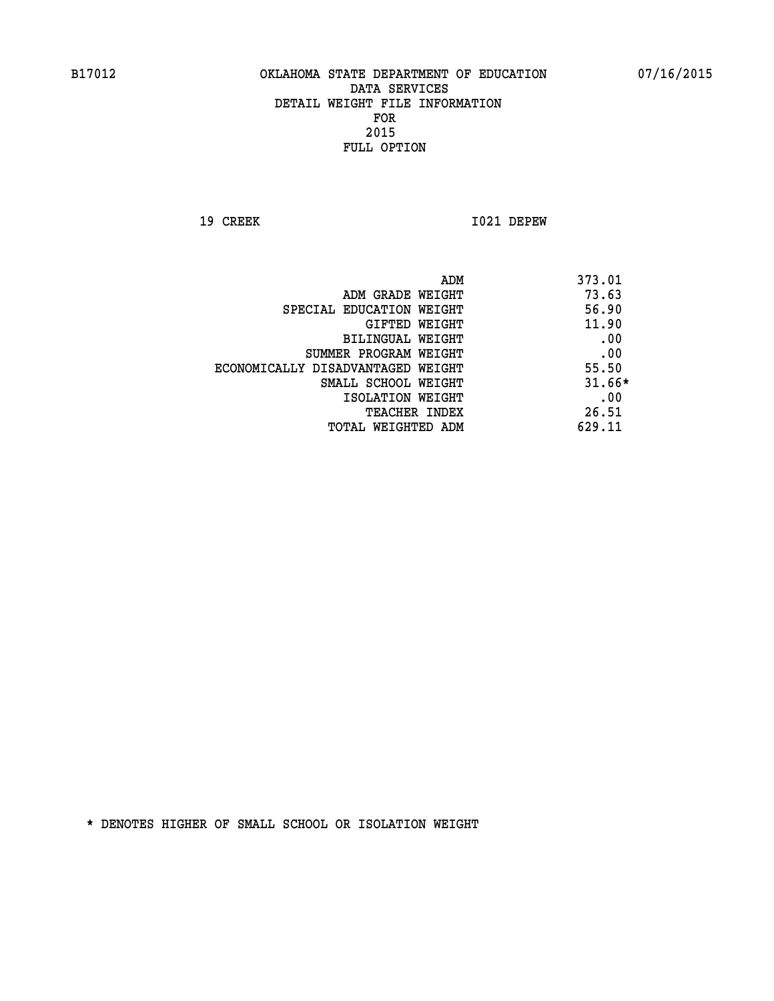**19 CREEK I021 DEPEW** 

| ADM                               | 373.01   |
|-----------------------------------|----------|
| ADM GRADE WEIGHT                  | 73.63    |
| SPECIAL EDUCATION WEIGHT          | 56.90    |
| GIFTED WEIGHT                     | 11.90    |
| BILINGUAL WEIGHT                  | .00      |
| SUMMER PROGRAM WEIGHT             | .00      |
| ECONOMICALLY DISADVANTAGED WEIGHT | 55.50    |
| SMALL SCHOOL WEIGHT               | $31.66*$ |
| ISOLATION WEIGHT                  | .00      |
| TEACHER INDEX                     | 26.51    |
| TOTAL WEIGHTED ADM                | 629.11   |
|                                   |          |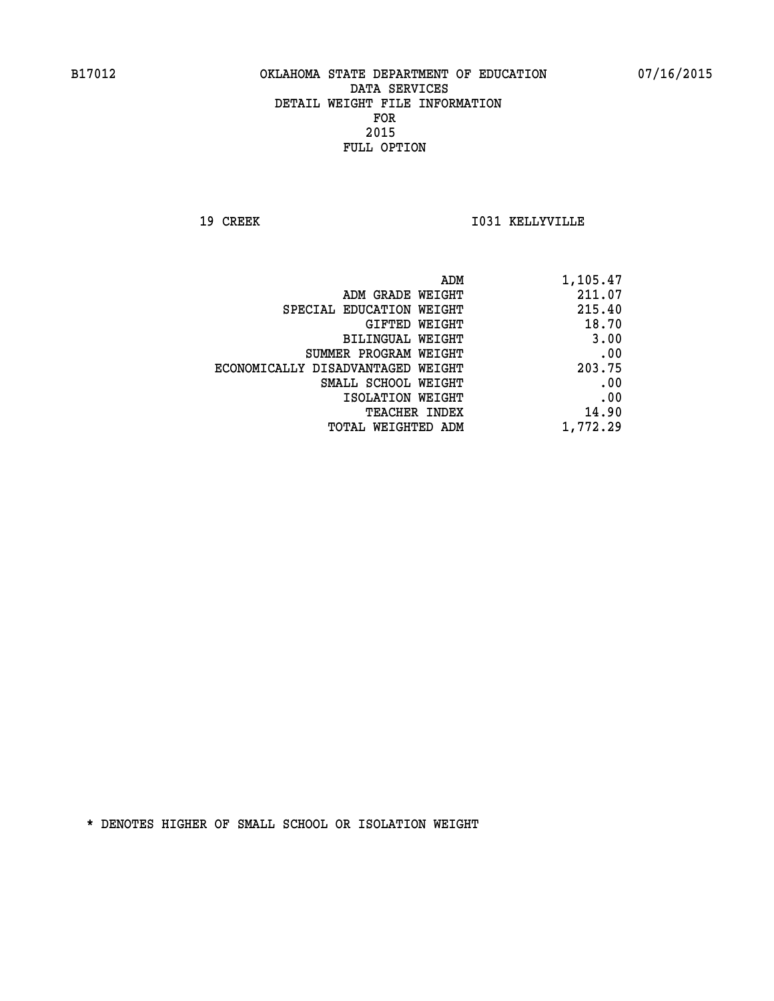**19 CREEK I031 KELLYVILLE** 

| 1,105.47 |
|----------|
| 211.07   |
| 215.40   |
| 18.70    |
| 3.00     |
| .00      |
| 203.75   |
| .00      |
| .00      |
| 14.90    |
| 1,772.29 |
|          |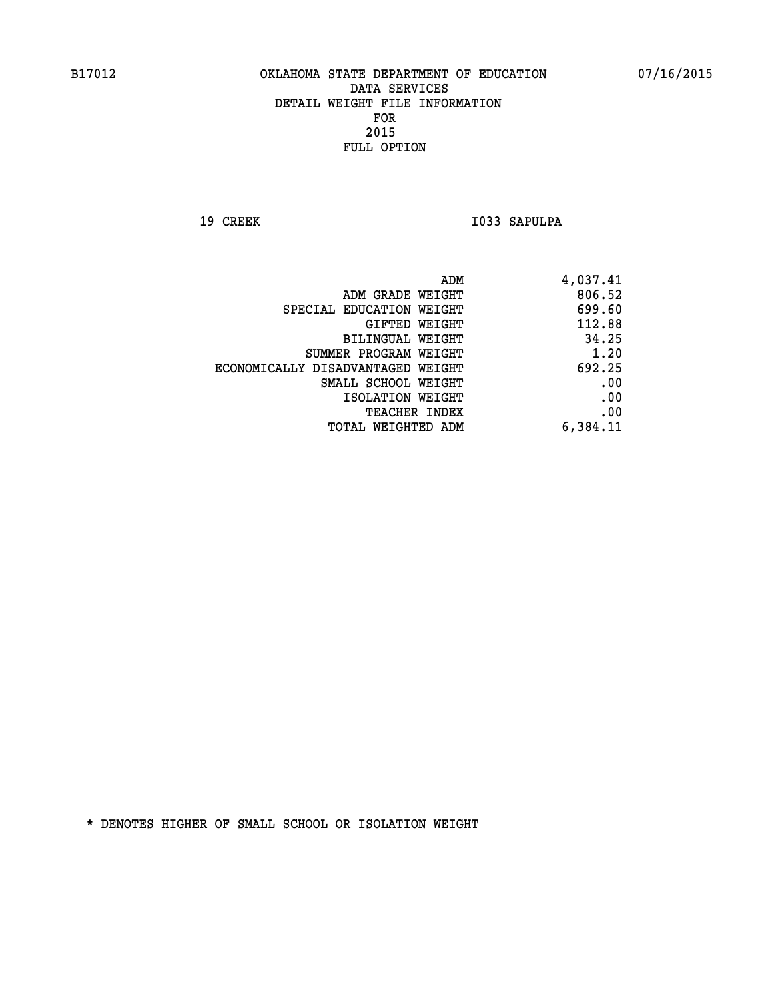19 CREEK 1033 SAPULPA

| 4,037.41 |
|----------|
| 806.52   |
| 699.60   |
| 112.88   |
| 34.25    |
| 1.20     |
| 692.25   |
| .00      |
| .00      |
| .00      |
| 6,384.11 |
|          |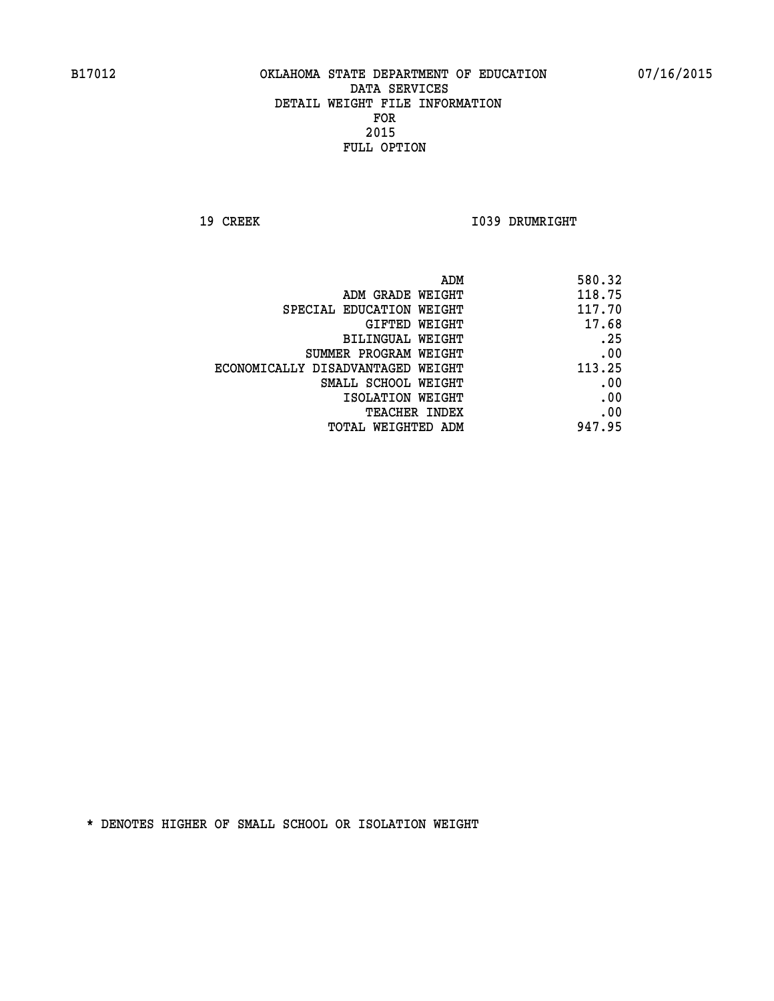**19 CREEK 1039 DRUMRIGHT** 

| ADM                               | 580.32 |
|-----------------------------------|--------|
| ADM GRADE WEIGHT                  | 118.75 |
| SPECIAL EDUCATION WEIGHT          | 117.70 |
| GIFTED WEIGHT                     | 17.68  |
| BILINGUAL WEIGHT                  | .25    |
| SUMMER PROGRAM WEIGHT             | .00    |
| ECONOMICALLY DISADVANTAGED WEIGHT | 113.25 |
| SMALL SCHOOL WEIGHT               | .00    |
| ISOLATION WEIGHT                  | .00    |
| TEACHER INDEX                     | .00    |
| TOTAL WEIGHTED ADM                | 947.95 |
|                                   |        |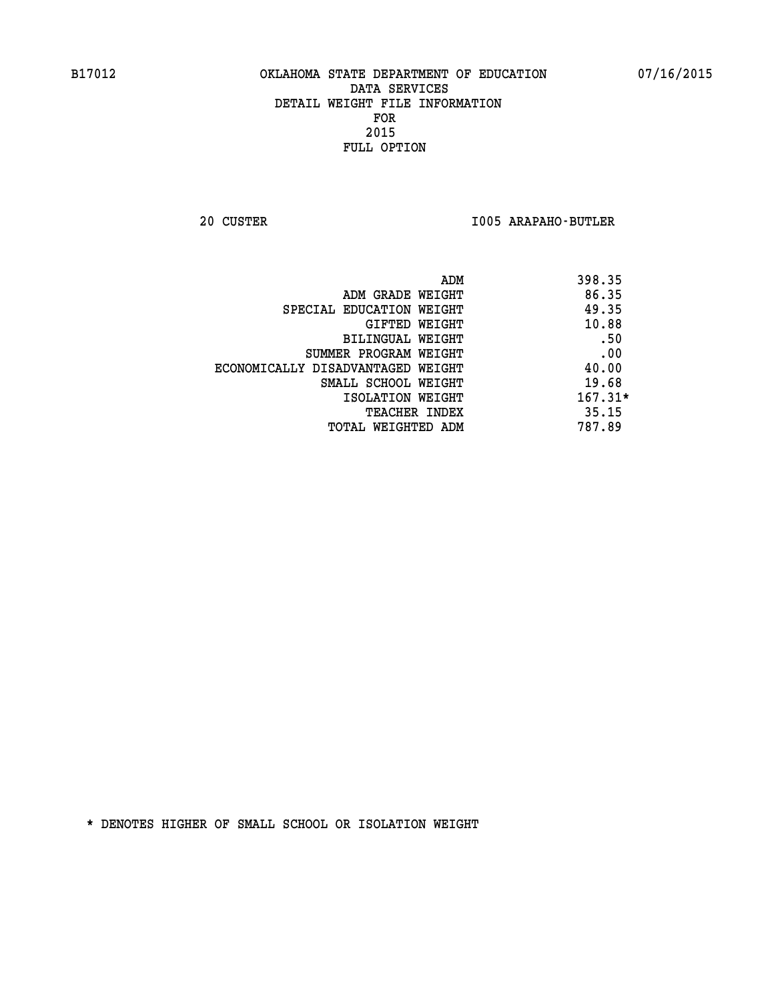**20 CUSTER I005 ARAPAHO-BUTLER** 

| ADM                               | 398.35    |
|-----------------------------------|-----------|
| ADM GRADE WEIGHT                  | 86.35     |
| SPECIAL EDUCATION WEIGHT          | 49.35     |
| GIFTED WEIGHT                     | 10.88     |
| BILINGUAL WEIGHT                  | .50       |
| SUMMER PROGRAM WEIGHT             | .00       |
| ECONOMICALLY DISADVANTAGED WEIGHT | 40.00     |
| SMALL SCHOOL WEIGHT               | 19.68     |
| ISOLATION WEIGHT                  | $167.31*$ |
| <b>TEACHER INDEX</b>              | 35.15     |
| TOTAL WEIGHTED ADM                | 787.89    |
|                                   |           |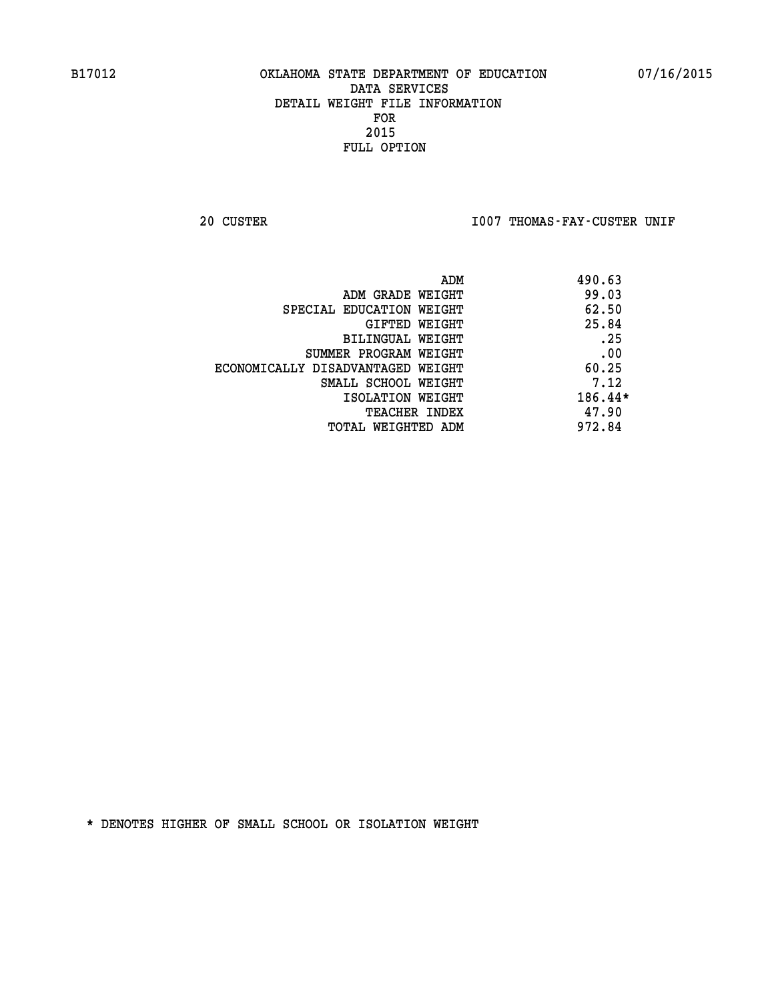20 CUSTER **IOO7 THOMAS-FAY-CUSTER UNIF** 

|                                   | ADM | 490.63  |
|-----------------------------------|-----|---------|
| ADM GRADE WEIGHT                  |     | 99.03   |
| SPECIAL EDUCATION WEIGHT          |     | 62.50   |
| GIFTED WEIGHT                     |     | 25.84   |
| BILINGUAL WEIGHT                  |     | .25     |
| SUMMER PROGRAM WEIGHT             |     | .00     |
| ECONOMICALLY DISADVANTAGED WEIGHT |     | 60.25   |
| SMALL SCHOOL WEIGHT               |     | 7.12    |
| ISOLATION WEIGHT                  |     | 186.44* |
| <b>TEACHER INDEX</b>              |     | 47.90   |
| TOTAL WEIGHTED ADM                |     | 972.84  |
|                                   |     |         |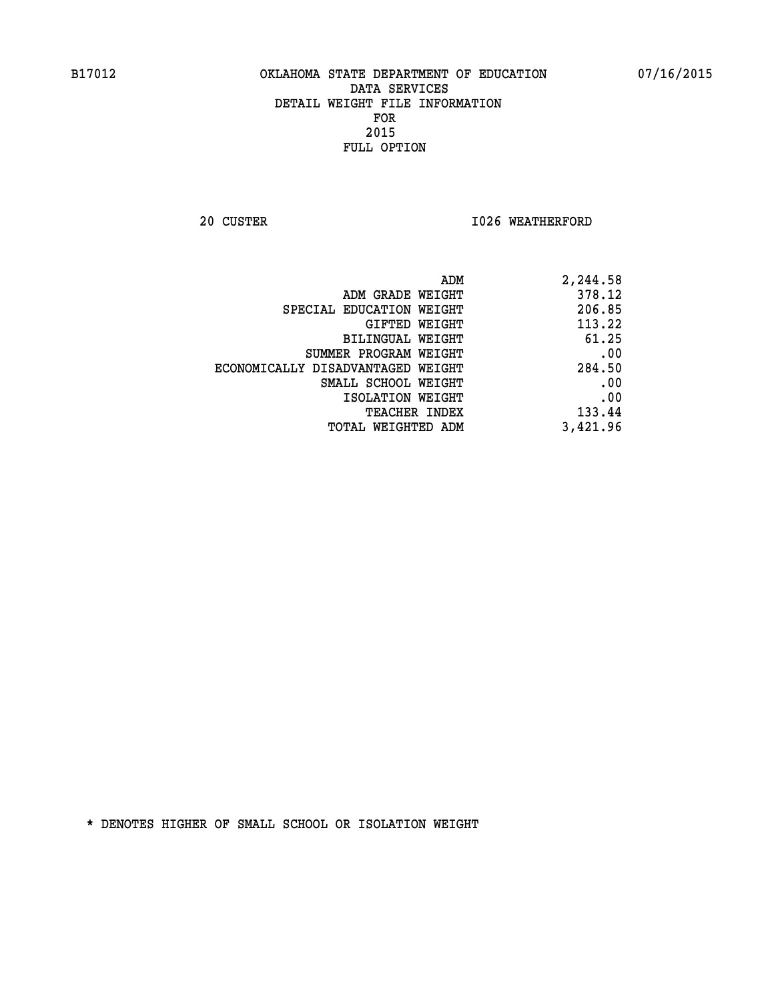**20 CUSTER 1026 WEATHERFORD** 

| ADM                               | 2,244.58 |
|-----------------------------------|----------|
| ADM GRADE WEIGHT                  | 378.12   |
| SPECIAL EDUCATION WEIGHT          | 206.85   |
| GIFTED WEIGHT                     | 113.22   |
| BILINGUAL WEIGHT                  | 61.25    |
| SUMMER PROGRAM WEIGHT             | .00      |
| ECONOMICALLY DISADVANTAGED WEIGHT | 284.50   |
| SMALL SCHOOL WEIGHT               | .00      |
| ISOLATION WEIGHT                  | .00      |
| <b>TEACHER INDEX</b>              | 133.44   |
| TOTAL WEIGHTED ADM                | 3,421.96 |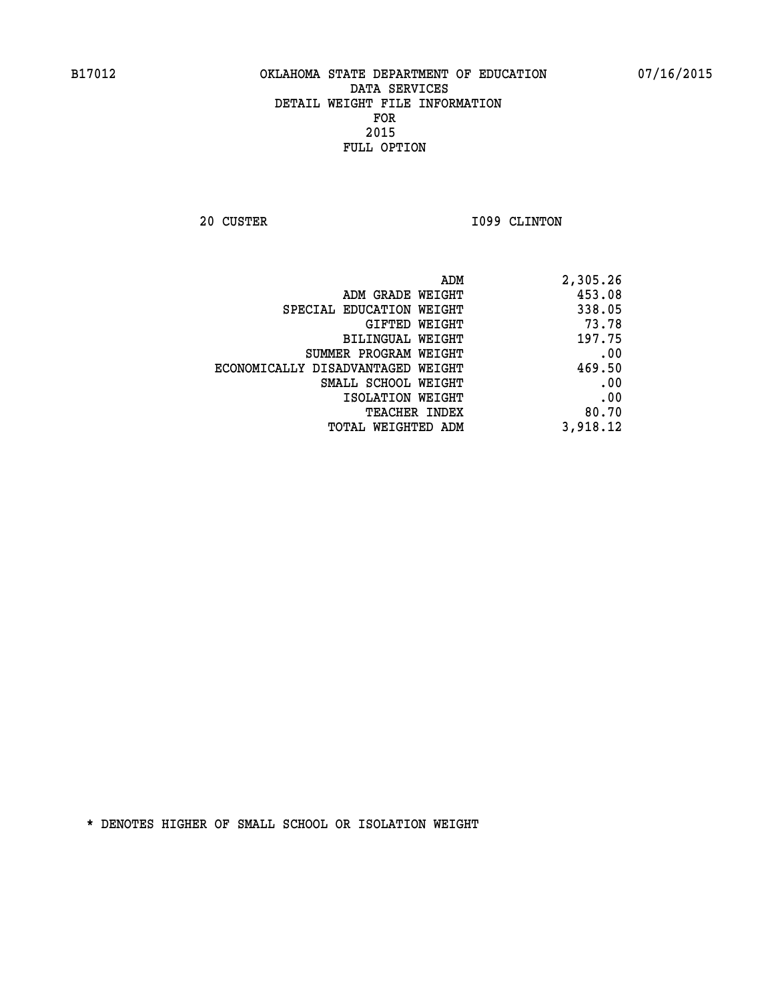**20 CUSTER 1099 CLINTON** 

| 2,305.26 |
|----------|
| 453.08   |
| 338.05   |
| 73.78    |
| 197.75   |
| .00      |
| 469.50   |
| .00      |
| .00      |
| 80.70    |
| 3,918.12 |
|          |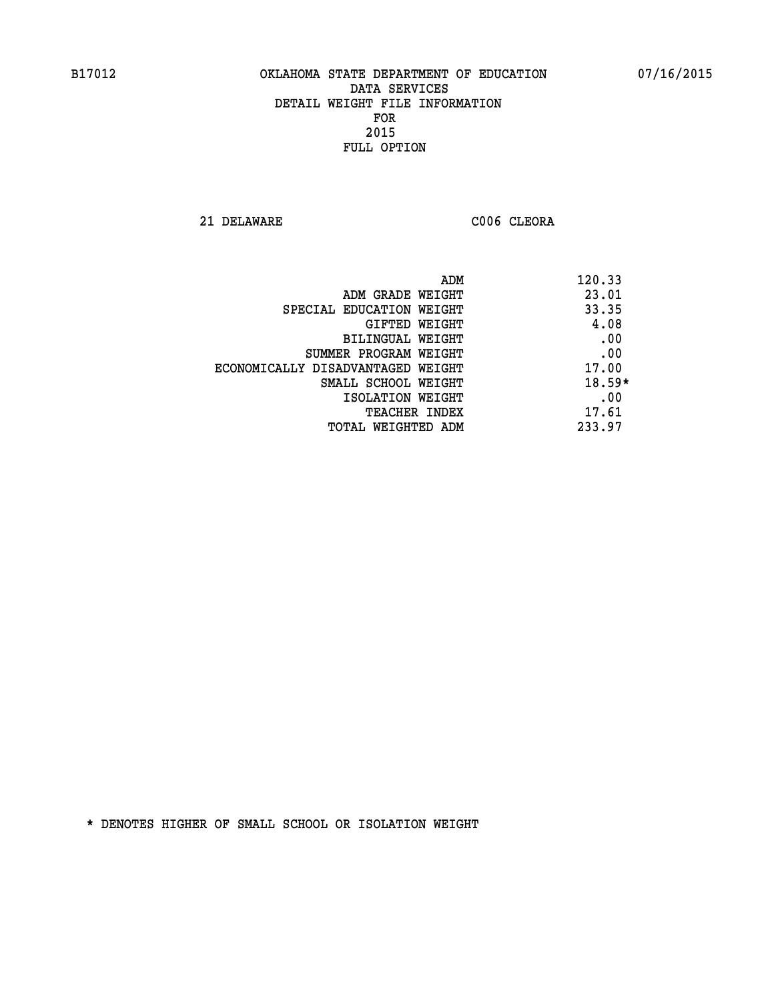**21 DELAWARE C006 CLEORA** 

| ADM                               | 120.33   |
|-----------------------------------|----------|
| ADM GRADE WEIGHT                  | 23.01    |
| SPECIAL EDUCATION WEIGHT          | 33.35    |
| GIFTED WEIGHT                     | 4.08     |
| BILINGUAL WEIGHT                  | .00      |
| SUMMER PROGRAM WEIGHT             | .00      |
| ECONOMICALLY DISADVANTAGED WEIGHT | 17.00    |
| SMALL SCHOOL WEIGHT               | $18.59*$ |
| ISOLATION WEIGHT                  | .00      |
| <b>TEACHER INDEX</b>              | 17.61    |
| TOTAL WEIGHTED ADM                | 233.97   |
|                                   |          |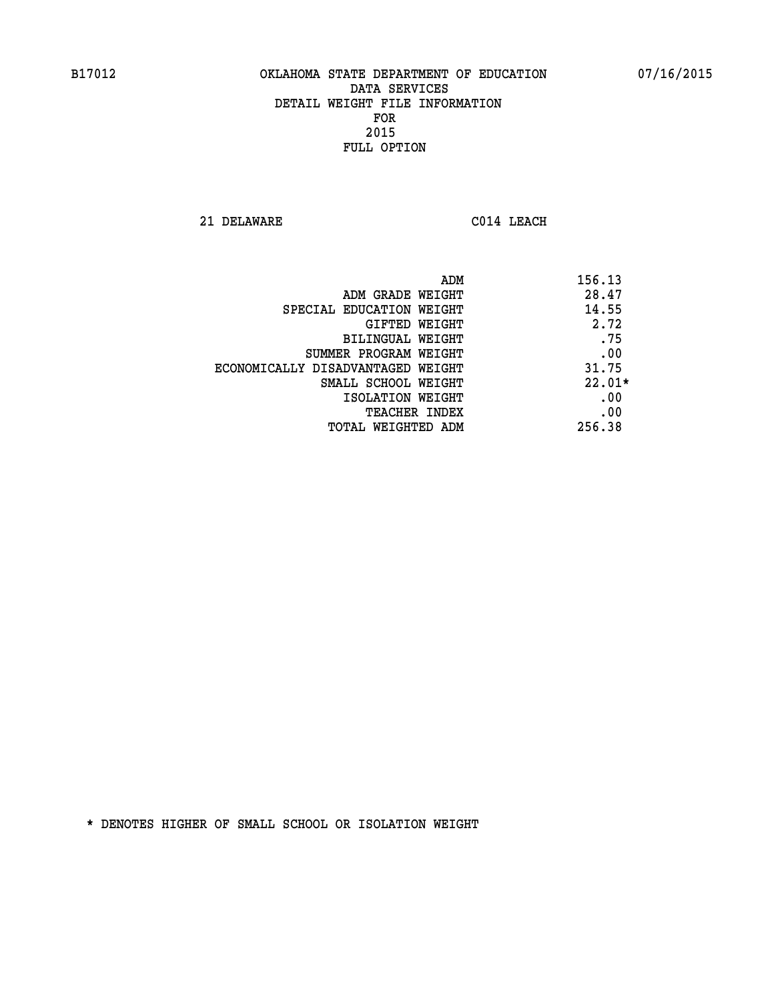**21 DELAWARE C014 LEACH** 

| ADM                               | 156.13   |
|-----------------------------------|----------|
| ADM GRADE WEIGHT                  | 28.47    |
| SPECIAL EDUCATION WEIGHT          | 14.55    |
| GIFTED WEIGHT                     | 2.72     |
| BILINGUAL WEIGHT                  | .75      |
| SUMMER PROGRAM WEIGHT             | .00      |
| ECONOMICALLY DISADVANTAGED WEIGHT | 31.75    |
| SMALL SCHOOL WEIGHT               | $22.01*$ |
| ISOLATION WEIGHT                  | .00      |
| <b>TEACHER INDEX</b>              | .00      |
| TOTAL WEIGHTED ADM                | 256.38   |
|                                   |          |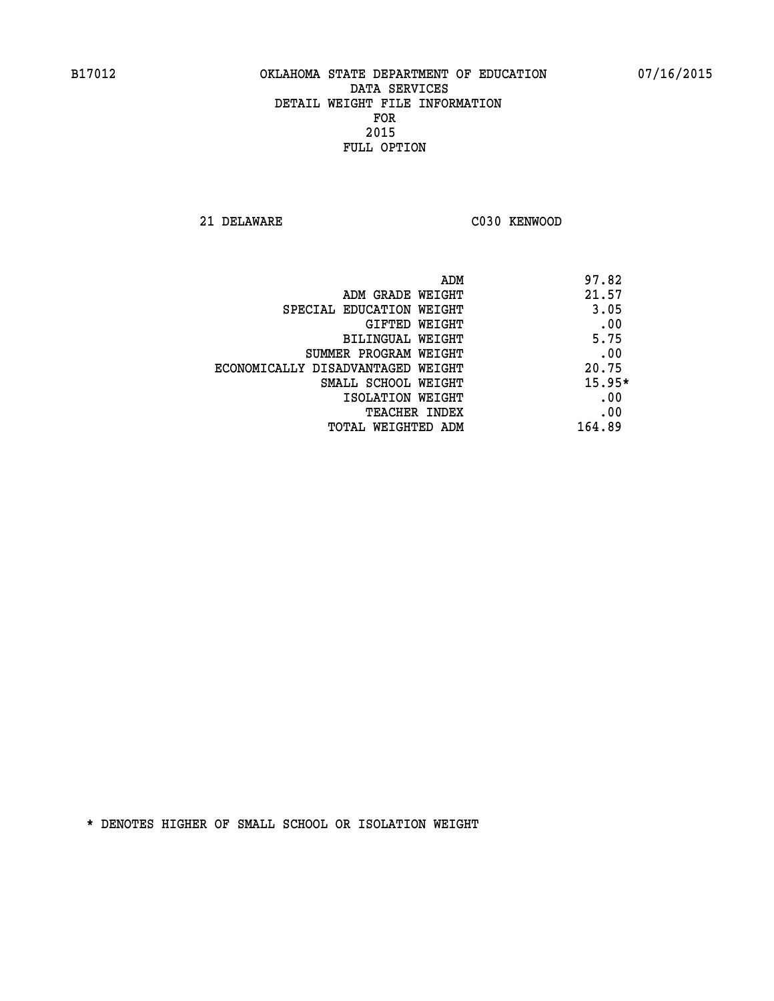**21 DELAWARE C030 KENWOOD** 

| ADM                               | 97.82    |
|-----------------------------------|----------|
| ADM GRADE WEIGHT                  | 21.57    |
| SPECIAL EDUCATION WEIGHT          | 3.05     |
| GIFTED WEIGHT                     | .00      |
| BILINGUAL WEIGHT                  | 5.75     |
| SUMMER PROGRAM WEIGHT             | .00      |
| ECONOMICALLY DISADVANTAGED WEIGHT | 20.75    |
| SMALL SCHOOL WEIGHT               | $15.95*$ |
| ISOLATION WEIGHT                  | .00      |
| <b>TEACHER INDEX</b>              | .00      |
| TOTAL WEIGHTED ADM                | 164.89   |
|                                   |          |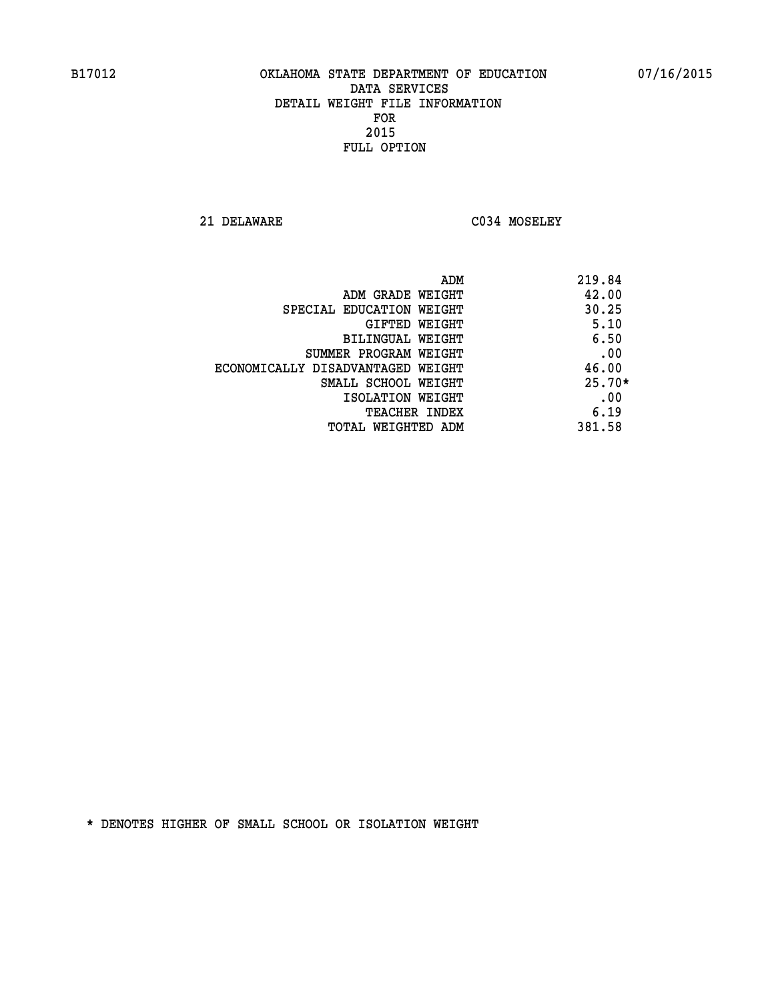**21 DELAWARE C034 MOSELEY** 

|                                   | ADM | 219.84   |
|-----------------------------------|-----|----------|
| ADM GRADE WEIGHT                  |     | 42.00    |
| SPECIAL EDUCATION WEIGHT          |     | 30.25    |
| GIFTED WEIGHT                     |     | 5.10     |
| BILINGUAL WEIGHT                  |     | 6.50     |
| SUMMER PROGRAM WEIGHT             |     | .00      |
| ECONOMICALLY DISADVANTAGED WEIGHT |     | 46.00    |
| SMALL SCHOOL WEIGHT               |     | $25.70*$ |
| ISOLATION WEIGHT                  |     | .00      |
| <b>TEACHER INDEX</b>              |     | 6.19     |
| TOTAL WEIGHTED ADM                |     | 381.58   |
|                                   |     |          |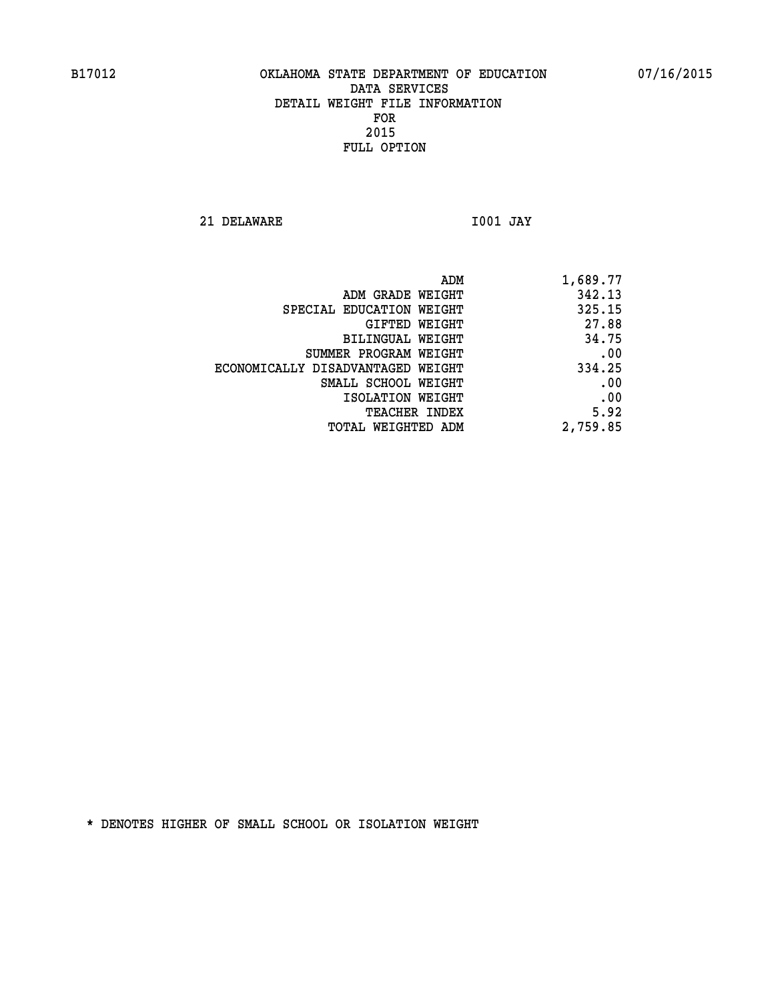**21 DELAWARE I001 JAY** 

| ADM                               | 1,689.77 |
|-----------------------------------|----------|
| ADM GRADE WEIGHT                  | 342.13   |
| SPECIAL EDUCATION WEIGHT          | 325.15   |
| GIFTED WEIGHT                     | 27.88    |
| BILINGUAL WEIGHT                  | 34.75    |
| SUMMER PROGRAM WEIGHT             | .00      |
| ECONOMICALLY DISADVANTAGED WEIGHT | 334.25   |
| SMALL SCHOOL WEIGHT               | .00      |
| ISOLATION WEIGHT                  | .00      |
| <b>TEACHER INDEX</b>              | 5.92     |
| TOTAL WEIGHTED ADM                | 2,759.85 |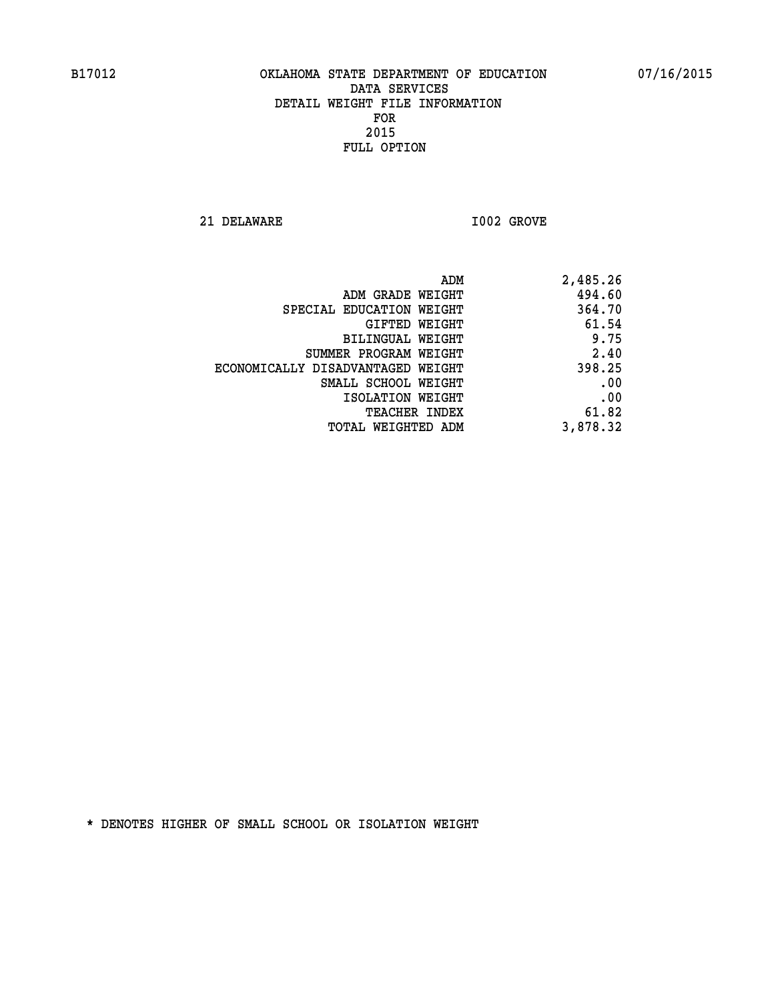**21 DELAWARE I002 GROVE** 

| 2,485.26 |
|----------|
| 494.60   |
| 364.70   |
| 61.54    |
| 9.75     |
| 2.40     |
| 398.25   |
| .00      |
| .00      |
| 61.82    |
| 3,878.32 |
|          |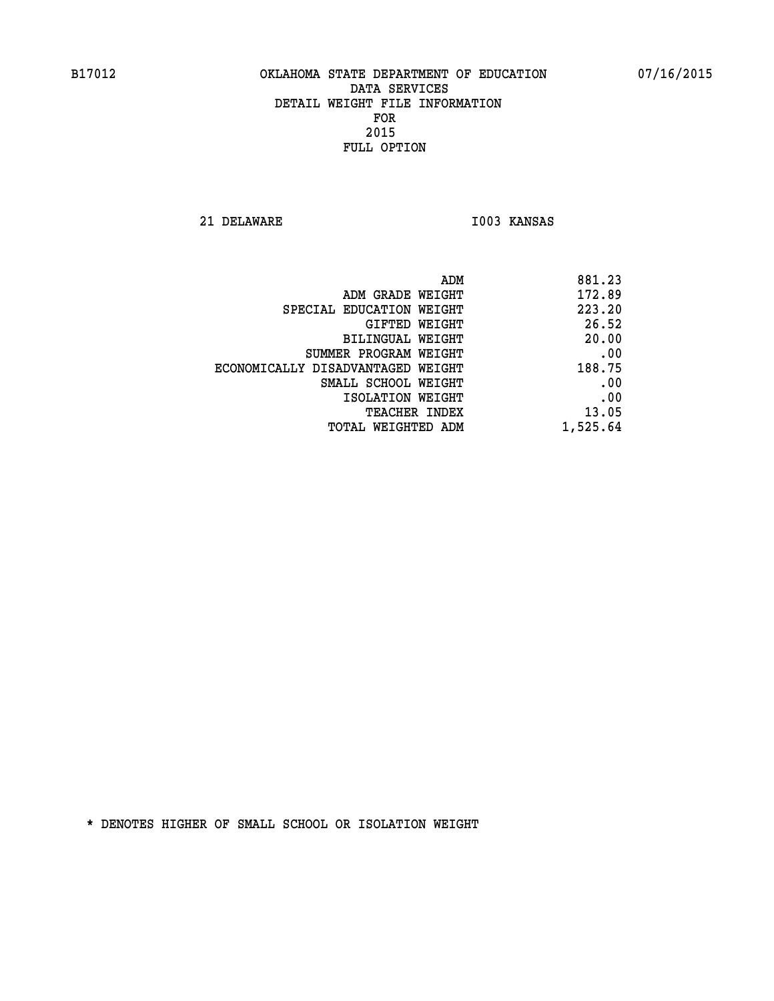**21 DELAWARE I003 KANSAS** 

| 881.23   |
|----------|
| 172.89   |
| 223.20   |
| 26.52    |
| 20.00    |
| .00      |
| 188.75   |
| .00      |
| .00      |
| 13.05    |
| 1,525.64 |
|          |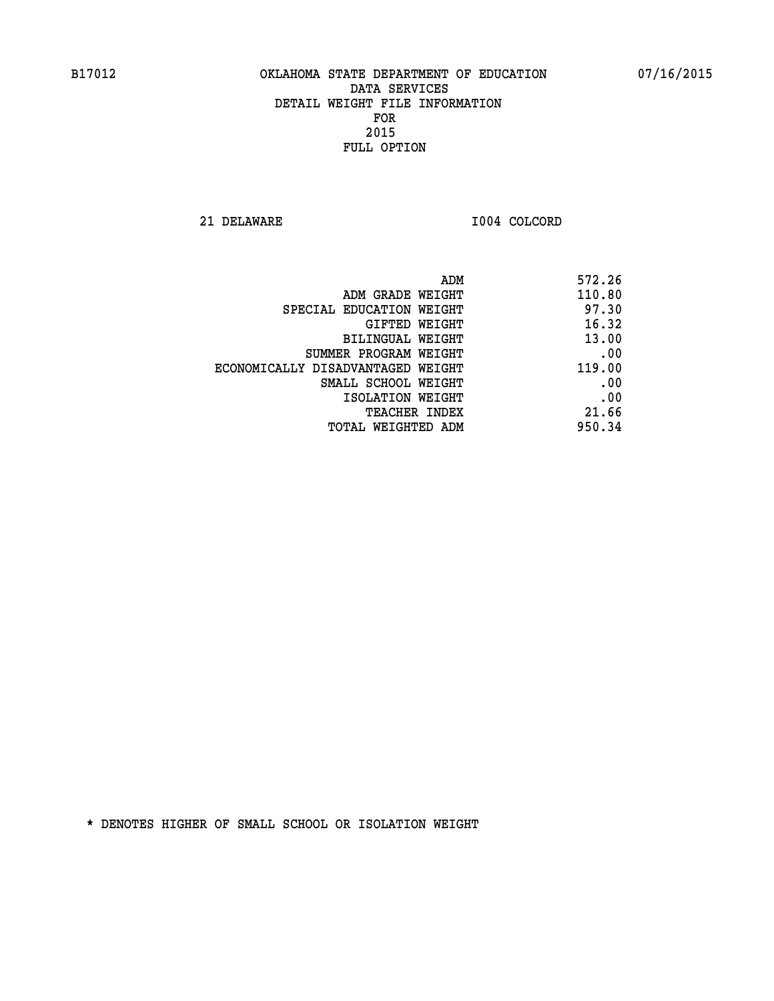**21 DELAWARE I004 COLCORD** 

|                                   | 572.26<br>ADM |
|-----------------------------------|---------------|
| ADM GRADE WEIGHT                  | 110.80        |
| SPECIAL EDUCATION WEIGHT          | 97.30         |
| GIFTED WEIGHT                     | 16.32         |
| BILINGUAL WEIGHT                  | 13.00         |
| SUMMER PROGRAM WEIGHT             | .00           |
| ECONOMICALLY DISADVANTAGED WEIGHT | 119.00        |
| SMALL SCHOOL WEIGHT               | .00           |
| ISOLATION WEIGHT                  | .00           |
| <b>TEACHER INDEX</b>              | 21.66         |
| TOTAL WEIGHTED ADM                | 950.34        |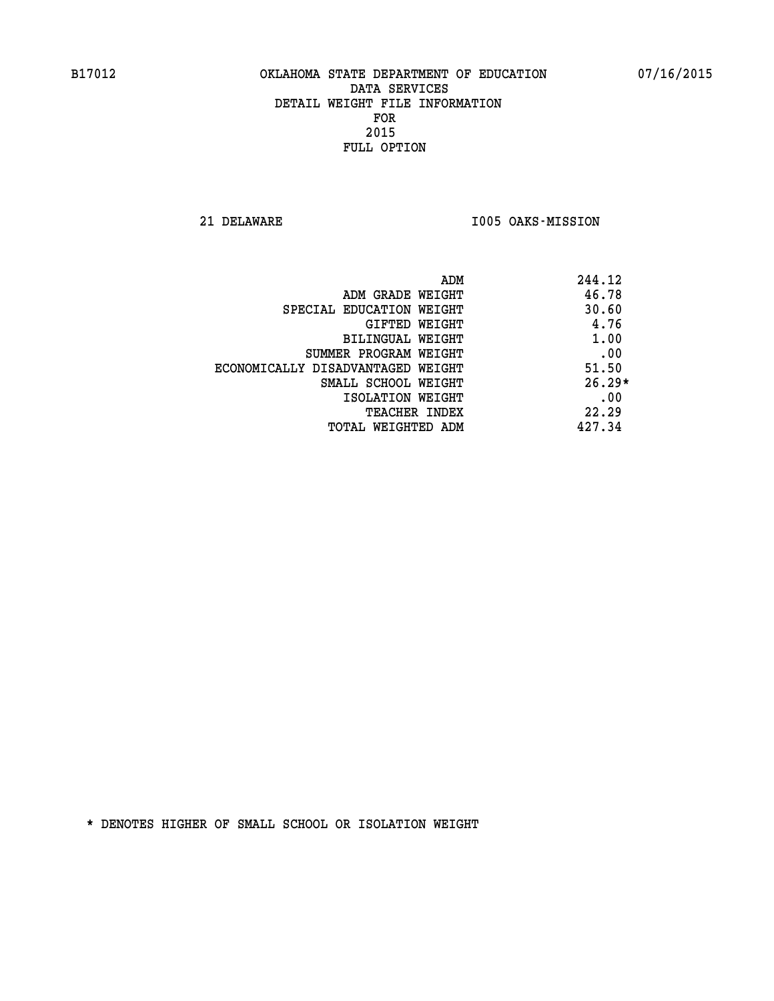**21 DELAWARE I005 OAKS-MISSION** 

| ADM                               | 244.12   |
|-----------------------------------|----------|
| ADM GRADE WEIGHT                  | 46.78    |
| SPECIAL EDUCATION WEIGHT          | 30.60    |
| GIFTED WEIGHT                     | 4.76     |
| BILINGUAL WEIGHT                  | 1.00     |
| SUMMER PROGRAM WEIGHT             | .00      |
| ECONOMICALLY DISADVANTAGED WEIGHT | 51.50    |
| SMALL SCHOOL WEIGHT               | $26.29*$ |
| ISOLATION WEIGHT                  | .00      |
| <b>TEACHER INDEX</b>              | 22.29    |
| TOTAL WEIGHTED ADM                | 427.34   |
|                                   |          |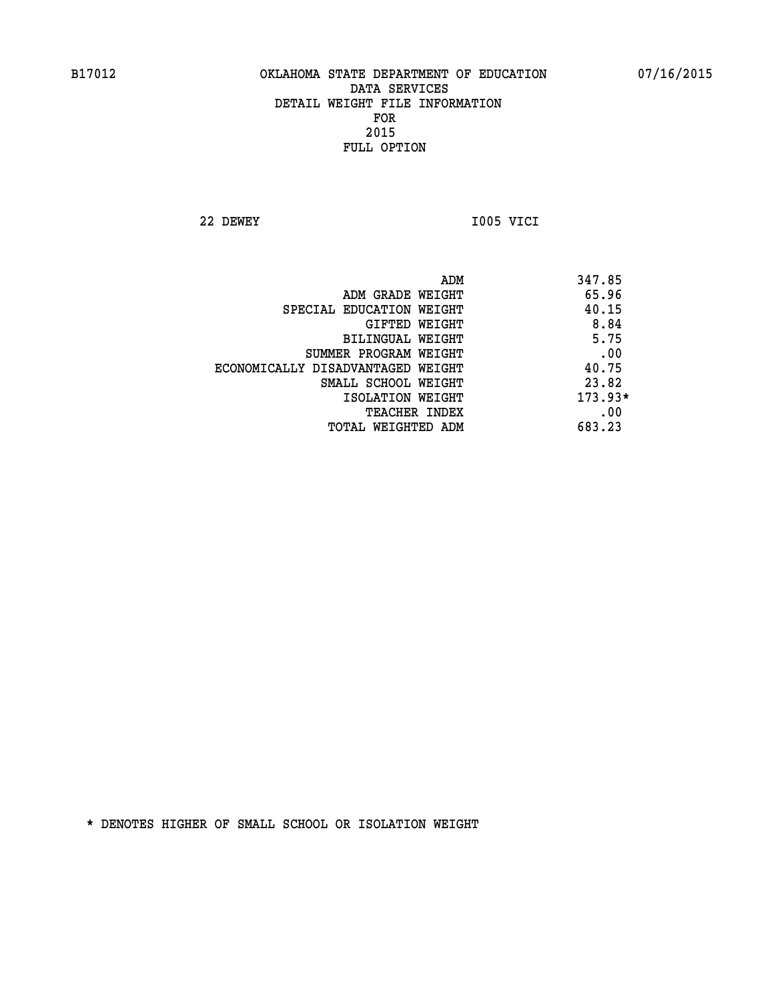**22 DEWEY I005 VICI** 

| ADM<br>347.85                              |  |
|--------------------------------------------|--|
| 65.96<br>ADM GRADE WEIGHT                  |  |
| 40.15<br>SPECIAL EDUCATION WEIGHT          |  |
| 8.84<br><b>GIFTED WEIGHT</b>               |  |
| 5.75<br>BILINGUAL WEIGHT                   |  |
| .00<br>SUMMER PROGRAM WEIGHT               |  |
| 40.75<br>ECONOMICALLY DISADVANTAGED WEIGHT |  |
| 23.82<br>SMALL SCHOOL WEIGHT               |  |
| $173.93*$<br>ISOLATION WEIGHT              |  |
| .00<br><b>TEACHER INDEX</b>                |  |
| 683.23<br>TOTAL WEIGHTED ADM               |  |
|                                            |  |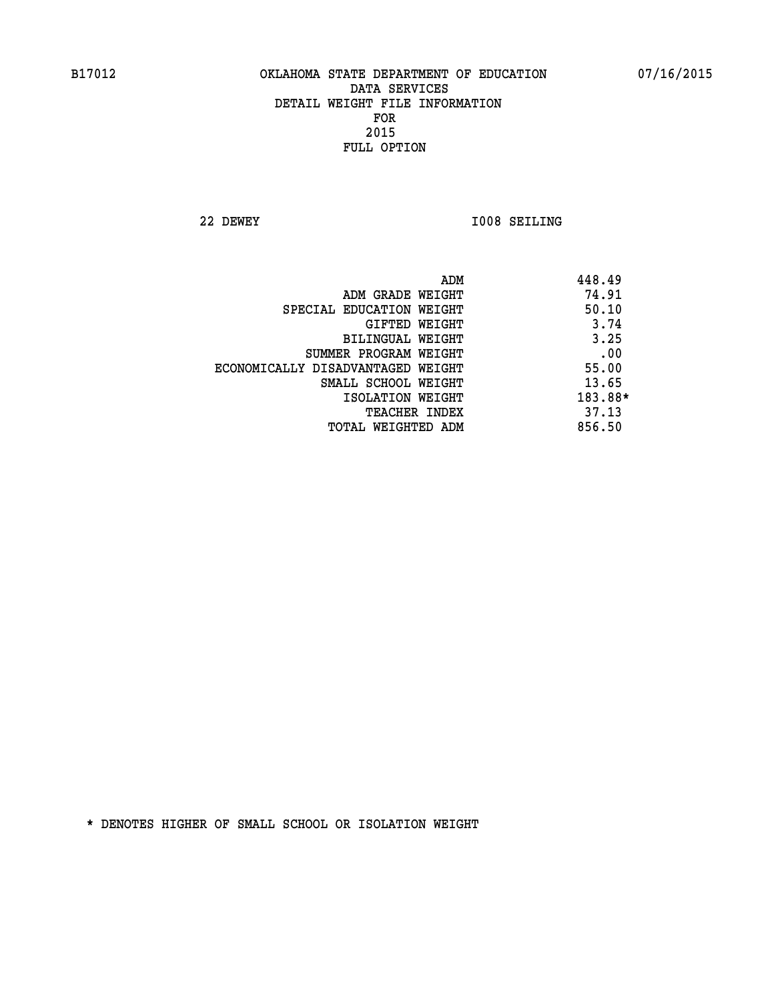**22 DEWEY I008 SEILING** 

|                                   | 448.49<br>ADM |
|-----------------------------------|---------------|
| ADM GRADE WEIGHT                  | 74.91         |
| SPECIAL EDUCATION WEIGHT          | 50.10         |
| GIFTED WEIGHT                     | 3.74          |
| BILINGUAL WEIGHT                  | 3.25          |
| SUMMER PROGRAM WEIGHT             | .00           |
| ECONOMICALLY DISADVANTAGED WEIGHT | 55.00         |
| SMALL SCHOOL WEIGHT               | 13.65         |
| ISOLATION WEIGHT                  | 183.88*       |
| <b>TEACHER INDEX</b>              | 37.13         |
| TOTAL WEIGHTED ADM                | 856.50        |
|                                   |               |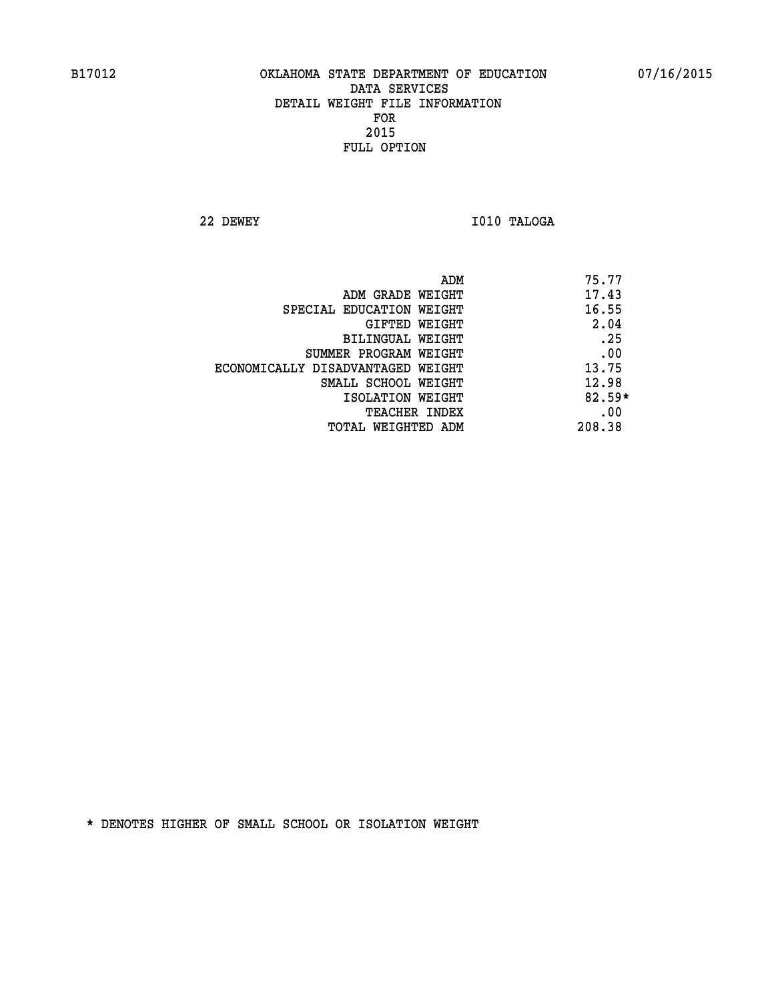**22 DEWEY I010 TALOGA** 

|                                   | ADM | 75.77    |
|-----------------------------------|-----|----------|
| ADM GRADE WEIGHT                  |     | 17.43    |
| SPECIAL EDUCATION WEIGHT          |     | 16.55    |
| GIFTED WEIGHT                     |     | 2.04     |
| BILINGUAL WEIGHT                  |     | .25      |
| SUMMER PROGRAM WEIGHT             |     | .00      |
| ECONOMICALLY DISADVANTAGED WEIGHT |     | 13.75    |
| SMALL SCHOOL WEIGHT               |     | 12.98    |
| ISOLATION WEIGHT                  |     | $82.59*$ |
| TEACHER INDEX                     |     | .00      |
| TOTAL WEIGHTED ADM                |     | 208.38   |
|                                   |     |          |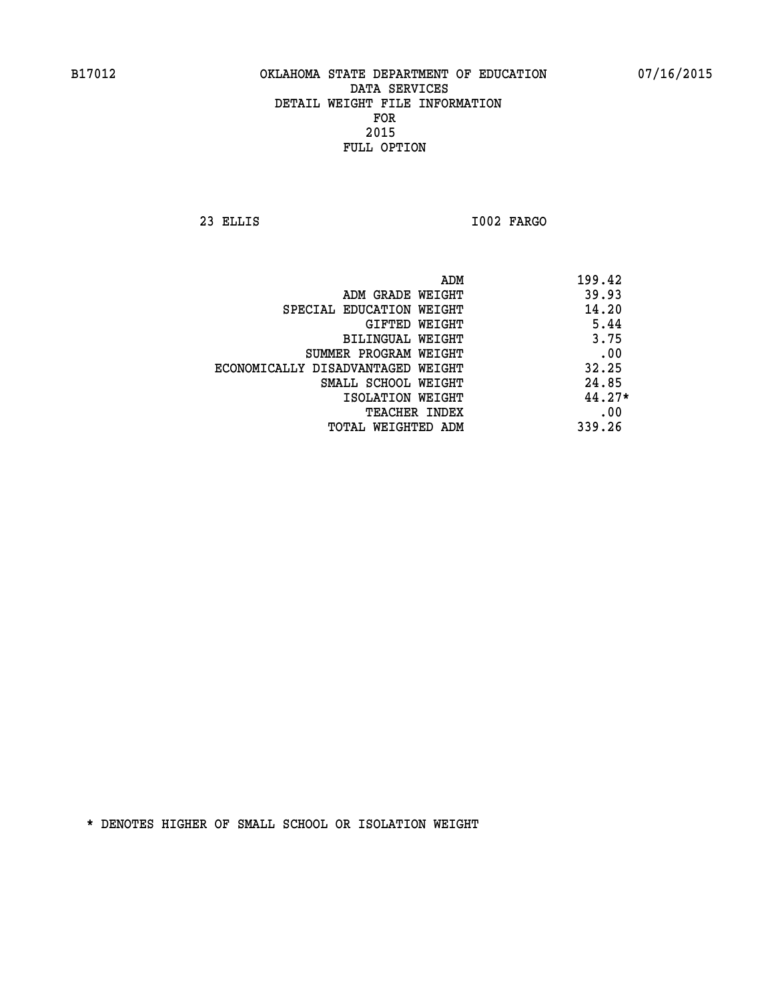**23 ELLIS I002 FARGO** 

|                                   | ADM | 199.42   |
|-----------------------------------|-----|----------|
| ADM GRADE WEIGHT                  |     | 39.93    |
| SPECIAL EDUCATION WEIGHT          |     | 14.20    |
| GIFTED WEIGHT                     |     | 5.44     |
| BILINGUAL WEIGHT                  |     | 3.75     |
| SUMMER PROGRAM WEIGHT             |     | .00      |
| ECONOMICALLY DISADVANTAGED WEIGHT |     | 32.25    |
| SMALL SCHOOL WEIGHT               |     | 24.85    |
| ISOLATION WEIGHT                  |     | $44.27*$ |
| TEACHER INDEX                     |     | .00      |
| TOTAL WEIGHTED ADM                |     | 339.26   |
|                                   |     |          |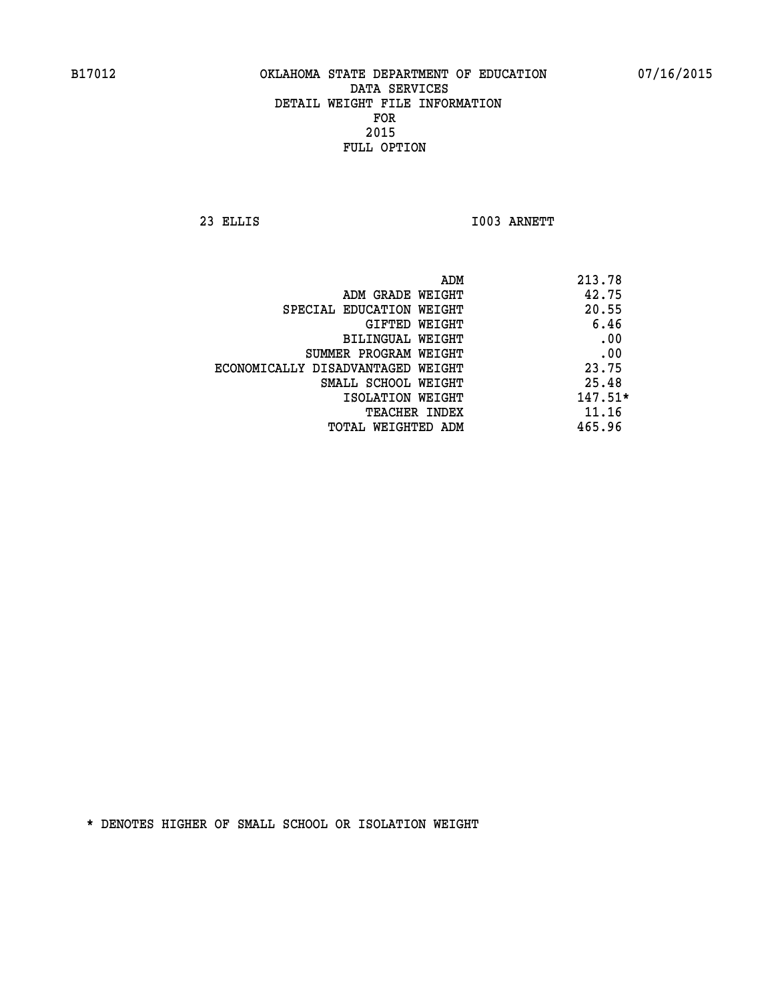**23 ELLIS I003 ARNETT** 

|                                   | 213.78<br>ADM |  |
|-----------------------------------|---------------|--|
| ADM GRADE WEIGHT                  | 42.75         |  |
| SPECIAL EDUCATION WEIGHT          | 20.55         |  |
| GIFTED WEIGHT                     | 6.46          |  |
| BILINGUAL WEIGHT                  | .00           |  |
| SUMMER PROGRAM WEIGHT             | .00           |  |
| ECONOMICALLY DISADVANTAGED WEIGHT | 23.75         |  |
| SMALL SCHOOL WEIGHT               | 25.48         |  |
| ISOLATION WEIGHT                  | $147.51*$     |  |
| <b>TEACHER INDEX</b>              | 11.16         |  |
| TOTAL WEIGHTED ADM                | 465.96        |  |
|                                   |               |  |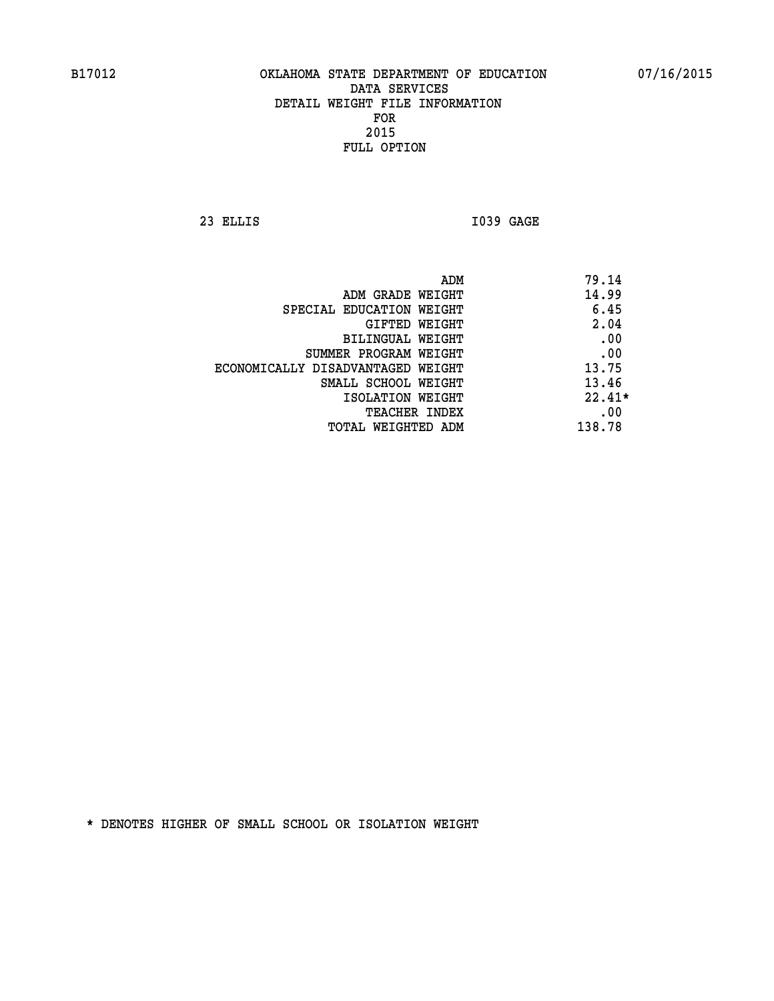**23 ELLIS I039 GAGE** 

|                                   | ADM | 79.14    |
|-----------------------------------|-----|----------|
| ADM GRADE WEIGHT                  |     | 14.99    |
| SPECIAL EDUCATION WEIGHT          |     | 6.45     |
| GIFTED WEIGHT                     |     | 2.04     |
| BILINGUAL WEIGHT                  |     | .00      |
| SUMMER PROGRAM WEIGHT             |     | .00      |
| ECONOMICALLY DISADVANTAGED WEIGHT |     | 13.75    |
| SMALL SCHOOL WEIGHT               |     | 13.46    |
| ISOLATION WEIGHT                  |     | $22.41*$ |
| TEACHER INDEX                     |     | .00      |
| TOTAL WEIGHTED ADM                |     | 138.78   |
|                                   |     |          |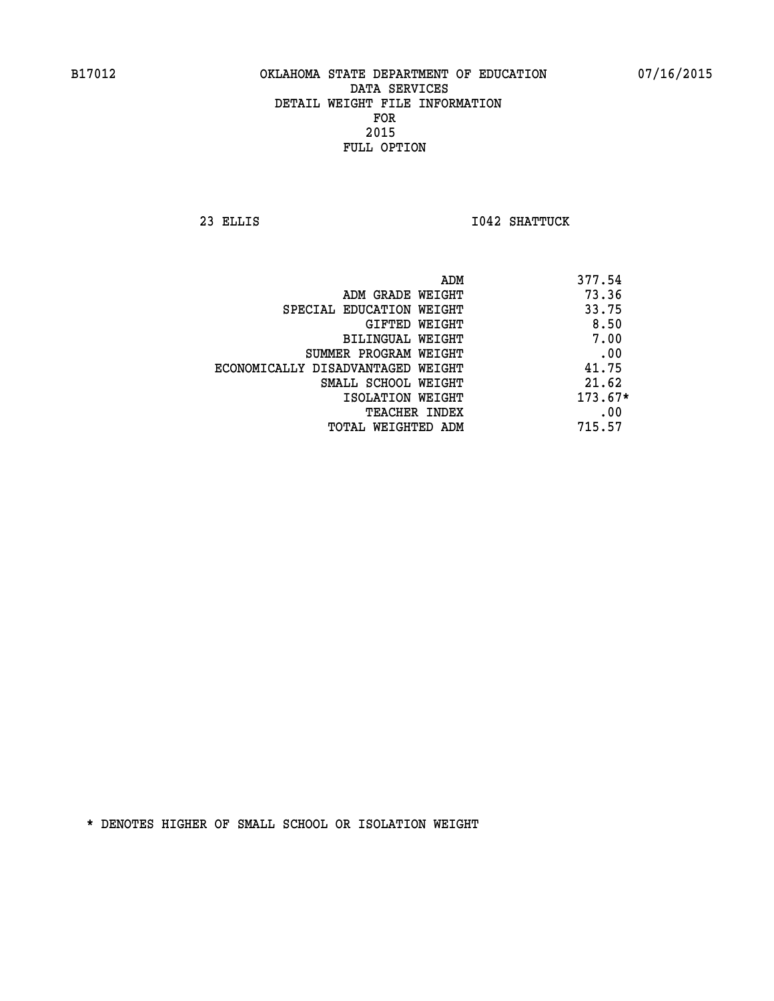**23 ELLIS I042 SHATTUCK** 

|                                   | ADM | 377.54    |
|-----------------------------------|-----|-----------|
| ADM GRADE WEIGHT                  |     | 73.36     |
| SPECIAL EDUCATION WEIGHT          |     | 33.75     |
| GIFTED WEIGHT                     |     | 8.50      |
| BILINGUAL WEIGHT                  |     | 7.00      |
| SUMMER PROGRAM WEIGHT             |     | .00       |
| ECONOMICALLY DISADVANTAGED WEIGHT |     | 41.75     |
| SMALL SCHOOL WEIGHT               |     | 21.62     |
| ISOLATION WEIGHT                  |     | $173.67*$ |
| TEACHER INDEX                     |     | .00       |
| TOTAL WEIGHTED ADM                |     | 715.57    |
|                                   |     |           |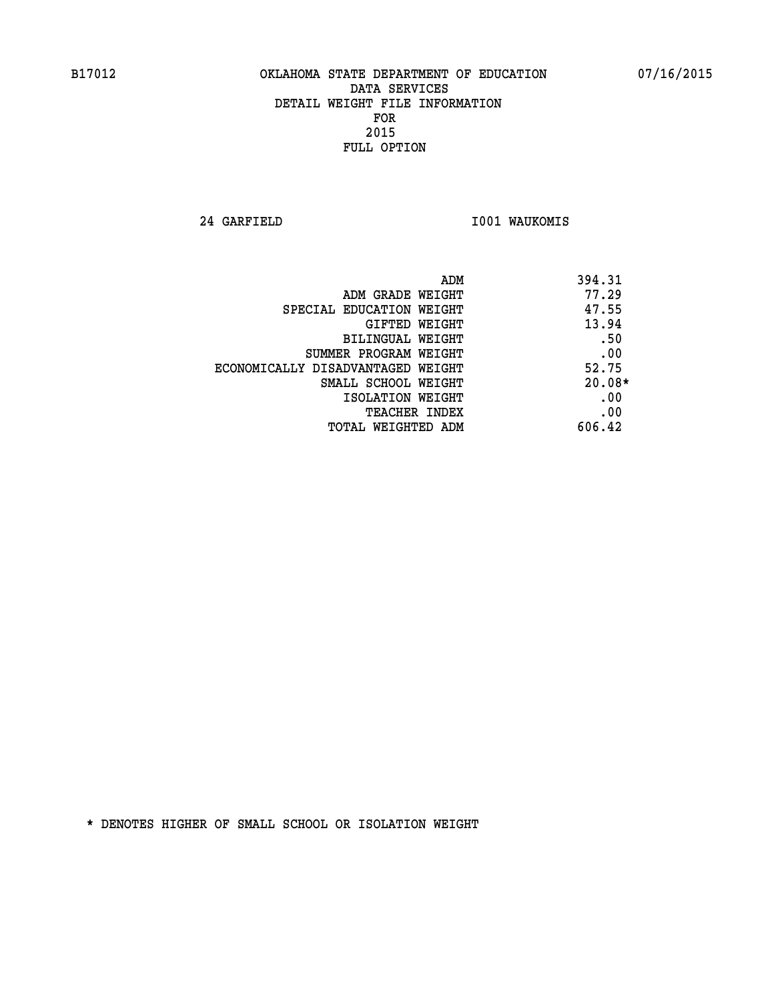**24 GARFIELD I001 WAUKOMIS** 

| 394.31<br>ADM |                                   |
|---------------|-----------------------------------|
| 77.29         | ADM GRADE WEIGHT                  |
| 47.55         | SPECIAL EDUCATION WEIGHT          |
| 13.94         | GIFTED WEIGHT                     |
| .50           | BILINGUAL WEIGHT                  |
| .00           | SUMMER PROGRAM WEIGHT             |
| 52.75         | ECONOMICALLY DISADVANTAGED WEIGHT |
| $20.08*$      | SMALL SCHOOL WEIGHT               |
| .00           | ISOLATION WEIGHT                  |
| .00           | <b>TEACHER INDEX</b>              |
| 606.42        | TOTAL WEIGHTED ADM                |
|               |                                   |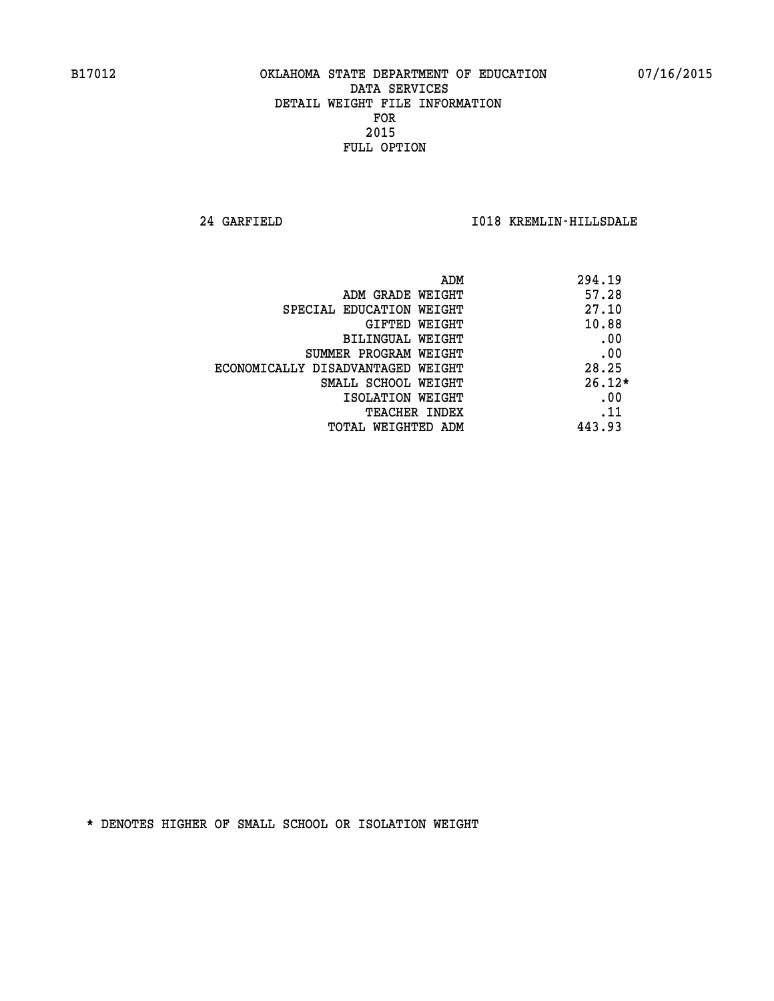**24 GARFIELD I018 KREMLIN-HILLSDALE** 

|                                   | 294.19<br>ADM |
|-----------------------------------|---------------|
| ADM GRADE WEIGHT                  | 57.28         |
| SPECIAL EDUCATION WEIGHT          | 27.10         |
| <b>GIFTED WEIGHT</b>              | 10.88         |
| BILINGUAL WEIGHT                  | .00           |
| SUMMER PROGRAM WEIGHT             | .00           |
| ECONOMICALLY DISADVANTAGED WEIGHT | 28.25         |
| SMALL SCHOOL WEIGHT               | $26.12*$      |
| ISOLATION WEIGHT                  | .00           |
| <b>TEACHER INDEX</b>              | .11           |
| TOTAL WEIGHTED ADM                | 443.93        |
|                                   |               |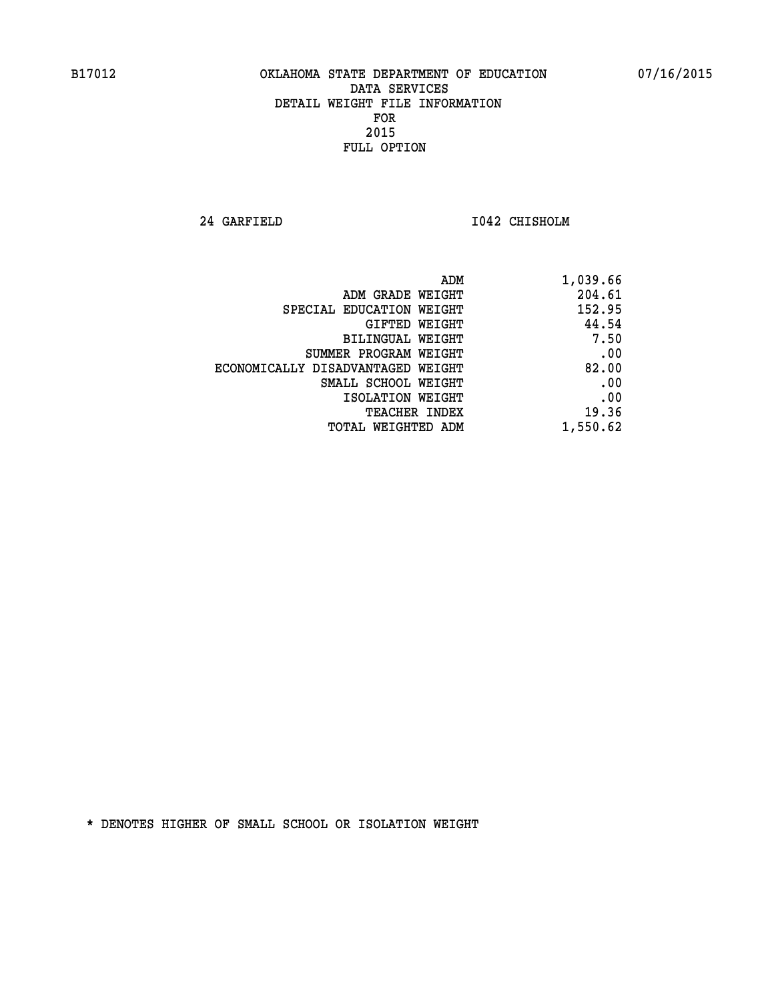**24 GARFIELD I042 CHISHOLM** 

| 1,039.66 |
|----------|
| 204.61   |
| 152.95   |
| 44.54    |
| 7.50     |
| .00      |
| 82.00    |
| .00      |
| .00      |
| 19.36    |
| 1,550.62 |
|          |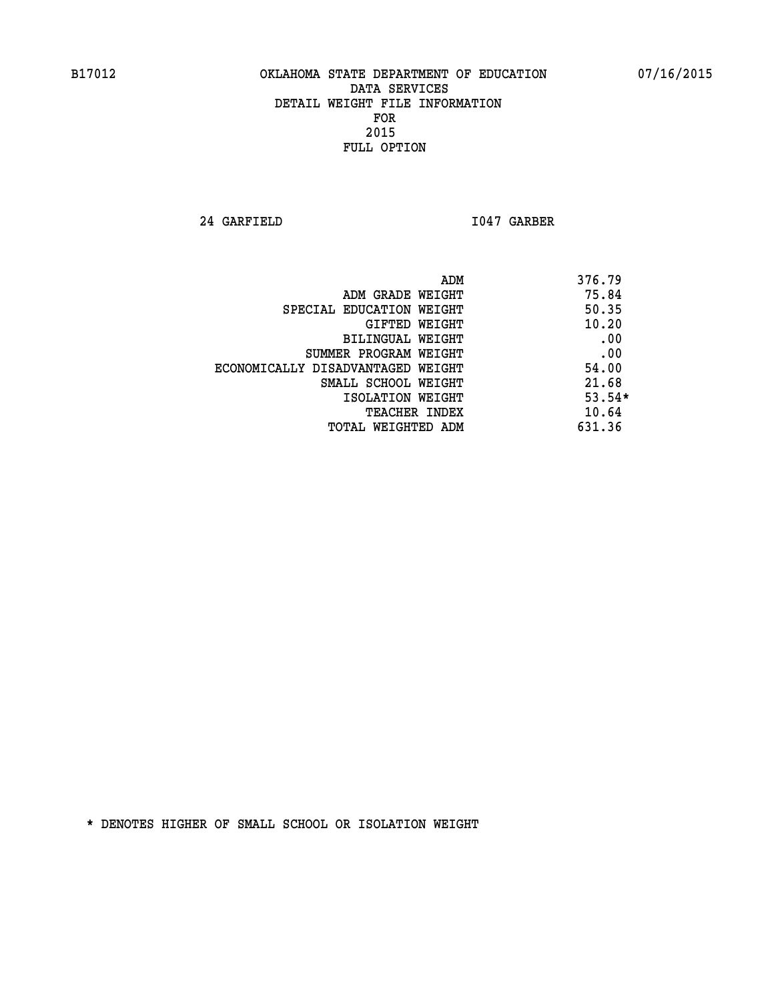**24 GARFIELD I047 GARBER** 

|                                   | ADM | 376.79   |
|-----------------------------------|-----|----------|
| ADM GRADE WEIGHT                  |     | 75.84    |
| SPECIAL EDUCATION WEIGHT          |     | 50.35    |
| GIFTED WEIGHT                     |     | 10.20    |
| BILINGUAL WEIGHT                  |     | .00      |
| SUMMER PROGRAM WEIGHT             |     | .00      |
| ECONOMICALLY DISADVANTAGED WEIGHT |     | 54.00    |
| SMALL SCHOOL WEIGHT               |     | 21.68    |
| ISOLATION WEIGHT                  |     | $53.54*$ |
| <b>TEACHER INDEX</b>              |     | 10.64    |
| TOTAL WEIGHTED ADM                |     | 631.36   |
|                                   |     |          |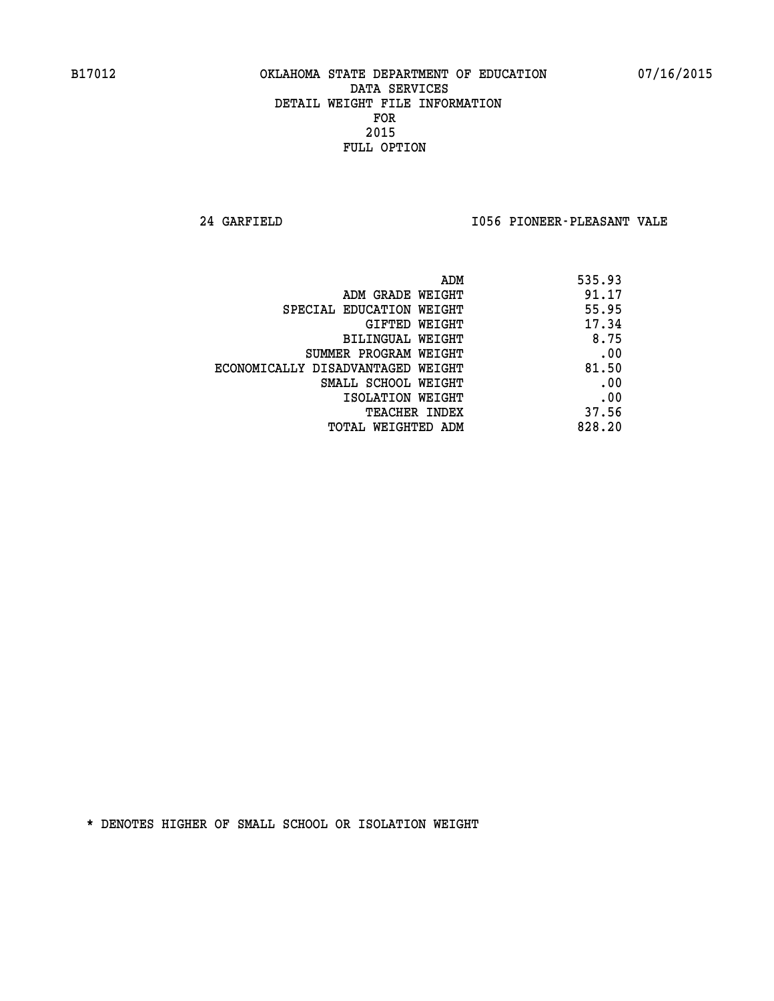**24 GARFIELD I056 PIONEER-PLEASANT VALE** 

| ADM                               | 535.93 |
|-----------------------------------|--------|
| ADM GRADE WEIGHT                  | 91.17  |
| SPECIAL EDUCATION WEIGHT          | 55.95  |
| GIFTED WEIGHT                     | 17.34  |
| BILINGUAL WEIGHT                  | 8.75   |
| SUMMER PROGRAM WEIGHT             | .00    |
| ECONOMICALLY DISADVANTAGED WEIGHT | 81.50  |
| SMALL SCHOOL WEIGHT               | .00    |
| ISOLATION WEIGHT                  | .00    |
| <b>TEACHER INDEX</b>              | 37.56  |
| TOTAL WEIGHTED ADM                | 828.20 |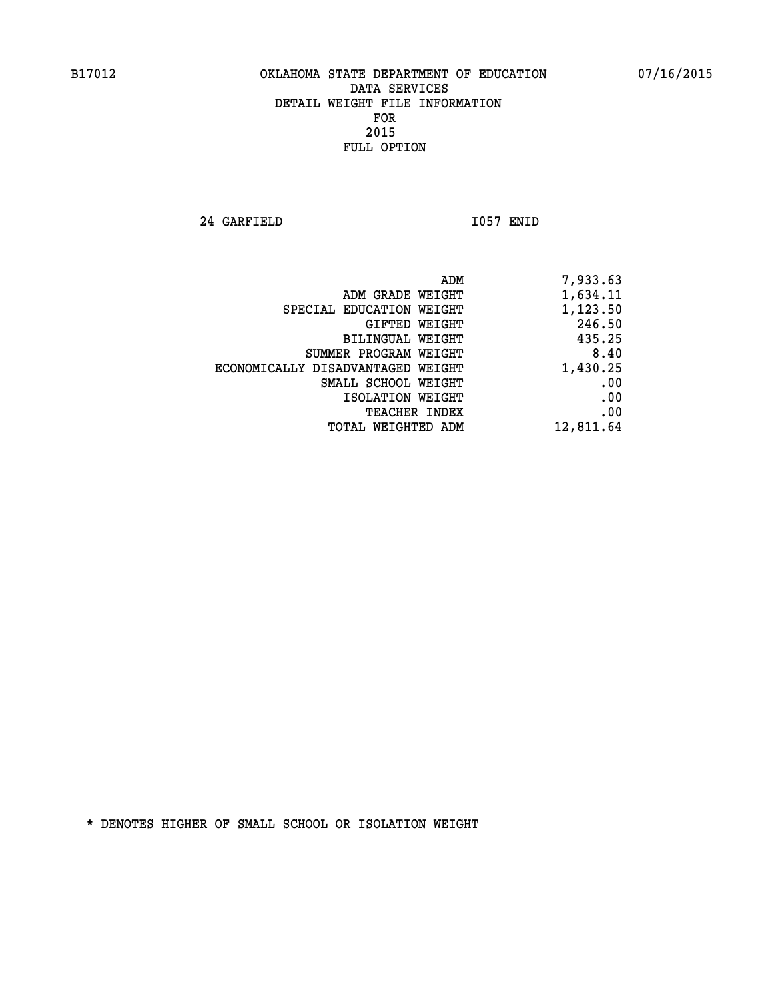**24 GARFIELD I057 ENID** 

| ADM                               | 7,933.63  |
|-----------------------------------|-----------|
| ADM GRADE WEIGHT                  | 1,634.11  |
| SPECIAL EDUCATION WEIGHT          | 1,123.50  |
| GIFTED WEIGHT                     | 246.50    |
| BILINGUAL WEIGHT                  | 435.25    |
| SUMMER PROGRAM WEIGHT             | 8.40      |
| ECONOMICALLY DISADVANTAGED WEIGHT | 1,430.25  |
| SMALL SCHOOL WEIGHT               | .00       |
| ISOLATION WEIGHT                  | .00       |
| <b>TEACHER INDEX</b>              | .00       |
| TOTAL WEIGHTED ADM                | 12,811.64 |
|                                   |           |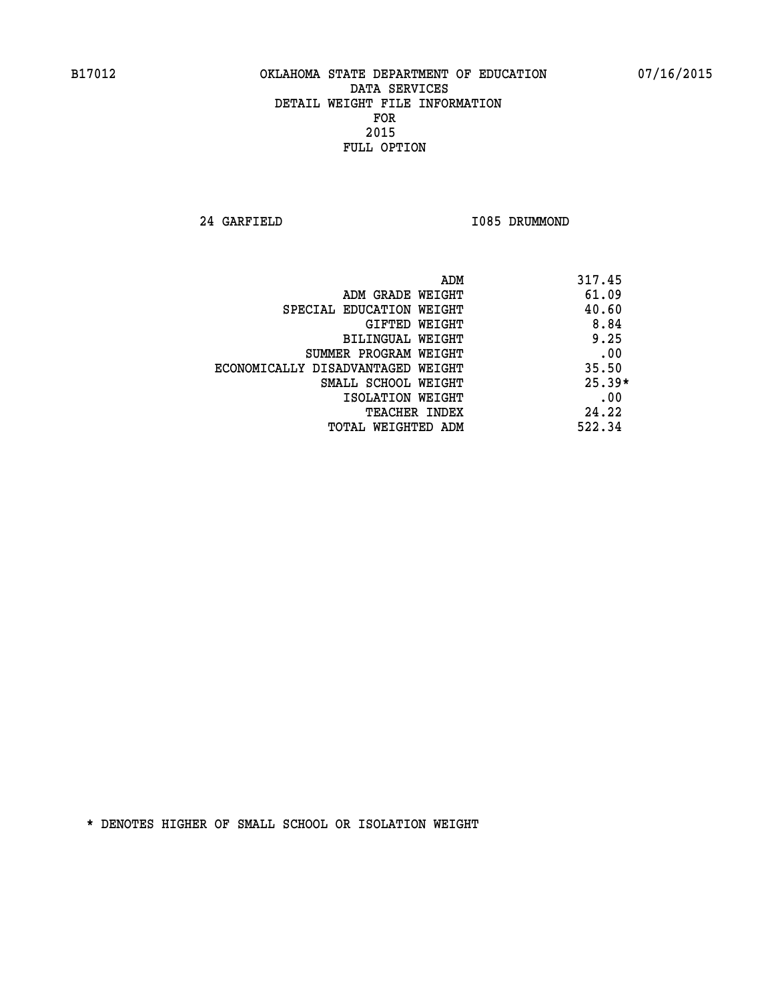**24 GARFIELD I085 DRUMMOND** 

| ADM                               | 317.45   |
|-----------------------------------|----------|
| ADM GRADE WEIGHT                  | 61.09    |
| SPECIAL EDUCATION WEIGHT          | 40.60    |
| GIFTED WEIGHT                     | 8.84     |
| BILINGUAL WEIGHT                  | 9.25     |
| SUMMER PROGRAM WEIGHT             | .00      |
| ECONOMICALLY DISADVANTAGED WEIGHT | 35.50    |
| SMALL SCHOOL WEIGHT               | $25.39*$ |
| ISOLATION WEIGHT                  | .00      |
| <b>TEACHER INDEX</b>              | 24.22    |
| TOTAL WEIGHTED ADM                | 522.34   |
|                                   |          |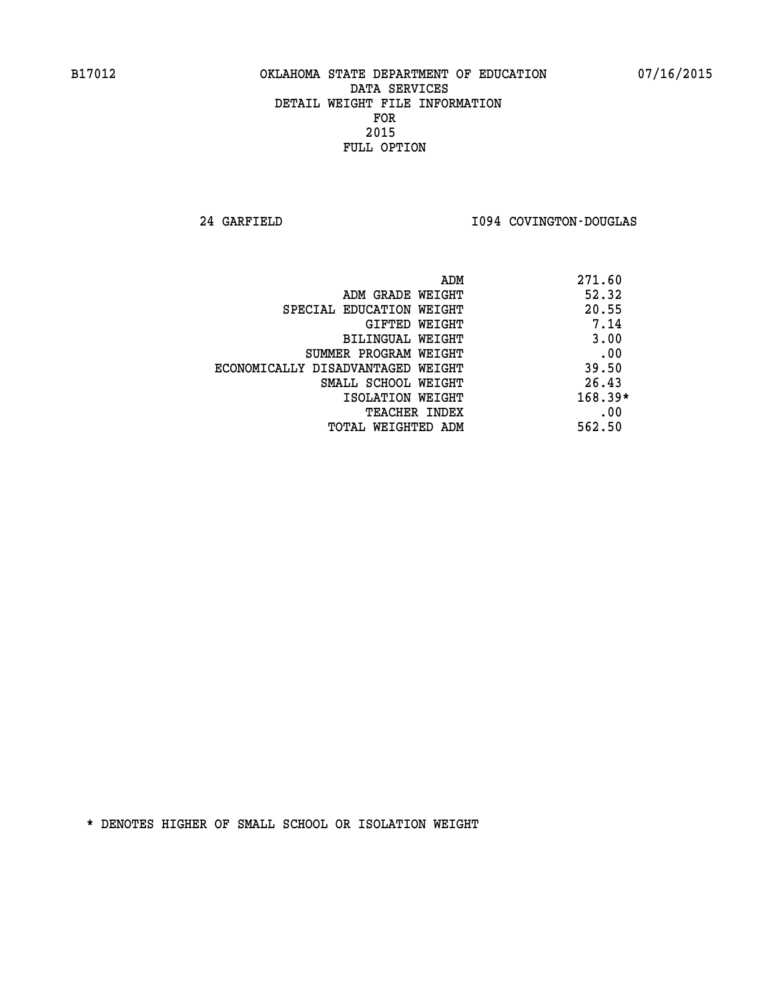**24 GARFIELD I094 COVINGTON-DOUGLAS** 

| ADM                               | 271.60    |
|-----------------------------------|-----------|
| ADM GRADE WEIGHT                  | 52.32     |
| SPECIAL EDUCATION WEIGHT          | 20.55     |
| GIFTED WEIGHT                     | 7.14      |
| BILINGUAL WEIGHT                  | 3.00      |
| SUMMER PROGRAM WEIGHT             | .00       |
| ECONOMICALLY DISADVANTAGED WEIGHT | 39.50     |
| SMALL SCHOOL WEIGHT               | 26.43     |
| ISOLATION WEIGHT                  | $168.39*$ |
| <b>TEACHER INDEX</b>              | .00       |
| TOTAL WEIGHTED ADM                | 562.50    |
|                                   |           |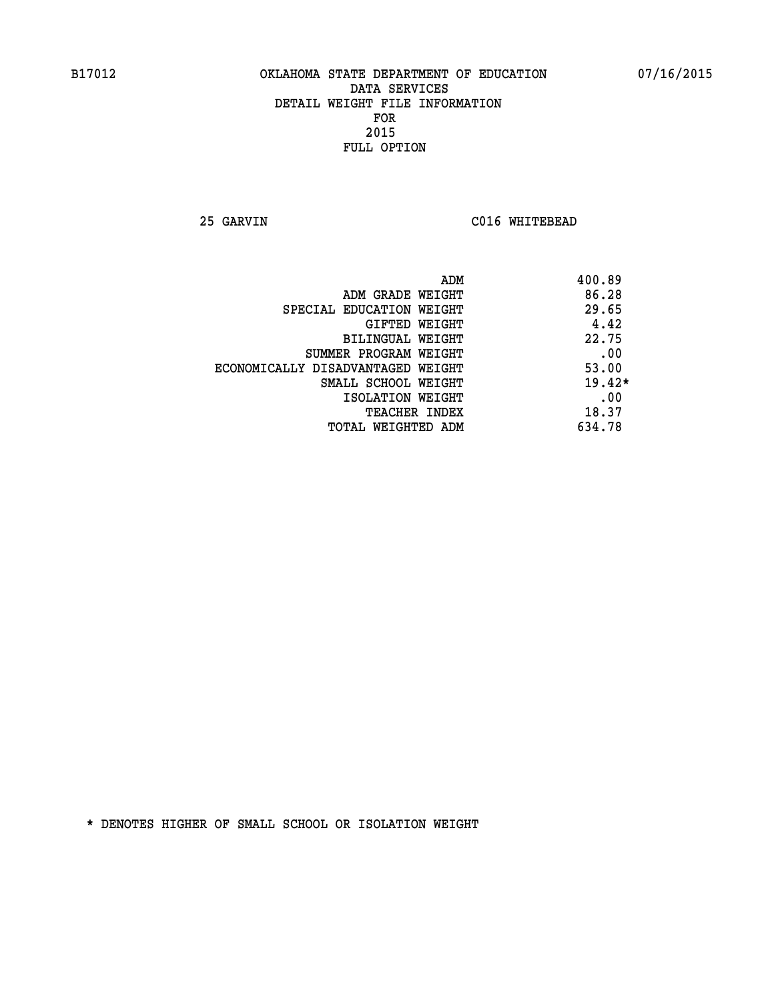**25 GARVIN C016 WHITEBEAD** 

| ADM                               | 400.89   |
|-----------------------------------|----------|
| ADM GRADE WEIGHT                  | 86.28    |
| SPECIAL EDUCATION WEIGHT          | 29.65    |
| GIFTED WEIGHT                     | 4.42     |
| <b>BILINGUAL WEIGHT</b>           | 22.75    |
| SUMMER PROGRAM WEIGHT             | .00      |
| ECONOMICALLY DISADVANTAGED WEIGHT | 53.00    |
| SMALL SCHOOL WEIGHT               | $19.42*$ |
| ISOLATION WEIGHT                  | .00      |
| <b>TEACHER INDEX</b>              | 18.37    |
| TOTAL WEIGHTED ADM                | 634.78   |
|                                   |          |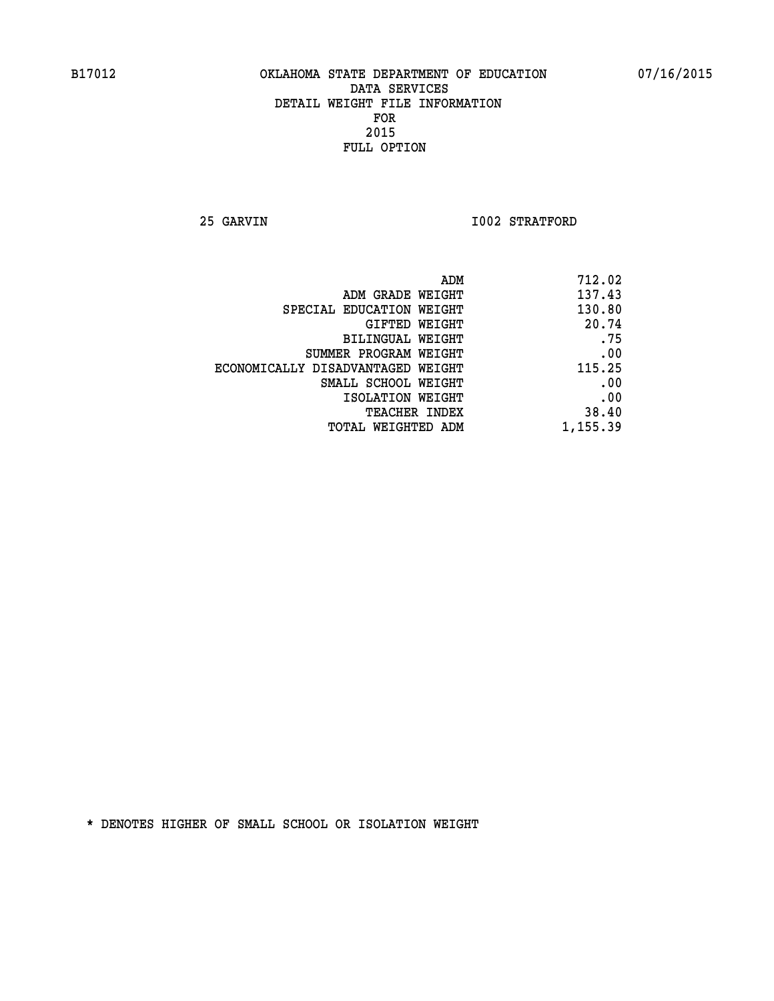**25 GARVIN 1002 STRATFORD** 

| 712.02   |
|----------|
| 137.43   |
| 130.80   |
| 20.74    |
| .75      |
| .00      |
| 115.25   |
| .00      |
| .00      |
| 38.40    |
| 1,155.39 |
|          |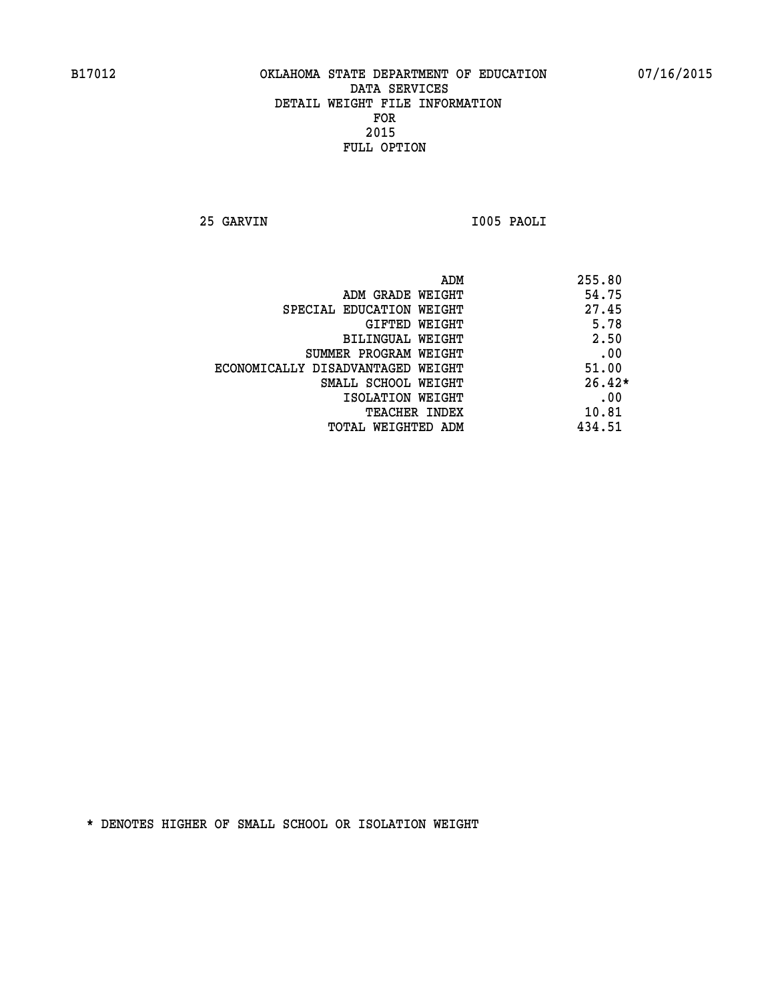**25 GARVIN I005 PAOLI** 

|                                   | 255.80<br>ADM |     |
|-----------------------------------|---------------|-----|
| ADM GRADE WEIGHT                  | 54.75         |     |
| SPECIAL EDUCATION WEIGHT          | 27.45         |     |
| GIFTED WEIGHT                     | 5.78          |     |
| BILINGUAL WEIGHT                  | 2.50          |     |
| SUMMER PROGRAM WEIGHT             | .00           |     |
| ECONOMICALLY DISADVANTAGED WEIGHT | 51.00         |     |
| SMALL SCHOOL WEIGHT               | $26.42*$      |     |
| ISOLATION WEIGHT                  |               | .00 |
| <b>TEACHER INDEX</b>              | 10.81         |     |
| TOTAL WEIGHTED ADM                | 434.51        |     |
|                                   |               |     |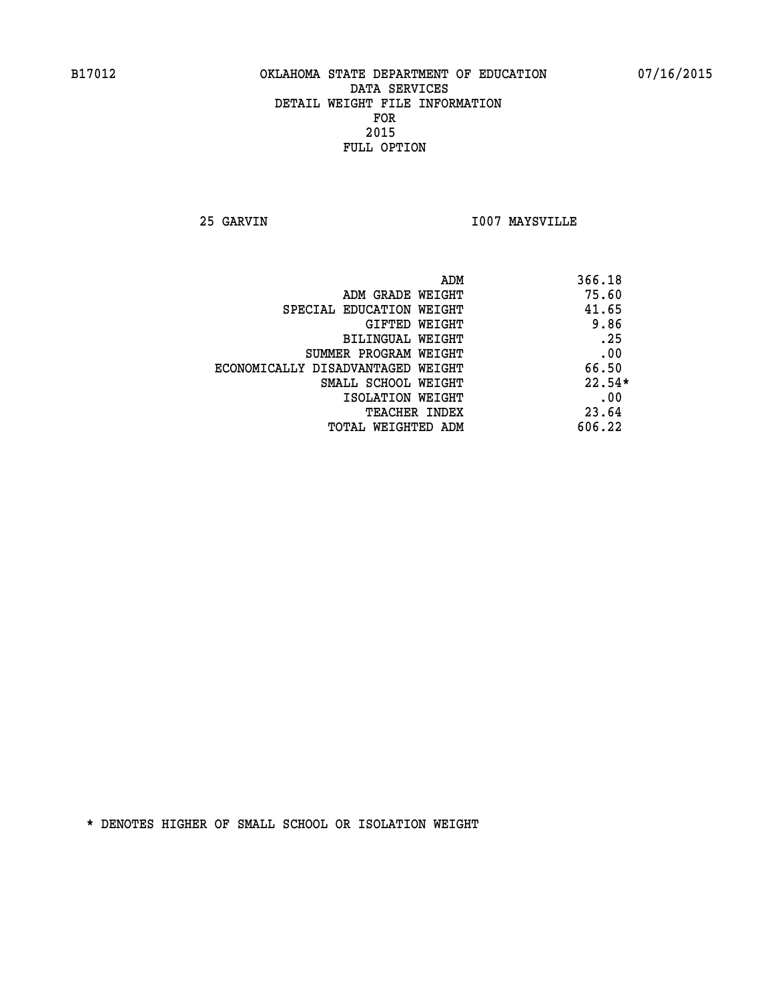**25 GARVIN I007 MAYSVILLE** 

| ADM                               | 366.18   |
|-----------------------------------|----------|
| ADM GRADE WEIGHT                  | 75.60    |
| SPECIAL EDUCATION WEIGHT          | 41.65    |
| <b>GIFTED WEIGHT</b>              | 9.86     |
| BILINGUAL WEIGHT                  | .25      |
| SUMMER PROGRAM WEIGHT             | .00      |
| ECONOMICALLY DISADVANTAGED WEIGHT | 66.50    |
| SMALL SCHOOL WEIGHT               | $22.54*$ |
| ISOLATION WEIGHT                  | .00      |
| <b>TEACHER INDEX</b>              | 23.64    |
| TOTAL WEIGHTED ADM                | 606.22   |
|                                   |          |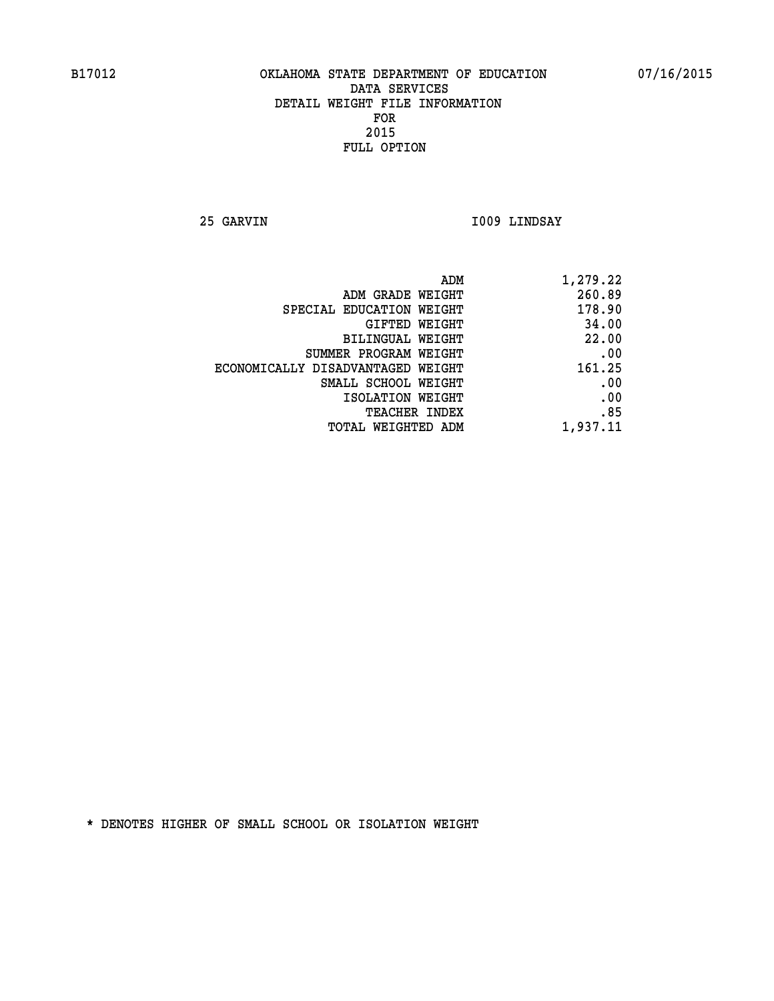**25 GARVIN I009 LINDSAY** 

| 1,279.22 | ADM                               |
|----------|-----------------------------------|
| 260.89   | ADM GRADE WEIGHT                  |
| 178.90   | SPECIAL EDUCATION WEIGHT          |
| 34.00    | GIFTED WEIGHT                     |
| 22.00    | BILINGUAL WEIGHT                  |
| .00      | SUMMER PROGRAM WEIGHT             |
| 161.25   | ECONOMICALLY DISADVANTAGED WEIGHT |
| .00      | SMALL SCHOOL WEIGHT               |
| .00      | ISOLATION WEIGHT                  |
| .85      | <b>TEACHER INDEX</b>              |
| 1,937.11 | <b>TOTAL WEIGHTED ADM</b>         |
|          |                                   |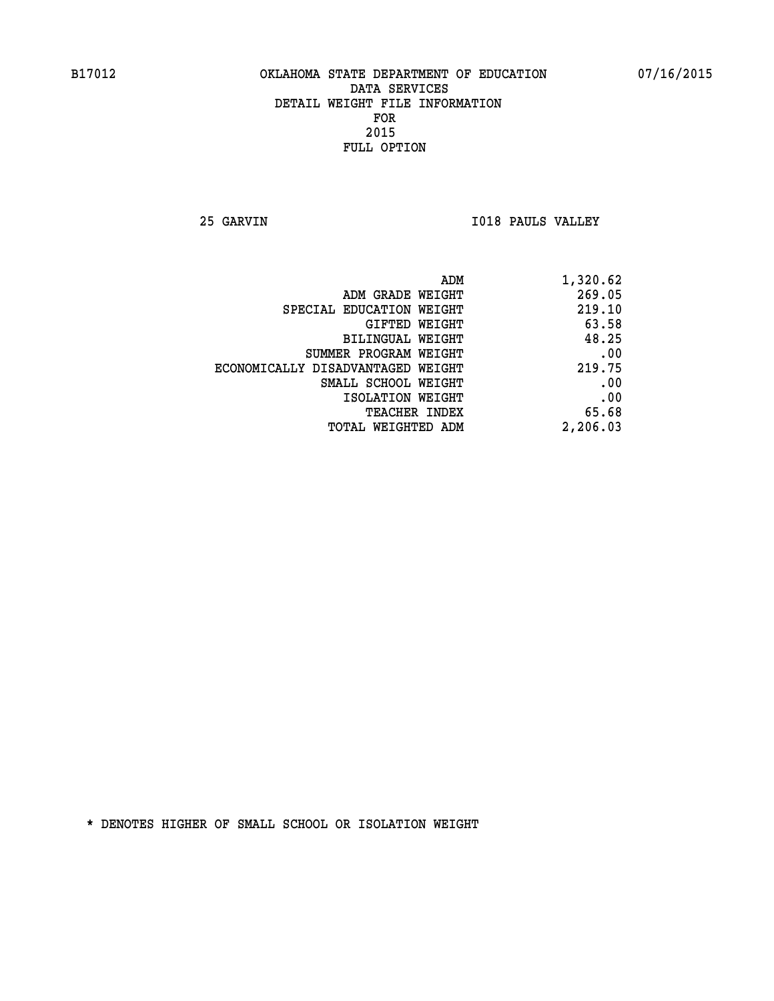**25 GARVIN I018 PAULS VALLEY** 

| ADM                               | 1,320.62 |
|-----------------------------------|----------|
| ADM GRADE WEIGHT                  | 269.05   |
| SPECIAL EDUCATION WEIGHT          | 219.10   |
| <b>GIFTED WEIGHT</b>              | 63.58    |
| BILINGUAL WEIGHT                  | 48.25    |
| SUMMER PROGRAM WEIGHT             | .00      |
| ECONOMICALLY DISADVANTAGED WEIGHT | 219.75   |
| SMALL SCHOOL WEIGHT               | .00      |
| ISOLATION WEIGHT                  | .00      |
| <b>TEACHER INDEX</b>              | 65.68    |
| <b>TOTAL WEIGHTED ADM</b>         | 2,206.03 |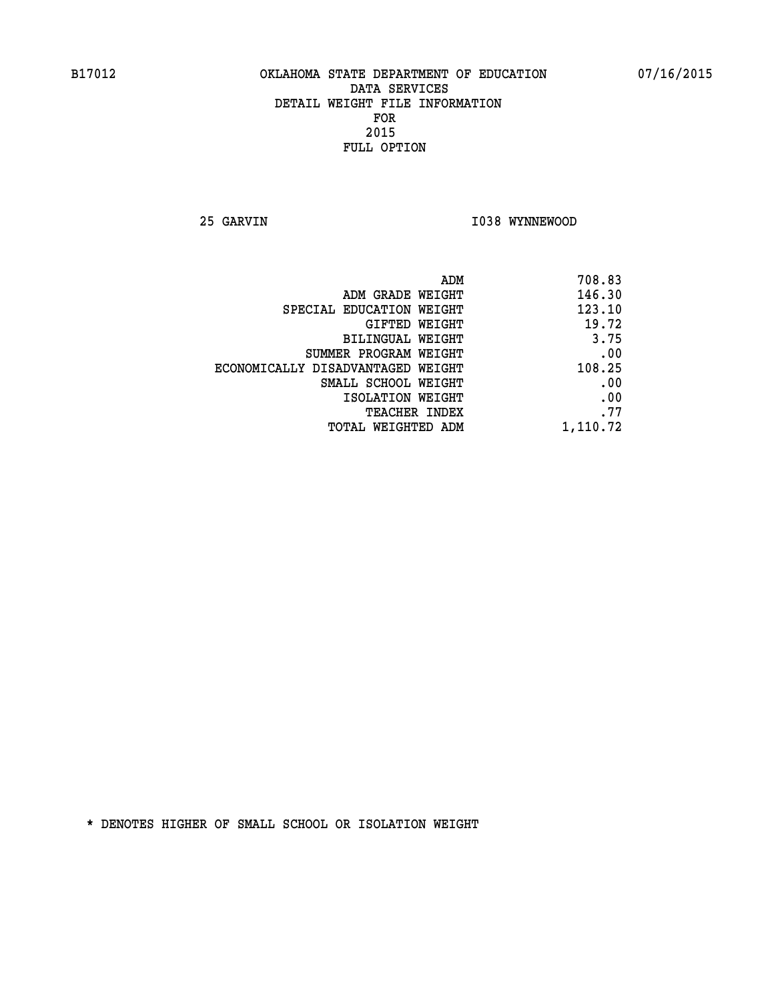**25 GARVIN 1038 WYNNEWOOD** 

|                                   | ADM<br>708.83 |
|-----------------------------------|---------------|
| ADM GRADE WEIGHT                  | 146.30        |
| SPECIAL EDUCATION WEIGHT          | 123.10        |
| GIFTED WEIGHT                     | 19.72         |
| BILINGUAL WEIGHT                  | 3.75          |
| SUMMER PROGRAM WEIGHT             | .00           |
| ECONOMICALLY DISADVANTAGED WEIGHT | 108.25        |
| SMALL SCHOOL WEIGHT               | .00           |
| ISOLATION WEIGHT                  | .00           |
| TEACHER INDEX                     | .77           |
| TOTAL WEIGHTED ADM                | 1,110.72      |
|                                   |               |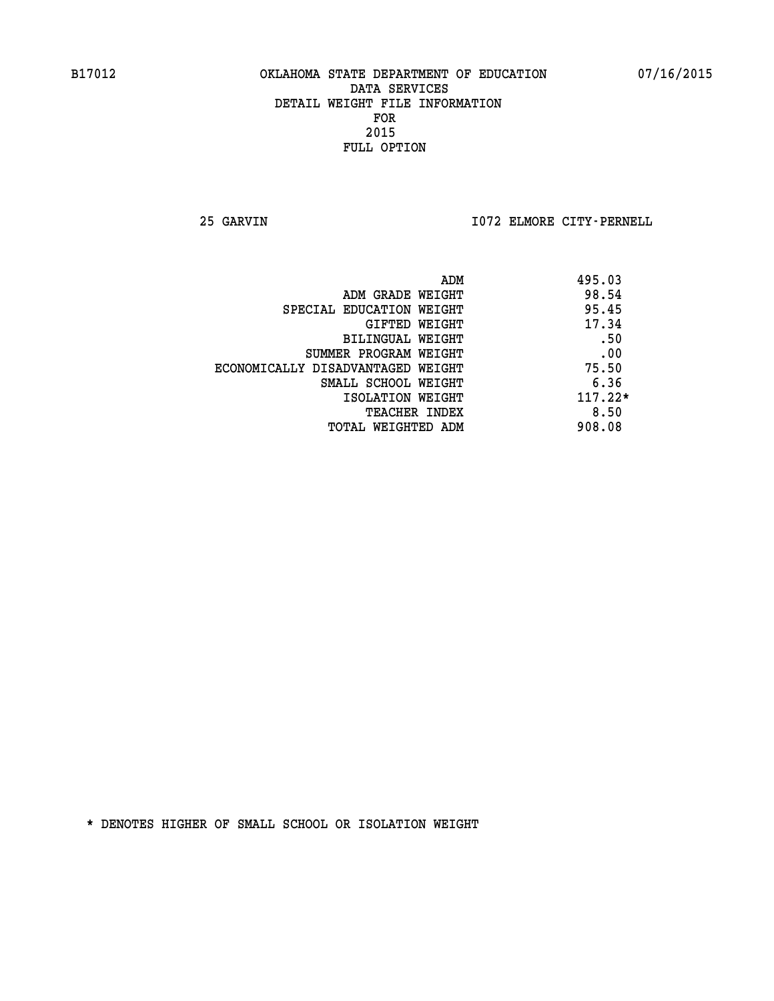**25 GARVIN I072 ELMORE CITY-PERNELL** 

|                                   | ADM | 495.03    |
|-----------------------------------|-----|-----------|
| ADM GRADE WEIGHT                  |     | 98.54     |
| SPECIAL EDUCATION WEIGHT          |     | 95.45     |
| GIFTED WEIGHT                     |     | 17.34     |
| BILINGUAL WEIGHT                  |     | .50       |
| SUMMER PROGRAM WEIGHT             |     | .00       |
| ECONOMICALLY DISADVANTAGED WEIGHT |     | 75.50     |
| SMALL SCHOOL WEIGHT               |     | 6.36      |
| ISOLATION WEIGHT                  |     | $117.22*$ |
| <b>TEACHER INDEX</b>              |     | 8.50      |
| TOTAL WEIGHTED ADM                |     | 908.08    |
|                                   |     |           |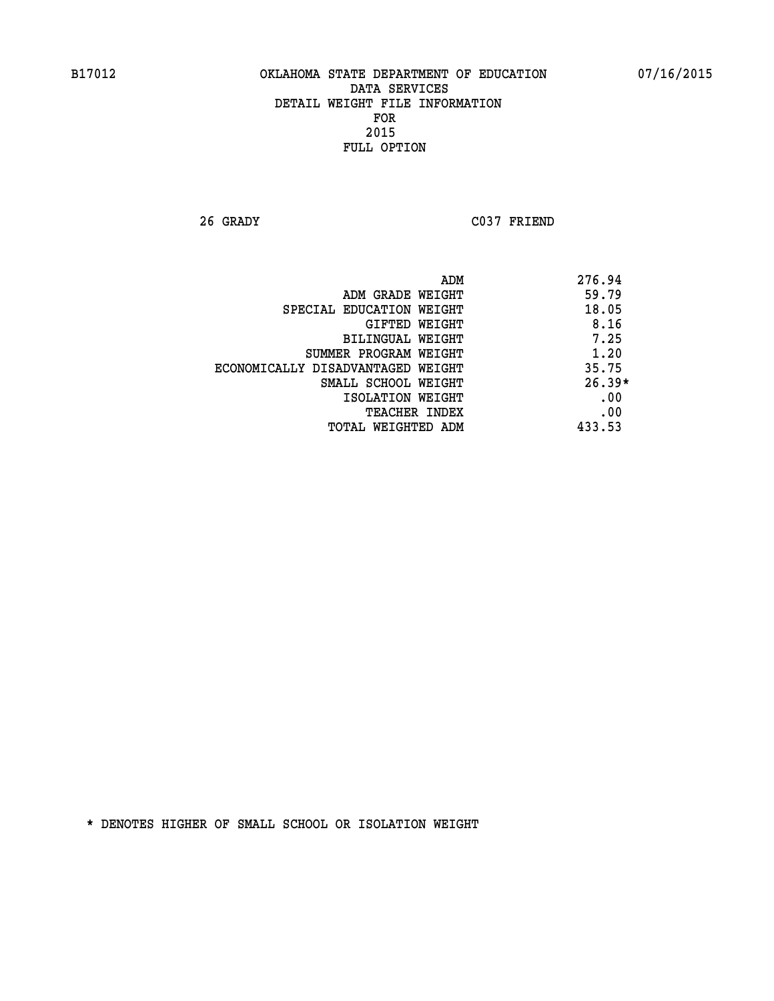**26 GRADY C037 FRIEND** 

|                                   | ADM | 276.94   |
|-----------------------------------|-----|----------|
| ADM GRADE WEIGHT                  |     | 59.79    |
| SPECIAL EDUCATION WEIGHT          |     | 18.05    |
| GIFTED WEIGHT                     |     | 8.16     |
| BILINGUAL WEIGHT                  |     | 7.25     |
| SUMMER PROGRAM WEIGHT             |     | 1.20     |
| ECONOMICALLY DISADVANTAGED WEIGHT |     | 35.75    |
| SMALL SCHOOL WEIGHT               |     | $26.39*$ |
| ISOLATION WEIGHT                  |     | .00      |
| TEACHER INDEX                     |     | .00      |
| TOTAL WEIGHTED ADM                |     | 433.53   |
|                                   |     |          |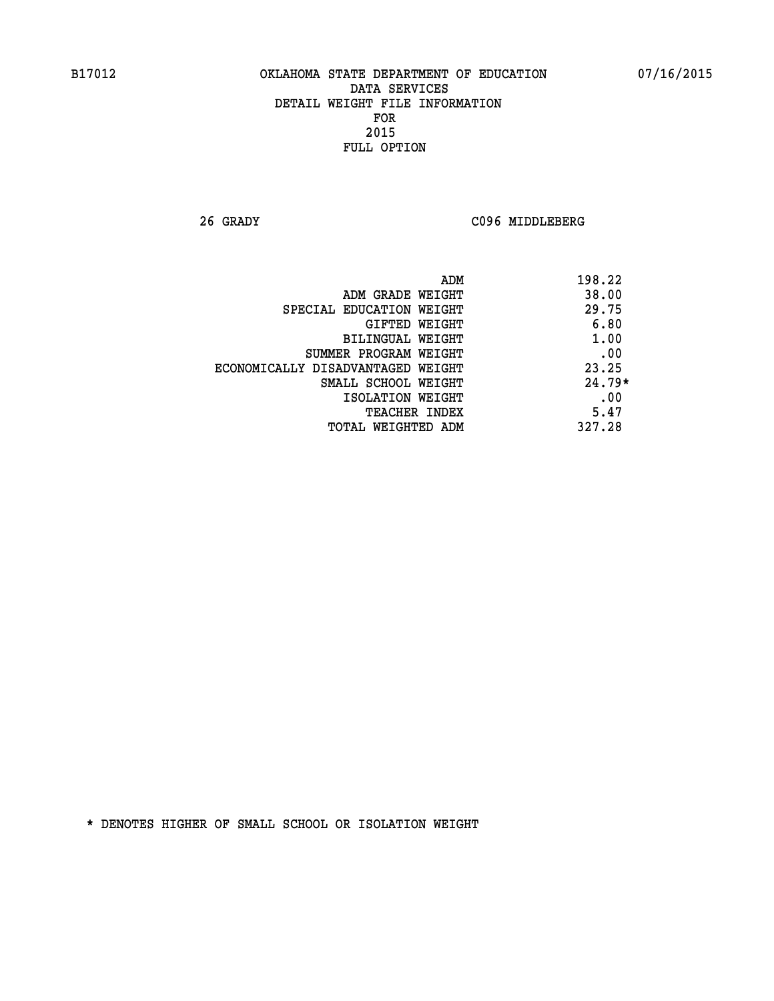**26 GRADY C096 MIDDLEBERG** 

| ADM                               | 198.22   |
|-----------------------------------|----------|
| ADM GRADE WEIGHT                  | 38.00    |
| SPECIAL EDUCATION WEIGHT          | 29.75    |
| GIFTED WEIGHT                     | 6.80     |
| BILINGUAL WEIGHT                  | 1.00     |
| SUMMER PROGRAM WEIGHT             | .00      |
| ECONOMICALLY DISADVANTAGED WEIGHT | 23.25    |
| SMALL SCHOOL WEIGHT               | $24.79*$ |
| ISOLATION WEIGHT                  | .00      |
| <b>TEACHER INDEX</b>              | 5.47     |
| TOTAL WEIGHTED ADM                | 327.28   |
|                                   |          |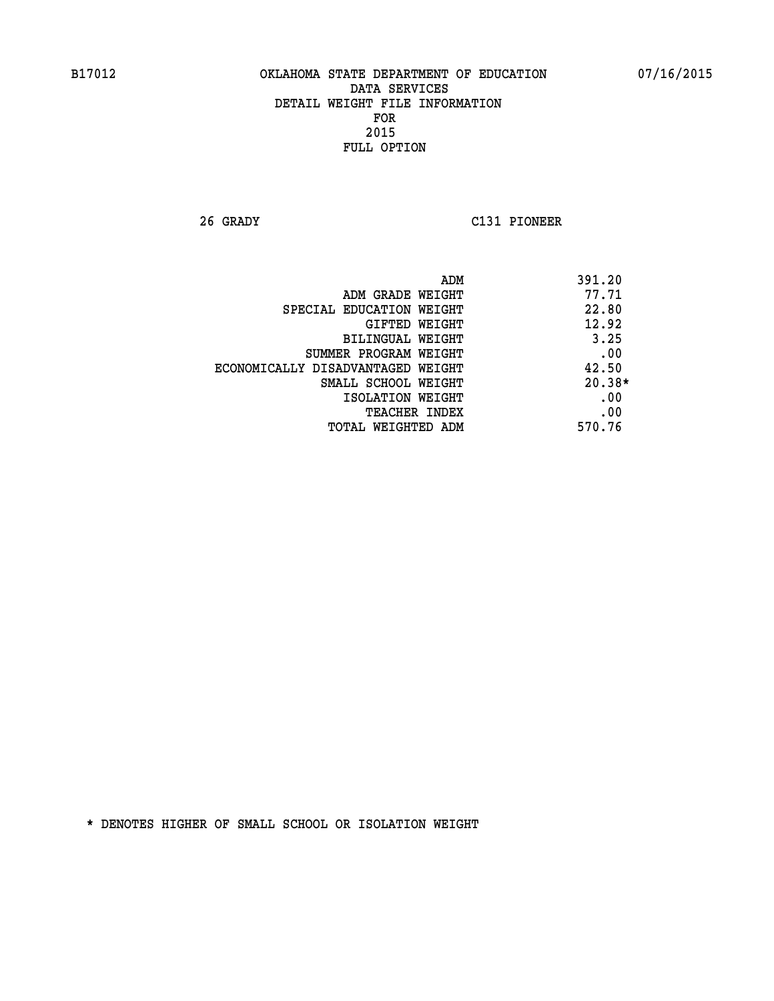**26 GRADY C131 PIONEER** 

|                                   | ADM<br>391.20 |     |
|-----------------------------------|---------------|-----|
| ADM GRADE WEIGHT                  | 77.71         |     |
| SPECIAL EDUCATION WEIGHT          | 22.80         |     |
| GIFTED WEIGHT                     | 12.92         |     |
| BILINGUAL WEIGHT                  | 3.25          |     |
| SUMMER PROGRAM WEIGHT             |               | .00 |
| ECONOMICALLY DISADVANTAGED WEIGHT | 42.50         |     |
| SMALL SCHOOL WEIGHT               | $20.38*$      |     |
| ISOLATION WEIGHT                  |               | .00 |
| <b>TEACHER INDEX</b>              |               | .00 |
| TOTAL WEIGHTED ADM                | 570.76        |     |
|                                   |               |     |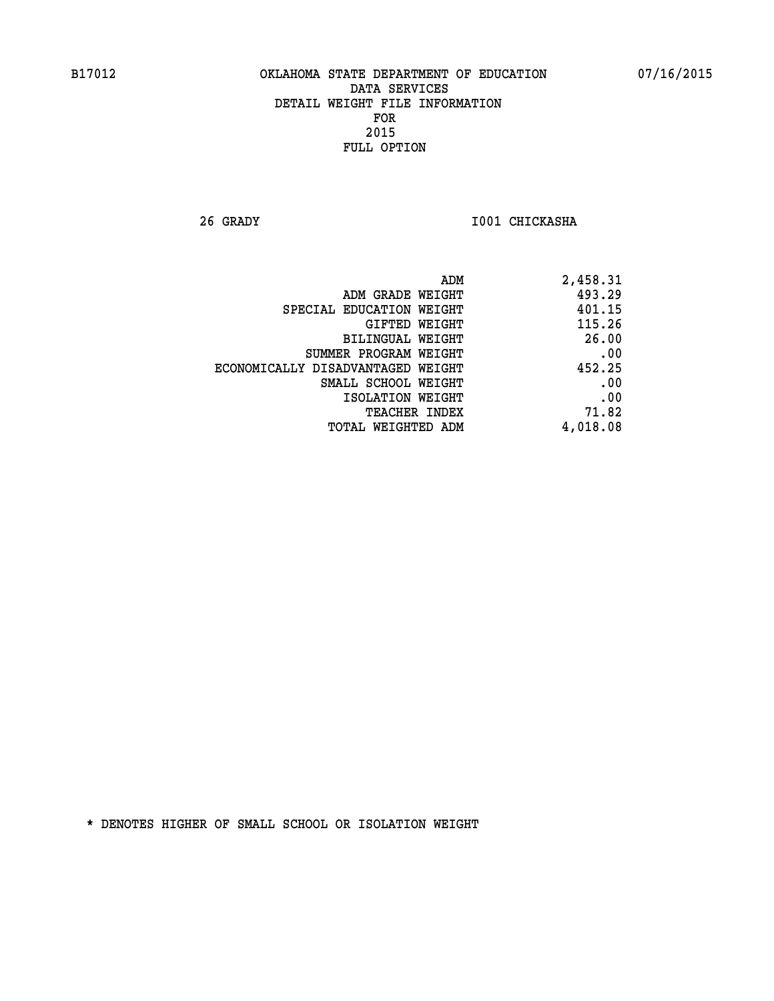**26 GRADY I001 CHICKASHA** 

| ADM GRADE WEIGHT<br>SPECIAL EDUCATION WEIGHT | 493.29   |
|----------------------------------------------|----------|
|                                              |          |
|                                              | 401.15   |
| GIFTED WEIGHT                                | 115.26   |
| <b>BILINGUAL WEIGHT</b>                      | 26.00    |
| SUMMER PROGRAM WEIGHT                        | .00      |
| ECONOMICALLY DISADVANTAGED WEIGHT            | 452.25   |
| SMALL SCHOOL WEIGHT                          | .00      |
| ISOLATION WEIGHT                             | .00      |
| TEACHER INDEX                                | 71.82    |
| TOTAL WEIGHTED ADM                           | 4,018.08 |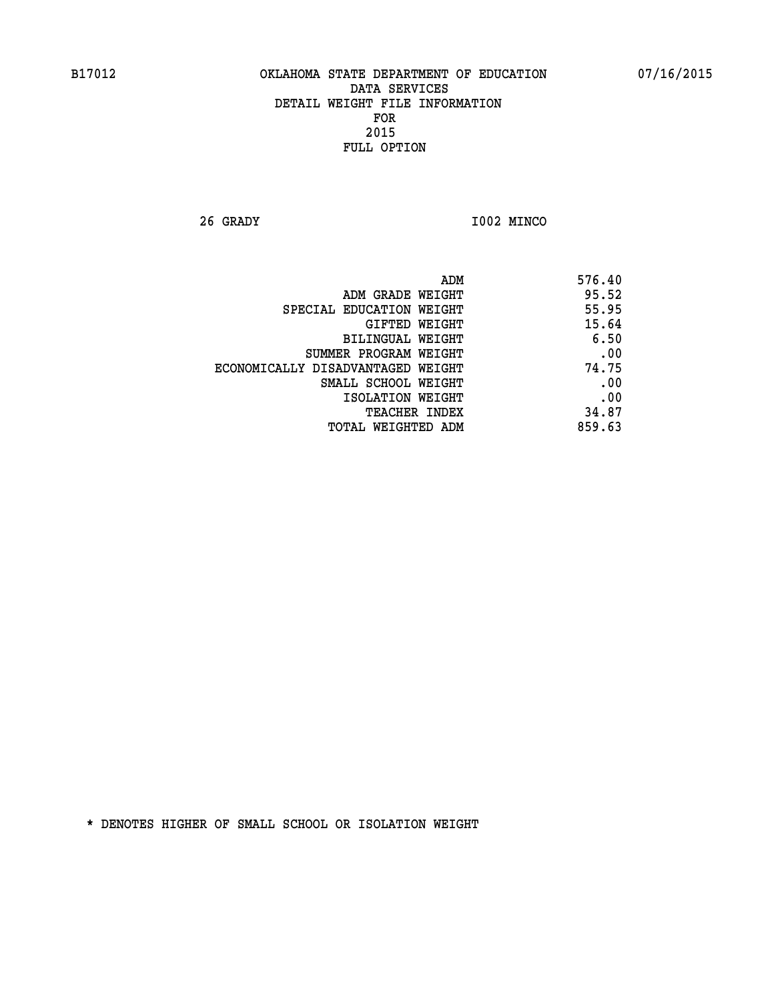**26 GRADY I002 MINCO** 

| 576.40 |
|--------|
| 95.52  |
| 55.95  |
| 15.64  |
| 6.50   |
| .00    |
| 74.75  |
| .00    |
| .00    |
| 34.87  |
| 859.63 |
|        |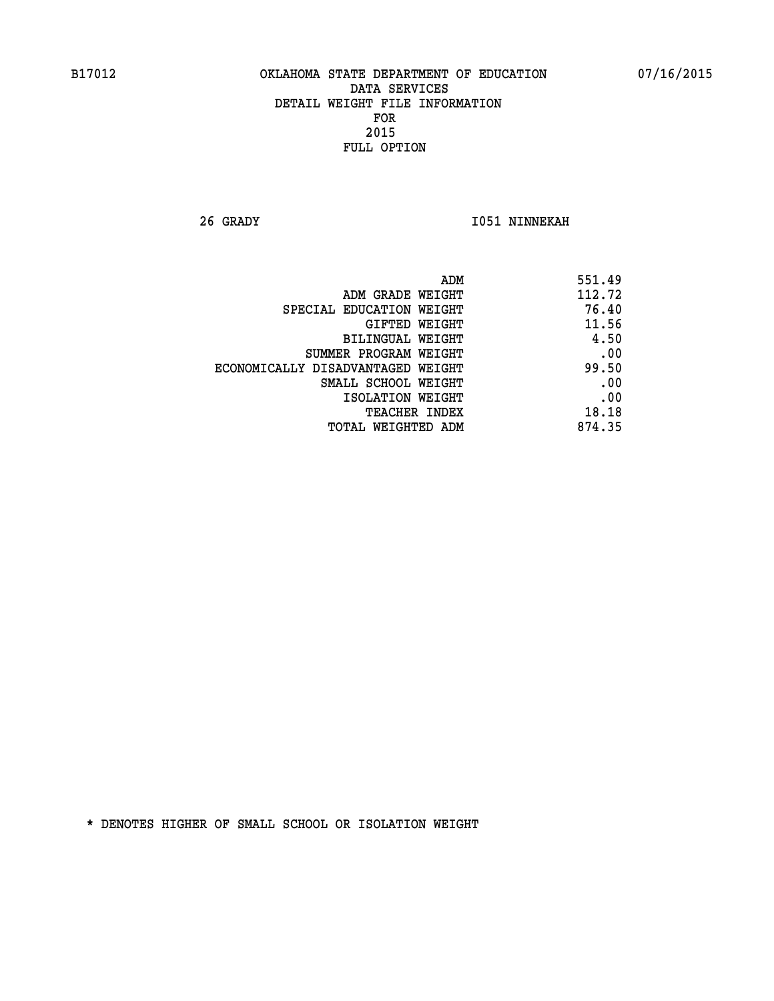**26 GRADY I051 NINNEKAH** 

| ADM                               | 551.49 |
|-----------------------------------|--------|
| ADM GRADE WEIGHT                  | 112.72 |
| SPECIAL EDUCATION WEIGHT          | 76.40  |
| GIFTED WEIGHT                     | 11.56  |
| BILINGUAL WEIGHT                  | 4.50   |
| SUMMER PROGRAM WEIGHT             | .00    |
| ECONOMICALLY DISADVANTAGED WEIGHT | 99.50  |
| SMALL SCHOOL WEIGHT               | .00    |
| ISOLATION WEIGHT                  | .00    |
| TEACHER INDEX                     | 18.18  |
| TOTAL WEIGHTED ADM                | 874.35 |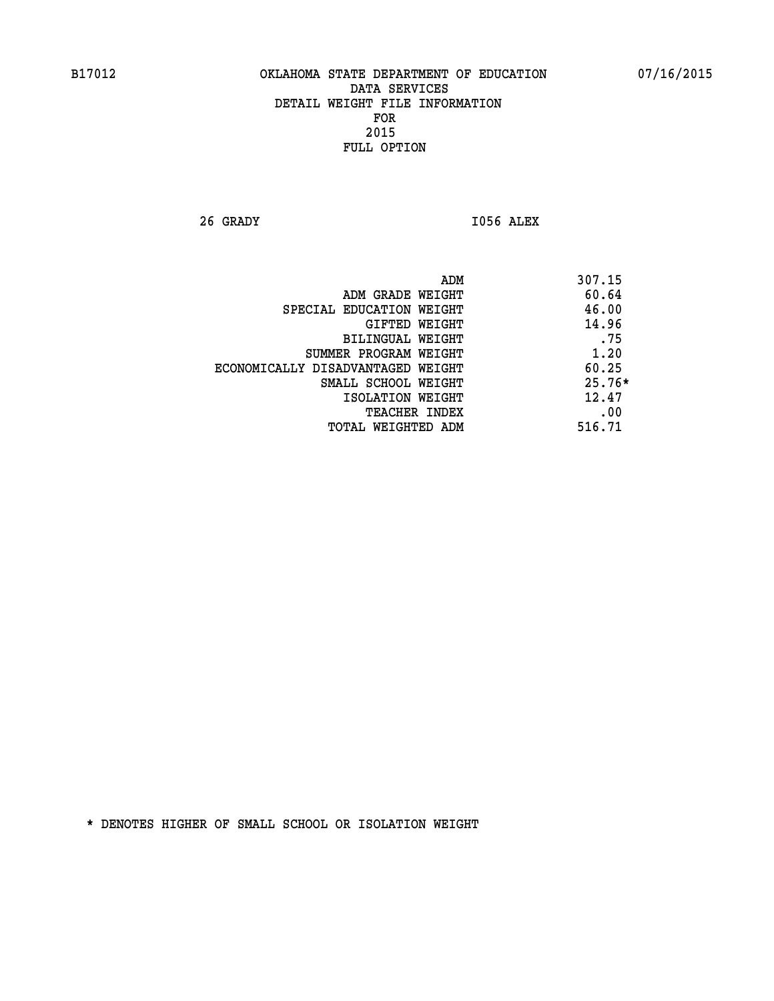**26 GRADY I056 ALEX** 

|                                   | ADM | 307.15   |
|-----------------------------------|-----|----------|
| ADM GRADE WEIGHT                  |     | 60.64    |
| SPECIAL EDUCATION WEIGHT          |     | 46.00    |
| GIFTED WEIGHT                     |     | 14.96    |
| BILINGUAL WEIGHT                  |     | .75      |
| SUMMER PROGRAM WEIGHT             |     | 1.20     |
| ECONOMICALLY DISADVANTAGED WEIGHT |     | 60.25    |
| SMALL SCHOOL WEIGHT               |     | $25.76*$ |
| ISOLATION WEIGHT                  |     | 12.47    |
| TEACHER INDEX                     |     | .00      |
| TOTAL WEIGHTED ADM                |     | 516.71   |
|                                   |     |          |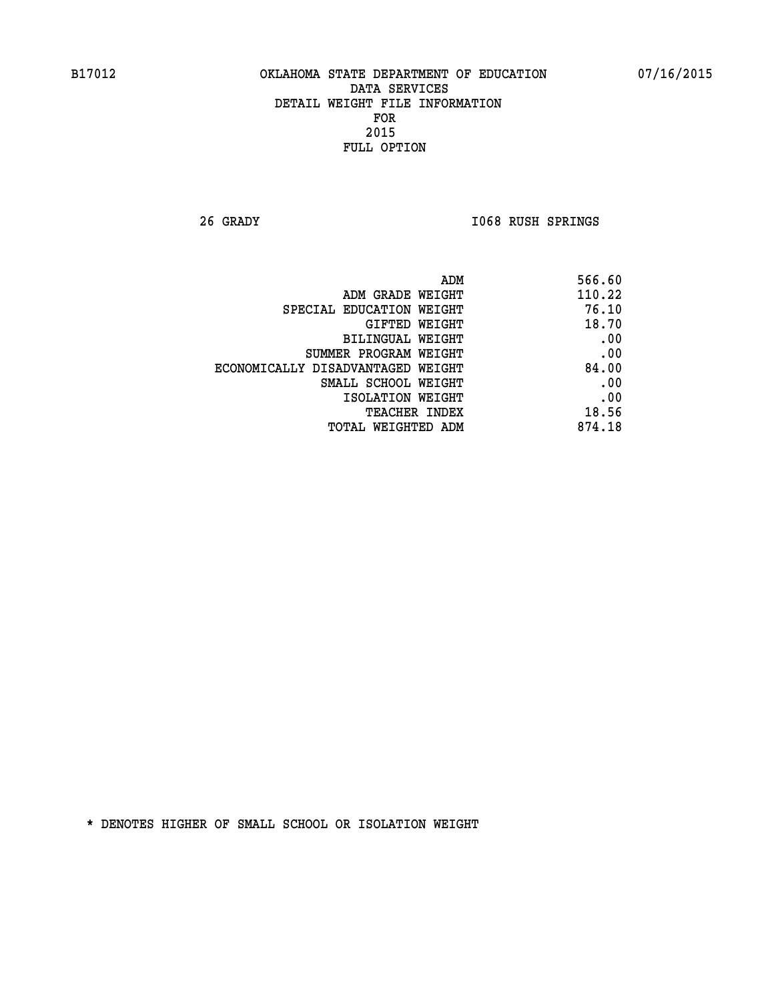**26 GRADY I068 RUSH SPRINGS** 

| 566.60                                                                                                                                                         |
|----------------------------------------------------------------------------------------------------------------------------------------------------------------|
| 110.22                                                                                                                                                         |
| 76.10                                                                                                                                                          |
| 18.70                                                                                                                                                          |
| .00                                                                                                                                                            |
| .00                                                                                                                                                            |
| 84.00                                                                                                                                                          |
| .00                                                                                                                                                            |
| .00                                                                                                                                                            |
| 18.56                                                                                                                                                          |
| 874.18                                                                                                                                                         |
| ADM GRADE WEIGHT<br>GIFTED WEIGHT<br>BILINGUAL WEIGHT<br>SUMMER PROGRAM WEIGHT<br>ECONOMICALLY DISADVANTAGED WEIGHT<br>SMALL SCHOOL WEIGHT<br>ISOLATION WEIGHT |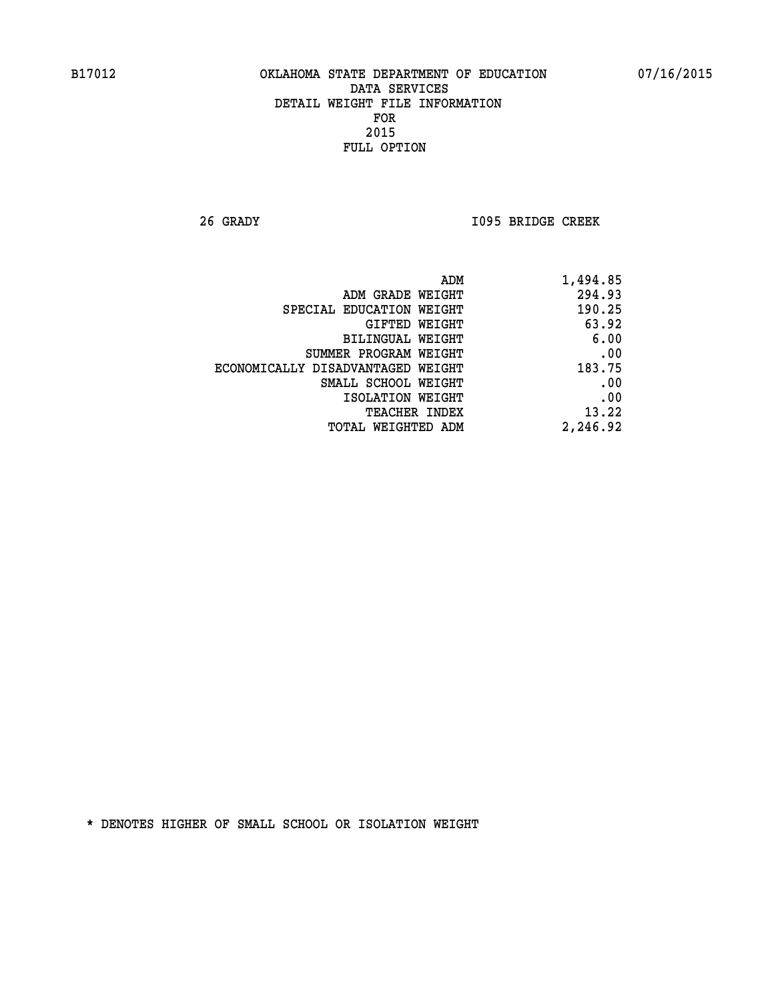**26 GRADY I095 BRIDGE CREEK** 

| 1,494.85 |
|----------|
| 294.93   |
| 190.25   |
| 63.92    |
| 6.00     |
| .00      |
| 183.75   |
| .00      |
| .00      |
| 13.22    |
| 2,246.92 |
|          |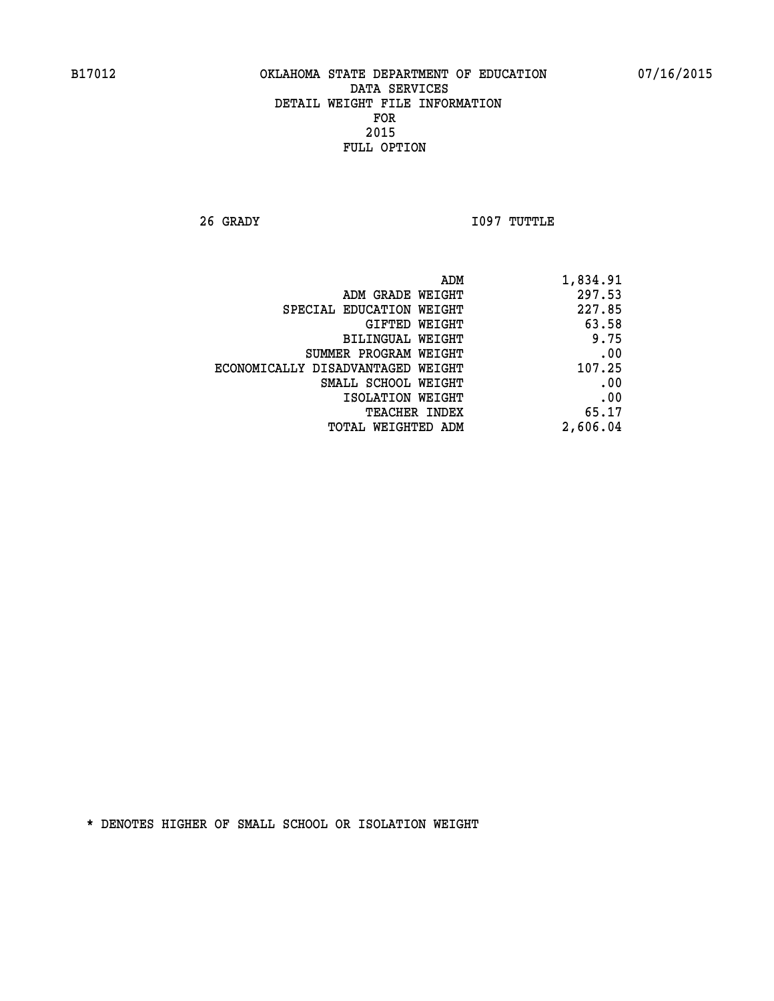**26 GRADY I097 TUTTLE** 

| ADM                               | 1,834.91 |
|-----------------------------------|----------|
| ADM GRADE WEIGHT                  | 297.53   |
| SPECIAL EDUCATION WEIGHT          | 227.85   |
| GIFTED WEIGHT                     | 63.58    |
| BILINGUAL WEIGHT                  | 9.75     |
| SUMMER PROGRAM WEIGHT             | .00      |
| ECONOMICALLY DISADVANTAGED WEIGHT | 107.25   |
| SMALL SCHOOL WEIGHT               | .00      |
| ISOLATION WEIGHT                  | .00      |
| TEACHER INDEX                     | 65.17    |
| TOTAL WEIGHTED ADM                | 2,606.04 |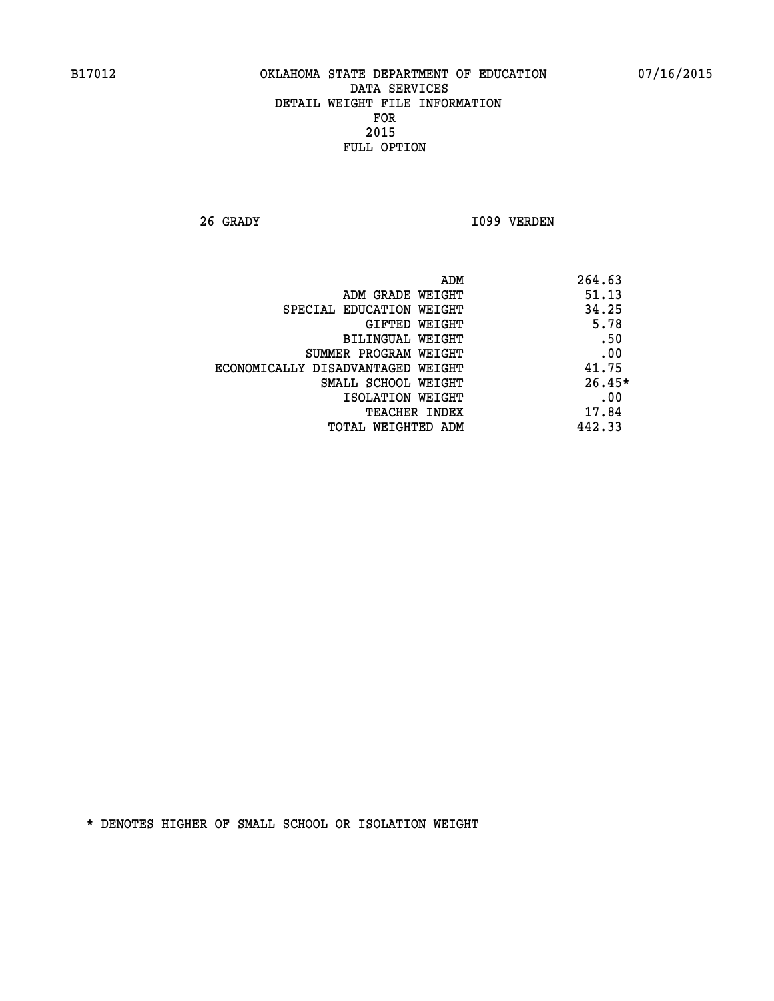**26 GRADY I099 VERDEN** 

| ADM                               | 264.63   |
|-----------------------------------|----------|
| ADM GRADE WEIGHT                  | 51.13    |
| SPECIAL EDUCATION WEIGHT          | 34.25    |
| GIFTED WEIGHT                     | 5.78     |
| BILINGUAL WEIGHT                  | .50      |
| SUMMER PROGRAM WEIGHT             | .00      |
| ECONOMICALLY DISADVANTAGED WEIGHT | 41.75    |
| SMALL SCHOOL WEIGHT               | $26.45*$ |
| ISOLATION WEIGHT                  | .00      |
| <b>TEACHER INDEX</b>              | 17.84    |
| TOTAL WEIGHTED ADM                | 442.33   |
|                                   |          |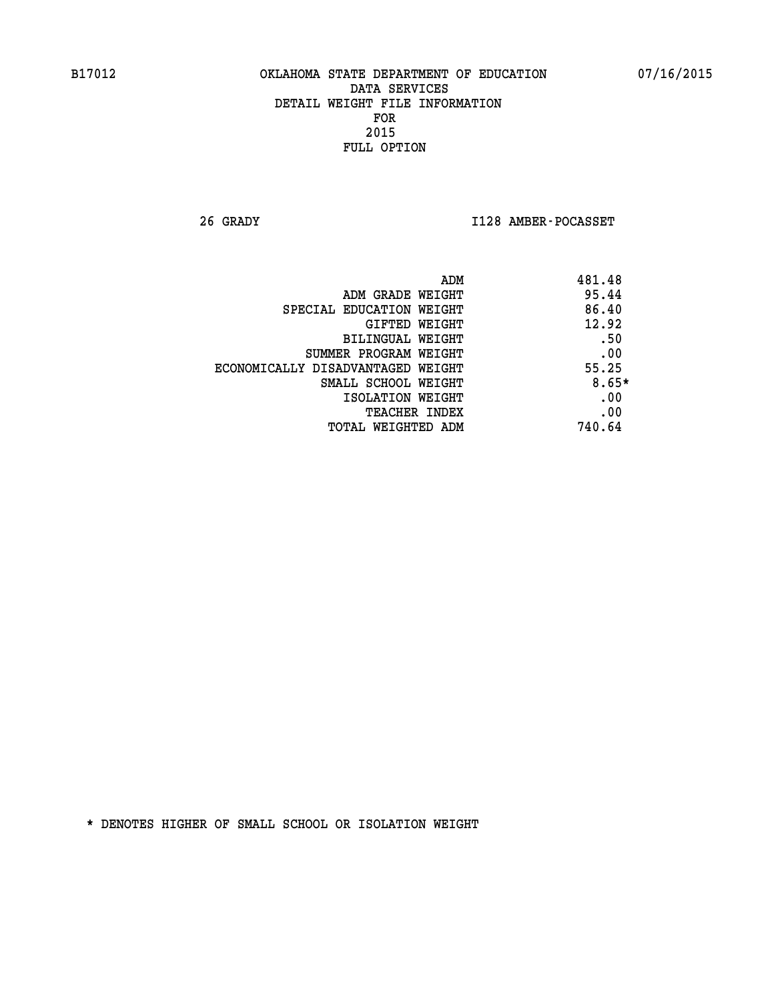**26 GRADY I128 AMBER-POCASSET** 

|                                   | 481.48<br>ADM |
|-----------------------------------|---------------|
| ADM GRADE WEIGHT                  | 95.44         |
| SPECIAL EDUCATION WEIGHT          | 86.40         |
| GIFTED WEIGHT                     | 12.92         |
| BILINGUAL WEIGHT                  | .50           |
| SUMMER PROGRAM WEIGHT             | .00           |
| ECONOMICALLY DISADVANTAGED WEIGHT | 55.25         |
| SMALL SCHOOL WEIGHT               | $8.65*$       |
| ISOLATION WEIGHT                  | .00           |
| <b>TEACHER INDEX</b>              | .00           |
| TOTAL WEIGHTED ADM                | 740.64        |
|                                   |               |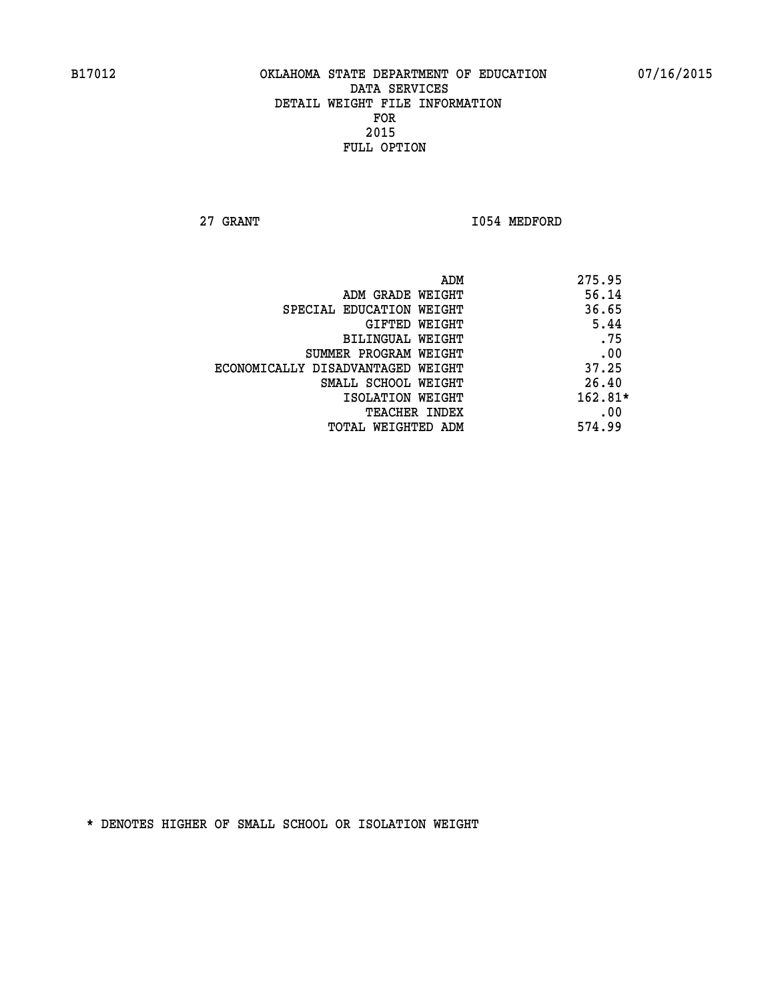**27 GRANT 1054 MEDFORD** 

|                                   | ADM | 275.95    |
|-----------------------------------|-----|-----------|
| ADM GRADE WEIGHT                  |     | 56.14     |
| SPECIAL EDUCATION WEIGHT          |     | 36.65     |
| GIFTED WEIGHT                     |     | 5.44      |
| BILINGUAL WEIGHT                  |     | .75       |
| SUMMER PROGRAM WEIGHT             |     | .00       |
| ECONOMICALLY DISADVANTAGED WEIGHT |     | 37.25     |
| SMALL SCHOOL WEIGHT               |     | 26.40     |
| ISOLATION WEIGHT                  |     | $162.81*$ |
| TEACHER INDEX                     |     | .00       |
| TOTAL WEIGHTED ADM                |     | 574.99    |
|                                   |     |           |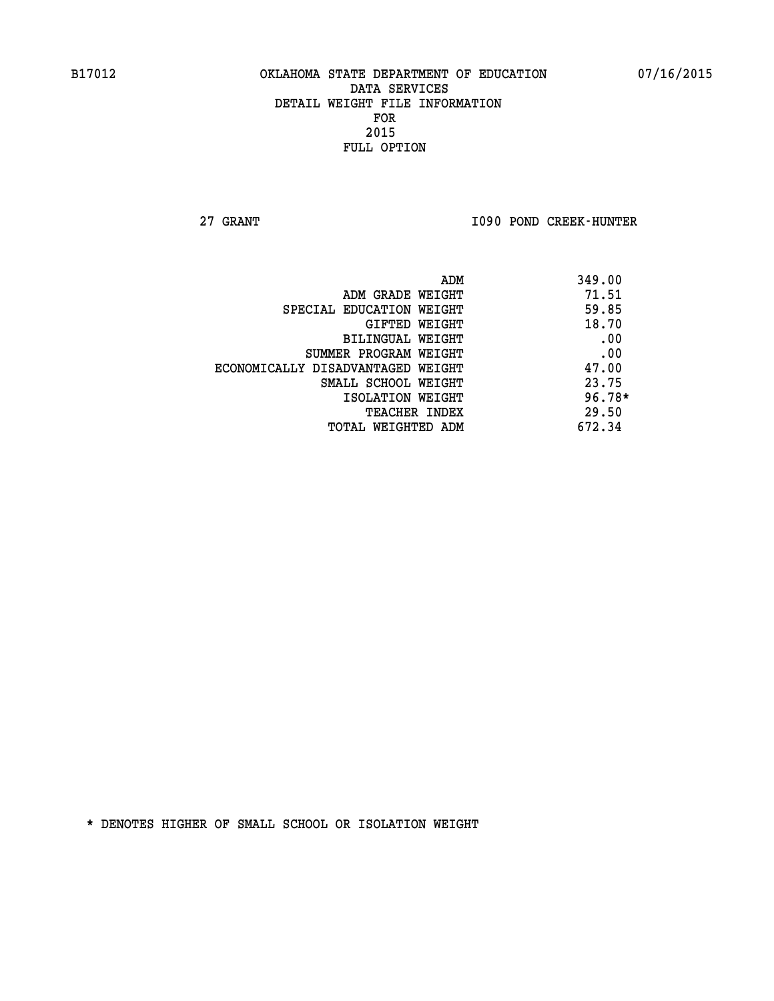**27 GRANT I090 POND CREEK-HUNTER** 

|                                   | ADM | 349.00   |
|-----------------------------------|-----|----------|
| ADM GRADE WEIGHT                  |     | 71.51    |
| SPECIAL EDUCATION WEIGHT          |     | 59.85    |
| GIFTED WEIGHT                     |     | 18.70    |
| BILINGUAL WEIGHT                  |     | .00      |
| SUMMER PROGRAM WEIGHT             |     | .00      |
| ECONOMICALLY DISADVANTAGED WEIGHT |     | 47.00    |
| SMALL SCHOOL WEIGHT               |     | 23.75    |
| ISOLATION WEIGHT                  |     | $96.78*$ |
| <b>TEACHER INDEX</b>              |     | 29.50    |
| TOTAL WEIGHTED ADM                |     | 672.34   |
|                                   |     |          |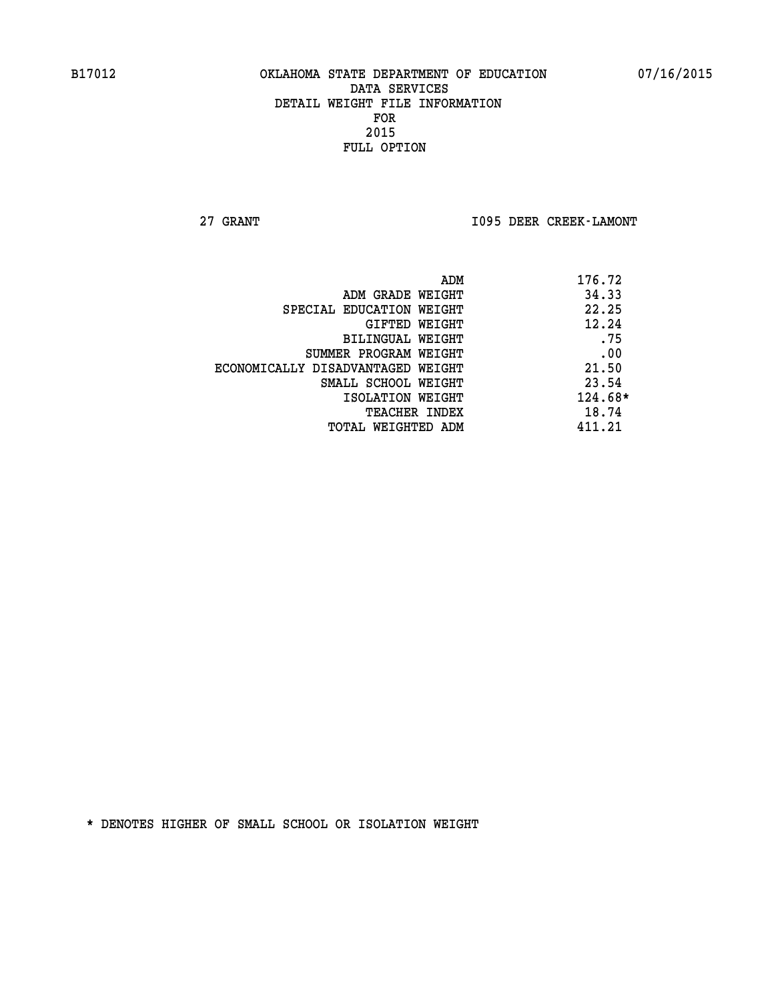**27 GRANT I095 DEER CREEK-LAMONT** 

| 176.72  |
|---------|
| 34.33   |
| 22.25   |
| 12.24   |
| .75     |
| .00     |
| 21.50   |
| 23.54   |
| 124.68* |
| 18.74   |
| 411.21  |
|         |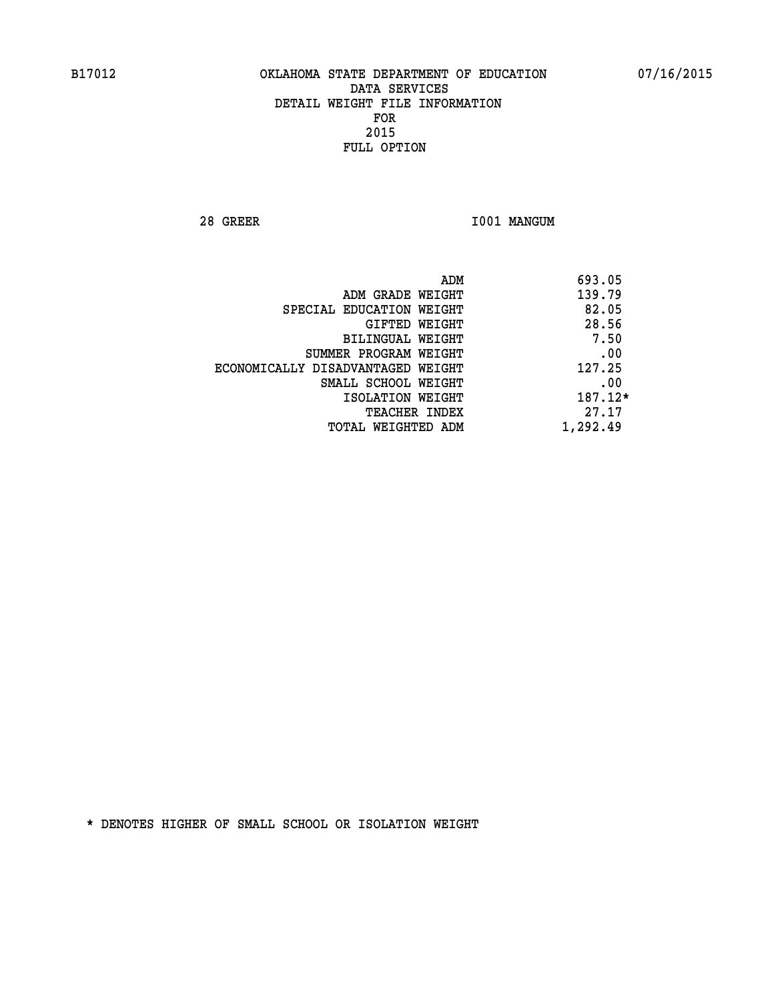**28 GREER I001 MANGUM** 

|                                   | ADM<br>693.05 |  |
|-----------------------------------|---------------|--|
| ADM GRADE WEIGHT                  | 139.79        |  |
| SPECIAL EDUCATION WEIGHT          | 82.05         |  |
| GIFTED WEIGHT                     | 28.56         |  |
| BILINGUAL WEIGHT                  | 7.50          |  |
| SUMMER PROGRAM WEIGHT             | .00           |  |
| ECONOMICALLY DISADVANTAGED WEIGHT | 127.25        |  |
| SMALL SCHOOL WEIGHT               | .00           |  |
| ISOLATION WEIGHT                  | 187.12*       |  |
| <b>TEACHER INDEX</b>              | 27.17         |  |
| TOTAL WEIGHTED ADM                | 1,292.49      |  |
|                                   |               |  |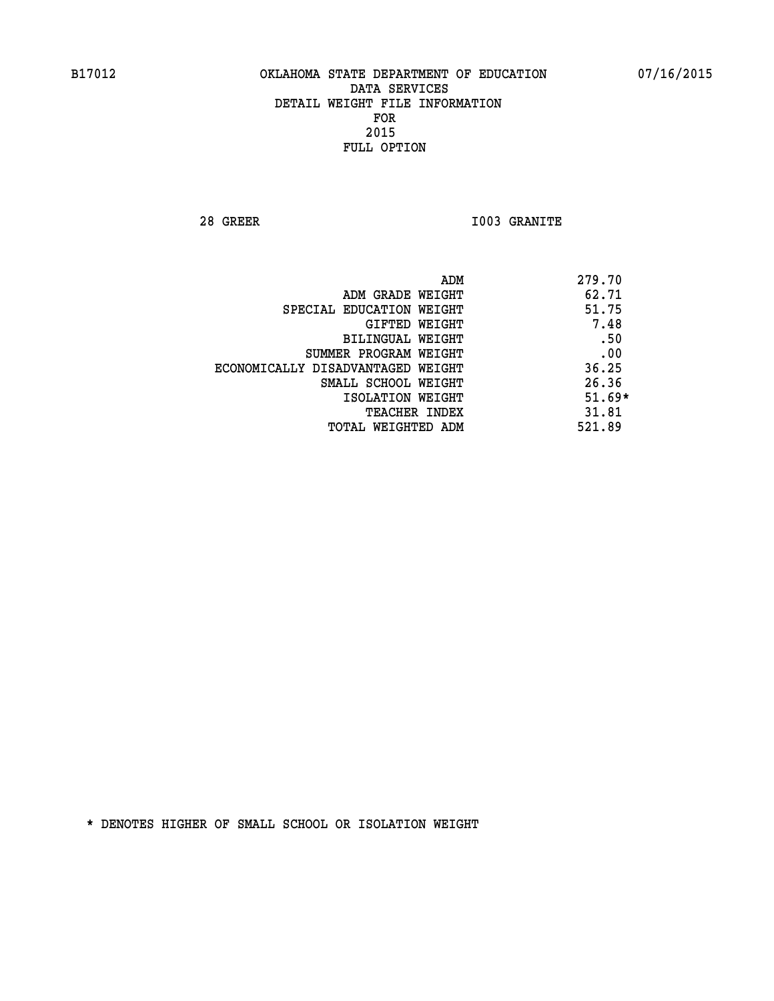**28 GREER I003 GRANITE** 

|                                   | ADM | 279.70   |
|-----------------------------------|-----|----------|
| ADM GRADE WEIGHT                  |     | 62.71    |
| SPECIAL EDUCATION WEIGHT          |     | 51.75    |
| GIFTED WEIGHT                     |     | 7.48     |
| BILINGUAL WEIGHT                  |     | .50      |
| SUMMER PROGRAM WEIGHT             |     | .00      |
| ECONOMICALLY DISADVANTAGED WEIGHT |     | 36.25    |
| SMALL SCHOOL WEIGHT               |     | 26.36    |
| ISOLATION WEIGHT                  |     | $51.69*$ |
| TEACHER INDEX                     |     | 31.81    |
| TOTAL WEIGHTED ADM                |     | 521.89   |
|                                   |     |          |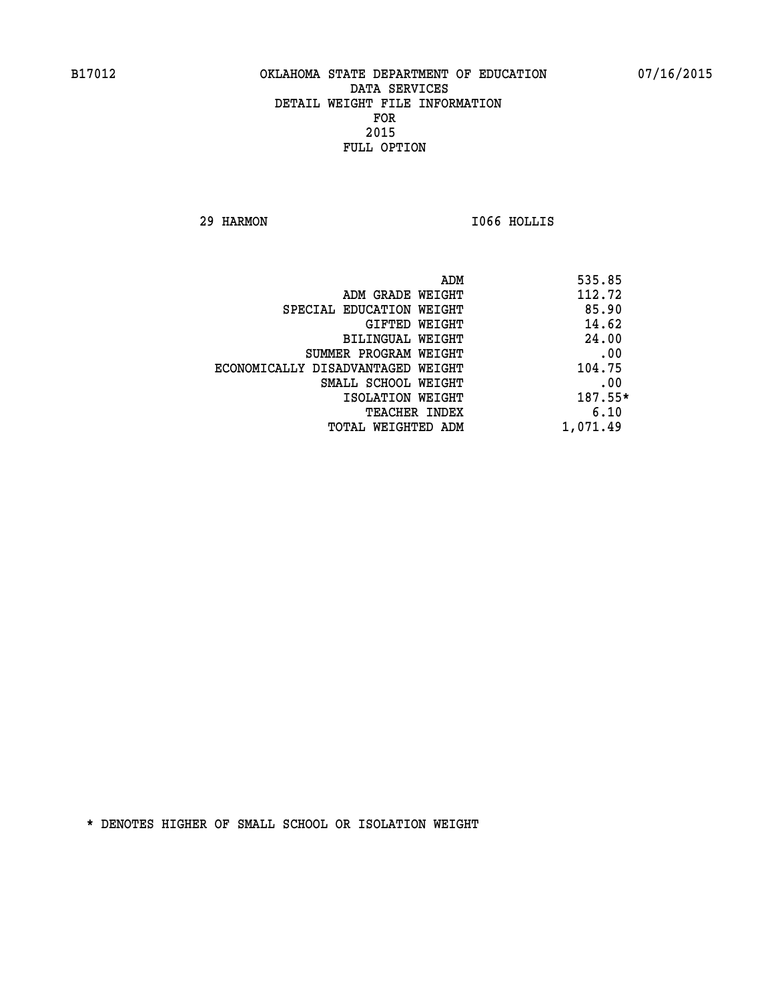**29 HARMON I066 HOLLIS** 

| ADM                               | 535.85   |
|-----------------------------------|----------|
| ADM GRADE WEIGHT                  | 112.72   |
| SPECIAL EDUCATION WEIGHT          | 85.90    |
| GIFTED WEIGHT                     | 14.62    |
| BILINGUAL WEIGHT                  | 24.00    |
| SUMMER PROGRAM WEIGHT             | .00      |
| ECONOMICALLY DISADVANTAGED WEIGHT | 104.75   |
| SMALL SCHOOL WEIGHT               | .00      |
| ISOLATION WEIGHT                  | 187.55*  |
| TEACHER INDEX                     | 6.10     |
| TOTAL WEIGHTED ADM                | 1,071.49 |
|                                   |          |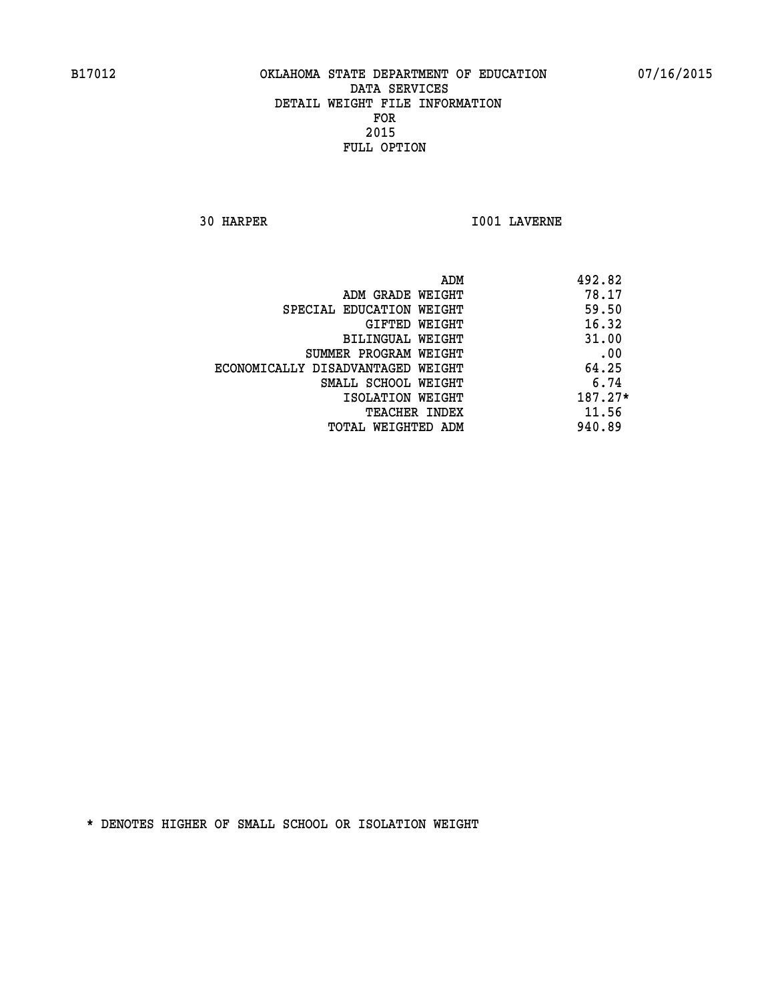**30 HARPER I001 LAVERNE** 

|                                   | ADM<br>492.82 |  |
|-----------------------------------|---------------|--|
| ADM GRADE WEIGHT                  | 78.17         |  |
| SPECIAL EDUCATION WEIGHT          | 59.50         |  |
| GIFTED WEIGHT                     | 16.32         |  |
| BILINGUAL WEIGHT                  | 31.00         |  |
| SUMMER PROGRAM WEIGHT             | .00           |  |
| ECONOMICALLY DISADVANTAGED WEIGHT | 64.25         |  |
| SMALL SCHOOL WEIGHT               | 6.74          |  |
| ISOLATION WEIGHT                  | $187.27*$     |  |
| <b>TEACHER INDEX</b>              | 11.56         |  |
| TOTAL WEIGHTED ADM                | 940.89        |  |
|                                   |               |  |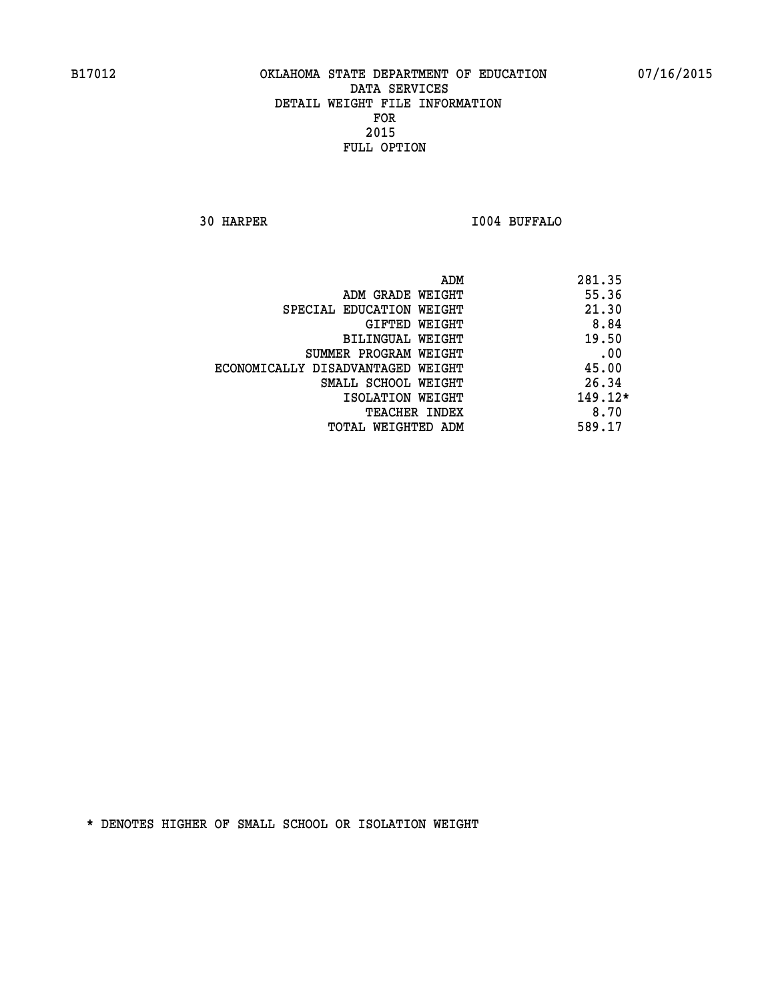**30 HARPER I004 BUFFALO** 

|                                   | 281.35<br>ADM |
|-----------------------------------|---------------|
| ADM GRADE WEIGHT                  | 55.36         |
| SPECIAL EDUCATION WEIGHT          | 21.30         |
| GIFTED WEIGHT                     | 8.84          |
| <b>BILINGUAL WEIGHT</b>           | 19.50         |
| SUMMER PROGRAM WEIGHT             | .00           |
| ECONOMICALLY DISADVANTAGED WEIGHT | 45.00         |
| SMALL SCHOOL WEIGHT               | 26.34         |
| ISOLATION WEIGHT                  | $149.12*$     |
| <b>TEACHER INDEX</b>              | 8.70          |
| TOTAL WEIGHTED ADM                | 589.17        |
|                                   |               |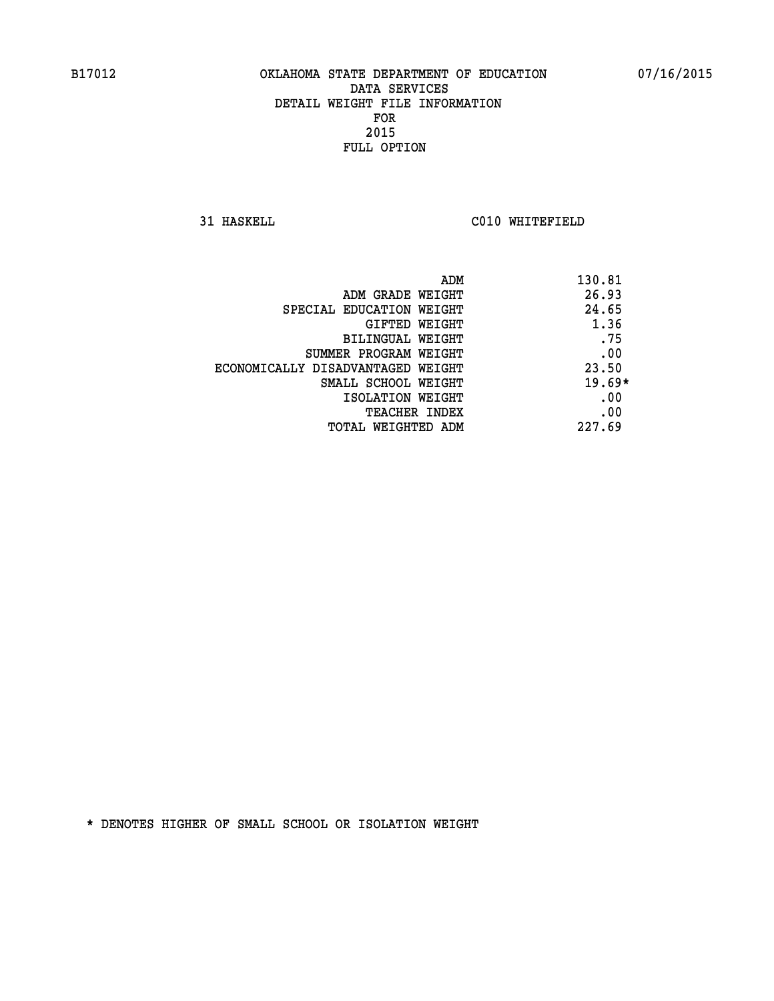**31 HASKELL C010 WHITEFIELD** 

| ADM                               | 130.81   |
|-----------------------------------|----------|
| ADM GRADE WEIGHT                  | 26.93    |
| SPECIAL EDUCATION WEIGHT          | 24.65    |
| GIFTED WEIGHT                     | 1.36     |
| BILINGUAL WEIGHT                  | .75      |
| SUMMER PROGRAM WEIGHT             | .00      |
| ECONOMICALLY DISADVANTAGED WEIGHT | 23.50    |
| SMALL SCHOOL WEIGHT               | $19.69*$ |
| ISOLATION WEIGHT                  | .00      |
| <b>TEACHER INDEX</b>              | .00      |
| TOTAL WEIGHTED ADM                | 227.69   |
|                                   |          |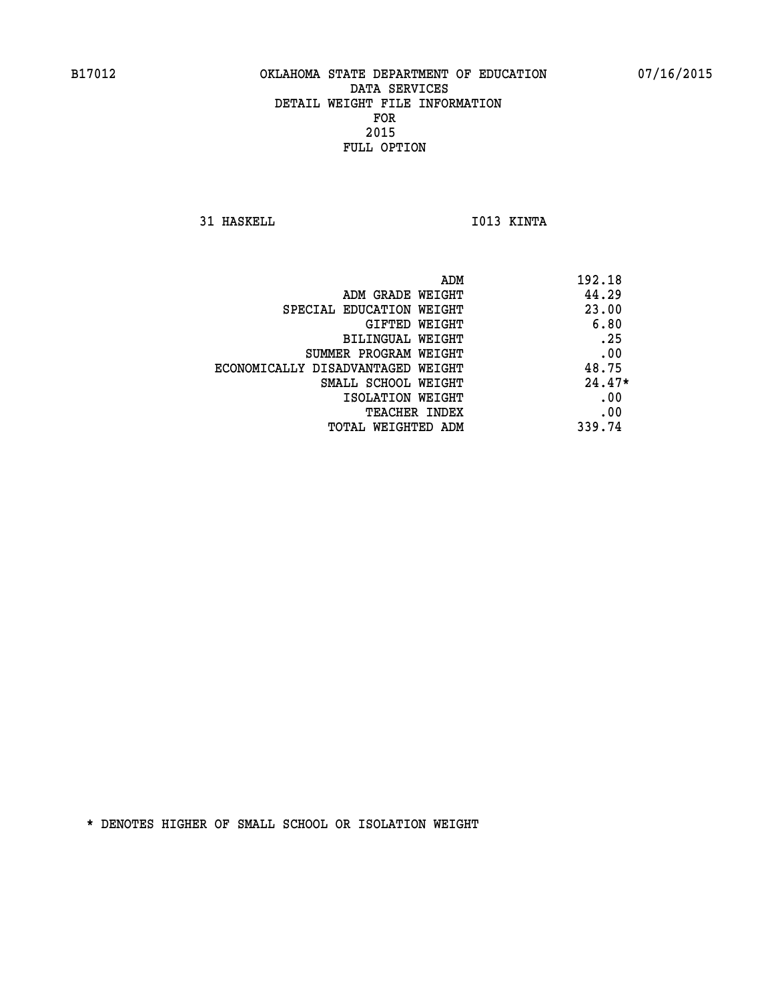**31 HASKELL IO13 KINTA** 

|                                   | 192.18<br>ADM |
|-----------------------------------|---------------|
| ADM GRADE WEIGHT                  | 44.29         |
| SPECIAL EDUCATION WEIGHT          | 23.00         |
| GIFTED WEIGHT                     | 6.80          |
| BILINGUAL WEIGHT                  | .25           |
| SUMMER PROGRAM WEIGHT             | .00           |
| ECONOMICALLY DISADVANTAGED WEIGHT | 48.75         |
| SMALL SCHOOL WEIGHT               | $24.47*$      |
| ISOLATION WEIGHT                  | .00           |
| TEACHER INDEX                     | .00           |
| TOTAL WEIGHTED ADM                | 339.74        |
|                                   |               |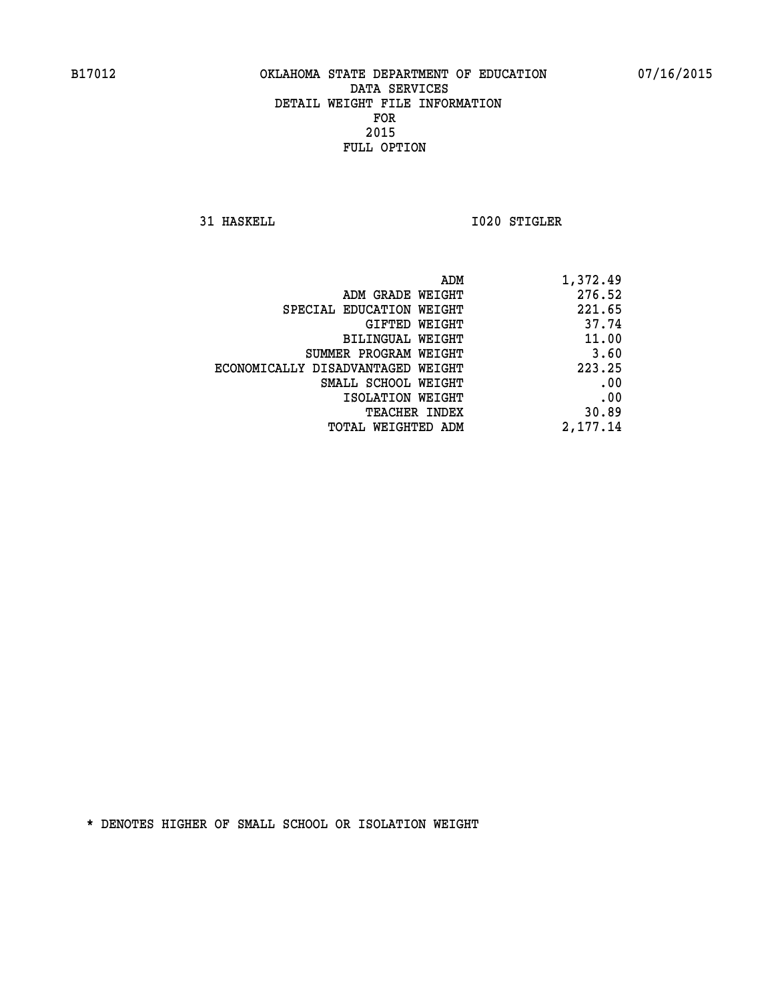**31 HASKELL 1020 STIGLER** 

| 1,372.49 |
|----------|
| 276.52   |
| 221.65   |
| 37.74    |
| 11.00    |
| 3.60     |
| 223.25   |
| .00      |
| .00      |
| 30.89    |
| 2,177.14 |
|          |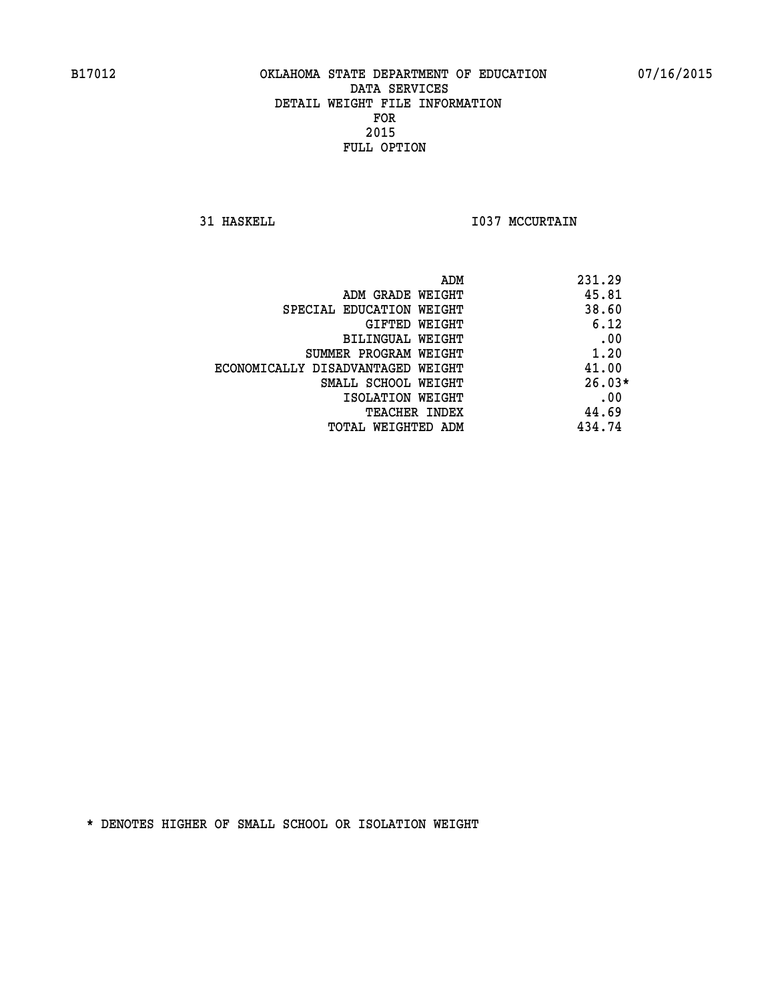**31 HASKELL 1037 MCCURTAIN** 

| ADM<br>231.29                              |  |
|--------------------------------------------|--|
| 45.81<br>ADM GRADE WEIGHT                  |  |
| 38.60<br>SPECIAL EDUCATION WEIGHT          |  |
| 6.12<br>GIFTED WEIGHT                      |  |
| .00<br><b>BILINGUAL WEIGHT</b>             |  |
| 1.20<br>SUMMER PROGRAM WEIGHT              |  |
| 41.00<br>ECONOMICALLY DISADVANTAGED WEIGHT |  |
| $26.03*$<br>SMALL SCHOOL WEIGHT            |  |
| .00<br>ISOLATION WEIGHT                    |  |
| 44.69<br><b>TEACHER INDEX</b>              |  |
| 434.74<br>TOTAL WEIGHTED ADM               |  |
|                                            |  |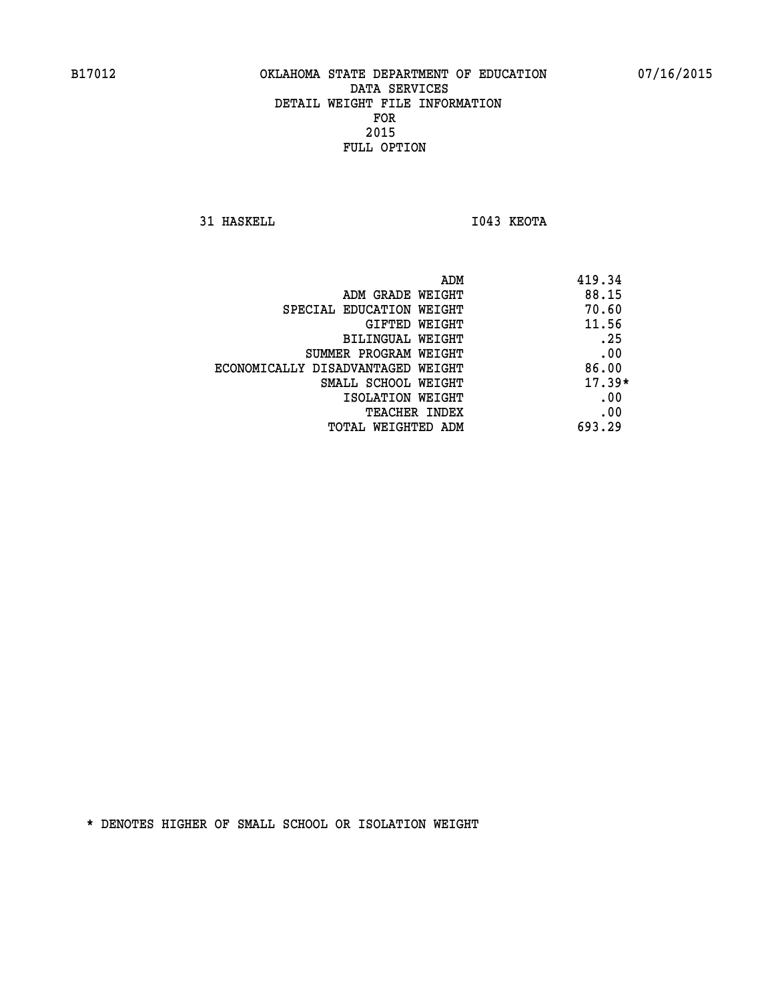**31 HASKELL I043 KEOTA** 

|                                   | 419.34<br>ADM |
|-----------------------------------|---------------|
| ADM GRADE WEIGHT                  | 88.15         |
| SPECIAL EDUCATION WEIGHT          | 70.60         |
| GIFTED WEIGHT                     | 11.56         |
| BILINGUAL WEIGHT                  | .25           |
| SUMMER PROGRAM WEIGHT             | .00           |
| ECONOMICALLY DISADVANTAGED WEIGHT | 86.00         |
| SMALL SCHOOL WEIGHT               | $17.39*$      |
| ISOLATION WEIGHT                  | .00           |
| TEACHER INDEX                     | .00           |
| TOTAL WEIGHTED ADM                | 693.29        |
|                                   |               |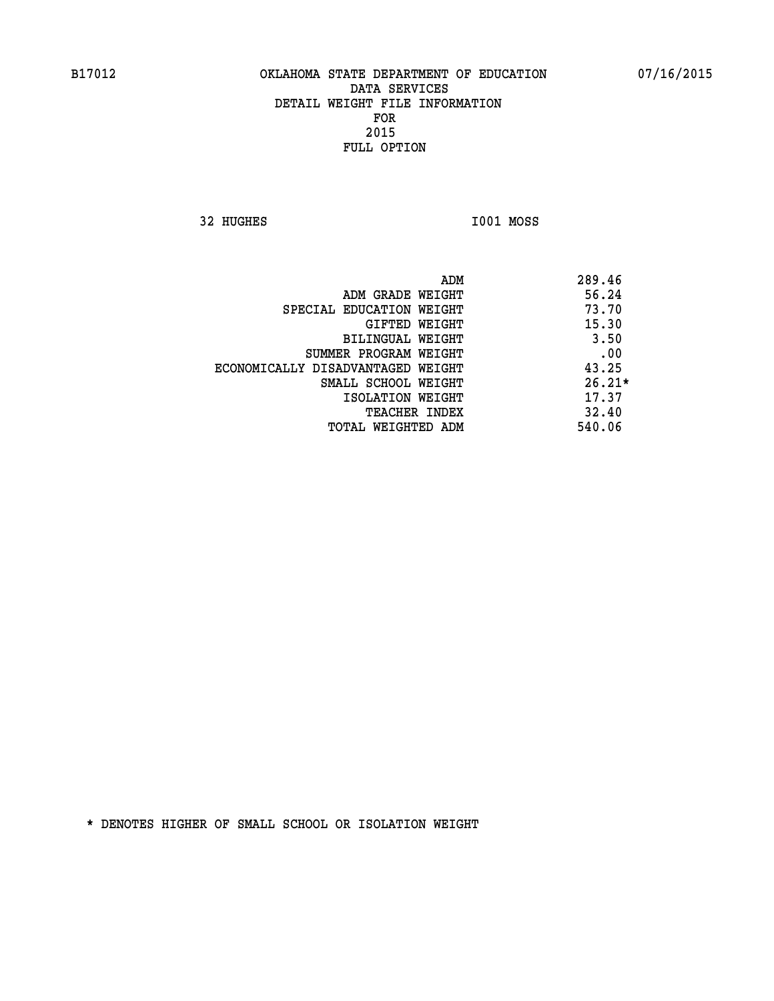**32 HUGHES I001 MOSS** 

| ADM                               | 289.46   |
|-----------------------------------|----------|
| ADM GRADE WEIGHT                  | 56.24    |
| SPECIAL EDUCATION WEIGHT          | 73.70    |
| GIFTED WEIGHT                     | 15.30    |
| BILINGUAL WEIGHT                  | 3.50     |
| SUMMER PROGRAM WEIGHT             | .00      |
| ECONOMICALLY DISADVANTAGED WEIGHT | 43.25    |
| SMALL SCHOOL WEIGHT               | $26.21*$ |
| ISOLATION WEIGHT                  | 17.37    |
| <b>TEACHER INDEX</b>              | 32.40    |
| TOTAL WEIGHTED ADM                | 540.06   |
|                                   |          |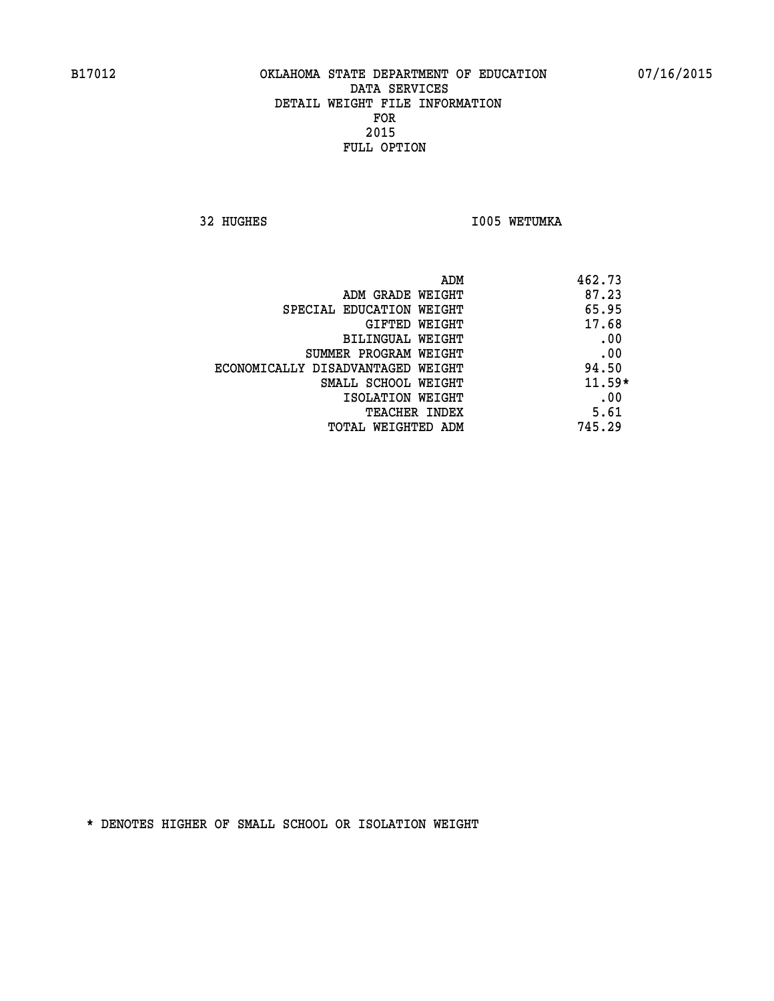32 HUGHES **I005 WETUMKA** 

| ADM<br>462.73                |                                   |
|------------------------------|-----------------------------------|
| 87.23<br>ADM GRADE WEIGHT    |                                   |
| 65.95                        | SPECIAL EDUCATION WEIGHT          |
| 17.68<br>GIFTED WEIGHT       |                                   |
| .00<br>BILINGUAL WEIGHT      |                                   |
| .00                          | SUMMER PROGRAM WEIGHT             |
| 94.50                        | ECONOMICALLY DISADVANTAGED WEIGHT |
| $11.59*$                     | SMALL SCHOOL WEIGHT               |
| .00<br>ISOLATION WEIGHT      |                                   |
| 5.61<br><b>TEACHER INDEX</b> |                                   |
| 745.29                       | TOTAL WEIGHTED ADM                |
|                              |                                   |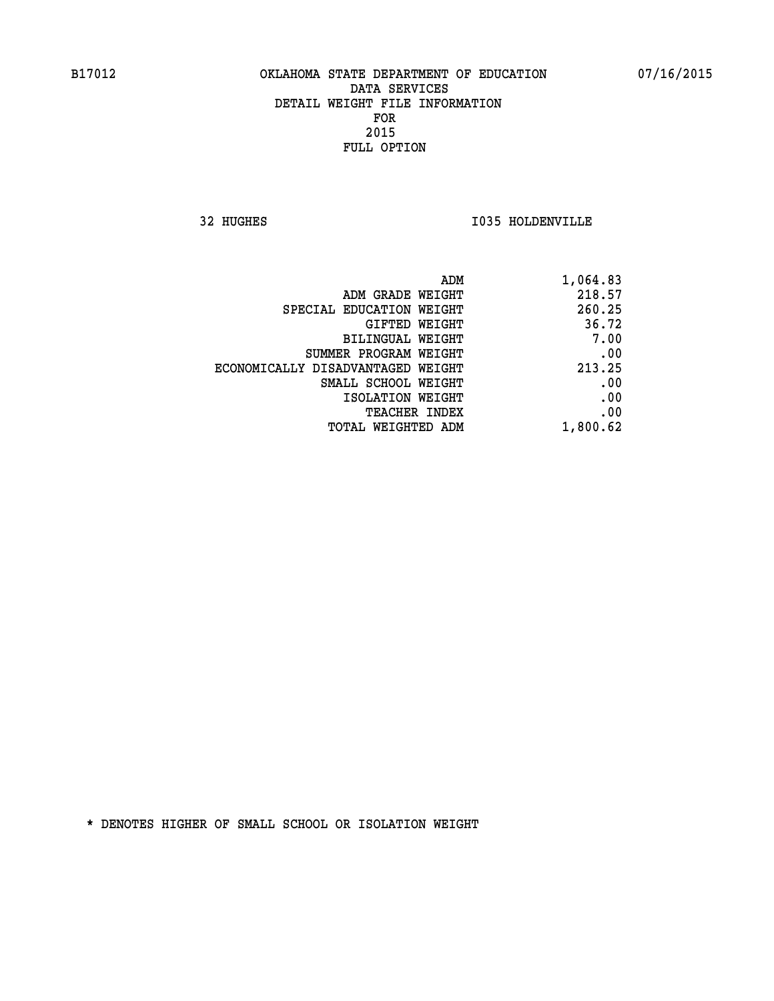**32 HUGHES I035 HOLDENVILLE** 

| 1,064.83 |
|----------|
| 218.57   |
| 260.25   |
| 36.72    |
| 7.00     |
| .00      |
| 213.25   |
| .00      |
| .00      |
| .00      |
| 1,800.62 |
|          |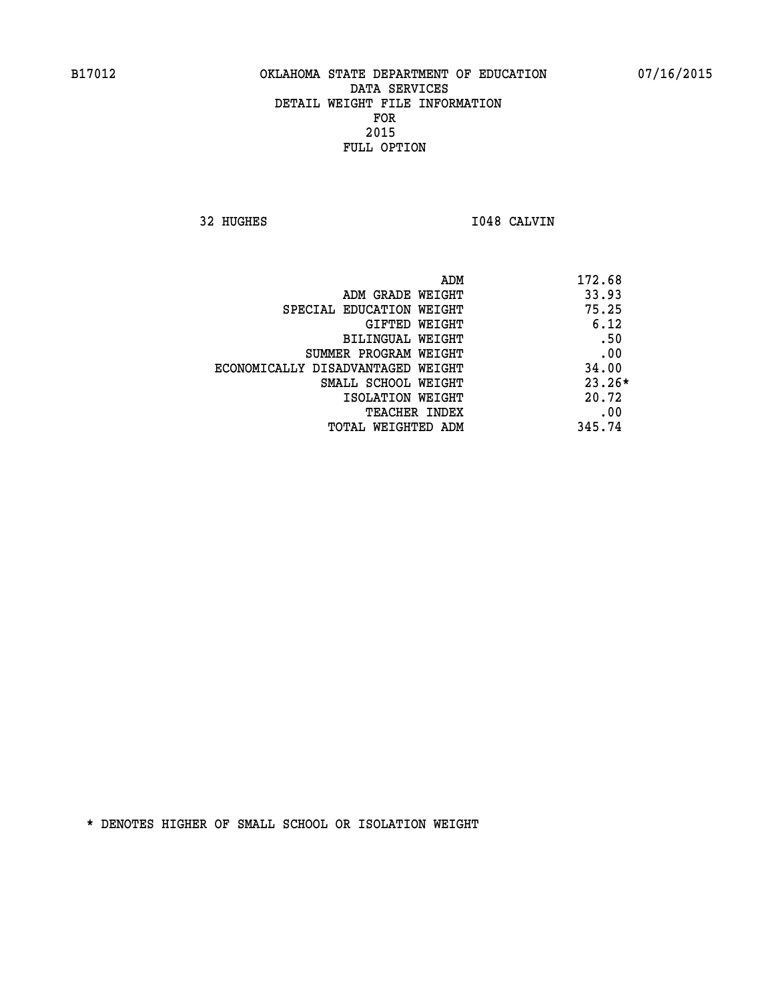**32 HUGHES I048 CALVIN** 

|                                   | ADM | 172.68   |
|-----------------------------------|-----|----------|
| ADM GRADE WEIGHT                  |     | 33.93    |
| SPECIAL EDUCATION WEIGHT          |     | 75.25    |
| GIFTED WEIGHT                     |     | 6.12     |
| BILINGUAL WEIGHT                  |     | .50      |
| SUMMER PROGRAM WEIGHT             |     | .00      |
| ECONOMICALLY DISADVANTAGED WEIGHT |     | 34.00    |
| SMALL SCHOOL WEIGHT               |     | $23.26*$ |
| ISOLATION WEIGHT                  |     | 20.72    |
| <b>TEACHER INDEX</b>              |     | .00      |
| TOTAL WEIGHTED ADM                |     | 345.74   |
|                                   |     |          |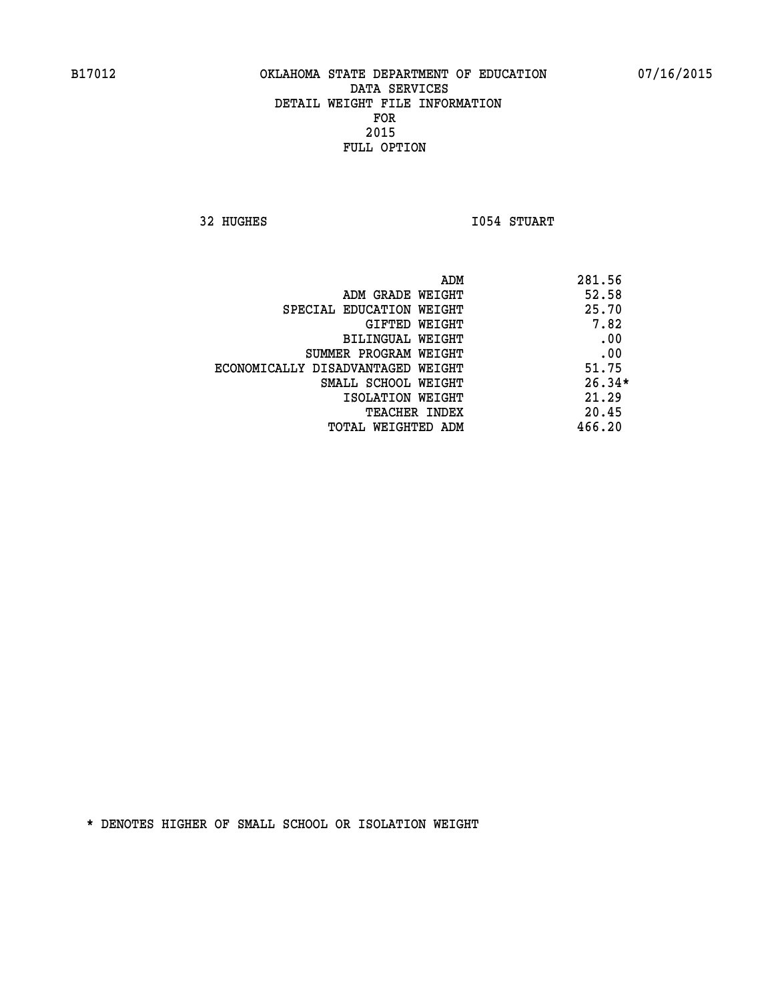**32 HUGHES I054 STUART** 

| 281.56   |
|----------|
| 52.58    |
| 25.70    |
| 7.82     |
| .00      |
| .00      |
| 51.75    |
| $26.34*$ |
| 21.29    |
| 20.45    |
| 466.20   |
|          |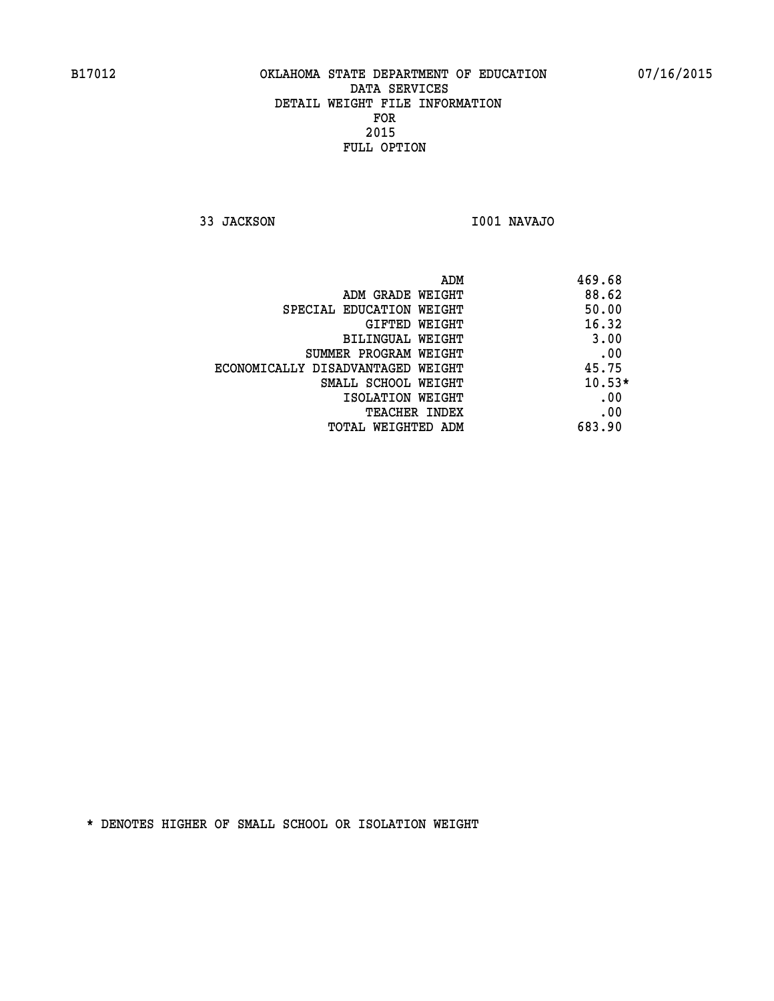**33 JACKSON I001 NAVAJO** 

| ADM                               | 469.68   |
|-----------------------------------|----------|
| ADM GRADE WEIGHT                  | 88.62    |
| SPECIAL EDUCATION WEIGHT          | 50.00    |
| <b>GIFTED WEIGHT</b>              | 16.32    |
| BILINGUAL WEIGHT                  | 3.00     |
| SUMMER PROGRAM WEIGHT             | .00      |
| ECONOMICALLY DISADVANTAGED WEIGHT | 45.75    |
| SMALL SCHOOL WEIGHT               | $10.53*$ |
| ISOLATION WEIGHT                  | .00      |
| <b>TEACHER INDEX</b>              | .00      |
| TOTAL WEIGHTED ADM                | 683.90   |
|                                   |          |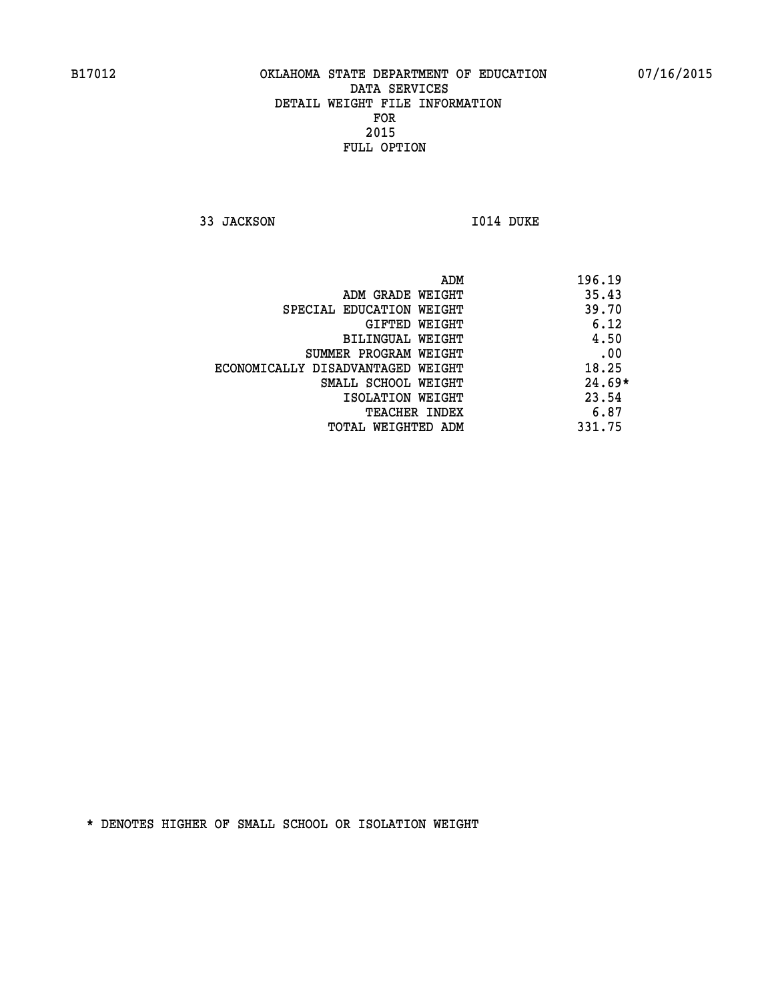**33 JACKSON I014 DUKE** 

 **ADM 196.19 ADM GRADE WEIGHT 35.43 SPECIAL EDUCATION WEIGHT 49.70 GIFTED WEIGHT** 6.12 **BILINGUAL WEIGHT 4.50 SUMMER PROGRAM WEIGHT .00 ECONOMICALLY DISADVANTAGED WEIGHT 18.25 SMALL SCHOOL WEIGHT 24.69\* 1SOLATION WEIGHT 23.54 TEACHER INDEX** 6.87  **TOTAL WEIGHTED ADM 331.75**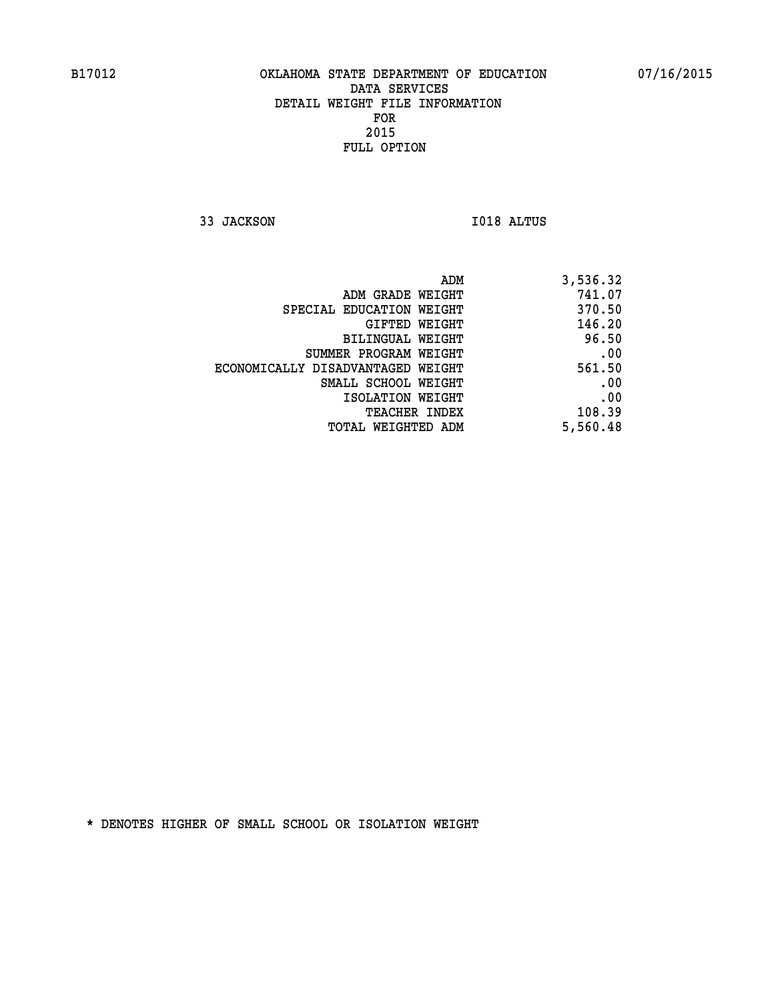**33 JACKSON I018 ALTUS** 

| 3,536.32 |
|----------|
| 741.07   |
| 370.50   |
| 146.20   |
| 96.50    |
| .00      |
| 561.50   |
| .00      |
| .00      |
| 108.39   |
| 5,560.48 |
|          |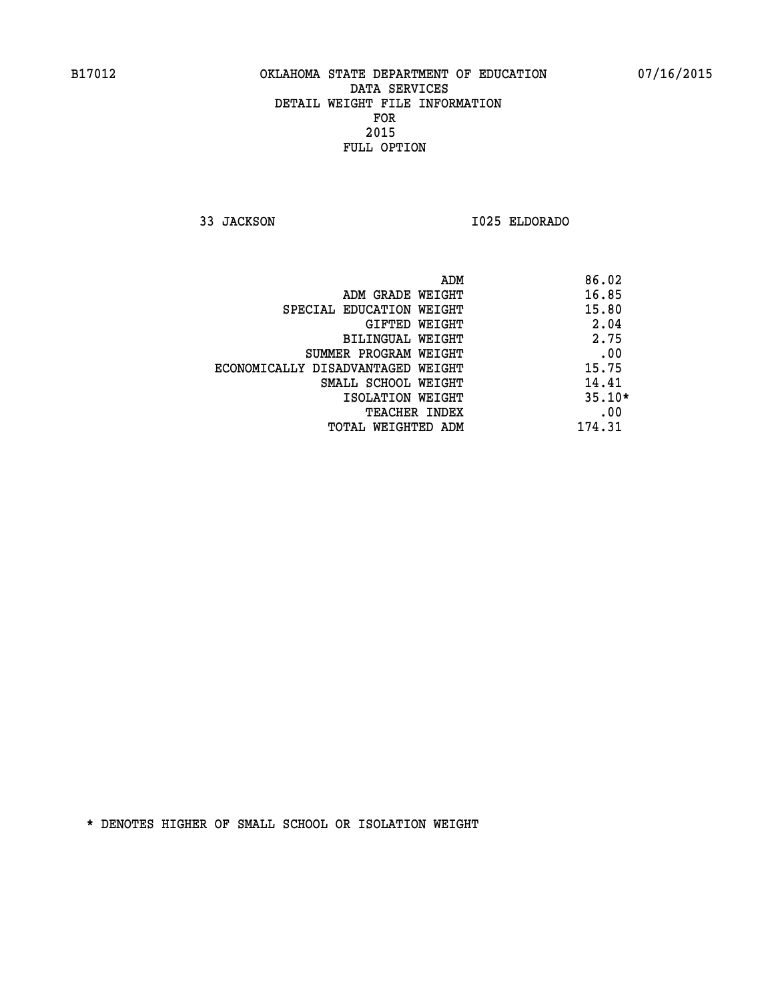**33 JACKSON I025 ELDORADO** 

|                                   | ADM | 86.02    |
|-----------------------------------|-----|----------|
| ADM GRADE WEIGHT                  |     | 16.85    |
| SPECIAL EDUCATION WEIGHT          |     | 15.80    |
| GIFTED WEIGHT                     |     | 2.04     |
| BILINGUAL WEIGHT                  |     | 2.75     |
| SUMMER PROGRAM WEIGHT             |     | .00      |
| ECONOMICALLY DISADVANTAGED WEIGHT |     | 15.75    |
| SMALL SCHOOL WEIGHT               |     | 14.41    |
| ISOLATION WEIGHT                  |     | $35.10*$ |
| TEACHER INDEX                     |     | .00      |
| TOTAL WEIGHTED ADM                |     | 174.31   |
|                                   |     |          |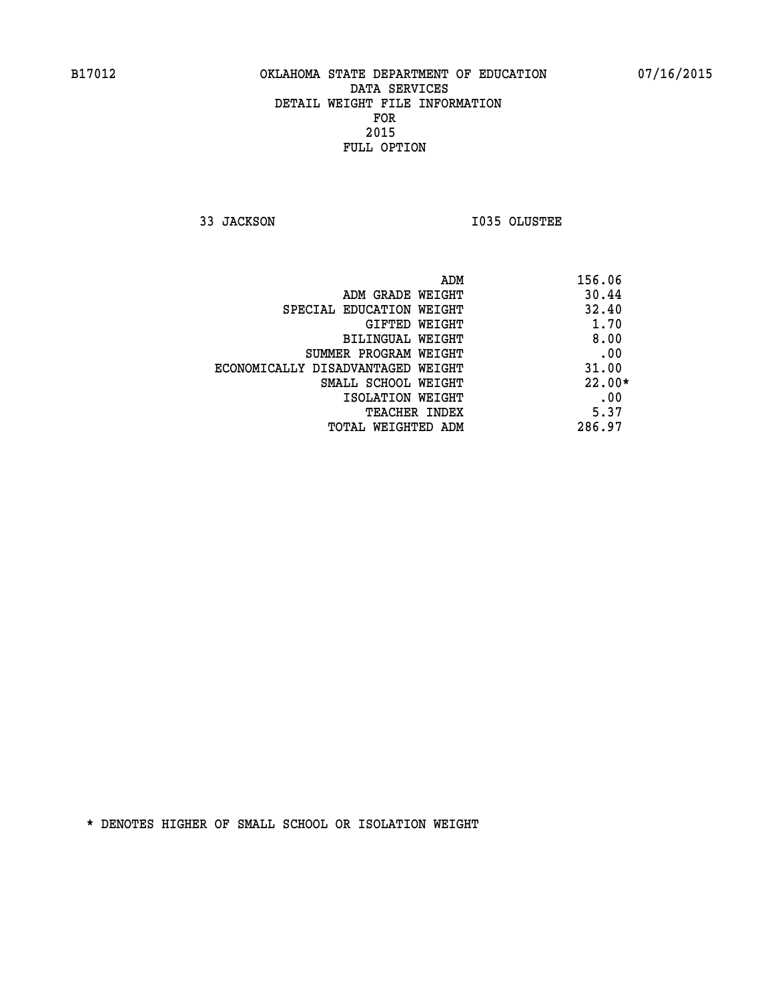**33 JACKSON I035 OLUSTEE** 

| 156.06   | ADM                               |
|----------|-----------------------------------|
| 30.44    | ADM GRADE WEIGHT                  |
| 32.40    | SPECIAL EDUCATION WEIGHT          |
| 1.70     | GIFTED WEIGHT                     |
| 8.00     | BILINGUAL WEIGHT                  |
| .00      | SUMMER PROGRAM WEIGHT             |
| 31.00    | ECONOMICALLY DISADVANTAGED WEIGHT |
| $22.00*$ | SMALL SCHOOL WEIGHT               |
| .00      | ISOLATION WEIGHT                  |
| 5.37     | <b>TEACHER INDEX</b>              |
| 286.97   | TOTAL WEIGHTED ADM                |
|          |                                   |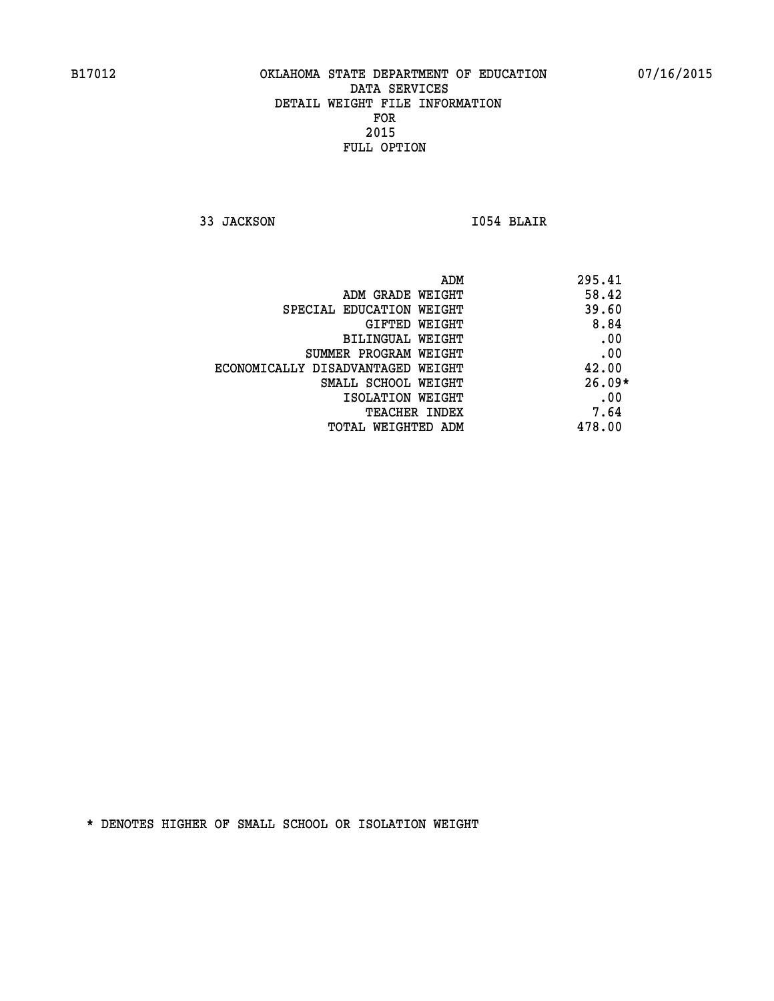**33 JACKSON I054 BLAIR** 

|                                   | ADM | 295.41   |
|-----------------------------------|-----|----------|
| ADM GRADE WEIGHT                  |     | 58.42    |
| SPECIAL EDUCATION WEIGHT          |     | 39.60    |
| GIFTED WEIGHT                     |     | 8.84     |
| BILINGUAL WEIGHT                  |     | .00      |
| SUMMER PROGRAM WEIGHT             |     | .00      |
| ECONOMICALLY DISADVANTAGED WEIGHT |     | 42.00    |
| SMALL SCHOOL WEIGHT               |     | $26.09*$ |
| ISOLATION WEIGHT                  |     | .00      |
| TEACHER INDEX                     |     | 7.64     |
| TOTAL WEIGHTED ADM                |     | 478.00   |
|                                   |     |          |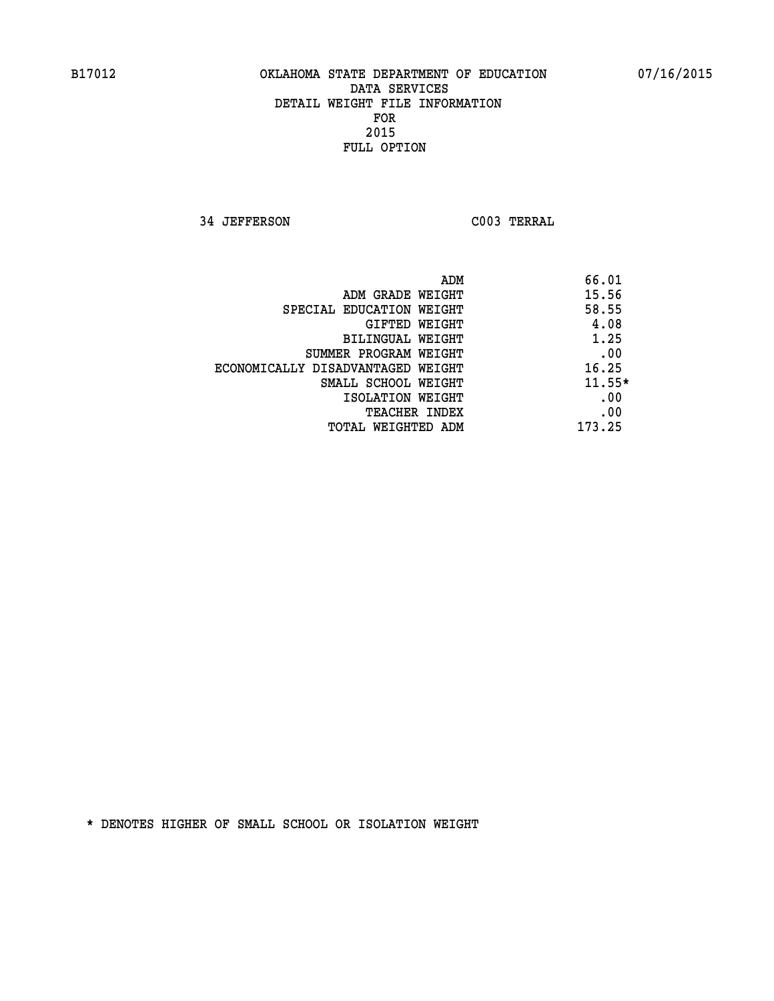**34 JEFFERSON C003 TERRAL** 

| ADM                               | 66.01    |
|-----------------------------------|----------|
| ADM GRADE WEIGHT                  | 15.56    |
| SPECIAL EDUCATION WEIGHT          | 58.55    |
| GIFTED WEIGHT                     | 4.08     |
| BILINGUAL WEIGHT                  | 1.25     |
| SUMMER PROGRAM WEIGHT             | .00      |
| ECONOMICALLY DISADVANTAGED WEIGHT | 16.25    |
| SMALL SCHOOL WEIGHT               | $11.55*$ |
| ISOLATION WEIGHT                  | .00      |
| <b>TEACHER INDEX</b>              | .00      |
| TOTAL WEIGHTED ADM                | 173.25   |
|                                   |          |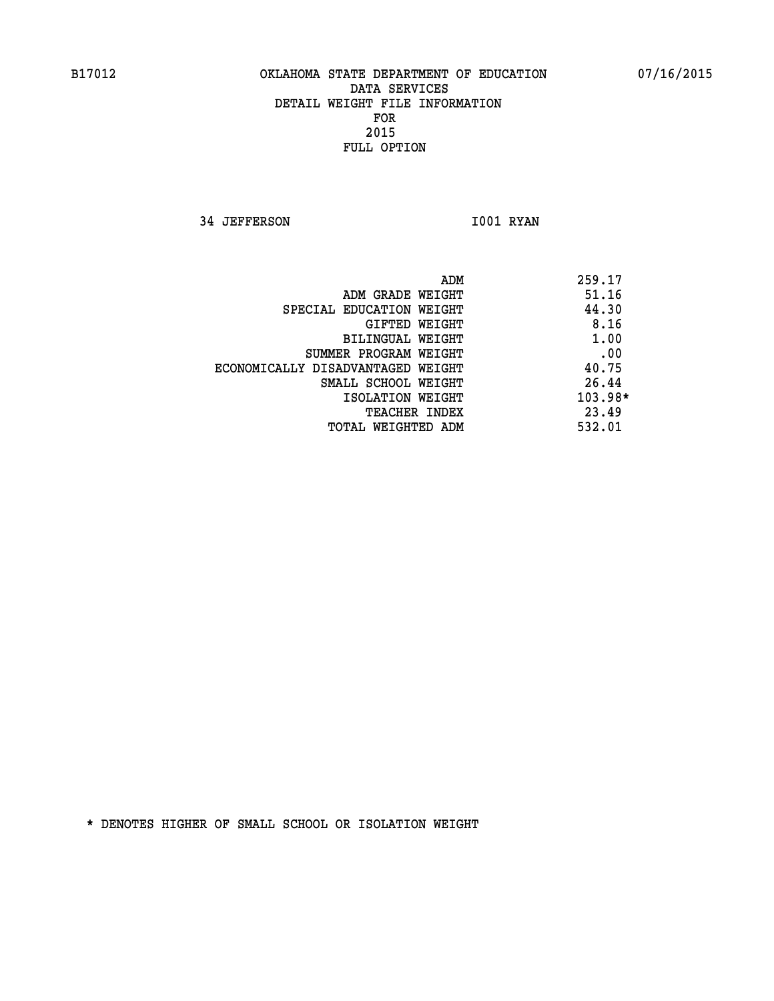**34 JEFFERSON 1001 RYAN** 

|                                   | ADM | 259.17    |
|-----------------------------------|-----|-----------|
| ADM GRADE WEIGHT                  |     | 51.16     |
| SPECIAL EDUCATION WEIGHT          |     | 44.30     |
| GIFTED WEIGHT                     |     | 8.16      |
| BILINGUAL WEIGHT                  |     | 1.00      |
| SUMMER PROGRAM WEIGHT             |     | .00       |
| ECONOMICALLY DISADVANTAGED WEIGHT |     | 40.75     |
| SMALL SCHOOL WEIGHT               |     | 26.44     |
| ISOLATION WEIGHT                  |     | $103.98*$ |
| TEACHER INDEX                     |     | 23.49     |
| TOTAL WEIGHTED ADM                |     | 532.01    |
|                                   |     |           |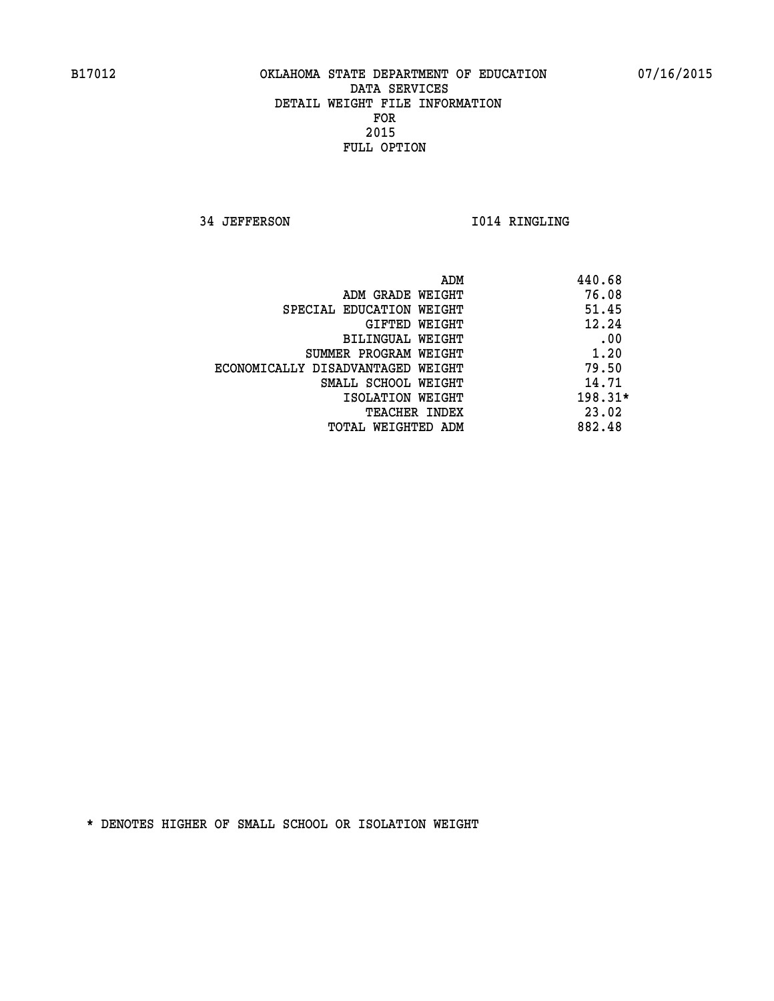**34 JEFFERSON 1014 RINGLING** 

|                                   | ADM | 440.68    |
|-----------------------------------|-----|-----------|
| ADM GRADE WEIGHT                  |     | 76.08     |
| SPECIAL EDUCATION WEIGHT          |     | 51.45     |
| GIFTED WEIGHT                     |     | 12.24     |
| BILINGUAL WEIGHT                  |     | .00       |
| SUMMER PROGRAM WEIGHT             |     | 1.20      |
| ECONOMICALLY DISADVANTAGED WEIGHT |     | 79.50     |
| SMALL SCHOOL WEIGHT               |     | 14.71     |
| ISOLATION WEIGHT                  |     | $198.31*$ |
| <b>TEACHER INDEX</b>              |     | 23.02     |
| TOTAL WEIGHTED ADM                |     | 882.48    |
|                                   |     |           |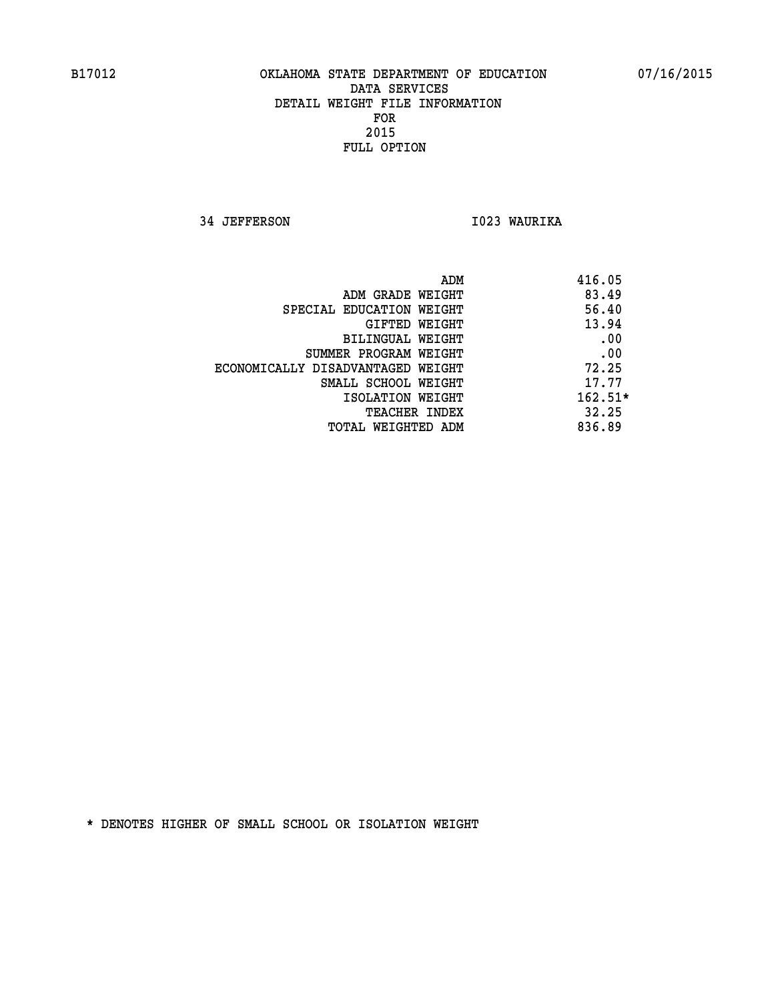**34 JEFFERSON I023 WAURIKA** 

|                                   | ADM | 416.05    |
|-----------------------------------|-----|-----------|
| ADM GRADE WEIGHT                  |     | 83.49     |
| SPECIAL EDUCATION WEIGHT          |     | 56.40     |
| GIFTED WEIGHT                     |     | 13.94     |
| BILINGUAL WEIGHT                  |     | .00       |
| SUMMER PROGRAM WEIGHT             |     | .00       |
| ECONOMICALLY DISADVANTAGED WEIGHT |     | 72.25     |
| SMALL SCHOOL WEIGHT               |     | 17.77     |
| ISOLATION WEIGHT                  |     | $162.51*$ |
| <b>TEACHER INDEX</b>              |     | 32.25     |
| TOTAL WEIGHTED ADM                |     | 836.89    |
|                                   |     |           |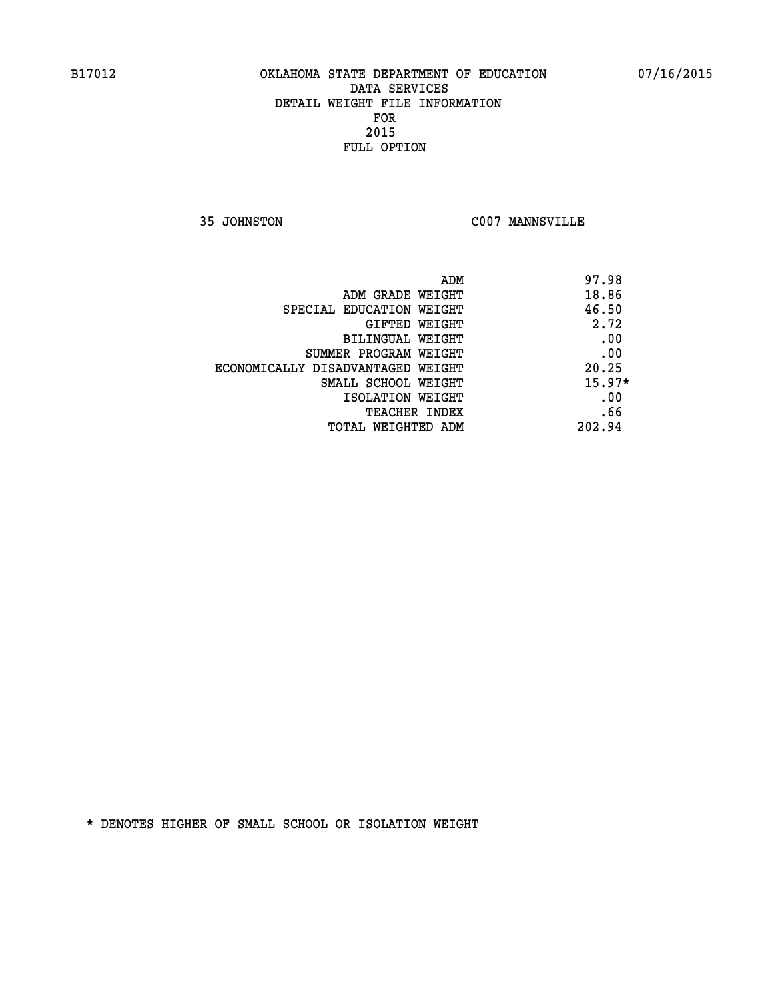**35 JOHNSTON C007 MANNSVILLE** 

| ADM                               | 97.98    |
|-----------------------------------|----------|
| ADM GRADE WEIGHT                  | 18.86    |
| SPECIAL EDUCATION WEIGHT          | 46.50    |
| GIFTED WEIGHT                     | 2.72     |
| <b>BILINGUAL WEIGHT</b>           | .00      |
| SUMMER PROGRAM WEIGHT             | .00      |
| ECONOMICALLY DISADVANTAGED WEIGHT | 20.25    |
| SMALL SCHOOL WEIGHT               | $15.97*$ |
| ISOLATION WEIGHT                  | .00      |
| <b>TEACHER INDEX</b>              | .66      |
| TOTAL WEIGHTED ADM                | 202.94   |
|                                   |          |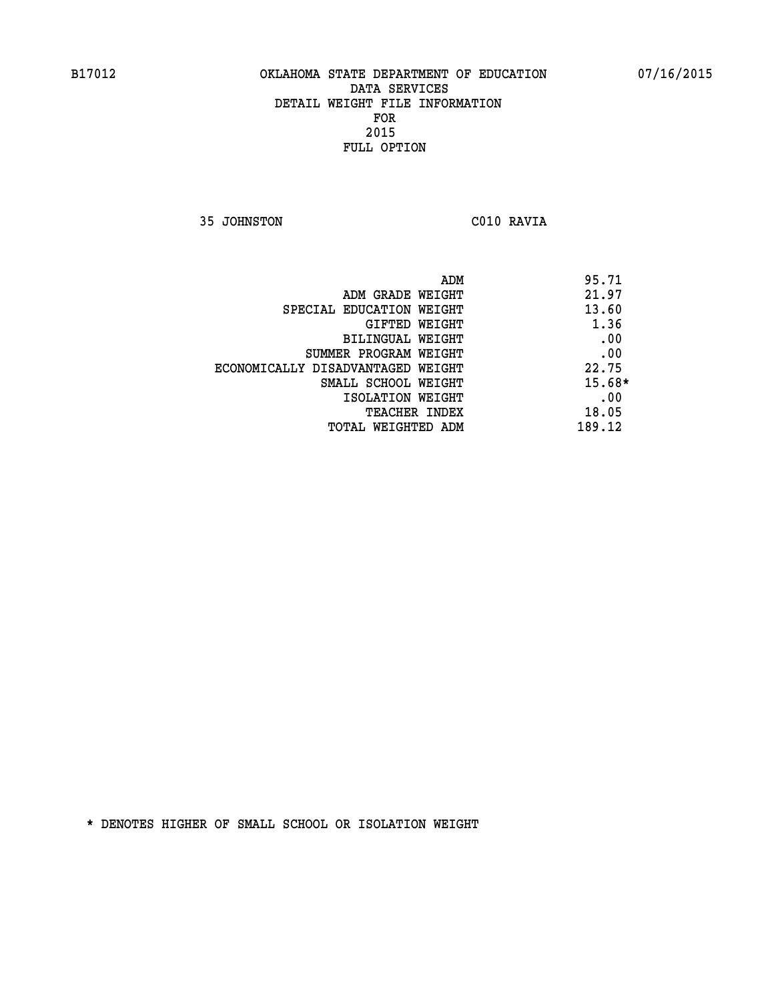**35 JOHNSTON C010 RAVIA** 

| ADM<br>95.71 |                                   |
|--------------|-----------------------------------|
| 21.97        | ADM GRADE WEIGHT                  |
| 13.60        | SPECIAL EDUCATION WEIGHT          |
| 1.36         | GIFTED WEIGHT                     |
| .00          | BILINGUAL WEIGHT                  |
| .00          | SUMMER PROGRAM WEIGHT             |
| 22.75        | ECONOMICALLY DISADVANTAGED WEIGHT |
| $15.68*$     | SMALL SCHOOL WEIGHT               |
| .00          | ISOLATION WEIGHT                  |
| 18.05        | <b>TEACHER INDEX</b>              |
| 189.12       | TOTAL WEIGHTED ADM                |
|              |                                   |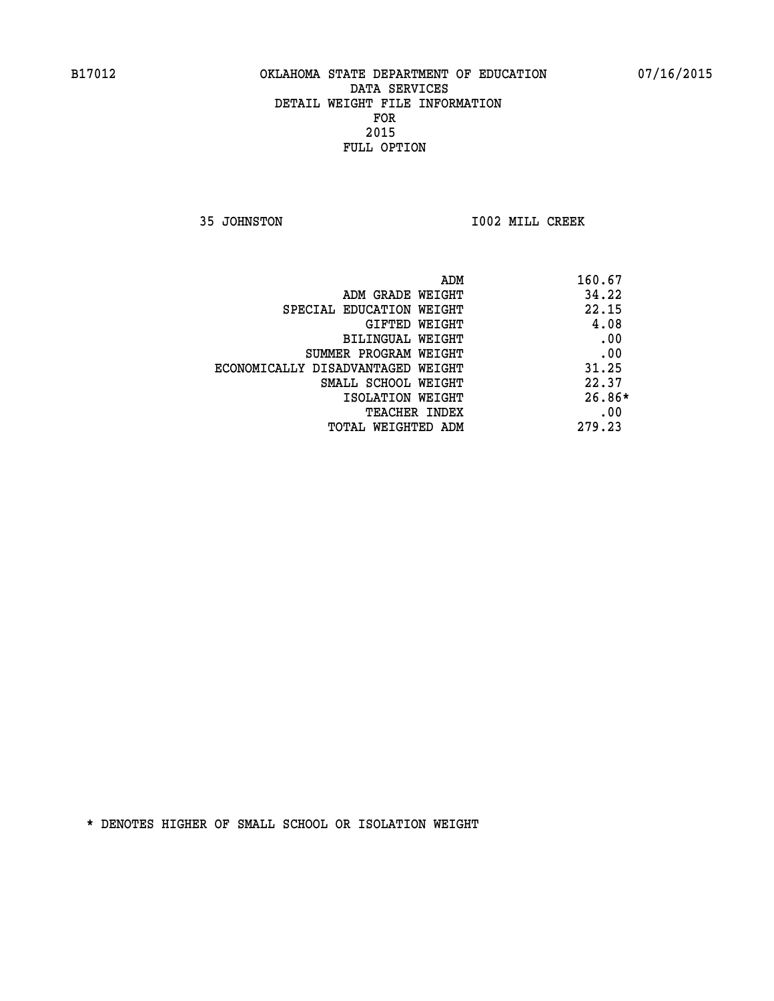**35 JOHNSTON I002 MILL CREEK** 

| ADM                               | 160.67   |
|-----------------------------------|----------|
| ADM GRADE WEIGHT                  | 34.22    |
| SPECIAL EDUCATION WEIGHT          | 22.15    |
| GIFTED WEIGHT                     | 4.08     |
| BILINGUAL WEIGHT                  | .00      |
| SUMMER PROGRAM WEIGHT             | .00      |
| ECONOMICALLY DISADVANTAGED WEIGHT | 31.25    |
| SMALL SCHOOL WEIGHT               | 22.37    |
| ISOLATION WEIGHT                  | $26.86*$ |
| <b>TEACHER INDEX</b>              | .00      |
| TOTAL WEIGHTED ADM                | 279.23   |
|                                   |          |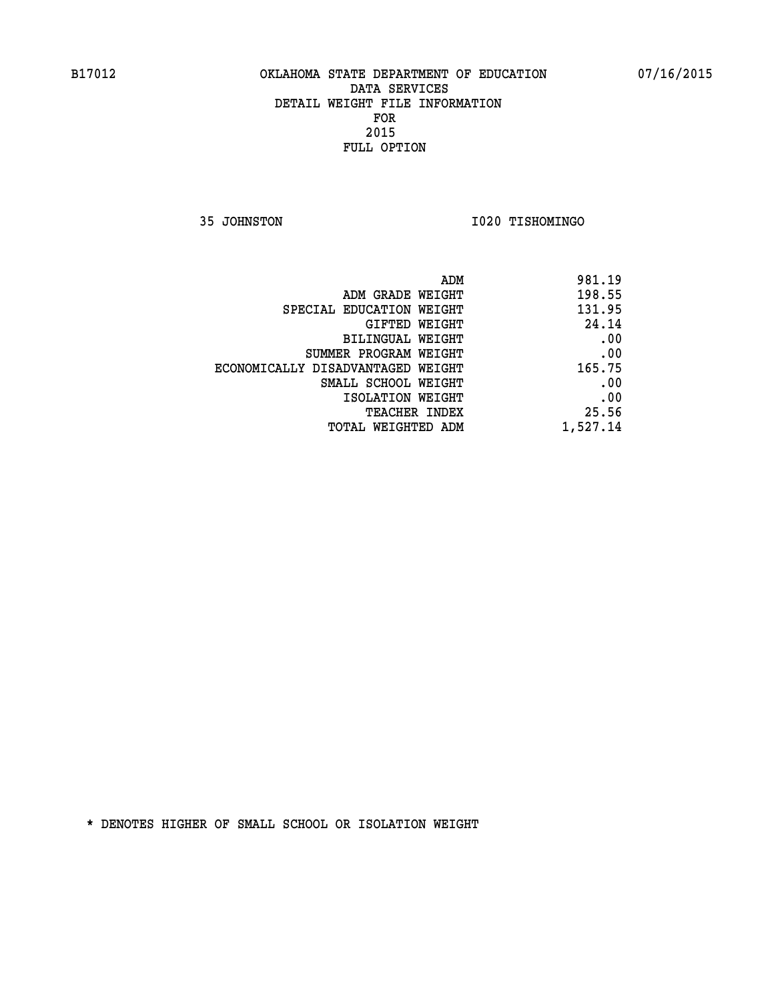**35 JOHNSTON I020 TISHOMINGO** 

| ADM<br>981.19                               |
|---------------------------------------------|
| 198.55<br>ADM GRADE WEIGHT                  |
| 131.95<br>SPECIAL EDUCATION WEIGHT          |
| 24.14<br><b>GIFTED WEIGHT</b>               |
| .00<br><b>BILINGUAL WEIGHT</b>              |
| .00<br>SUMMER PROGRAM WEIGHT                |
| 165.75<br>ECONOMICALLY DISADVANTAGED WEIGHT |
| .00<br>SMALL SCHOOL WEIGHT                  |
| .00<br>ISOLATION WEIGHT                     |
| 25.56<br>TEACHER INDEX                      |
| 1,527.14<br>TOTAL WEIGHTED ADM              |
|                                             |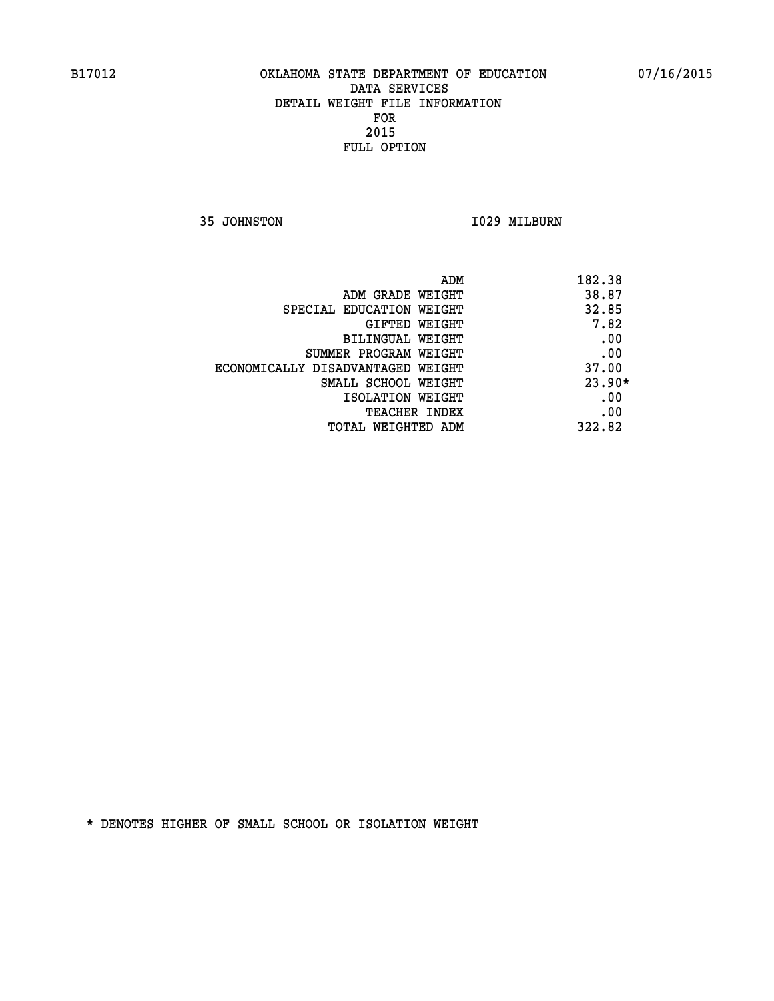**35 JOHNSTON 1029 MILBURN** 

| ADM                               | 182.38   |
|-----------------------------------|----------|
| ADM GRADE WEIGHT                  | 38.87    |
| SPECIAL EDUCATION WEIGHT          | 32.85    |
| GIFTED WEIGHT                     | 7.82     |
| BILINGUAL WEIGHT                  | .00      |
| SUMMER PROGRAM WEIGHT             | .00      |
| ECONOMICALLY DISADVANTAGED WEIGHT | 37.00    |
| SMALL SCHOOL WEIGHT               | $23.90*$ |
| ISOLATION WEIGHT                  | .00      |
| <b>TEACHER INDEX</b>              | .00      |
| TOTAL WEIGHTED ADM                | 322.82   |
|                                   |          |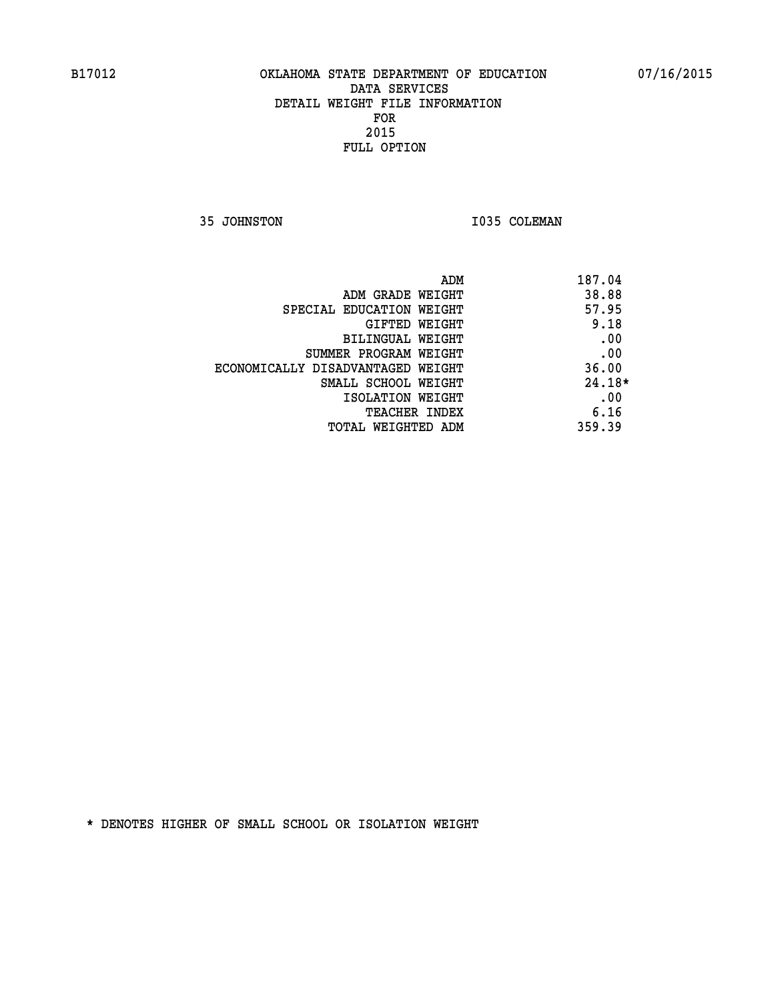**35 JOHNSTON 1035 COLEMAN** 

| ADM                               | 187.04   |
|-----------------------------------|----------|
| ADM GRADE WEIGHT                  | 38.88    |
| SPECIAL EDUCATION WEIGHT          | 57.95    |
| GIFTED WEIGHT                     | 9.18     |
| BILINGUAL WEIGHT                  | .00      |
| SUMMER PROGRAM WEIGHT             | .00      |
| ECONOMICALLY DISADVANTAGED WEIGHT | 36.00    |
| SMALL SCHOOL WEIGHT               | $24.18*$ |
| ISOLATION WEIGHT                  | .00      |
| <b>TEACHER INDEX</b>              | 6.16     |
| TOTAL WEIGHTED ADM                | 359.39   |
|                                   |          |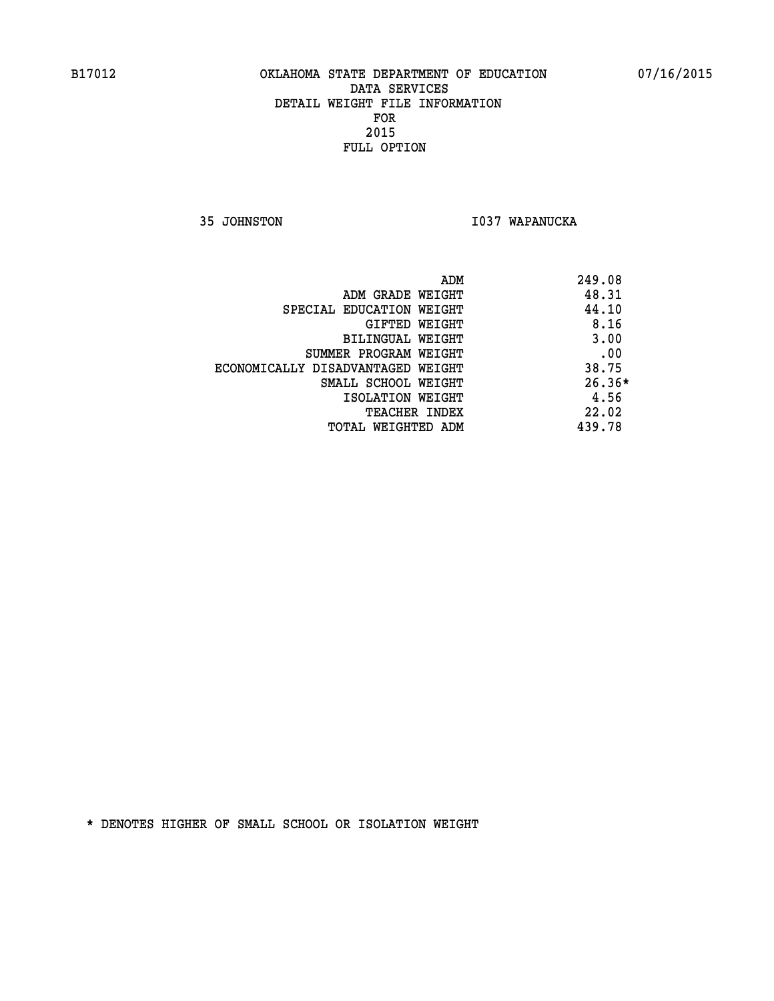**35 JOHNSTON I037 WAPANUCKA** 

|                                   | ADM<br>249.08 |          |
|-----------------------------------|---------------|----------|
| ADM GRADE WEIGHT                  |               | 48.31    |
| SPECIAL EDUCATION WEIGHT          |               | 44.10    |
| GIFTED WEIGHT                     |               | 8.16     |
| BILINGUAL WEIGHT                  |               | 3.00     |
| SUMMER PROGRAM WEIGHT             |               | .00      |
| ECONOMICALLY DISADVANTAGED WEIGHT |               | 38.75    |
| SMALL SCHOOL WEIGHT               |               | $26.36*$ |
| ISOLATION WEIGHT                  |               | 4.56     |
| <b>TEACHER INDEX</b>              |               | 22.02    |
| TOTAL WEIGHTED ADM                | 439.78        |          |
|                                   |               |          |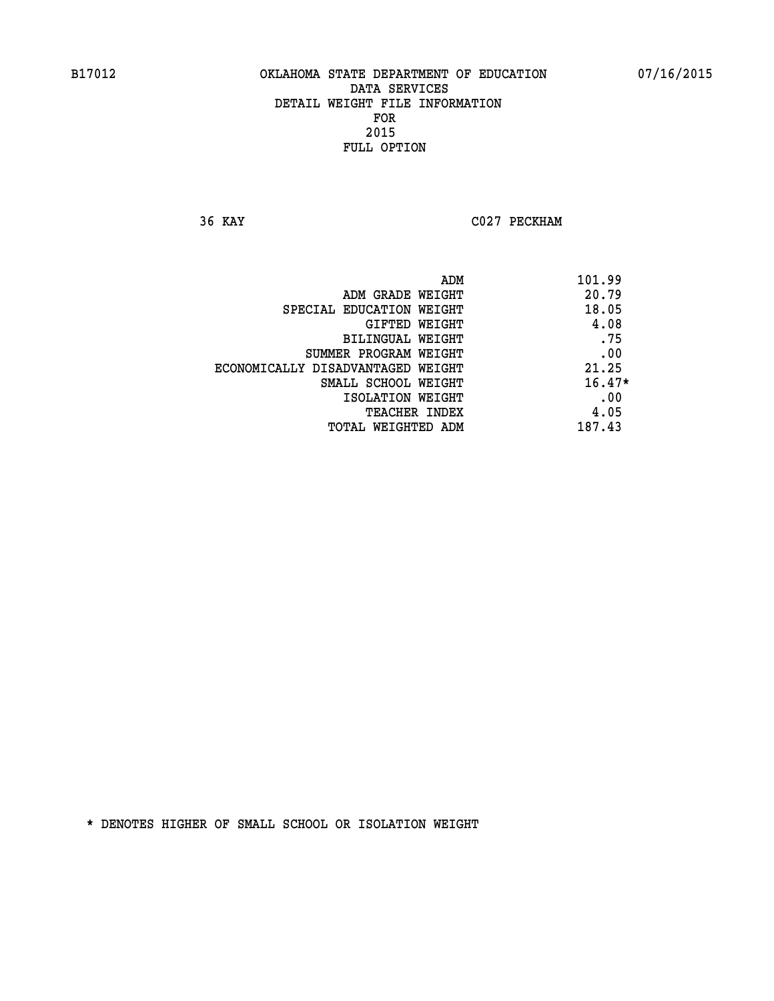**36 KAY C027 PECKHAM** 

| 101.99<br>ADM                              |  |
|--------------------------------------------|--|
| 20.79<br>ADM GRADE WEIGHT                  |  |
| 18.05<br>SPECIAL EDUCATION WEIGHT          |  |
| 4.08<br>GIFTED WEIGHT                      |  |
| .75<br>BILINGUAL WEIGHT                    |  |
| .00<br>SUMMER PROGRAM WEIGHT               |  |
| 21.25<br>ECONOMICALLY DISADVANTAGED WEIGHT |  |
| $16.47*$<br>SMALL SCHOOL WEIGHT            |  |
| .00<br>ISOLATION WEIGHT                    |  |
| 4.05<br><b>TEACHER INDEX</b>               |  |
| 187.43<br>TOTAL WEIGHTED ADM               |  |
|                                            |  |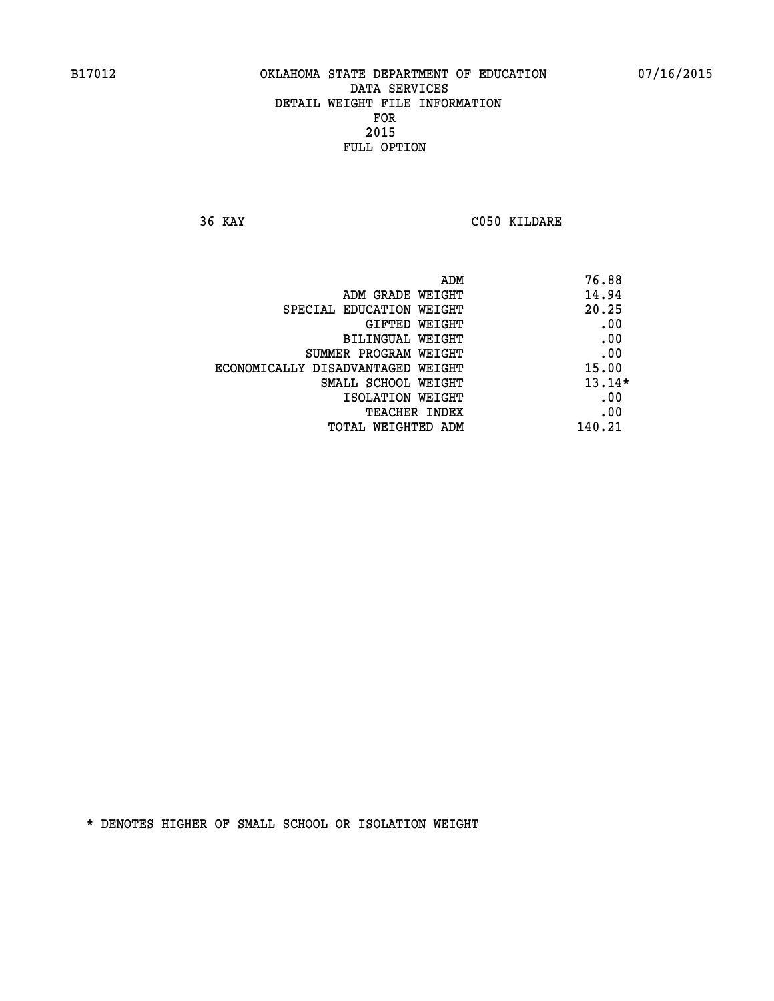**36 KAY C050 KILDARE** 

| ADM                               | 76.88    |
|-----------------------------------|----------|
| ADM GRADE WEIGHT                  | 14.94    |
| SPECIAL EDUCATION WEIGHT          | 20.25    |
| GIFTED WEIGHT                     | .00      |
| BILINGUAL WEIGHT                  | .00      |
| SUMMER PROGRAM WEIGHT             | .00      |
| ECONOMICALLY DISADVANTAGED WEIGHT | 15.00    |
| SMALL SCHOOL WEIGHT               | $13.14*$ |
| ISOLATION WEIGHT                  | .00      |
| <b>TEACHER INDEX</b>              | .00      |
| TOTAL WEIGHTED ADM                | 140.21   |
|                                   |          |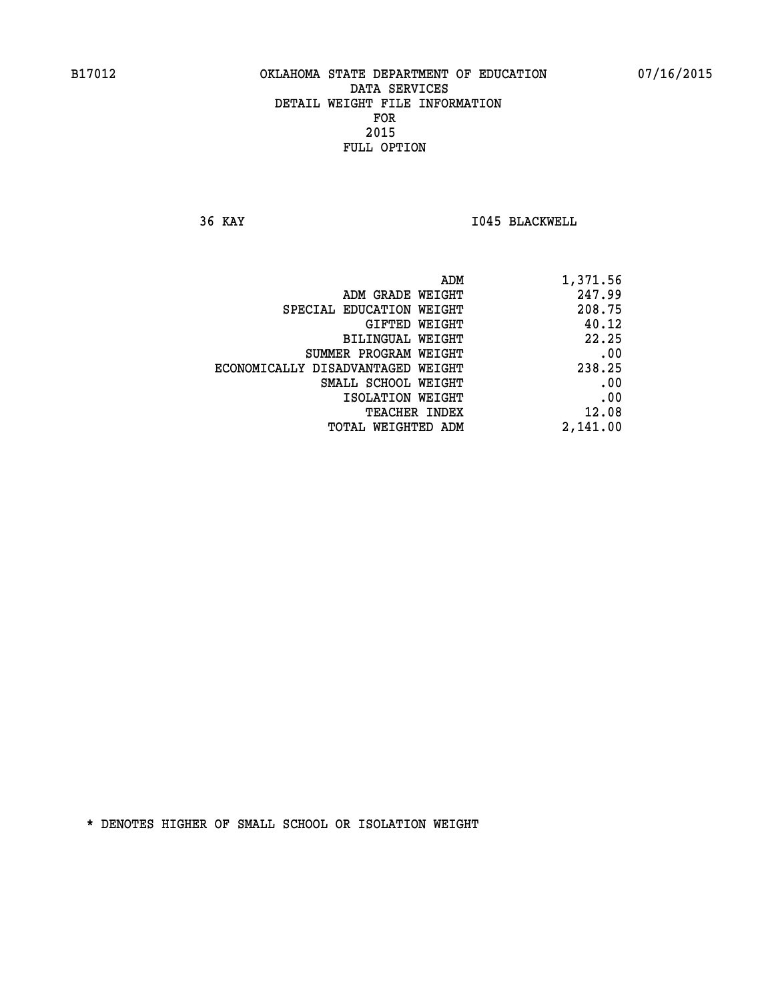**36 KAY I045 BLACKWELL** 

| ADM                               | 1,371.56 |
|-----------------------------------|----------|
| ADM GRADE WEIGHT                  | 247.99   |
| SPECIAL EDUCATION WEIGHT          | 208.75   |
| GIFTED WEIGHT                     | 40.12    |
| BILINGUAL WEIGHT                  | 22.25    |
| SUMMER PROGRAM WEIGHT             | .00      |
| ECONOMICALLY DISADVANTAGED WEIGHT | 238.25   |
| SMALL SCHOOL WEIGHT               | .00      |
| ISOLATION WEIGHT                  | .00      |
| <b>TEACHER INDEX</b>              | 12.08    |
| TOTAL WEIGHTED ADM                | 2,141.00 |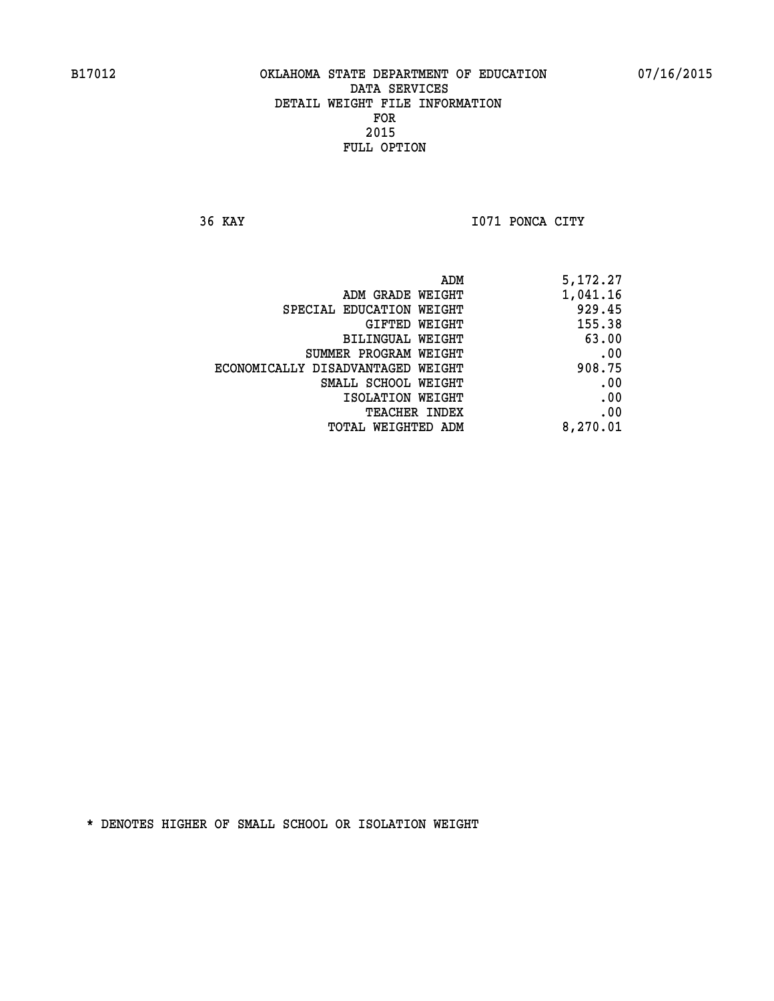**36 KAY I071 PONCA CITY** 

|                                   | 5,172.27<br>ADM |  |
|-----------------------------------|-----------------|--|
| ADM GRADE WEIGHT                  | 1,041.16        |  |
| SPECIAL EDUCATION WEIGHT          | 929.45          |  |
| GIFTED WEIGHT                     | 155.38          |  |
| BILINGUAL WEIGHT                  | 63.00           |  |
| SUMMER PROGRAM WEIGHT             | .00             |  |
| ECONOMICALLY DISADVANTAGED WEIGHT | 908.75          |  |
| SMALL SCHOOL WEIGHT               | .00             |  |
| ISOLATION WEIGHT                  | .00             |  |
| TEACHER INDEX                     | .00             |  |
| TOTAL WEIGHTED ADM                | 8,270.01        |  |
|                                   |                 |  |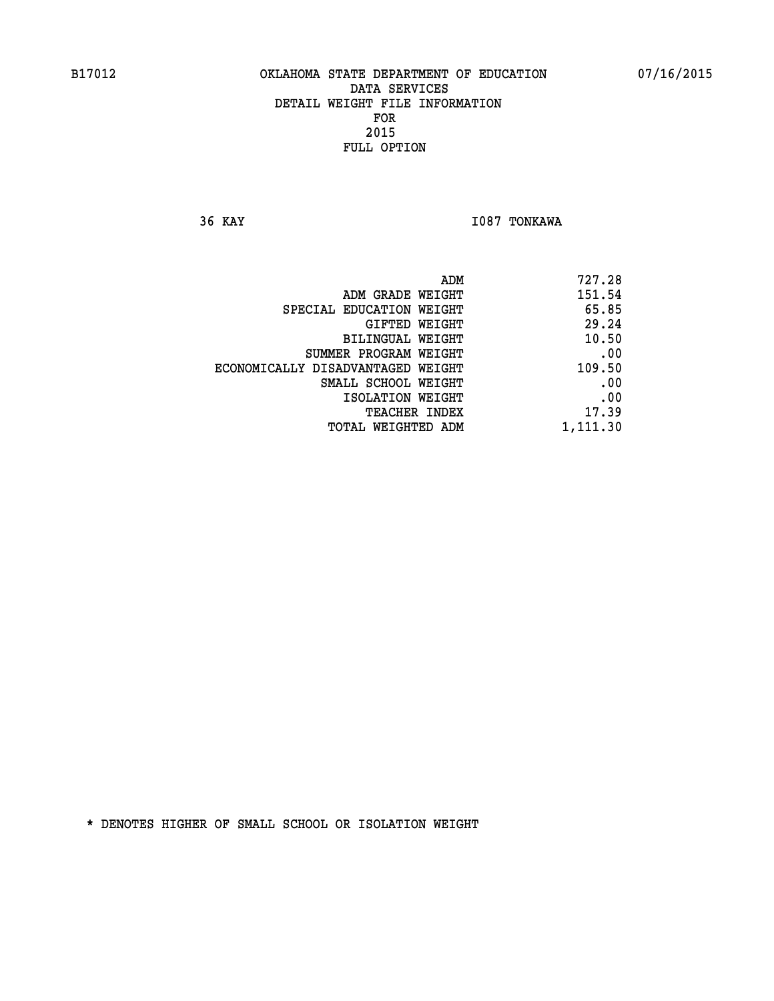**36 KAY I087 TONKAWA** 

| 727.28   |
|----------|
| 151.54   |
| 65.85    |
| 29.24    |
| 10.50    |
| .00      |
| 109.50   |
| .00      |
| .00      |
| 17.39    |
| 1,111.30 |
|          |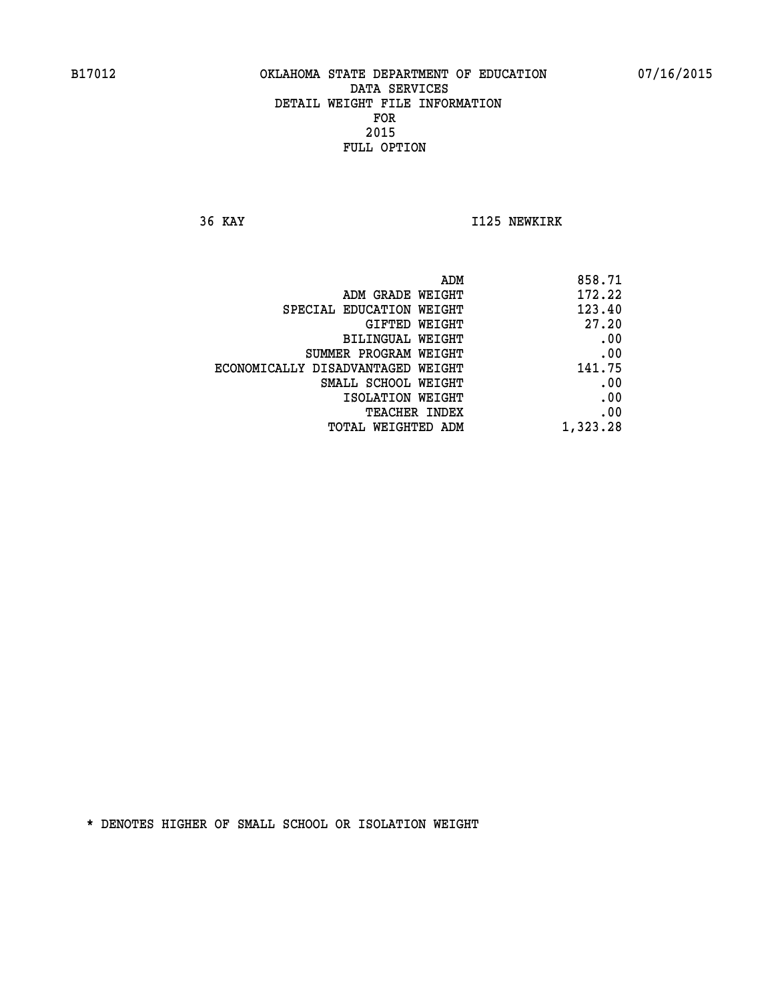**36 KAY I125 NEWKIRK** 

| 858.71   |
|----------|
| 172.22   |
| 123.40   |
| 27.20    |
| .00      |
| .00      |
| 141.75   |
| .00      |
| .00      |
| .00      |
| 1,323.28 |
|          |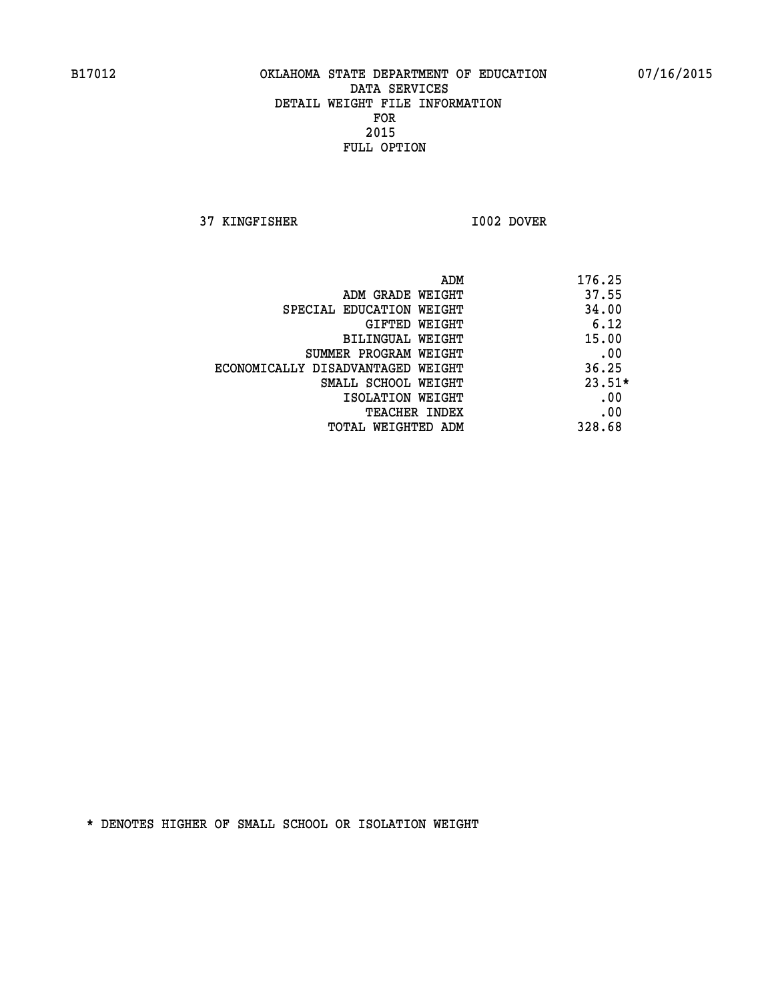**37 KINGFISHER I002 DOVER** 

|                                   | 176.25<br>ADM |  |
|-----------------------------------|---------------|--|
| ADM GRADE WEIGHT                  | 37.55         |  |
| SPECIAL EDUCATION WEIGHT          | 34.00         |  |
| GIFTED WEIGHT                     | 6.12          |  |
| BILINGUAL WEIGHT                  | 15.00         |  |
| SUMMER PROGRAM WEIGHT             | .00           |  |
| ECONOMICALLY DISADVANTAGED WEIGHT | 36.25         |  |
| SMALL SCHOOL WEIGHT               | $23.51*$      |  |
| ISOLATION WEIGHT                  | .00           |  |
| <b>TEACHER INDEX</b>              | .00           |  |
| TOTAL WEIGHTED ADM                | 328.68        |  |
|                                   |               |  |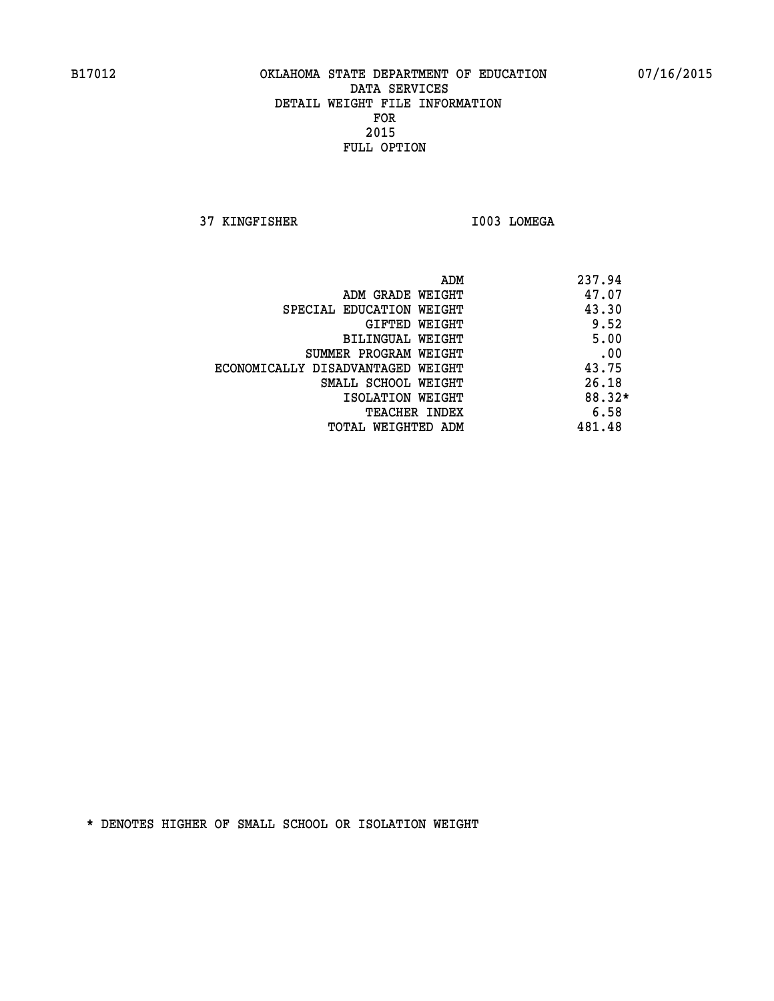**37 KINGFISHER I003 LOMEGA** 

|                                   | ADM | 237.94 |
|-----------------------------------|-----|--------|
| ADM GRADE WEIGHT                  |     | 47.07  |
| SPECIAL EDUCATION WEIGHT          |     | 43.30  |
| GIFTED WEIGHT                     |     | 9.52   |
| BILINGUAL WEIGHT                  |     | 5.00   |
| SUMMER PROGRAM WEIGHT             |     | .00    |
| ECONOMICALLY DISADVANTAGED WEIGHT |     | 43.75  |
| SMALL SCHOOL WEIGHT               |     | 26.18  |
| ISOLATION WEIGHT                  |     | 88.32* |
| TEACHER INDEX                     |     | 6.58   |
| TOTAL WEIGHTED ADM                |     | 481.48 |
|                                   |     |        |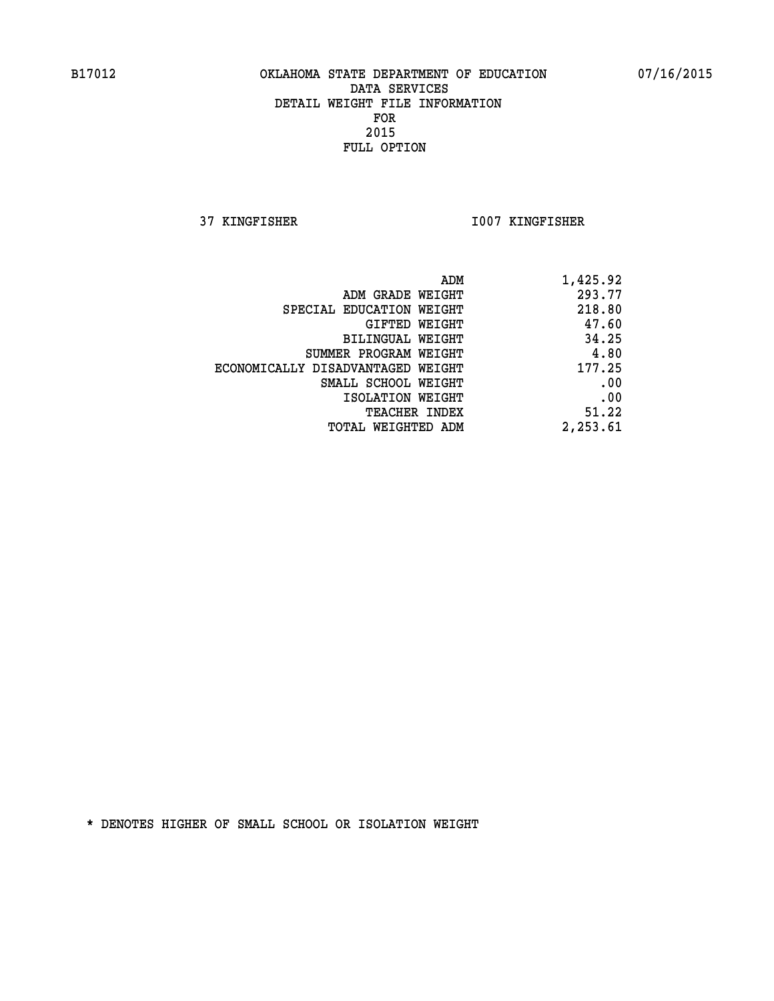**37 KINGFISHER I007 KINGFISHER** 

| 1,425.92 |
|----------|
| 293.77   |
| 218.80   |
| 47.60    |
| 34.25    |
| 4.80     |
| 177.25   |
| .00      |
| .00      |
| 51.22    |
| 2,253.61 |
|          |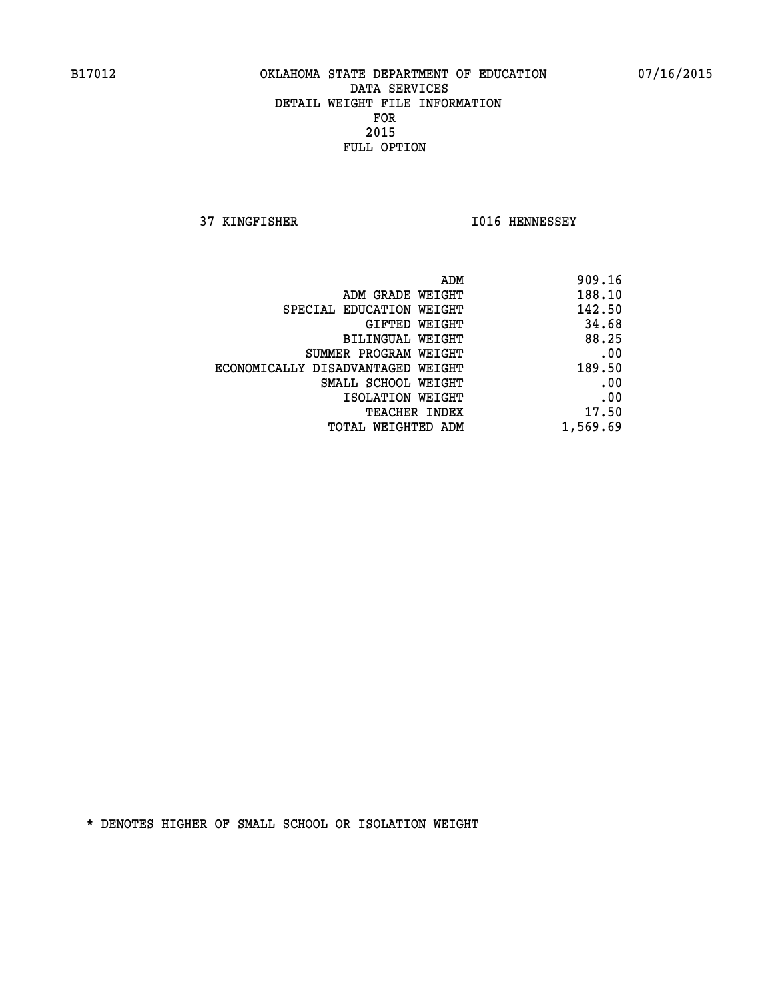**37 KINGFISHER I016 HENNESSEY** 

| 909.16   |
|----------|
| 188.10   |
| 142.50   |
| 34.68    |
| 88.25    |
| .00      |
| 189.50   |
| .00      |
| .00      |
| 17.50    |
| 1,569.69 |
|          |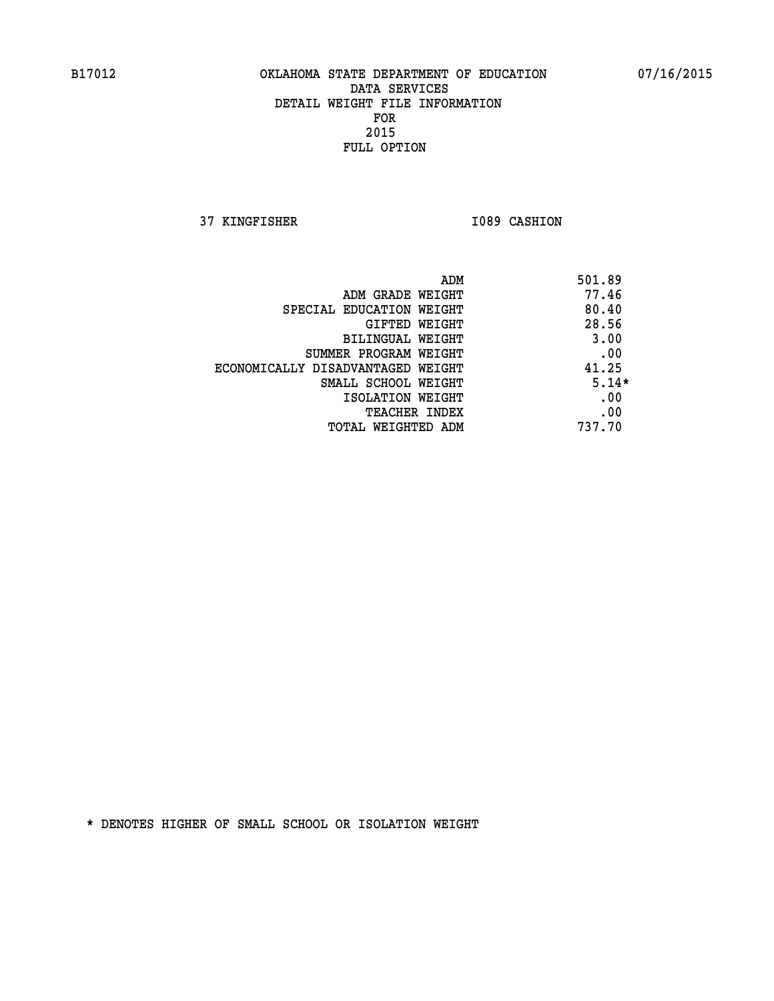**37 KINGFISHER 1089 CASHION** 

|                                   | ADM | 501.89  |
|-----------------------------------|-----|---------|
| ADM GRADE WEIGHT                  |     | 77.46   |
| SPECIAL EDUCATION WEIGHT          |     | 80.40   |
| GIFTED WEIGHT                     |     | 28.56   |
| BILINGUAL WEIGHT                  |     | 3.00    |
| SUMMER PROGRAM WEIGHT             |     | .00     |
| ECONOMICALLY DISADVANTAGED WEIGHT |     | 41.25   |
| SMALL SCHOOL WEIGHT               |     | $5.14*$ |
| ISOLATION WEIGHT                  |     | .00     |
| <b>TEACHER INDEX</b>              |     | .00     |
| TOTAL WEIGHTED ADM                |     | 737.70  |
|                                   |     |         |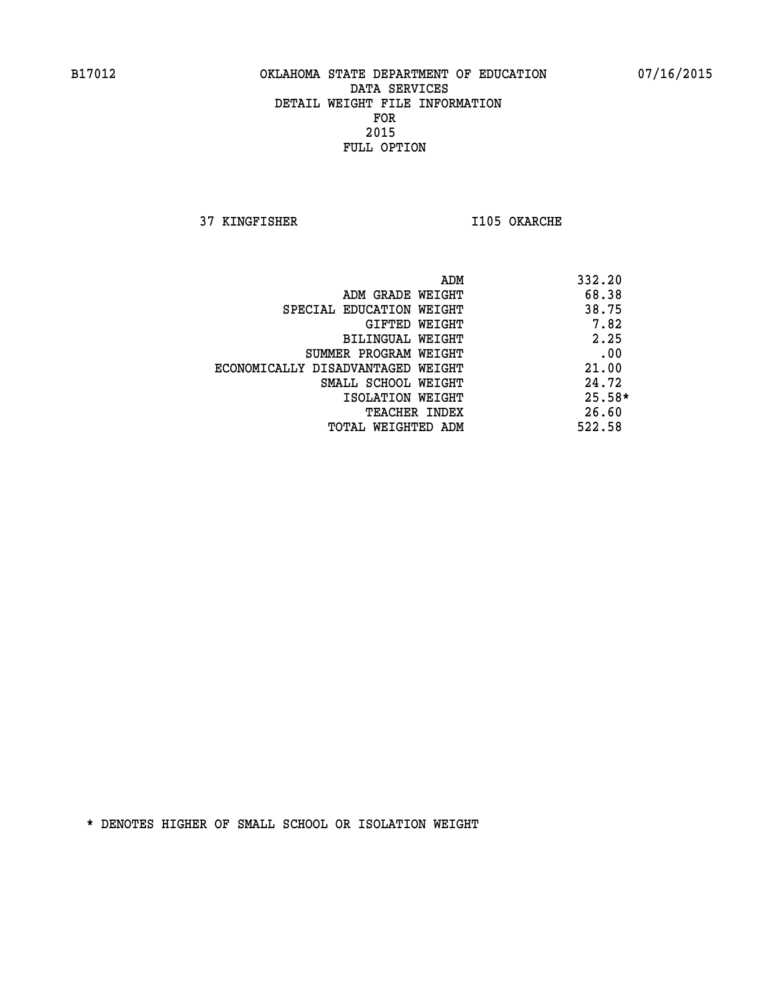**37 KINGFISHER I105 OKARCHE** 

|                                   | ADM | 332.20   |
|-----------------------------------|-----|----------|
| ADM GRADE WEIGHT                  |     | 68.38    |
| SPECIAL EDUCATION WEIGHT          |     | 38.75    |
| GIFTED WEIGHT                     |     | 7.82     |
| BILINGUAL WEIGHT                  |     | 2.25     |
| SUMMER PROGRAM WEIGHT             |     | .00      |
| ECONOMICALLY DISADVANTAGED WEIGHT |     | 21.00    |
| SMALL SCHOOL WEIGHT               |     | 24.72    |
| ISOLATION WEIGHT                  |     | $25.58*$ |
| TEACHER INDEX                     |     | 26.60    |
| TOTAL WEIGHTED ADM                |     | 522.58   |
|                                   |     |          |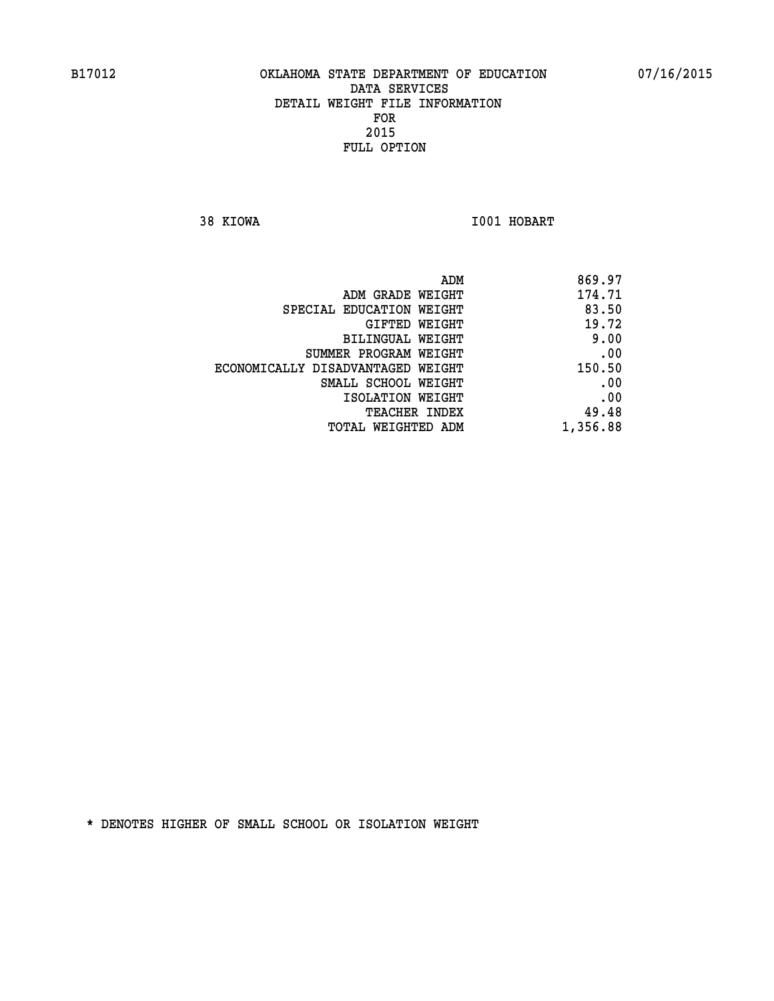**38 KIOWA I001 HOBART** 

| 869.97<br>ADM                               |
|---------------------------------------------|
| 174.71<br>ADM GRADE WEIGHT                  |
| 83.50<br>SPECIAL EDUCATION WEIGHT           |
| 19.72<br>GIFTED WEIGHT                      |
| 9.00<br>BILINGUAL WEIGHT                    |
| .00<br>SUMMER PROGRAM WEIGHT                |
| 150.50<br>ECONOMICALLY DISADVANTAGED WEIGHT |
| .00<br>SMALL SCHOOL WEIGHT                  |
| .00<br>ISOLATION WEIGHT                     |
| 49.48<br>TEACHER INDEX                      |
| 1,356.88<br>TOTAL WEIGHTED ADM              |
|                                             |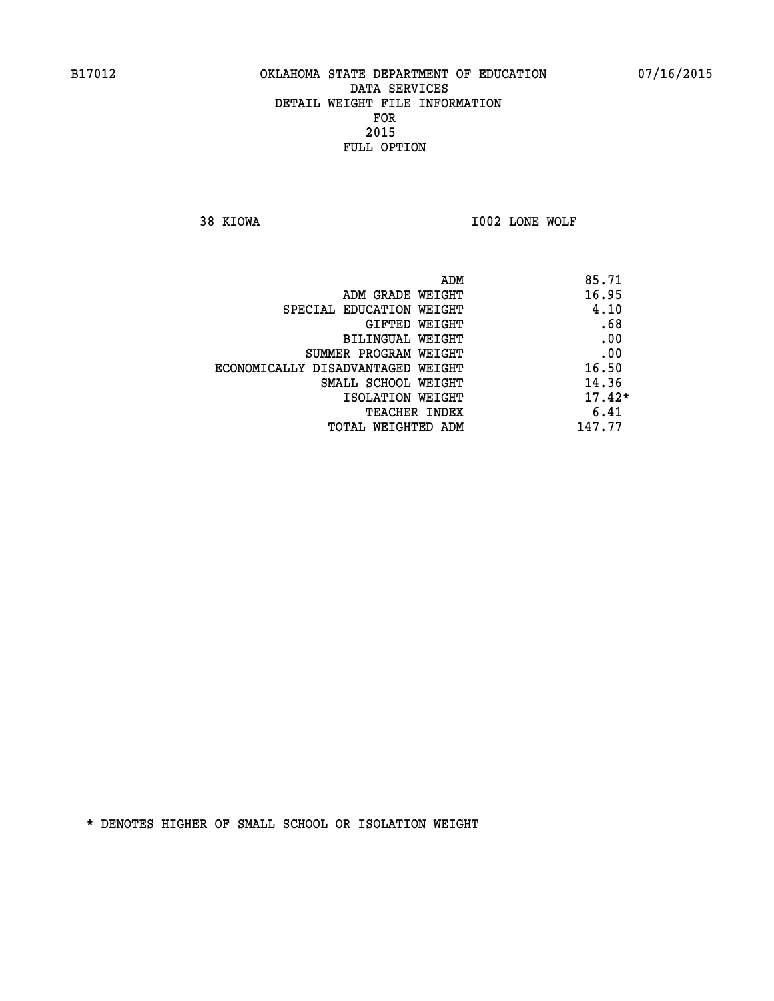**38 KIOWA I002 LONE WOLF** 

|                                   | ADM | 85.71    |
|-----------------------------------|-----|----------|
| ADM GRADE WEIGHT                  |     | 16.95    |
| SPECIAL EDUCATION WEIGHT          |     | 4.10     |
| GIFTED WEIGHT                     |     | .68      |
| BILINGUAL WEIGHT                  |     | .00      |
| SUMMER PROGRAM WEIGHT             |     | .00      |
| ECONOMICALLY DISADVANTAGED WEIGHT |     | 16.50    |
| SMALL SCHOOL WEIGHT               |     | 14.36    |
| ISOLATION WEIGHT                  |     | $17.42*$ |
| TEACHER INDEX                     |     | 6.41     |
| TOTAL WEIGHTED ADM                |     | 147.77   |
|                                   |     |          |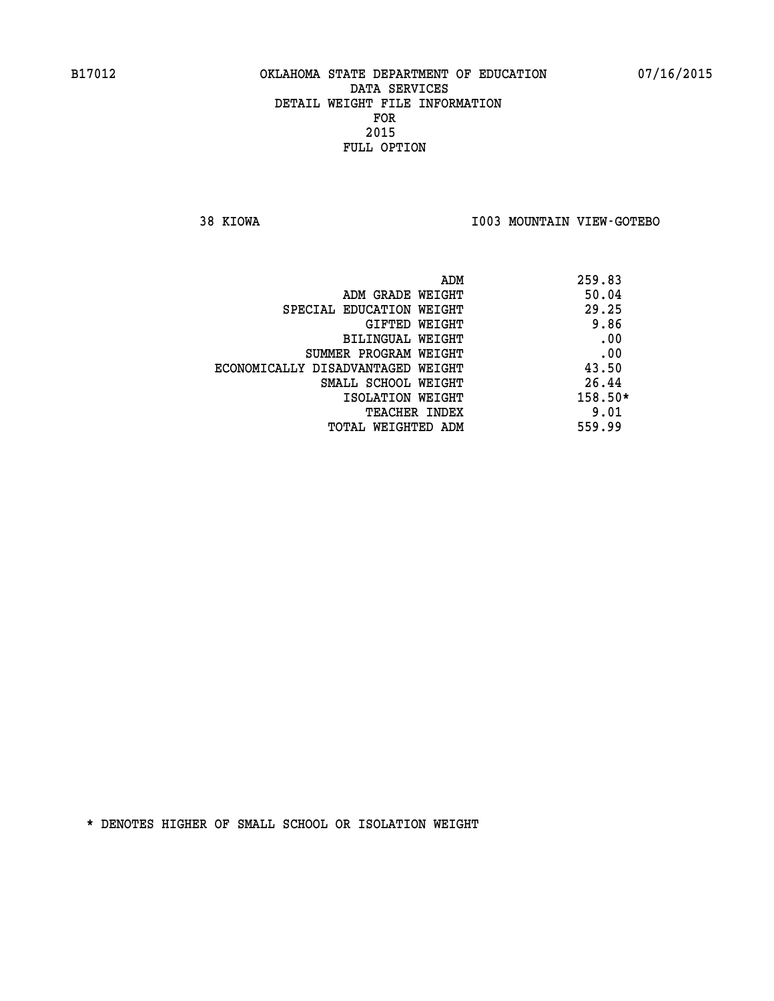**38 KIOWA I003 MOUNTAIN VIEW-GOTEBO** 

|                                   | ADM | 259.83    |
|-----------------------------------|-----|-----------|
| ADM GRADE WEIGHT                  |     | 50.04     |
| SPECIAL EDUCATION WEIGHT          |     | 29.25     |
| GIFTED WEIGHT                     |     | 9.86      |
| BILINGUAL WEIGHT                  |     | .00       |
| SUMMER PROGRAM WEIGHT             |     | .00       |
| ECONOMICALLY DISADVANTAGED WEIGHT |     | 43.50     |
| SMALL SCHOOL WEIGHT               |     | 26.44     |
| ISOLATION WEIGHT                  |     | $158.50*$ |
| <b>TEACHER INDEX</b>              |     | 9.01      |
| TOTAL WEIGHTED ADM                |     | 559.99    |
|                                   |     |           |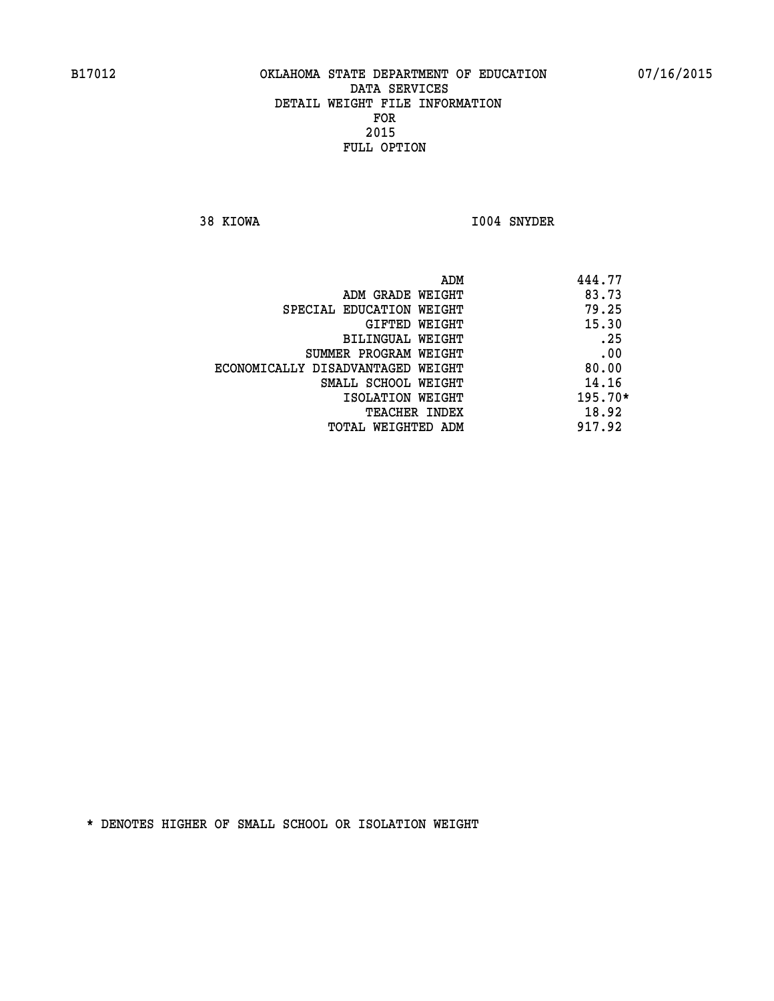**38 KIOWA I004 SNYDER** 

|                                   | ADM | 444.77    |
|-----------------------------------|-----|-----------|
| ADM GRADE WEIGHT                  |     | 83.73     |
| SPECIAL EDUCATION WEIGHT          |     | 79.25     |
| GIFTED WEIGHT                     |     | 15.30     |
| BILINGUAL WEIGHT                  |     | .25       |
| SUMMER PROGRAM WEIGHT             |     | .00       |
| ECONOMICALLY DISADVANTAGED WEIGHT |     | 80.00     |
| SMALL SCHOOL WEIGHT               |     | 14.16     |
| ISOLATION WEIGHT                  |     | $195.70*$ |
| TEACHER INDEX                     |     | 18.92     |
| TOTAL WEIGHTED ADM                |     | 917.92    |
|                                   |     |           |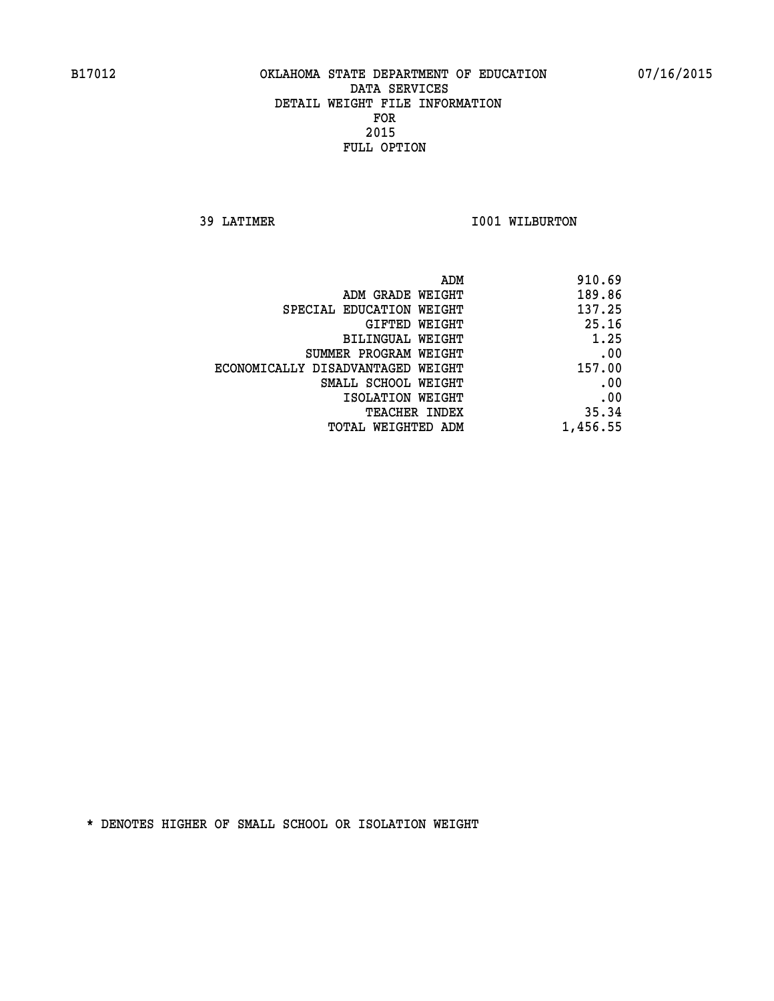**39 LATIMER 1001 WILBURTON** 

| 910.69   |
|----------|
| 189.86   |
| 137.25   |
| 25.16    |
| 1.25     |
| .00      |
| 157.00   |
| .00      |
| .00      |
| 35.34    |
| 1,456.55 |
|          |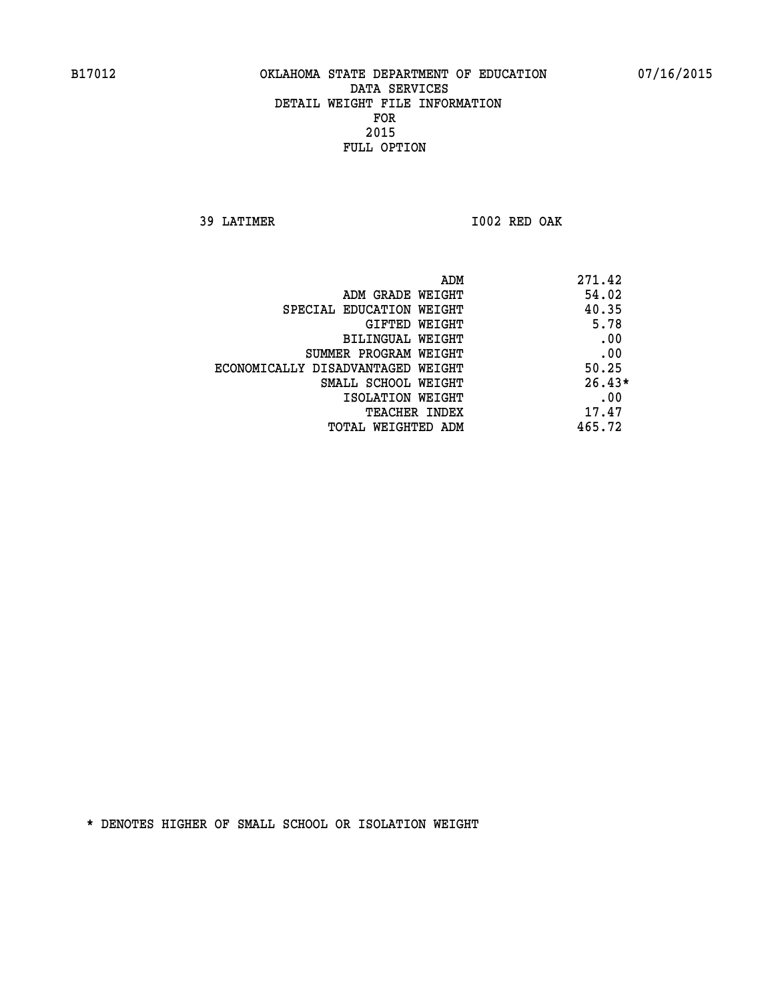**39 LATIMER I002 RED OAK** 

| ADM                               | 271.42   |
|-----------------------------------|----------|
| ADM GRADE WEIGHT                  | 54.02    |
| SPECIAL EDUCATION WEIGHT          | 40.35    |
| GIFTED WEIGHT                     | 5.78     |
| BILINGUAL WEIGHT                  | .00      |
| SUMMER PROGRAM WEIGHT             | .00      |
| ECONOMICALLY DISADVANTAGED WEIGHT | 50.25    |
| SMALL SCHOOL WEIGHT               | $26.43*$ |
| ISOLATION WEIGHT                  | .00      |
| <b>TEACHER INDEX</b>              | 17.47    |
| TOTAL WEIGHTED ADM                | 465.72   |
|                                   |          |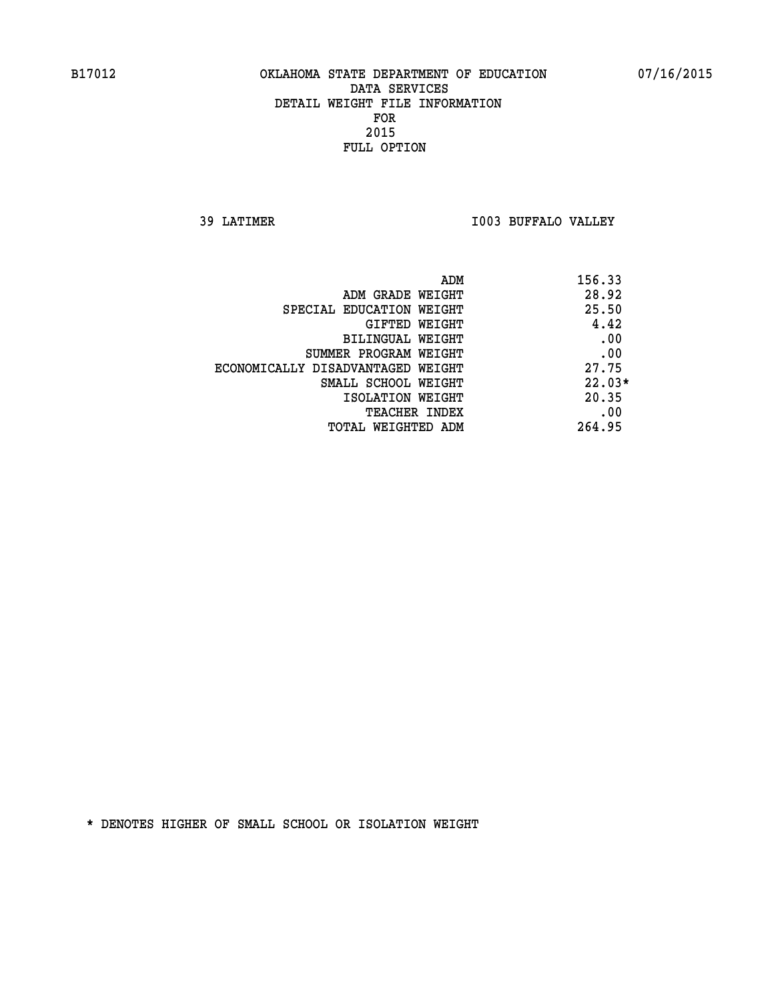**39 LATIMER I003 BUFFALO VALLEY** 

| ADM                               | 156.33   |
|-----------------------------------|----------|
| ADM GRADE WEIGHT                  | 28.92    |
| SPECIAL EDUCATION WEIGHT          | 25.50    |
| GIFTED WEIGHT                     | 4.42     |
| BILINGUAL WEIGHT                  | .00      |
| SUMMER PROGRAM WEIGHT             | .00      |
| ECONOMICALLY DISADVANTAGED WEIGHT | 27.75    |
| SMALL SCHOOL WEIGHT               | $22.03*$ |
| ISOLATION WEIGHT                  | 20.35    |
| <b>TEACHER INDEX</b>              | .00      |
| TOTAL WEIGHTED ADM                | 264.95   |
|                                   |          |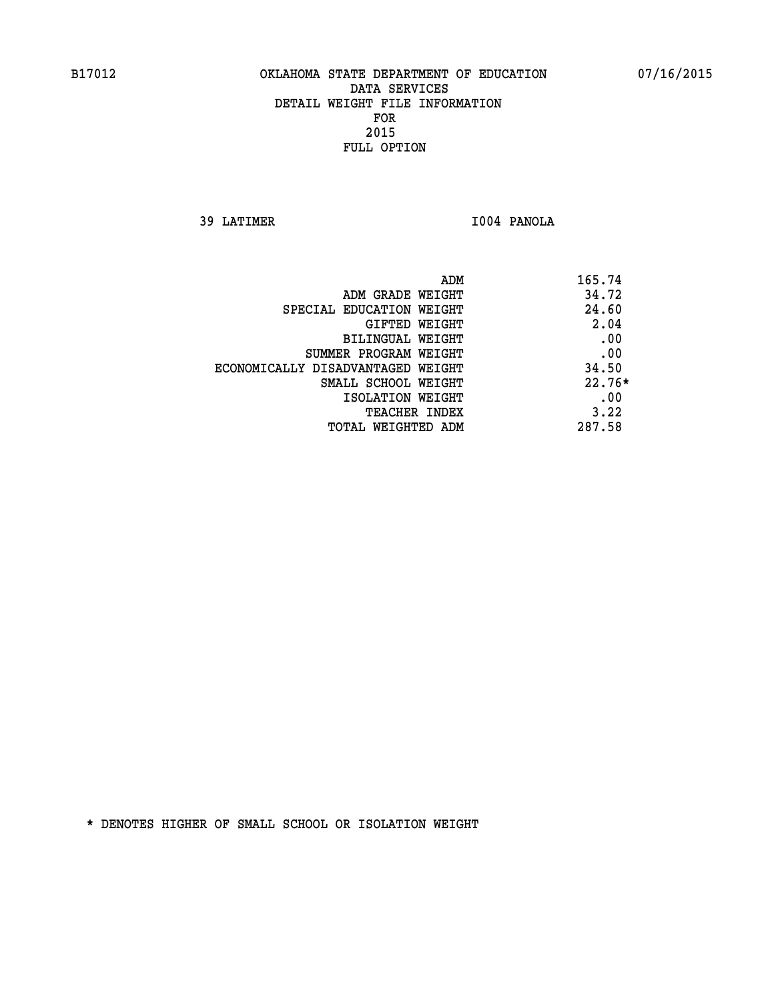**39 LATIMER I004 PANOLA** 

| ADM<br>165.74                   |                                   |
|---------------------------------|-----------------------------------|
| 34.72<br>ADM GRADE WEIGHT       |                                   |
| 24.60                           | SPECIAL EDUCATION WEIGHT          |
| 2.04<br>GIFTED WEIGHT           |                                   |
| .00<br>BILINGUAL WEIGHT         |                                   |
| .00<br>SUMMER PROGRAM WEIGHT    |                                   |
| 34.50                           | ECONOMICALLY DISADVANTAGED WEIGHT |
| $22.76*$<br>SMALL SCHOOL WEIGHT |                                   |
| .00<br>ISOLATION WEIGHT         |                                   |
| 3.22<br><b>TEACHER INDEX</b>    |                                   |
| 287.58<br>TOTAL WEIGHTED ADM    |                                   |
|                                 |                                   |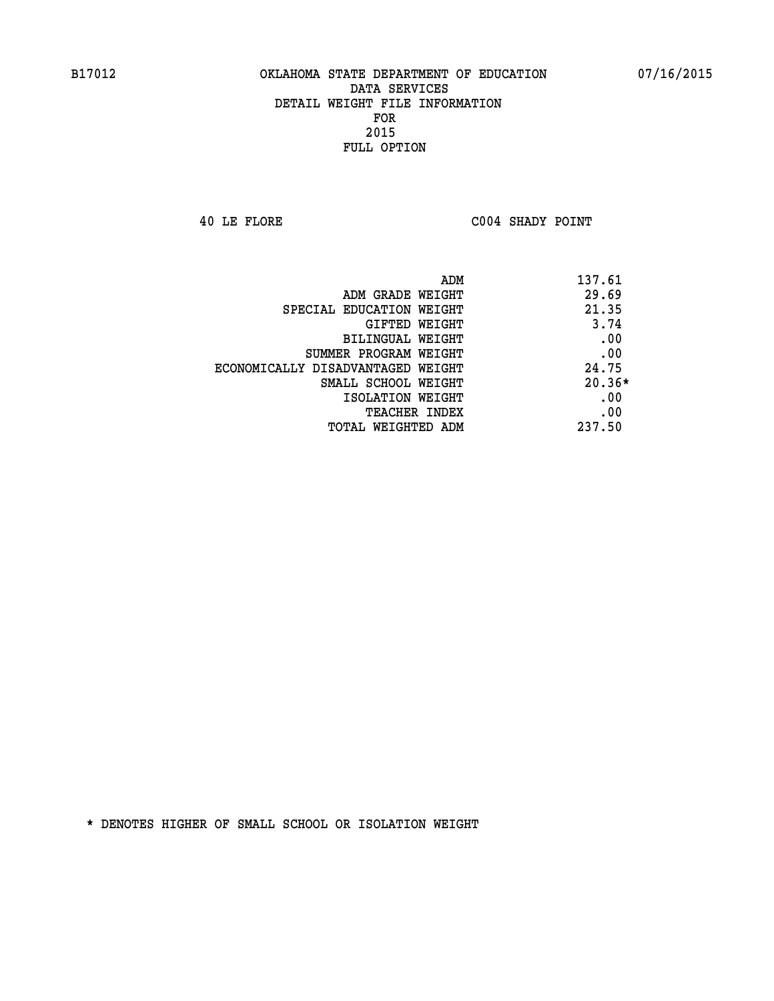**40 LE FLORE C004 SHADY POINT** 

| ADM<br>137.61                |                                   |
|------------------------------|-----------------------------------|
| 29.69                        | ADM GRADE WEIGHT                  |
| 21.35                        | SPECIAL EDUCATION WEIGHT          |
| 3.74<br><b>GIFTED WEIGHT</b> |                                   |
| .00                          | BILINGUAL WEIGHT                  |
| .00                          | SUMMER PROGRAM WEIGHT             |
| 24.75                        | ECONOMICALLY DISADVANTAGED WEIGHT |
| $20.36*$                     | SMALL SCHOOL WEIGHT               |
| .00                          | ISOLATION WEIGHT                  |
| .00<br><b>TEACHER INDEX</b>  |                                   |
| 237.50                       | TOTAL WEIGHTED ADM                |
|                              |                                   |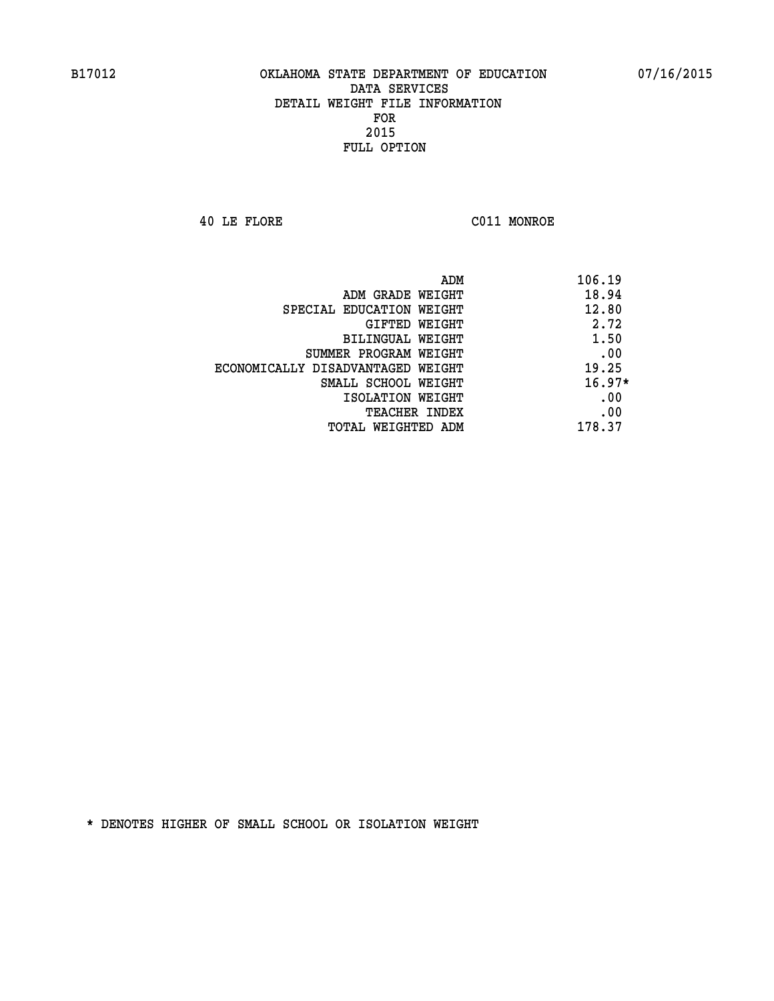**40 LE FLORE C011 MONROE** 

|                                   | ADM<br>106.19 |  |
|-----------------------------------|---------------|--|
| ADM GRADE WEIGHT                  | 18.94         |  |
| SPECIAL EDUCATION WEIGHT          | 12.80         |  |
| GIFTED WEIGHT                     | 2.72          |  |
| BILINGUAL WEIGHT                  | 1.50          |  |
| SUMMER PROGRAM WEIGHT             | .00           |  |
| ECONOMICALLY DISADVANTAGED WEIGHT | 19.25         |  |
| SMALL SCHOOL WEIGHT               | $16.97*$      |  |
| ISOLATION WEIGHT                  | .00           |  |
| <b>TEACHER INDEX</b>              | .00           |  |
| TOTAL WEIGHTED ADM                | 178.37        |  |
|                                   |               |  |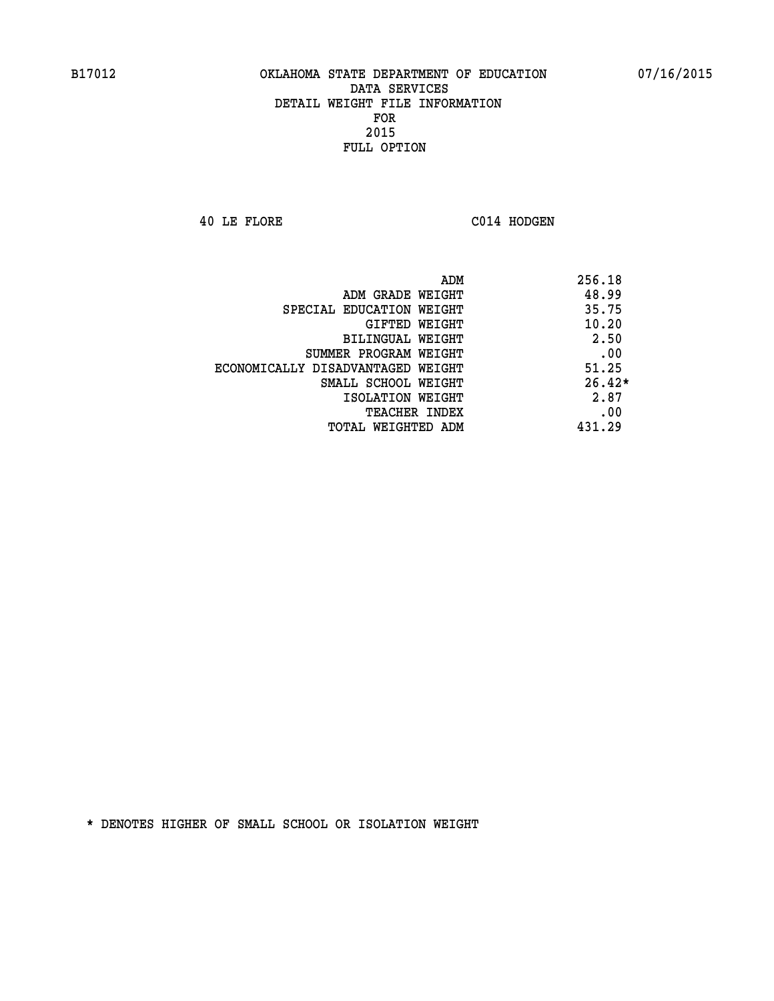**40 LE FLORE C014 HODGEN** 

|                                   | ADM<br>256.18 |
|-----------------------------------|---------------|
| ADM GRADE WEIGHT                  | 48.99         |
| SPECIAL EDUCATION WEIGHT          | 35.75         |
| GIFTED WEIGHT                     | 10.20         |
| BILINGUAL WEIGHT                  | 2.50          |
| SUMMER PROGRAM WEIGHT             | .00           |
| ECONOMICALLY DISADVANTAGED WEIGHT | 51.25         |
| SMALL SCHOOL WEIGHT               | $26.42*$      |
| ISOLATION WEIGHT                  | 2.87          |
| <b>TEACHER INDEX</b>              | .00           |
| TOTAL WEIGHTED ADM                | 431.29        |
|                                   |               |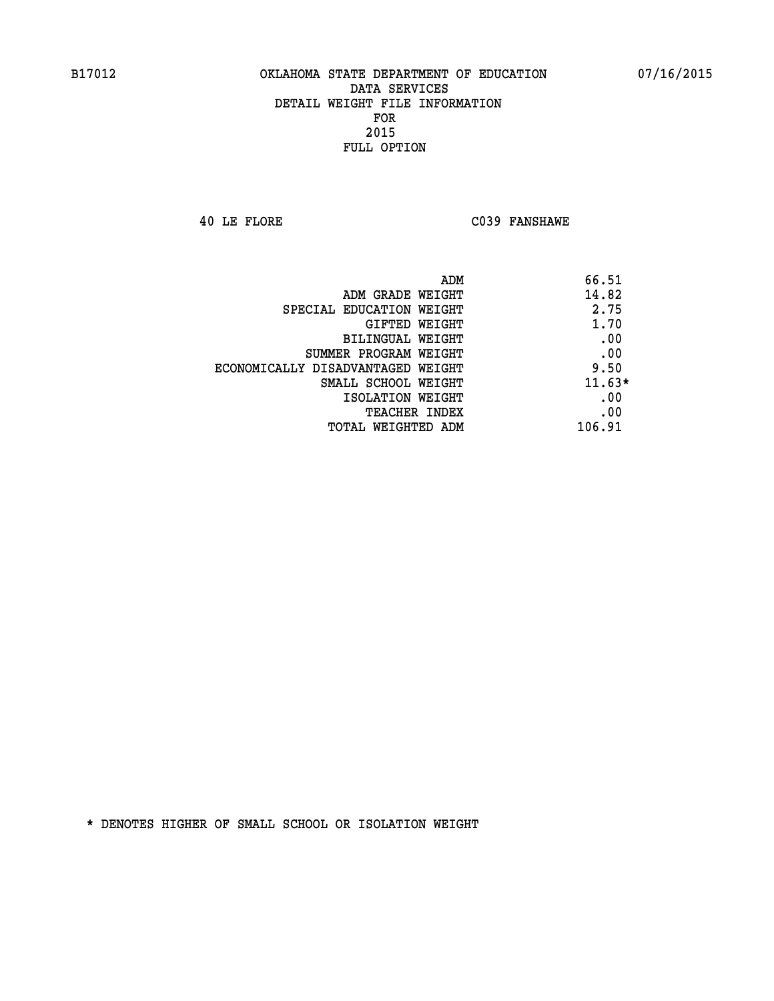**40 LE FLORE C039 FANSHAWE** 

| ADM<br>66.51                              |  |
|-------------------------------------------|--|
| 14.82<br>ADM GRADE WEIGHT                 |  |
| 2.75<br>SPECIAL EDUCATION WEIGHT          |  |
| 1.70<br><b>GIFTED WEIGHT</b>              |  |
| .00<br><b>BILINGUAL WEIGHT</b>            |  |
| .00<br>SUMMER PROGRAM WEIGHT              |  |
| 9.50<br>ECONOMICALLY DISADVANTAGED WEIGHT |  |
| $11.63*$<br>SMALL SCHOOL WEIGHT           |  |
| .00<br>ISOLATION WEIGHT                   |  |
| .00<br><b>TEACHER INDEX</b>               |  |
| 106.91<br>TOTAL WEIGHTED ADM              |  |
|                                           |  |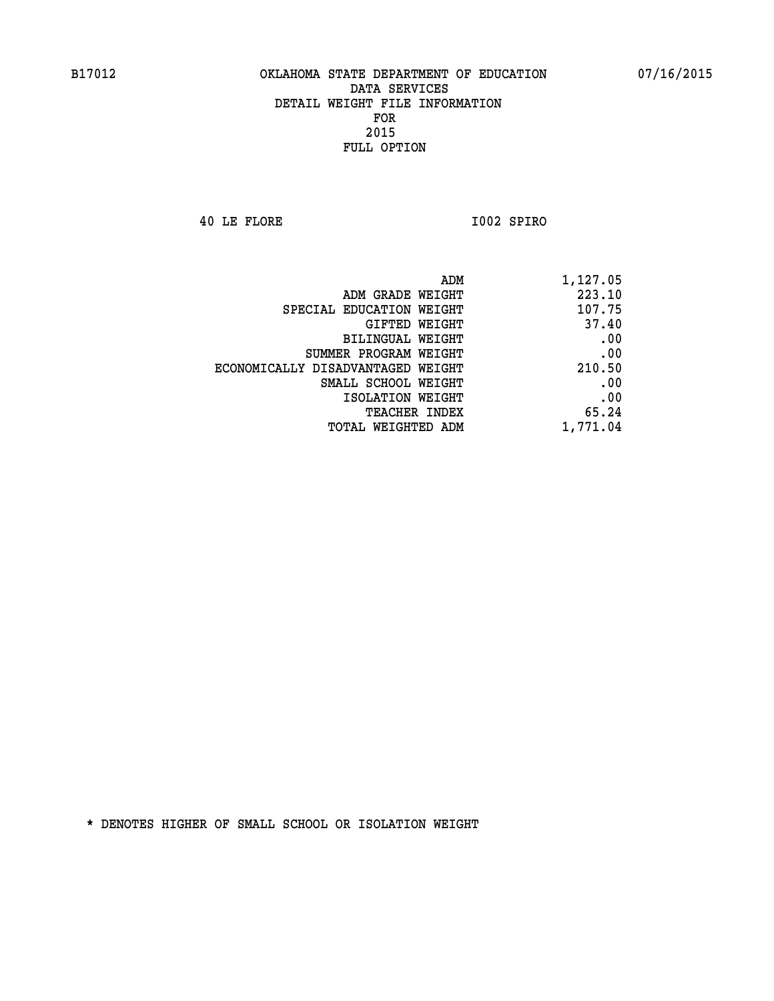**40 LE FLORE I002 SPIRO** 

| 1,127.05 | ADM                               |  |
|----------|-----------------------------------|--|
| 223.10   | ADM GRADE WEIGHT                  |  |
| 107.75   | SPECIAL EDUCATION WEIGHT          |  |
| 37.40    | GIFTED WEIGHT                     |  |
| .00      | BILINGUAL WEIGHT                  |  |
| .00      | SUMMER PROGRAM WEIGHT             |  |
| 210.50   | ECONOMICALLY DISADVANTAGED WEIGHT |  |
| .00      | SMALL SCHOOL WEIGHT               |  |
| .00      | ISOLATION WEIGHT                  |  |
| 65.24    | <b>TEACHER INDEX</b>              |  |
| 1,771.04 | <b>TOTAL WEIGHTED ADM</b>         |  |
|          |                                   |  |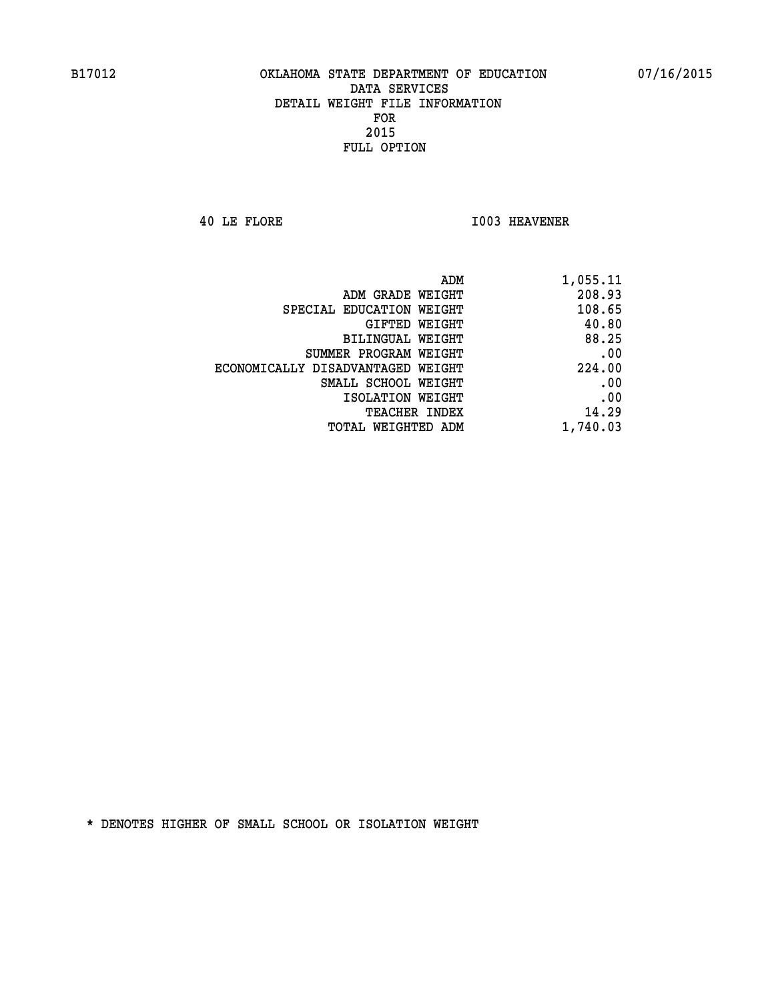**40 LE FLORE I003 HEAVENER** 

| 1,055.11 |
|----------|
| 208.93   |
| 108.65   |
| 40.80    |
| 88.25    |
| .00      |
| 224.00   |
| .00      |
| .00      |
| 14.29    |
| 1,740.03 |
|          |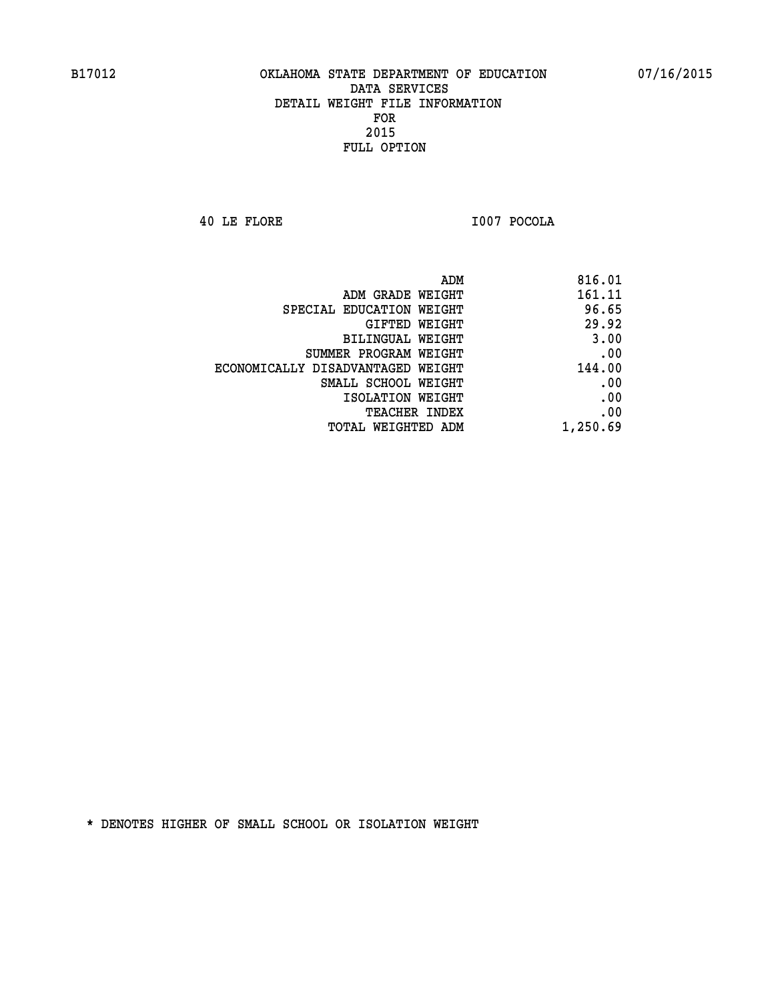**40 LE FLORE I007 POCOLA** 

| 816.01   |
|----------|
| 161.11   |
| 96.65    |
| 29.92    |
| 3.00     |
| .00      |
| 144.00   |
| .00      |
| .00      |
| .00      |
| 1,250.69 |
|          |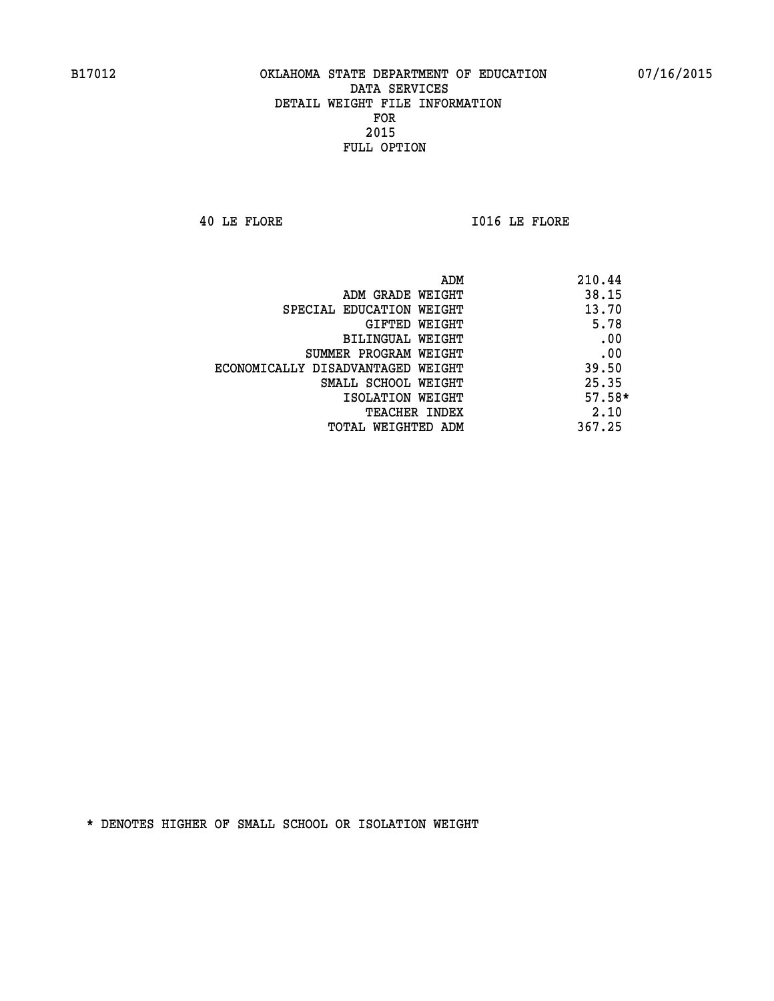**40 LE FLORE I016 LE FLORE** 

|                                   | ADM<br>210.44 |
|-----------------------------------|---------------|
| ADM GRADE WEIGHT                  | 38.15         |
| SPECIAL EDUCATION WEIGHT          | 13.70         |
| GIFTED WEIGHT                     | 5.78          |
| BILINGUAL WEIGHT                  | .00           |
| SUMMER PROGRAM WEIGHT             | .00           |
| ECONOMICALLY DISADVANTAGED WEIGHT | 39.50         |
| SMALL SCHOOL WEIGHT               | 25.35         |
| ISOLATION WEIGHT                  | $57.58*$      |
| <b>TEACHER INDEX</b>              | 2.10          |
| TOTAL WEIGHTED ADM                | 367.25        |
|                                   |               |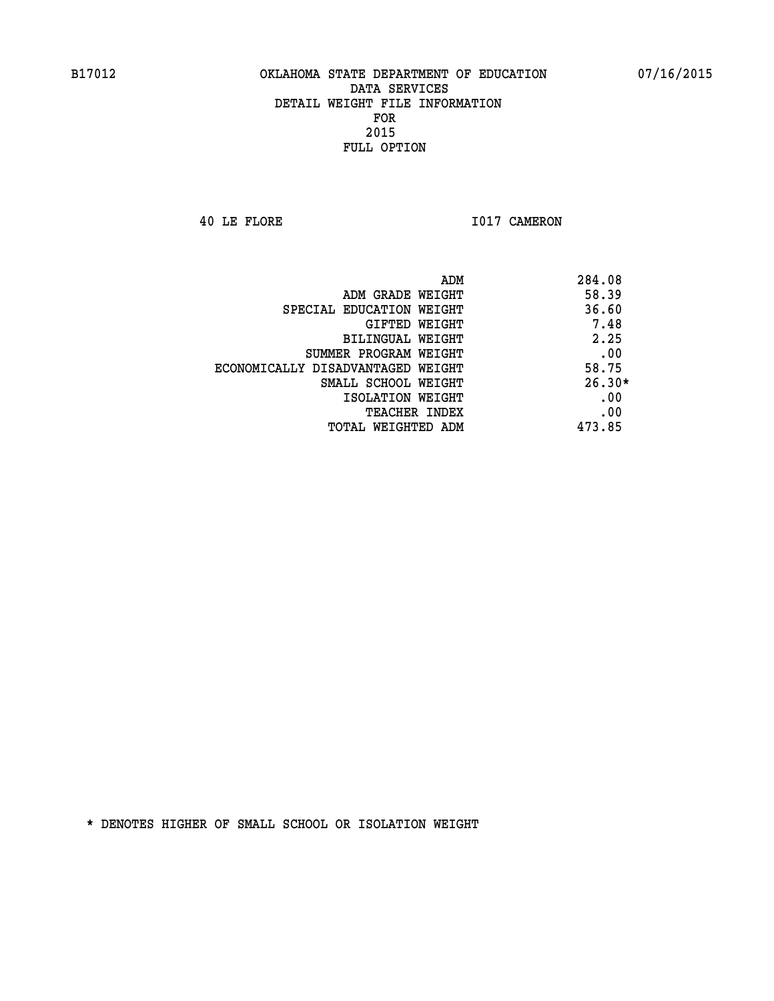**40 LE FLORE 1017 CAMERON** 

|                                   | ADM | 284.08   |
|-----------------------------------|-----|----------|
| ADM GRADE WEIGHT                  |     | 58.39    |
| SPECIAL EDUCATION WEIGHT          |     | 36.60    |
| GIFTED WEIGHT                     |     | 7.48     |
| BILINGUAL WEIGHT                  |     | 2.25     |
| SUMMER PROGRAM WEIGHT             |     | .00      |
| ECONOMICALLY DISADVANTAGED WEIGHT |     | 58.75    |
| SMALL SCHOOL WEIGHT               |     | $26.30*$ |
| ISOLATION WEIGHT                  |     | .00      |
| <b>TEACHER INDEX</b>              |     | .00      |
| TOTAL WEIGHTED ADM                |     | 473.85   |
|                                   |     |          |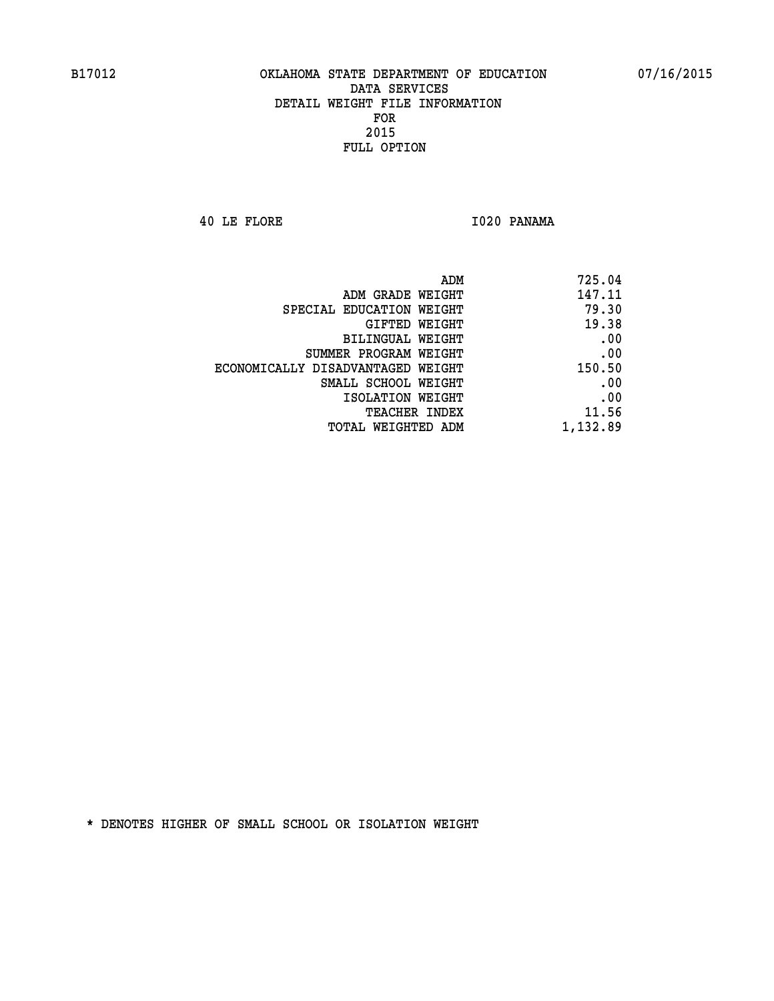**40 LE FLORE I020 PANAMA** 

| 725.04   |
|----------|
| 147.11   |
| 79.30    |
| 19.38    |
| .00      |
| .00      |
| 150.50   |
| .00      |
| .00      |
| 11.56    |
| 1,132.89 |
|          |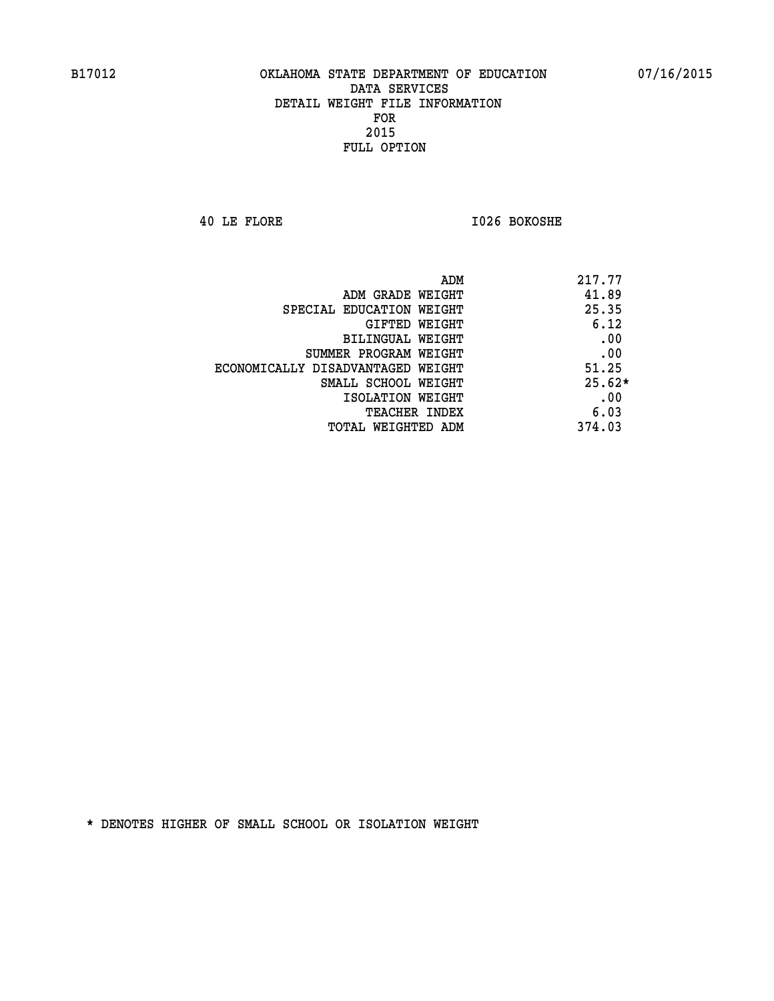**40 LE FLORE I026 BOKOSHE** 

| ADM<br>217.77                              |
|--------------------------------------------|
| 41.89<br>ADM GRADE WEIGHT                  |
| 25.35<br>SPECIAL EDUCATION WEIGHT          |
| 6.12<br>GIFTED WEIGHT                      |
| .00<br>BILINGUAL WEIGHT                    |
| .00<br>SUMMER PROGRAM WEIGHT               |
| 51.25<br>ECONOMICALLY DISADVANTAGED WEIGHT |
| $25.62*$<br>SMALL SCHOOL WEIGHT            |
| .00<br>ISOLATION WEIGHT                    |
| 6.03<br><b>TEACHER INDEX</b>               |
| 374.03<br>TOTAL WEIGHTED ADM               |
|                                            |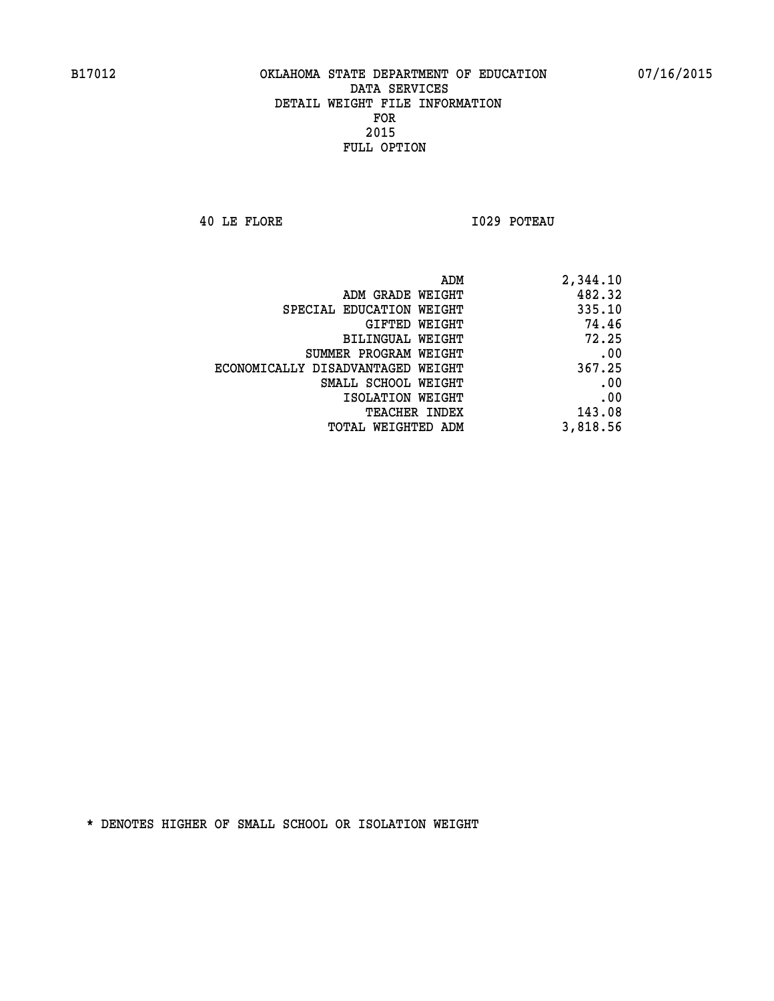**40 LE FLORE I029 POTEAU** 

| 2,344.10 |
|----------|
| 482.32   |
| 335.10   |
| 74.46    |
| 72.25    |
| .00      |
| 367.25   |
| .00      |
| .00      |
| 143.08   |
| 3,818.56 |
|          |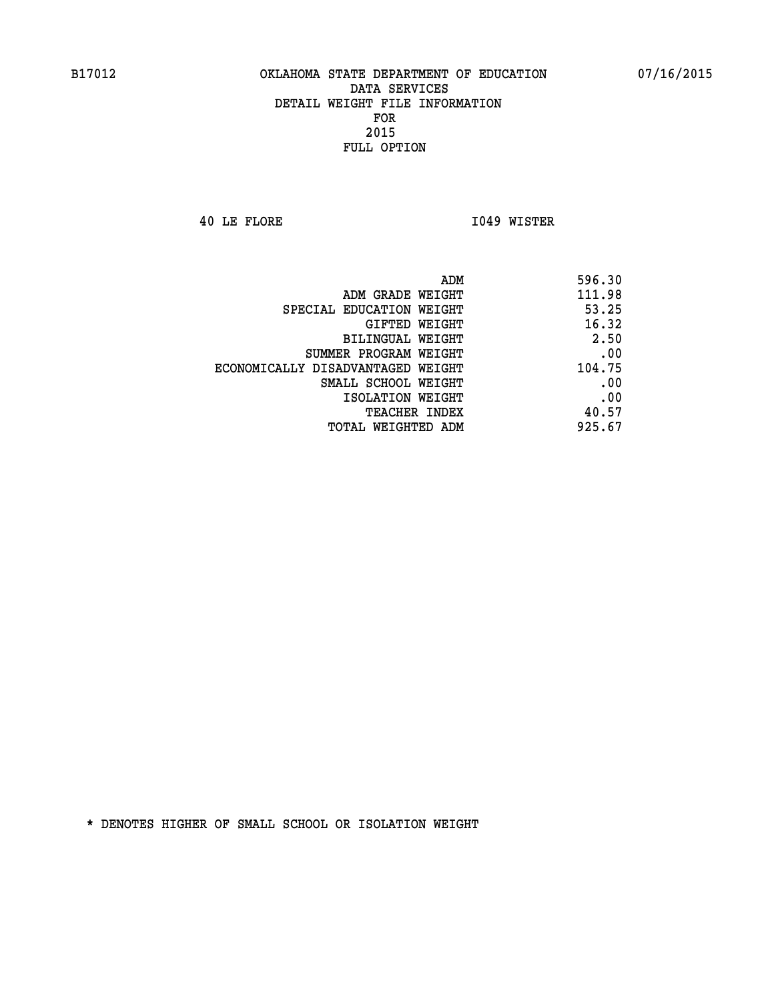**40 LE FLORE I049 WISTER** 

| 596.30 |
|--------|
| 111.98 |
| 53.25  |
| 16.32  |
| 2.50   |
| .00    |
| 104.75 |
| .00    |
| .00    |
| 40.57  |
| 925.67 |
|        |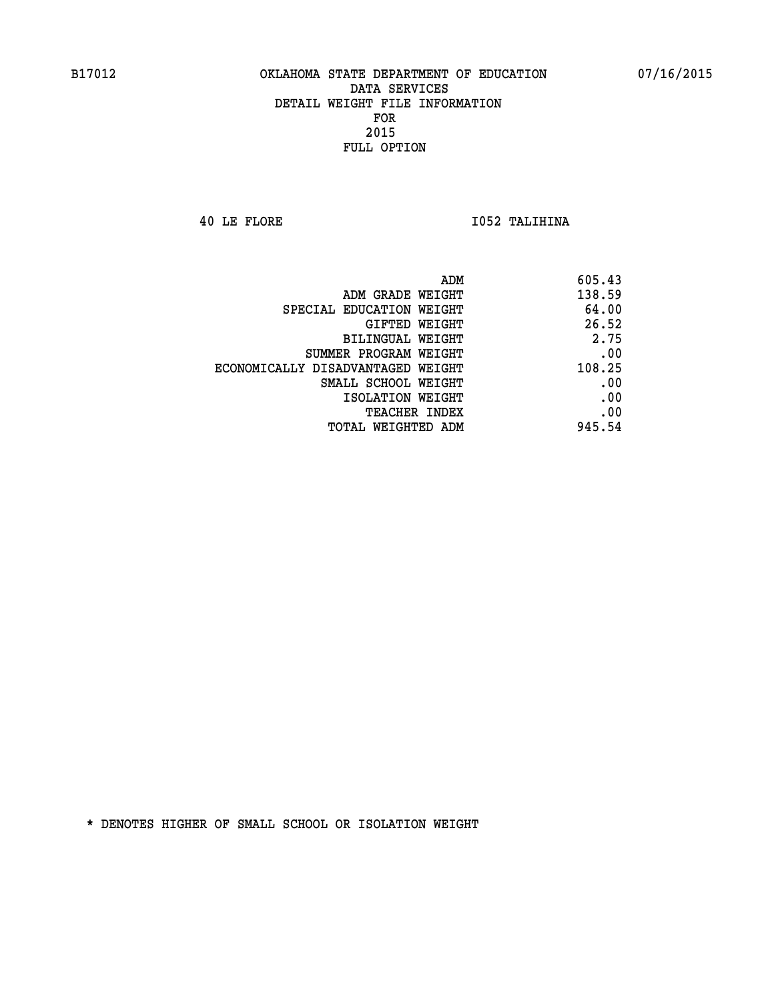**40 LE FLORE I052 TALIHINA** 

| ADM                               | 605.43 |
|-----------------------------------|--------|
| ADM GRADE WEIGHT                  | 138.59 |
| SPECIAL EDUCATION WEIGHT          | 64.00  |
| GIFTED WEIGHT                     | 26.52  |
| <b>BILINGUAL WEIGHT</b>           | 2.75   |
| SUMMER PROGRAM WEIGHT             | .00    |
| ECONOMICALLY DISADVANTAGED WEIGHT | 108.25 |
| SMALL SCHOOL WEIGHT               | .00    |
| ISOLATION WEIGHT                  | .00    |
| <b>TEACHER INDEX</b>              | .00    |
| TOTAL WEIGHTED ADM                | 945.54 |
|                                   |        |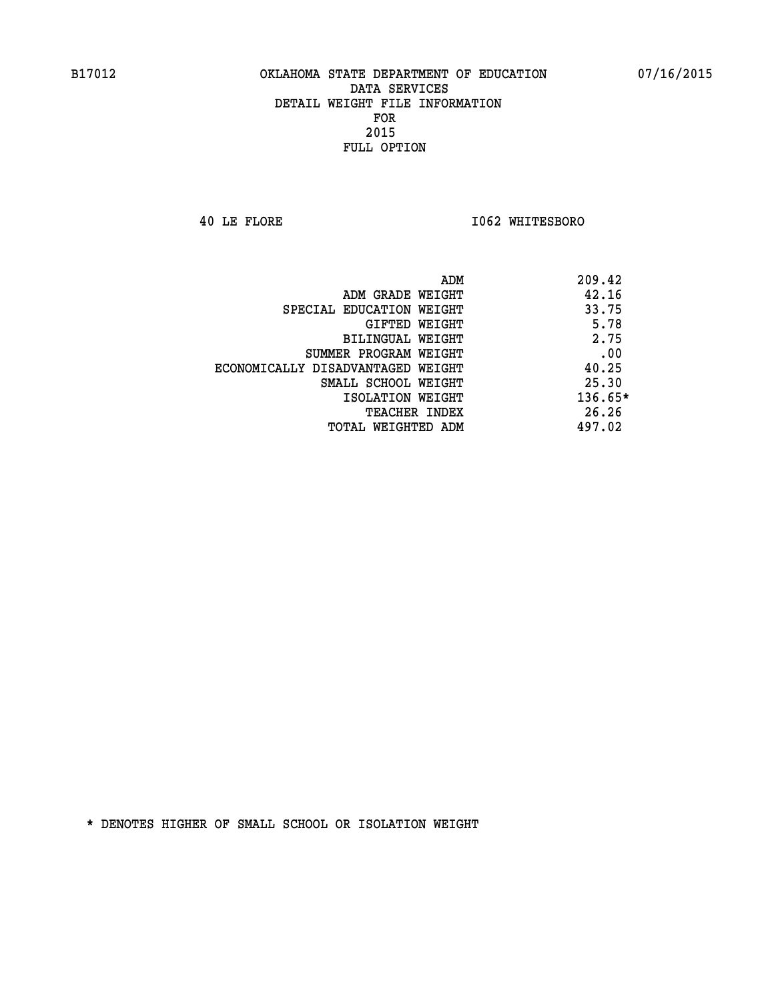**40 LE FLORE I062 WHITESBORO** 

| ADM                               | 209.42  |
|-----------------------------------|---------|
| ADM GRADE WEIGHT                  | 42.16   |
| SPECIAL EDUCATION WEIGHT          | 33.75   |
| GIFTED WEIGHT                     | 5.78    |
| BILINGUAL WEIGHT                  | 2.75    |
| SUMMER PROGRAM WEIGHT             | .00     |
| ECONOMICALLY DISADVANTAGED WEIGHT | 40.25   |
| SMALL SCHOOL WEIGHT               | 25.30   |
| ISOLATION WEIGHT                  | 136.65* |
| <b>TEACHER INDEX</b>              | 26.26   |
| TOTAL WEIGHTED ADM                | 497.02  |
|                                   |         |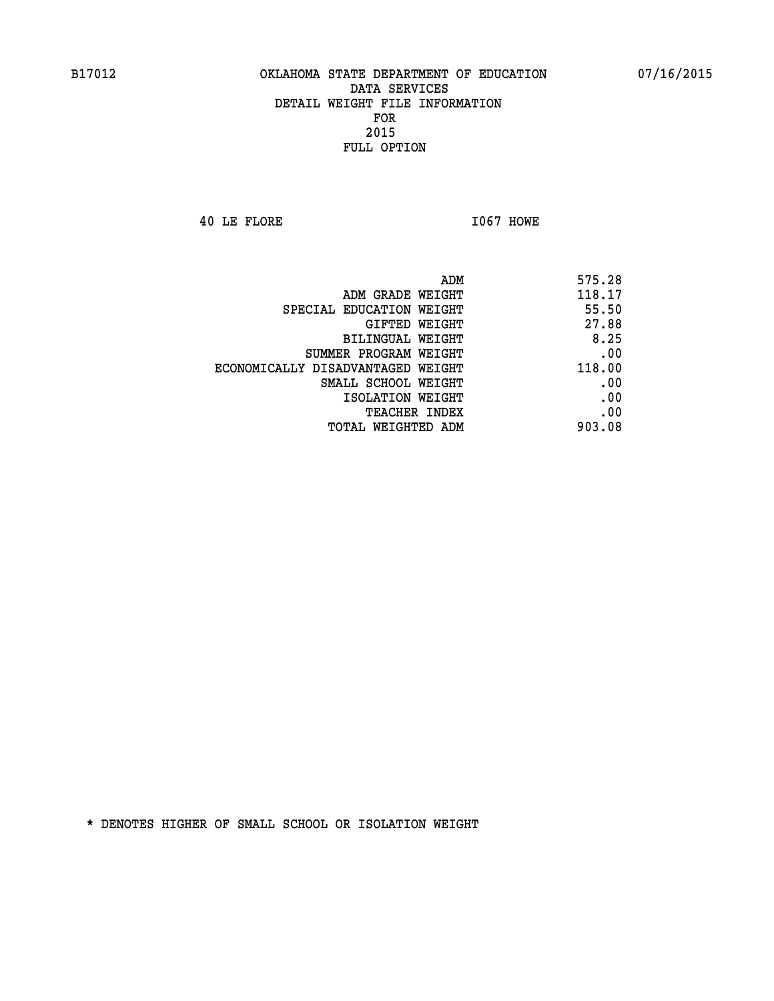**40 LE FLORE I067 HOWE** 

| 118.17<br>ADM GRADE WEIGHT<br>55.50<br>SPECIAL EDUCATION WEIGHT<br>27.88<br>GIFTED WEIGHT<br>8.25<br><b>BILINGUAL WEIGHT</b><br>.00<br>SUMMER PROGRAM WEIGHT<br>118.00<br>ECONOMICALLY DISADVANTAGED WEIGHT<br>.00<br>SMALL SCHOOL WEIGHT |
|-------------------------------------------------------------------------------------------------------------------------------------------------------------------------------------------------------------------------------------------|
|                                                                                                                                                                                                                                           |
|                                                                                                                                                                                                                                           |
|                                                                                                                                                                                                                                           |
|                                                                                                                                                                                                                                           |
|                                                                                                                                                                                                                                           |
|                                                                                                                                                                                                                                           |
|                                                                                                                                                                                                                                           |
| .00<br>ISOLATION WEIGHT                                                                                                                                                                                                                   |
| .00<br>TEACHER INDEX                                                                                                                                                                                                                      |
| 903.08<br>TOTAL WEIGHTED ADM                                                                                                                                                                                                              |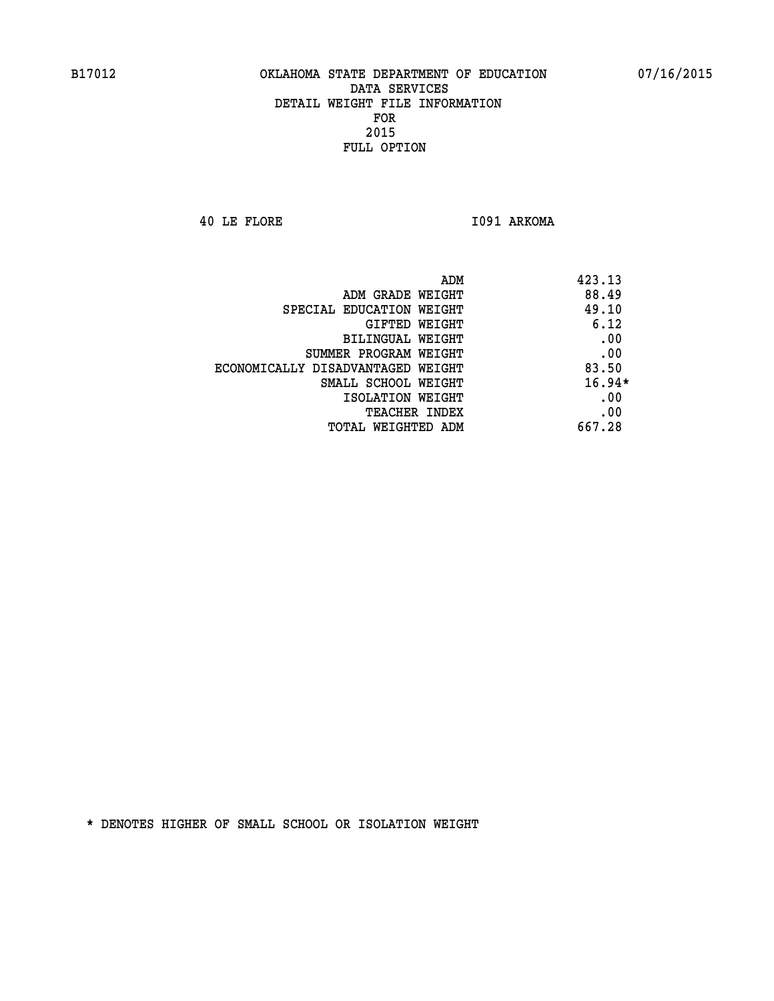**40 LE FLORE I091 ARKOMA** 

| 423.13   | ADM                               |
|----------|-----------------------------------|
| 88.49    | ADM GRADE WEIGHT                  |
| 49.10    | SPECIAL EDUCATION WEIGHT          |
| 6.12     | <b>GIFTED WEIGHT</b>              |
| .00      | BILINGUAL WEIGHT                  |
| .00      | SUMMER PROGRAM WEIGHT             |
| 83.50    | ECONOMICALLY DISADVANTAGED WEIGHT |
| $16.94*$ | SMALL SCHOOL WEIGHT               |
| .00      | ISOLATION WEIGHT                  |
| .00      | <b>TEACHER INDEX</b>              |
| 667.28   | TOTAL WEIGHTED ADM                |
|          |                                   |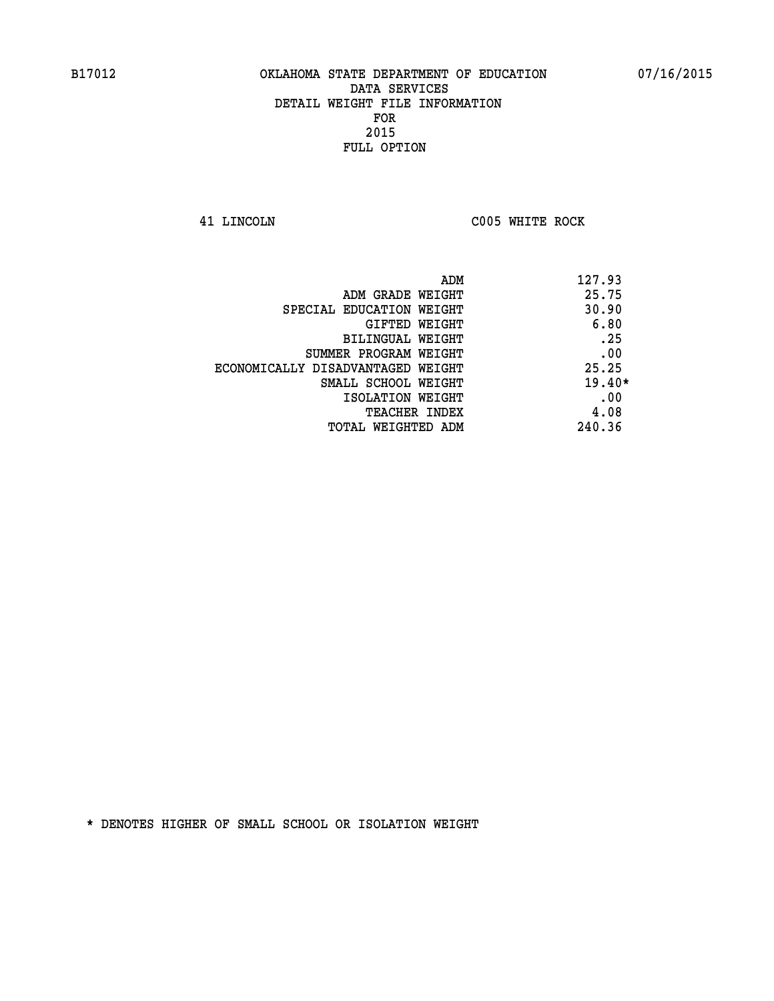**41 LINCOLN C005 WHITE ROCK** 

| ADM<br>127.93 |                                   |
|---------------|-----------------------------------|
| 25.75         | ADM GRADE WEIGHT                  |
| 30.90         | SPECIAL EDUCATION WEIGHT          |
| 6.80          | <b>GIFTED WEIGHT</b>              |
| .25           | <b>BILINGUAL WEIGHT</b>           |
| .00           | SUMMER PROGRAM WEIGHT             |
| 25.25         | ECONOMICALLY DISADVANTAGED WEIGHT |
| $19.40*$      | SMALL SCHOOL WEIGHT               |
| .00           | ISOLATION WEIGHT                  |
| 4.08          | <b>TEACHER INDEX</b>              |
| 240.36        | TOTAL WEIGHTED ADM                |
|               |                                   |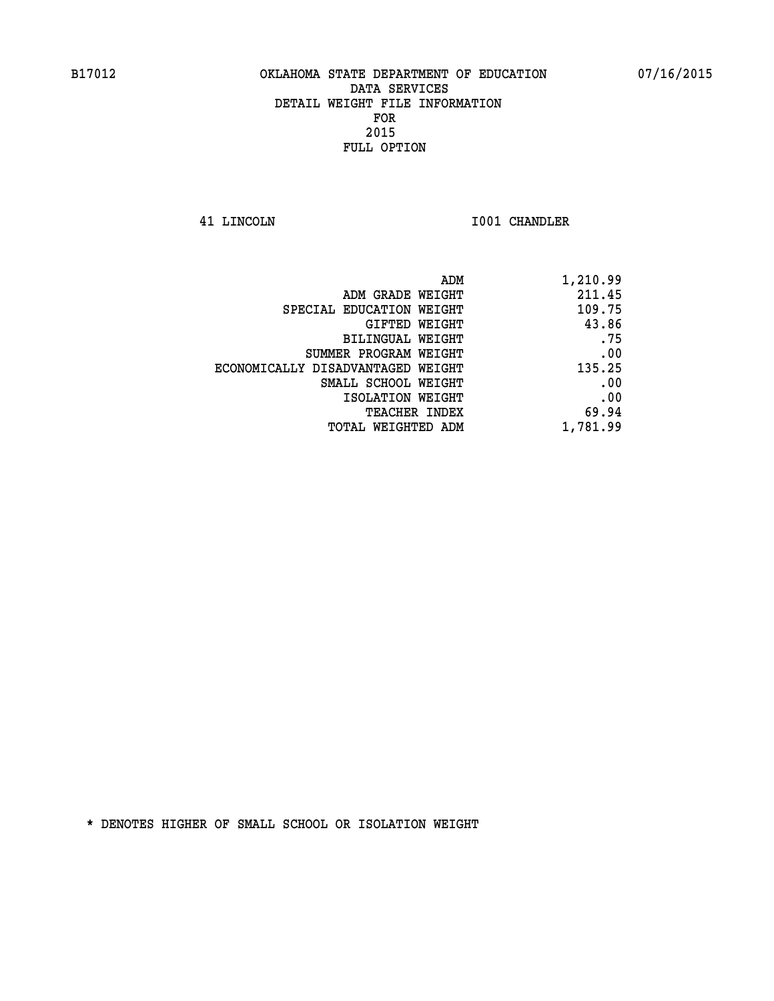**41 LINCOLN I001 CHANDLER** 

|                                   | ADM<br>1,210.99 |
|-----------------------------------|-----------------|
| ADM GRADE WEIGHT                  | 211.45          |
| SPECIAL EDUCATION WEIGHT          | 109.75          |
| GIFTED WEIGHT                     | 43.86           |
| <b>BILINGUAL WEIGHT</b>           | .75             |
| SUMMER PROGRAM WEIGHT             | .00             |
| ECONOMICALLY DISADVANTAGED WEIGHT | 135.25          |
| SMALL SCHOOL WEIGHT               | .00             |
| ISOLATION WEIGHT                  | .00             |
| TEACHER INDEX                     | 69.94           |
| TOTAL WEIGHTED ADM                | 1,781.99        |
|                                   |                 |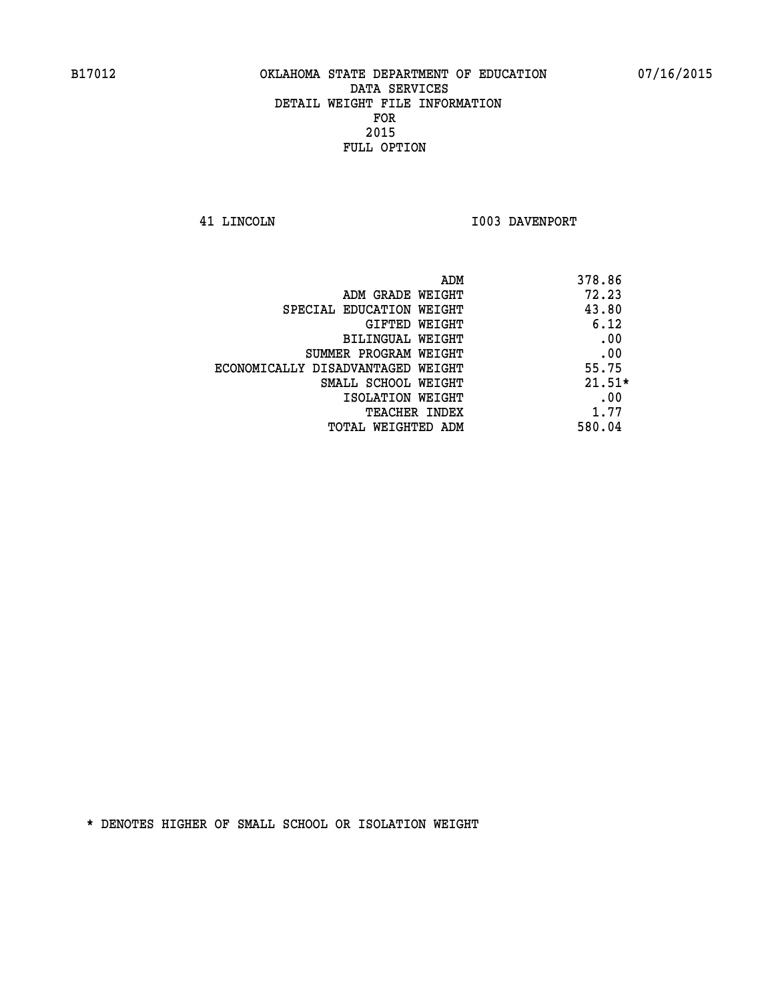**41 LINCOLN I003 DAVENPORT** 

| ADM<br>378.86                              |  |
|--------------------------------------------|--|
| 72.23<br>ADM GRADE WEIGHT                  |  |
| 43.80<br>SPECIAL EDUCATION WEIGHT          |  |
| 6.12<br><b>GIFTED WEIGHT</b>               |  |
| .00<br>BILINGUAL WEIGHT                    |  |
| .00<br>SUMMER PROGRAM WEIGHT               |  |
| 55.75<br>ECONOMICALLY DISADVANTAGED WEIGHT |  |
| $21.51*$<br>SMALL SCHOOL WEIGHT            |  |
| .00<br>ISOLATION WEIGHT                    |  |
| 1.77<br><b>TEACHER INDEX</b>               |  |
| 580.04<br>TOTAL WEIGHTED ADM               |  |
|                                            |  |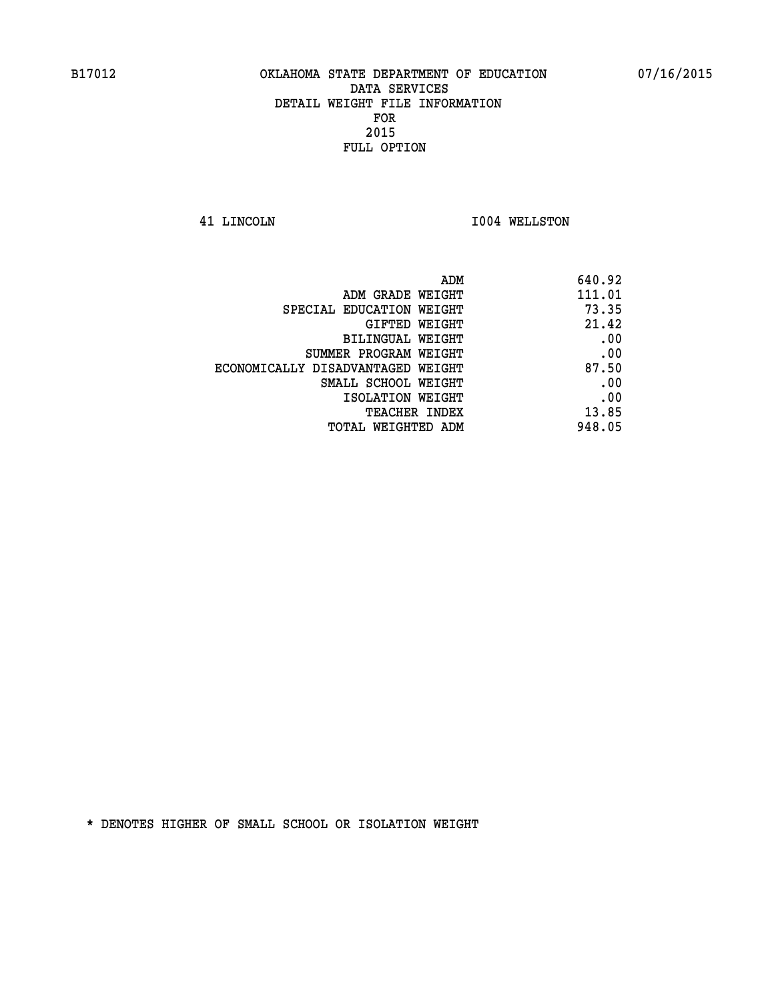**41 LINCOLN I004 WELLSTON** 

| ADM                               | 640.92 |
|-----------------------------------|--------|
| ADM GRADE WEIGHT                  | 111.01 |
| SPECIAL EDUCATION WEIGHT          | 73.35  |
| GIFTED WEIGHT                     | 21.42  |
| BILINGUAL WEIGHT                  | .00    |
| SUMMER PROGRAM WEIGHT             | .00    |
| ECONOMICALLY DISADVANTAGED WEIGHT | 87.50  |
| SMALL SCHOOL WEIGHT               | .00    |
| ISOLATION WEIGHT                  | .00    |
| TEACHER INDEX                     | 13.85  |
| TOTAL WEIGHTED ADM                | 948.05 |
|                                   |        |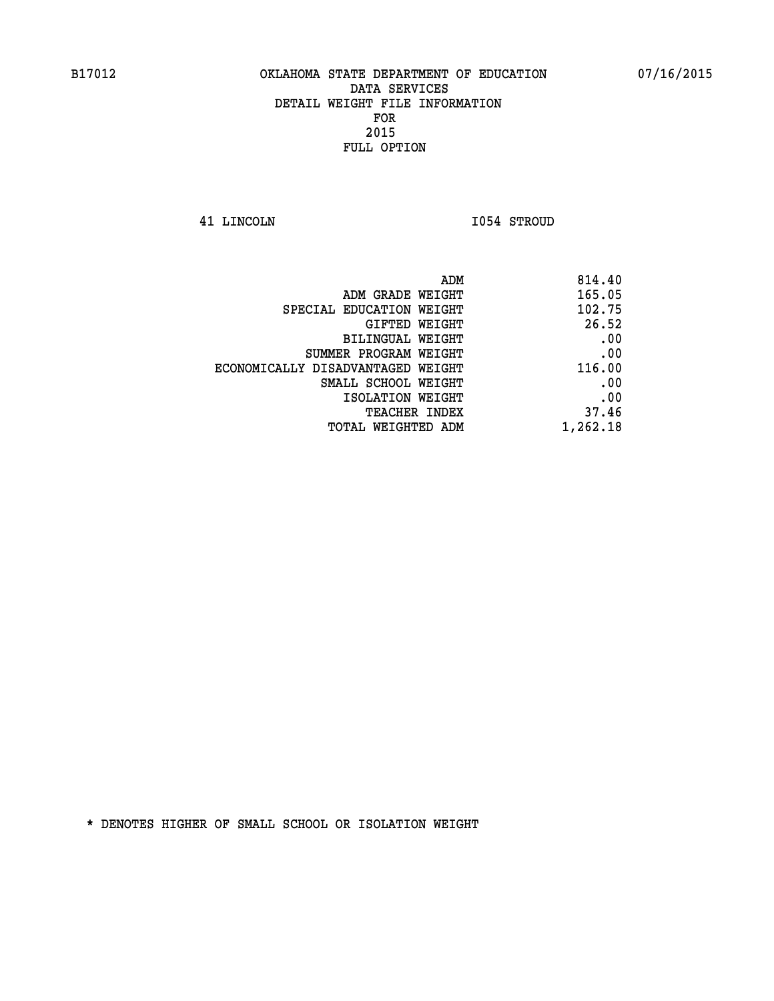**41 LINCOLN I054 STROUD** 

| 814.40   |
|----------|
| 165.05   |
| 102.75   |
| 26.52    |
| .00      |
| .00      |
| 116.00   |
| .00      |
| .00      |
| 37.46    |
| 1,262.18 |
|          |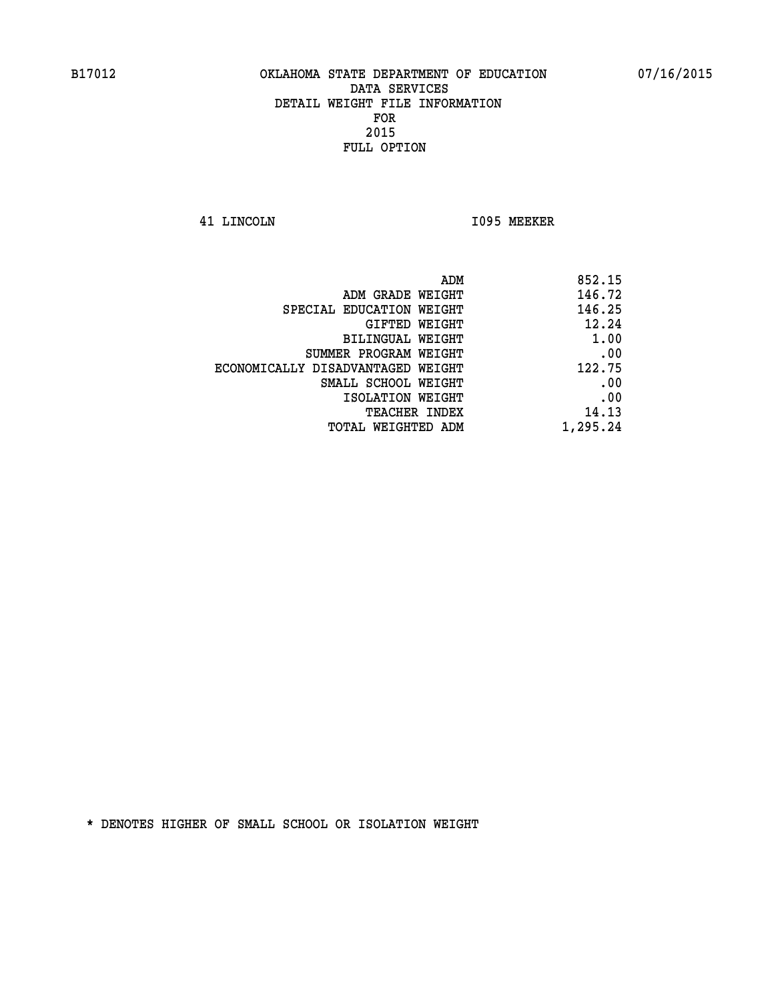**41 LINCOLN I095 MEEKER** 

| 852.15   |
|----------|
| 146.72   |
| 146.25   |
| 12.24    |
| 1.00     |
| .00      |
| 122.75   |
| .00      |
| .00      |
| 14.13    |
| 1,295.24 |
|          |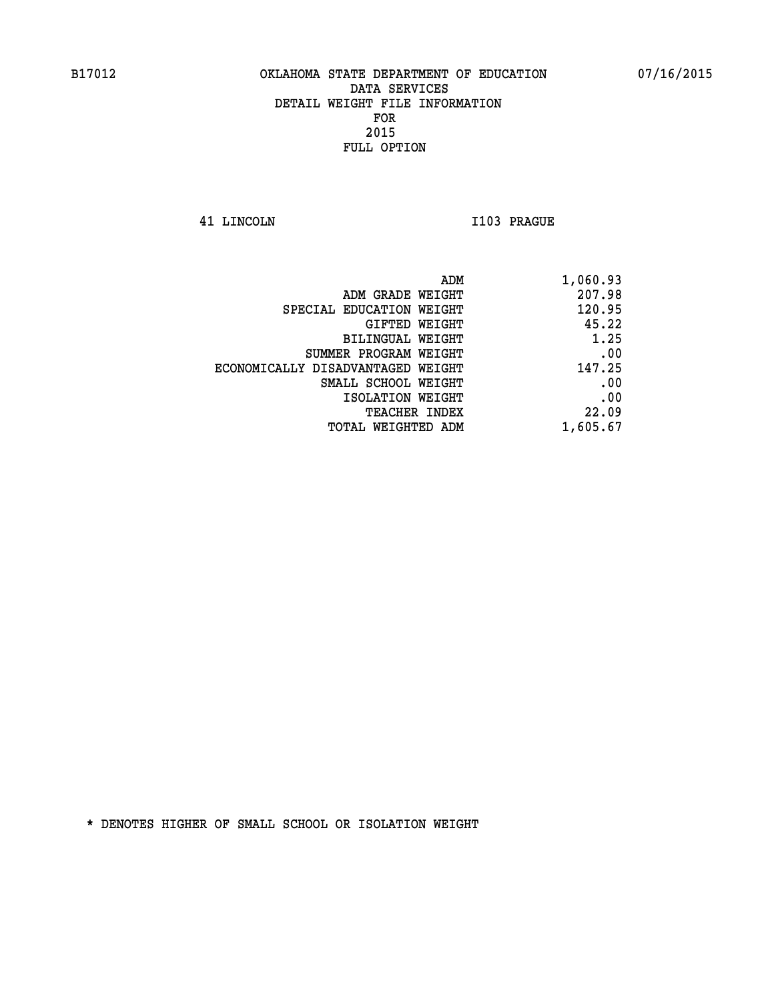**41 LINCOLN I103 PRAGUE** 

| 1,060.93 |
|----------|
| 207.98   |
| 120.95   |
| 45.22    |
| 1.25     |
| .00      |
| 147.25   |
| .00      |
| .00      |
| 22.09    |
| 1,605.67 |
|          |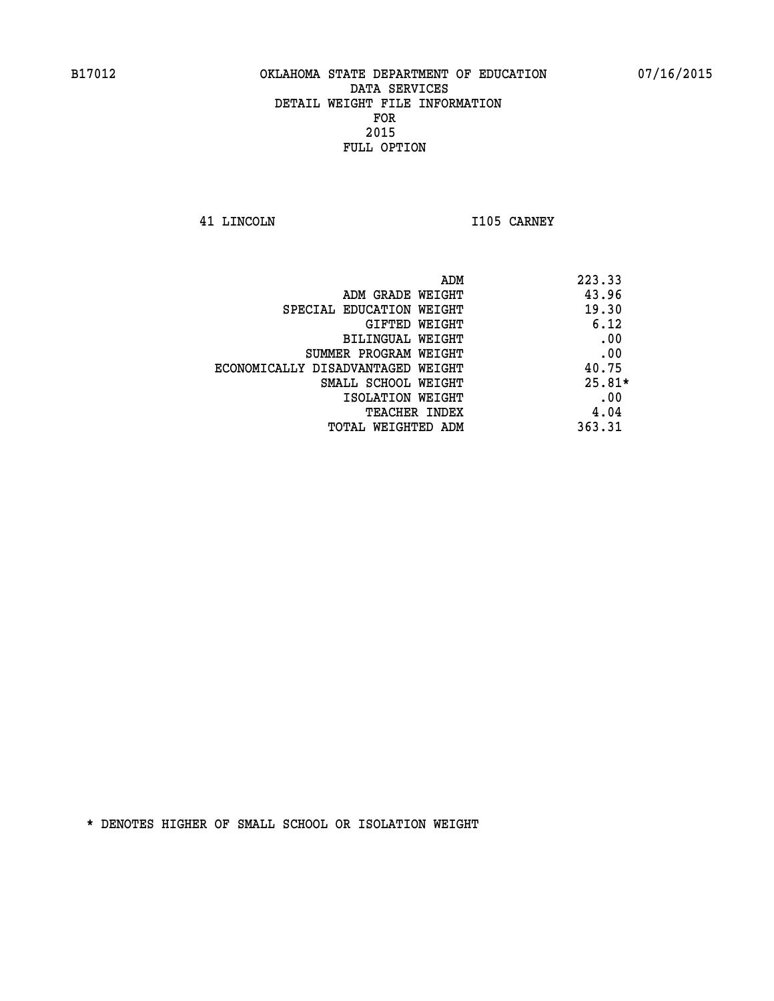**41 LINCOLN I105 CARNEY** 

| ADM                               | 223.33   |
|-----------------------------------|----------|
| ADM GRADE WEIGHT                  | 43.96    |
| SPECIAL EDUCATION WEIGHT          | 19.30    |
| <b>GIFTED WEIGHT</b>              | 6.12     |
| BILINGUAL WEIGHT                  | .00      |
| SUMMER PROGRAM WEIGHT             | .00      |
| ECONOMICALLY DISADVANTAGED WEIGHT | 40.75    |
| SMALL SCHOOL WEIGHT               | $25.81*$ |
| ISOLATION WEIGHT                  | .00      |
| <b>TEACHER INDEX</b>              | 4.04     |
| TOTAL WEIGHTED ADM                | 363.31   |
|                                   |          |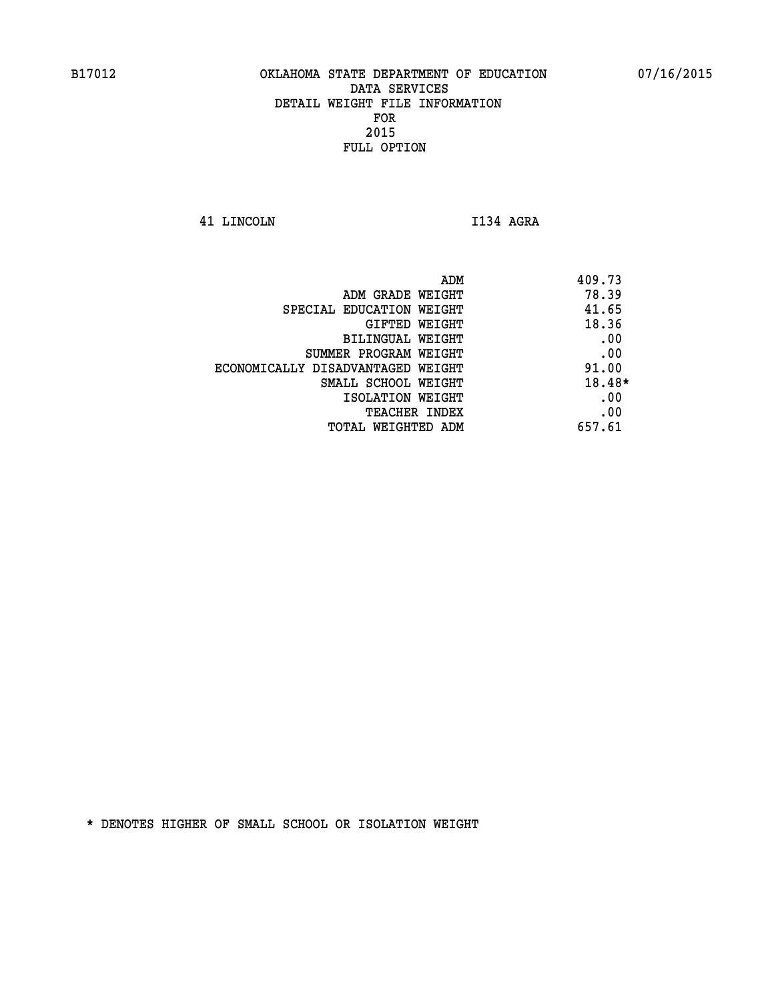**41 LINCOLN I134 AGRA** 

| ADM                               | 409.73 |
|-----------------------------------|--------|
| ADM GRADE WEIGHT                  | 78.39  |
| SPECIAL EDUCATION WEIGHT          | 41.65  |
| GIFTED WEIGHT                     | 18.36  |
| BILINGUAL WEIGHT                  | .00    |
| SUMMER PROGRAM WEIGHT             | .00    |
| ECONOMICALLY DISADVANTAGED WEIGHT | 91.00  |
| SMALL SCHOOL WEIGHT               | 18.48* |
| ISOLATION WEIGHT                  | .00    |
| <b>TEACHER INDEX</b>              | .00    |
| TOTAL WEIGHTED ADM                | 657.61 |
|                                   |        |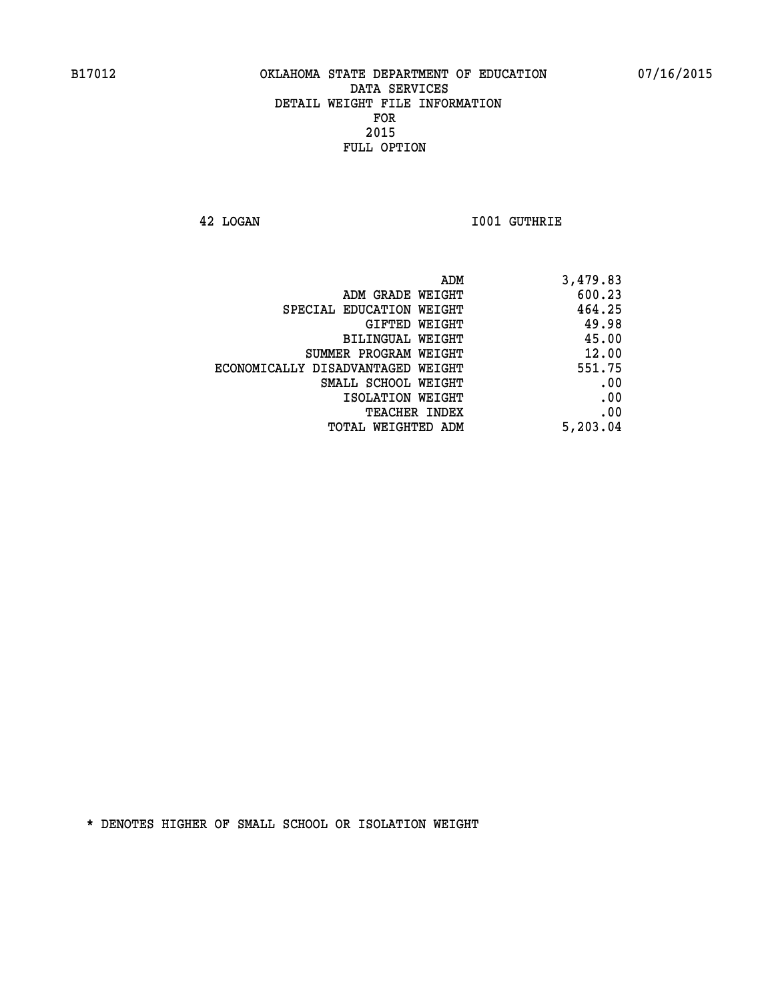**42 LOGAN I001 GUTHRIE** 

|                                   | ADM<br>3,479.83 |
|-----------------------------------|-----------------|
| ADM GRADE WEIGHT                  | 600.23          |
| SPECIAL EDUCATION WEIGHT          | 464.25          |
| GIFTED WEIGHT                     | 49.98           |
| <b>BILINGUAL WEIGHT</b>           | 45.00           |
| SUMMER PROGRAM WEIGHT             | 12.00           |
| ECONOMICALLY DISADVANTAGED WEIGHT | 551.75          |
| SMALL SCHOOL WEIGHT               | .00             |
| ISOLATION WEIGHT                  | .00             |
| <b>TEACHER INDEX</b>              | .00             |
| TOTAL WEIGHTED ADM                | 5,203.04        |
|                                   |                 |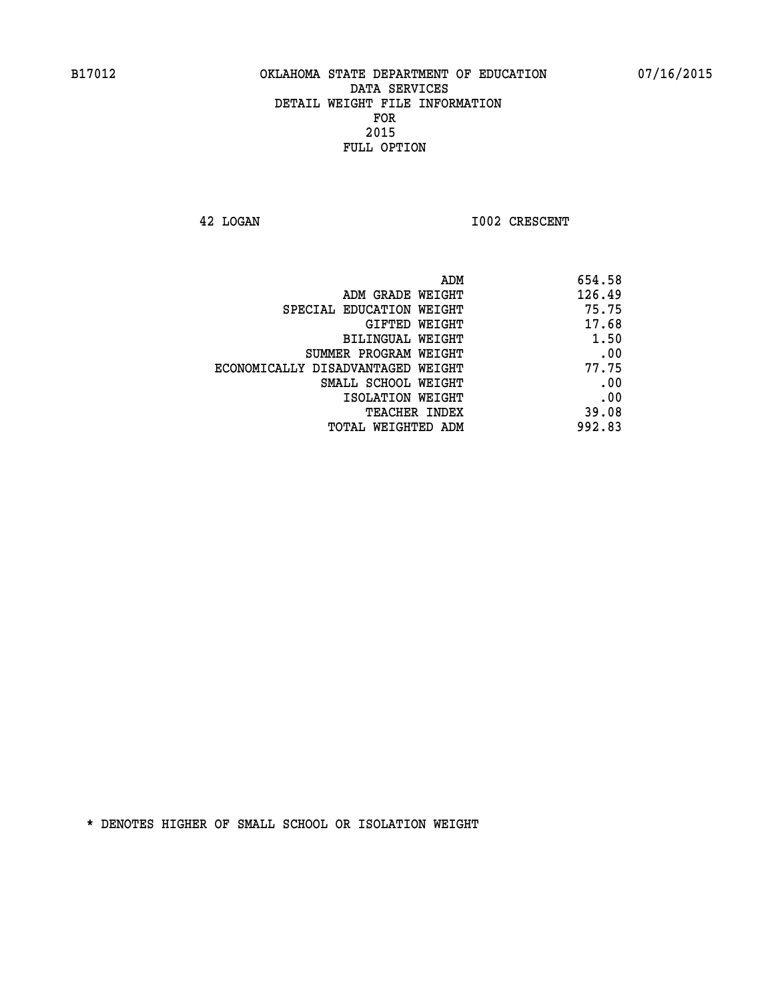**42 LOGAN 1002 CRESCENT** 

| 126.49<br>ADM GRADE WEIGHT<br>75.75<br>SPECIAL EDUCATION WEIGHT<br>17.68<br>GIFTED WEIGHT<br>1.50<br><b>BILINGUAL WEIGHT</b><br>.00<br>SUMMER PROGRAM WEIGHT<br>77.75<br>ECONOMICALLY DISADVANTAGED WEIGHT<br>.00<br>SMALL SCHOOL WEIGHT<br>.00<br>ISOLATION WEIGHT<br>39.08<br>TEACHER INDEX | ADM                | 654.58 |
|-----------------------------------------------------------------------------------------------------------------------------------------------------------------------------------------------------------------------------------------------------------------------------------------------|--------------------|--------|
|                                                                                                                                                                                                                                                                                               |                    |        |
|                                                                                                                                                                                                                                                                                               |                    |        |
|                                                                                                                                                                                                                                                                                               |                    |        |
|                                                                                                                                                                                                                                                                                               |                    |        |
|                                                                                                                                                                                                                                                                                               |                    |        |
|                                                                                                                                                                                                                                                                                               |                    |        |
|                                                                                                                                                                                                                                                                                               |                    |        |
|                                                                                                                                                                                                                                                                                               |                    |        |
|                                                                                                                                                                                                                                                                                               |                    |        |
|                                                                                                                                                                                                                                                                                               | TOTAL WEIGHTED ADM | 992.83 |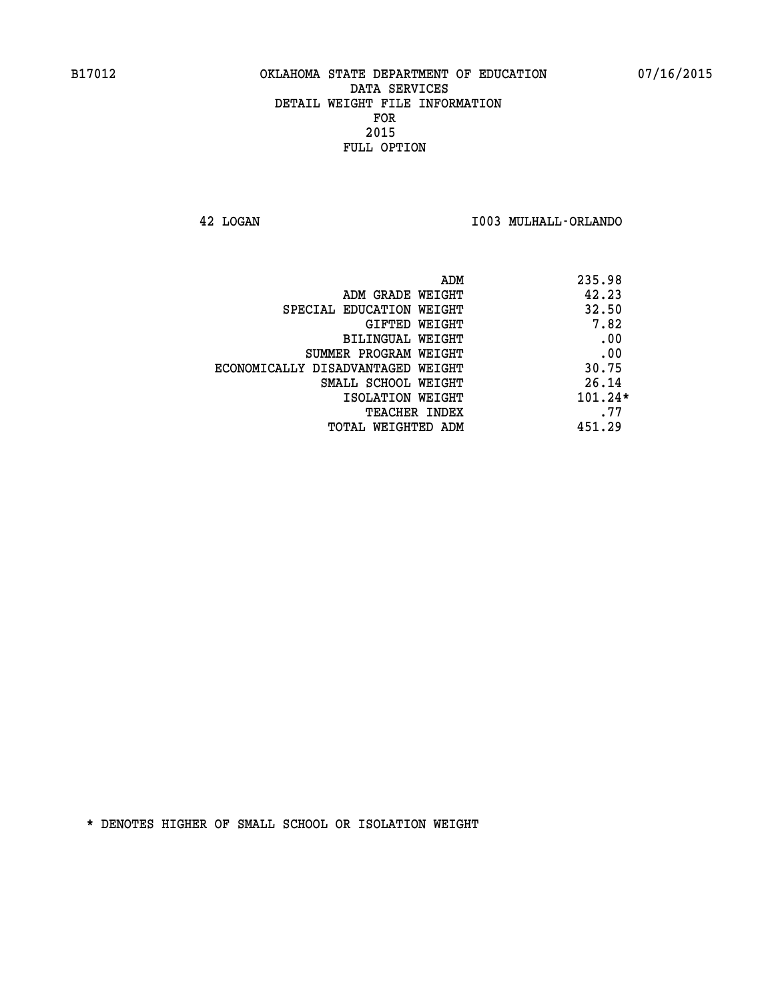**42 LOGAN I003 MULHALL-ORLANDO** 

| 235.98    | ADM                               |
|-----------|-----------------------------------|
| 42.23     | ADM GRADE WEIGHT                  |
| 32.50     | SPECIAL EDUCATION WEIGHT          |
| 7.82      | <b>GIFTED WEIGHT</b>              |
| .00       | BILINGUAL WEIGHT                  |
| .00       | SUMMER PROGRAM WEIGHT             |
| 30.75     | ECONOMICALLY DISADVANTAGED WEIGHT |
| 26.14     | SMALL SCHOOL WEIGHT               |
| $101.24*$ | ISOLATION WEIGHT                  |
| .77       | <b>TEACHER INDEX</b>              |
| 451.29    | TOTAL WEIGHTED ADM                |
|           |                                   |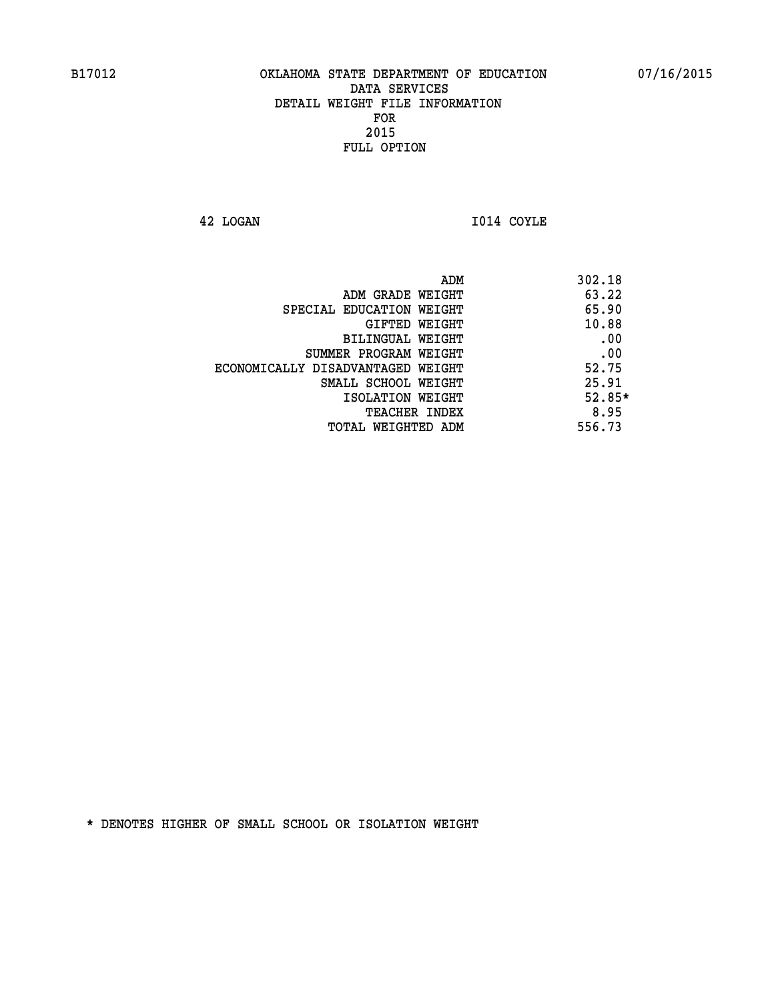**42 LOGAN I014 COYLE** 

|                                   | ADM | 302.18   |
|-----------------------------------|-----|----------|
| ADM GRADE WEIGHT                  |     | 63.22    |
| SPECIAL EDUCATION WEIGHT          |     | 65.90    |
| GIFTED WEIGHT                     |     | 10.88    |
| BILINGUAL WEIGHT                  |     | .00      |
| SUMMER PROGRAM WEIGHT             |     | .00      |
| ECONOMICALLY DISADVANTAGED WEIGHT |     | 52.75    |
| SMALL SCHOOL WEIGHT               |     | 25.91    |
| ISOLATION WEIGHT                  |     | $52.85*$ |
| TEACHER INDEX                     |     | 8.95     |
| TOTAL WEIGHTED ADM                |     | 556.73   |
|                                   |     |          |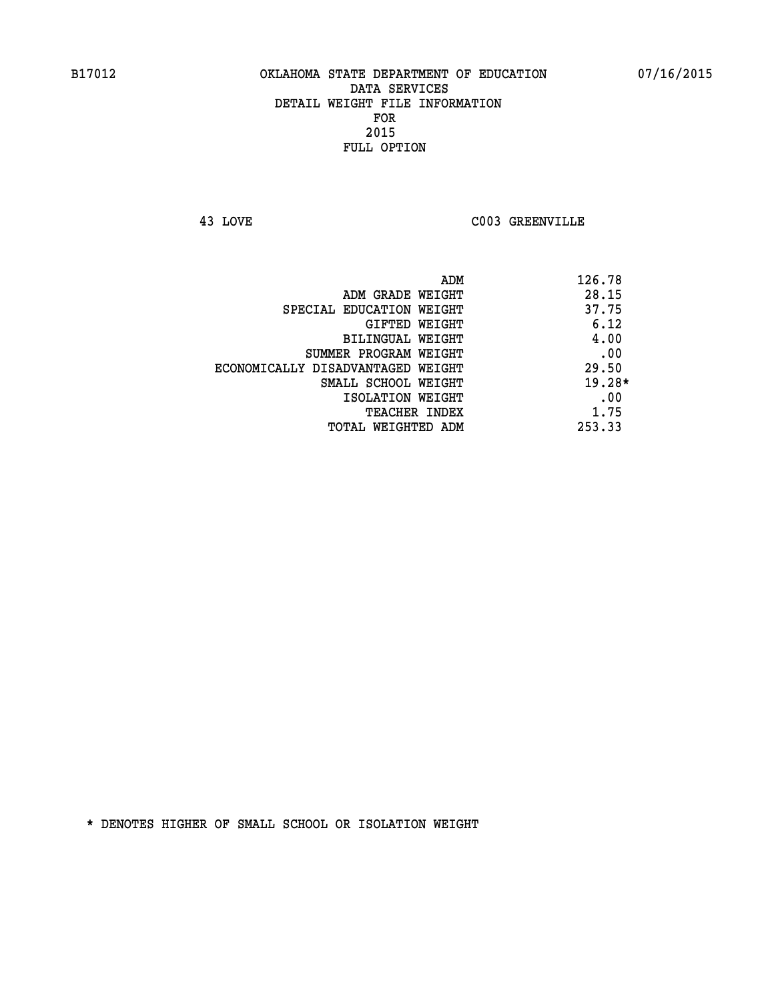**43 LOVE C003 GREENVILLE** 

| ADM                               | 126.78   |
|-----------------------------------|----------|
| ADM GRADE WEIGHT                  | 28.15    |
| SPECIAL EDUCATION WEIGHT          | 37.75    |
| GIFTED WEIGHT                     | 6.12     |
| BILINGUAL WEIGHT                  | 4.00     |
| SUMMER PROGRAM WEIGHT             | .00      |
| ECONOMICALLY DISADVANTAGED WEIGHT | 29.50    |
| SMALL SCHOOL WEIGHT               | $19.28*$ |
| ISOLATION WEIGHT                  | .00      |
| <b>TEACHER INDEX</b>              | 1.75     |
| TOTAL WEIGHTED ADM                | 253.33   |
|                                   |          |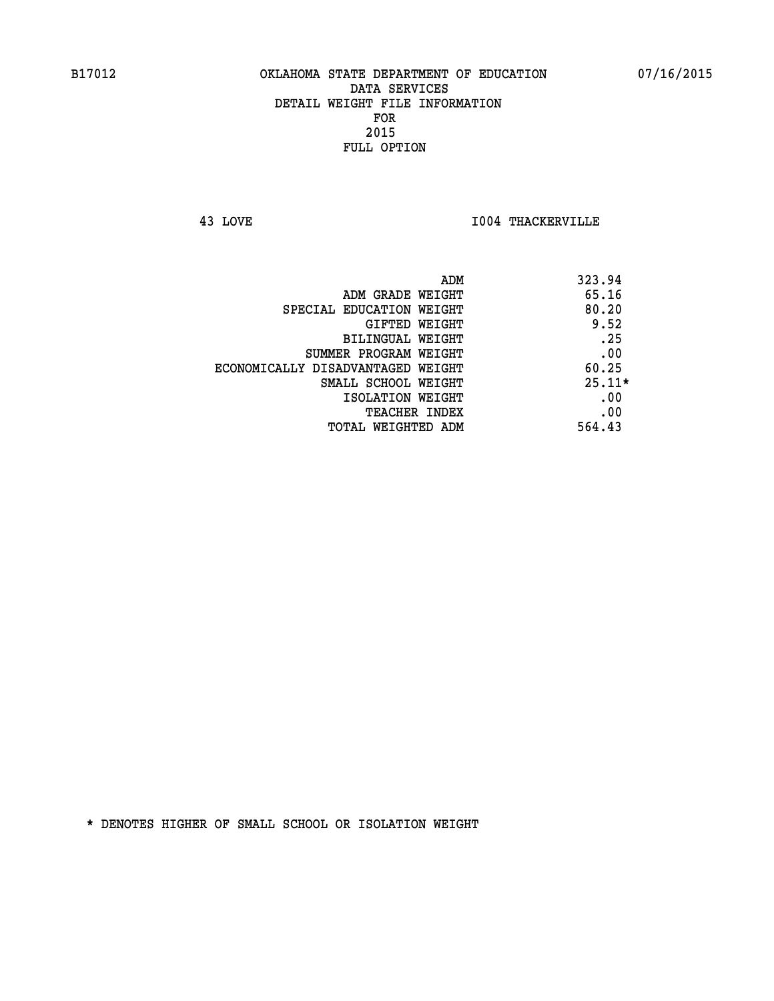**43 LOVE I004 THACKERVILLE** 

| ADM                               | 323.94   |
|-----------------------------------|----------|
| ADM GRADE WEIGHT                  | 65.16    |
| SPECIAL EDUCATION WEIGHT          | 80.20    |
| GIFTED WEIGHT                     | 9.52     |
| BILINGUAL WEIGHT                  | .25      |
| SUMMER PROGRAM WEIGHT             | .00      |
| ECONOMICALLY DISADVANTAGED WEIGHT | 60.25    |
| SMALL SCHOOL WEIGHT               | $25.11*$ |
| ISOLATION WEIGHT                  | .00      |
| <b>TEACHER INDEX</b>              | .00      |
| TOTAL WEIGHTED ADM                | 564.43   |
|                                   |          |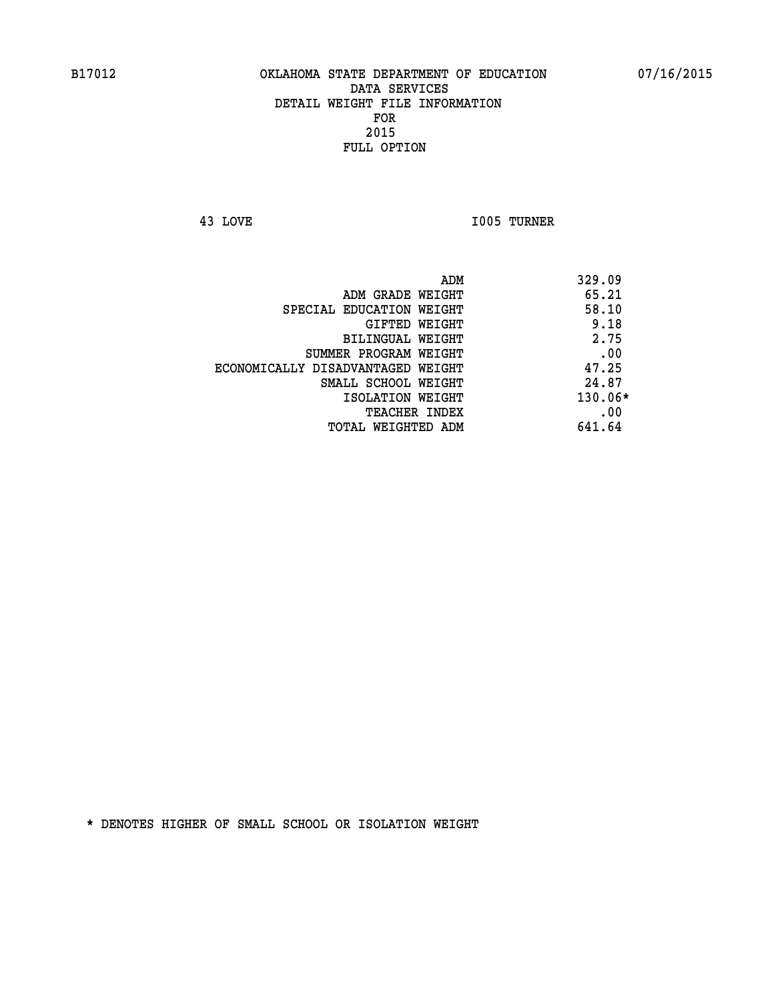**43 LOVE I005 TURNER** 

|                                   | ADM | 329.09    |
|-----------------------------------|-----|-----------|
| ADM GRADE WEIGHT                  |     | 65.21     |
| SPECIAL EDUCATION WEIGHT          |     | 58.10     |
| GIFTED WEIGHT                     |     | 9.18      |
| BILINGUAL WEIGHT                  |     | 2.75      |
| SUMMER PROGRAM WEIGHT             |     | .00       |
| ECONOMICALLY DISADVANTAGED WEIGHT |     | 47.25     |
| SMALL SCHOOL WEIGHT               |     | 24.87     |
| ISOLATION WEIGHT                  |     | $130.06*$ |
| TEACHER INDEX                     |     | .00       |
| TOTAL WEIGHTED ADM                |     | 641.64    |
|                                   |     |           |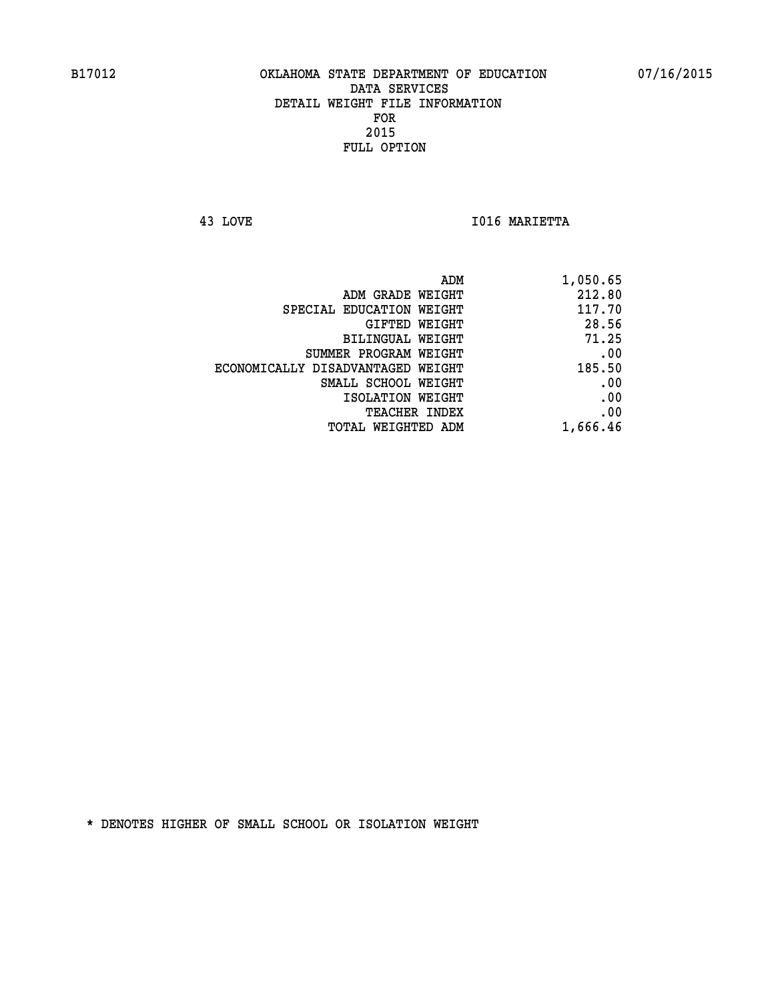**43 LOVE I016 MARIETTA** 

| 1,050.65 |
|----------|
| 212.80   |
| 117.70   |
| 28.56    |
| 71.25    |
| .00      |
| 185.50   |
| .00      |
| .00      |
| .00      |
| 1,666.46 |
|          |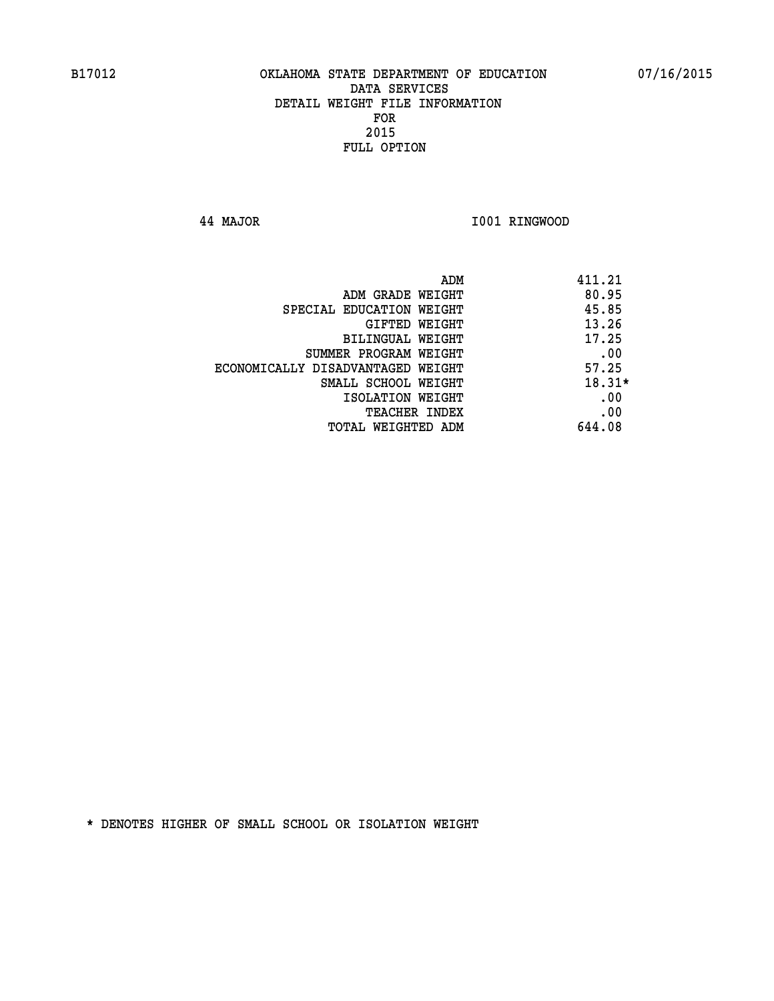**44 MAJOR I001 RINGWOOD** 

| ADM                               | 411.21   |
|-----------------------------------|----------|
| ADM GRADE WEIGHT                  | 80.95    |
| SPECIAL EDUCATION WEIGHT          | 45.85    |
| GIFTED WEIGHT                     | 13.26    |
| BILINGUAL WEIGHT                  | 17.25    |
| SUMMER PROGRAM WEIGHT             | .00      |
| ECONOMICALLY DISADVANTAGED WEIGHT | 57.25    |
| SMALL SCHOOL WEIGHT               | $18.31*$ |
| ISOLATION WEIGHT                  | .00      |
| <b>TEACHER INDEX</b>              | .00      |
| TOTAL WEIGHTED ADM                | 644.08   |
|                                   |          |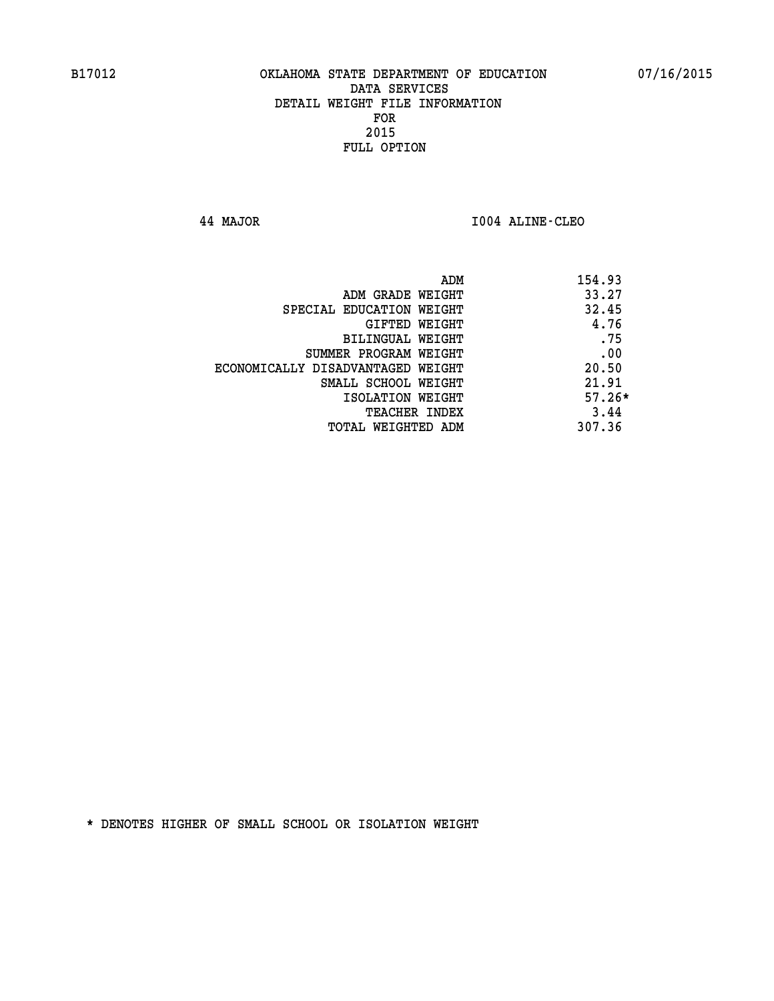**44 MAJOR I004 ALINE-CLEO** 

| ADM                               | 154.93   |
|-----------------------------------|----------|
| ADM GRADE WEIGHT                  | 33.27    |
| SPECIAL EDUCATION WEIGHT          | 32.45    |
| GIFTED WEIGHT                     | 4.76     |
| BILINGUAL WEIGHT                  | .75      |
| SUMMER PROGRAM WEIGHT             | .00      |
| ECONOMICALLY DISADVANTAGED WEIGHT | 20.50    |
| SMALL SCHOOL WEIGHT               | 21.91    |
| ISOLATION WEIGHT                  | $57.26*$ |
| <b>TEACHER INDEX</b>              | 3.44     |
| TOTAL WEIGHTED ADM                | 307.36   |
|                                   |          |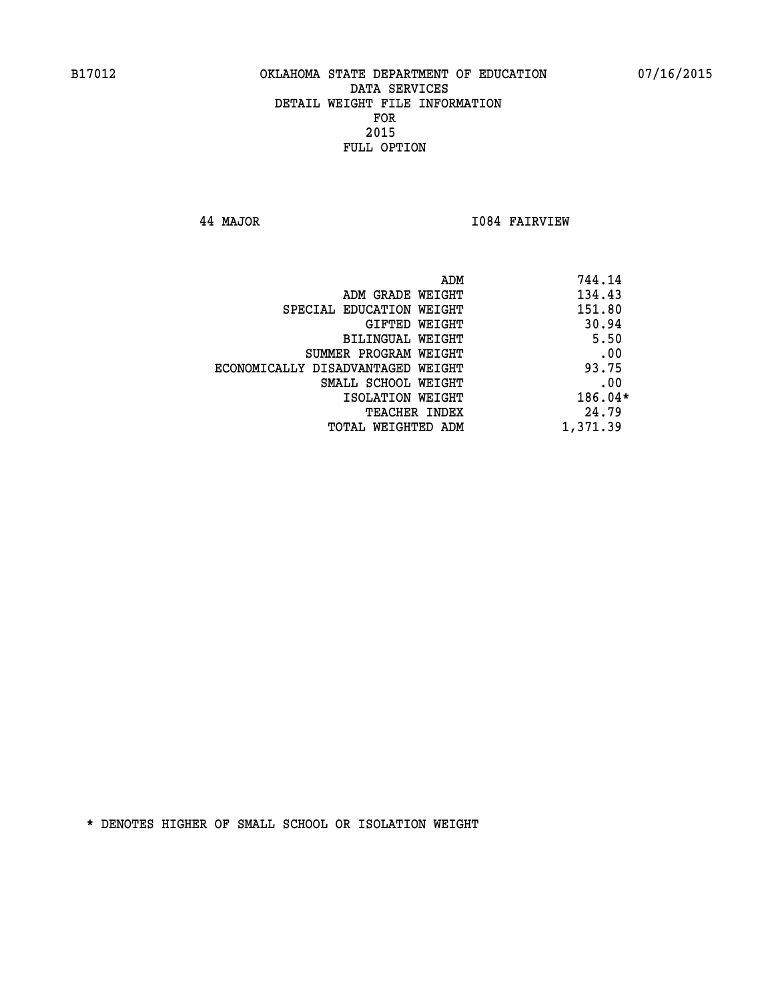**44 MAJOR I084 FAIRVIEW** 

|                                   | 744.14<br>ADM |
|-----------------------------------|---------------|
| ADM GRADE WEIGHT                  | 134.43        |
| SPECIAL EDUCATION WEIGHT          | 151.80        |
| GIFTED WEIGHT                     | 30.94         |
| BILINGUAL WEIGHT                  | 5.50          |
| SUMMER PROGRAM WEIGHT             | .00           |
| ECONOMICALLY DISADVANTAGED WEIGHT | 93.75         |
| SMALL SCHOOL WEIGHT               | .00           |
| ISOLATION WEIGHT                  | $186.04*$     |
| TEACHER INDEX                     | 24.79         |
| TOTAL WEIGHTED ADM                | 1,371.39      |
|                                   |               |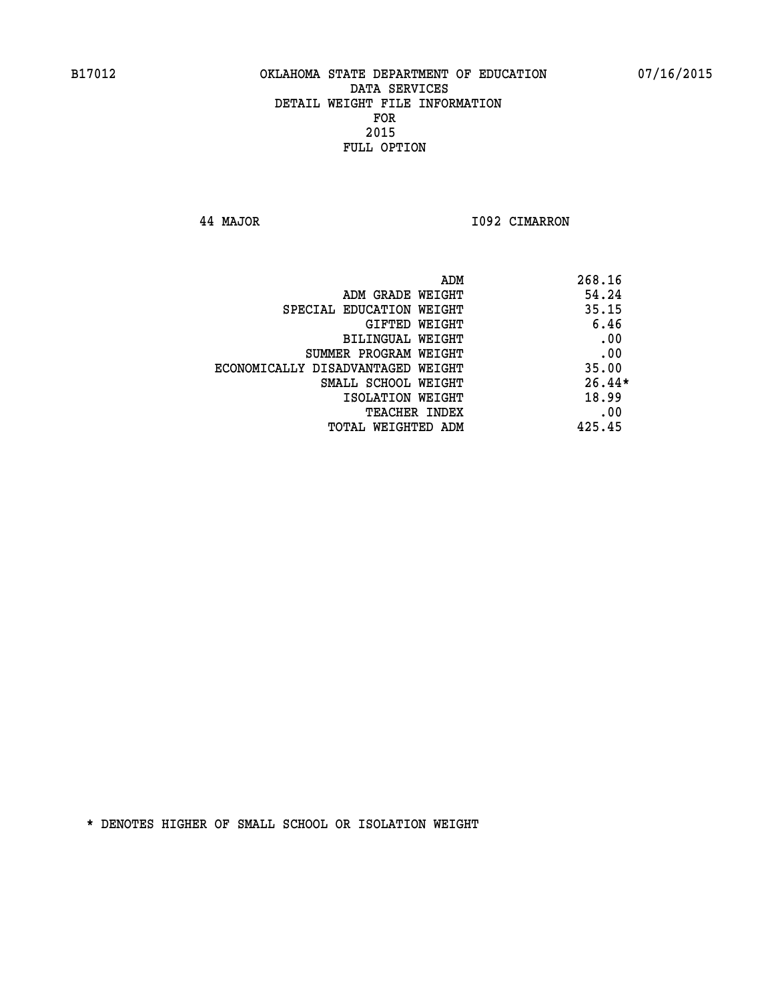**44 MAJOR I092 CIMARRON** 

|                                   | ADM | 268.16   |
|-----------------------------------|-----|----------|
| ADM GRADE WEIGHT                  |     | 54.24    |
| SPECIAL EDUCATION WEIGHT          |     | 35.15    |
| GIFTED WEIGHT                     |     | 6.46     |
| BILINGUAL WEIGHT                  |     | .00      |
| SUMMER PROGRAM WEIGHT             |     | .00      |
| ECONOMICALLY DISADVANTAGED WEIGHT |     | 35.00    |
| SMALL SCHOOL WEIGHT               |     | $26.44*$ |
| ISOLATION WEIGHT                  |     | 18.99    |
| TEACHER INDEX                     |     | .00      |
| TOTAL WEIGHTED ADM                |     | 425.45   |
|                                   |     |          |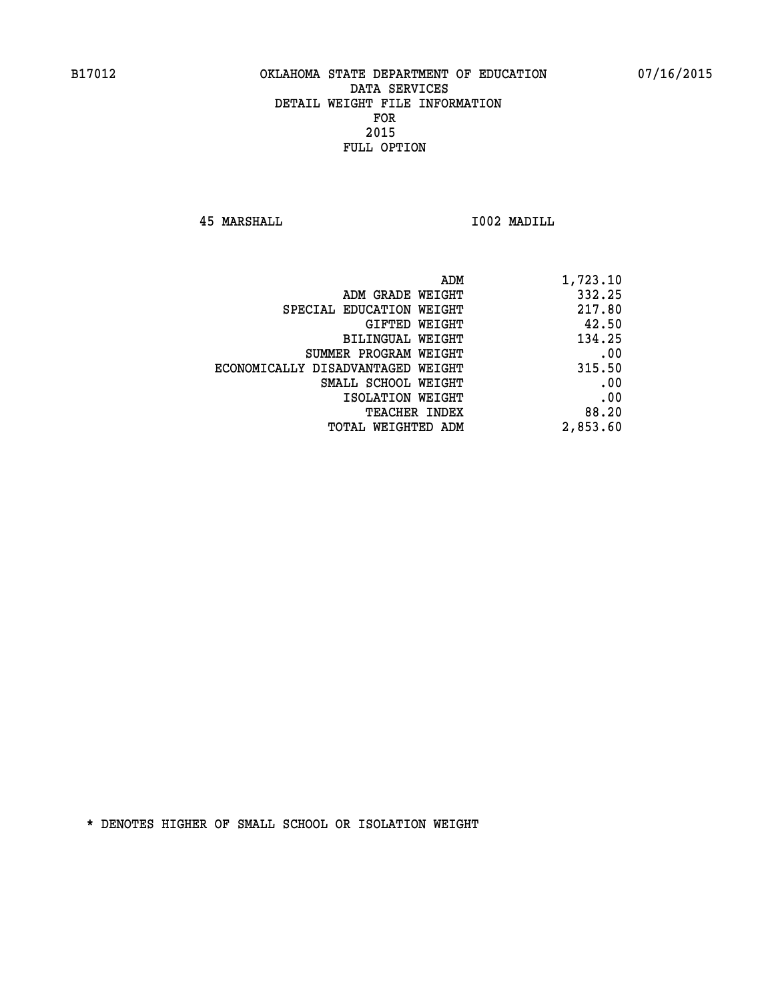**45 MARSHALL I002 MADILL** 

| 1,723.10 |
|----------|
| 332.25   |
| 217.80   |
| 42.50    |
| 134.25   |
| .00      |
| 315.50   |
| .00      |
| .00      |
| 88.20    |
| 2,853.60 |
|          |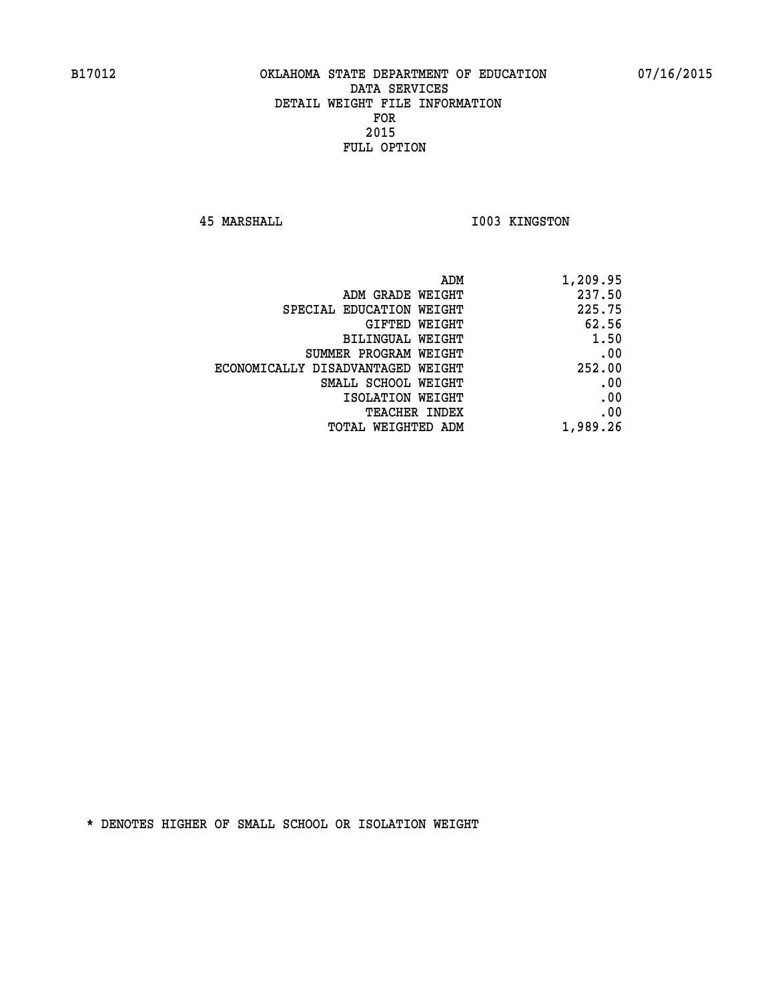**45 MARSHALL I003 KINGSTON** 

| 1,209.95 |
|----------|
| 237.50   |
| 225.75   |
| 62.56    |
| 1.50     |
| .00      |
| 252.00   |
| .00      |
| .00      |
| .00      |
| 1,989.26 |
|          |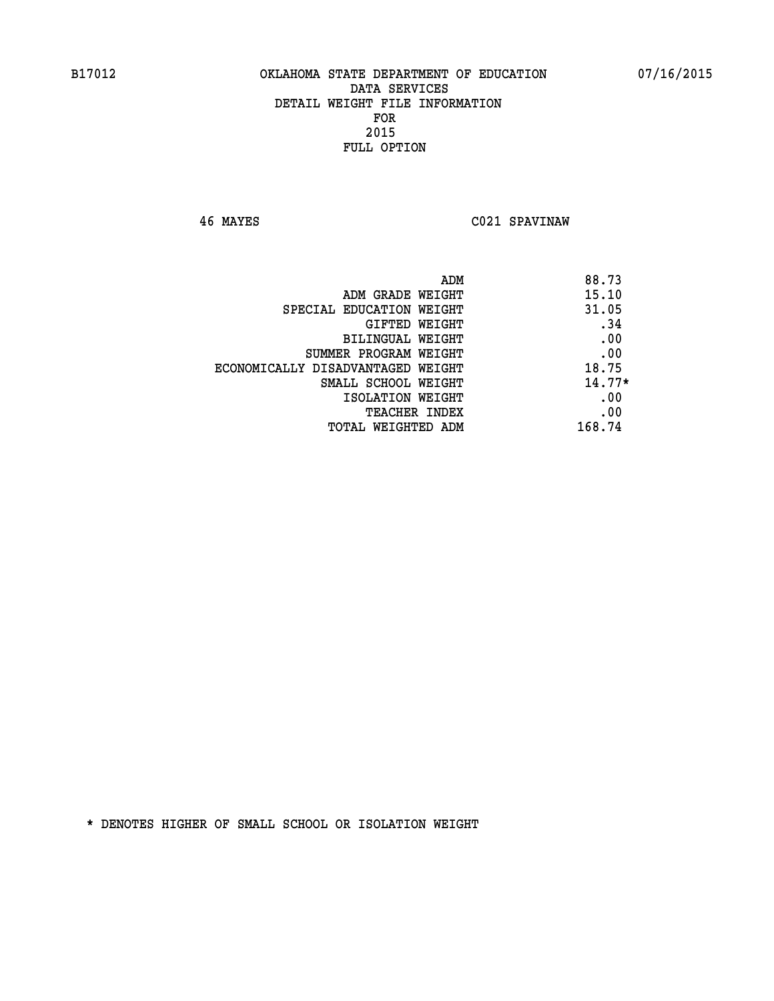**46 MAYES C021 SPAVINAW** 

|                                   | ADM<br>88.73 |
|-----------------------------------|--------------|
| ADM GRADE WEIGHT                  | 15.10        |
| SPECIAL EDUCATION WEIGHT          | 31.05        |
| GIFTED WEIGHT                     | .34          |
| <b>BILINGUAL WEIGHT</b>           | .00          |
| SUMMER PROGRAM WEIGHT             | .00          |
| ECONOMICALLY DISADVANTAGED WEIGHT | 18.75        |
| SMALL SCHOOL WEIGHT               | $14.77*$     |
| ISOLATION WEIGHT                  | .00          |
| TEACHER INDEX                     | .00          |
| TOTAL WEIGHTED ADM                | 168.74       |
|                                   |              |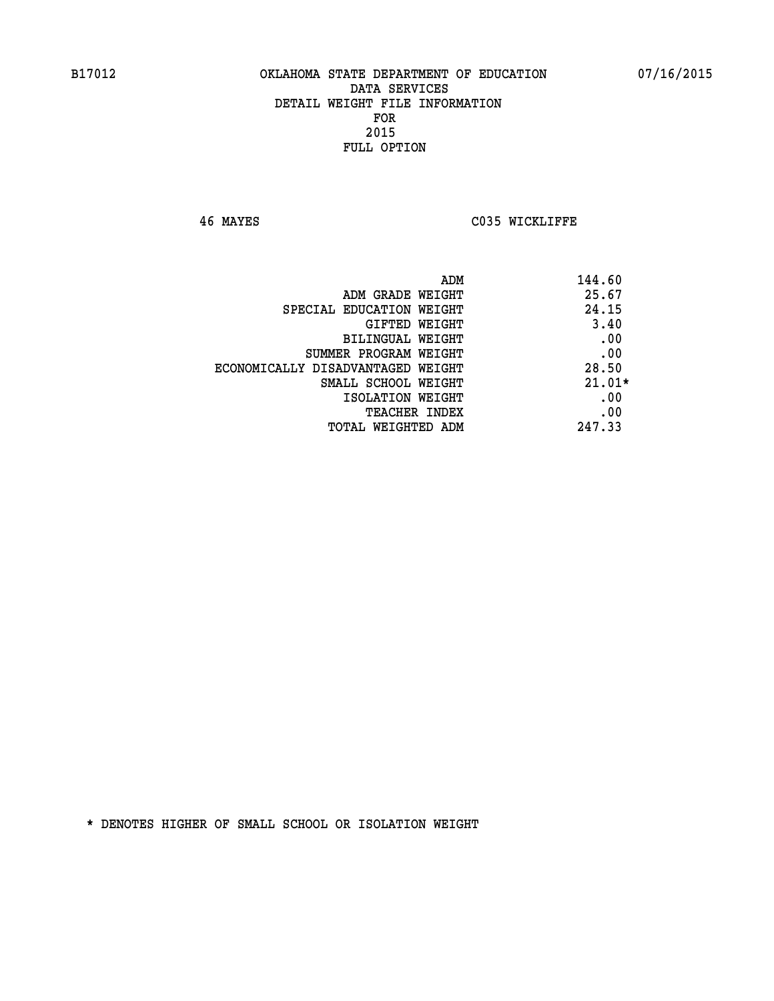**46 MAYES C035 WICKLIFFE** 

|                                   | 144.60<br>ADM |
|-----------------------------------|---------------|
| ADM GRADE WEIGHT                  | 25.67         |
| SPECIAL EDUCATION WEIGHT          | 24.15         |
| <b>GIFTED WEIGHT</b>              | 3.40          |
| BILINGUAL WEIGHT                  | .00           |
| SUMMER PROGRAM WEIGHT             | .00           |
| ECONOMICALLY DISADVANTAGED WEIGHT | 28.50         |
| SMALL SCHOOL WEIGHT               | $21.01*$      |
| ISOLATION WEIGHT                  | .00           |
| <b>TEACHER INDEX</b>              | .00           |
| TOTAL WEIGHTED ADM                | 247.33        |
|                                   |               |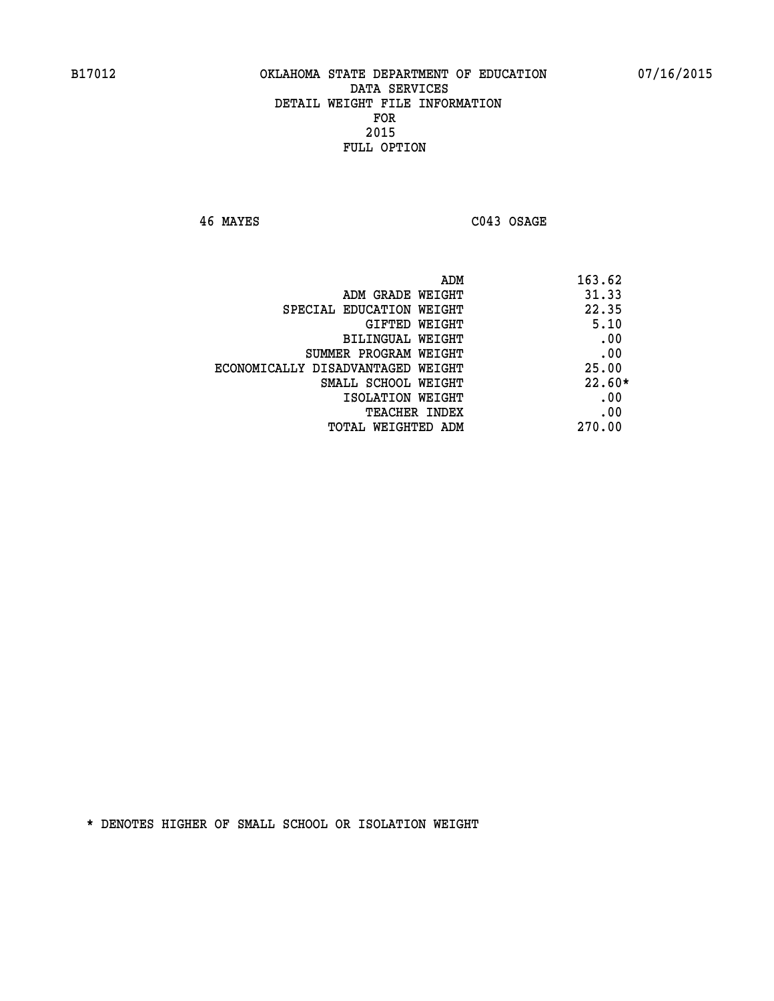**46 MAYES C043 OSAGE** 

| ADM                               | 163.62   |
|-----------------------------------|----------|
| ADM GRADE WEIGHT                  | 31.33    |
| SPECIAL EDUCATION WEIGHT          | 22.35    |
| GIFTED WEIGHT                     | 5.10     |
| BILINGUAL WEIGHT                  | .00      |
| SUMMER PROGRAM WEIGHT             | .00      |
| ECONOMICALLY DISADVANTAGED WEIGHT | 25.00    |
| SMALL SCHOOL WEIGHT               | $22.60*$ |
| ISOLATION WEIGHT                  | .00      |
| <b>TEACHER INDEX</b>              | .00      |
| TOTAL WEIGHTED ADM                | 270.00   |
|                                   |          |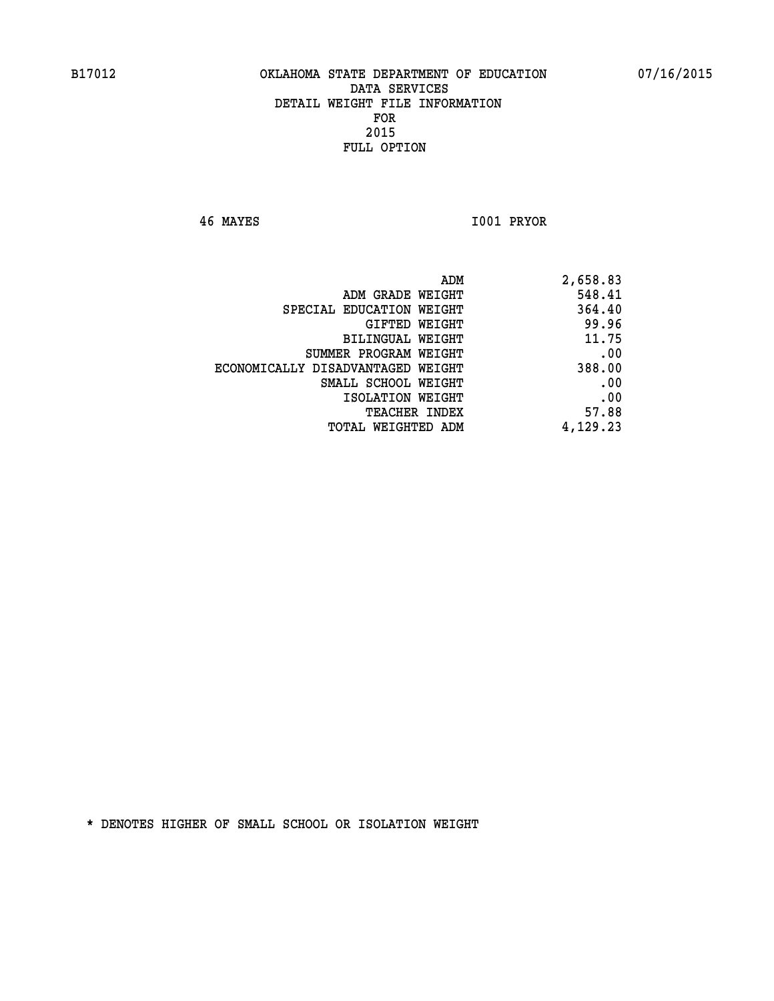**46 MAYES I001 PRYOR** 

| ADM                               | 2,658.83 |
|-----------------------------------|----------|
| ADM GRADE WEIGHT                  | 548.41   |
| SPECIAL EDUCATION WEIGHT          | 364.40   |
| GIFTED WEIGHT                     | 99.96    |
| BILINGUAL WEIGHT                  | 11.75    |
| SUMMER PROGRAM WEIGHT             | .00      |
| ECONOMICALLY DISADVANTAGED WEIGHT | 388.00   |
| SMALL SCHOOL WEIGHT               | .00      |
| ISOLATION WEIGHT                  | .00      |
| TEACHER INDEX                     | 57.88    |
| TOTAL WEIGHTED ADM                | 4,129.23 |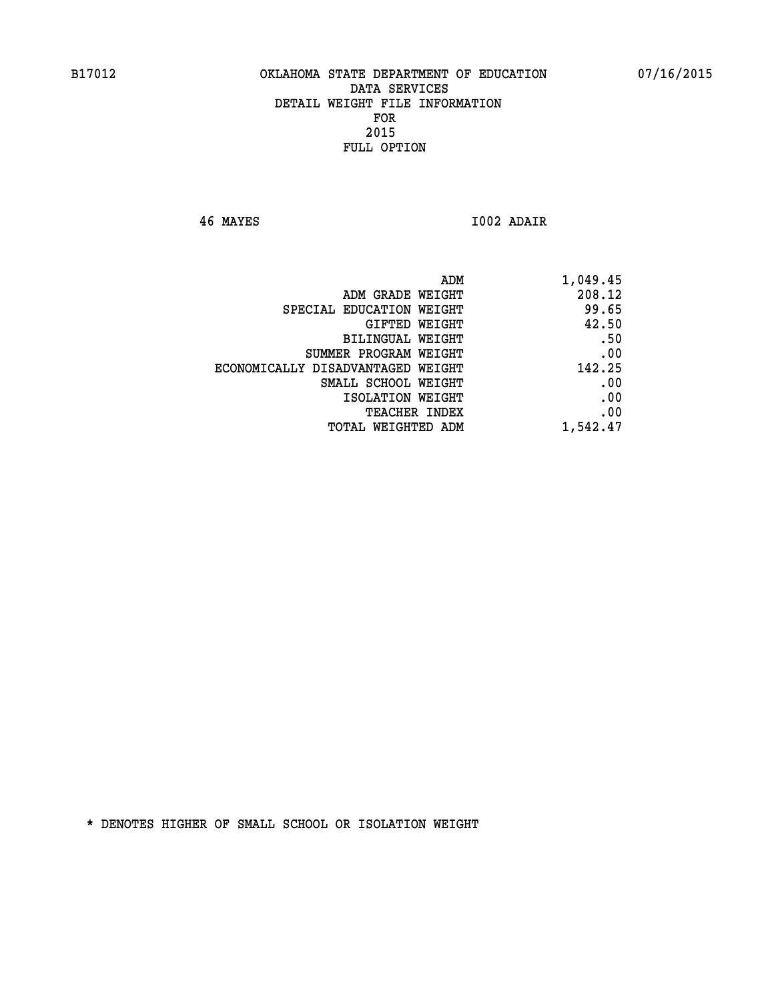**46 MAYES I002 ADAIR** 

|                                   | ADM<br>1,049.45 |
|-----------------------------------|-----------------|
| ADM GRADE WEIGHT                  | 208.12          |
| SPECIAL EDUCATION WEIGHT          | 99.65           |
| GIFTED WEIGHT                     | 42.50           |
| BILINGUAL WEIGHT                  | .50             |
| SUMMER PROGRAM WEIGHT             | .00             |
| ECONOMICALLY DISADVANTAGED WEIGHT | 142.25          |
| SMALL SCHOOL WEIGHT               | .00             |
| ISOLATION WEIGHT                  | .00             |
| TEACHER INDEX                     | .00             |
| TOTAL WEIGHTED ADM                | 1,542.47        |
|                                   |                 |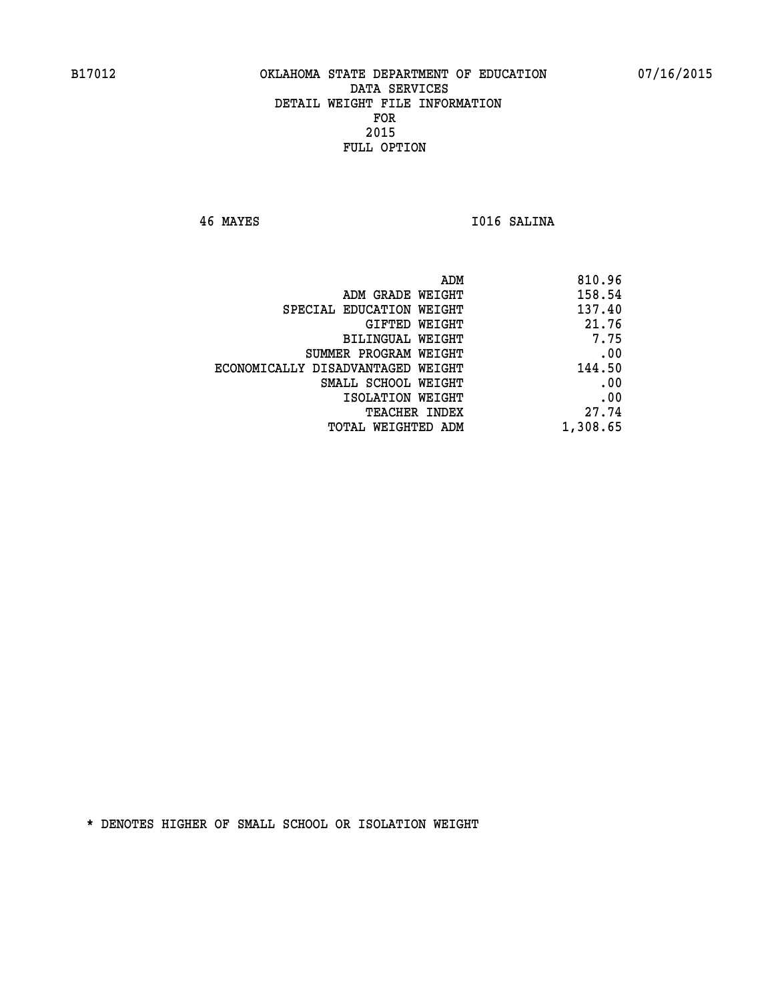**46 MAYES I016 SALINA** 

| 810.96   |
|----------|
| 158.54   |
| 137.40   |
| 21.76    |
| 7.75     |
| .00      |
| 144.50   |
| .00      |
| .00      |
| 27.74    |
| 1,308.65 |
|          |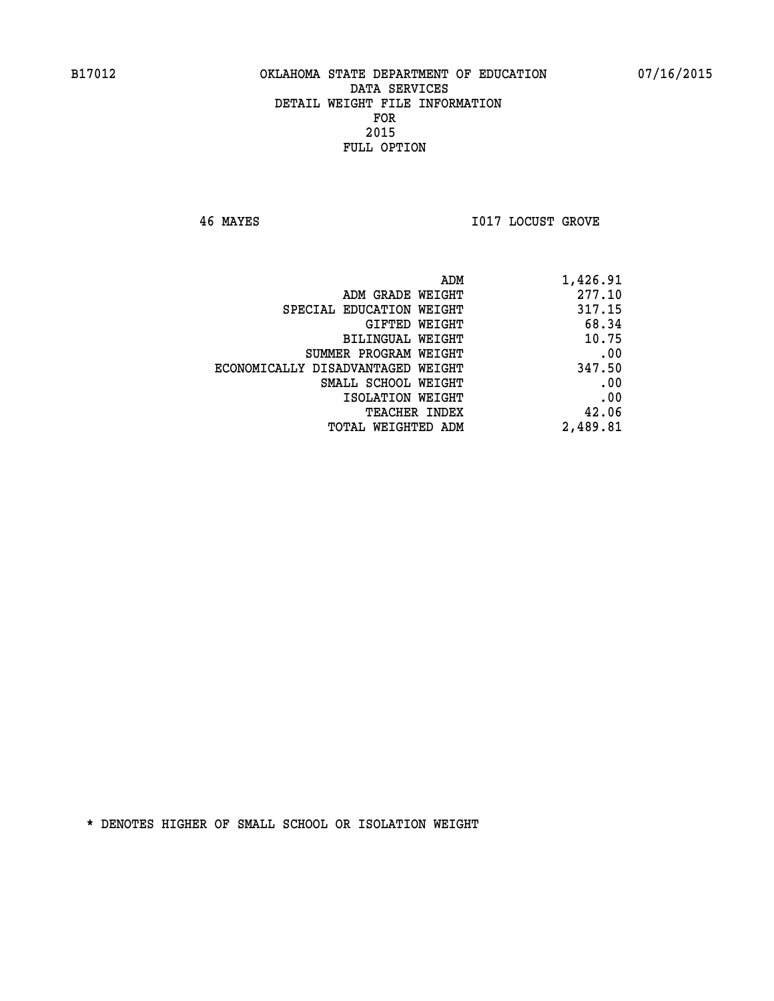**46 MAYES I017 LOCUST GROVE** 

| 1,426.91 |
|----------|
| 277.10   |
| 317.15   |
| 68.34    |
| 10.75    |
| .00      |
| 347.50   |
| .00      |
| .00      |
| 42.06    |
| 2,489.81 |
|          |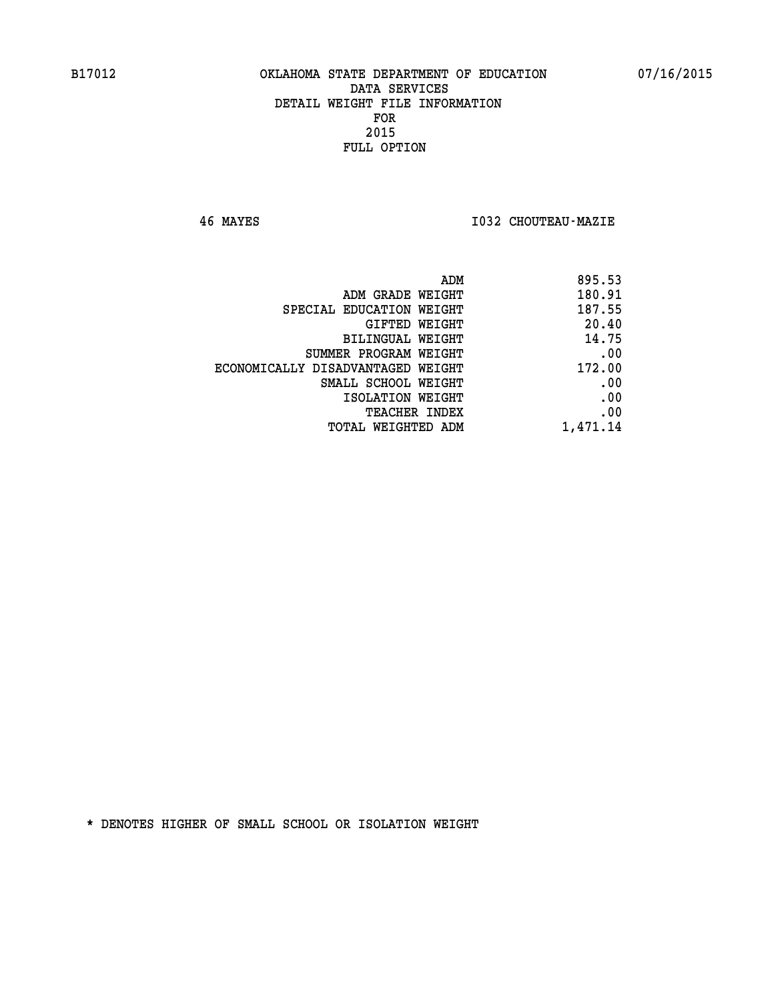**46 MAYES I032 CHOUTEAU-MAZIE** 

| ADM                               | 895.53   |
|-----------------------------------|----------|
| ADM GRADE WEIGHT                  | 180.91   |
| SPECIAL EDUCATION WEIGHT          | 187.55   |
| GIFTED WEIGHT                     | 20.40    |
| BILINGUAL WEIGHT                  | 14.75    |
| SUMMER PROGRAM WEIGHT             | .00      |
| ECONOMICALLY DISADVANTAGED WEIGHT | 172.00   |
| SMALL SCHOOL WEIGHT               | .00      |
| ISOLATION WEIGHT                  | .00      |
| <b>TEACHER INDEX</b>              | .00      |
| <b>TOTAL WEIGHTED ADM</b>         | 1,471.14 |
|                                   |          |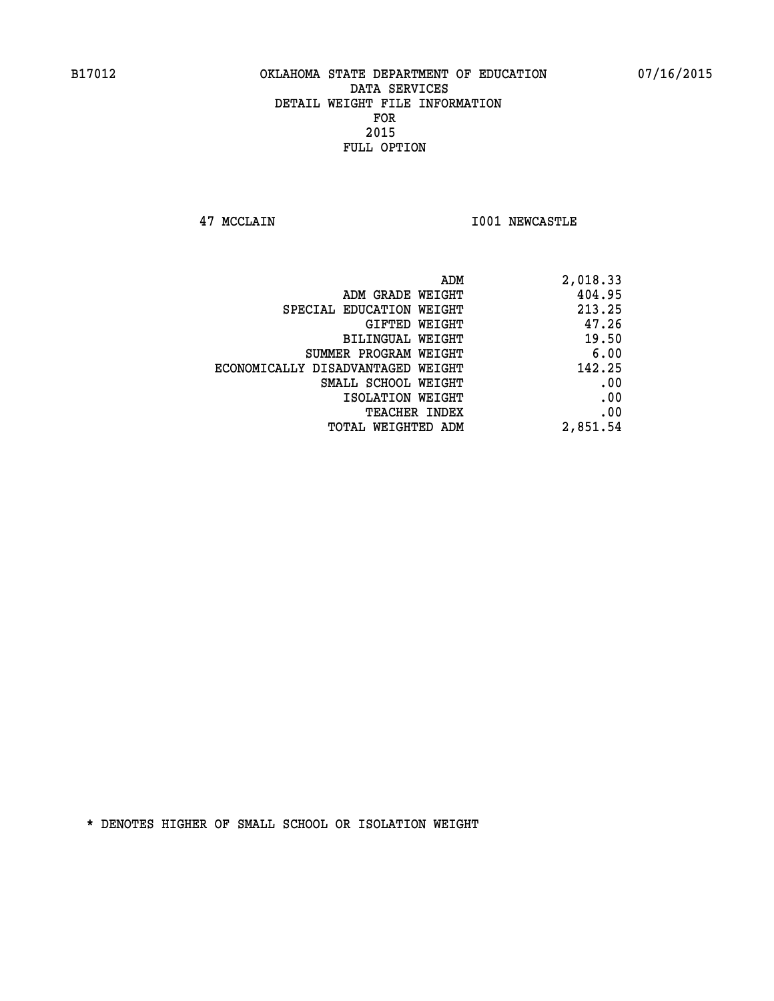**47 MCCLAIN I001 NEWCASTLE** 

| ADM                               | 2,018.33 |
|-----------------------------------|----------|
| ADM GRADE WEIGHT                  | 404.95   |
| SPECIAL EDUCATION WEIGHT          | 213.25   |
| GIFTED WEIGHT                     | 47.26    |
| <b>BILINGUAL WEIGHT</b>           | 19.50    |
| SUMMER PROGRAM WEIGHT             | 6.00     |
| ECONOMICALLY DISADVANTAGED WEIGHT | 142.25   |
| SMALL SCHOOL WEIGHT               | .00      |
| ISOLATION WEIGHT                  | .00      |
| <b>TEACHER INDEX</b>              | .00      |
| TOTAL WEIGHTED ADM                | 2,851.54 |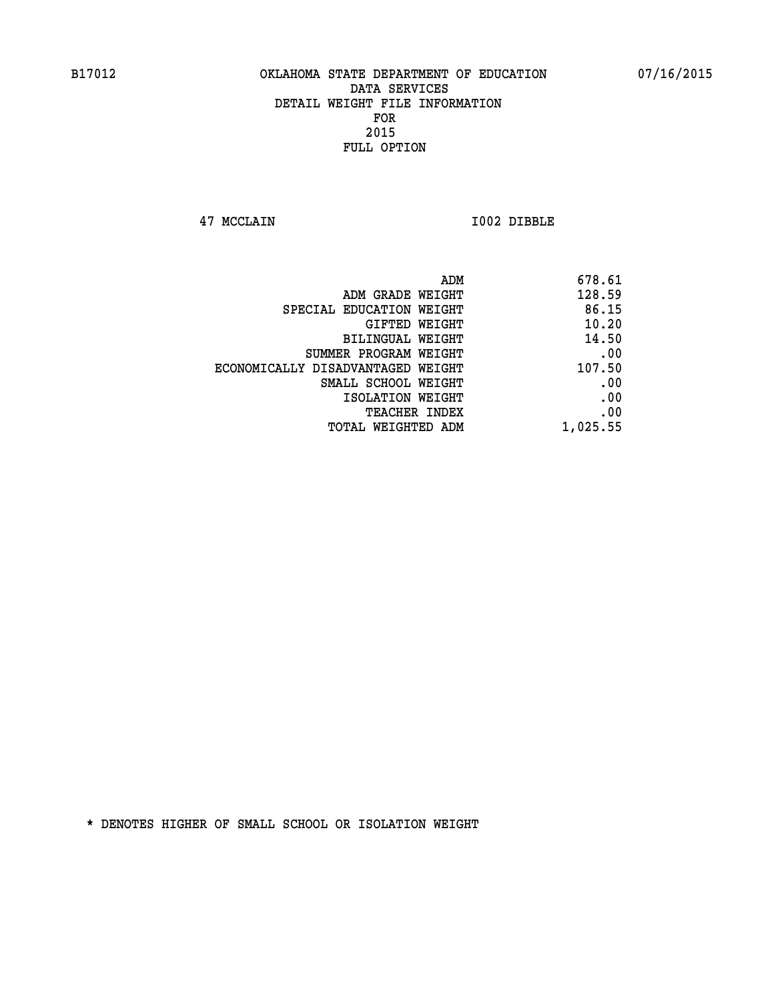**47 MCCLAIN I002 DIBBLE** 

| 678.61   |
|----------|
| 128.59   |
| 86.15    |
| 10.20    |
| 14.50    |
| .00      |
| 107.50   |
| .00      |
| .00      |
| .00      |
| 1,025.55 |
|          |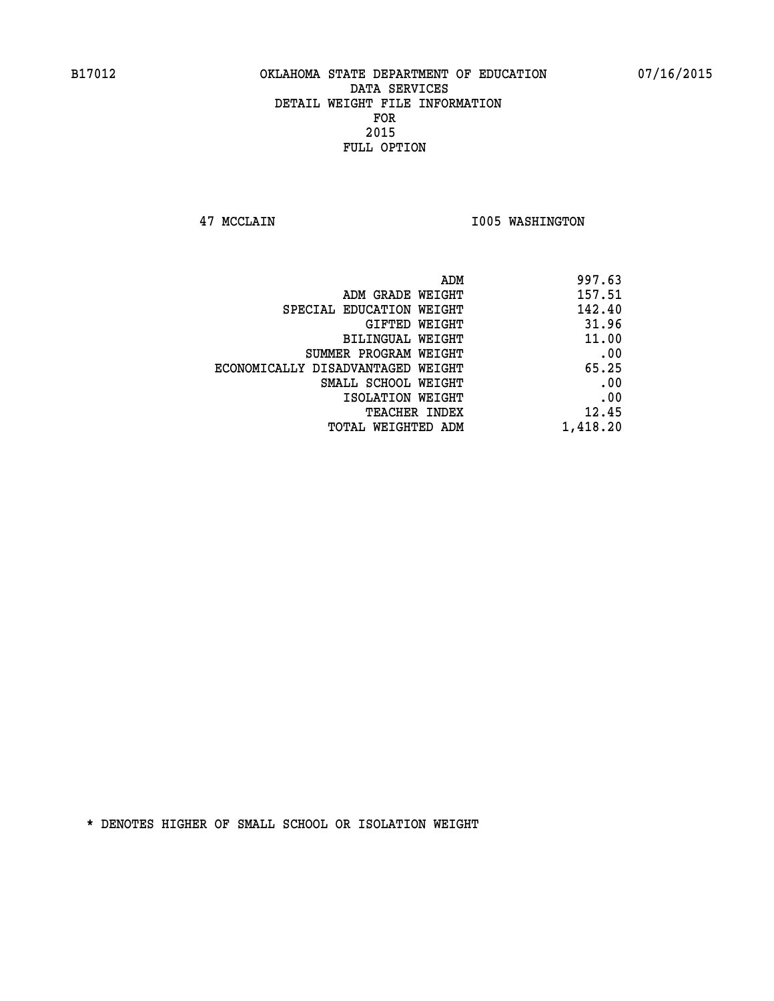**47 MCCLAIN I005 WASHINGTON** 

| 997.63   |
|----------|
| 157.51   |
| 142.40   |
| 31.96    |
| 11.00    |
| .00      |
| 65.25    |
| .00      |
| .00      |
| 12.45    |
| 1,418.20 |
|          |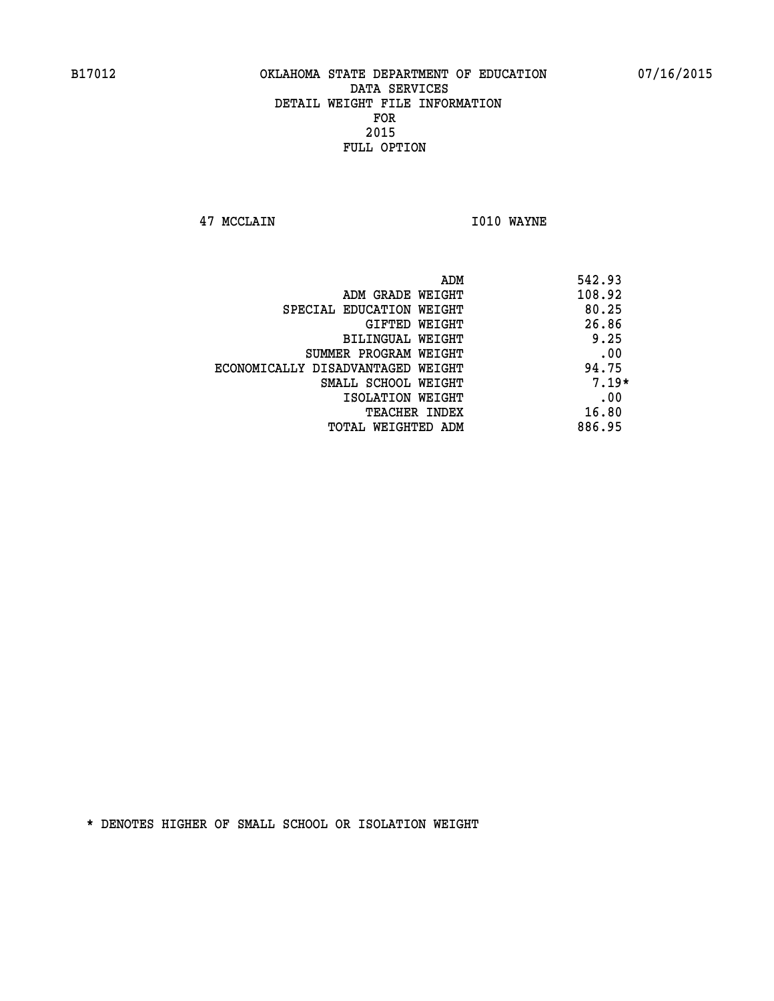**47 MCCLAIN I010 WAYNE** 

|                                   | ADM | 542.93  |
|-----------------------------------|-----|---------|
| ADM GRADE WEIGHT                  |     | 108.92  |
| SPECIAL EDUCATION WEIGHT          |     | 80.25   |
| GIFTED WEIGHT                     |     | 26.86   |
| BILINGUAL WEIGHT                  |     | 9.25    |
| SUMMER PROGRAM WEIGHT             |     | .00     |
| ECONOMICALLY DISADVANTAGED WEIGHT |     | 94.75   |
| SMALL SCHOOL WEIGHT               |     | $7.19*$ |
| ISOLATION WEIGHT                  |     | .00     |
| <b>TEACHER INDEX</b>              |     | 16.80   |
| TOTAL WEIGHTED ADM                |     | 886.95  |
|                                   |     |         |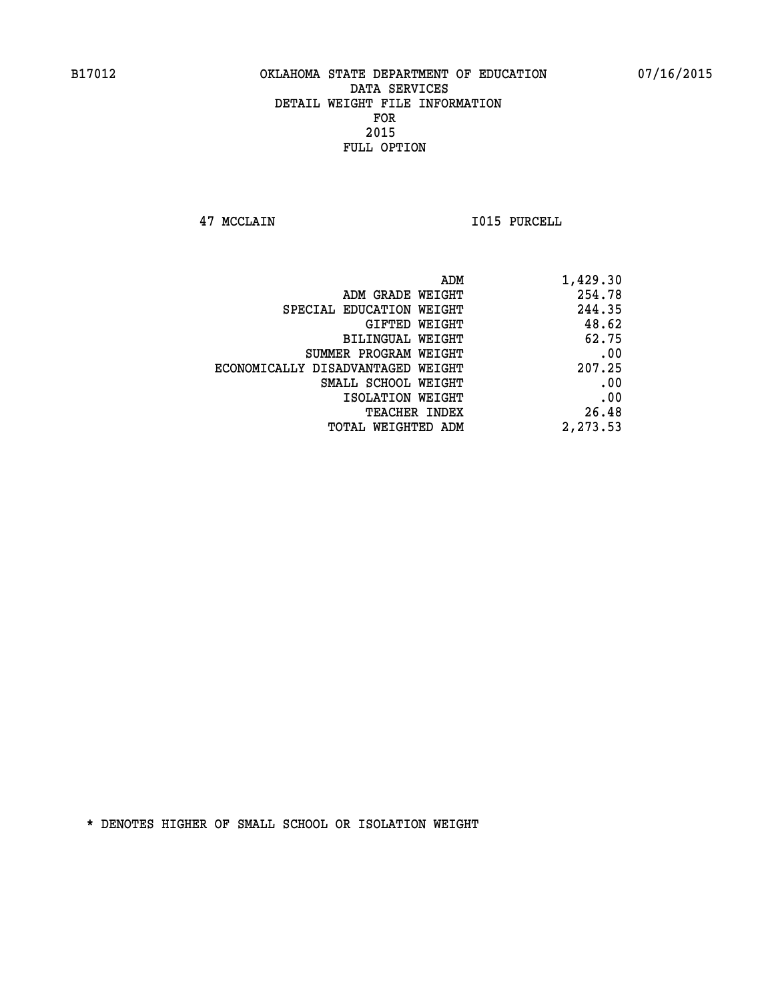**47 MCCLAIN I015 PURCELL** 

| ADM                               | 1,429.30 |
|-----------------------------------|----------|
| ADM GRADE WEIGHT                  | 254.78   |
| SPECIAL EDUCATION WEIGHT          | 244.35   |
| GIFTED WEIGHT                     | 48.62    |
| <b>BILINGUAL WEIGHT</b>           | 62.75    |
| SUMMER PROGRAM WEIGHT             | .00      |
| ECONOMICALLY DISADVANTAGED WEIGHT | 207.25   |
| SMALL SCHOOL WEIGHT               | .00      |
| ISOLATION WEIGHT                  | .00      |
| TEACHER INDEX                     | 26.48    |
| TOTAL WEIGHTED ADM                | 2,273.53 |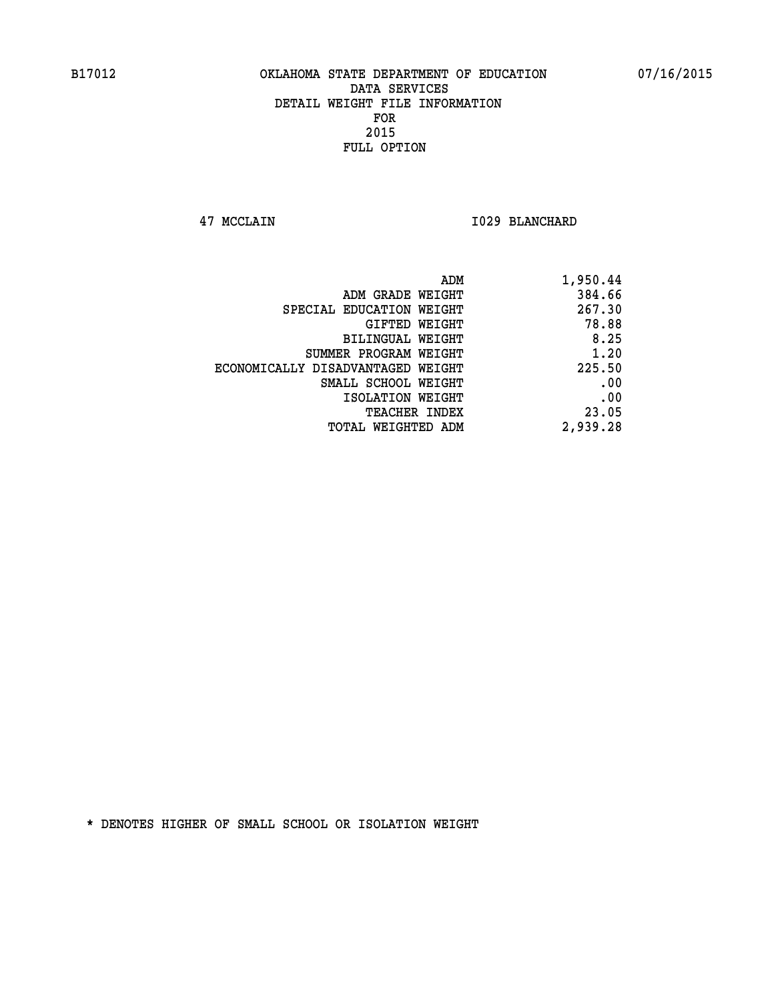**47 MCCLAIN I029 BLANCHARD** 

| 1,950.44 |
|----------|
| 384.66   |
| 267.30   |
| 78.88    |
| 8.25     |
| 1.20     |
| 225.50   |
| .00      |
| .00      |
| 23.05    |
| 2,939.28 |
|          |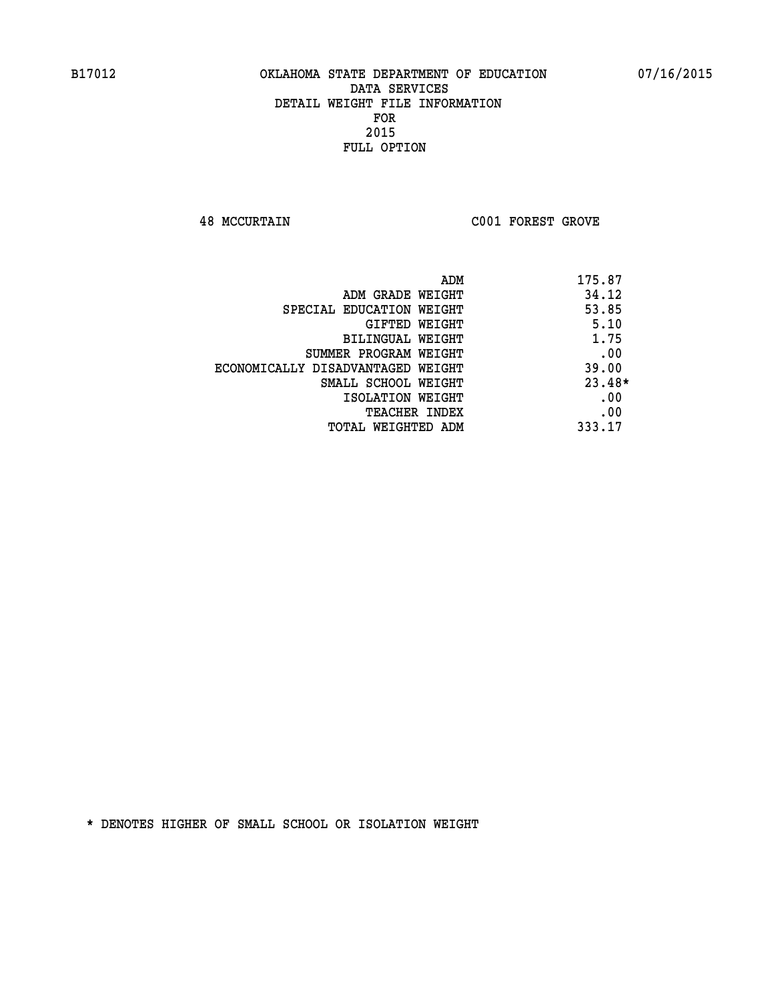**48 MCCURTAIN C001 FOREST GROVE** 

| ADM                               | 175.87   |
|-----------------------------------|----------|
| ADM GRADE WEIGHT                  | 34.12    |
| SPECIAL EDUCATION WEIGHT          | 53.85    |
| <b>GIFTED WEIGHT</b>              | 5.10     |
| <b>BILINGUAL WEIGHT</b>           | 1.75     |
| SUMMER PROGRAM WEIGHT             | .00      |
| ECONOMICALLY DISADVANTAGED WEIGHT | 39.00    |
| SMALL SCHOOL WEIGHT               | $23.48*$ |
| ISOLATION WEIGHT                  | .00      |
| <b>TEACHER INDEX</b>              | .00      |
| TOTAL WEIGHTED ADM                | 333.17   |
|                                   |          |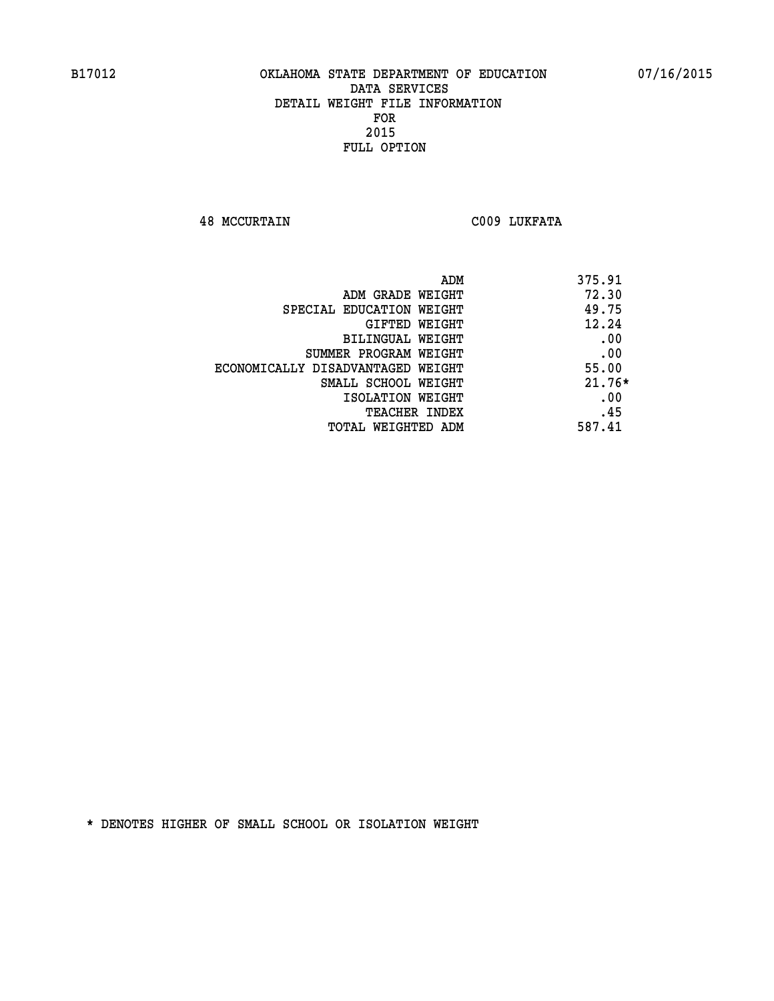**48 MCCURTAIN C009 LUKFATA** 

| ADM                               | 375.91   |
|-----------------------------------|----------|
| ADM GRADE WEIGHT                  | 72.30    |
| SPECIAL EDUCATION WEIGHT          | 49.75    |
| GIFTED WEIGHT                     | 12.24    |
| BILINGUAL WEIGHT                  | .00      |
| SUMMER PROGRAM WEIGHT             | .00      |
| ECONOMICALLY DISADVANTAGED WEIGHT | 55.00    |
| SMALL SCHOOL WEIGHT               | $21.76*$ |
| ISOLATION WEIGHT                  | .00      |
| <b>TEACHER INDEX</b>              | .45      |
| TOTAL WEIGHTED ADM                | 587.41   |
|                                   |          |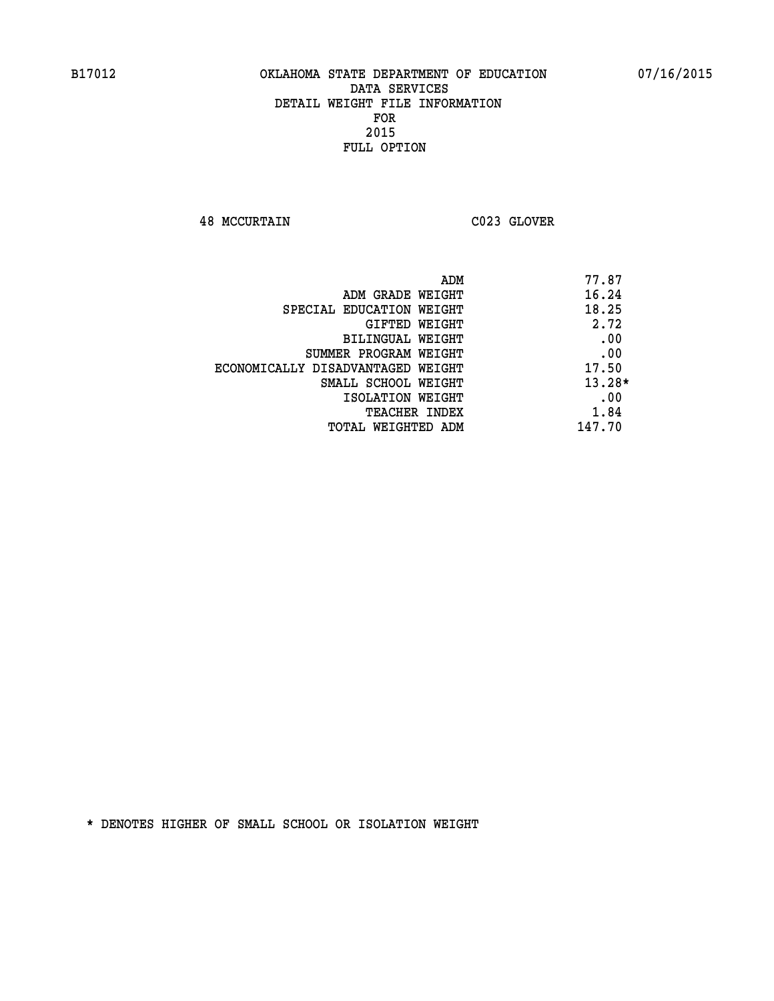**48 MCCURTAIN C023 GLOVER** 

| ADM                               | 77.87    |
|-----------------------------------|----------|
| ADM GRADE WEIGHT                  | 16.24    |
| SPECIAL EDUCATION WEIGHT          | 18.25    |
| GIFTED WEIGHT                     | 2.72     |
| BILINGUAL WEIGHT                  | .00      |
| SUMMER PROGRAM WEIGHT             | .00      |
| ECONOMICALLY DISADVANTAGED WEIGHT | 17.50    |
| SMALL SCHOOL WEIGHT               | $13.28*$ |
| ISOLATION WEIGHT                  | .00      |
| <b>TEACHER INDEX</b>              | 1.84     |
| TOTAL WEIGHTED ADM                | 147.70   |
|                                   |          |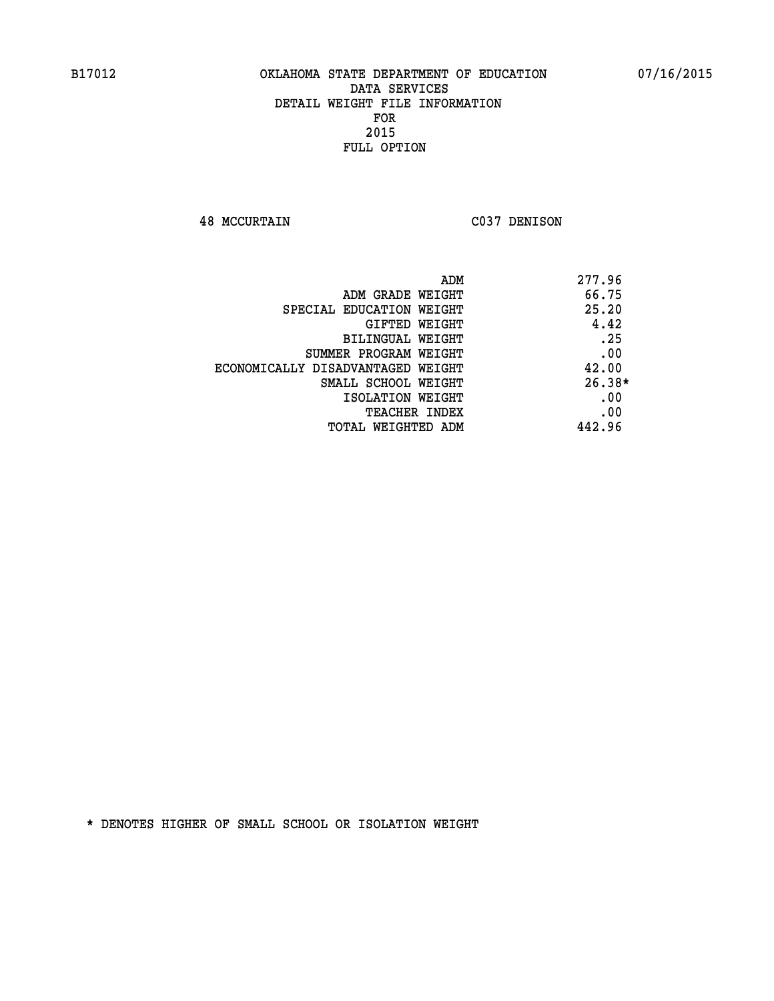**48 MCCURTAIN C037 DENISON** 

| ADM                               | 277.96   |
|-----------------------------------|----------|
| ADM GRADE WEIGHT                  | 66.75    |
| SPECIAL EDUCATION WEIGHT          | 25.20    |
| GIFTED WEIGHT                     | 4.42     |
| <b>BILINGUAL WEIGHT</b>           | .25      |
| SUMMER PROGRAM WEIGHT             | .00      |
| ECONOMICALLY DISADVANTAGED WEIGHT | 42.00    |
| SMALL SCHOOL WEIGHT               | $26.38*$ |
| ISOLATION WEIGHT                  | .00      |
| <b>TEACHER INDEX</b>              | .00      |
| TOTAL WEIGHTED ADM                | 442.96   |
|                                   |          |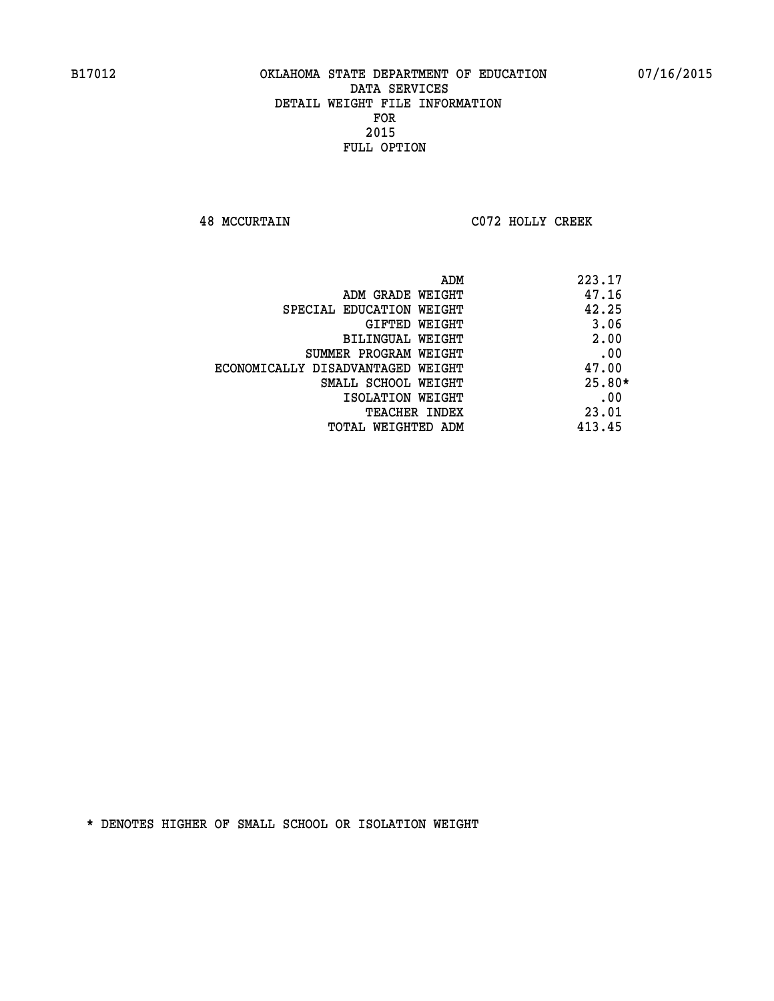**48 MCCURTAIN C072 HOLLY CREEK** 

| ADM                               | 223.17   |
|-----------------------------------|----------|
| ADM GRADE WEIGHT                  | 47.16    |
| SPECIAL EDUCATION WEIGHT          | 42.25    |
| GIFTED WEIGHT                     | 3.06     |
| BILINGUAL WEIGHT                  | 2.00     |
| SUMMER PROGRAM WEIGHT             | .00      |
| ECONOMICALLY DISADVANTAGED WEIGHT | 47.00    |
| SMALL SCHOOL WEIGHT               | $25.80*$ |
| ISOLATION WEIGHT                  | .00      |
| <b>TEACHER INDEX</b>              | 23.01    |
| TOTAL WEIGHTED ADM                | 413.45   |
|                                   |          |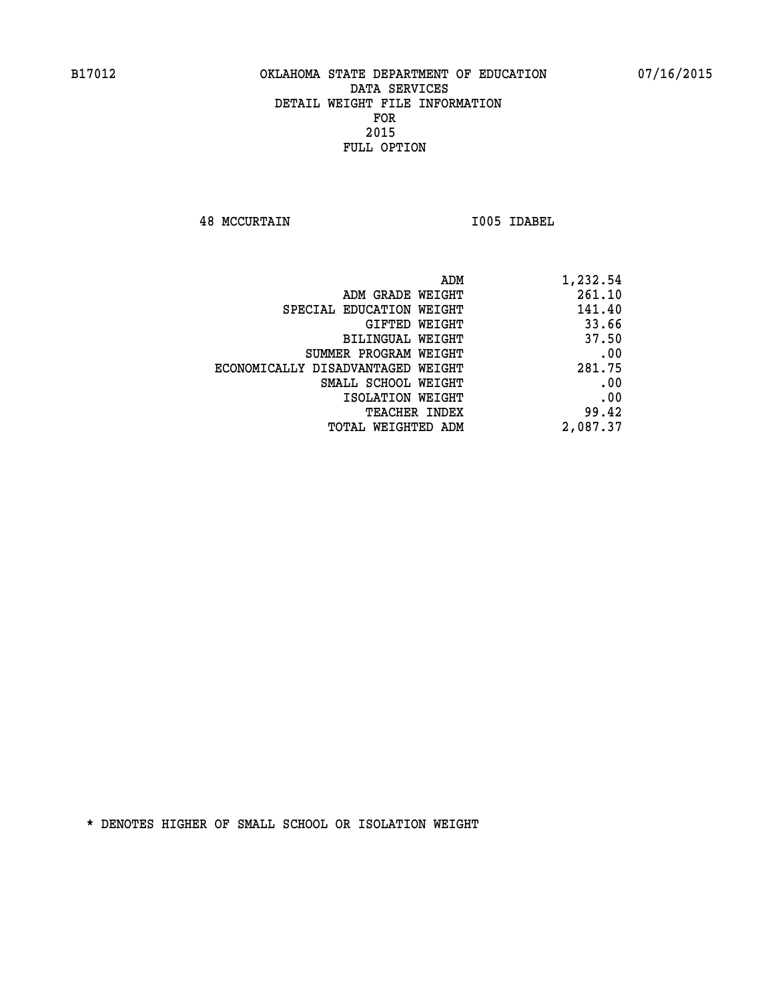**48 MCCURTAIN I005 IDABEL** 

| 1,232.54 |
|----------|
| 261.10   |
| 141.40   |
| 33.66    |
| 37.50    |
| .00      |
| 281.75   |
| .00      |
| .00      |
| 99.42    |
| 2,087.37 |
|          |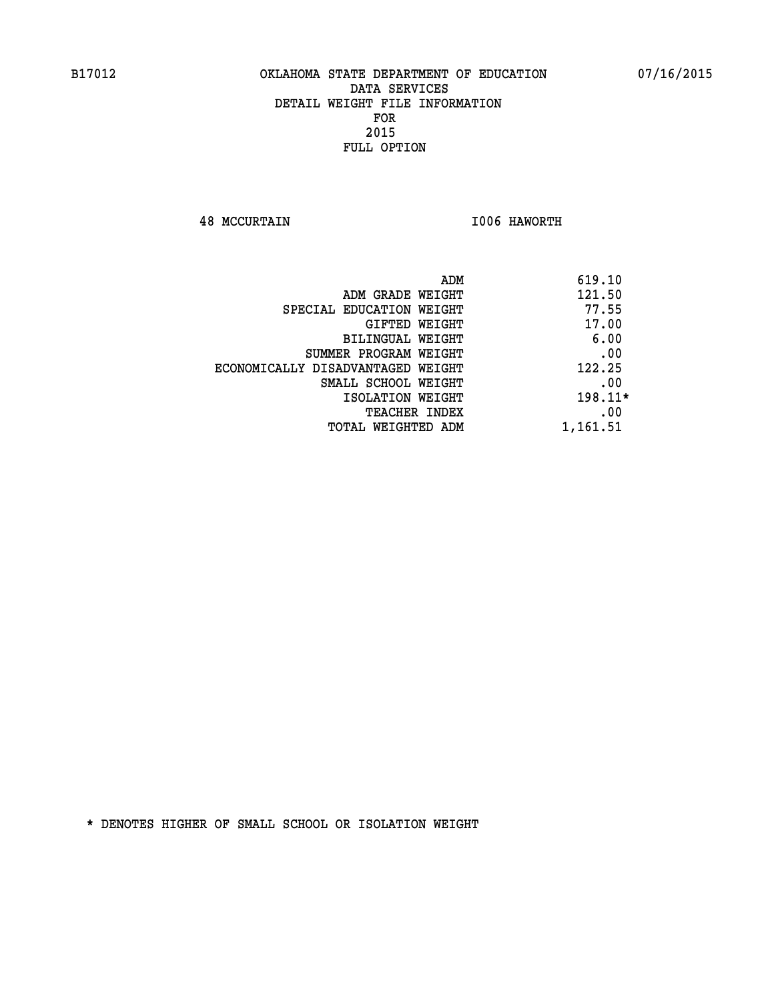**48 MCCURTAIN I006 HAWORTH** 

| ADM<br>619.10 |                                   |
|---------------|-----------------------------------|
| 121.50        | ADM GRADE WEIGHT                  |
| 77.55         | SPECIAL EDUCATION WEIGHT          |
| 17.00         | GIFTED WEIGHT                     |
| 6.00          | BILINGUAL WEIGHT                  |
| .00           | SUMMER PROGRAM WEIGHT             |
| 122.25        | ECONOMICALLY DISADVANTAGED WEIGHT |
| .00           | SMALL SCHOOL WEIGHT               |
| 198.11*       | ISOLATION WEIGHT                  |
| .00           | <b>TEACHER INDEX</b>              |
| 1,161.51      | TOTAL WEIGHTED ADM                |
|               |                                   |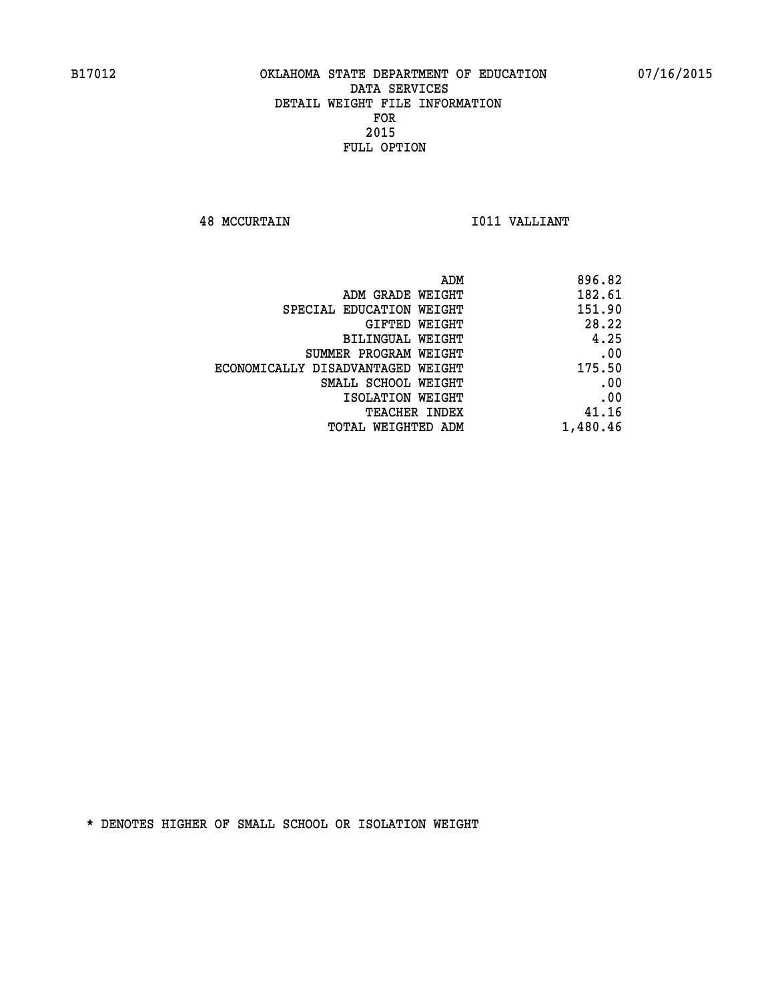**48 MCCURTAIN I011 VALLIANT** 

| 896.82   |
|----------|
| 182.61   |
| 151.90   |
| 28.22    |
| 4.25     |
| .00      |
| 175.50   |
| .00      |
| .00      |
| 41.16    |
| 1,480.46 |
|          |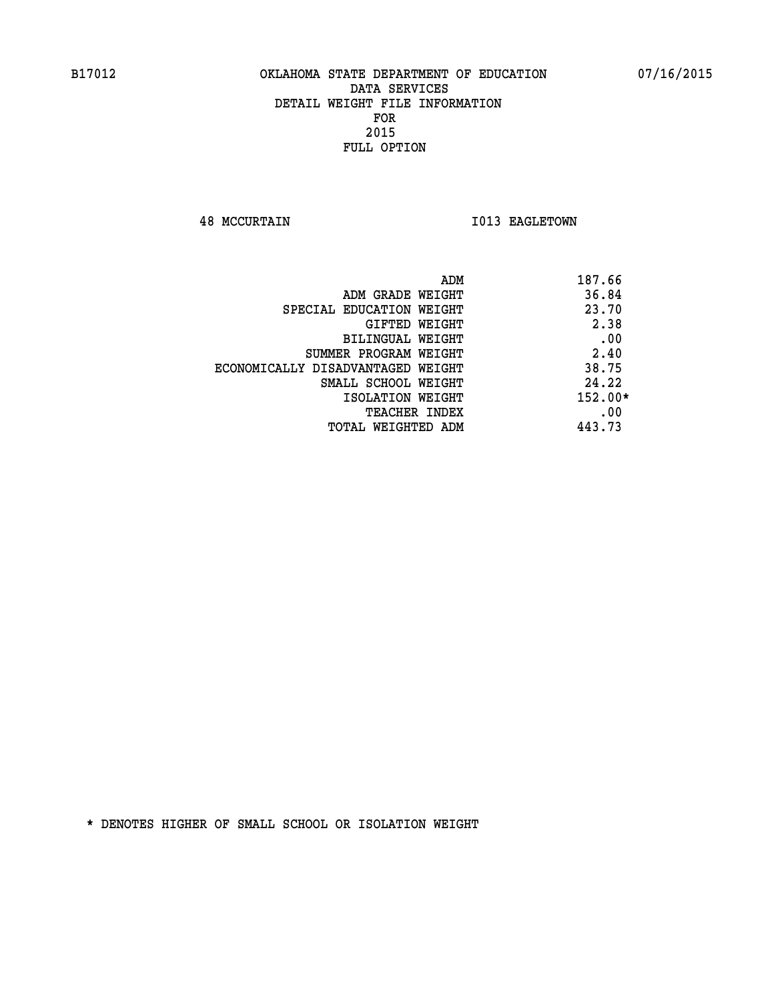**48 MCCURTAIN 1013 EAGLETOWN** 

| ADM<br>187.66 |                                   |
|---------------|-----------------------------------|
| 36.84         | ADM GRADE WEIGHT                  |
| 23.70         | SPECIAL EDUCATION WEIGHT          |
| 2.38          | GIFTED WEIGHT                     |
| .00           | BILINGUAL WEIGHT                  |
| 2.40          | SUMMER PROGRAM WEIGHT             |
| 38.75         | ECONOMICALLY DISADVANTAGED WEIGHT |
| 24.22         | SMALL SCHOOL WEIGHT               |
| $152.00*$     | ISOLATION WEIGHT                  |
| .00           | <b>TEACHER INDEX</b>              |
| 443.73        | TOTAL WEIGHTED ADM                |
|               |                                   |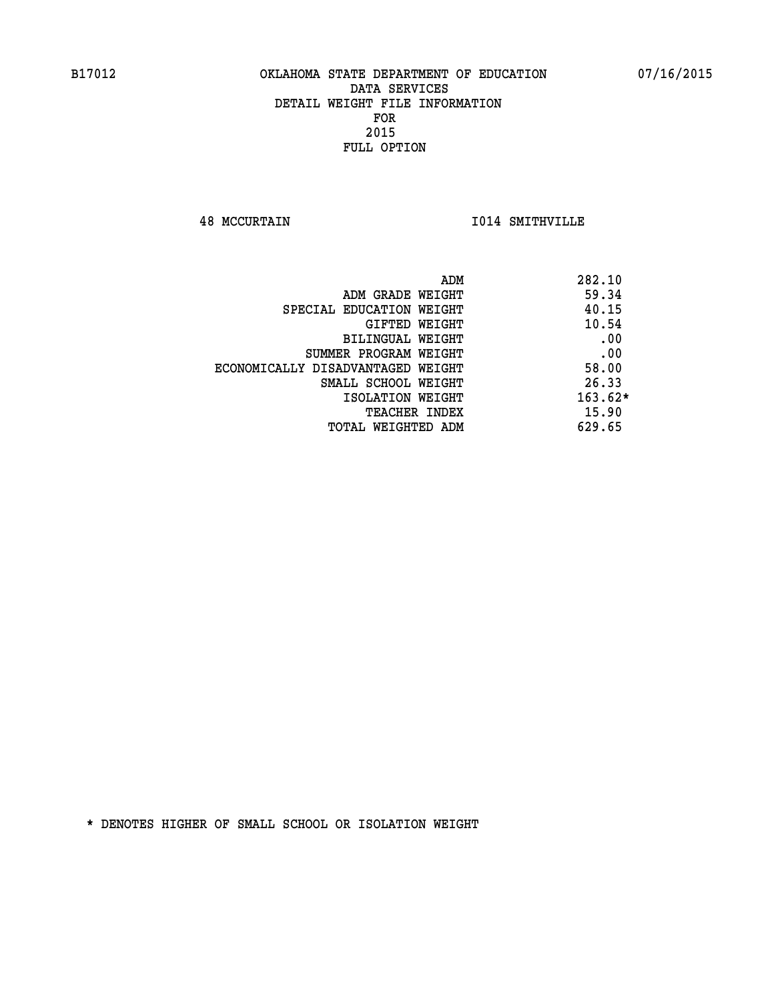**48 MCCURTAIN I014 SMITHVILLE** 

| ADM                               | 282.10    |
|-----------------------------------|-----------|
| ADM GRADE WEIGHT                  | 59.34     |
| SPECIAL EDUCATION WEIGHT          | 40.15     |
| GIFTED WEIGHT                     | 10.54     |
| BILINGUAL WEIGHT                  | .00       |
| SUMMER PROGRAM WEIGHT             | .00       |
| ECONOMICALLY DISADVANTAGED WEIGHT | 58.00     |
| SMALL SCHOOL WEIGHT               | 26.33     |
| ISOLATION WEIGHT                  | $163.62*$ |
| <b>TEACHER INDEX</b>              | 15.90     |
| TOTAL WEIGHTED ADM                | 629.65    |
|                                   |           |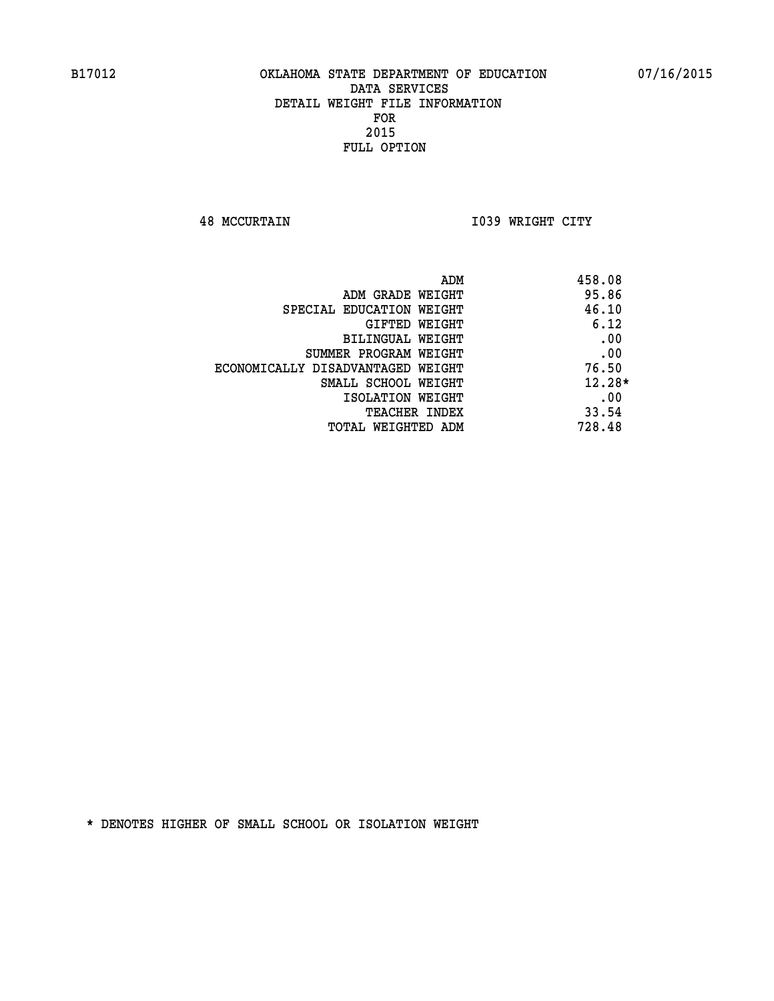**48 MCCURTAIN I039 WRIGHT CITY** 

| ADM                               | 458.08   |
|-----------------------------------|----------|
| ADM GRADE WEIGHT                  | 95.86    |
| SPECIAL EDUCATION WEIGHT          | 46.10    |
| <b>GIFTED WEIGHT</b>              | 6.12     |
| BILINGUAL WEIGHT                  | .00      |
| SUMMER PROGRAM WEIGHT             | .00      |
| ECONOMICALLY DISADVANTAGED WEIGHT | 76.50    |
| SMALL SCHOOL WEIGHT               | $12.28*$ |
| ISOLATION WEIGHT                  | .00      |
| <b>TEACHER INDEX</b>              | 33.54    |
| TOTAL WEIGHTED ADM                | 728.48   |
|                                   |          |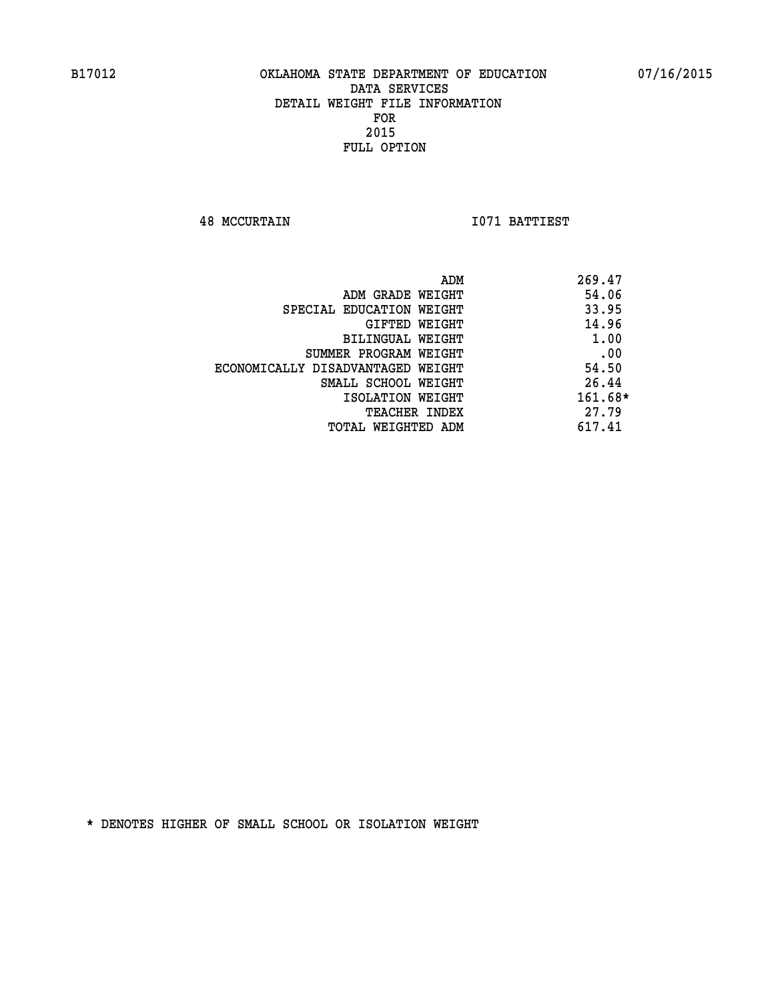**48 MCCURTAIN I071 BATTIEST** 

|                                   | ADM | 269.47    |
|-----------------------------------|-----|-----------|
| ADM GRADE WEIGHT                  |     | 54.06     |
| SPECIAL EDUCATION WEIGHT          |     | 33.95     |
| GIFTED WEIGHT                     |     | 14.96     |
| BILINGUAL WEIGHT                  |     | 1.00      |
| SUMMER PROGRAM WEIGHT             |     | .00       |
| ECONOMICALLY DISADVANTAGED WEIGHT |     | 54.50     |
| SMALL SCHOOL WEIGHT               |     | 26.44     |
| ISOLATION WEIGHT                  |     | $161.68*$ |
| TEACHER INDEX                     |     | 27.79     |
| TOTAL WEIGHTED ADM                |     | 617.41    |
|                                   |     |           |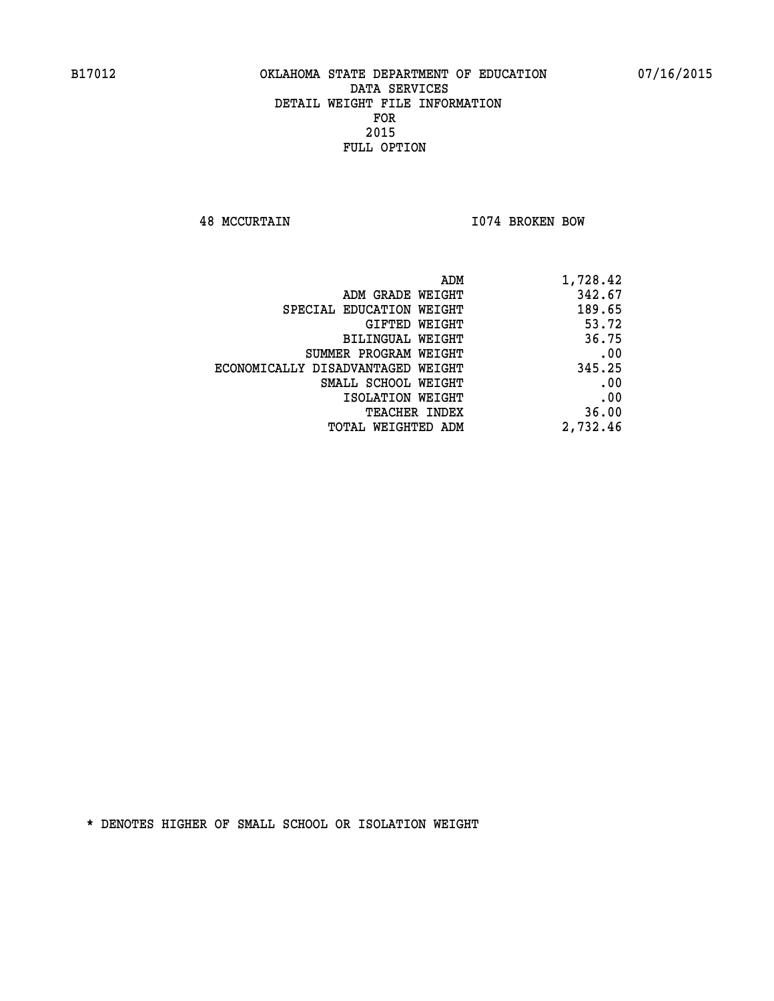**48 MCCURTAIN I074 BROKEN BOW** 

| 1,728.42 |
|----------|
| 342.67   |
| 189.65   |
| 53.72    |
| 36.75    |
| .00      |
| 345.25   |
| .00      |
| .00      |
| 36.00    |
| 2,732.46 |
|          |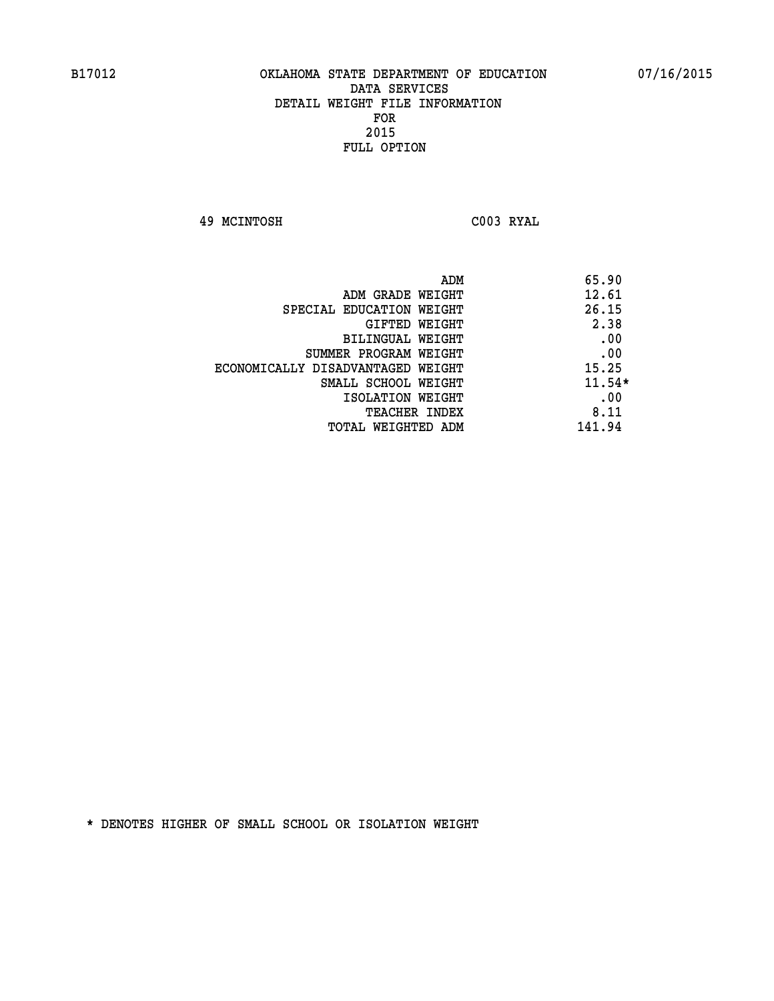**49 MCINTOSH C003 RYAL** 

| ADM                               | 65.90    |
|-----------------------------------|----------|
| ADM GRADE WEIGHT                  | 12.61    |
| SPECIAL EDUCATION WEIGHT          | 26.15    |
| GIFTED WEIGHT                     | 2.38     |
| BILINGUAL WEIGHT                  | .00      |
| SUMMER PROGRAM WEIGHT             | .00      |
| ECONOMICALLY DISADVANTAGED WEIGHT | 15.25    |
| SMALL SCHOOL WEIGHT               | $11.54*$ |
| ISOLATION WEIGHT                  | .00      |
| TEACHER INDEX                     | 8.11     |
| TOTAL WEIGHTED ADM                | 141.94   |
|                                   |          |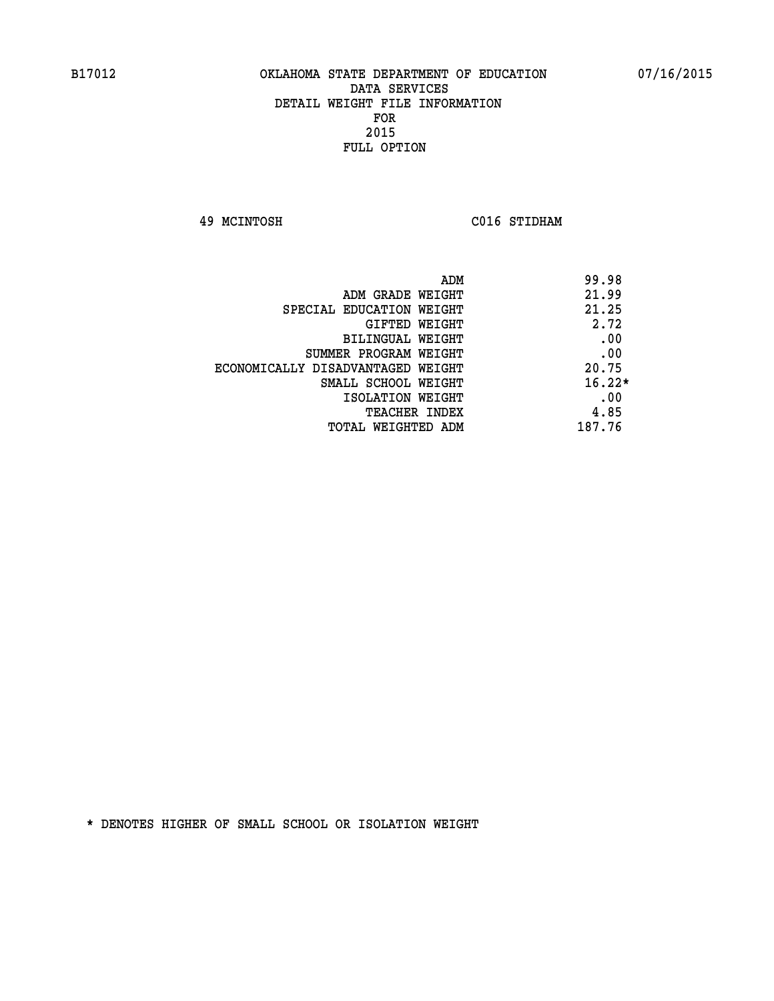**49 MCINTOSH C016 STIDHAM** 

| 99.98<br>ADM                               |  |
|--------------------------------------------|--|
| 21.99<br>ADM GRADE WEIGHT                  |  |
| 21.25<br>SPECIAL EDUCATION WEIGHT          |  |
| 2.72<br>GIFTED WEIGHT                      |  |
| .00<br>BILINGUAL WEIGHT                    |  |
| .00<br>SUMMER PROGRAM WEIGHT               |  |
| 20.75<br>ECONOMICALLY DISADVANTAGED WEIGHT |  |
| $16.22*$<br>SMALL SCHOOL WEIGHT            |  |
| .00<br>ISOLATION WEIGHT                    |  |
| 4.85<br><b>TEACHER INDEX</b>               |  |
| 187.76<br>TOTAL WEIGHTED ADM               |  |
|                                            |  |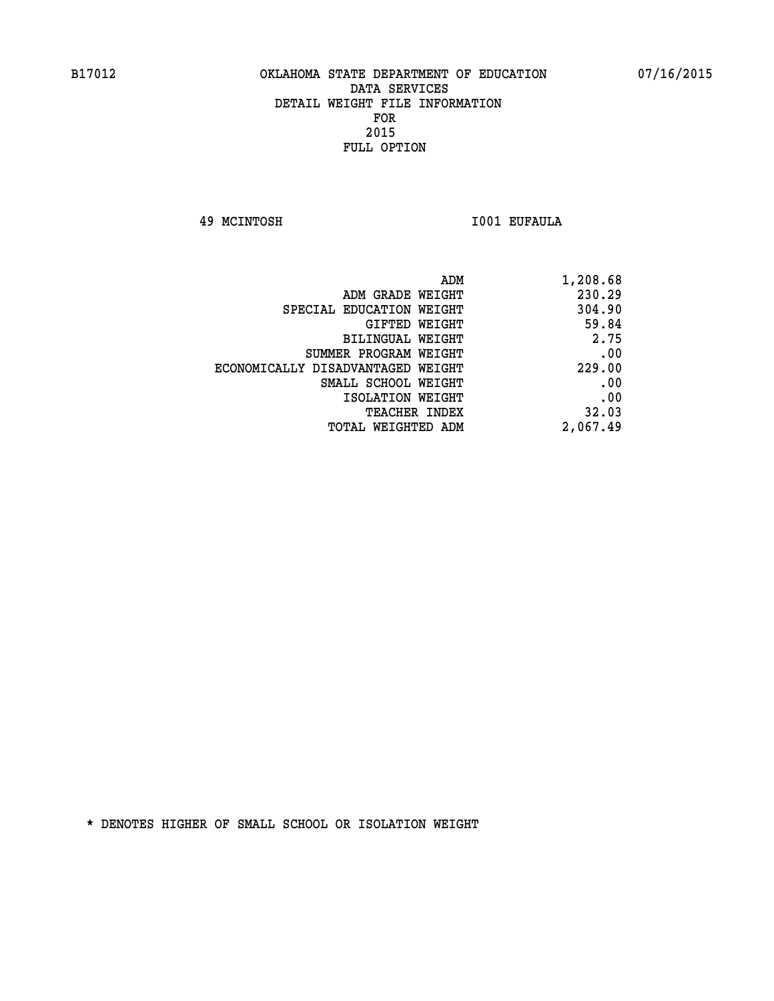**49 MCINTOSH I001 EUFAULA** 

| 1,208.68 |
|----------|
| 230.29   |
| 304.90   |
| 59.84    |
| 2.75     |
| .00      |
| 229.00   |
| .00      |
| .00      |
| 32.03    |
| 2,067.49 |
|          |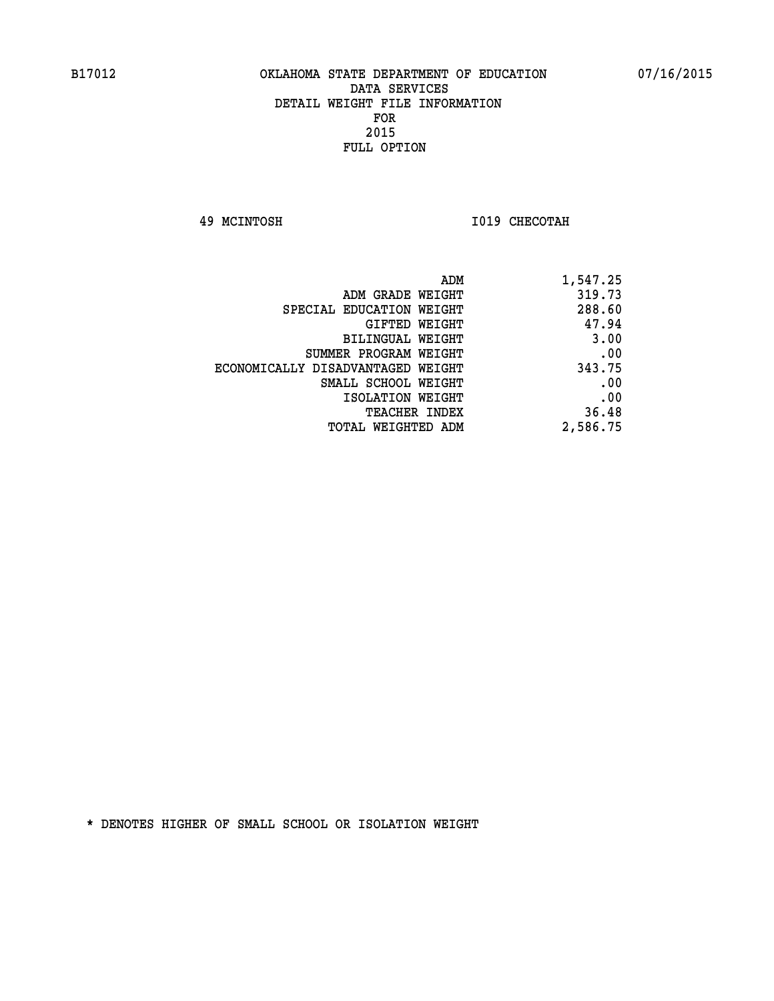**49 MCINTOSH I019 CHECOTAH** 

| ADM                               | 1,547.25 |
|-----------------------------------|----------|
| ADM GRADE WEIGHT                  | 319.73   |
| SPECIAL EDUCATION WEIGHT          | 288.60   |
| GIFTED WEIGHT                     | 47.94    |
| BILINGUAL WEIGHT                  | 3.00     |
| SUMMER PROGRAM WEIGHT             | .00      |
| ECONOMICALLY DISADVANTAGED WEIGHT | 343.75   |
| SMALL SCHOOL WEIGHT               | .00      |
| ISOLATION WEIGHT                  | .00      |
| TEACHER INDEX                     | 36.48    |
| TOTAL WEIGHTED ADM                | 2,586.75 |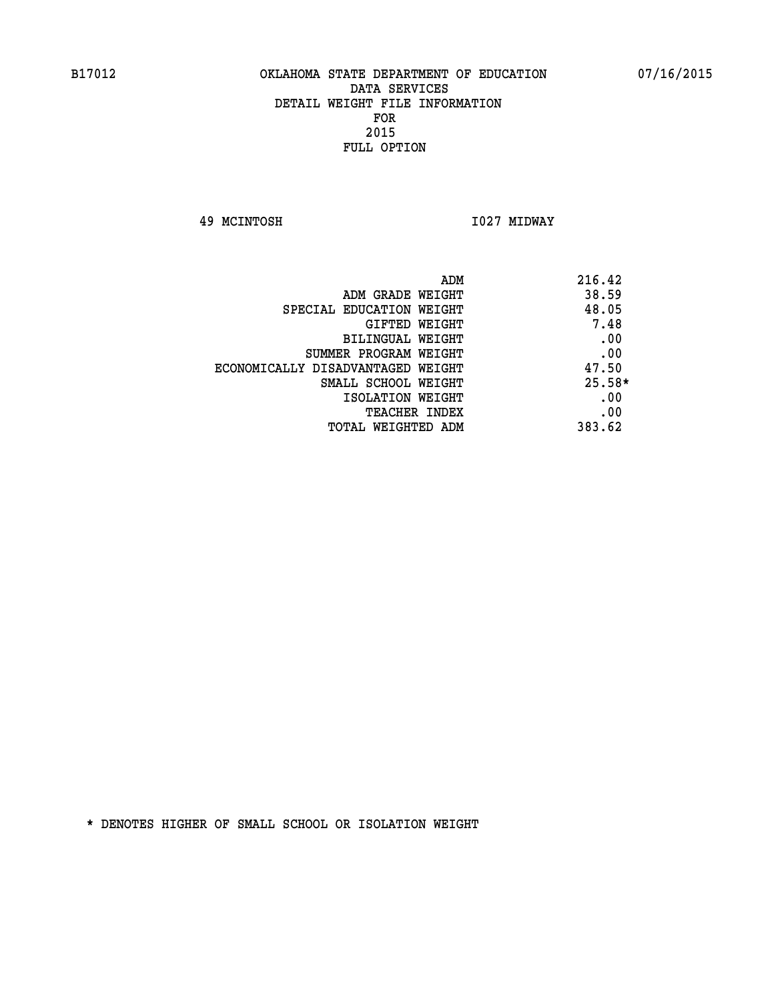**49 MCINTOSH I027 MIDWAY** 

| ADM                               | 216.42   |
|-----------------------------------|----------|
| ADM GRADE WEIGHT                  | 38.59    |
| SPECIAL EDUCATION WEIGHT          | 48.05    |
| <b>GIFTED WEIGHT</b>              | 7.48     |
| BILINGUAL WEIGHT                  | .00      |
| SUMMER PROGRAM WEIGHT             | .00      |
| ECONOMICALLY DISADVANTAGED WEIGHT | 47.50    |
| SMALL SCHOOL WEIGHT               | $25.58*$ |
| ISOLATION WEIGHT                  | .00      |
| <b>TEACHER INDEX</b>              | .00      |
| TOTAL WEIGHTED ADM                | 383.62   |
|                                   |          |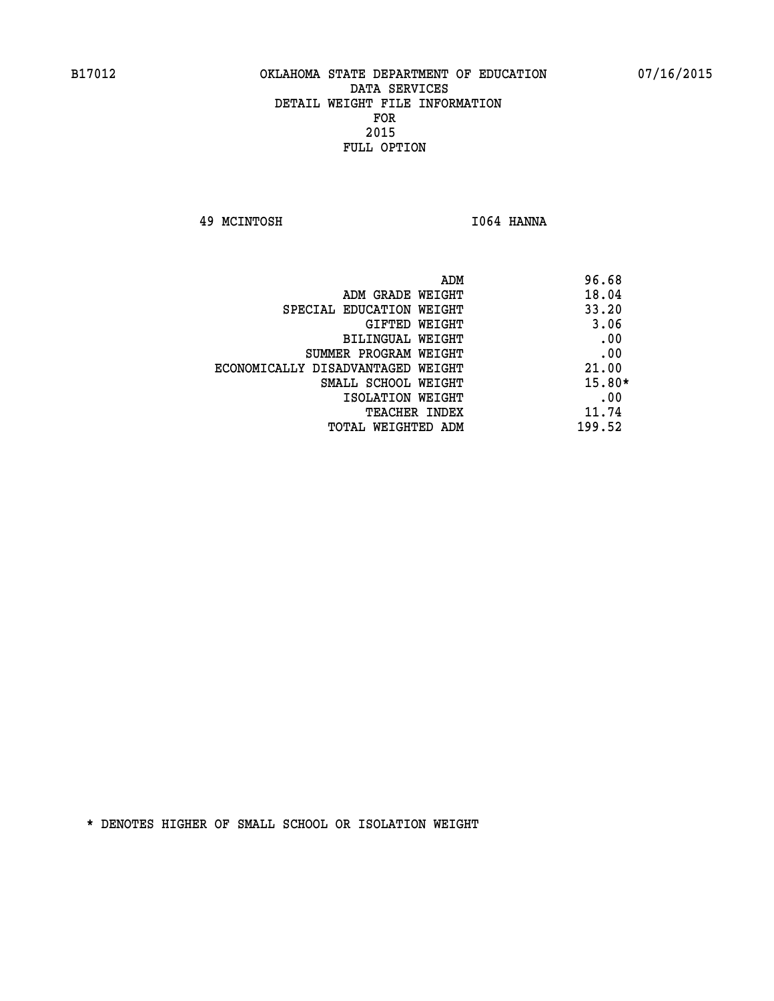**49 MCINTOSH I064 HANNA** 

|                                   | ADM | 96.68    |
|-----------------------------------|-----|----------|
| ADM GRADE WEIGHT                  |     | 18.04    |
| SPECIAL EDUCATION WEIGHT          |     | 33.20    |
| GIFTED WEIGHT                     |     | 3.06     |
| BILINGUAL WEIGHT                  |     | .00      |
| SUMMER PROGRAM WEIGHT             |     | .00      |
| ECONOMICALLY DISADVANTAGED WEIGHT |     | 21.00    |
| SMALL SCHOOL WEIGHT               |     | $15.80*$ |
| ISOLATION WEIGHT                  |     | .00      |
| <b>TEACHER INDEX</b>              |     | 11.74    |
| TOTAL WEIGHTED ADM                |     | 199.52   |
|                                   |     |          |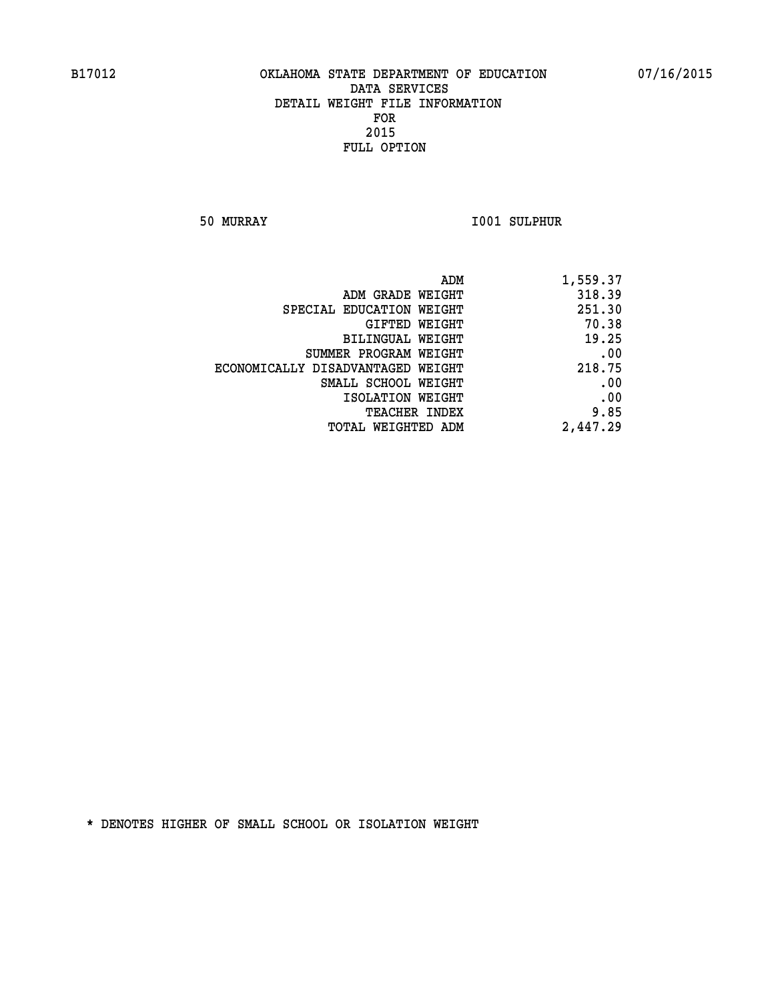**50 MURRAY I001 SULPHUR** 

| ADM                               | 1,559.37 |
|-----------------------------------|----------|
| ADM GRADE WEIGHT                  | 318.39   |
| SPECIAL EDUCATION WEIGHT          | 251.30   |
| GIFTED WEIGHT                     | 70.38    |
| BILINGUAL WEIGHT                  | 19.25    |
| SUMMER PROGRAM WEIGHT             | .00      |
| ECONOMICALLY DISADVANTAGED WEIGHT | 218.75   |
| SMALL SCHOOL WEIGHT               | .00      |
| ISOLATION WEIGHT                  | .00      |
| <b>TEACHER INDEX</b>              | 9.85     |
| <b>TOTAL WEIGHTED ADM</b>         | 2,447.29 |
|                                   |          |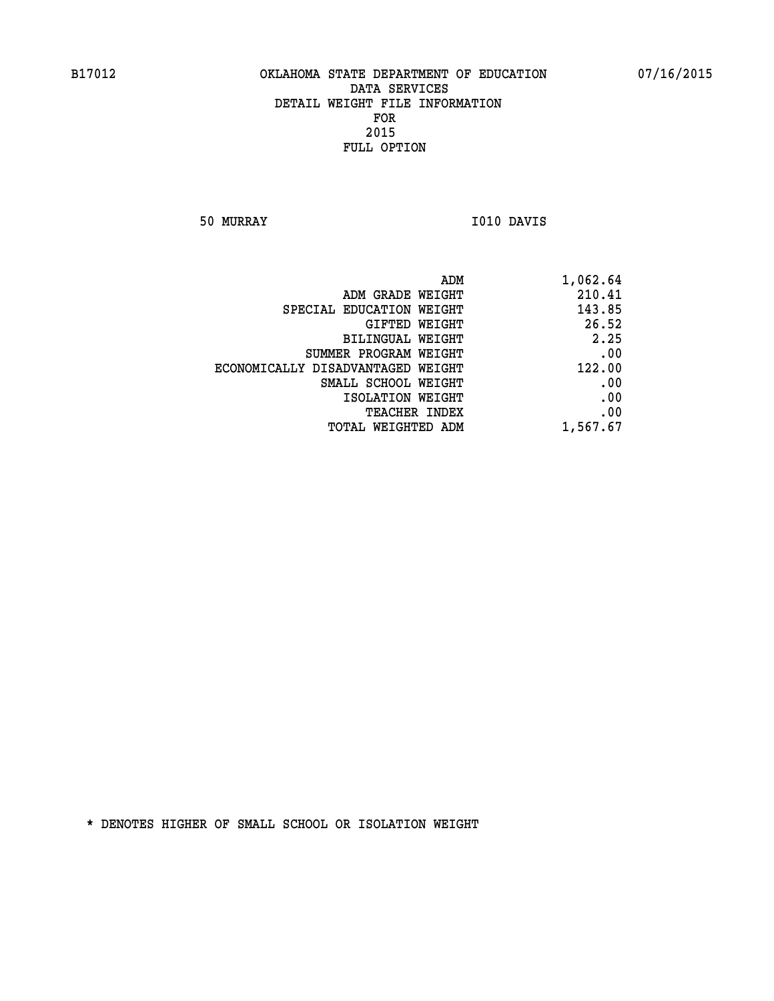**50 MURRAY I010 DAVIS** 

| 1,062.64 | ADM                               |  |
|----------|-----------------------------------|--|
| 210.41   | ADM GRADE WEIGHT                  |  |
| 143.85   | SPECIAL EDUCATION WEIGHT          |  |
| 26.52    | GIFTED WEIGHT                     |  |
| 2.25     | BILINGUAL WEIGHT                  |  |
| .00      | SUMMER PROGRAM WEIGHT             |  |
| 122.00   | ECONOMICALLY DISADVANTAGED WEIGHT |  |
| .00      | SMALL SCHOOL WEIGHT               |  |
| .00      | ISOLATION WEIGHT                  |  |
| .00      | <b>TEACHER INDEX</b>              |  |
| 1,567.67 | <b>TOTAL WEIGHTED ADM</b>         |  |
|          |                                   |  |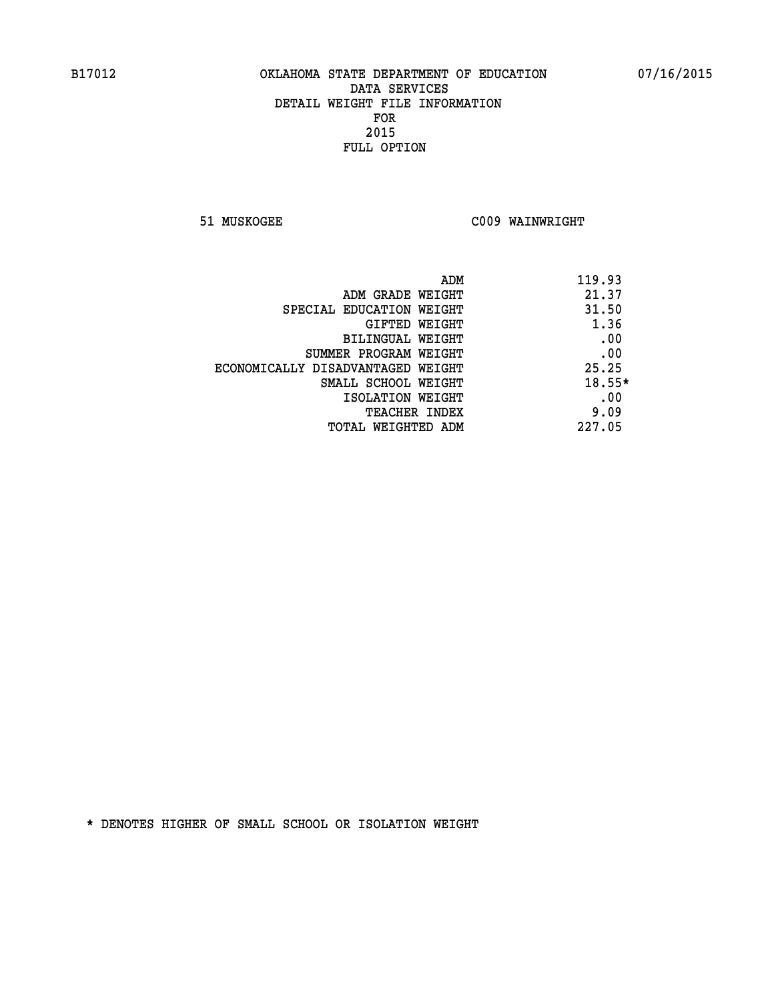**51 MUSKOGEE C009 WAINWRIGHT** 

| ADM                               | 119.93 |
|-----------------------------------|--------|
| ADM GRADE WEIGHT                  | 21.37  |
| SPECIAL EDUCATION WEIGHT          | 31.50  |
| GIFTED WEIGHT                     | 1.36   |
| BILINGUAL WEIGHT                  | .00    |
| SUMMER PROGRAM WEIGHT             | .00    |
| ECONOMICALLY DISADVANTAGED WEIGHT | 25.25  |
| SMALL SCHOOL WEIGHT               | 18.55* |
| ISOLATION WEIGHT                  | .00    |
| <b>TEACHER INDEX</b>              | 9.09   |
| TOTAL WEIGHTED ADM                | 227.05 |
|                                   |        |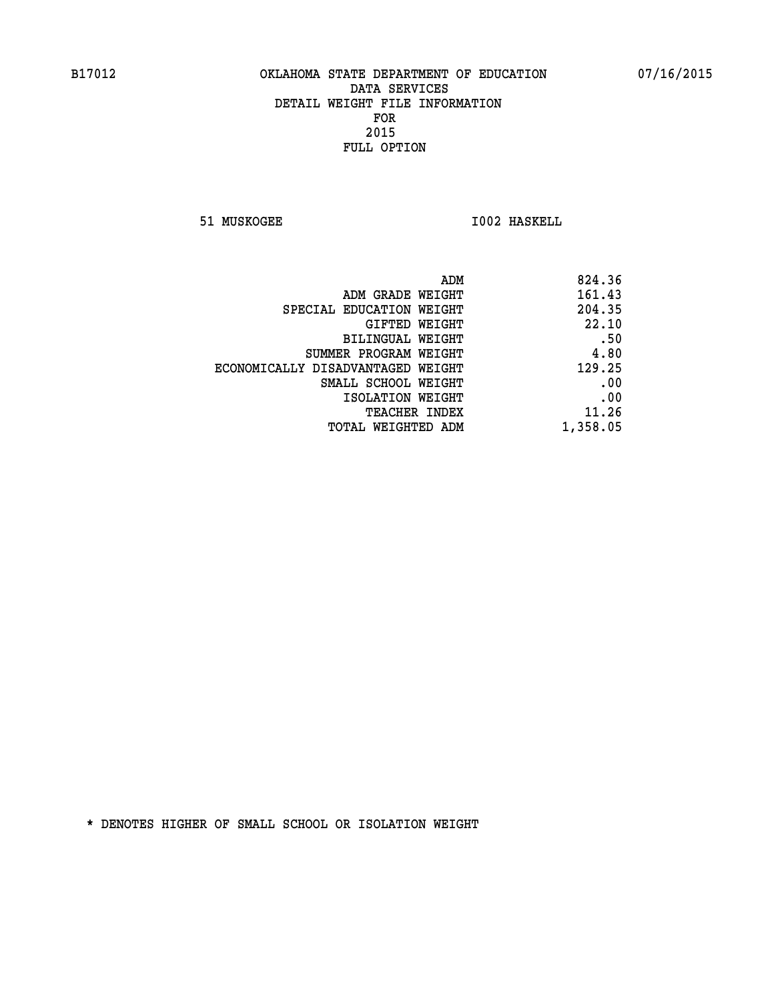**51 MUSKOGEE 1002 HASKELL** 

| ADM                               | 824.36   |
|-----------------------------------|----------|
| ADM GRADE WEIGHT                  | 161.43   |
| SPECIAL EDUCATION WEIGHT          | 204.35   |
| GIFTED WEIGHT                     | 22.10    |
| BILINGUAL WEIGHT                  | .50      |
| SUMMER PROGRAM WEIGHT             | 4.80     |
| ECONOMICALLY DISADVANTAGED WEIGHT | 129.25   |
| SMALL SCHOOL WEIGHT               | .00      |
| ISOLATION WEIGHT                  | .00      |
| <b>TEACHER INDEX</b>              | 11.26    |
| TOTAL WEIGHTED ADM                | 1,358.05 |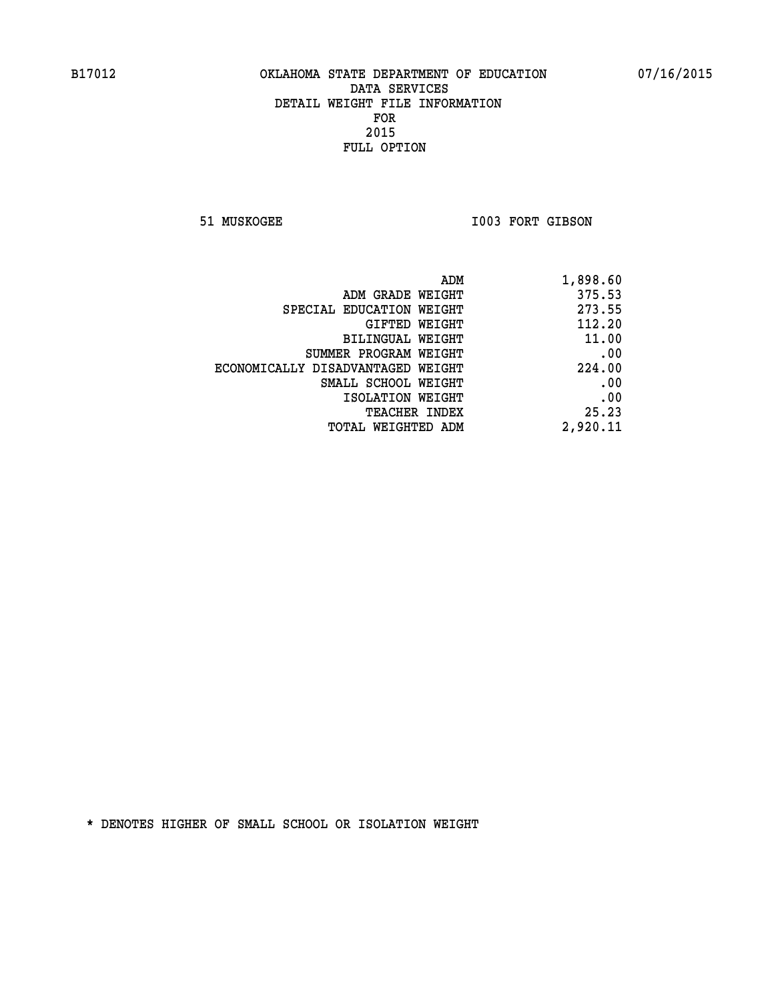51 MUSKOGEE 1003 FORT GIBSON

| ADM                               | 1,898.60 |
|-----------------------------------|----------|
| ADM GRADE WEIGHT                  | 375.53   |
| SPECIAL EDUCATION WEIGHT          | 273.55   |
| GIFTED WEIGHT                     | 112.20   |
| BILINGUAL WEIGHT                  | 11.00    |
| SUMMER PROGRAM WEIGHT             | .00      |
| ECONOMICALLY DISADVANTAGED WEIGHT | 224.00   |
| SMALL SCHOOL WEIGHT               | .00      |
| ISOLATION WEIGHT                  | .00      |
| <b>TEACHER INDEX</b>              | 25.23    |
| TOTAL WEIGHTED ADM                | 2,920.11 |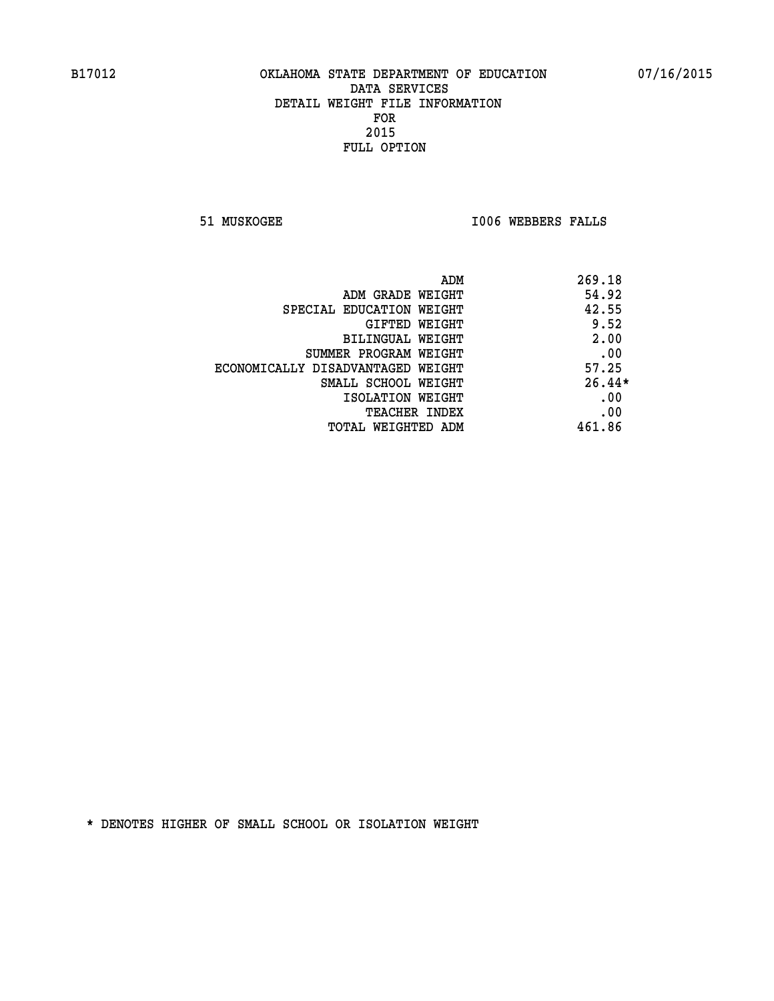**51 MUSKOGEE I006 WEBBERS FALLS** 

| ADM                               | 269.18   |
|-----------------------------------|----------|
| ADM GRADE WEIGHT                  | 54.92    |
| SPECIAL EDUCATION WEIGHT          | 42.55    |
| GIFTED WEIGHT                     | 9.52     |
| BILINGUAL WEIGHT                  | 2.00     |
| SUMMER PROGRAM WEIGHT             | .00      |
| ECONOMICALLY DISADVANTAGED WEIGHT | 57.25    |
| SMALL SCHOOL WEIGHT               | $26.44*$ |
| ISOLATION WEIGHT                  | .00      |
| <b>TEACHER INDEX</b>              | .00      |
| TOTAL WEIGHTED ADM                | 461.86   |
|                                   |          |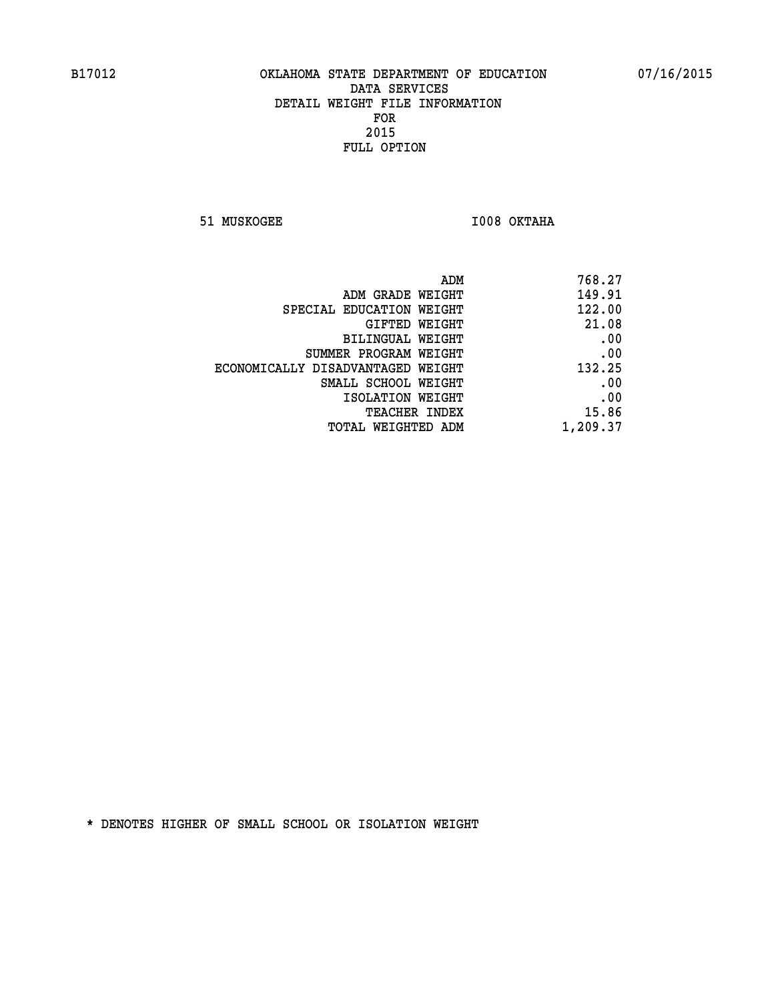**51 MUSKOGEE I008 OKTAHA** 

| 768.27   |
|----------|
| 149.91   |
| 122.00   |
| 21.08    |
| .00      |
| .00      |
| 132.25   |
| .00      |
| .00      |
| 15.86    |
| 1,209.37 |
|          |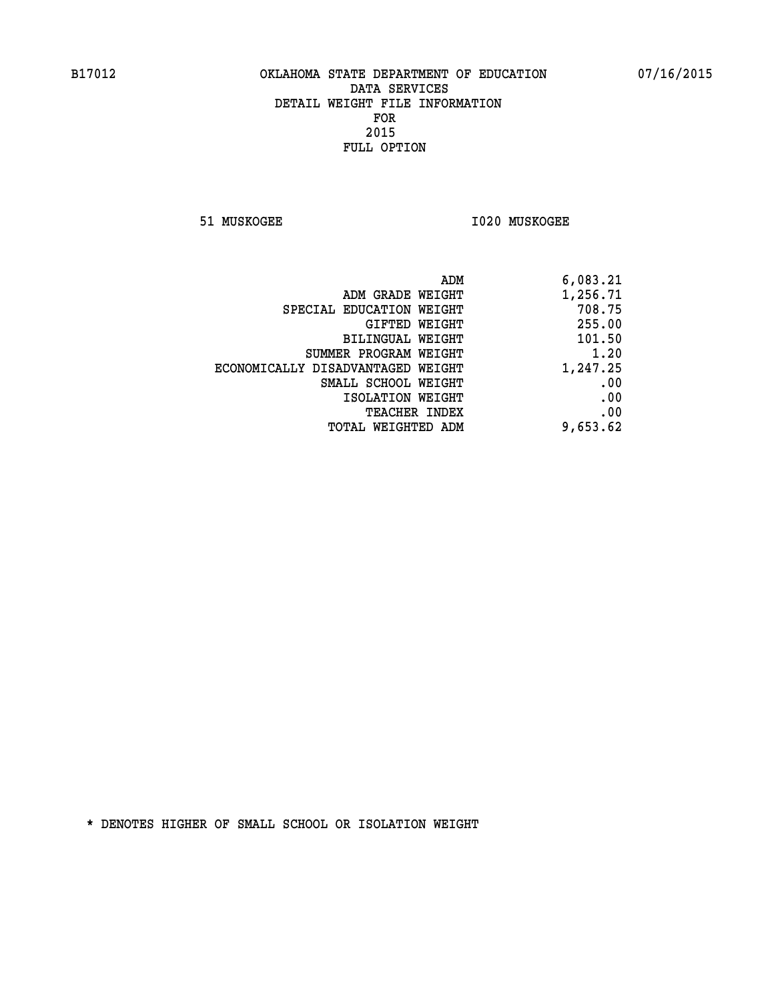**51 MUSKOGEE I020 MUSKOGEE** 

| ADM                               | 6,083.21 |
|-----------------------------------|----------|
| ADM GRADE WEIGHT                  | 1,256.71 |
| SPECIAL EDUCATION WEIGHT          | 708.75   |
| GIFTED WEIGHT                     | 255.00   |
| <b>BILINGUAL WEIGHT</b>           | 101.50   |
| SUMMER PROGRAM WEIGHT             | 1.20     |
| ECONOMICALLY DISADVANTAGED WEIGHT | 1,247.25 |
| SMALL SCHOOL WEIGHT               | .00      |
| ISOLATION WEIGHT                  | .00      |
| TEACHER INDEX                     | .00      |
| TOTAL WEIGHTED ADM                | 9,653.62 |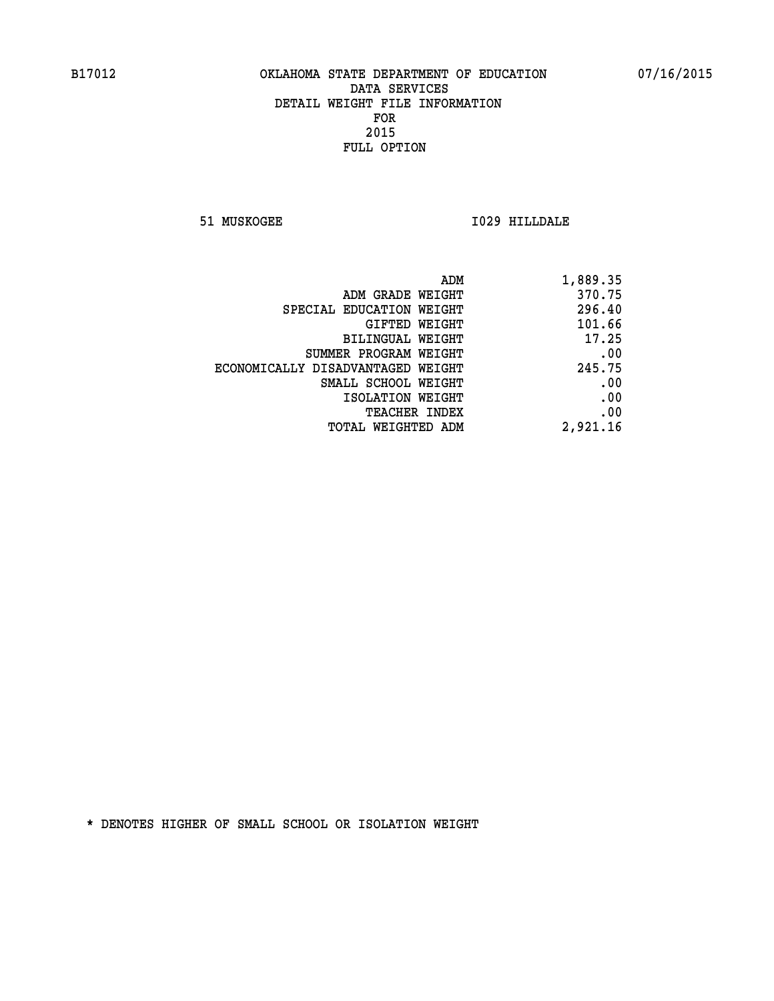**51 MUSKOGEE I029 HILLDALE** 

| ADM                               | 1,889.35 |
|-----------------------------------|----------|
| ADM GRADE WEIGHT                  | 370.75   |
| SPECIAL EDUCATION WEIGHT          | 296.40   |
| GIFTED WEIGHT                     | 101.66   |
| BILINGUAL WEIGHT                  | 17.25    |
| SUMMER PROGRAM WEIGHT             | .00      |
| ECONOMICALLY DISADVANTAGED WEIGHT | 245.75   |
| SMALL SCHOOL WEIGHT               | .00      |
| ISOLATION WEIGHT                  | .00      |
| TEACHER INDEX                     | .00      |
| TOTAL WEIGHTED ADM                | 2,921.16 |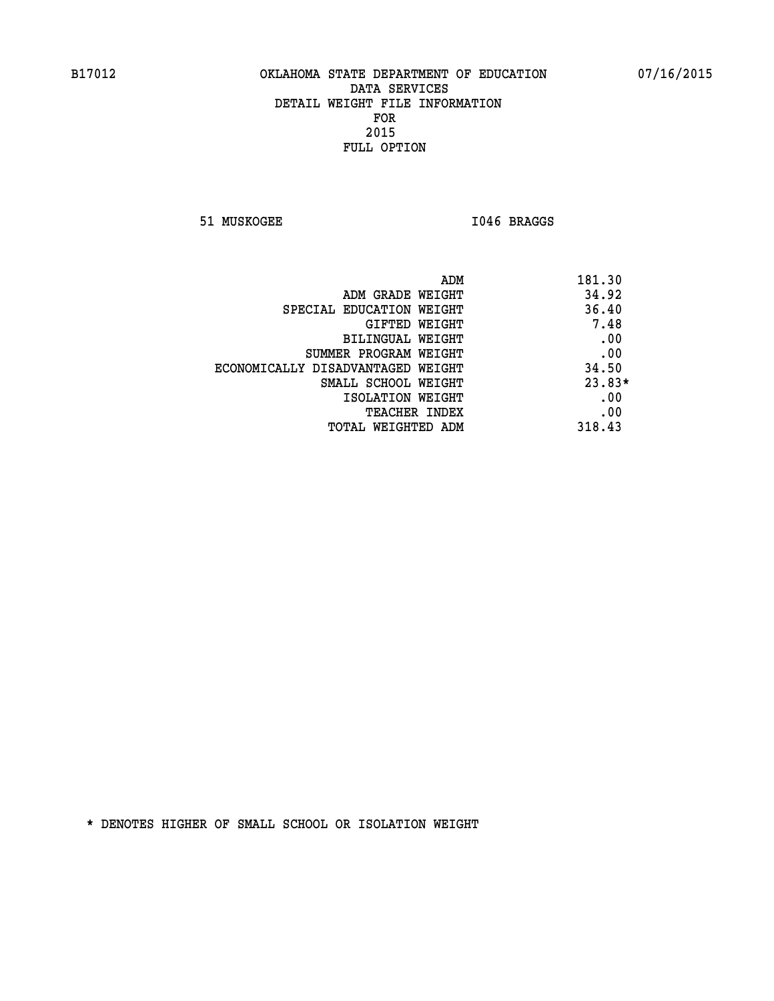51 MUSKOGEE 1046 BRAGGS

| ADM                               | 181.30   |
|-----------------------------------|----------|
| ADM GRADE WEIGHT                  | 34.92    |
| SPECIAL EDUCATION WEIGHT          | 36.40    |
| GIFTED WEIGHT                     | 7.48     |
| BILINGUAL WEIGHT                  | .00      |
| SUMMER PROGRAM WEIGHT             | .00      |
| ECONOMICALLY DISADVANTAGED WEIGHT | 34.50    |
| SMALL SCHOOL WEIGHT               | $23.83*$ |
| ISOLATION WEIGHT                  | .00      |
| <b>TEACHER INDEX</b>              | .00      |
| TOTAL WEIGHTED ADM                | 318.43   |
|                                   |          |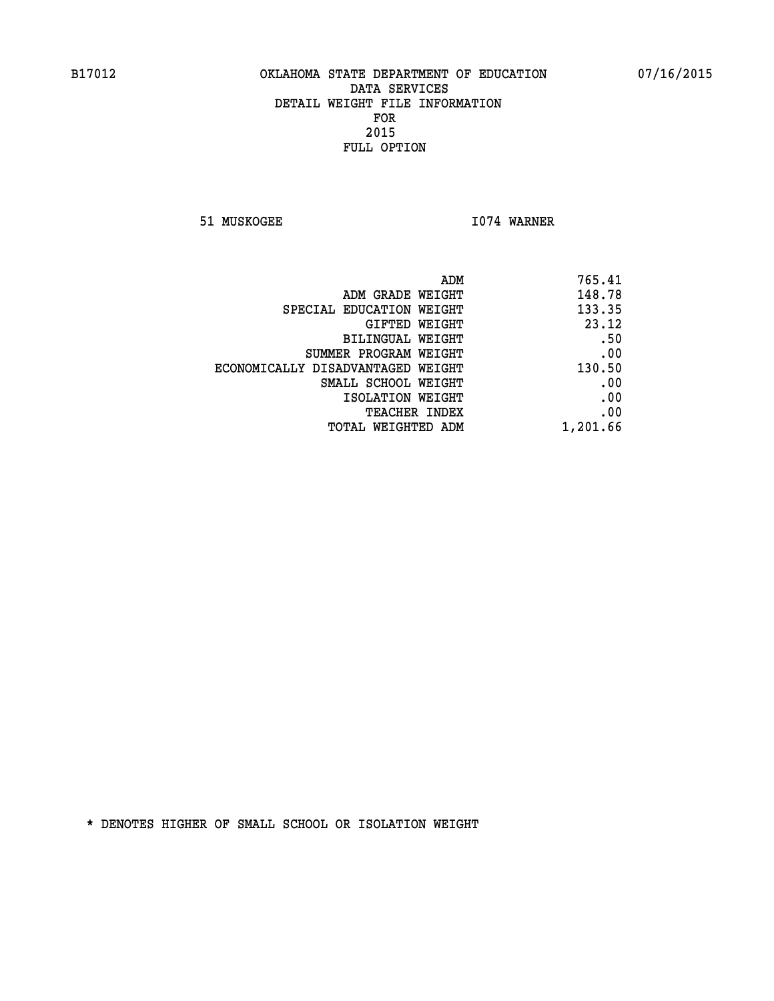**51 MUSKOGEE 1074 WARNER** 

| ADM                               | 765.41   |
|-----------------------------------|----------|
| ADM GRADE WEIGHT                  | 148.78   |
| SPECIAL EDUCATION WEIGHT          | 133.35   |
| GIFTED WEIGHT                     | 23.12    |
| BILINGUAL WEIGHT                  | .50      |
| SUMMER PROGRAM WEIGHT             | .00      |
| ECONOMICALLY DISADVANTAGED WEIGHT | 130.50   |
| SMALL SCHOOL WEIGHT               | .00      |
| ISOLATION WEIGHT                  | .00      |
| <b>TEACHER INDEX</b>              | .00      |
| TOTAL WEIGHTED ADM                | 1,201.66 |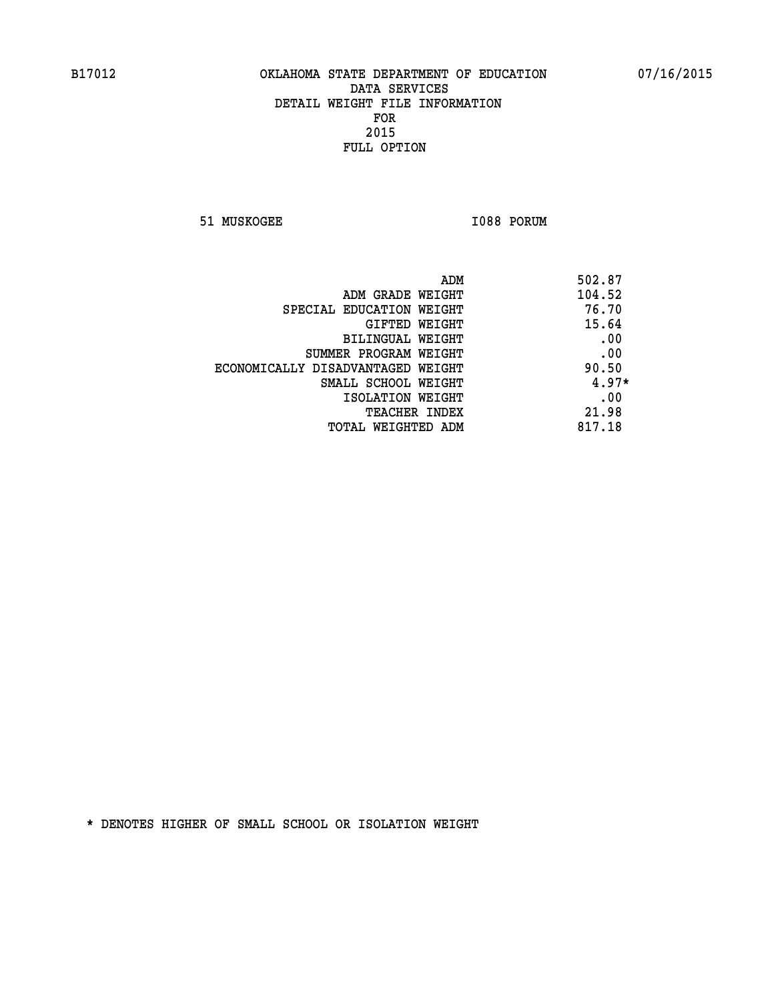**51 MUSKOGEE 1088 PORUM** 

| ADM                               | 502.87  |
|-----------------------------------|---------|
| ADM GRADE WEIGHT                  | 104.52  |
| SPECIAL EDUCATION WEIGHT          | 76.70   |
| GIFTED WEIGHT                     | 15.64   |
| BILINGUAL WEIGHT                  | .00     |
| SUMMER PROGRAM WEIGHT             | .00     |
| ECONOMICALLY DISADVANTAGED WEIGHT | 90.50   |
| SMALL SCHOOL WEIGHT               | $4.97*$ |
| ISOLATION WEIGHT                  | .00     |
| <b>TEACHER INDEX</b>              | 21.98   |
| TOTAL WEIGHTED ADM                | 817.18  |
|                                   |         |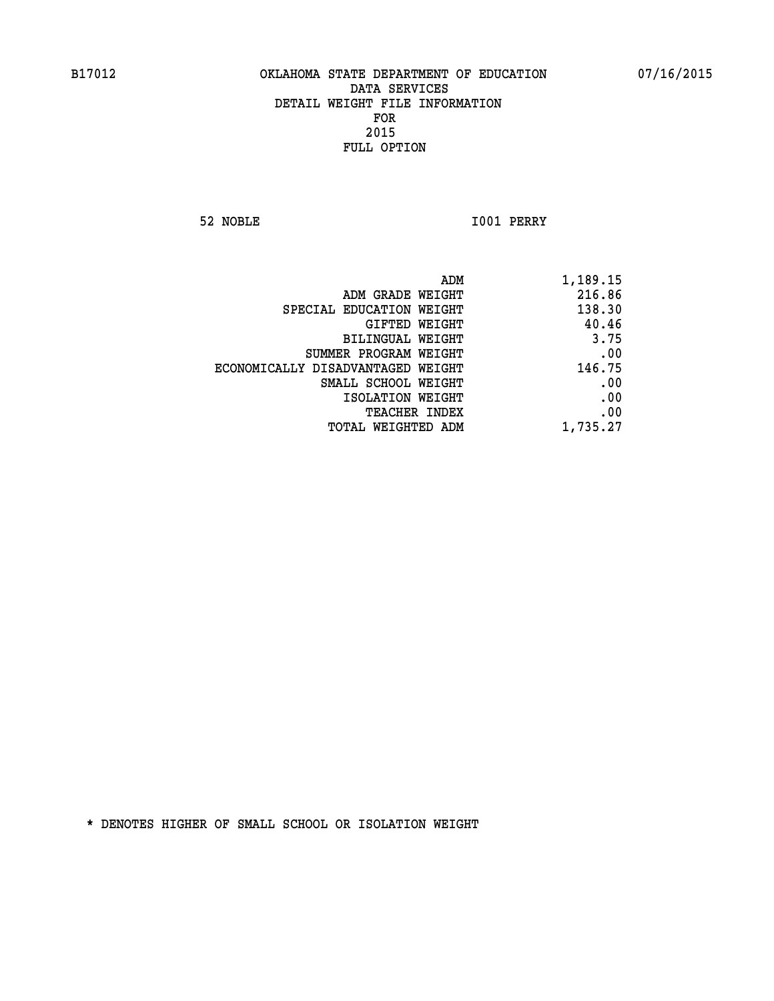**52 NOBLE I001 PERRY** 

|                                   | ADM<br>1,189.15 |
|-----------------------------------|-----------------|
| ADM GRADE WEIGHT                  | 216.86          |
| SPECIAL EDUCATION WEIGHT          | 138.30          |
| GIFTED WEIGHT                     | 40.46           |
| <b>BILINGUAL WEIGHT</b>           | 3.75            |
| SUMMER PROGRAM WEIGHT             | .00             |
| ECONOMICALLY DISADVANTAGED WEIGHT | 146.75          |
| SMALL SCHOOL WEIGHT               | .00             |
| ISOLATION WEIGHT                  | .00             |
| TEACHER INDEX                     | .00             |
| TOTAL WEIGHTED ADM                | 1,735.27        |
|                                   |                 |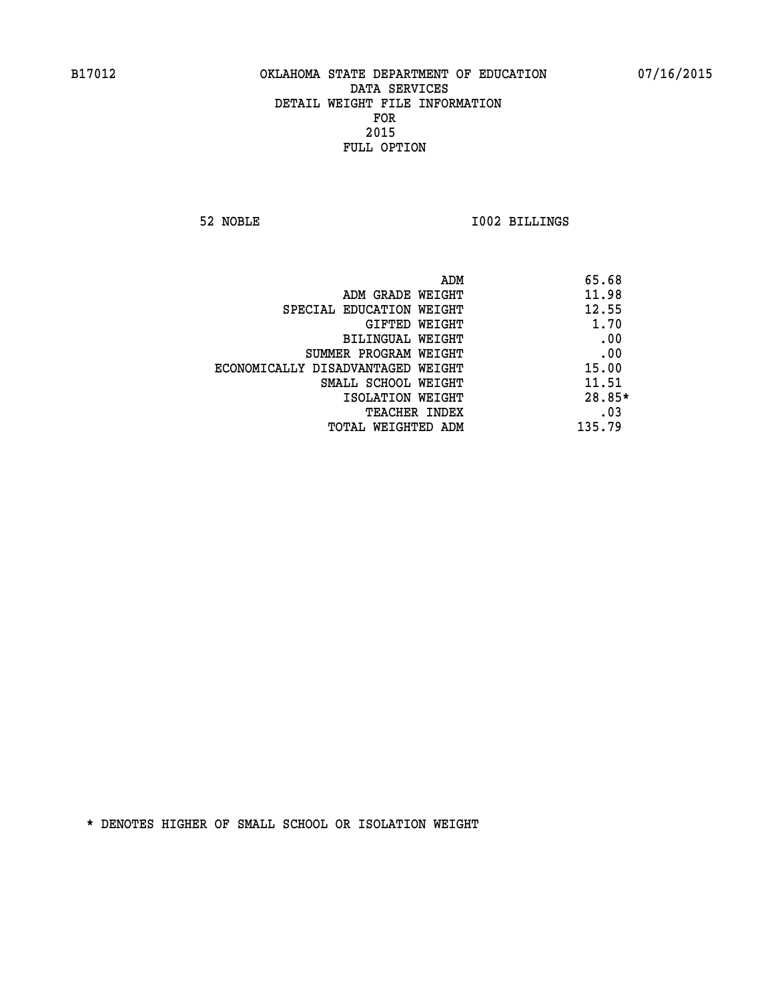**52 NOBLE I002 BILLINGS** 

|                                   | ADM | 65.68    |
|-----------------------------------|-----|----------|
| ADM GRADE WEIGHT                  |     | 11.98    |
| SPECIAL EDUCATION WEIGHT          |     | 12.55    |
| GIFTED WEIGHT                     |     | 1.70     |
| BILINGUAL WEIGHT                  |     | .00      |
| SUMMER PROGRAM WEIGHT             |     | .00      |
| ECONOMICALLY DISADVANTAGED WEIGHT |     | 15.00    |
| SMALL SCHOOL WEIGHT               |     | 11.51    |
| ISOLATION WEIGHT                  |     | $28.85*$ |
| TEACHER INDEX                     |     | .03      |
| TOTAL WEIGHTED ADM                |     | 135.79   |
|                                   |     |          |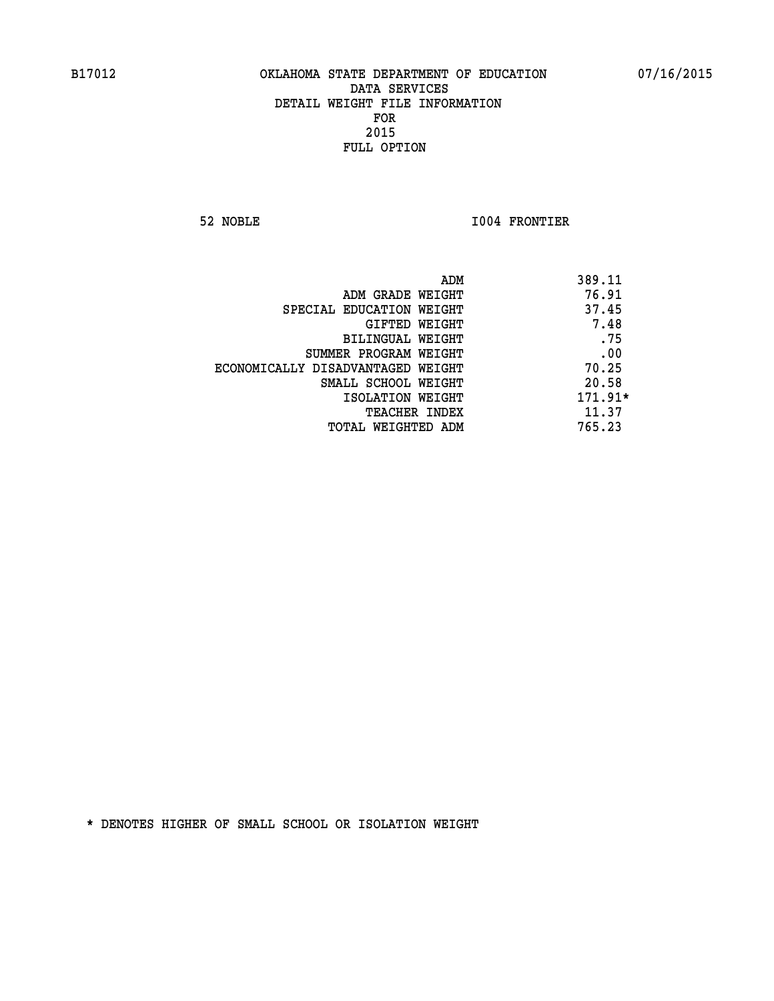**52 NOBLE I004 FRONTIER** 

|                                   | ADM | 389.11    |
|-----------------------------------|-----|-----------|
| ADM GRADE WEIGHT                  |     | 76.91     |
| SPECIAL EDUCATION WEIGHT          |     | 37.45     |
| GIFTED WEIGHT                     |     | 7.48      |
| BILINGUAL WEIGHT                  |     | .75       |
| SUMMER PROGRAM WEIGHT             |     | .00       |
| ECONOMICALLY DISADVANTAGED WEIGHT |     | 70.25     |
| SMALL SCHOOL WEIGHT               |     | 20.58     |
| ISOLATION WEIGHT                  |     | $171.91*$ |
| TEACHER INDEX                     |     | 11.37     |
| TOTAL WEIGHTED ADM                |     | 765.23    |
|                                   |     |           |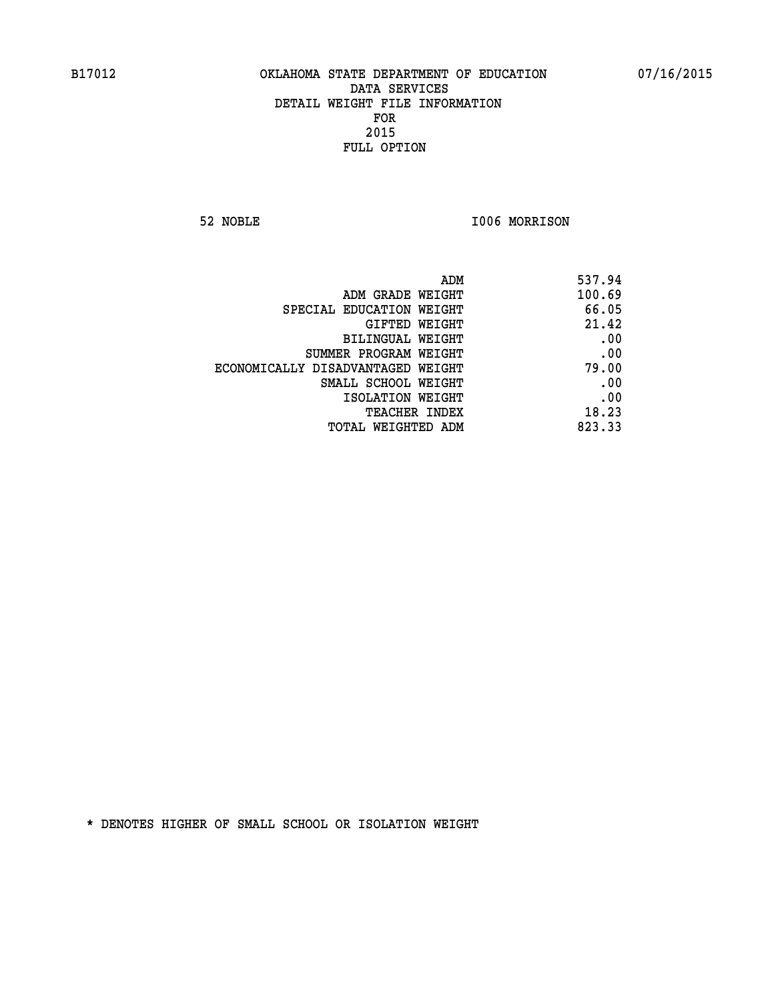**52 NOBLE I006 MORRISON** 

| 537.94 |
|--------|
| 100.69 |
| 66.05  |
| 21.42  |
| .00    |
| .00    |
| 79.00  |
| .00    |
| .00    |
| 18.23  |
| 823.33 |
|        |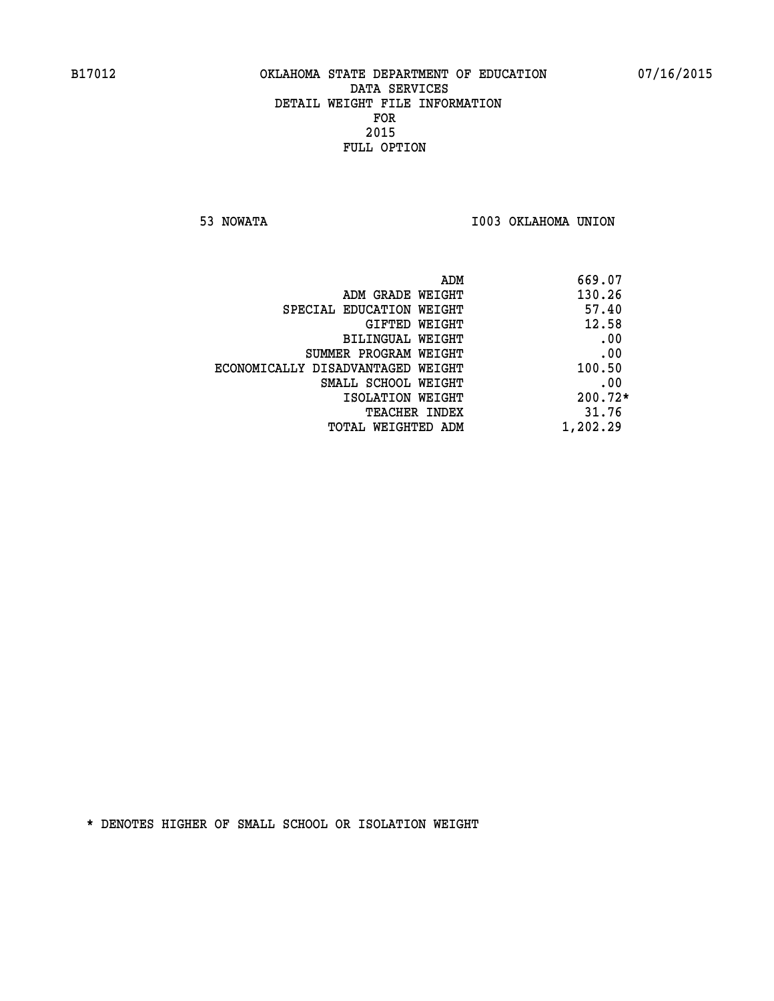**53 NOWATA I003 OKLAHOMA UNION** 

| ADM<br>669.07 |                                   |
|---------------|-----------------------------------|
| 130.26        | ADM GRADE WEIGHT                  |
| 57.40         | SPECIAL EDUCATION WEIGHT          |
| 12.58         | GIFTED WEIGHT                     |
| .00           | BILINGUAL WEIGHT                  |
| .00           | SUMMER PROGRAM WEIGHT             |
| 100.50        | ECONOMICALLY DISADVANTAGED WEIGHT |
| .00           | SMALL SCHOOL WEIGHT               |
| 200.72*       | ISOLATION WEIGHT                  |
| 31.76         | <b>TEACHER INDEX</b>              |
| 1,202.29      | TOTAL WEIGHTED ADM                |
|               |                                   |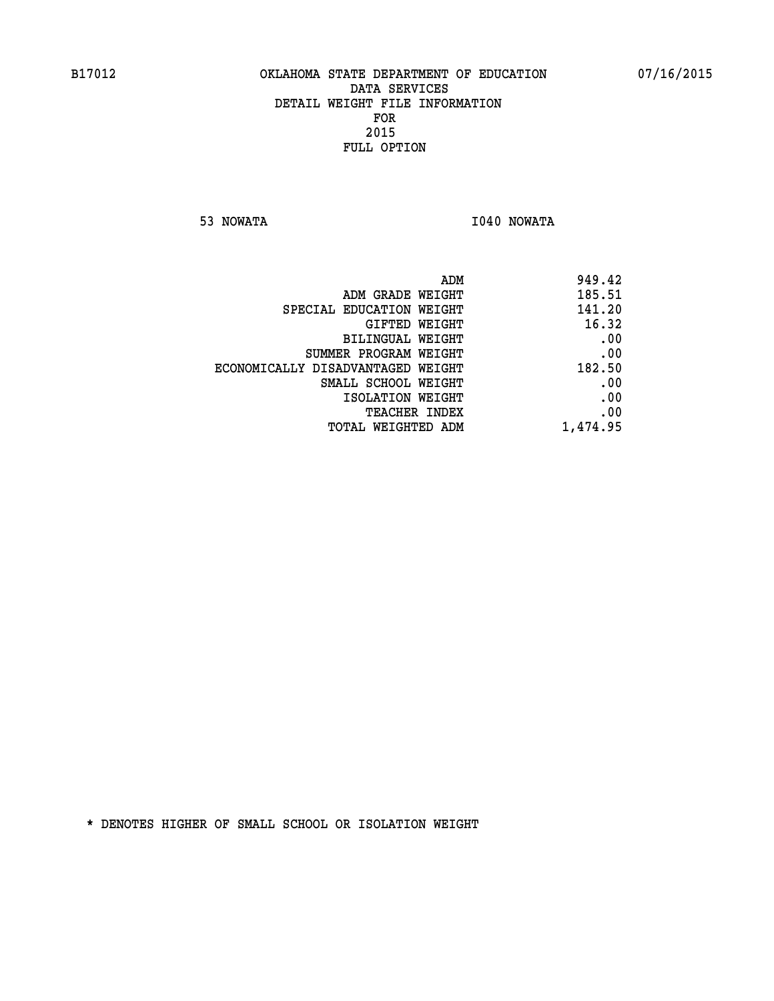**53 NOWATA I040 NOWATA** 

| ADM                               | 949.42   |
|-----------------------------------|----------|
| ADM GRADE WEIGHT                  | 185.51   |
| SPECIAL EDUCATION WEIGHT          | 141.20   |
| GIFTED WEIGHT                     | 16.32    |
| BILINGUAL WEIGHT                  | .00      |
| SUMMER PROGRAM WEIGHT             | .00      |
| ECONOMICALLY DISADVANTAGED WEIGHT | 182.50   |
| SMALL SCHOOL WEIGHT               | .00      |
| ISOLATION WEIGHT                  | .00      |
| TEACHER INDEX                     | .00      |
| TOTAL WEIGHTED ADM                | 1,474.95 |
|                                   |          |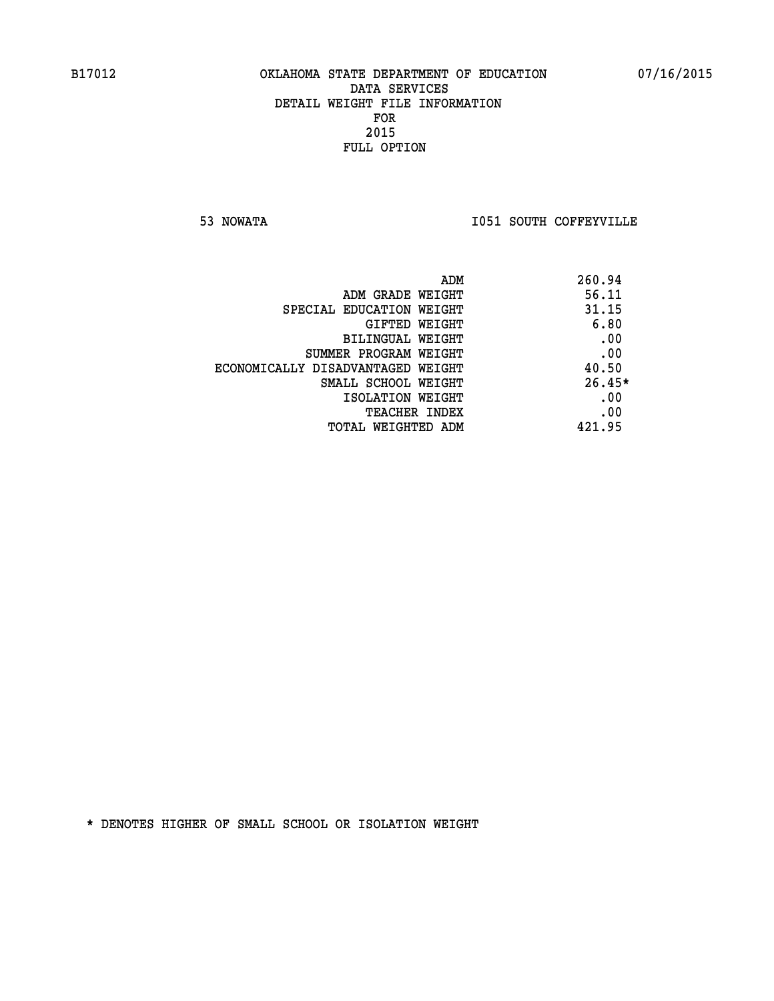**53 NOWATA I051 SOUTH COFFEYVILLE** 

| ADM                               | 260.94   |
|-----------------------------------|----------|
| ADM GRADE WEIGHT                  | 56.11    |
| SPECIAL EDUCATION WEIGHT          | 31.15    |
| <b>GIFTED WEIGHT</b>              | 6.80     |
| BILINGUAL WEIGHT                  | .00      |
| SUMMER PROGRAM WEIGHT             | .00      |
| ECONOMICALLY DISADVANTAGED WEIGHT | 40.50    |
| SMALL SCHOOL WEIGHT               | $26.45*$ |
| ISOLATION WEIGHT                  | .00      |
| <b>TEACHER INDEX</b>              | .00      |
| TOTAL WEIGHTED ADM                | 421.95   |
|                                   |          |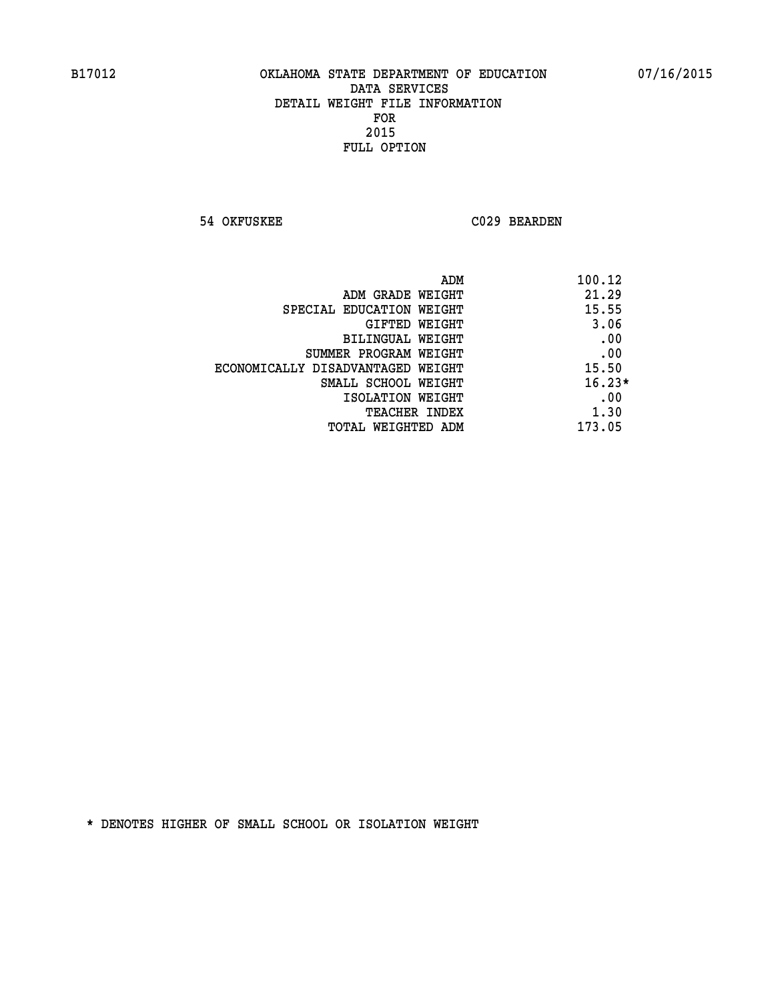**54 OKFUSKEE C029 BEARDEN** 

| ADM                               | 100.12   |
|-----------------------------------|----------|
| ADM GRADE WEIGHT                  | 21.29    |
| SPECIAL EDUCATION WEIGHT          | 15.55    |
| GIFTED WEIGHT                     | 3.06     |
| BILINGUAL WEIGHT                  | .00      |
| SUMMER PROGRAM WEIGHT             | .00      |
| ECONOMICALLY DISADVANTAGED WEIGHT | 15.50    |
| SMALL SCHOOL WEIGHT               | $16.23*$ |
| ISOLATION WEIGHT                  | .00      |
| <b>TEACHER INDEX</b>              | 1.30     |
| TOTAL WEIGHTED ADM                | 173.05   |
|                                   |          |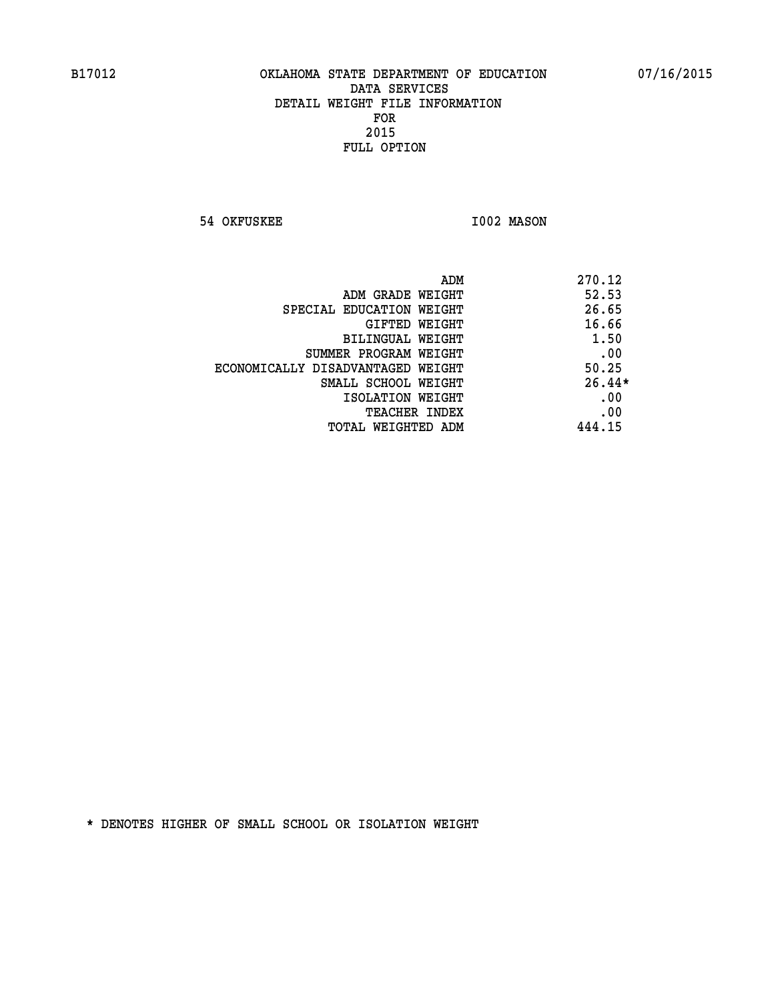**54 OKFUSKEE 1002 MASON** 

|                                   | 270.12<br>ADM |
|-----------------------------------|---------------|
| ADM GRADE WEIGHT                  | 52.53         |
| SPECIAL EDUCATION WEIGHT          | 26.65         |
| GIFTED WEIGHT                     | 16.66         |
| BILINGUAL WEIGHT                  | 1.50          |
| SUMMER PROGRAM WEIGHT             | .00           |
| ECONOMICALLY DISADVANTAGED WEIGHT | 50.25         |
| SMALL SCHOOL WEIGHT               | $26.44*$      |
| ISOLATION WEIGHT                  | .00           |
| <b>TEACHER INDEX</b>              | .00           |
| TOTAL WEIGHTED ADM                | 444.15        |
|                                   |               |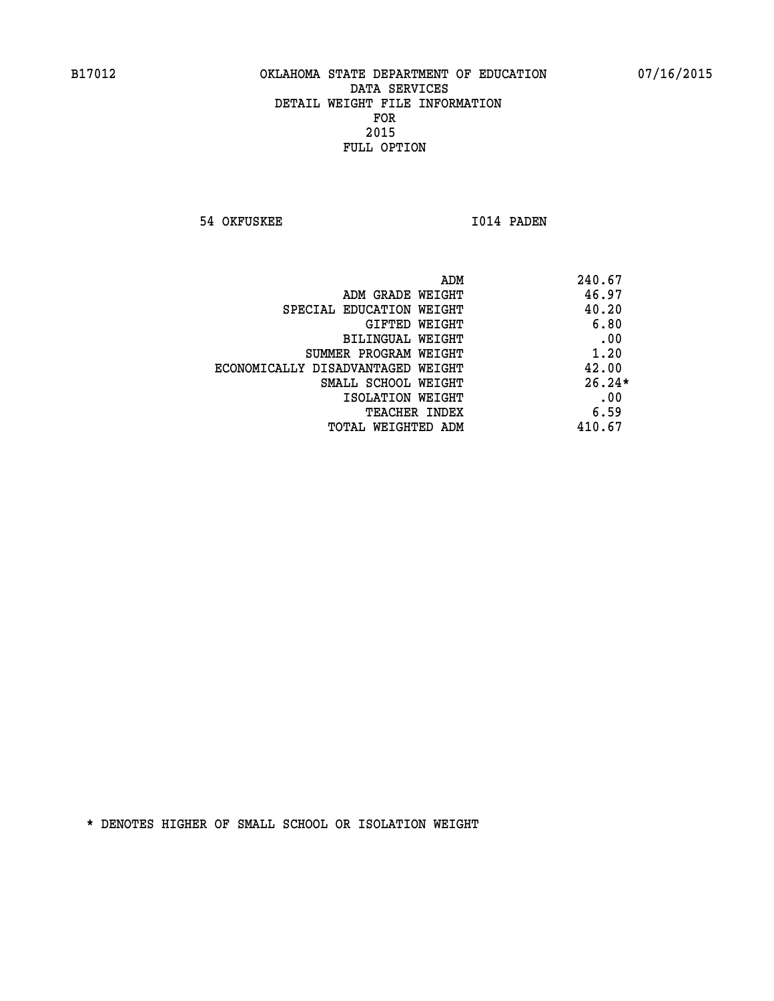**54 OKFUSKEE 1014 PADEN** 

| ADM<br>240.67                              |  |
|--------------------------------------------|--|
| 46.97<br>ADM GRADE WEIGHT                  |  |
| 40.20<br>SPECIAL EDUCATION WEIGHT          |  |
| 6.80<br><b>GIFTED WEIGHT</b>               |  |
| .00<br>BILINGUAL WEIGHT                    |  |
| 1.20<br>SUMMER PROGRAM WEIGHT              |  |
| 42.00<br>ECONOMICALLY DISADVANTAGED WEIGHT |  |
| $26.24*$<br>SMALL SCHOOL WEIGHT            |  |
| .00<br>ISOLATION WEIGHT                    |  |
| 6.59<br><b>TEACHER INDEX</b>               |  |
| 410.67<br>TOTAL WEIGHTED ADM               |  |
|                                            |  |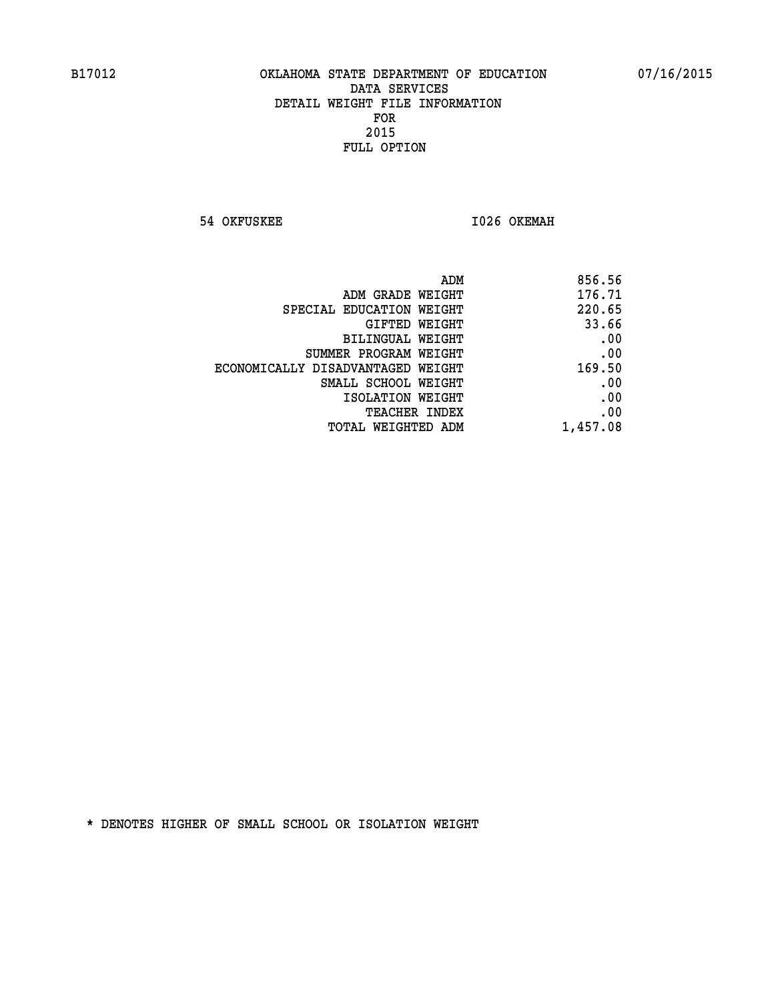**54 OKFUSKEE 1026 OKEMAH** 

| 856.56   |
|----------|
| 176.71   |
| 220.65   |
| 33.66    |
| .00      |
| .00      |
| 169.50   |
| .00      |
| .00      |
| .00      |
| 1,457.08 |
|          |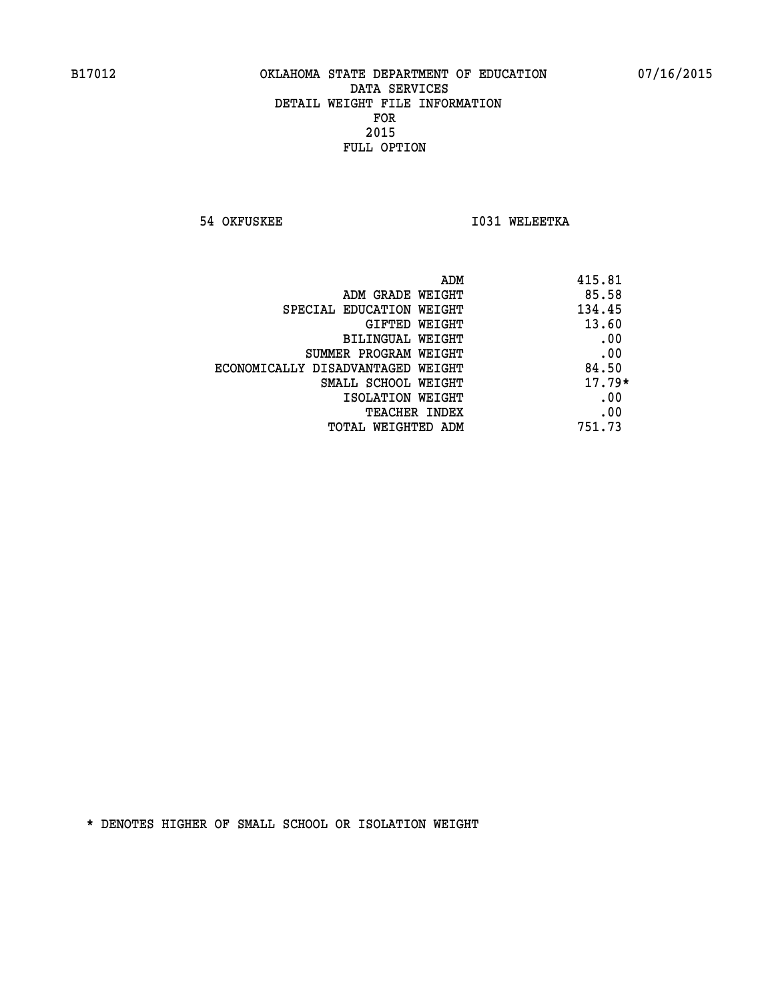**54 OKFUSKEE 1031 WELEETKA** 

|                                   | 415.81<br>ADM |  |
|-----------------------------------|---------------|--|
| ADM GRADE WEIGHT                  | 85.58         |  |
| SPECIAL EDUCATION WEIGHT          | 134.45        |  |
| <b>GIFTED WEIGHT</b>              | 13.60         |  |
| BILINGUAL WEIGHT                  | .00           |  |
| SUMMER PROGRAM WEIGHT             | .00           |  |
| ECONOMICALLY DISADVANTAGED WEIGHT | 84.50         |  |
| SMALL SCHOOL WEIGHT               | $17.79*$      |  |
| ISOLATION WEIGHT                  | .00           |  |
| <b>TEACHER INDEX</b>              | .00           |  |
| TOTAL WEIGHTED ADM                | 751.73        |  |
|                                   |               |  |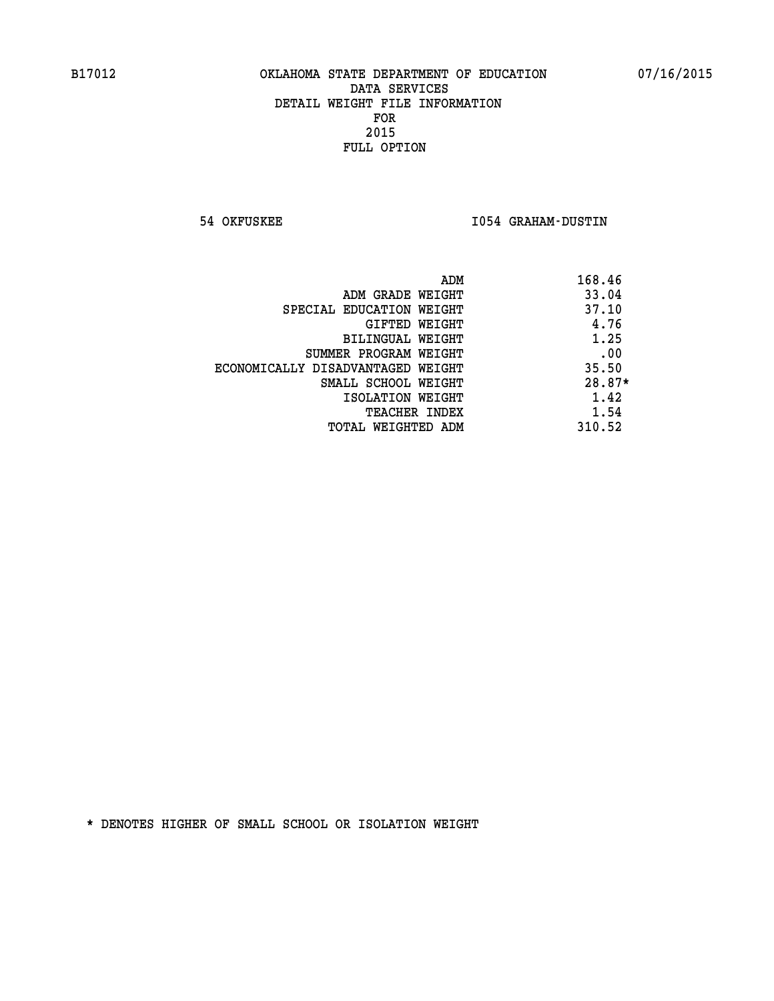**54 OKFUSKEE I054 GRAHAM-DUSTIN** 

| ADM                               | 168.46 |
|-----------------------------------|--------|
| ADM GRADE WEIGHT                  | 33.04  |
| SPECIAL EDUCATION WEIGHT          | 37.10  |
| GIFTED WEIGHT                     | 4.76   |
| BILINGUAL WEIGHT                  | 1.25   |
| SUMMER PROGRAM WEIGHT             | .00    |
| ECONOMICALLY DISADVANTAGED WEIGHT | 35.50  |
| SMALL SCHOOL WEIGHT               | 28.87* |
| ISOLATION WEIGHT                  | 1.42   |
| <b>TEACHER INDEX</b>              | 1.54   |
| TOTAL WEIGHTED ADM                | 310.52 |
|                                   |        |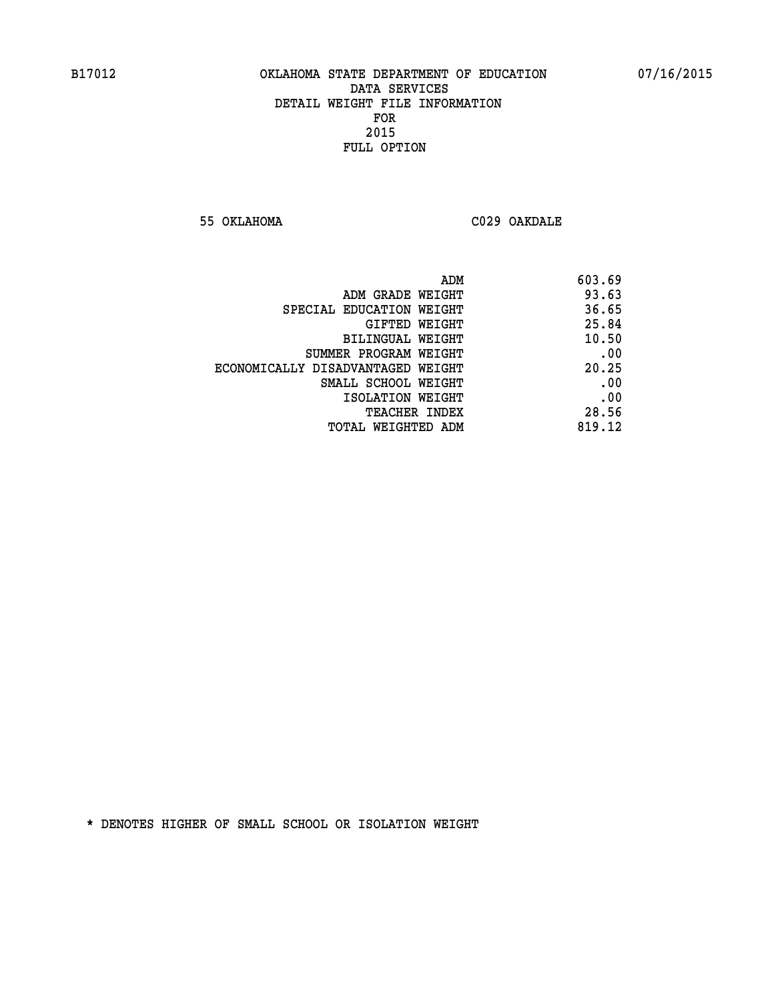**55 OKLAHOMA C029 OAKDALE** 

| 603.69 |
|--------|
| 93.63  |
| 36.65  |
| 25.84  |
| 10.50  |
| .00    |
| 20.25  |
| .00    |
| .00    |
| 28.56  |
| 819.12 |
|        |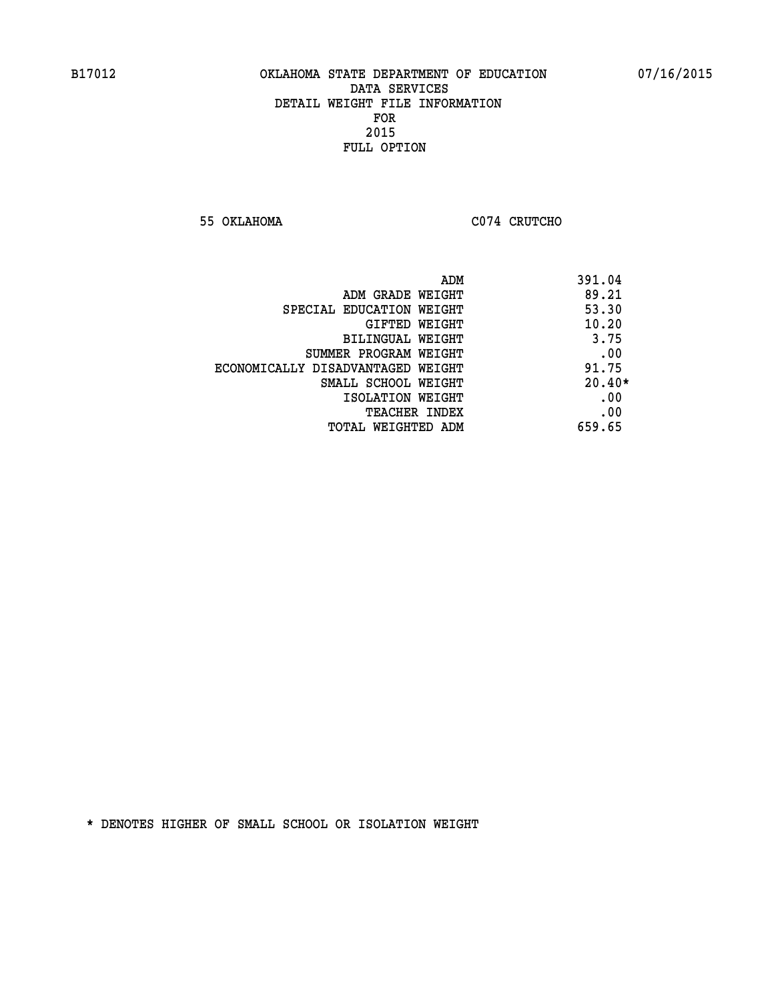**55 OKLAHOMA C074 CRUTCHO** 

| ADM                               | 391.04   |
|-----------------------------------|----------|
| ADM GRADE WEIGHT                  | 89.21    |
| SPECIAL EDUCATION WEIGHT          | 53.30    |
| <b>GIFTED WEIGHT</b>              | 10.20    |
| BILINGUAL WEIGHT                  | 3.75     |
| SUMMER PROGRAM WEIGHT             | .00      |
| ECONOMICALLY DISADVANTAGED WEIGHT | 91.75    |
| SMALL SCHOOL WEIGHT               | $20.40*$ |
| ISOLATION WEIGHT                  | .00      |
| <b>TEACHER INDEX</b>              | .00      |
| TOTAL WEIGHTED ADM                | 659.65   |
|                                   |          |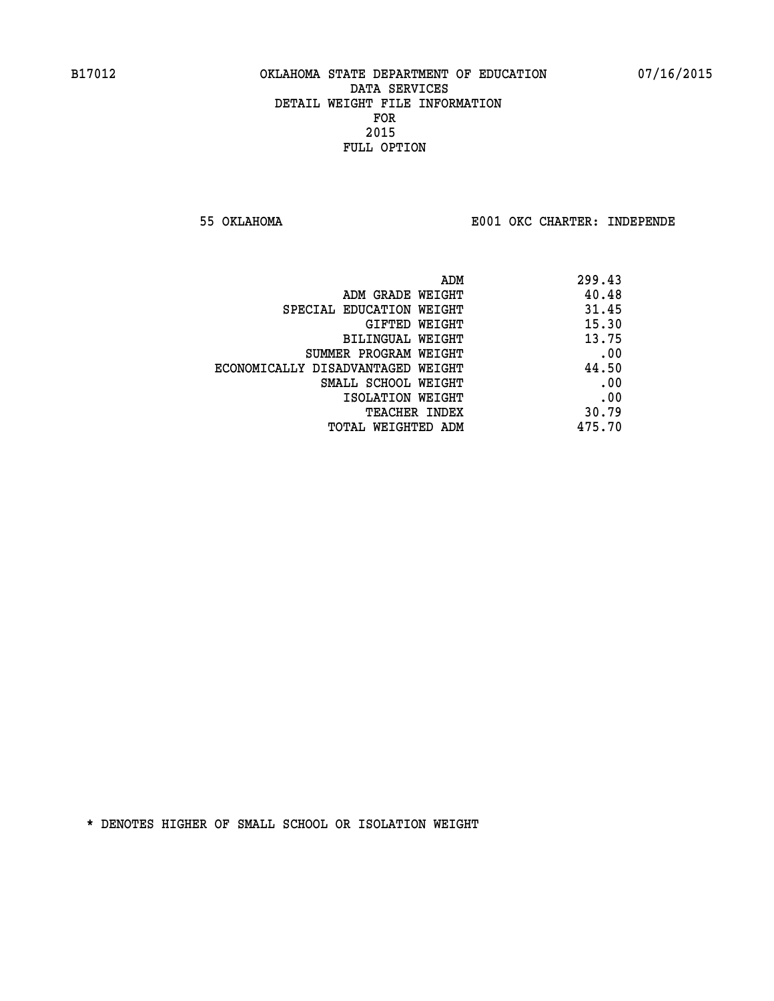**55 OKLAHOMA E001 OKC CHARTER: INDEPENDE**

| ADM                               | 299.43 |
|-----------------------------------|--------|
| ADM GRADE WEIGHT                  | 40.48  |
| SPECIAL EDUCATION WEIGHT          | 31.45  |
| GIFTED WEIGHT                     | 15.30  |
| BILINGUAL WEIGHT                  | 13.75  |
| SUMMER PROGRAM WEIGHT             | .00    |
| ECONOMICALLY DISADVANTAGED WEIGHT | 44.50  |
| SMALL SCHOOL WEIGHT               | .00    |
| ISOLATION WEIGHT                  | .00    |
| <b>TEACHER INDEX</b>              | 30.79  |
| TOTAL WEIGHTED ADM                | 475.70 |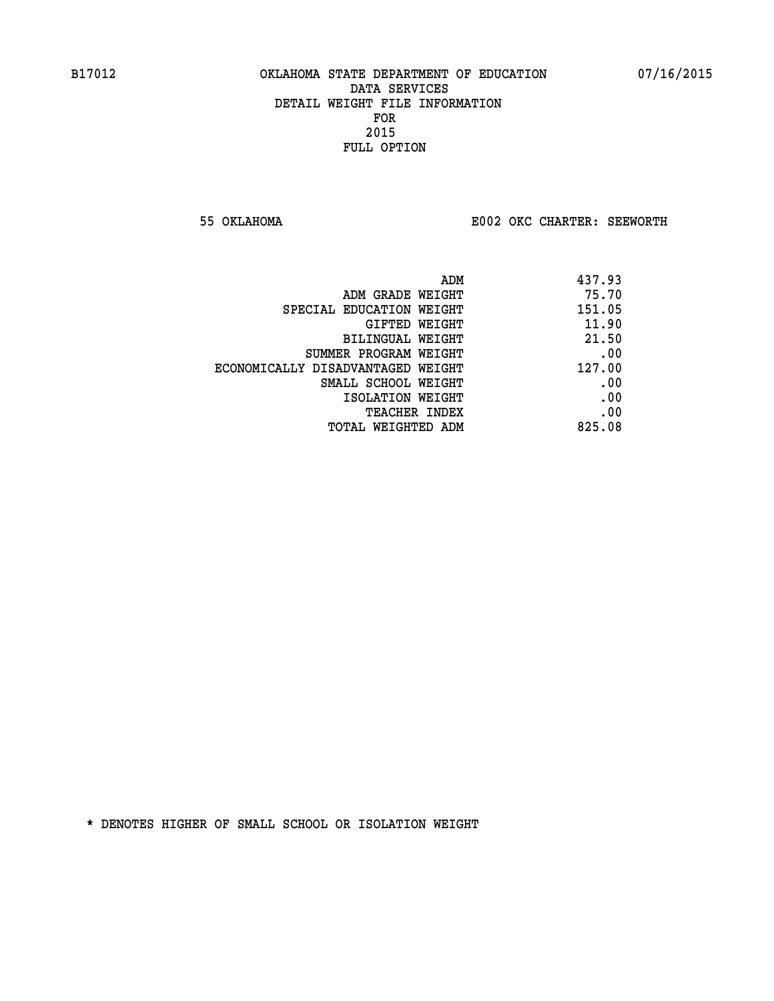**55 OKLAHOMA E002 OKC CHARTER: SEEWORTH** 

| 437.93 |
|--------|
| 75.70  |
| 151.05 |
| 11.90  |
| 21.50  |
| .00    |
| 127.00 |
| .00    |
| .00    |
| .00    |
| 825.08 |
|        |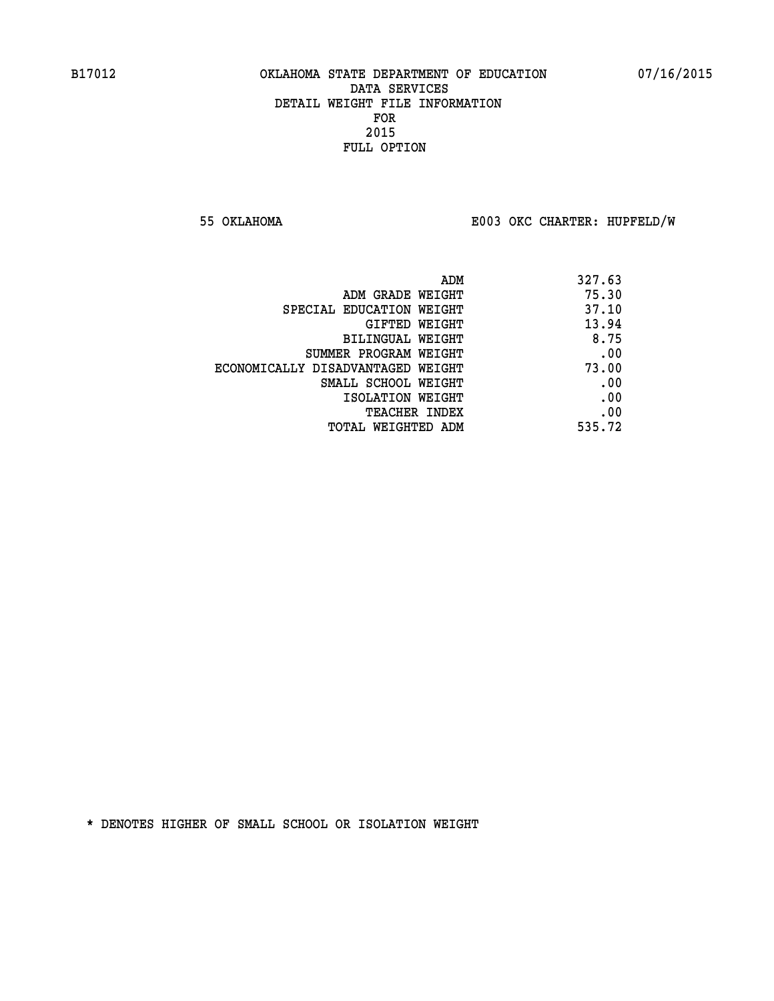**55 OKLAHOMA E003 OKC CHARTER: HUPFELD/W**

| ADM                               | 327.63 |
|-----------------------------------|--------|
| ADM GRADE WEIGHT                  | 75.30  |
| SPECIAL EDUCATION WEIGHT          | 37.10  |
| GIFTED WEIGHT                     | 13.94  |
| BILINGUAL WEIGHT                  | 8.75   |
| SUMMER PROGRAM WEIGHT             | .00    |
| ECONOMICALLY DISADVANTAGED WEIGHT | 73.00  |
| SMALL SCHOOL WEIGHT               | .00    |
| ISOLATION WEIGHT                  | .00    |
| <b>TEACHER INDEX</b>              | .00    |
| TOTAL WEIGHTED ADM                | 535.72 |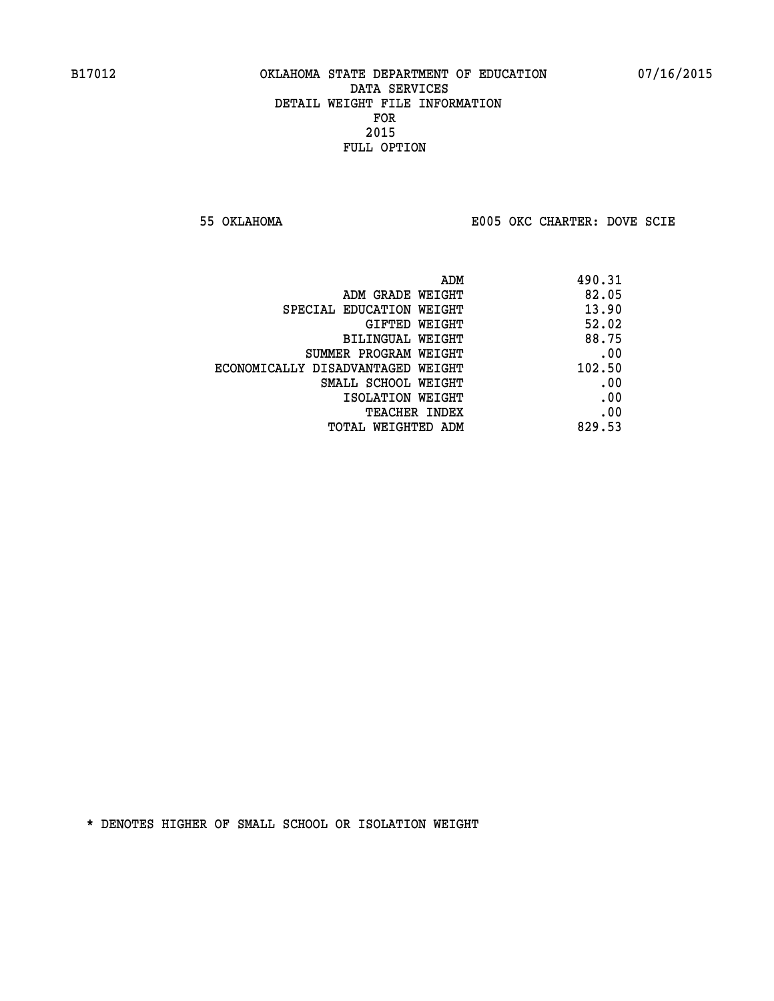**55 OKLAHOMA E005 OKC CHARTER: DOVE SCIE**

| ADM                               | 490.31 |
|-----------------------------------|--------|
| ADM GRADE WEIGHT                  | 82.05  |
| SPECIAL EDUCATION WEIGHT          | 13.90  |
| GIFTED WEIGHT                     | 52.02  |
| BILINGUAL WEIGHT                  | 88.75  |
| SUMMER PROGRAM WEIGHT             | .00    |
| ECONOMICALLY DISADVANTAGED WEIGHT | 102.50 |
| SMALL SCHOOL WEIGHT               | .00    |
| ISOLATION WEIGHT                  | .00    |
| <b>TEACHER INDEX</b>              | .00    |
| TOTAL WEIGHTED ADM                | 829.53 |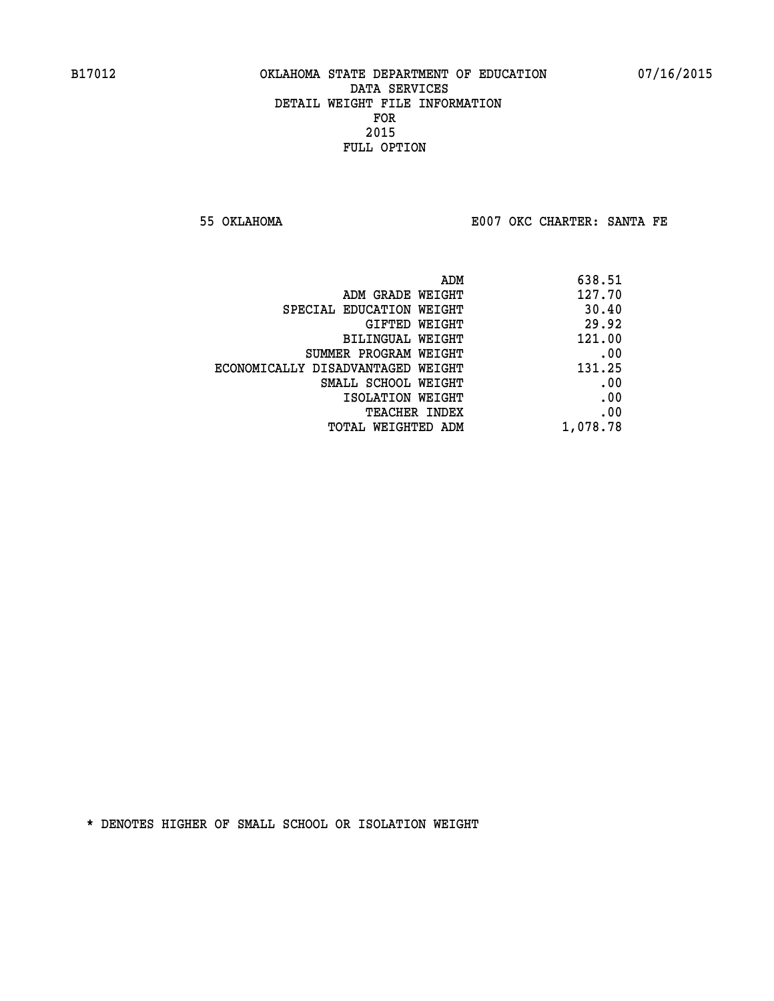**55 OKLAHOMA E007 OKC CHARTER: SANTA FE** 

| 638.51   |
|----------|
| 127.70   |
| 30.40    |
| 29.92    |
| 121.00   |
| .00      |
| 131.25   |
| .00      |
| .00      |
| .00      |
| 1,078.78 |
|          |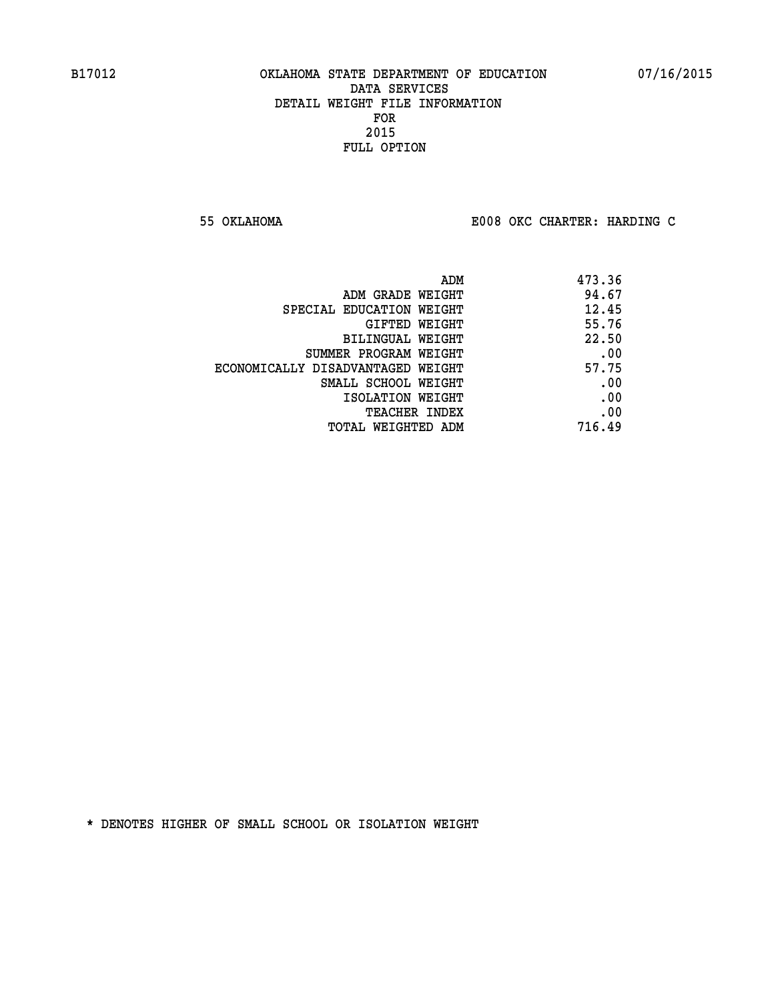**55 OKLAHOMA E008 OKC CHARTER: HARDING C**

| ADM                               | 473.36 |
|-----------------------------------|--------|
| ADM GRADE WEIGHT                  | 94.67  |
| SPECIAL EDUCATION WEIGHT          | 12.45  |
| GIFTED WEIGHT                     | 55.76  |
| BILINGUAL WEIGHT                  | 22.50  |
| SUMMER PROGRAM WEIGHT             | .00    |
| ECONOMICALLY DISADVANTAGED WEIGHT | 57.75  |
| SMALL SCHOOL WEIGHT               | .00    |
| ISOLATION WEIGHT                  | .00    |
| <b>TEACHER INDEX</b>              | .00    |
| TOTAL WEIGHTED ADM                | 716.49 |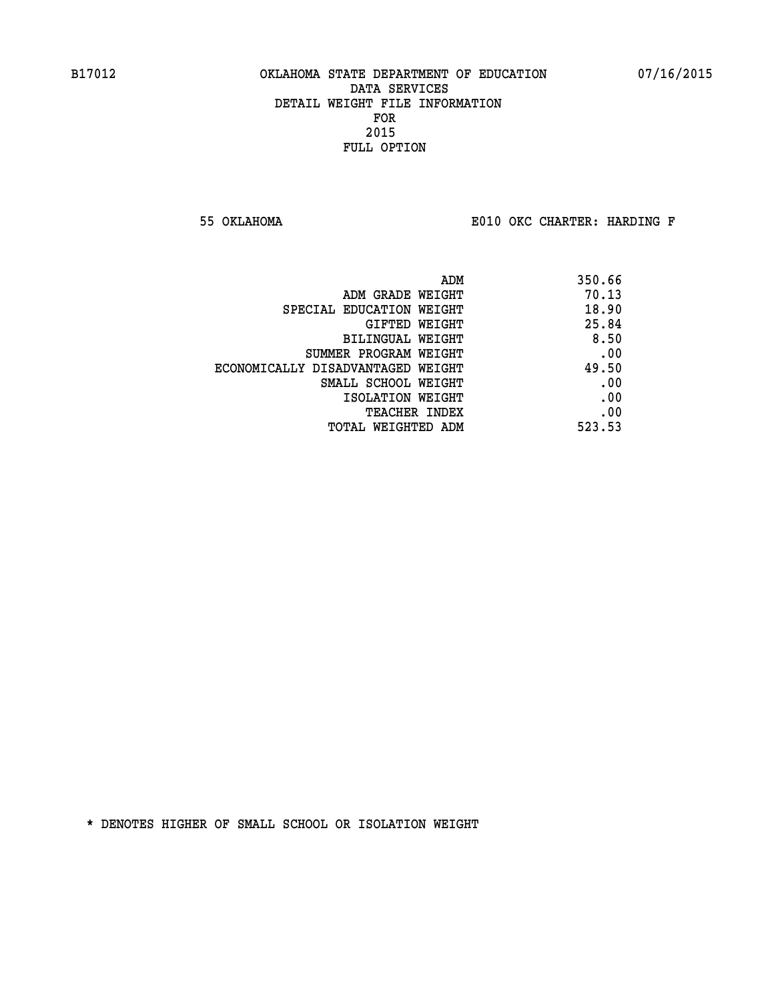**55 OKLAHOMA E010 OKC CHARTER: HARDING F**

| 350.66 |
|--------|
| 70.13  |
| 18.90  |
| 25.84  |
| 8.50   |
| .00    |
| 49.50  |
| .00    |
| .00    |
| .00    |
| 523.53 |
|        |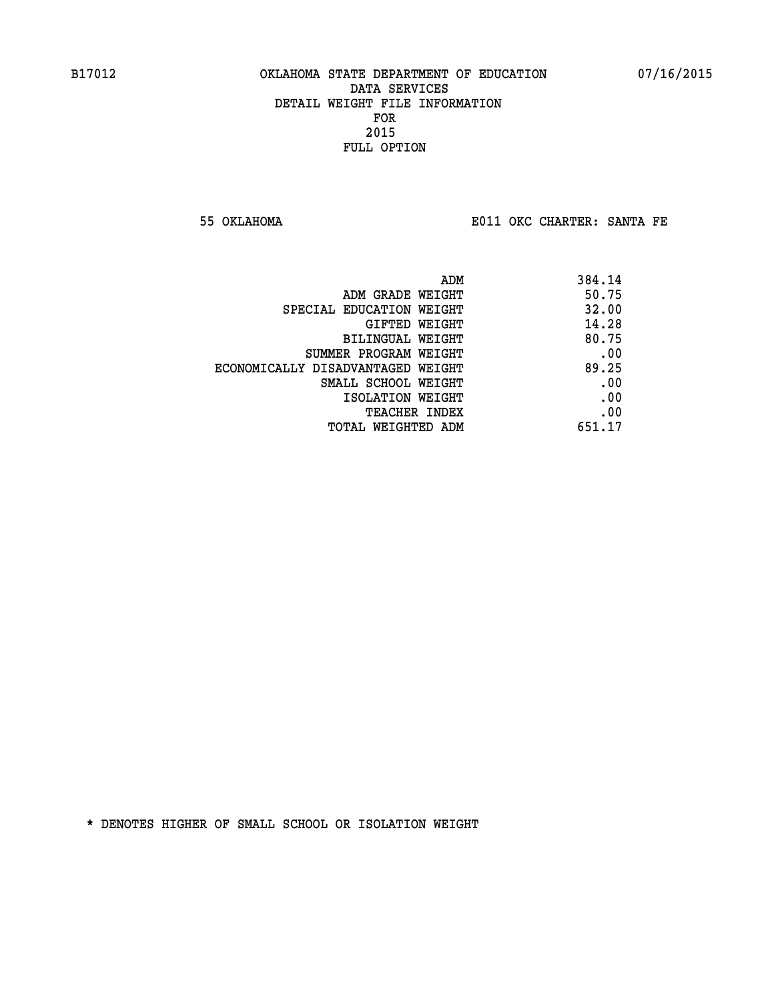**55 OKLAHOMA E011 OKC CHARTER: SANTA FE** 

| 384.14 |
|--------|
| 50.75  |
| 32.00  |
| 14.28  |
| 80.75  |
| .00    |
| 89.25  |
| .00    |
| .00    |
| .00    |
| 651.17 |
|        |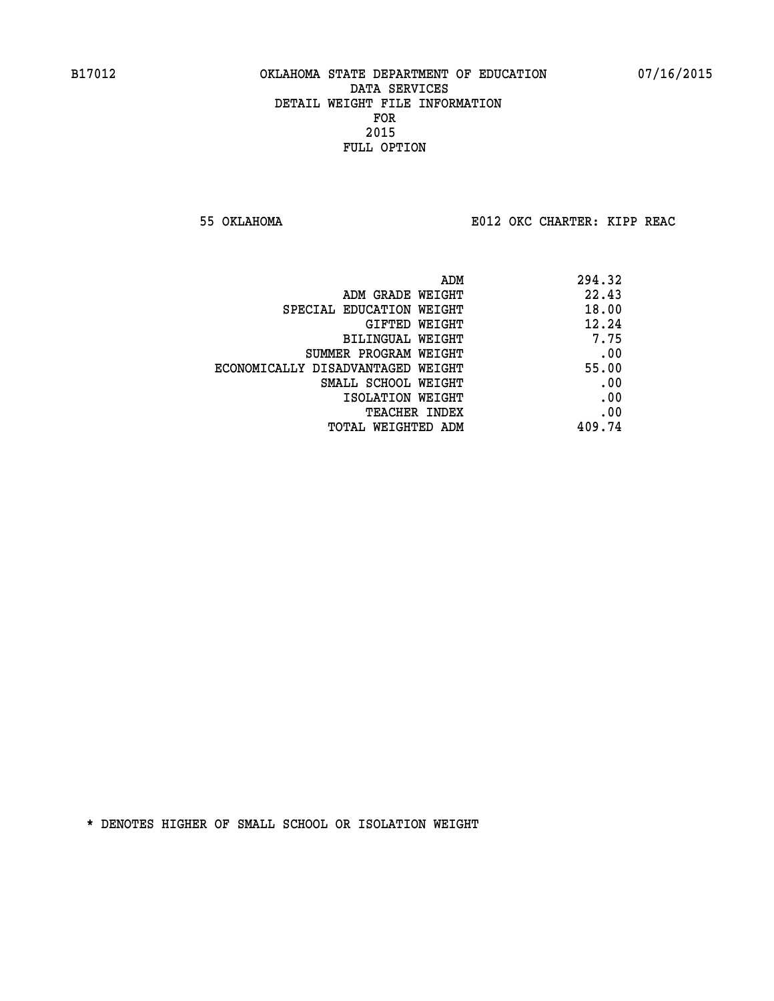**55 OKLAHOMA E012 OKC CHARTER: KIPP REAC**

| 294.32 |
|--------|
| 22.43  |
| 18.00  |
| 12.24  |
| 7.75   |
| .00    |
| 55.00  |
| .00    |
| .00    |
| .00    |
| 409.74 |
|        |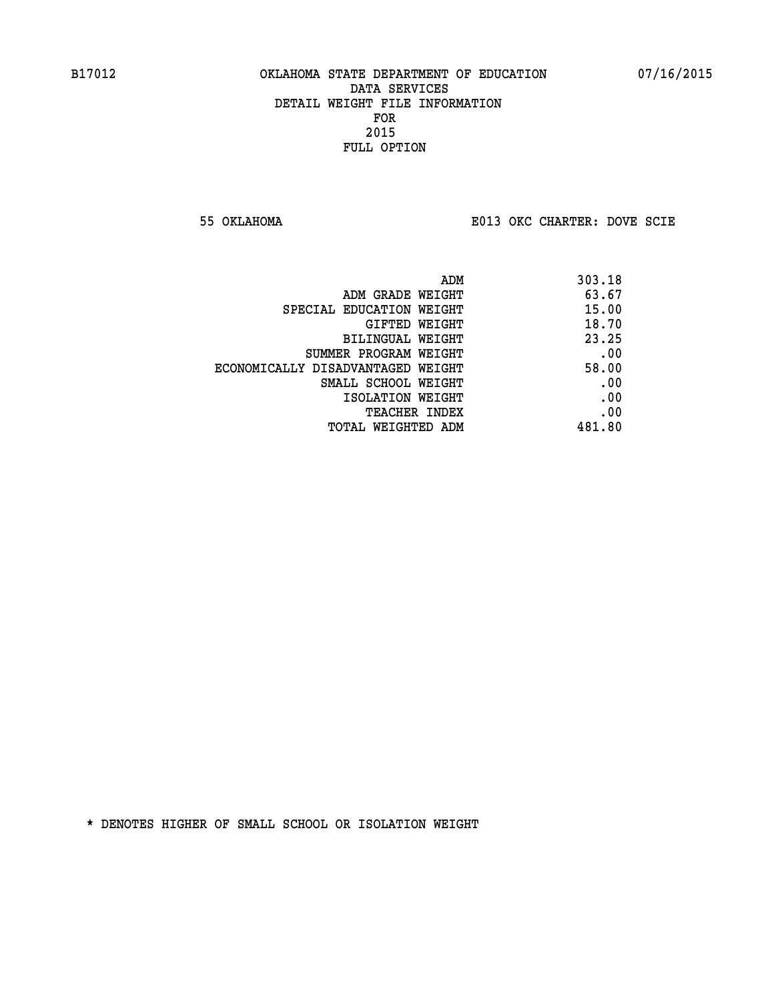**55 OKLAHOMA E013 OKC CHARTER: DOVE SCIE**

| 303.18 |
|--------|
| 63.67  |
| 15.00  |
| 18.70  |
| 23.25  |
| .00    |
| 58.00  |
| .00    |
| .00    |
| .00    |
| 481.80 |
|        |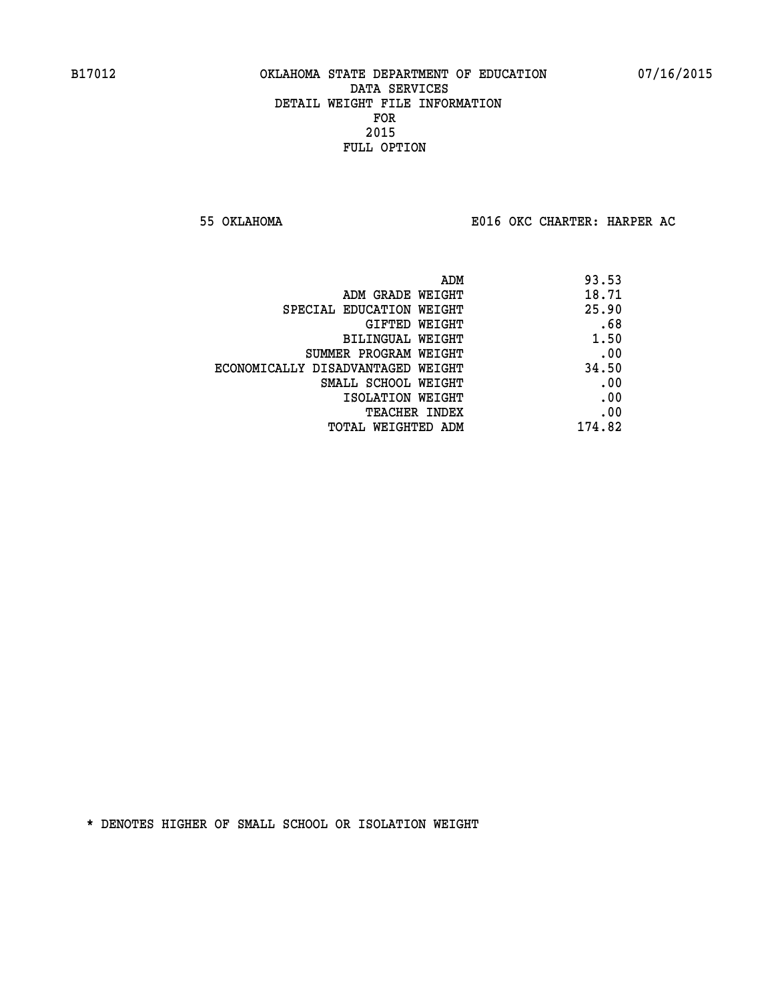**55 OKLAHOMA E016 OKC CHARTER: HARPER AC**

| 93.53  |
|--------|
| 18.71  |
| 25.90  |
| .68    |
| 1.50   |
| .00    |
| 34.50  |
| .00    |
| .00    |
| .00    |
| 174.82 |
|        |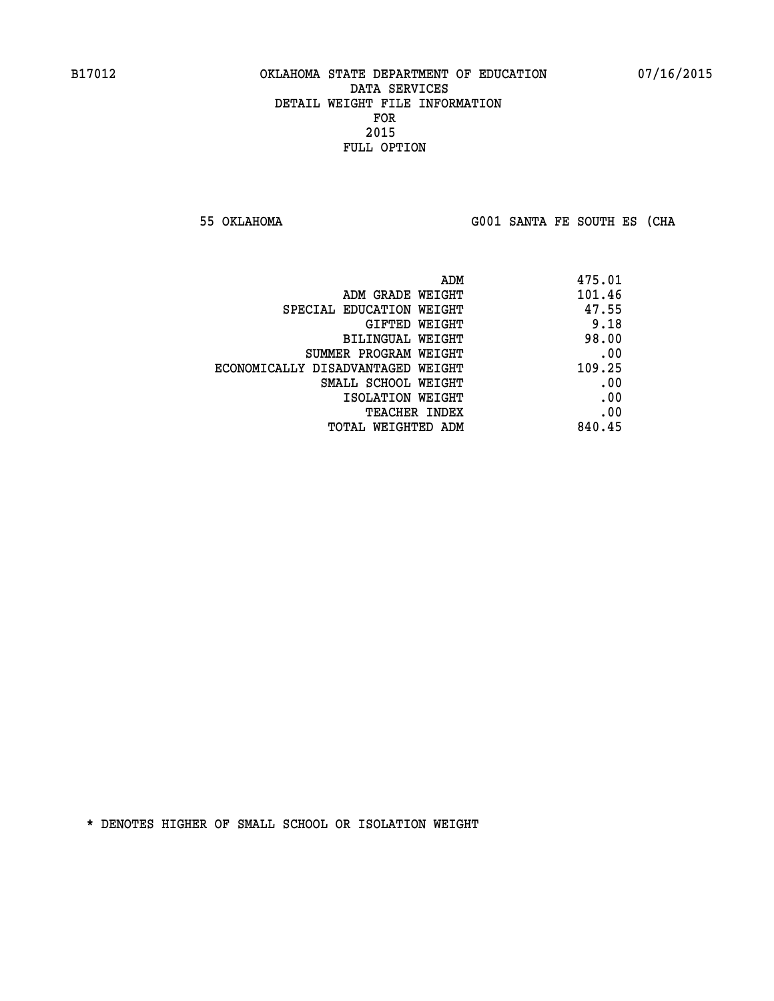**55 OKLAHOMA G001 SANTA FE SOUTH ES (CHA**

| 475.01 |
|--------|
| 101.46 |
| 47.55  |
| 9.18   |
| 98.00  |
| .00    |
| 109.25 |
| .00    |
| .00    |
| .00    |
| 840.45 |
|        |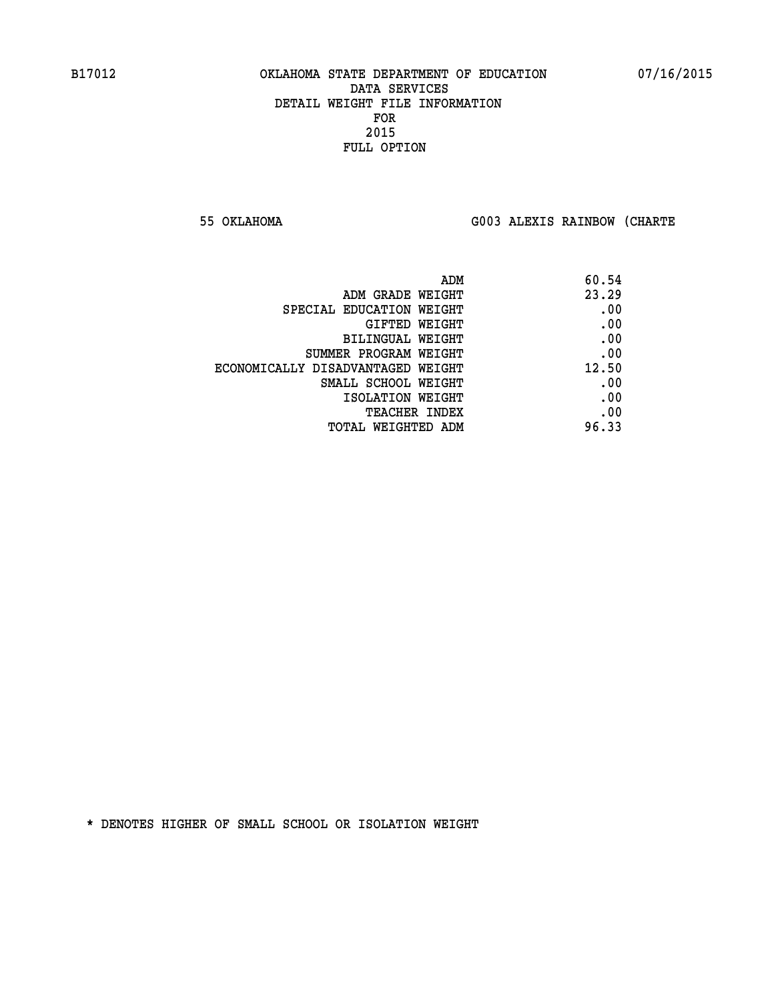**55 OKLAHOMA G003 ALEXIS RAINBOW (CHARTE**

| 60.54 |
|-------|
| 23.29 |
| .00   |
| .00   |
| .00   |
| .00   |
| 12.50 |
| .00   |
| .00   |
| .00   |
| 96.33 |
|       |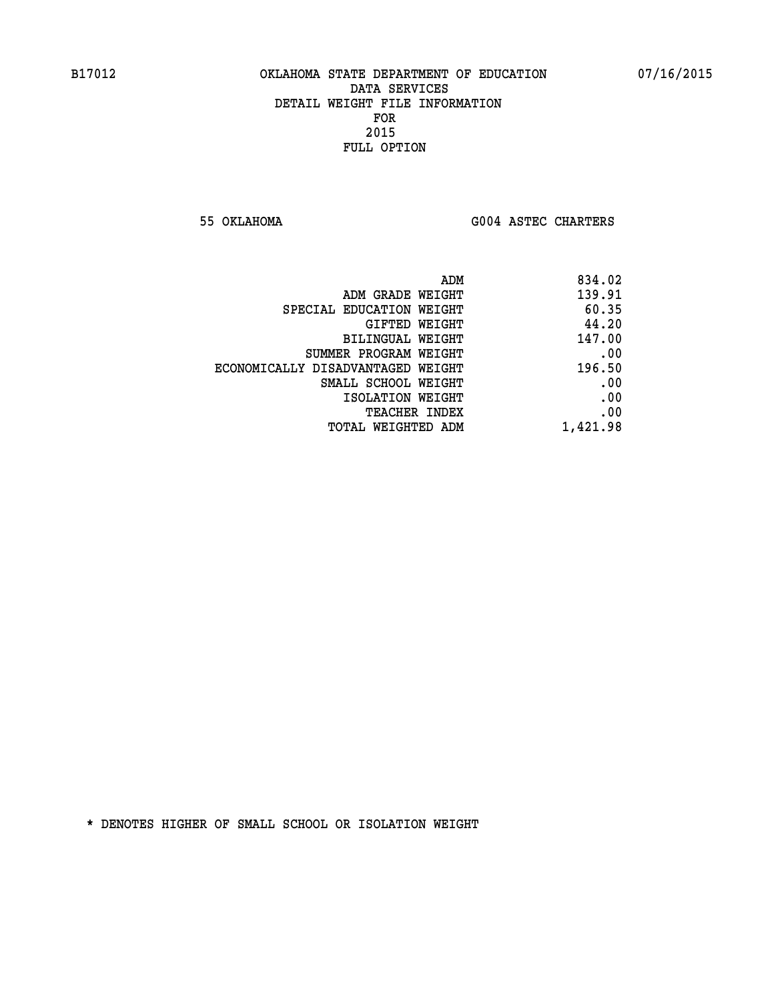**55 OKLAHOMA G004 ASTEC CHARTERS** 

| ADM                               | 834.02   |
|-----------------------------------|----------|
| ADM GRADE WEIGHT                  | 139.91   |
| SPECIAL EDUCATION WEIGHT          | 60.35    |
| GIFTED WEIGHT                     | 44.20    |
| BILINGUAL WEIGHT                  | 147.00   |
| SUMMER PROGRAM WEIGHT             | .00      |
| ECONOMICALLY DISADVANTAGED WEIGHT | 196.50   |
| SMALL SCHOOL WEIGHT               | .00      |
| ISOLATION WEIGHT                  | .00      |
| <b>TEACHER INDEX</b>              | .00      |
| <b>TOTAL WEIGHTED ADM</b>         | 1,421.98 |
|                                   |          |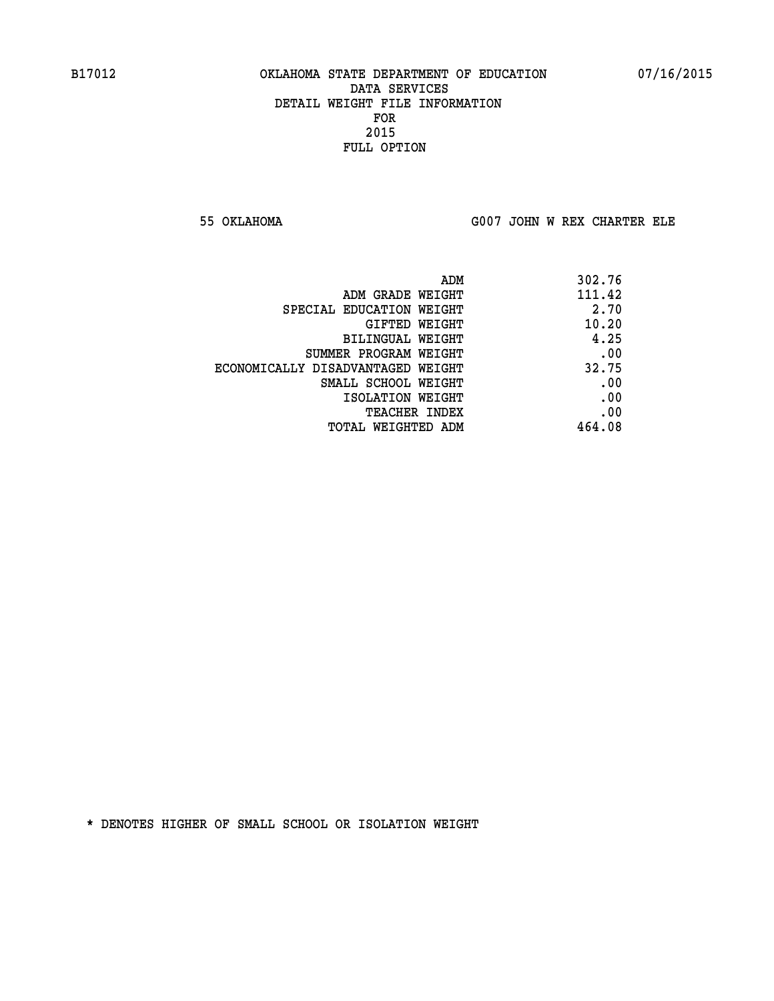**55 OKLAHOMA G007 JOHN W REX CHARTER ELE**

| ADM                               | 302.76 |
|-----------------------------------|--------|
| ADM GRADE WEIGHT                  | 111.42 |
| SPECIAL EDUCATION WEIGHT          | 2.70   |
| GIFTED WEIGHT                     | 10.20  |
| BILINGUAL WEIGHT                  | 4.25   |
| SUMMER PROGRAM WEIGHT             | .00    |
| ECONOMICALLY DISADVANTAGED WEIGHT | 32.75  |
| SMALL SCHOOL WEIGHT               | .00    |
| ISOLATION WEIGHT                  | .00    |
| <b>TEACHER INDEX</b>              | .00    |
| TOTAL WEIGHTED ADM                | 464.08 |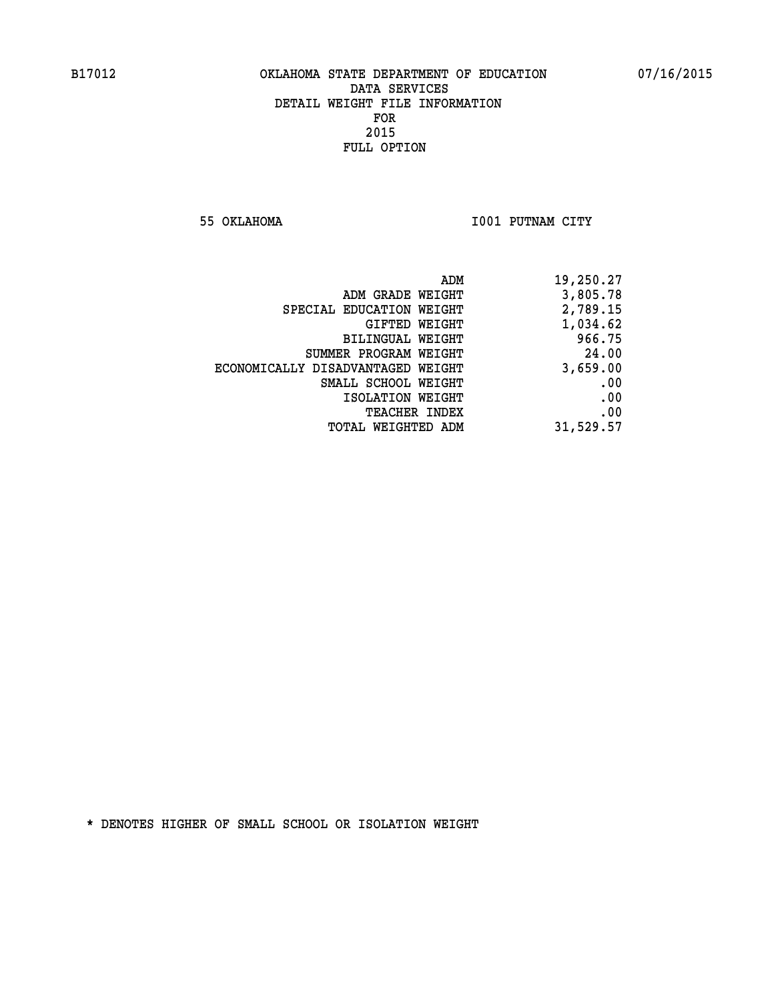**55 OKLAHOMA I001 PUTNAM CITY** 

| 19,250.27 |
|-----------|
| 3,805.78  |
| 2,789.15  |
| 1,034.62  |
| 966.75    |
| 24.00     |
| 3,659.00  |
| .00       |
| .00       |
| .00       |
| 31,529.57 |
|           |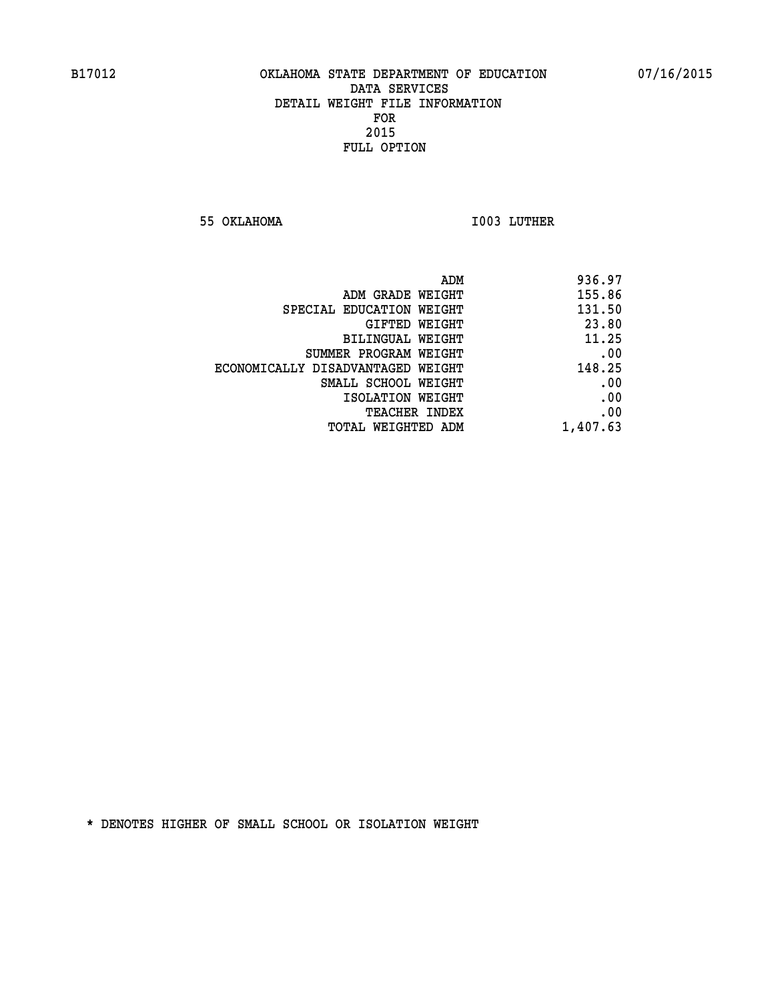**55 OKLAHOMA I003 LUTHER** 

| ADM                               | 936.97   |
|-----------------------------------|----------|
| ADM GRADE WEIGHT                  | 155.86   |
| SPECIAL EDUCATION WEIGHT          | 131.50   |
| GIFTED WEIGHT                     | 23.80    |
| <b>BILINGUAL WEIGHT</b>           | 11.25    |
| SUMMER PROGRAM WEIGHT             | .00      |
| ECONOMICALLY DISADVANTAGED WEIGHT | 148.25   |
| SMALL SCHOOL WEIGHT               | .00      |
| ISOLATION WEIGHT                  | .00      |
| TEACHER INDEX                     | .00      |
| TOTAL WEIGHTED ADM                | 1,407.63 |
|                                   |          |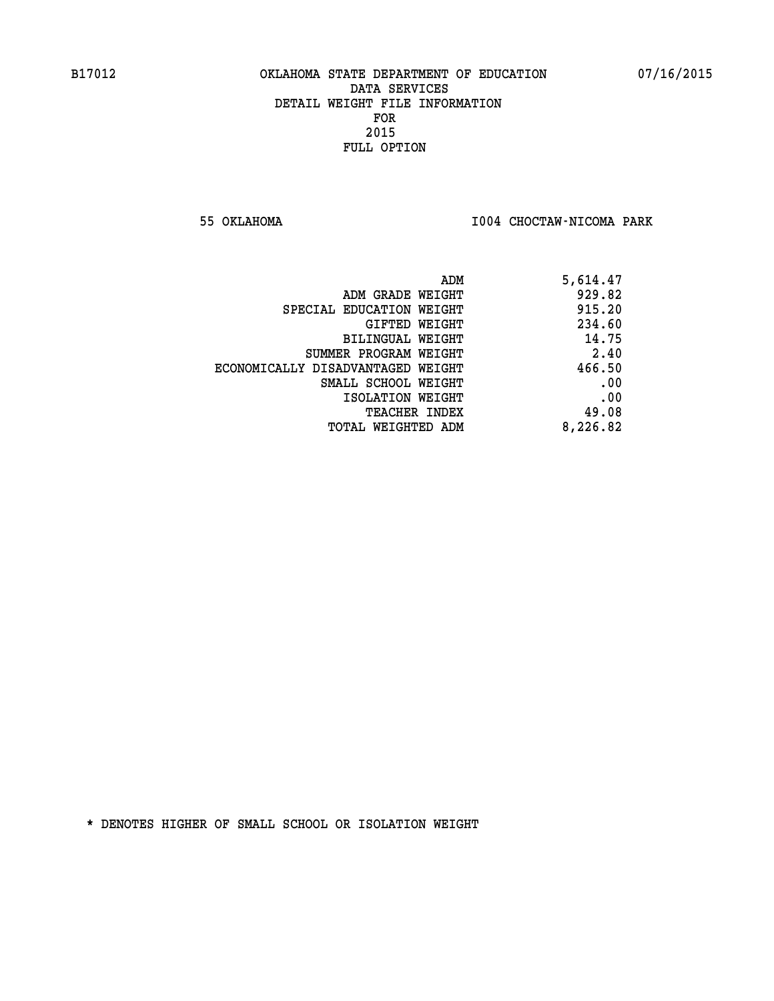**55 OKLAHOMA I004 CHOCTAW-NICOMA PARK** 

| ADM                               | 5,614.47 |
|-----------------------------------|----------|
| ADM GRADE WEIGHT                  | 929.82   |
| SPECIAL EDUCATION WEIGHT          | 915.20   |
| GIFTED WEIGHT                     | 234.60   |
| BILINGUAL WEIGHT                  | 14.75    |
| SUMMER PROGRAM WEIGHT             | 2.40     |
| ECONOMICALLY DISADVANTAGED WEIGHT | 466.50   |
| SMALL SCHOOL WEIGHT               | .00      |
| ISOLATION WEIGHT                  | .00      |
| <b>TEACHER INDEX</b>              | 49.08    |
| TOTAL WEIGHTED ADM                | 8,226.82 |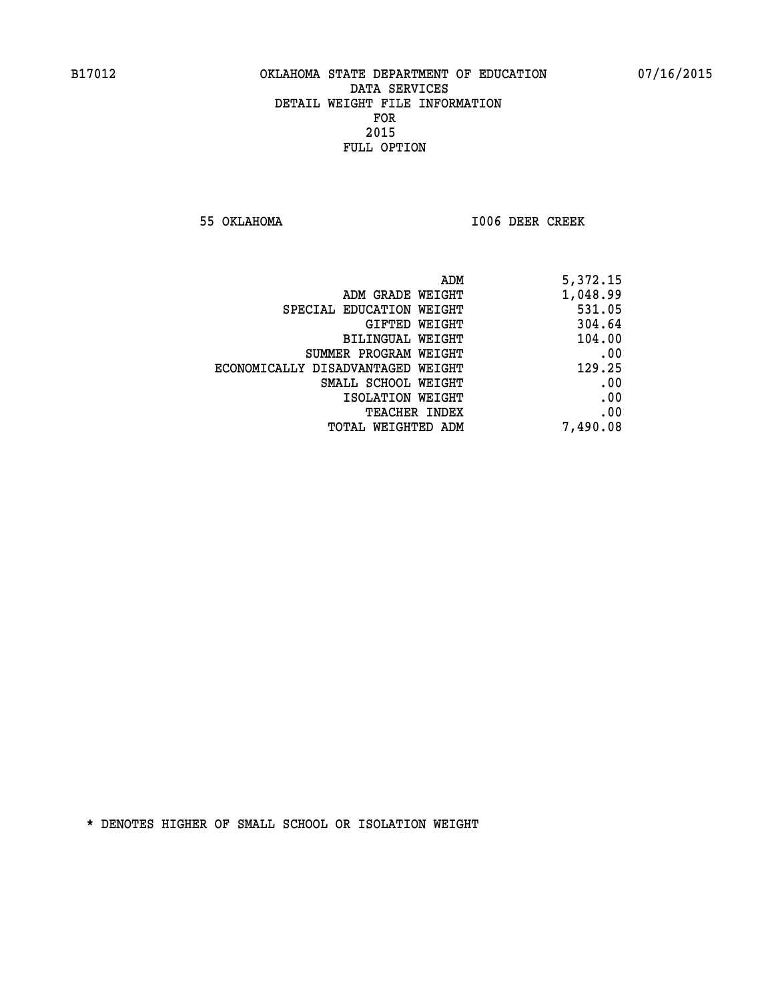**55 OKLAHOMA I006 DEER CREEK** 

| ADM                               | 5,372.15 |
|-----------------------------------|----------|
| ADM GRADE WEIGHT                  | 1,048.99 |
| SPECIAL EDUCATION WEIGHT          | 531.05   |
| GIFTED WEIGHT                     | 304.64   |
| BILINGUAL WEIGHT                  | 104.00   |
| SUMMER PROGRAM WEIGHT             | .00      |
| ECONOMICALLY DISADVANTAGED WEIGHT | 129.25   |
| SMALL SCHOOL WEIGHT               | .00      |
| ISOLATION WEIGHT                  | .00      |
| <b>TEACHER INDEX</b>              | .00      |
| <b>TOTAL WEIGHTED ADM</b>         | 7,490.08 |
|                                   |          |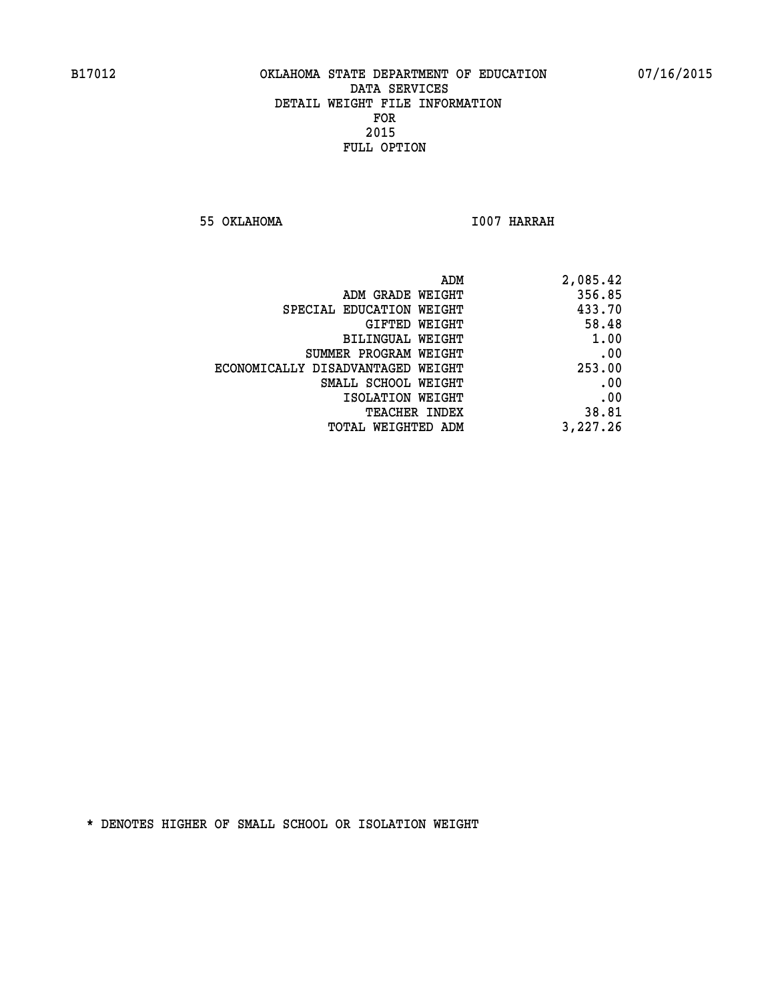**55 OKLAHOMA I007 HARRAH** 

| ADM                               | 2,085.42 |
|-----------------------------------|----------|
| ADM GRADE WEIGHT                  | 356.85   |
| SPECIAL EDUCATION WEIGHT          | 433.70   |
| GIFTED WEIGHT                     | 58.48    |
| BILINGUAL WEIGHT                  | 1.00     |
| SUMMER PROGRAM WEIGHT             | .00      |
| ECONOMICALLY DISADVANTAGED WEIGHT | 253.00   |
| SMALL SCHOOL WEIGHT               | .00      |
| ISOLATION WEIGHT                  | .00      |
| <b>TEACHER INDEX</b>              | 38.81    |
| TOTAL WEIGHTED ADM                | 3,227.26 |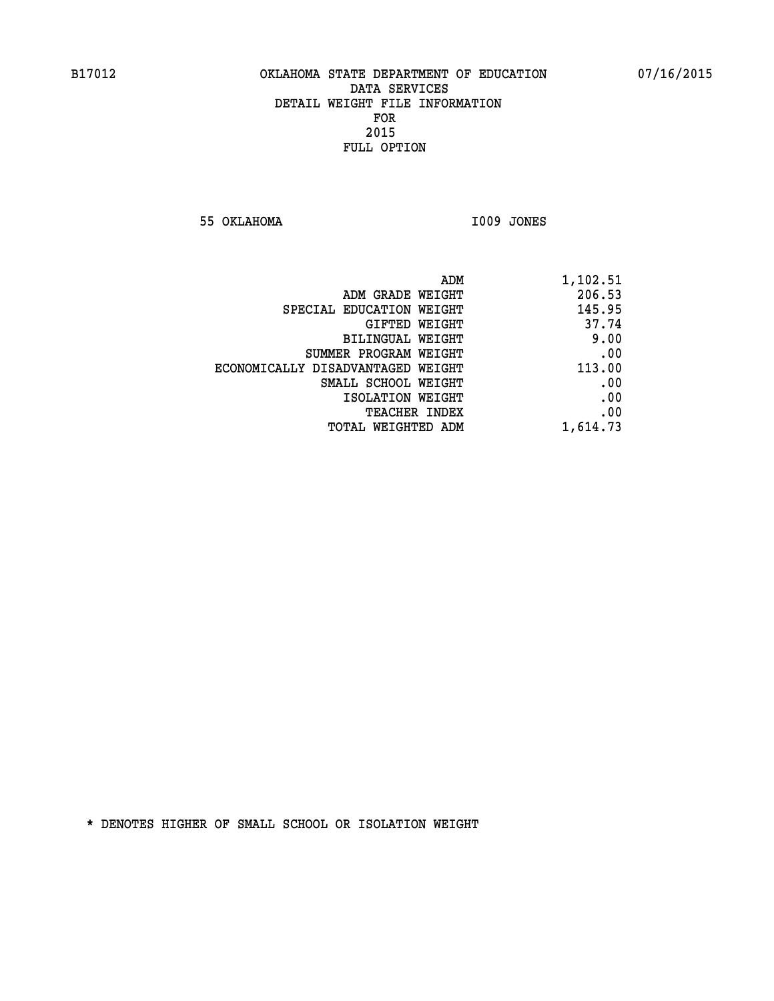**55 OKLAHOMA I009 JONES** 

| ADM<br>1,102.51                       |        |
|---------------------------------------|--------|
| ADM GRADE WEIGHT                      | 206.53 |
| SPECIAL EDUCATION WEIGHT              | 145.95 |
| GIFTED WEIGHT                         | 37.74  |
| BILINGUAL WEIGHT                      | 9.00   |
| SUMMER PROGRAM WEIGHT                 | .00    |
| ECONOMICALLY DISADVANTAGED WEIGHT     | 113.00 |
| SMALL SCHOOL WEIGHT                   | .00    |
| ISOLATION WEIGHT                      | .00    |
| <b>TEACHER INDEX</b>                  | .00    |
| 1,614.73<br><b>TOTAL WEIGHTED ADM</b> |        |
|                                       |        |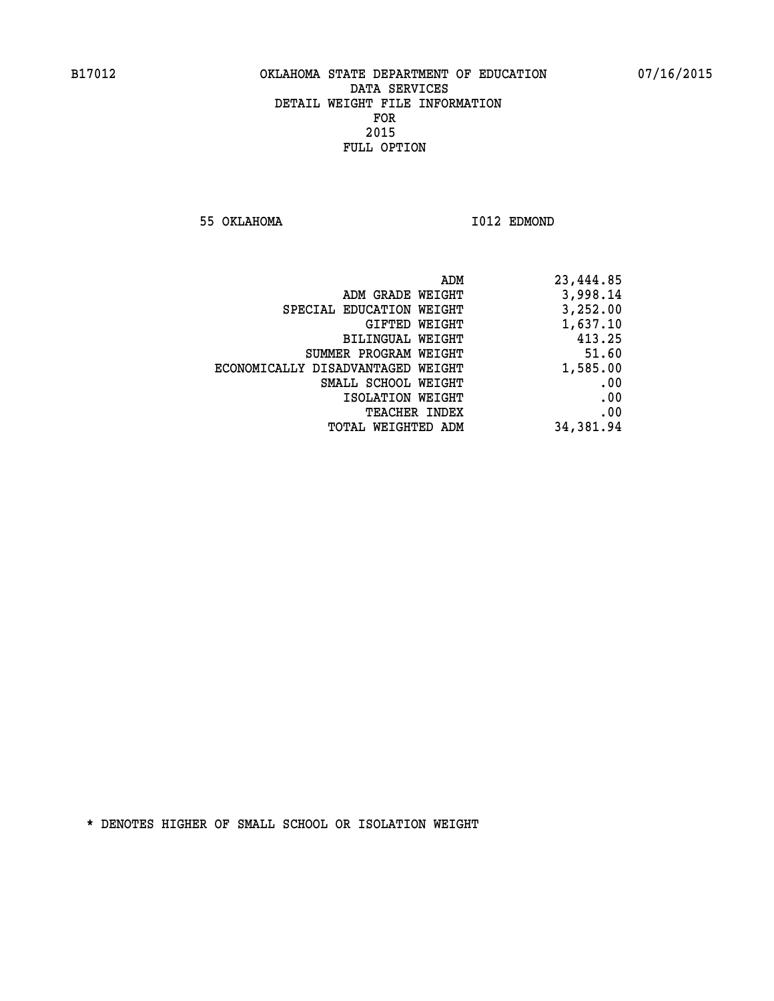**55 OKLAHOMA I012 EDMOND** 

|                                   | ADM<br>23,444.85 |
|-----------------------------------|------------------|
| ADM GRADE WEIGHT                  | 3,998.14         |
| SPECIAL EDUCATION WEIGHT          | 3,252.00         |
| GIFTED WEIGHT                     | 1,637.10         |
| <b>BILINGUAL WEIGHT</b>           | 413.25           |
| SUMMER PROGRAM WEIGHT             | 51.60            |
| ECONOMICALLY DISADVANTAGED WEIGHT | 1,585.00         |
| SMALL SCHOOL WEIGHT               | .00              |
| ISOLATION WEIGHT                  | .00              |
| TEACHER INDEX                     | .00              |
| TOTAL WEIGHTED ADM                | 34,381.94        |
|                                   |                  |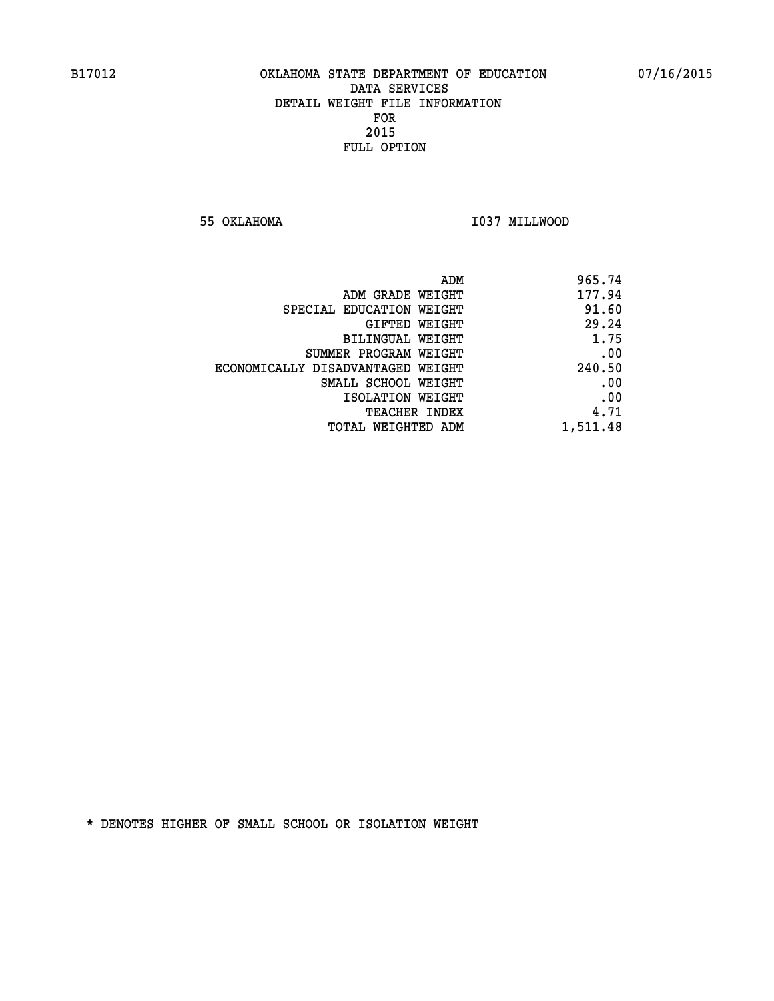**55 OKLAHOMA I037 MILLWOOD** 

| 965.74   |
|----------|
| 177.94   |
| 91.60    |
| 29.24    |
| 1.75     |
| .00      |
| 240.50   |
| .00      |
| .00      |
| 4.71     |
| 1,511.48 |
|          |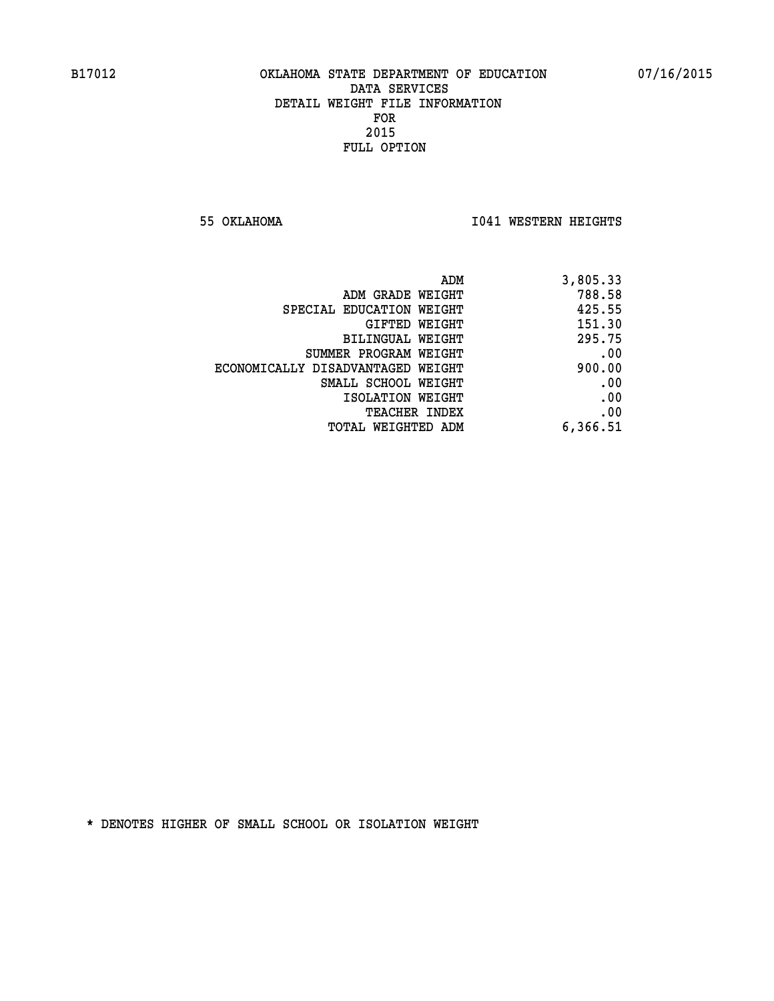**55 OKLAHOMA I041 WESTERN HEIGHTS** 

| 3,805.33 | ADM                               |  |
|----------|-----------------------------------|--|
| 788.58   | ADM GRADE WEIGHT                  |  |
| 425.55   | SPECIAL EDUCATION WEIGHT          |  |
| 151.30   | <b>GIFTED WEIGHT</b>              |  |
| 295.75   | BILINGUAL WEIGHT                  |  |
| .00      | SUMMER PROGRAM WEIGHT             |  |
| 900.00   | ECONOMICALLY DISADVANTAGED WEIGHT |  |
| .00      | SMALL SCHOOL WEIGHT               |  |
| .00      | ISOLATION WEIGHT                  |  |
| .00      | <b>TEACHER INDEX</b>              |  |
| 6,366.51 | TOTAL WEIGHTED ADM                |  |
|          |                                   |  |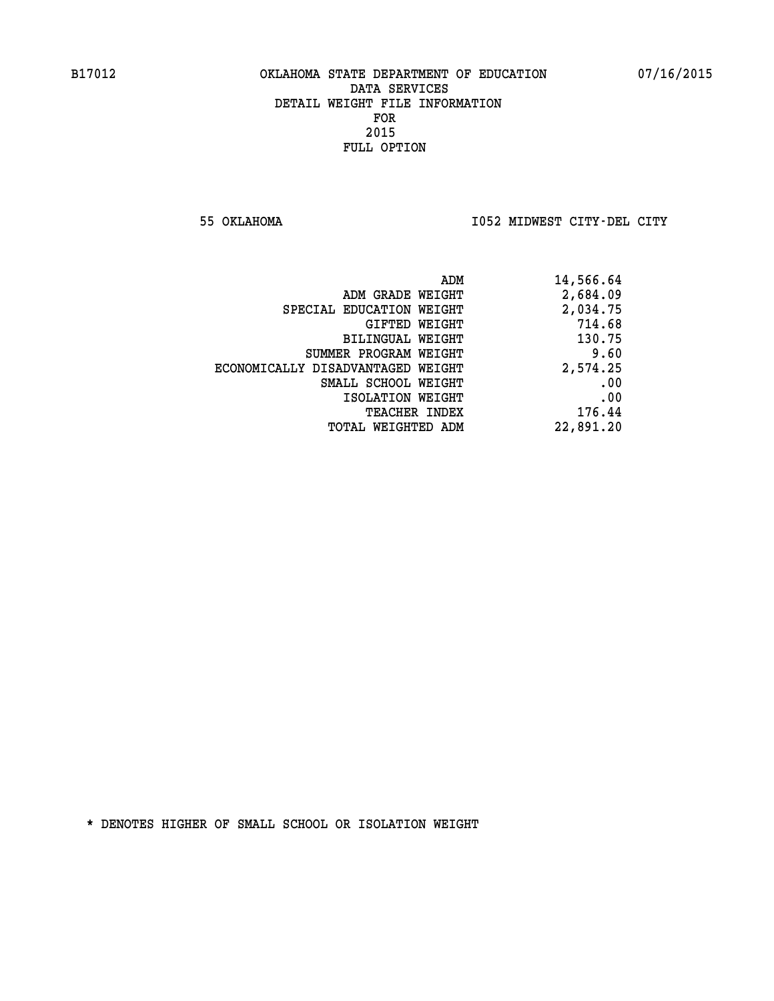**55 OKLAHOMA I052 MIDWEST CITY-DEL CITY** 

| ADM                               | 14,566.64 |
|-----------------------------------|-----------|
| ADM GRADE WEIGHT                  | 2,684.09  |
| SPECIAL EDUCATION WEIGHT          | 2,034.75  |
| GIFTED WEIGHT                     | 714.68    |
| <b>BILINGUAL WEIGHT</b>           | 130.75    |
| SUMMER PROGRAM WEIGHT             | 9.60      |
| ECONOMICALLY DISADVANTAGED WEIGHT | 2,574.25  |
| SMALL SCHOOL WEIGHT               | .00       |
| ISOLATION WEIGHT                  | .00       |
| TEACHER INDEX                     | 176.44    |
| TOTAL WEIGHTED ADM                | 22,891.20 |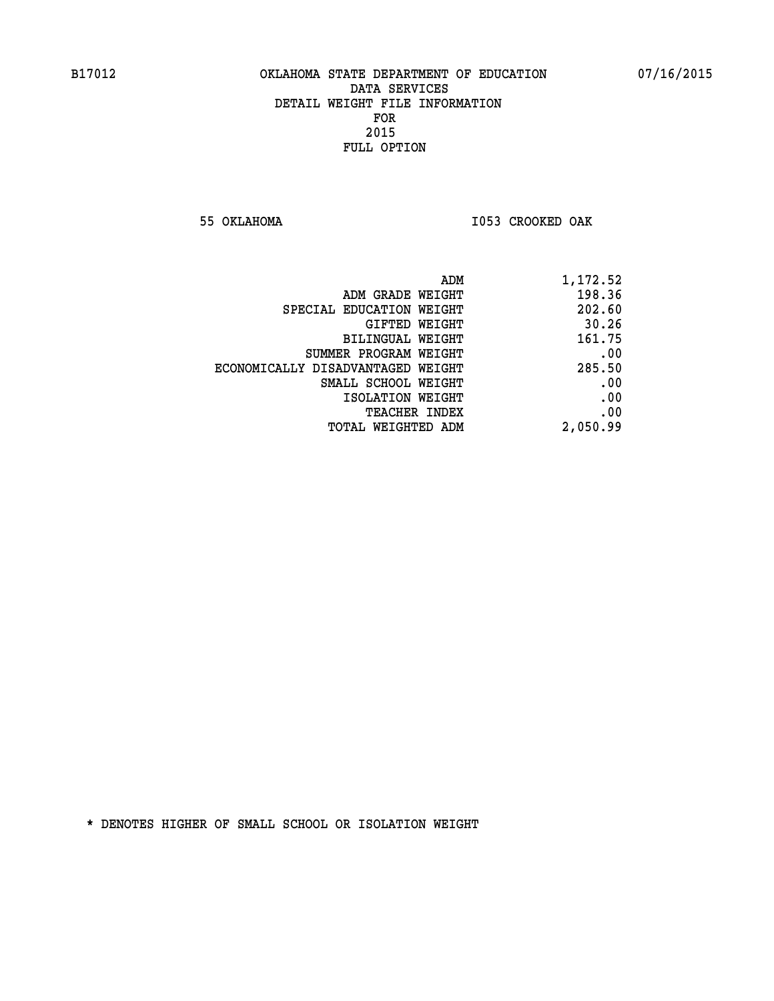**55 OKLAHOMA I053 CROOKED OAK** 

|                                   | 1,172.52<br>ADM |
|-----------------------------------|-----------------|
| ADM GRADE WEIGHT                  | 198.36          |
| SPECIAL EDUCATION WEIGHT          | 202.60          |
| GIFTED WEIGHT                     | 30.26           |
| BILINGUAL WEIGHT                  | 161.75          |
| SUMMER PROGRAM WEIGHT             | .00             |
| ECONOMICALLY DISADVANTAGED WEIGHT | 285.50          |
| SMALL SCHOOL WEIGHT               | .00             |
| ISOLATION WEIGHT                  | .00             |
| <b>TEACHER INDEX</b>              | .00             |
| TOTAL WEIGHTED ADM                | 2,050.99        |
|                                   |                 |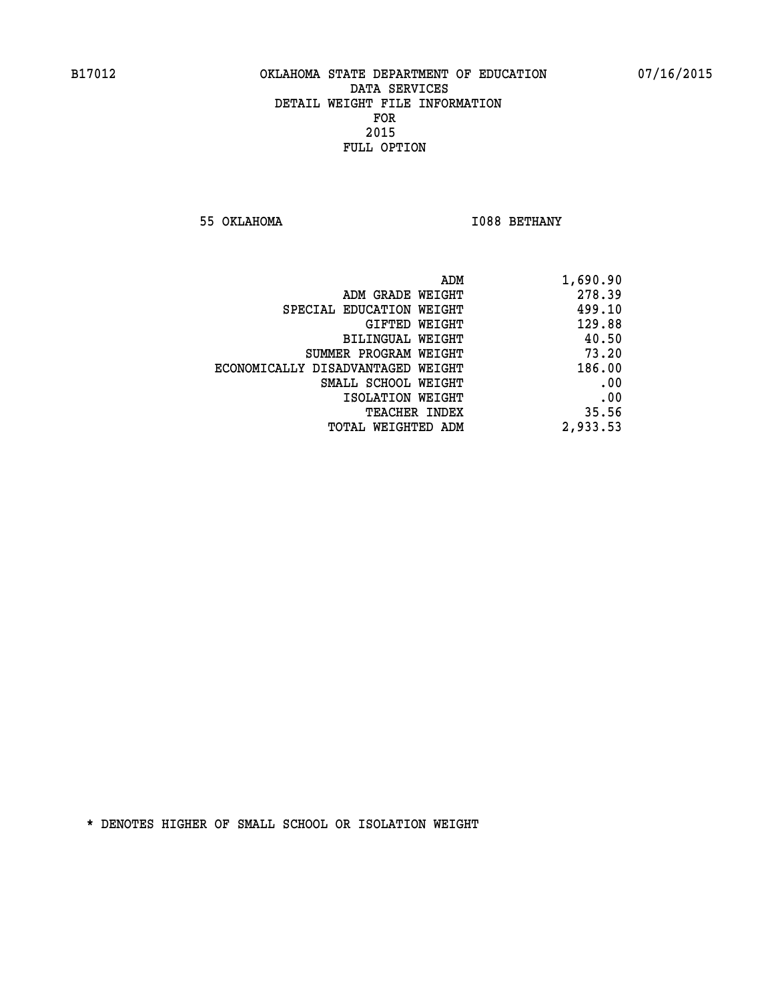**55 OKLAHOMA I088 BETHANY** 

| 1,690.90 |
|----------|
| 278.39   |
| 499.10   |
| 129.88   |
| 40.50    |
| 73.20    |
| 186.00   |
| .00      |
| .00      |
| 35.56    |
| 2,933.53 |
|          |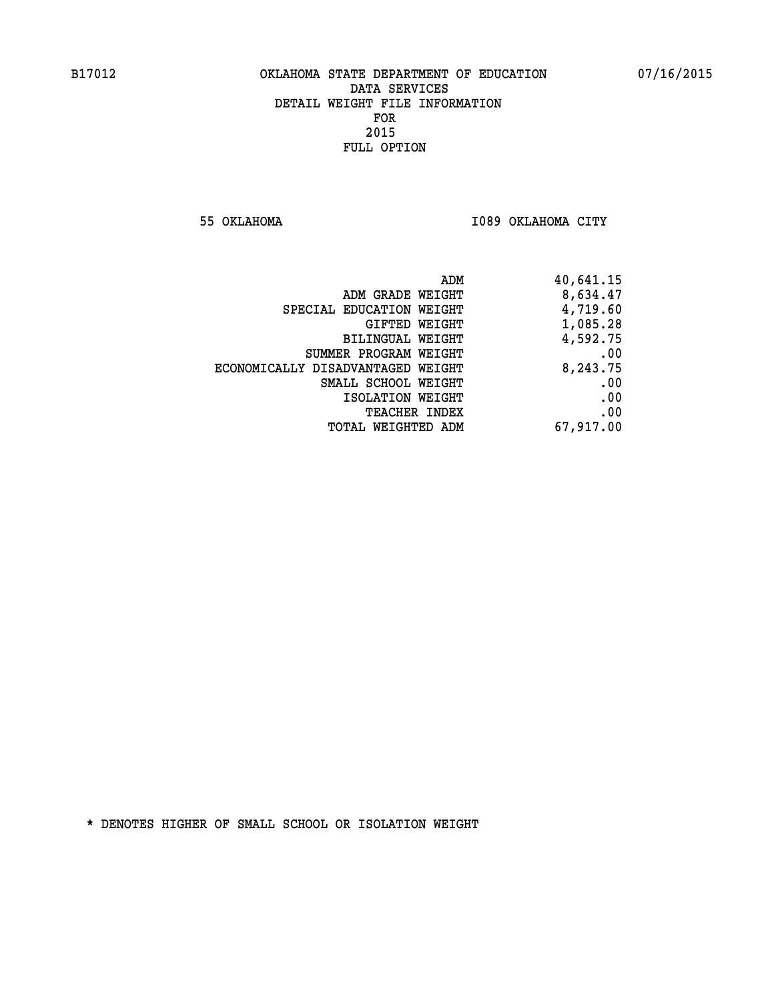**55 OKLAHOMA I089 OKLAHOMA CITY** 

| ADM GRADE WEIGHT<br>SPECIAL EDUCATION WEIGHT | 8,634.47  |
|----------------------------------------------|-----------|
|                                              |           |
|                                              | 4,719.60  |
| GIFTED WEIGHT                                | 1,085.28  |
| BILINGUAL WEIGHT                             | 4,592.75  |
| SUMMER PROGRAM WEIGHT                        | .00       |
| ECONOMICALLY DISADVANTAGED WEIGHT            | 8,243.75  |
| SMALL SCHOOL WEIGHT                          | .00       |
| ISOLATION WEIGHT                             | .00       |
| <b>TEACHER INDEX</b>                         | .00       |
| WEIGHTED ADM<br>TOTAL                        | 67,917.00 |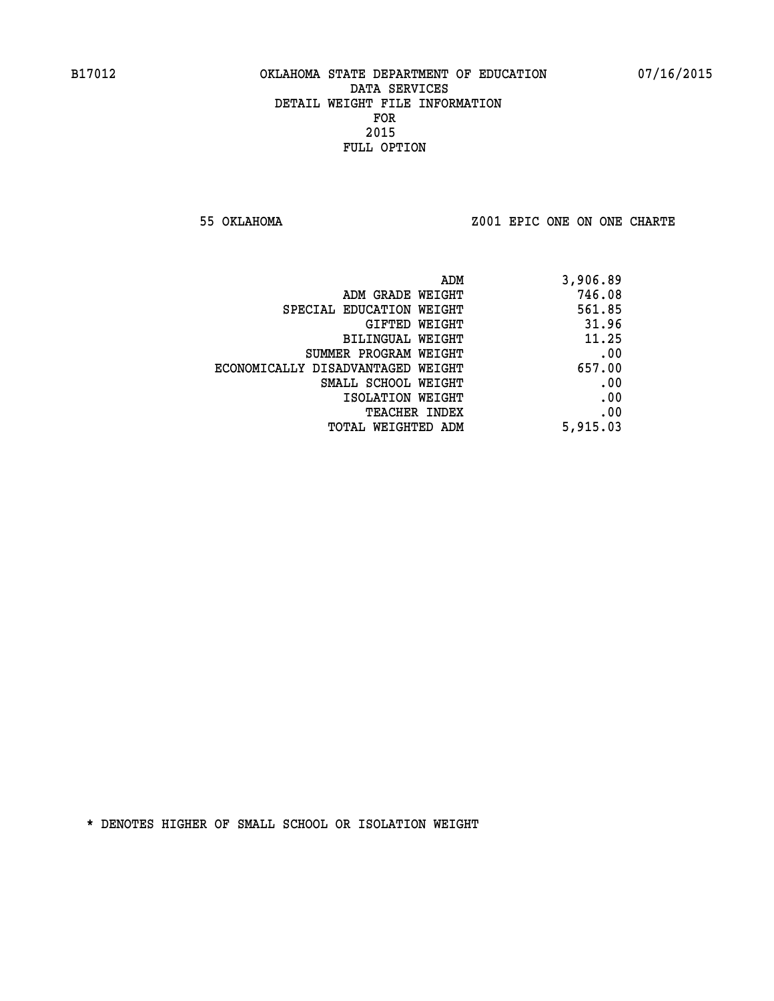**55 OKLAHOMA Z001 EPIC ONE ON ONE CHARTE**

| ADM                               | 3,906.89 |
|-----------------------------------|----------|
| ADM GRADE WEIGHT                  | 746.08   |
| SPECIAL EDUCATION WEIGHT          | 561.85   |
| GIFTED WEIGHT                     | 31.96    |
| <b>BILINGUAL WEIGHT</b>           | 11.25    |
| SUMMER PROGRAM WEIGHT             | .00      |
| ECONOMICALLY DISADVANTAGED WEIGHT | 657.00   |
| SMALL SCHOOL WEIGHT               | .00      |
| ISOLATION WEIGHT                  | .00      |
| <b>TEACHER INDEX</b>              | .00      |
| TOTAL WEIGHTED ADM                | 5,915.03 |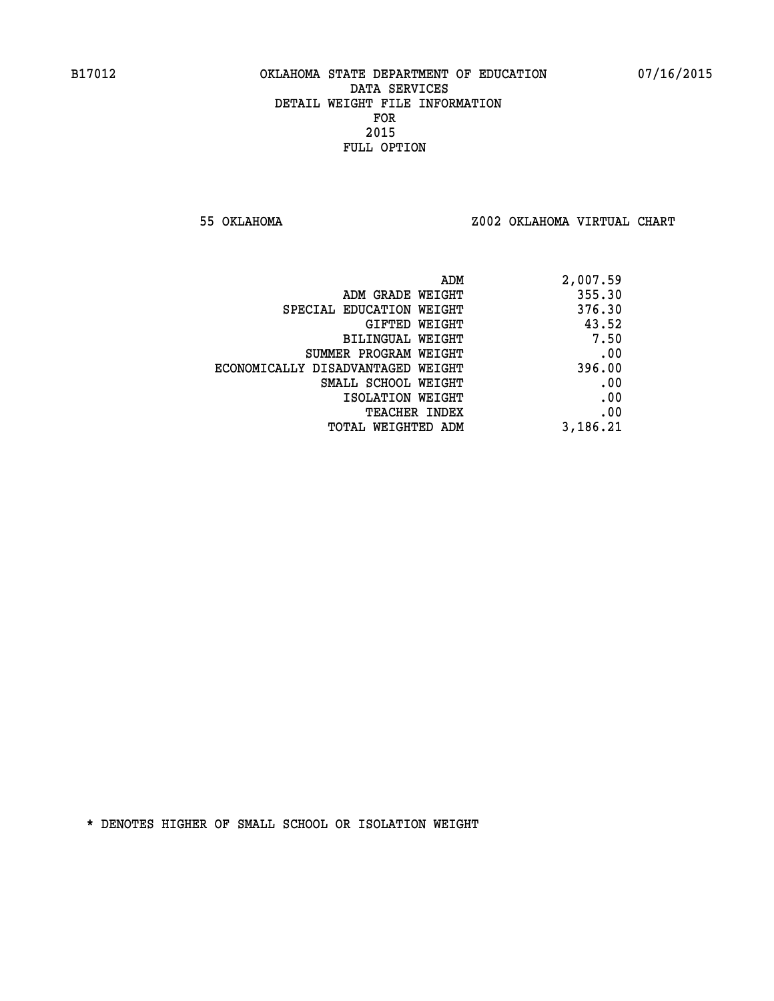**55 OKLAHOMA Z002 OKLAHOMA VIRTUAL CHART**

| 2,007.59 |
|----------|
| 355.30   |
| 376.30   |
| 43.52    |
| 7.50     |
| .00      |
| 396.00   |
| .00      |
| .00      |
| .00      |
| 3,186.21 |
|          |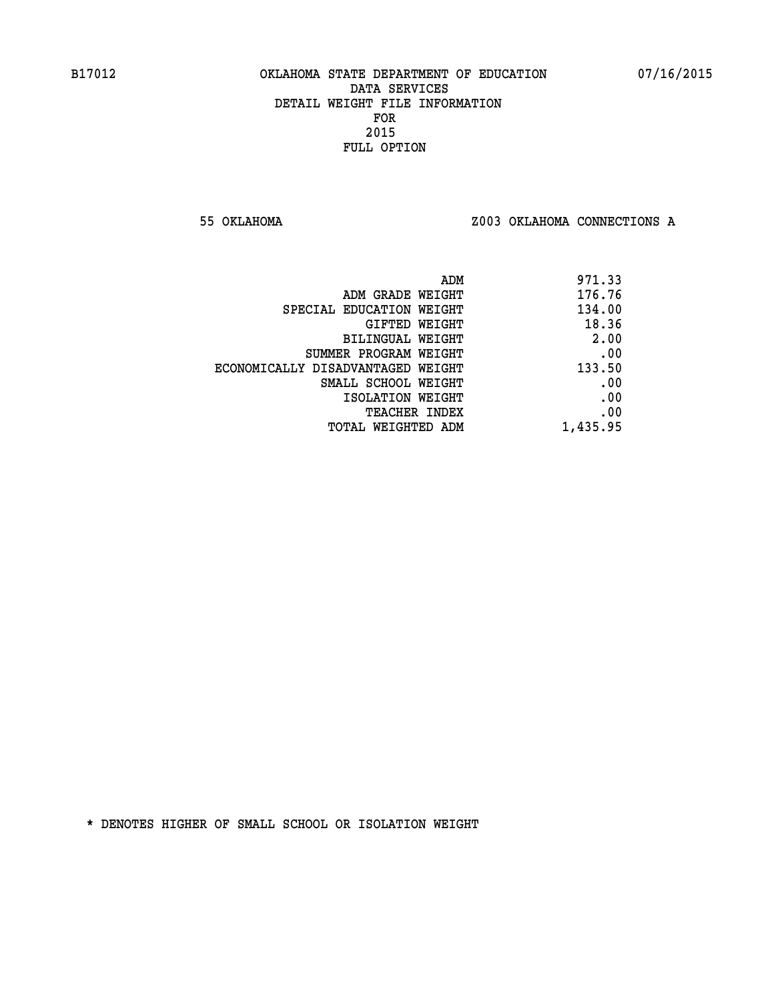**55 OKLAHOMA Z003 OKLAHOMA CONNECTIONS A**

| ADM                               | 971.33   |
|-----------------------------------|----------|
| ADM GRADE WEIGHT                  | 176.76   |
| SPECIAL EDUCATION WEIGHT          | 134.00   |
| GIFTED WEIGHT                     | 18.36    |
| BILINGUAL WEIGHT                  | 2.00     |
| SUMMER PROGRAM WEIGHT             | .00      |
| ECONOMICALLY DISADVANTAGED WEIGHT | 133.50   |
| SMALL SCHOOL WEIGHT               | .00      |
| ISOLATION WEIGHT                  | .00      |
| TEACHER INDEX                     | .00      |
| TOTAL WEIGHTED ADM                | 1,435.95 |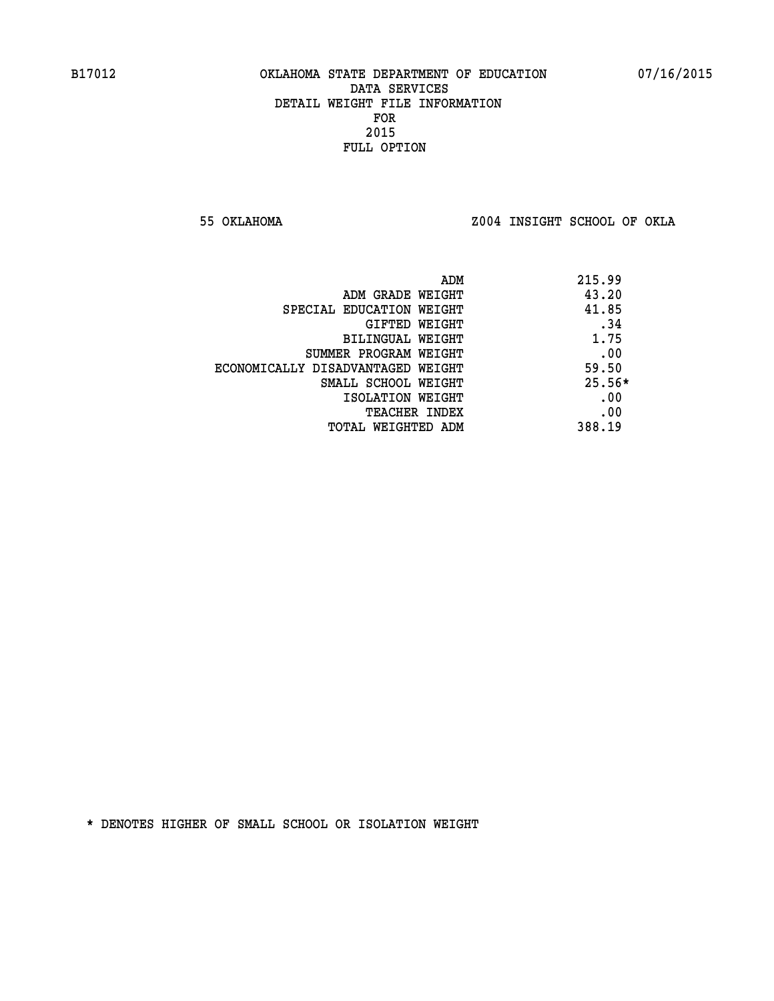**55 OKLAHOMA Z004 INSIGHT SCHOOL OF OKLA**

|                                   | ADM | 215.99   |
|-----------------------------------|-----|----------|
| ADM GRADE WEIGHT                  |     | 43.20    |
| SPECIAL EDUCATION WEIGHT          |     | 41.85    |
| GIFTED WEIGHT                     |     | .34      |
| BILINGUAL WEIGHT                  |     | 1.75     |
| SUMMER PROGRAM WEIGHT             |     | .00      |
| ECONOMICALLY DISADVANTAGED WEIGHT |     | 59.50    |
| SMALL SCHOOL WEIGHT               |     | $25.56*$ |
| ISOLATION WEIGHT                  |     | .00      |
| <b>TEACHER INDEX</b>              |     | .00      |
| TOTAL WEIGHTED ADM                |     | 388.19   |
|                                   |     |          |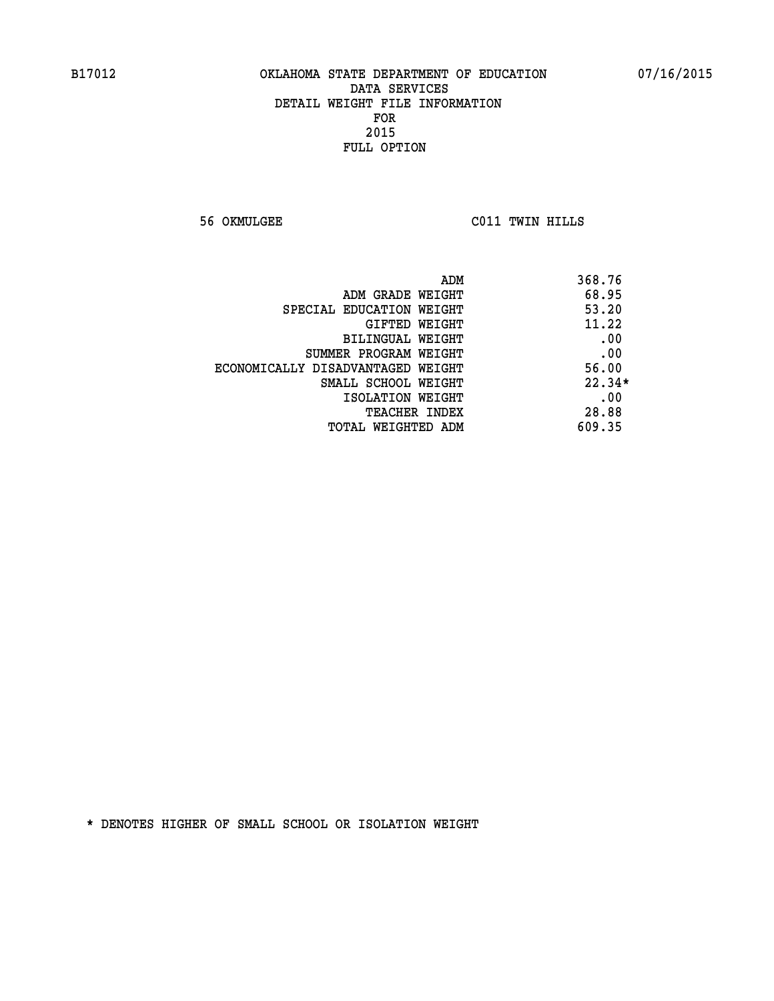**56 OKMULGEE C011 TWIN HILLS** 

| ADM                               | 368.76   |
|-----------------------------------|----------|
| ADM GRADE WEIGHT                  | 68.95    |
| SPECIAL EDUCATION WEIGHT          | 53.20    |
| GIFTED WEIGHT                     | 11.22    |
| BILINGUAL WEIGHT                  | .00      |
| SUMMER PROGRAM WEIGHT             | .00      |
| ECONOMICALLY DISADVANTAGED WEIGHT | 56.00    |
| SMALL SCHOOL WEIGHT               | $22.34*$ |
| ISOLATION WEIGHT                  | .00      |
| <b>TEACHER INDEX</b>              | 28.88    |
| TOTAL WEIGHTED ADM                | 609.35   |
|                                   |          |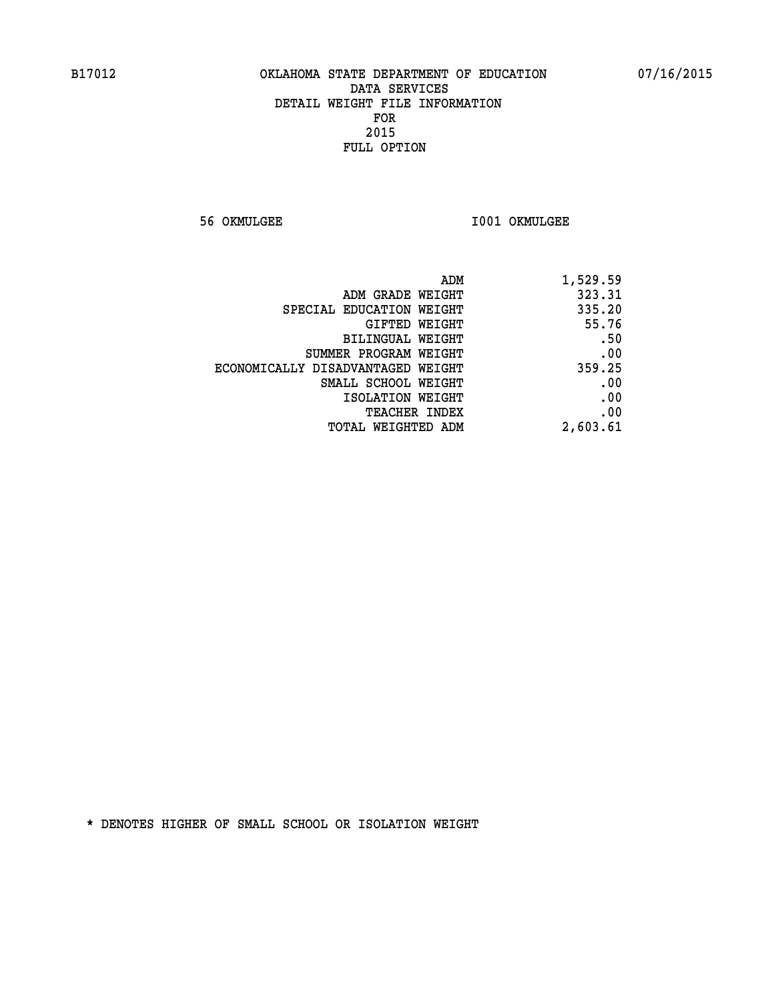**56 OKMULGEE I001 OKMULGEE** 

| ADM                               | 1,529.59 |
|-----------------------------------|----------|
| ADM GRADE WEIGHT                  | 323.31   |
| SPECIAL EDUCATION WEIGHT          | 335.20   |
| GIFTED WEIGHT                     | 55.76    |
| BILINGUAL WEIGHT                  | .50      |
| SUMMER PROGRAM WEIGHT             | .00      |
| ECONOMICALLY DISADVANTAGED WEIGHT | 359.25   |
| SMALL SCHOOL WEIGHT               | .00      |
| ISOLATION WEIGHT                  | .00      |
| <b>TEACHER INDEX</b>              | .00      |
| TOTAL WEIGHTED ADM                | 2,603.61 |
|                                   |          |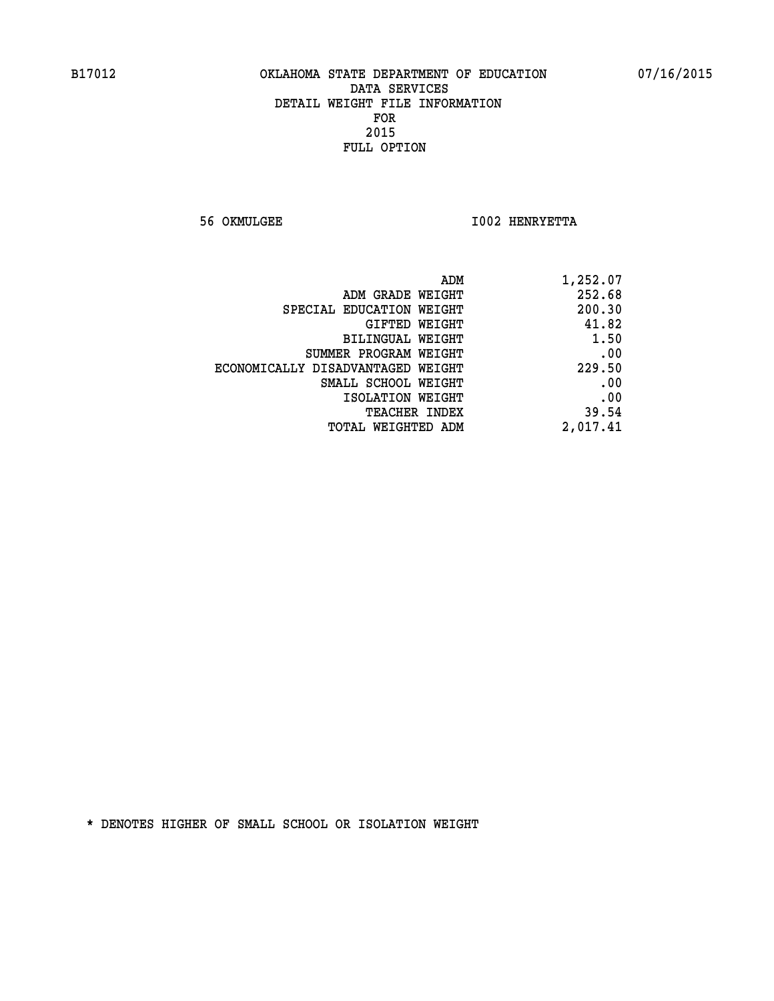**56 OKMULGEE I002 HENRYETTA** 

| 1,252.07 |
|----------|
| 252.68   |
| 200.30   |
| 41.82    |
| 1.50     |
| .00      |
| 229.50   |
| .00      |
| .00      |
| 39.54    |
| 2,017.41 |
|          |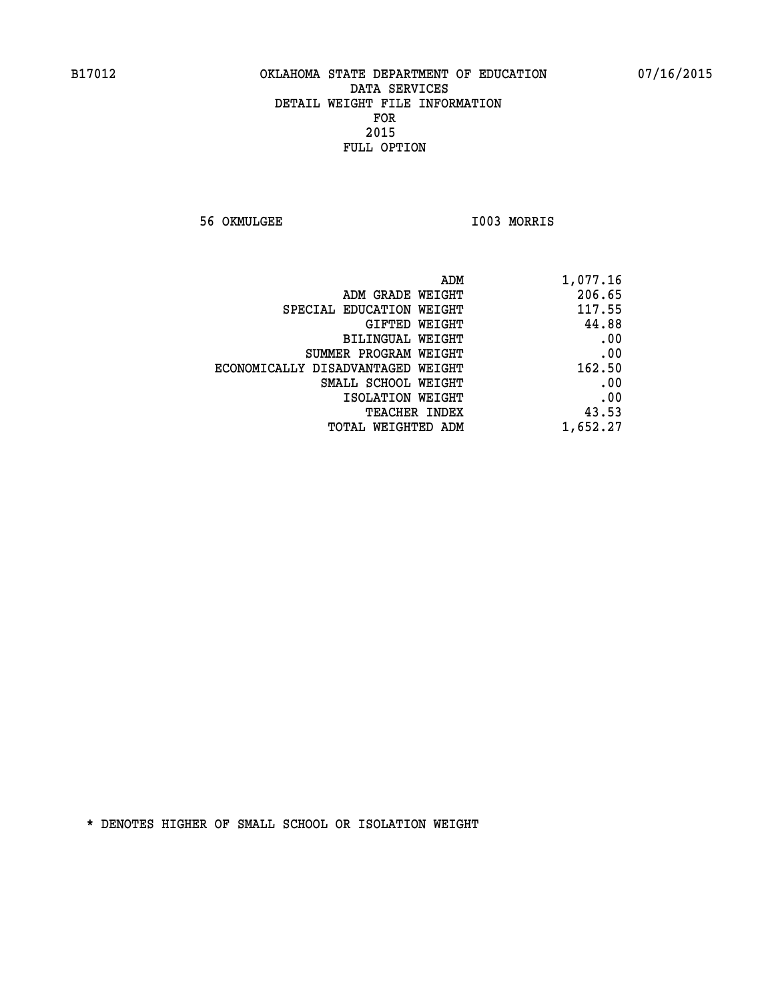**56 OKMULGEE I003 MORRIS** 

| 1,077.16 |
|----------|
| 206.65   |
| 117.55   |
| 44.88    |
| .00      |
| .00      |
| 162.50   |
| .00      |
| .00      |
| 43.53    |
| 1,652.27 |
|          |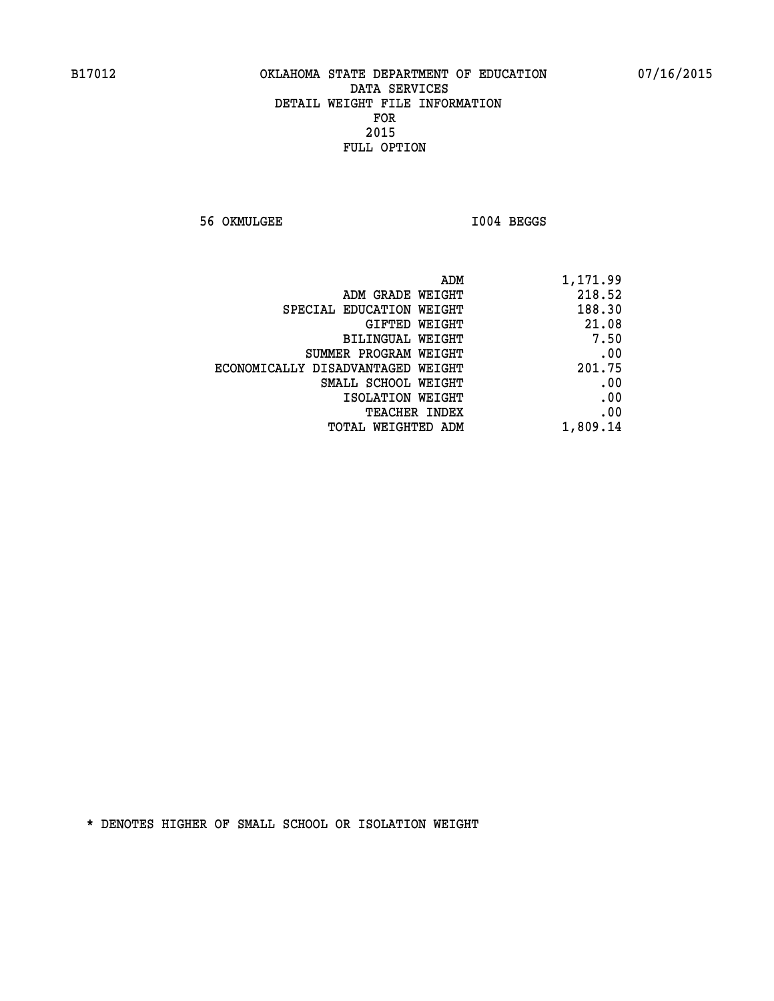**56 OKMULGEE I004 BEGGS** 

| 1,171.99 | ADM                               |  |
|----------|-----------------------------------|--|
| 218.52   | ADM GRADE WEIGHT                  |  |
| 188.30   | SPECIAL EDUCATION WEIGHT          |  |
| 21.08    | GIFTED WEIGHT                     |  |
| 7.50     | BILINGUAL WEIGHT                  |  |
| .00      | SUMMER PROGRAM WEIGHT             |  |
| 201.75   | ECONOMICALLY DISADVANTAGED WEIGHT |  |
| .00      | SMALL SCHOOL WEIGHT               |  |
| .00      | ISOLATION WEIGHT                  |  |
| .00      | <b>TEACHER INDEX</b>              |  |
| 1,809.14 | <b>TOTAL WEIGHTED ADM</b>         |  |
|          |                                   |  |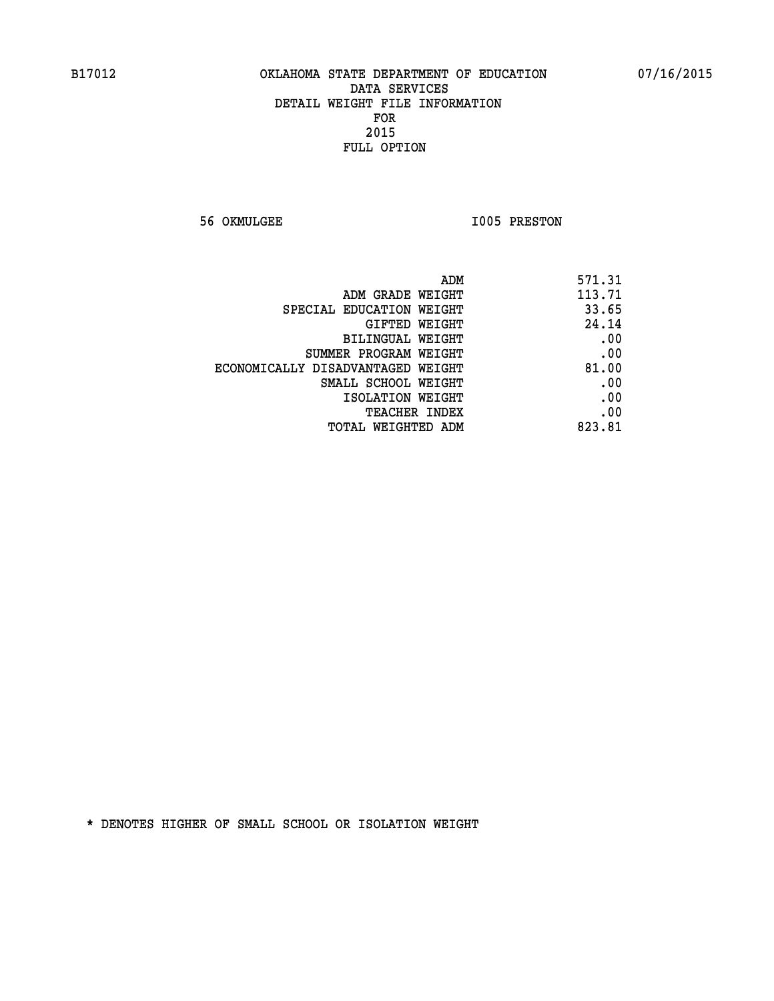**56 OKMULGEE 1005 PRESTON** 

| ADM<br>571.31                              |     |
|--------------------------------------------|-----|
| 113.71<br>ADM GRADE WEIGHT                 |     |
| 33.65<br>SPECIAL EDUCATION WEIGHT          |     |
| 24.14<br>GIFTED WEIGHT                     |     |
| <b>BILINGUAL WEIGHT</b>                    | .00 |
| SUMMER PROGRAM WEIGHT                      | .00 |
| 81.00<br>ECONOMICALLY DISADVANTAGED WEIGHT |     |
| SMALL SCHOOL WEIGHT                        | .00 |
| ISOLATION WEIGHT                           | .00 |
| <b>TEACHER INDEX</b>                       | .00 |
| 823.81<br>TOTAL WEIGHTED ADM               |     |
|                                            |     |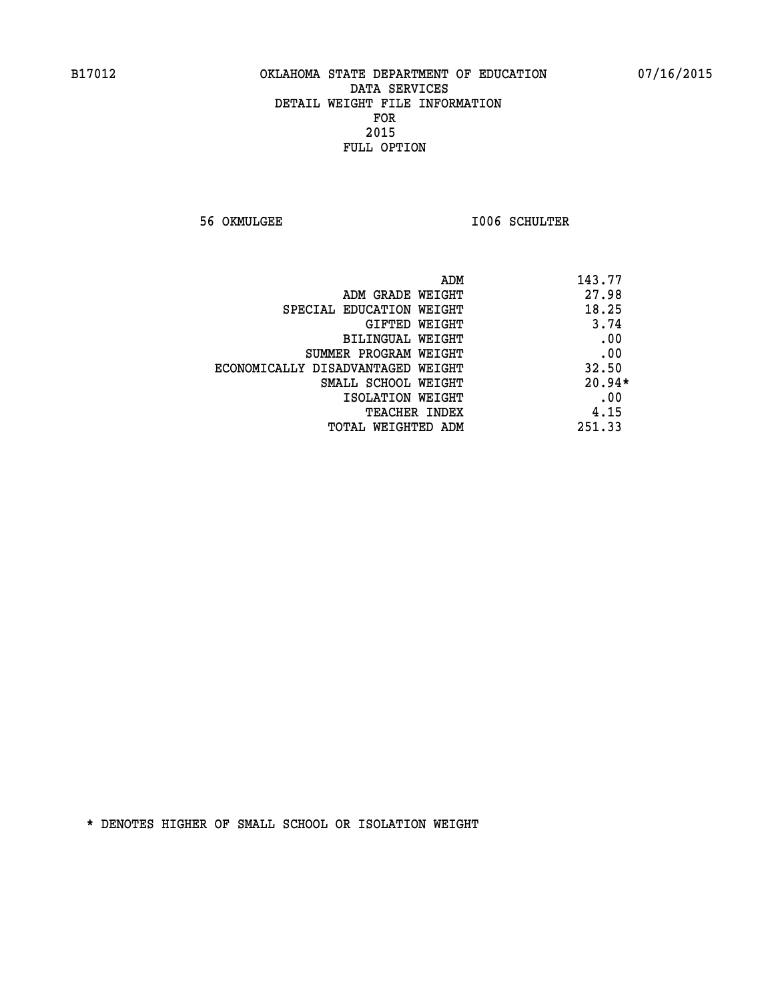**56 OKMULGEE I006 SCHULTER** 

| ADM                               | 143.77   |
|-----------------------------------|----------|
| ADM GRADE WEIGHT                  | 27.98    |
| SPECIAL EDUCATION WEIGHT          | 18.25    |
| GIFTED WEIGHT                     | 3.74     |
| BILINGUAL WEIGHT                  | .00      |
| SUMMER PROGRAM WEIGHT             | .00      |
| ECONOMICALLY DISADVANTAGED WEIGHT | 32.50    |
| SMALL SCHOOL WEIGHT               | $20.94*$ |
| ISOLATION WEIGHT                  | .00      |
| <b>TEACHER INDEX</b>              | 4.15     |
| TOTAL WEIGHTED ADM                | 251.33   |
|                                   |          |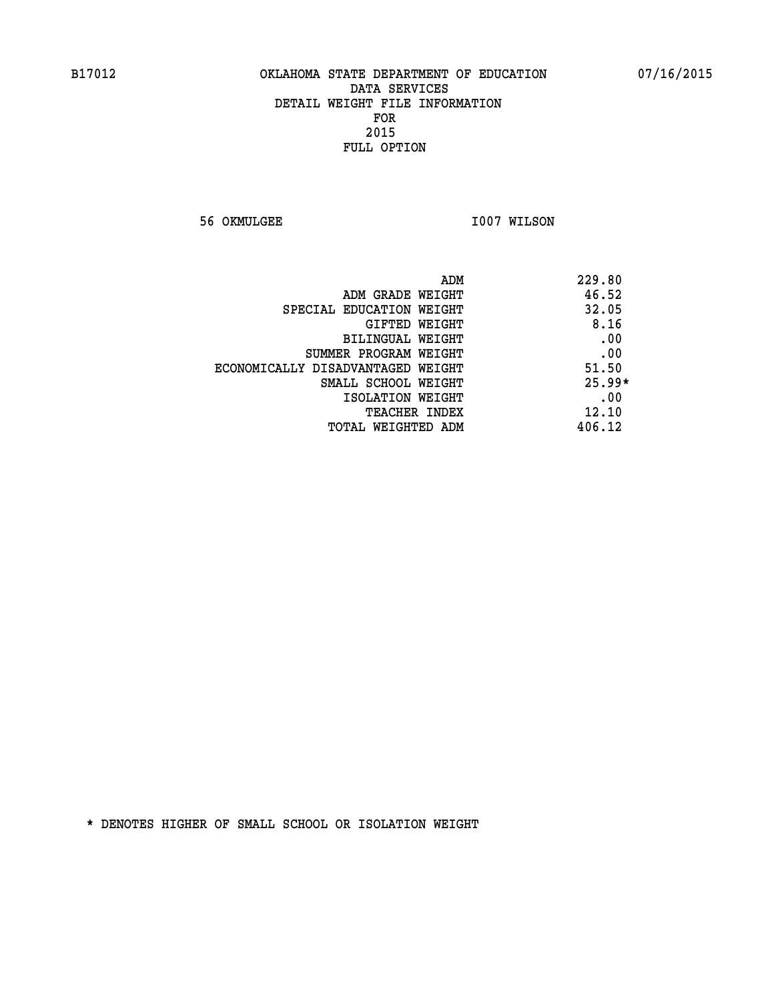**56 OKMULGEE 1007 WILSON** 

|                                   | ADM<br>229.80 |
|-----------------------------------|---------------|
| ADM GRADE WEIGHT                  | 46.52         |
| SPECIAL EDUCATION WEIGHT          | 32.05         |
| GIFTED WEIGHT                     | 8.16          |
| BILINGUAL WEIGHT                  | .00           |
| SUMMER PROGRAM WEIGHT             | .00           |
| ECONOMICALLY DISADVANTAGED WEIGHT | 51.50         |
| SMALL SCHOOL WEIGHT               | $25.99*$      |
| ISOLATION WEIGHT                  | .00           |
| <b>TEACHER INDEX</b>              | 12.10         |
| TOTAL WEIGHTED ADM                | 406.12        |
|                                   |               |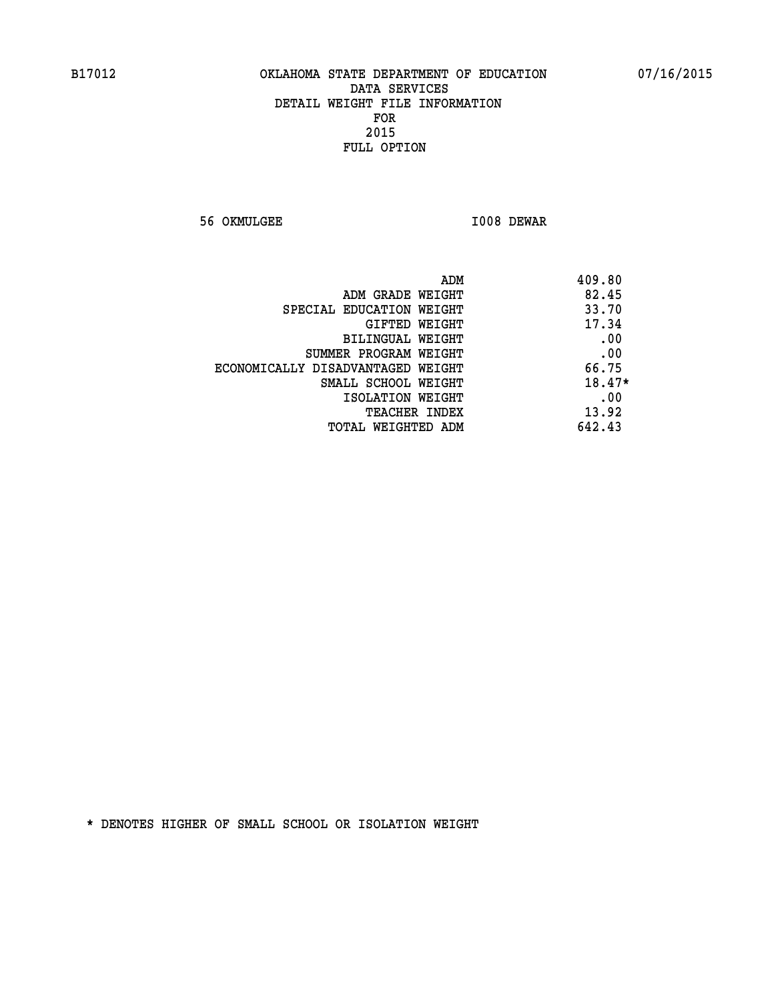**56 OKMULGEE I008 DEWAR** 

| ADM                               | 409.80   |
|-----------------------------------|----------|
| ADM GRADE WEIGHT                  | 82.45    |
| SPECIAL EDUCATION WEIGHT          | 33.70    |
| GIFTED WEIGHT                     | 17.34    |
| BILINGUAL WEIGHT                  | .00      |
| SUMMER PROGRAM WEIGHT             | .00      |
| ECONOMICALLY DISADVANTAGED WEIGHT | 66.75    |
| SMALL SCHOOL WEIGHT               | $18.47*$ |
| ISOLATION WEIGHT                  | .00      |
| <b>TEACHER INDEX</b>              | 13.92    |
| TOTAL WEIGHTED ADM                | 642.43   |
|                                   |          |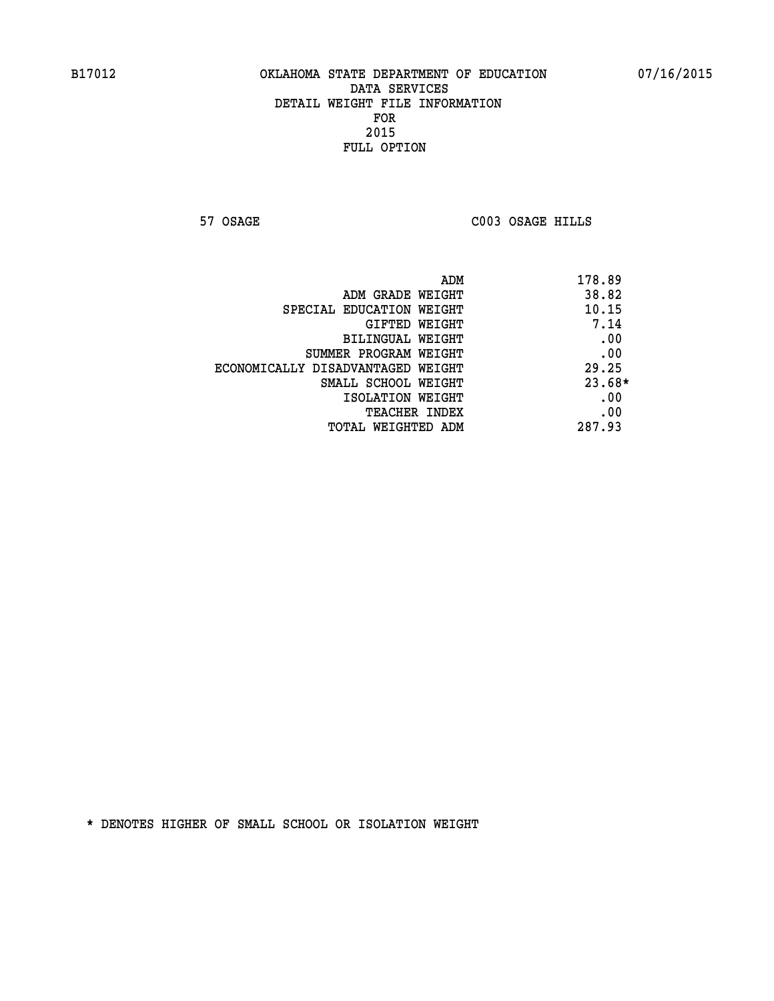**57 OSAGE C003 OSAGE HILLS** 

|                                   | 178.89<br>ADM |
|-----------------------------------|---------------|
| ADM GRADE WEIGHT                  | 38.82         |
| SPECIAL EDUCATION WEIGHT          | 10.15         |
| <b>GIFTED WEIGHT</b>              | 7.14          |
| BILINGUAL WEIGHT                  | .00           |
| SUMMER PROGRAM WEIGHT             | .00           |
| ECONOMICALLY DISADVANTAGED WEIGHT | 29.25         |
| SMALL SCHOOL WEIGHT               | $23.68*$      |
| ISOLATION WEIGHT                  | .00           |
| <b>TEACHER INDEX</b>              | .00           |
| TOTAL WEIGHTED ADM                | 287.93        |
|                                   |               |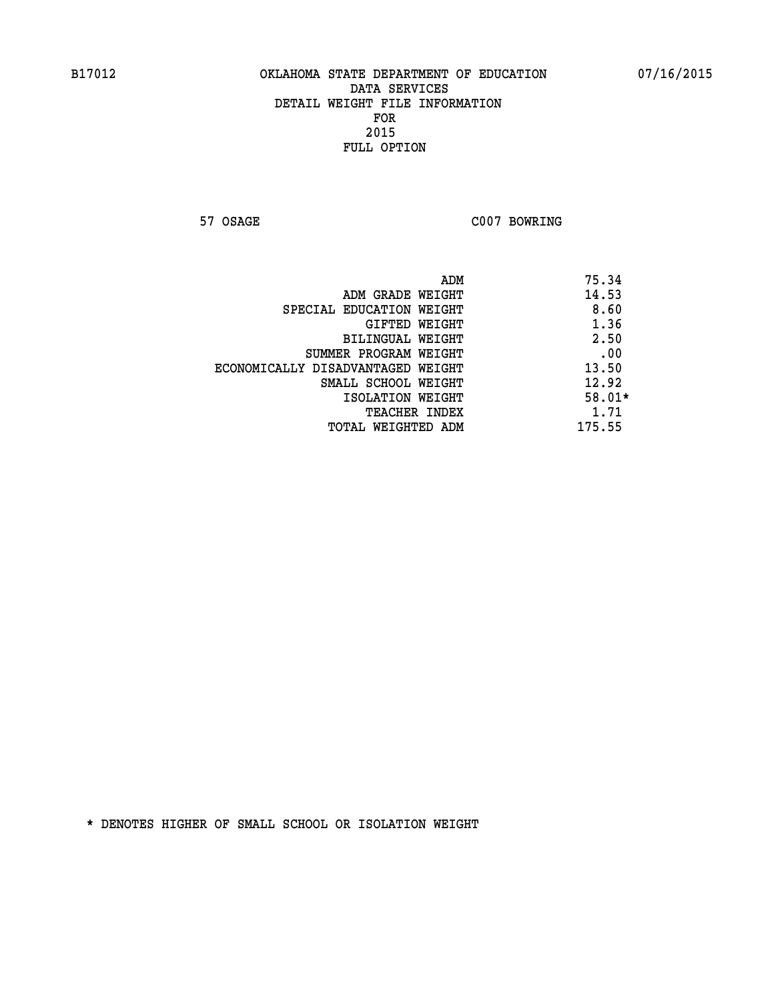**57 OSAGE C007 BOWRING** 

|                                   | ADM | 75.34    |
|-----------------------------------|-----|----------|
| ADM GRADE WEIGHT                  |     | 14.53    |
| SPECIAL EDUCATION WEIGHT          |     | 8.60     |
| <b>GIFTED WEIGHT</b>              |     | 1.36     |
| BILINGUAL WEIGHT                  |     | 2.50     |
| SUMMER PROGRAM WEIGHT             |     | .00      |
| ECONOMICALLY DISADVANTAGED WEIGHT |     | 13.50    |
| SMALL SCHOOL WEIGHT               |     | 12.92    |
| ISOLATION WEIGHT                  |     | $58.01*$ |
| TEACHER INDEX                     |     | 1.71     |
| TOTAL WEIGHTED ADM                |     | 175.55   |
|                                   |     |          |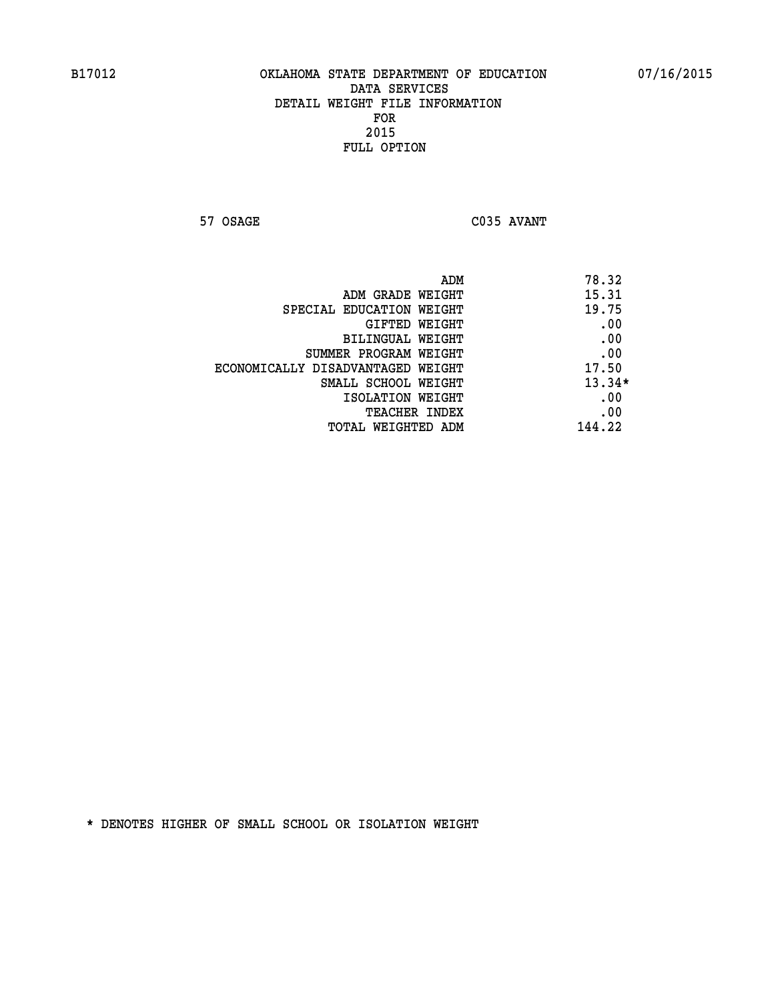**57 OSAGE C035 AVANT** 

|                                   | ADM | 78.32    |
|-----------------------------------|-----|----------|
| ADM GRADE WEIGHT                  |     | 15.31    |
| SPECIAL EDUCATION WEIGHT          |     | 19.75    |
| GIFTED WEIGHT                     |     | .00      |
| BILINGUAL WEIGHT                  |     | .00      |
| SUMMER PROGRAM WEIGHT             |     | .00      |
| ECONOMICALLY DISADVANTAGED WEIGHT |     | 17.50    |
| SMALL SCHOOL WEIGHT               |     | $13.34*$ |
| ISOLATION WEIGHT                  |     | .00      |
| TEACHER INDEX                     |     | .00      |
| TOTAL WEIGHTED ADM                |     | 144.22   |
|                                   |     |          |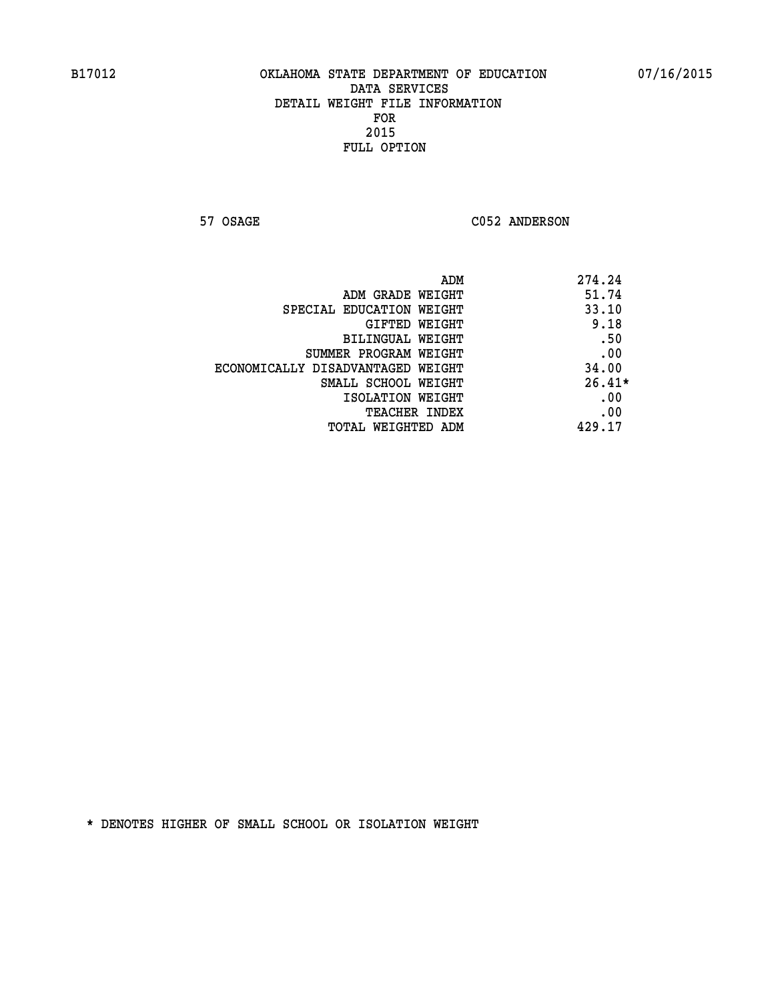57 OSAGE C052 ANDERSON

|                                   | ADM<br>274.24 |          |
|-----------------------------------|---------------|----------|
| ADM GRADE WEIGHT                  |               | 51.74    |
| SPECIAL EDUCATION WEIGHT          |               | 33.10    |
| GIFTED WEIGHT                     |               | 9.18     |
| BILINGUAL WEIGHT                  |               | .50      |
| SUMMER PROGRAM WEIGHT             |               | .00      |
| ECONOMICALLY DISADVANTAGED WEIGHT |               | 34.00    |
| SMALL SCHOOL WEIGHT               |               | $26.41*$ |
| ISOLATION WEIGHT                  |               | .00      |
| <b>TEACHER INDEX</b>              |               | .00      |
| TOTAL WEIGHTED ADM                | 429.17        |          |
|                                   |               |          |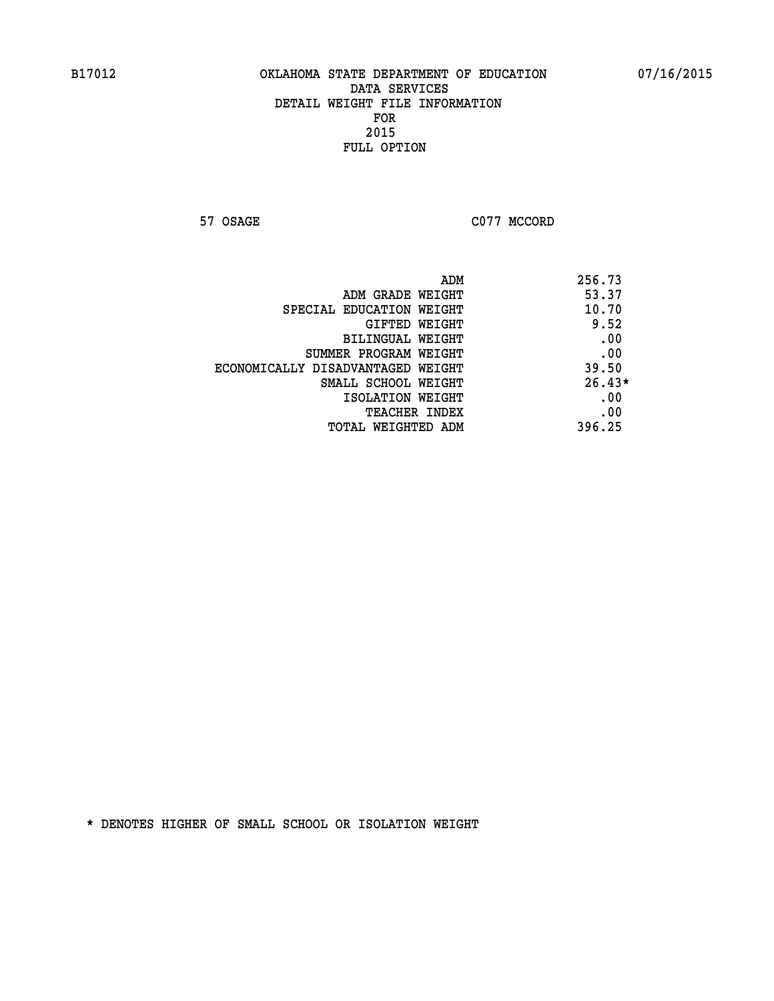**57 OSAGE C077 MCCORD** 

| ADM                               | 256.73   |
|-----------------------------------|----------|
| ADM GRADE WEIGHT                  | 53.37    |
| SPECIAL EDUCATION WEIGHT          | 10.70    |
| GIFTED WEIGHT                     | 9.52     |
| BILINGUAL WEIGHT                  | .00      |
| SUMMER PROGRAM WEIGHT             | .00      |
| ECONOMICALLY DISADVANTAGED WEIGHT | 39.50    |
| SMALL SCHOOL WEIGHT               | $26.43*$ |
| ISOLATION WEIGHT                  | .00      |
| TEACHER INDEX                     | .00      |
| TOTAL WEIGHTED ADM                | 396.25   |
|                                   |          |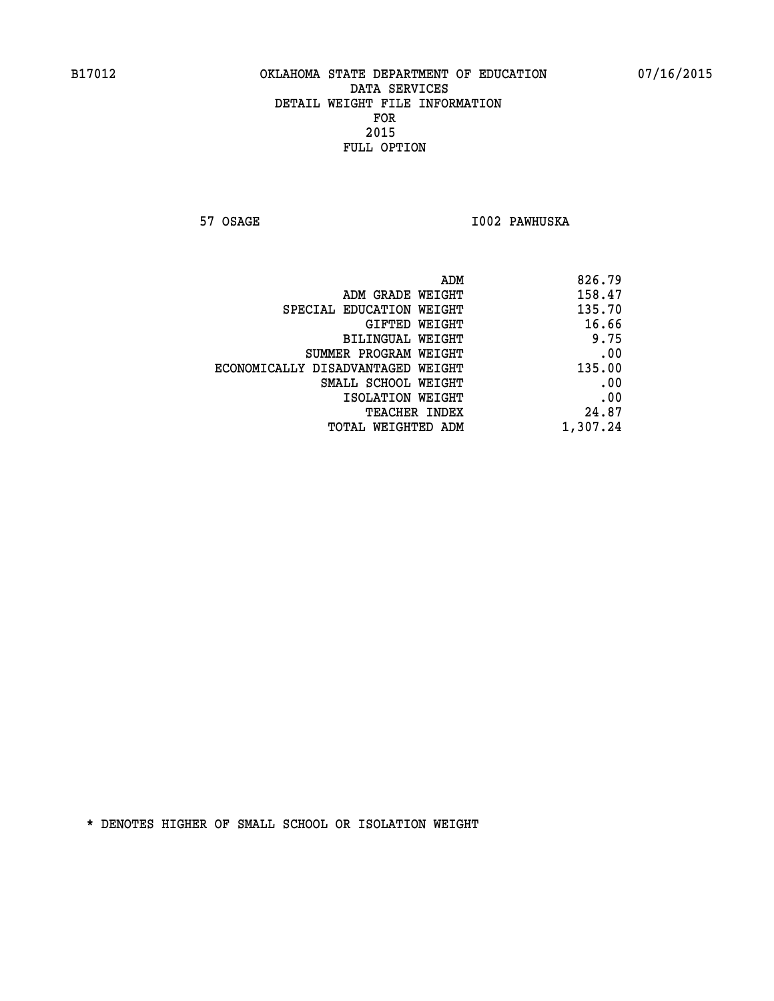**57 OSAGE I002 PAWHUSKA** 

|                                   | ADM | 826.79   |
|-----------------------------------|-----|----------|
| ADM GRADE WEIGHT                  |     | 158.47   |
| SPECIAL EDUCATION WEIGHT          |     | 135.70   |
| GIFTED WEIGHT                     |     | 16.66    |
| BILINGUAL WEIGHT                  |     | 9.75     |
| SUMMER PROGRAM WEIGHT             |     | .00      |
| ECONOMICALLY DISADVANTAGED WEIGHT |     | 135.00   |
| SMALL SCHOOL WEIGHT               |     | .00      |
| ISOLATION WEIGHT                  |     | .00      |
| TEACHER INDEX                     |     | 24.87    |
| TOTAL WEIGHTED ADM                |     | 1,307.24 |
|                                   |     |          |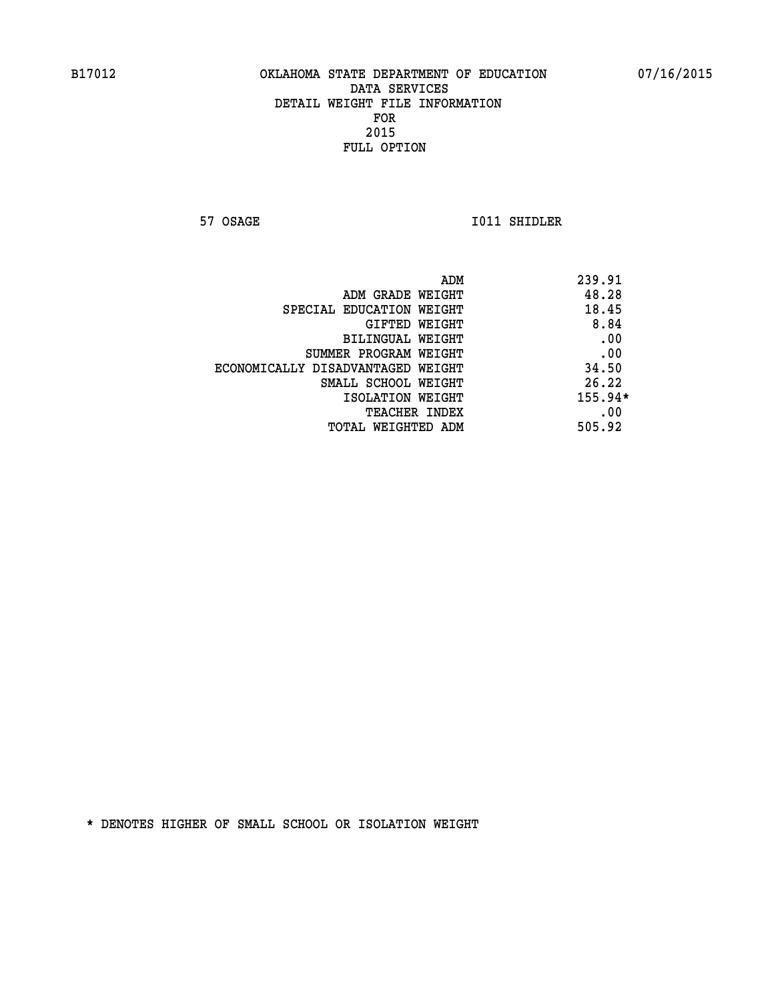**57 OSAGE 1011 SHIDLER** 

| ADM<br>239.91 |                                   |
|---------------|-----------------------------------|
| 48.28         | ADM GRADE WEIGHT                  |
| 18.45         | SPECIAL EDUCATION WEIGHT          |
| 8.84          | GIFTED WEIGHT                     |
| .00           | <b>BILINGUAL WEIGHT</b>           |
| .00           | SUMMER PROGRAM WEIGHT             |
| 34.50         | ECONOMICALLY DISADVANTAGED WEIGHT |
| 26.22         | SMALL SCHOOL WEIGHT               |
| 155.94*       | ISOLATION WEIGHT                  |
| .00           | TEACHER INDEX                     |
| 505.92        | TOTAL WEIGHTED ADM                |
|               |                                   |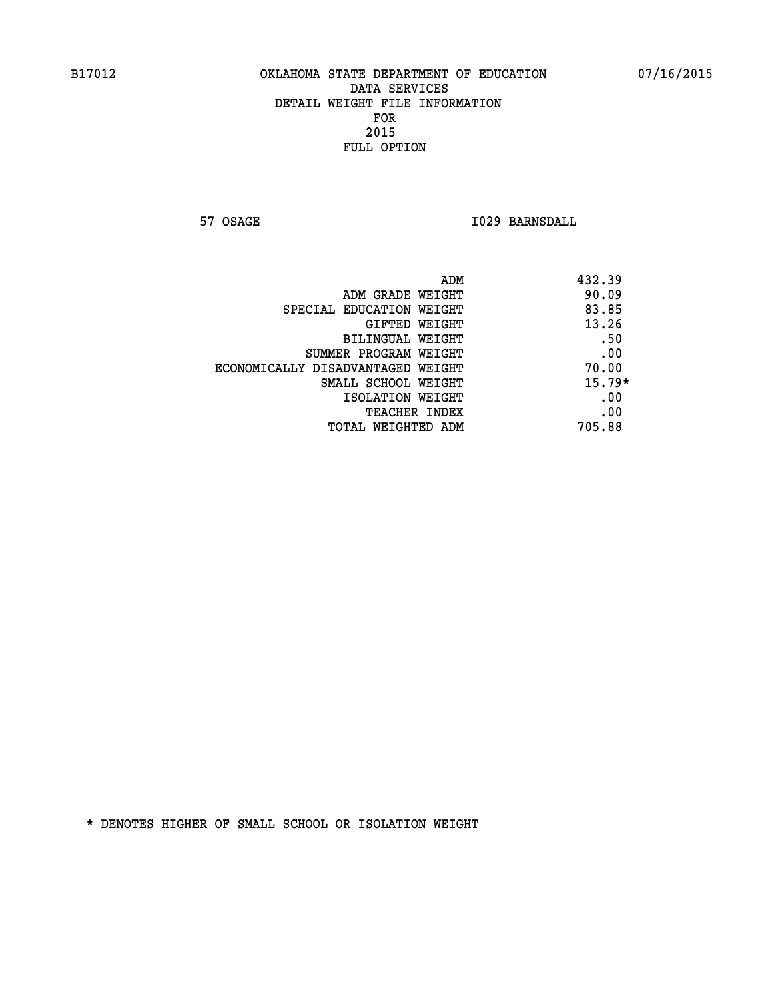**57 OSAGE I029 BARNSDALL** 

|                                   | ADM<br>432.39 |          |
|-----------------------------------|---------------|----------|
| ADM GRADE WEIGHT                  | 90.09         |          |
| SPECIAL EDUCATION WEIGHT          | 83.85         |          |
| GIFTED WEIGHT                     | 13.26         |          |
| BILINGUAL WEIGHT                  |               | .50      |
| SUMMER PROGRAM WEIGHT             |               | .00      |
| ECONOMICALLY DISADVANTAGED WEIGHT | 70.00         |          |
| SMALL SCHOOL WEIGHT               |               | $15.79*$ |
| ISOLATION WEIGHT                  |               | .00      |
| <b>TEACHER INDEX</b>              |               | .00      |
| TOTAL WEIGHTED ADM                | 705.88        |          |
|                                   |               |          |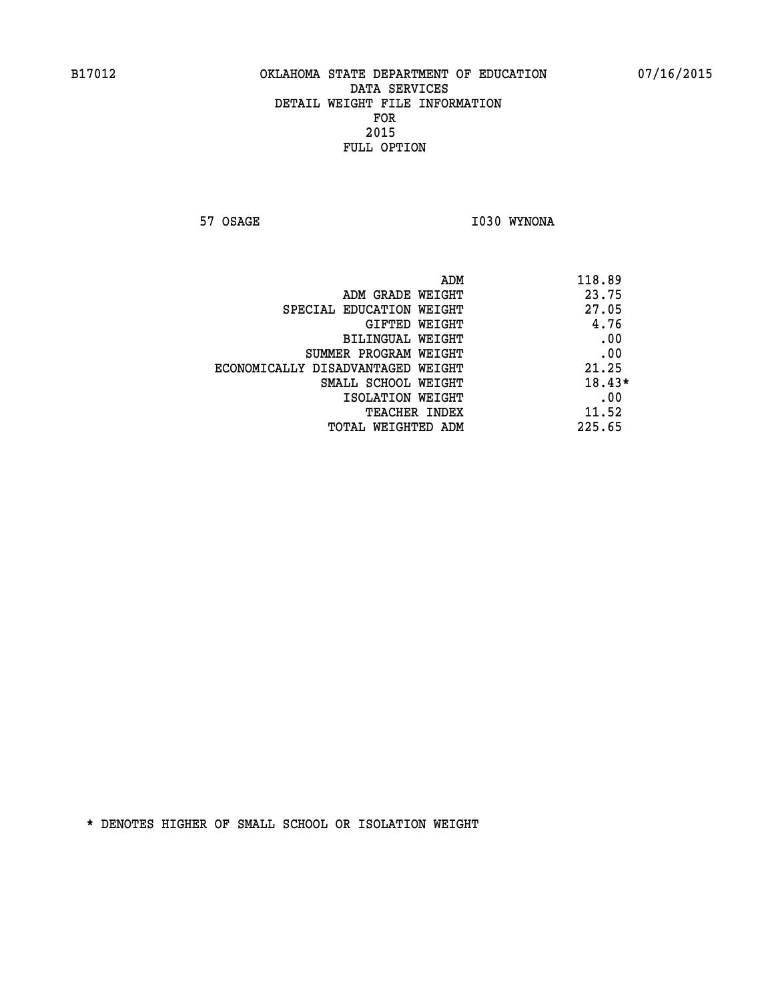**57 OSAGE 1030 WYNONA** 

| 118.89   | ADM                               |
|----------|-----------------------------------|
| 23.75    | ADM GRADE WEIGHT                  |
| 27.05    | SPECIAL EDUCATION WEIGHT          |
| 4.76     | GIFTED WEIGHT                     |
| .00      | BILINGUAL WEIGHT                  |
| .00      | SUMMER PROGRAM WEIGHT             |
| 21.25    | ECONOMICALLY DISADVANTAGED WEIGHT |
| $18.43*$ | SMALL SCHOOL WEIGHT               |
| .00      | ISOLATION WEIGHT                  |
| 11.52    | <b>TEACHER INDEX</b>              |
| 225.65   | <b>TOTAL WEIGHTED ADM</b>         |
|          |                                   |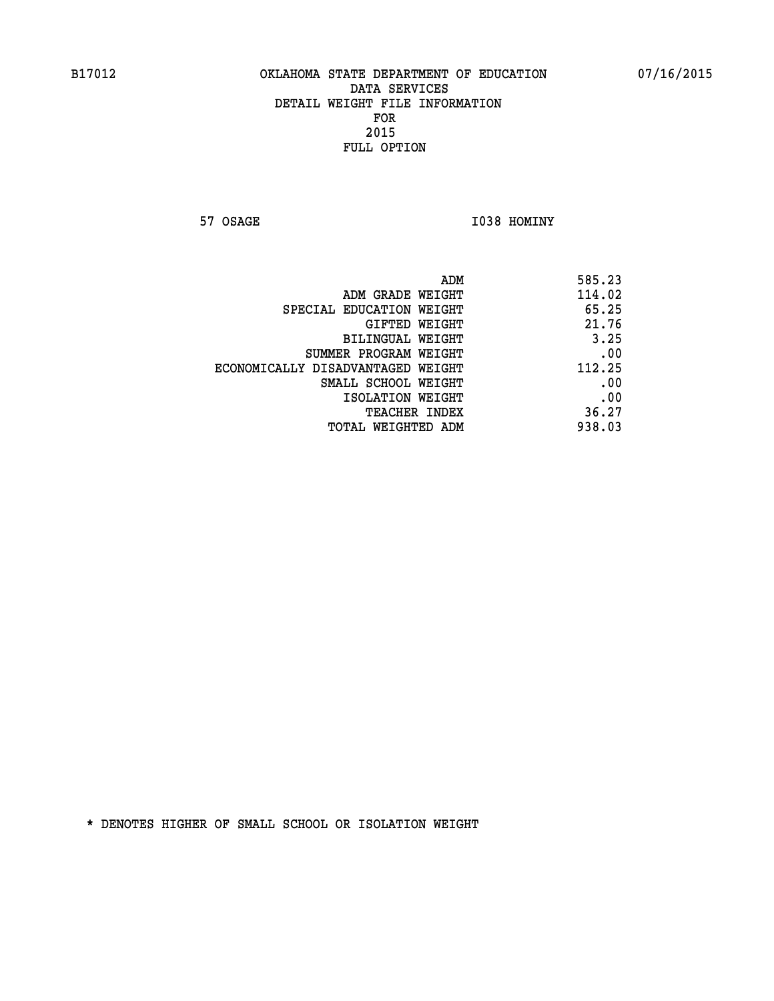**57 OSAGE 1038 HOMINY** 

| 585.23 |
|--------|
| 114.02 |
| 65.25  |
| 21.76  |
| 3.25   |
| .00    |
| 112.25 |
| .00    |
| .00    |
| 36.27  |
| 938.03 |
|        |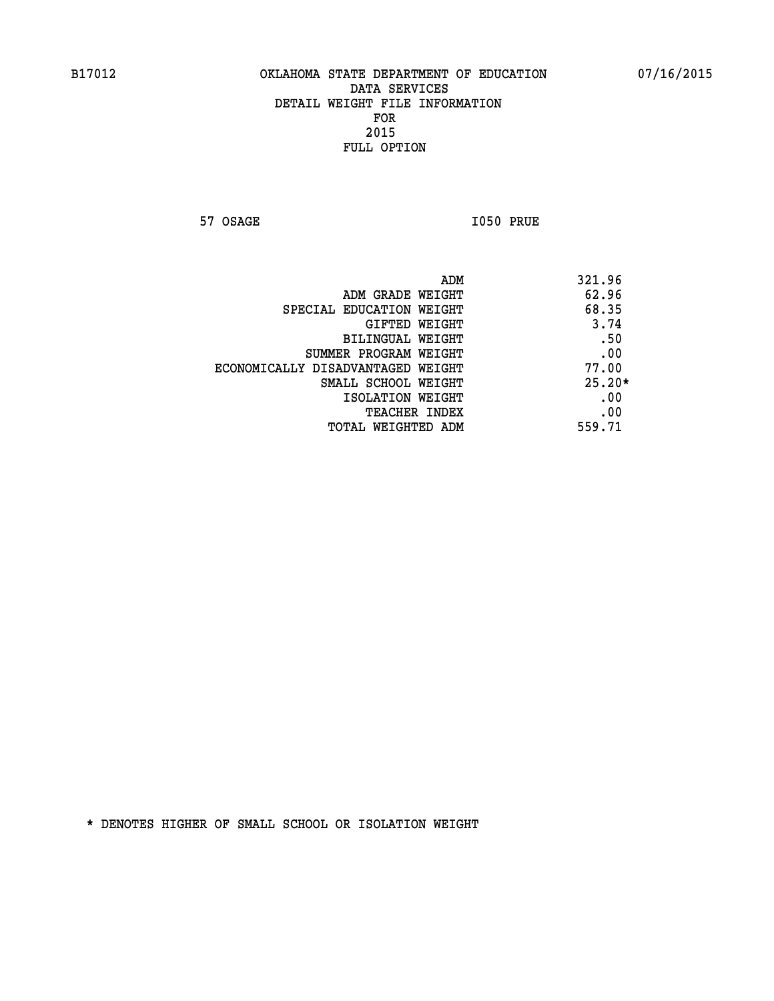**57 OSAGE 1050 PRUE** 

|                                   | ADM<br>321.96 |
|-----------------------------------|---------------|
| ADM GRADE WEIGHT                  | 62.96         |
| SPECIAL EDUCATION WEIGHT          | 68.35         |
| GIFTED WEIGHT                     | 3.74          |
| BILINGUAL WEIGHT                  | .50           |
| SUMMER PROGRAM WEIGHT             | .00           |
| ECONOMICALLY DISADVANTAGED WEIGHT | 77.00         |
| SMALL SCHOOL WEIGHT               | $25.20*$      |
| ISOLATION WEIGHT                  | .00           |
| <b>TEACHER INDEX</b>              | .00           |
| TOTAL WEIGHTED ADM                | 559.71        |
|                                   |               |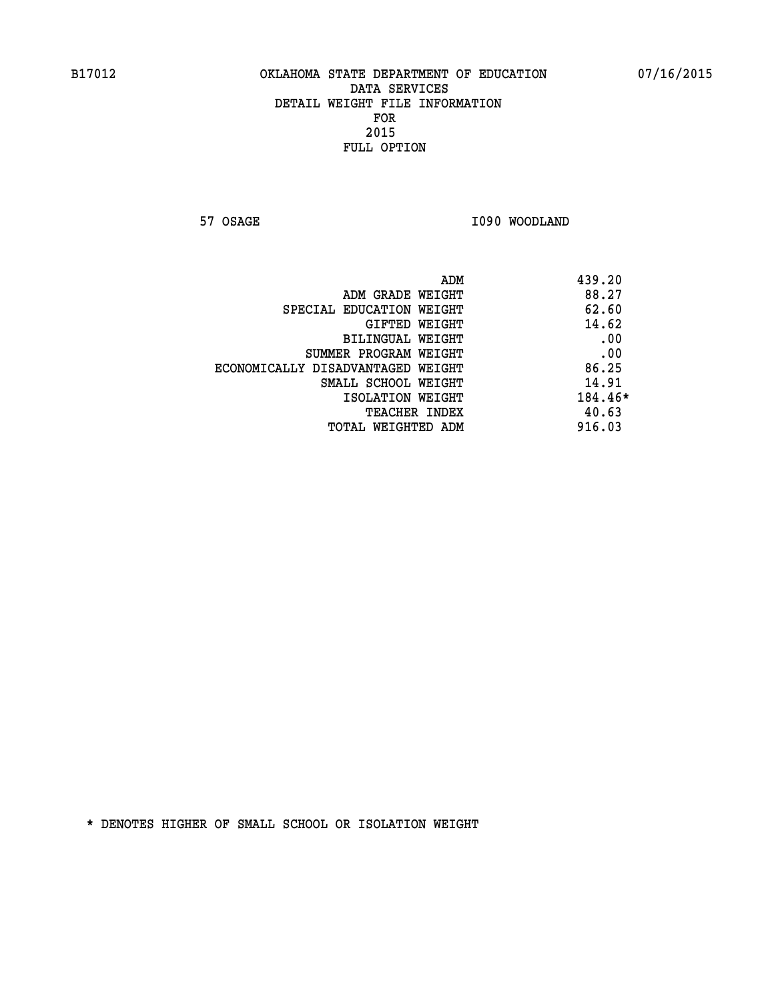**57 OSAGE 1090 WOODLAND** 

|                                   | ADM<br>439.20 |     |
|-----------------------------------|---------------|-----|
| ADM GRADE WEIGHT                  | 88.27         |     |
| SPECIAL EDUCATION WEIGHT          | 62.60         |     |
| GIFTED WEIGHT                     | 14.62         |     |
| BILINGUAL WEIGHT                  |               | .00 |
| SUMMER PROGRAM WEIGHT             |               | .00 |
| ECONOMICALLY DISADVANTAGED WEIGHT | 86.25         |     |
| SMALL SCHOOL WEIGHT               | 14.91         |     |
| ISOLATION WEIGHT                  | 184.46*       |     |
| TEACHER INDEX                     | 40.63         |     |
| TOTAL WEIGHTED ADM                | 916.03        |     |
|                                   |               |     |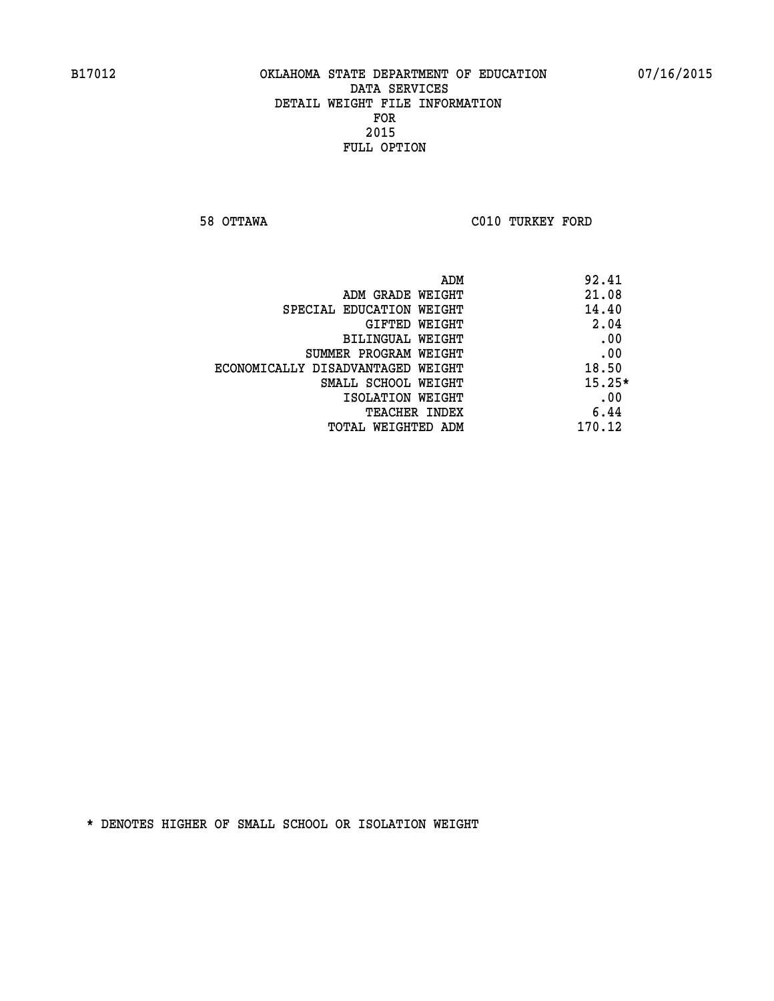**58 OTTAWA C010 TURKEY FORD** 

|                                   | 92.41<br>ADM |
|-----------------------------------|--------------|
| ADM GRADE WEIGHT                  | 21.08        |
| SPECIAL EDUCATION WEIGHT          | 14.40        |
| GIFTED WEIGHT                     | 2.04         |
| BILINGUAL WEIGHT                  | .00          |
| SUMMER PROGRAM WEIGHT             | .00          |
| ECONOMICALLY DISADVANTAGED WEIGHT | 18.50        |
| SMALL SCHOOL WEIGHT               | $15.25*$     |
| ISOLATION WEIGHT                  | .00          |
| <b>TEACHER INDEX</b>              | 6.44         |
| TOTAL WEIGHTED ADM                | 170.12       |
|                                   |              |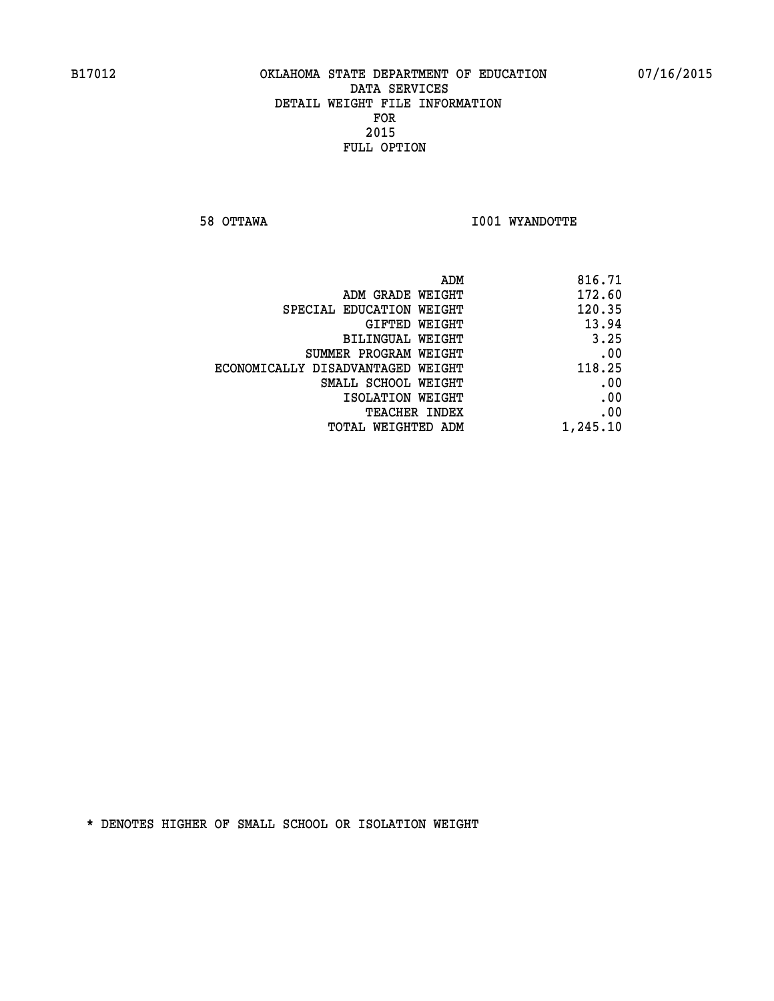**58 OTTAWA I001 WYANDOTTE** 

|                                   | ADM<br>816.71 |
|-----------------------------------|---------------|
| ADM GRADE WEIGHT                  | 172.60        |
| SPECIAL EDUCATION WEIGHT          | 120.35        |
| <b>GIFTED WEIGHT</b>              | 13.94         |
| <b>BILINGUAL WEIGHT</b>           | 3.25          |
| SUMMER PROGRAM WEIGHT             | .00           |
| ECONOMICALLY DISADVANTAGED WEIGHT | 118.25        |
| SMALL SCHOOL WEIGHT               | .00           |
| ISOLATION WEIGHT                  | .00           |
| TEACHER INDEX                     | .00           |
| TOTAL WEIGHTED ADM                | 1,245.10      |
|                                   |               |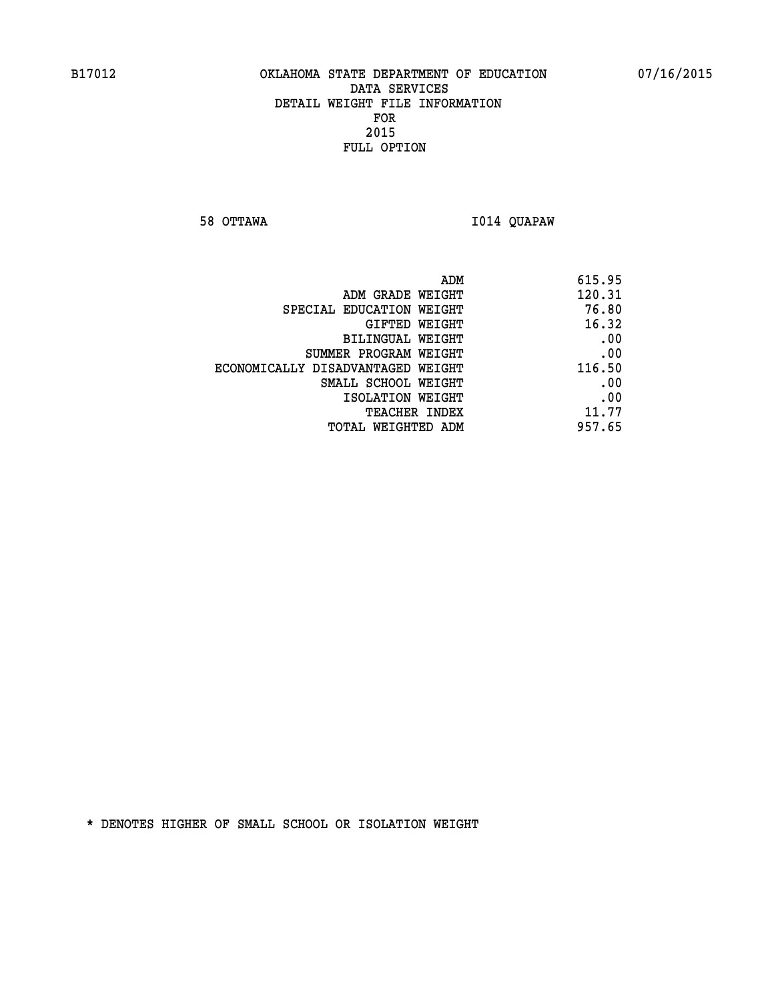**58 OTTAWA I014 QUAPAW** 

|                                   | ADM<br>615.95 |
|-----------------------------------|---------------|
| ADM GRADE WEIGHT                  | 120.31        |
| SPECIAL EDUCATION WEIGHT          | 76.80         |
| <b>GIFTED WEIGHT</b>              | 16.32         |
| <b>BILINGUAL WEIGHT</b>           | .00           |
| SUMMER PROGRAM WEIGHT             | .00           |
| ECONOMICALLY DISADVANTAGED WEIGHT | 116.50        |
| SMALL SCHOOL WEIGHT               | .00           |
| ISOLATION WEIGHT                  | .00           |
| TEACHER INDEX                     | 11.77         |
| TOTAL WEIGHTED ADM                | 957.65        |
|                                   |               |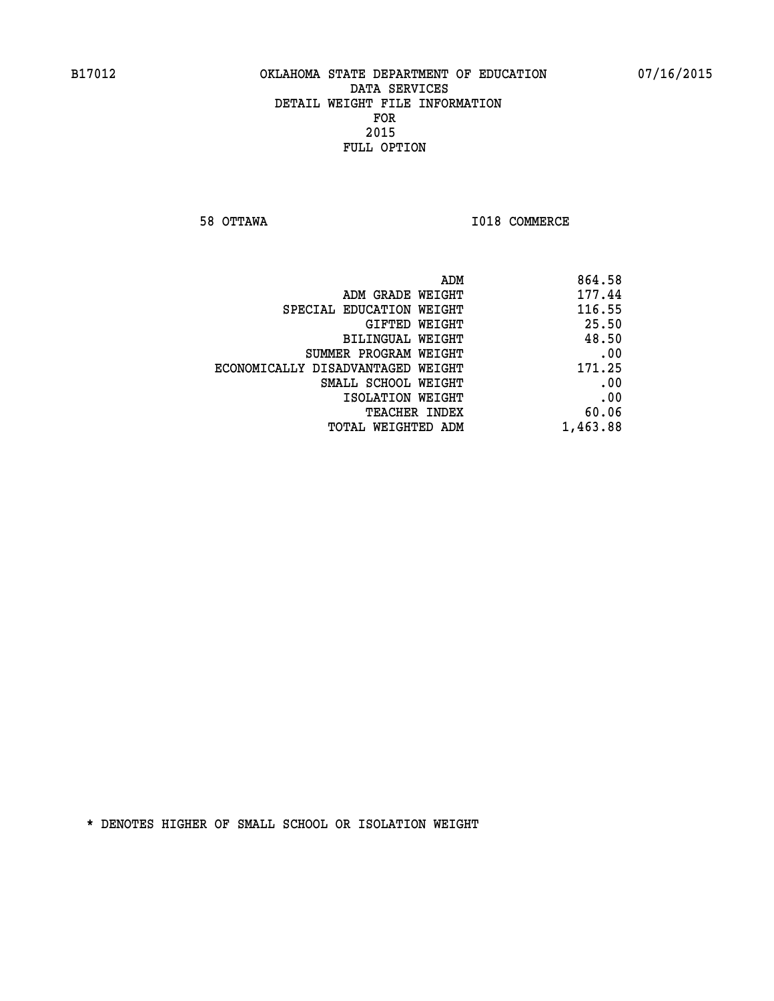**58 OTTAWA I018 COMMERCE** 

| 864.58<br>ADM                               |
|---------------------------------------------|
| 177.44<br>ADM GRADE WEIGHT                  |
| 116.55<br>SPECIAL EDUCATION WEIGHT          |
| 25.50<br>GIFTED WEIGHT                      |
| 48.50<br>BILINGUAL WEIGHT                   |
| .00<br>SUMMER PROGRAM WEIGHT                |
| 171.25<br>ECONOMICALLY DISADVANTAGED WEIGHT |
| .00<br>SMALL SCHOOL WEIGHT                  |
| .00<br>ISOLATION WEIGHT                     |
| 60.06<br>TEACHER INDEX                      |
| 1,463.88<br>TOTAL WEIGHTED ADM              |
|                                             |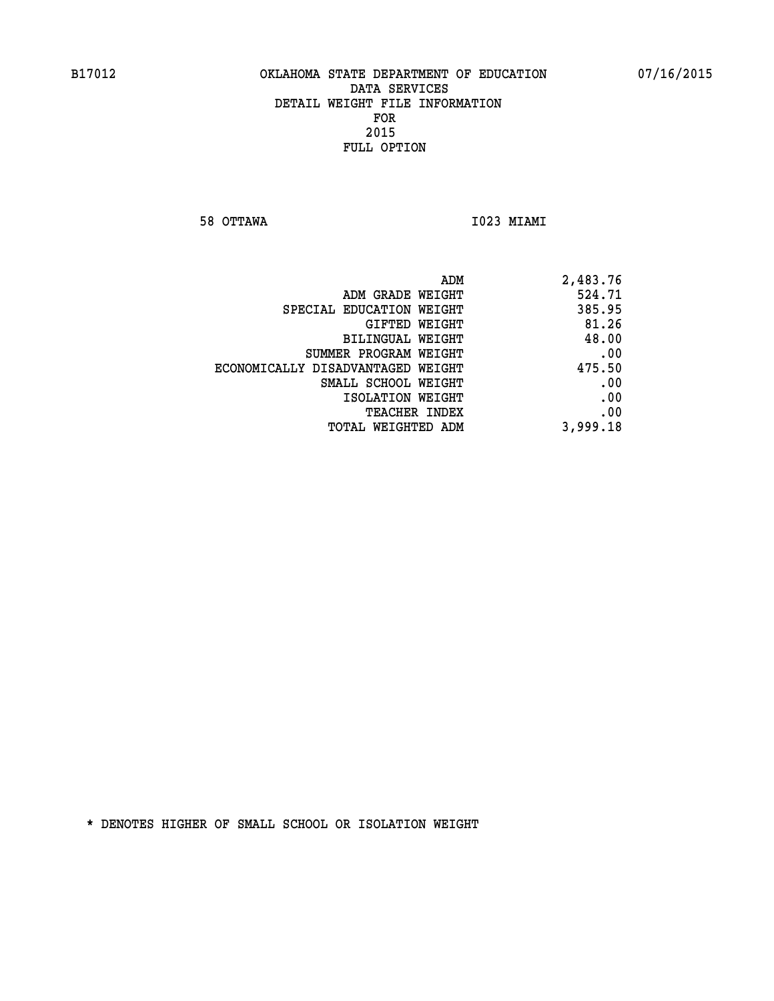**58 OTTAWA I023 MIAMI** 

| ADM                               | 2,483.76 |
|-----------------------------------|----------|
| ADM GRADE WEIGHT                  | 524.71   |
| SPECIAL EDUCATION WEIGHT          | 385.95   |
| GIFTED WEIGHT                     | 81.26    |
| BILINGUAL WEIGHT                  | 48.00    |
| SUMMER PROGRAM WEIGHT             | .00      |
| ECONOMICALLY DISADVANTAGED WEIGHT | 475.50   |
| SMALL SCHOOL WEIGHT               | .00      |
| ISOLATION WEIGHT                  | .00      |
| <b>TEACHER INDEX</b>              | .00      |
| TOTAL WEIGHTED ADM                | 3,999.18 |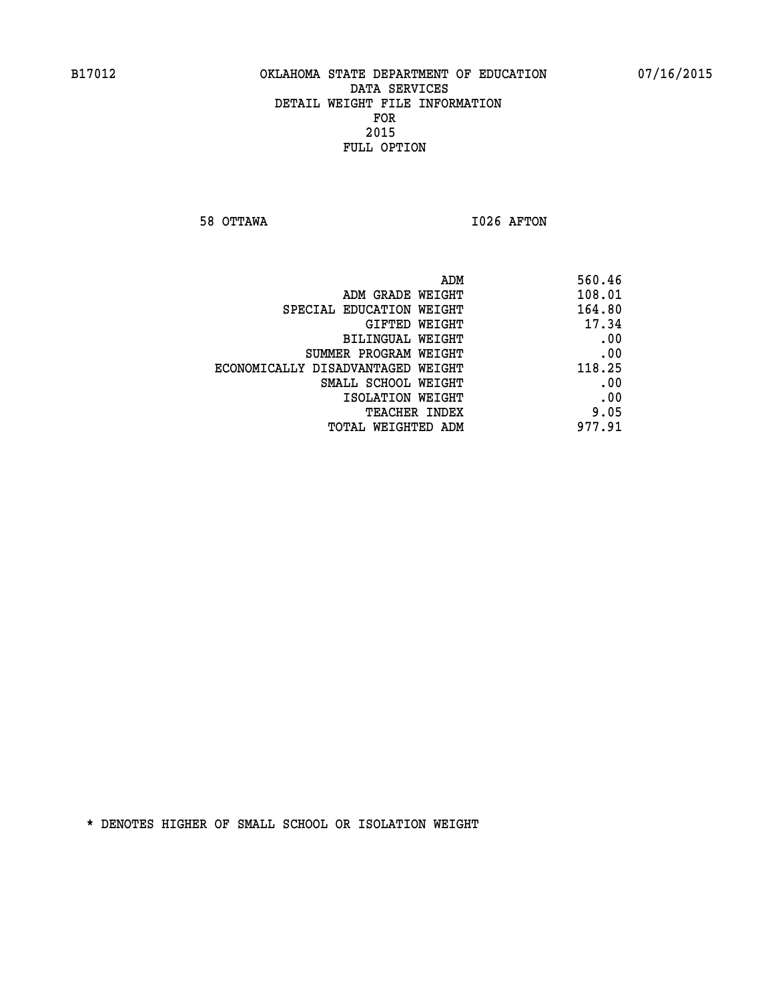**58 OTTAWA I026 AFTON** 

| ADM<br>560.46                               |  |
|---------------------------------------------|--|
| 108.01<br>ADM GRADE WEIGHT                  |  |
| 164.80<br>SPECIAL EDUCATION WEIGHT          |  |
| 17.34<br>GIFTED WEIGHT                      |  |
| .00<br><b>BILINGUAL WEIGHT</b>              |  |
| .00<br>SUMMER PROGRAM WEIGHT                |  |
| 118.25<br>ECONOMICALLY DISADVANTAGED WEIGHT |  |
| .00<br>SMALL SCHOOL WEIGHT                  |  |
| .00<br>ISOLATION WEIGHT                     |  |
| 9.05<br>TEACHER INDEX                       |  |
| 977.91<br>TOTAL WEIGHTED ADM                |  |
|                                             |  |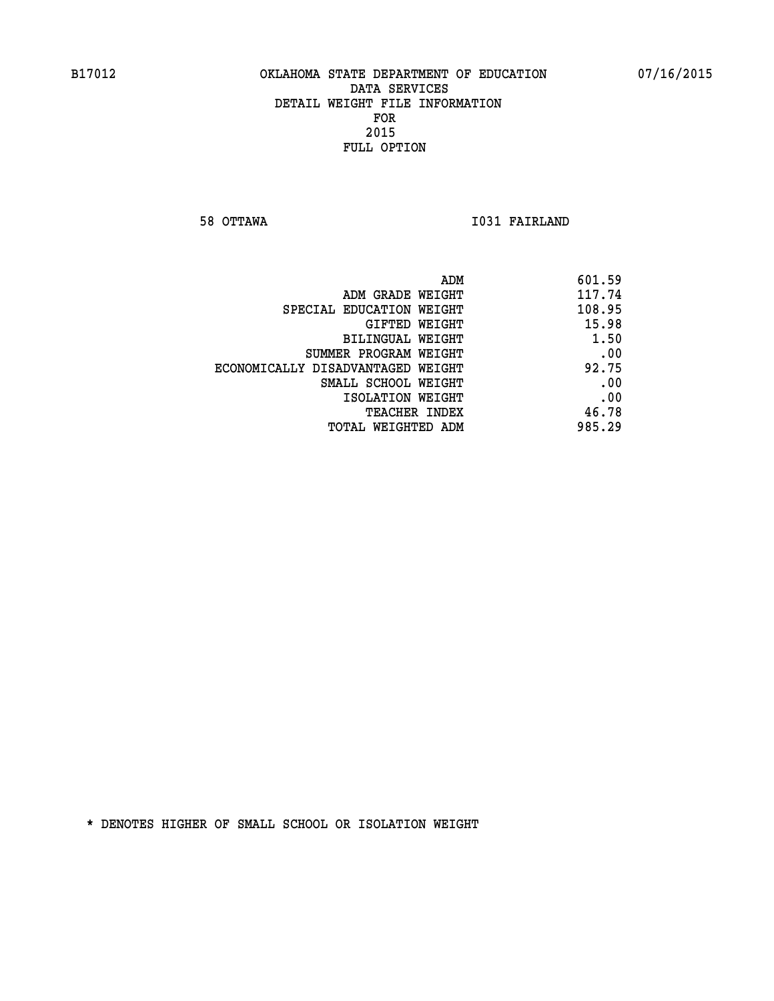**58 OTTAWA I031 FAIRLAND** 

| ADM                               | 601.59 |
|-----------------------------------|--------|
| ADM GRADE WEIGHT                  | 117.74 |
| SPECIAL EDUCATION WEIGHT          | 108.95 |
| GIFTED WEIGHT                     | 15.98  |
| BILINGUAL WEIGHT                  | 1.50   |
| SUMMER PROGRAM WEIGHT             | .00    |
| ECONOMICALLY DISADVANTAGED WEIGHT | 92.75  |
| SMALL SCHOOL WEIGHT               | .00    |
| ISOLATION WEIGHT                  | .00    |
| <b>TEACHER INDEX</b>              | 46.78  |
| TOTAL WEIGHTED ADM                | 985.29 |
|                                   |        |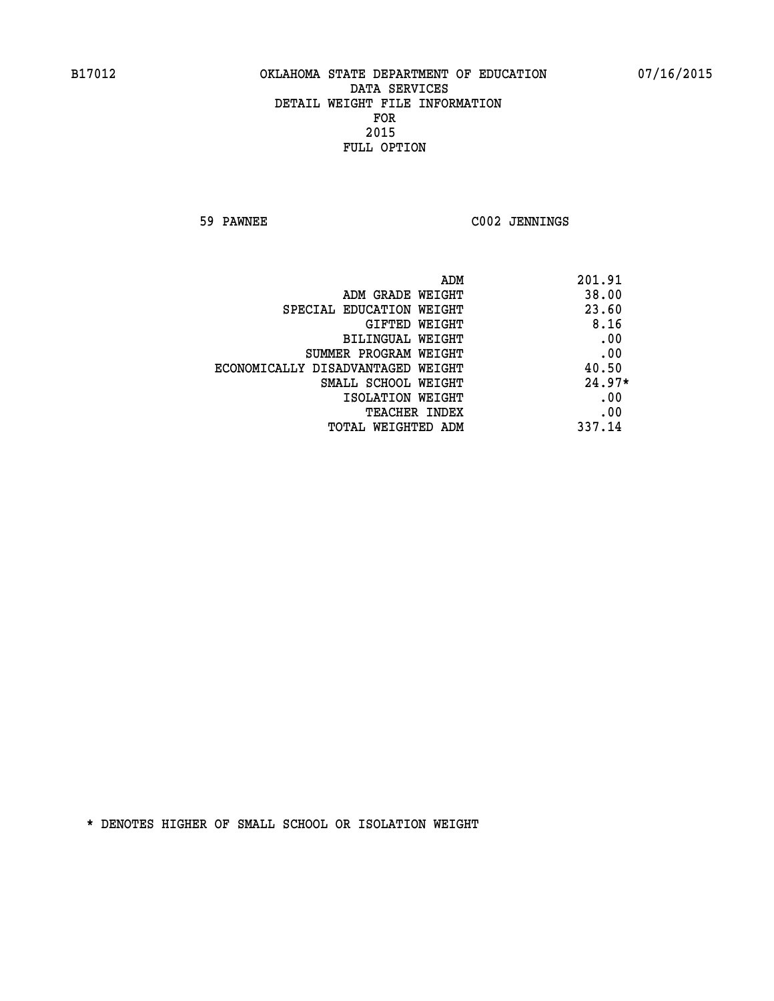**59 PAWNEE C002 JENNINGS** 

| ADM                               | 201.91   |
|-----------------------------------|----------|
| ADM GRADE WEIGHT                  | 38.00    |
| SPECIAL EDUCATION WEIGHT          | 23.60    |
| GIFTED WEIGHT                     | 8.16     |
| BILINGUAL WEIGHT                  | .00      |
| SUMMER PROGRAM WEIGHT             | .00      |
| ECONOMICALLY DISADVANTAGED WEIGHT | 40.50    |
| SMALL SCHOOL WEIGHT               | $24.97*$ |
| ISOLATION WEIGHT                  | .00      |
| <b>TEACHER INDEX</b>              | .00      |
| TOTAL WEIGHTED ADM                | 337.14   |
|                                   |          |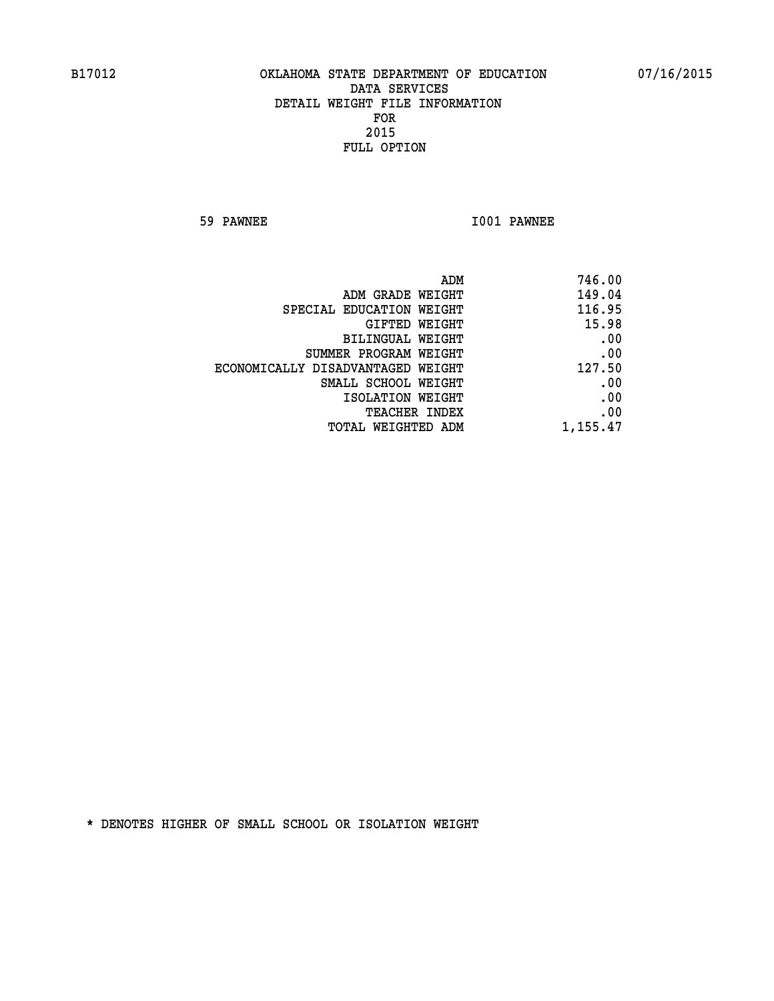**59 PAWNEE I001 PAWNEE** 

| 746.00   |
|----------|
| 149.04   |
| 116.95   |
| 15.98    |
| .00      |
| .00      |
| 127.50   |
| .00      |
| .00      |
| .00      |
| 1,155.47 |
|          |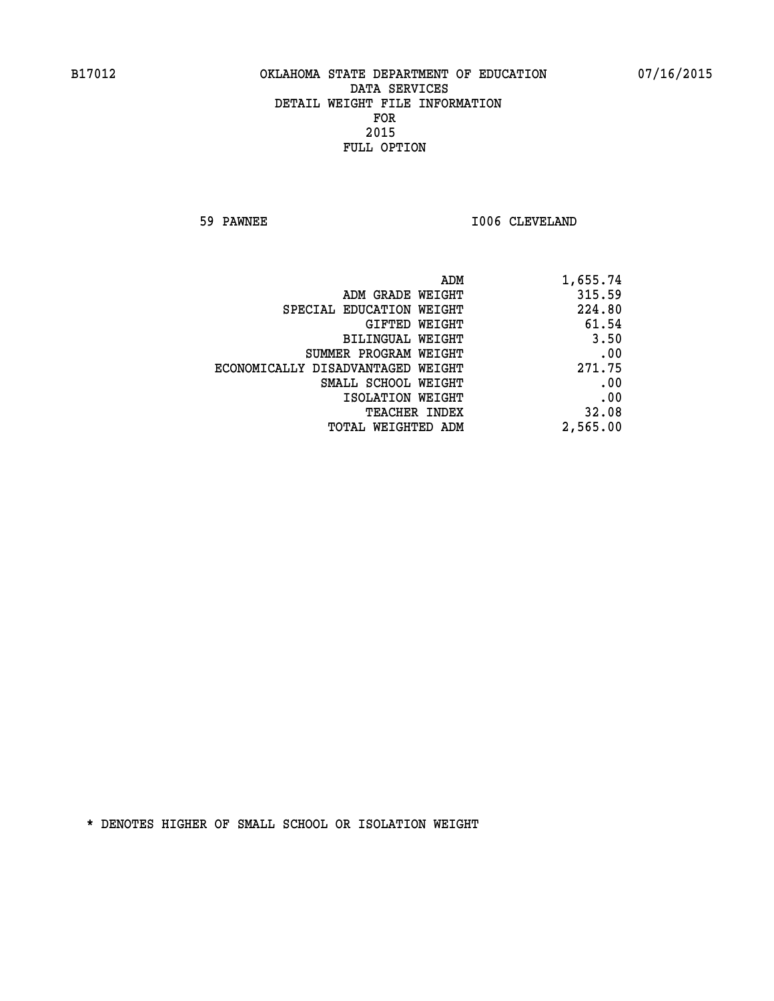**59 PAWNEE 1006 CLEVELAND** 

| 1,655.74 |
|----------|
| 315.59   |
| 224.80   |
| 61.54    |
| 3.50     |
| .00      |
| 271.75   |
| .00      |
| .00      |
| 32.08    |
| 2,565.00 |
|          |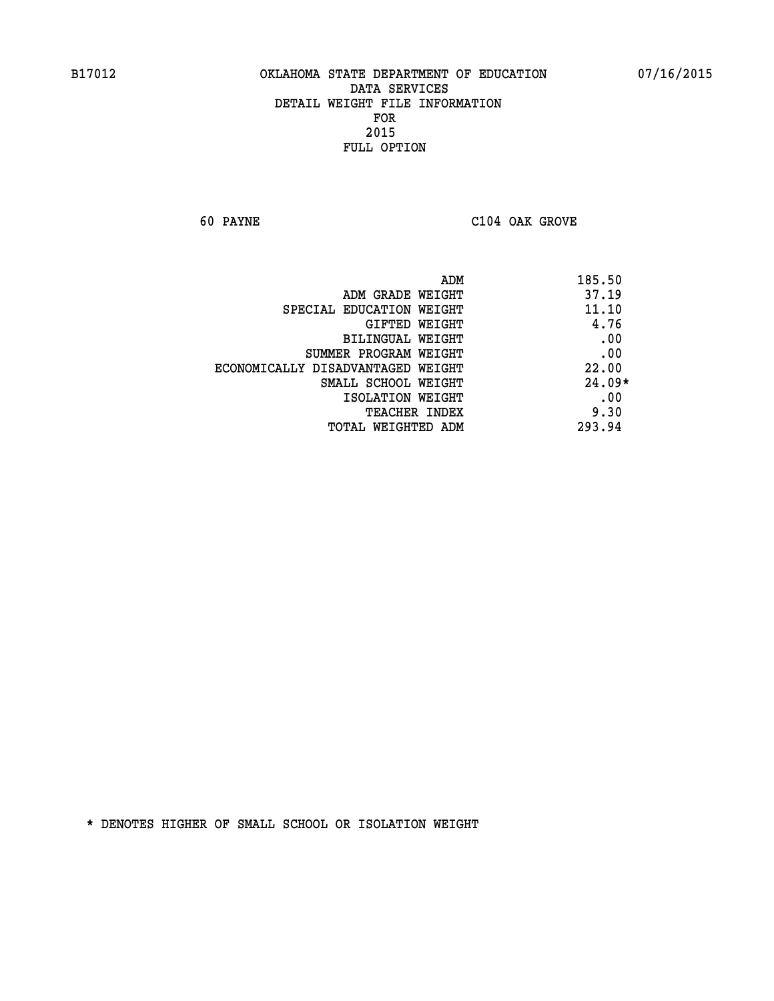**60 PAYNE C104 OAK GROVE** 

| 185.50   | ADM                               |
|----------|-----------------------------------|
| 37.19    | ADM GRADE WEIGHT                  |
| 11.10    | SPECIAL EDUCATION WEIGHT          |
| 4.76     | <b>GIFTED WEIGHT</b>              |
| .00      | BILINGUAL WEIGHT                  |
| .00      | SUMMER PROGRAM WEIGHT             |
| 22.00    | ECONOMICALLY DISADVANTAGED WEIGHT |
| $24.09*$ | SMALL SCHOOL WEIGHT               |
| .00      | ISOLATION WEIGHT                  |
| 9.30     | <b>TEACHER INDEX</b>              |
| 293.94   | TOTAL WEIGHTED ADM                |
|          |                                   |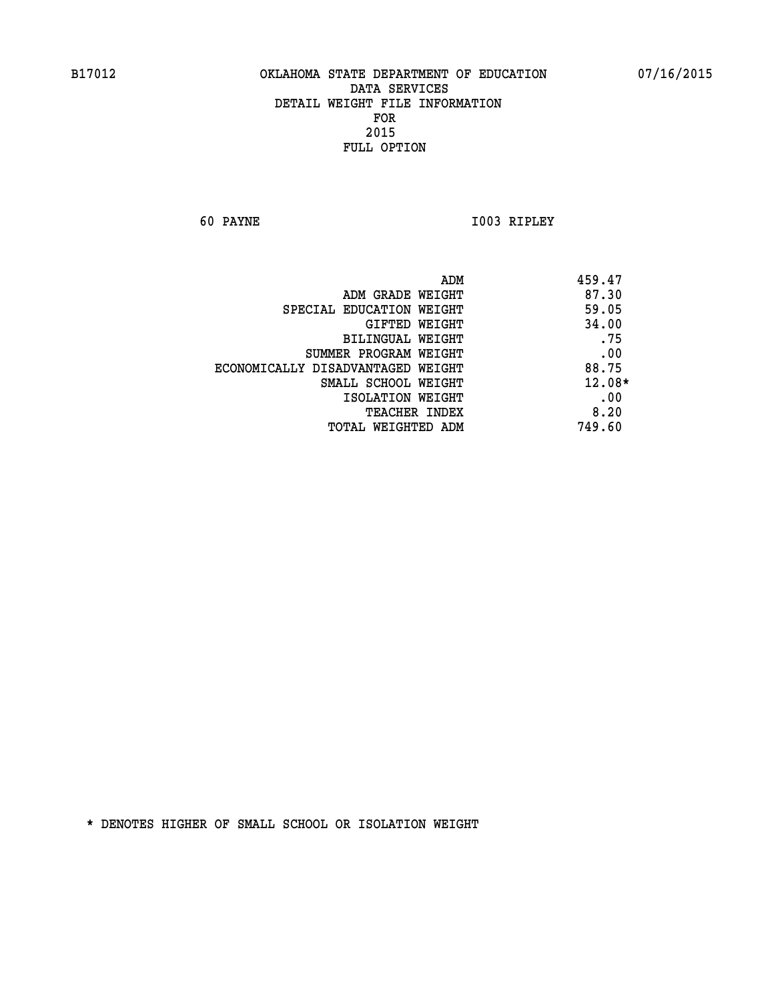**60 PAYNE I003 RIPLEY** 

| ADM                               | 459.47   |
|-----------------------------------|----------|
| ADM GRADE WEIGHT                  | 87.30    |
| SPECIAL EDUCATION WEIGHT          | 59.05    |
| GIFTED WEIGHT                     | 34.00    |
| BILINGUAL WEIGHT                  | .75      |
| SUMMER PROGRAM WEIGHT             | .00      |
| ECONOMICALLY DISADVANTAGED WEIGHT | 88.75    |
| SMALL SCHOOL WEIGHT               | $12.08*$ |
| ISOLATION WEIGHT                  | .00      |
| <b>TEACHER INDEX</b>              | 8.20     |
| TOTAL WEIGHTED ADM                | 749.60   |
|                                   |          |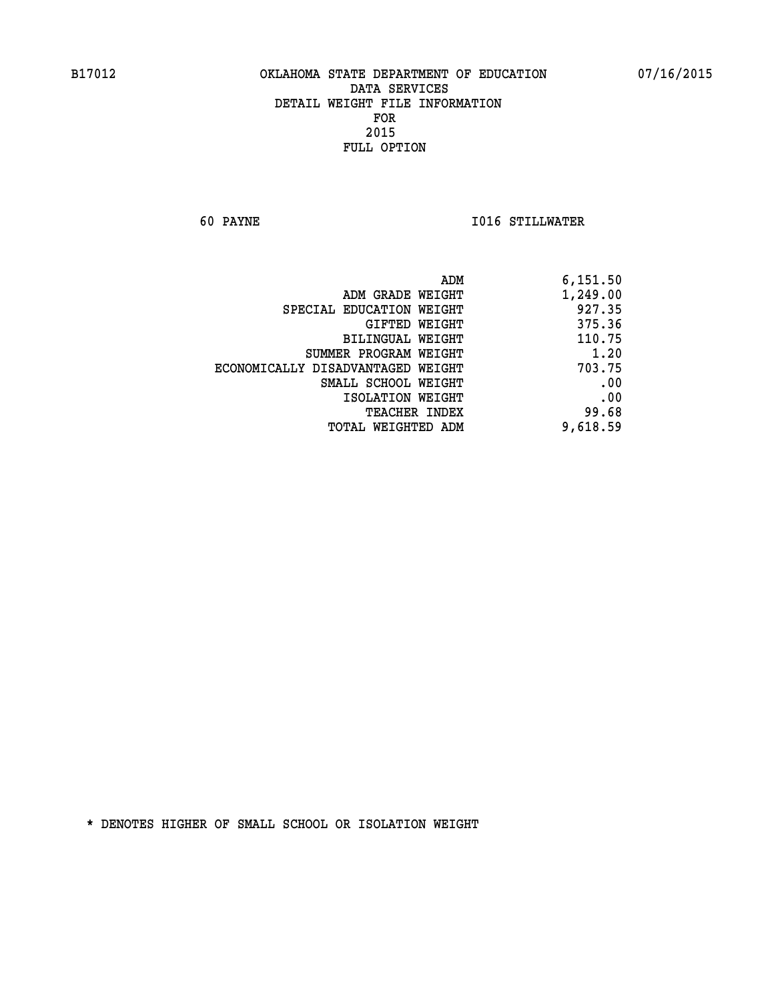**60 PAYNE I016 STILLWATER** 

| 6,151.50 |
|----------|
| 1,249.00 |
| 927.35   |
| 375.36   |
| 110.75   |
| 1.20     |
| 703.75   |
| .00      |
| .00      |
| 99.68    |
| 9,618.59 |
|          |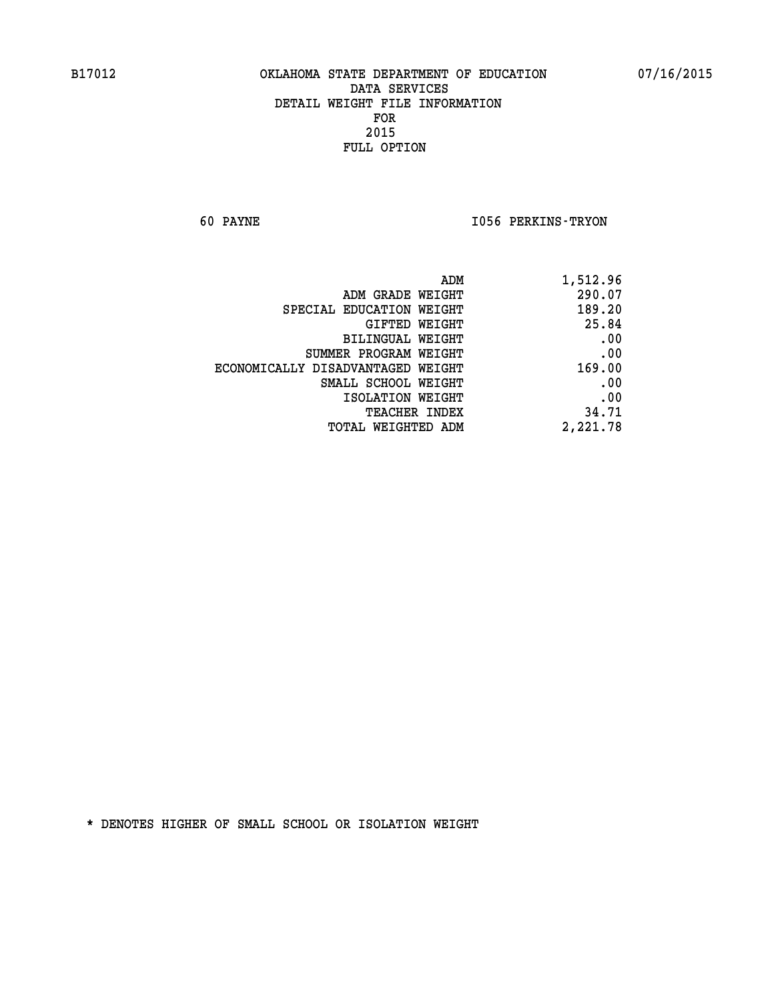**60 PAYNE I056 PERKINS-TRYON** 

| 1,512.96 |
|----------|
| 290.07   |
| 189.20   |
| 25.84    |
| .00      |
| .00      |
| 169.00   |
| .00      |
| .00      |
| 34.71    |
| 2,221.78 |
|          |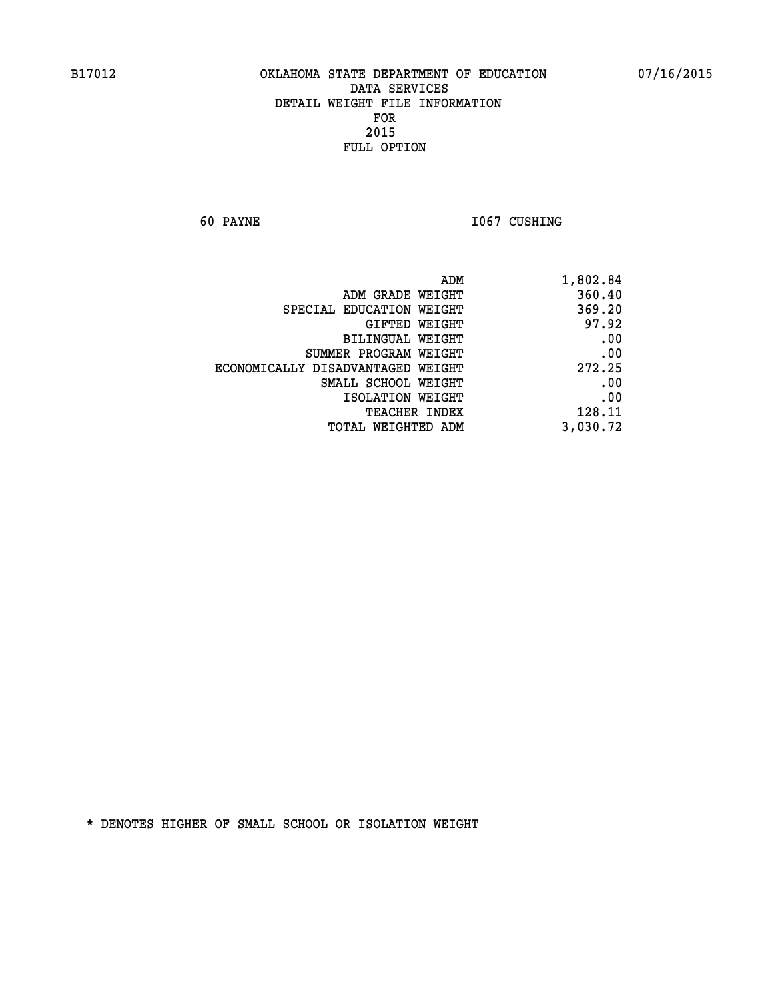**60 PAYNE 1067 CUSHING** 

| ADM                               | 1,802.84 |
|-----------------------------------|----------|
| ADM GRADE WEIGHT                  | 360.40   |
| SPECIAL EDUCATION WEIGHT          | 369.20   |
| GIFTED WEIGHT                     | 97.92    |
| BILINGUAL WEIGHT                  | .00      |
| SUMMER PROGRAM WEIGHT             | .00      |
| ECONOMICALLY DISADVANTAGED WEIGHT | 272.25   |
| SMALL SCHOOL WEIGHT               | .00      |
| ISOLATION WEIGHT                  | .00      |
| TEACHER INDEX                     | 128.11   |
| TOTAL WEIGHTED ADM                | 3,030.72 |
|                                   |          |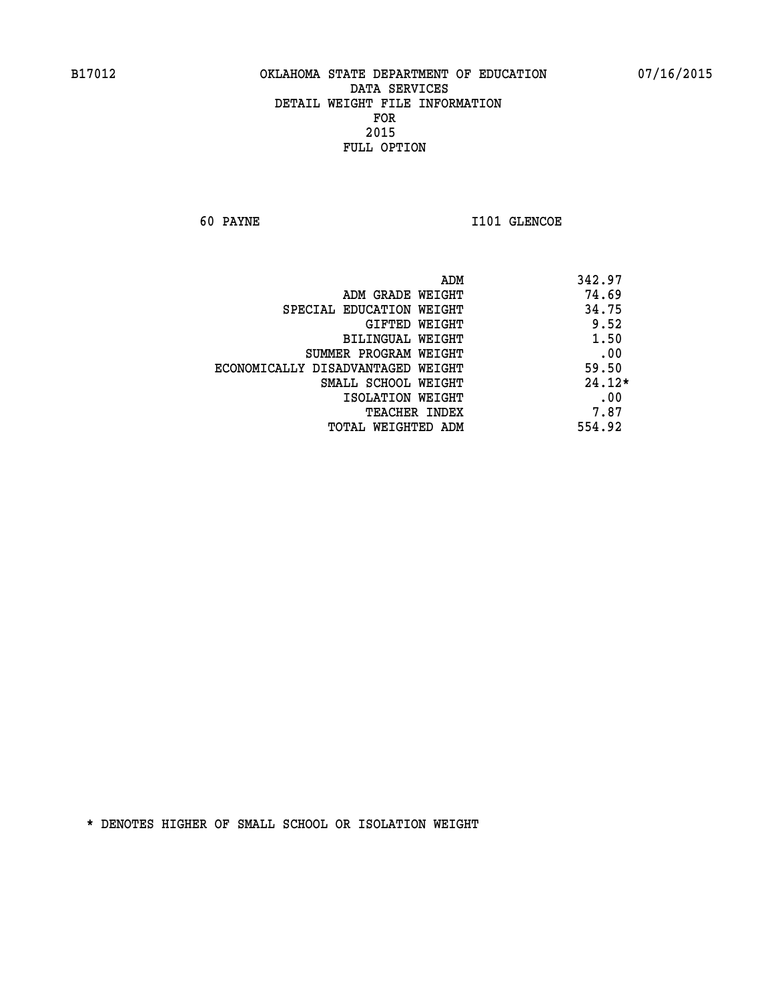**60 PAYNE 1101 GLENCOE** 

|                                   | ADM<br>342.97 |
|-----------------------------------|---------------|
| ADM GRADE WEIGHT                  | 74.69         |
| SPECIAL EDUCATION WEIGHT          | 34.75         |
| GIFTED WEIGHT                     | 9.52          |
| BILINGUAL WEIGHT                  | 1.50          |
| SUMMER PROGRAM WEIGHT             | .00           |
| ECONOMICALLY DISADVANTAGED WEIGHT | 59.50         |
| SMALL SCHOOL WEIGHT               | $24.12*$      |
| ISOLATION WEIGHT                  | .00           |
| <b>TEACHER INDEX</b>              | 7.87          |
| TOTAL WEIGHTED ADM                | 554.92        |
|                                   |               |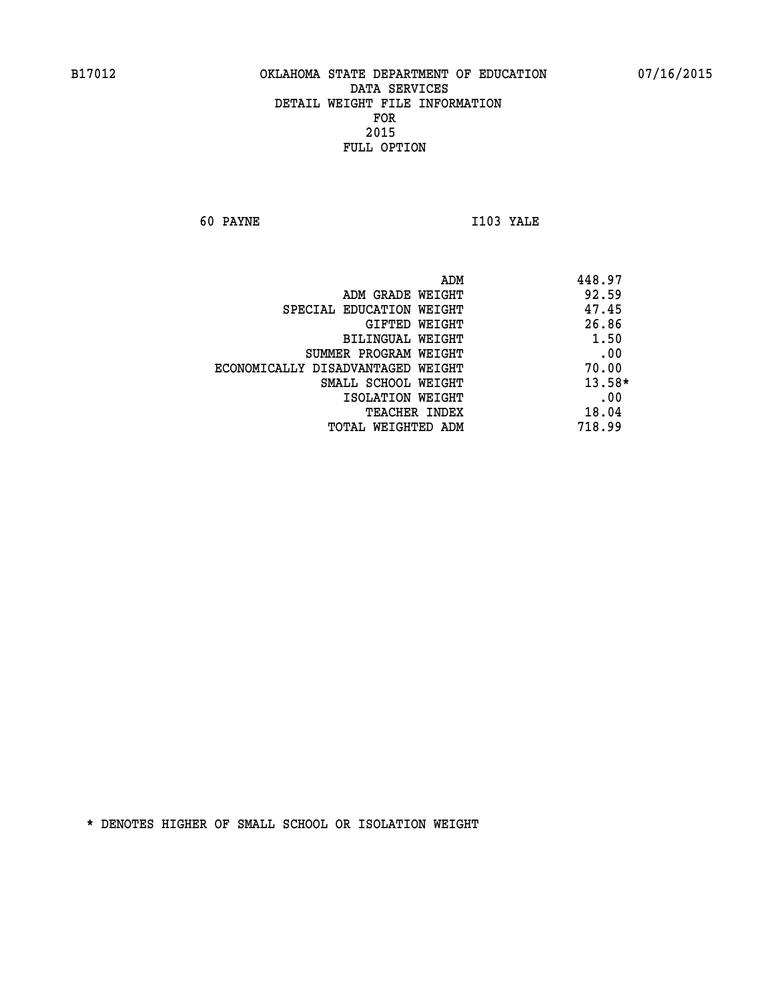**60 PAYNE I103 YALE** 

| ADM                               | 448.97   |
|-----------------------------------|----------|
| ADM GRADE WEIGHT                  | 92.59    |
| SPECIAL EDUCATION WEIGHT          | 47.45    |
| GIFTED WEIGHT                     | 26.86    |
| BILINGUAL WEIGHT                  | 1.50     |
| SUMMER PROGRAM WEIGHT             | .00      |
| ECONOMICALLY DISADVANTAGED WEIGHT | 70.00    |
| SMALL SCHOOL WEIGHT               | $13.58*$ |
| ISOLATION WEIGHT                  | .00      |
| <b>TEACHER INDEX</b>              | 18.04    |
| TOTAL WEIGHTED ADM                | 718.99   |
|                                   |          |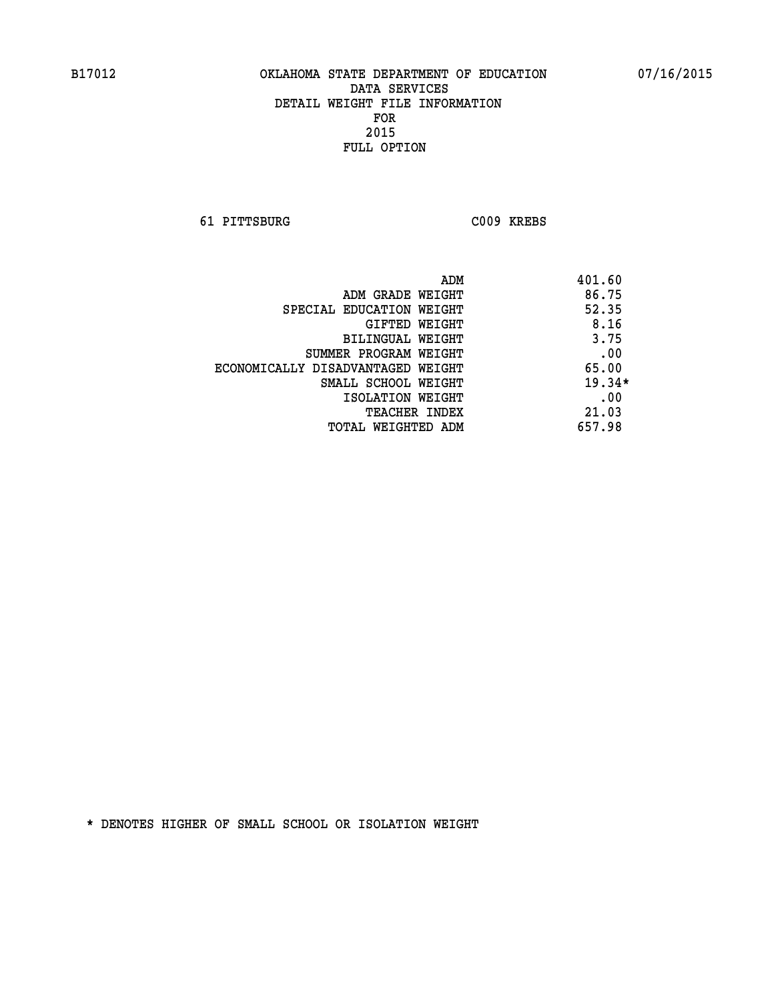**61 PITTSBURG C009 KREBS** 

|                                   | 401.60<br>ADM |
|-----------------------------------|---------------|
| ADM GRADE WEIGHT                  | 86.75         |
| SPECIAL EDUCATION WEIGHT          | 52.35         |
| GIFTED WEIGHT                     | 8.16          |
| BILINGUAL WEIGHT                  | 3.75          |
| SUMMER PROGRAM WEIGHT             | .00           |
| ECONOMICALLY DISADVANTAGED WEIGHT | 65.00         |
| SMALL SCHOOL WEIGHT               | $19.34*$      |
| ISOLATION WEIGHT                  | .00           |
| <b>TEACHER INDEX</b>              | 21.03         |
| TOTAL WEIGHTED ADM                | 657.98        |
|                                   |               |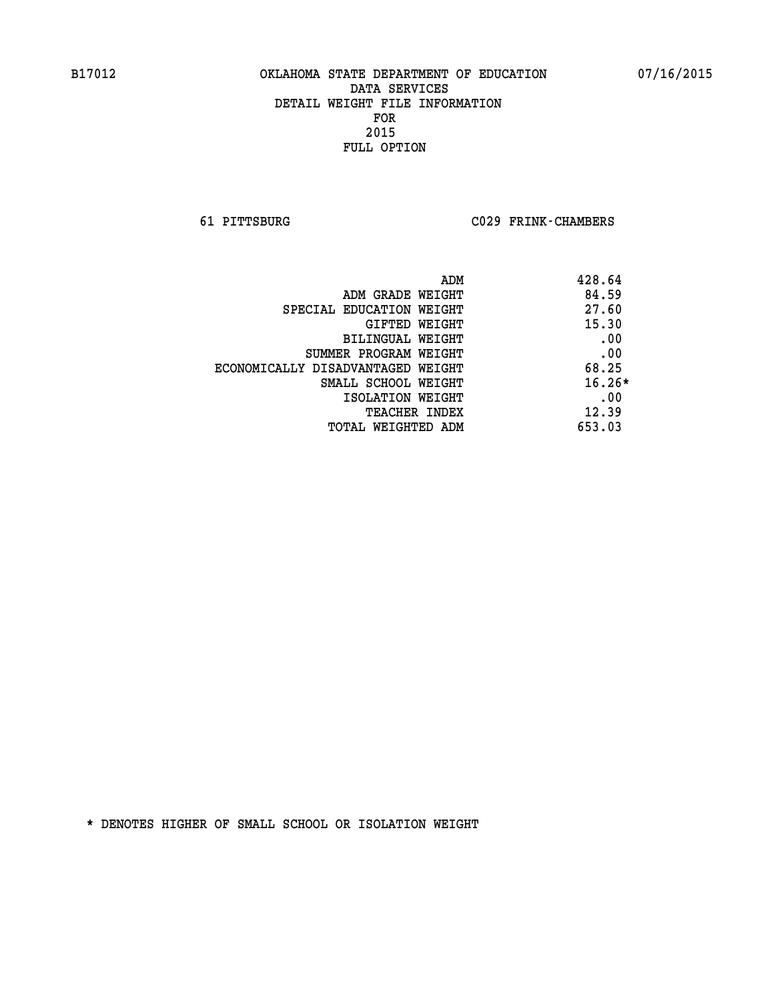**61 PITTSBURG C029 FRINK-CHAMBERS** 

|                                   | 428.64<br>ADM |
|-----------------------------------|---------------|
| ADM GRADE WEIGHT                  | 84.59         |
| SPECIAL EDUCATION WEIGHT          | 27.60         |
| GIFTED WEIGHT                     | 15.30         |
| BILINGUAL WEIGHT                  | .00           |
| SUMMER PROGRAM WEIGHT             | .00           |
| ECONOMICALLY DISADVANTAGED WEIGHT | 68.25         |
| SMALL SCHOOL WEIGHT               | $16.26*$      |
| ISOLATION WEIGHT                  | .00           |
| <b>TEACHER INDEX</b>              | 12.39         |
| TOTAL WEIGHTED ADM                | 653.03        |
|                                   |               |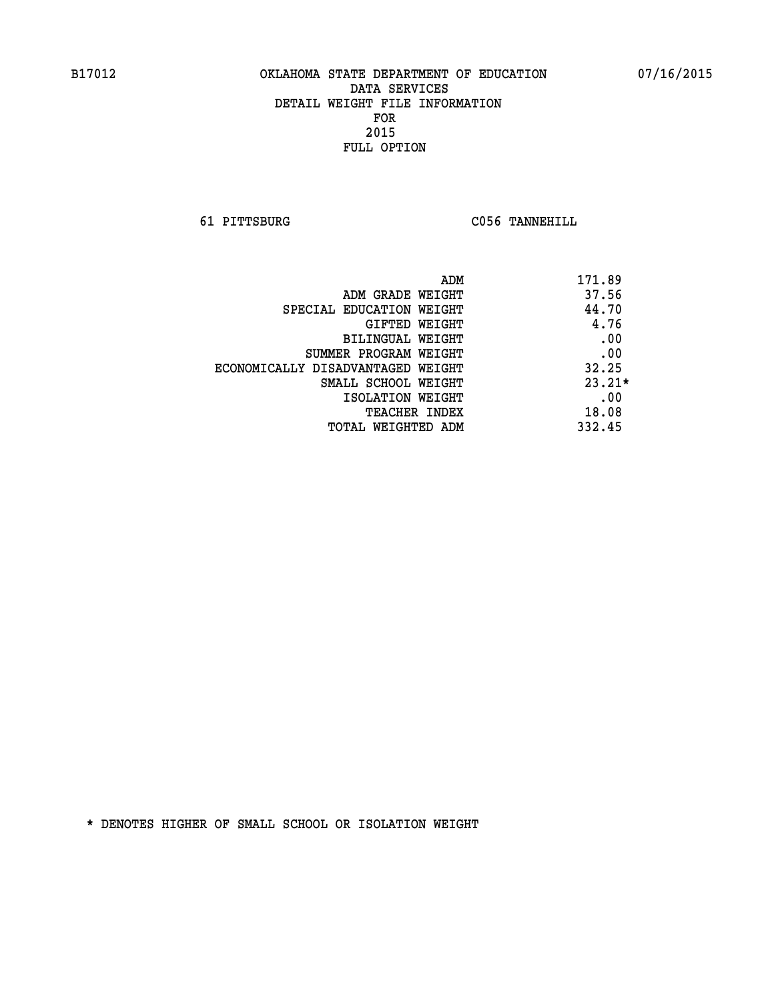**61 PITTSBURG C056 TANNEHILL** 

| ADM                               | 171.89   |
|-----------------------------------|----------|
| ADM GRADE WEIGHT                  | 37.56    |
| SPECIAL EDUCATION WEIGHT          | 44.70    |
| GIFTED WEIGHT                     | 4.76     |
| BILINGUAL WEIGHT                  | .00      |
| SUMMER PROGRAM WEIGHT             | .00      |
| ECONOMICALLY DISADVANTAGED WEIGHT | 32.25    |
| SMALL SCHOOL WEIGHT               | $23.21*$ |
| ISOLATION WEIGHT                  | .00      |
| <b>TEACHER INDEX</b>              | 18.08    |
| TOTAL WEIGHTED ADM                | 332.45   |
|                                   |          |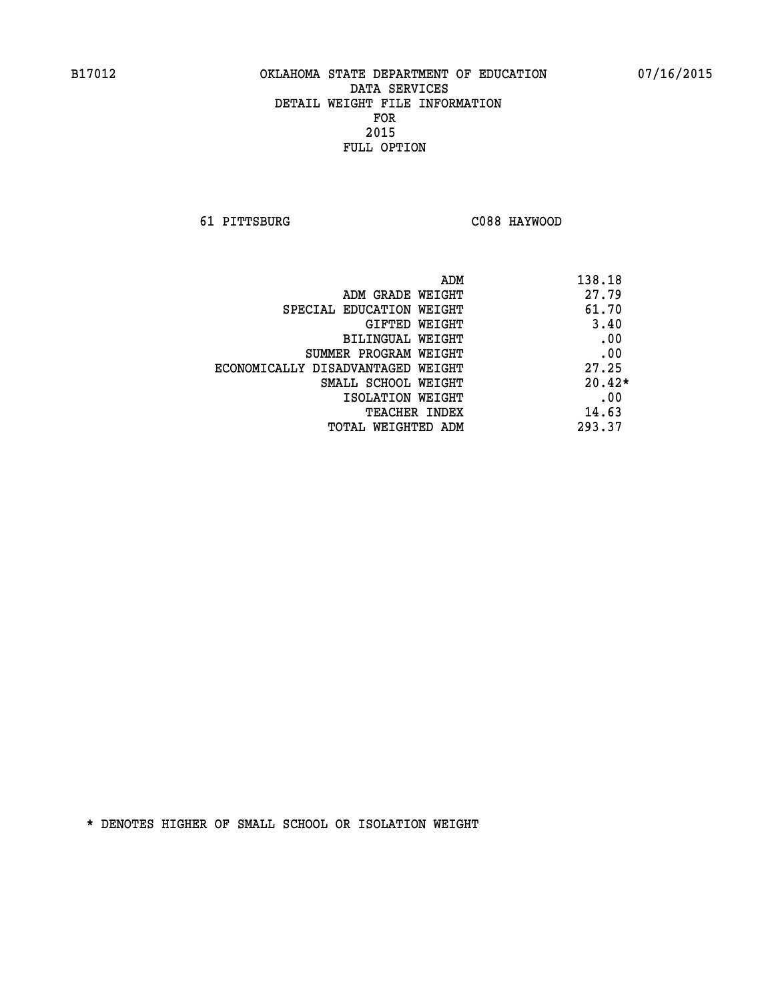**61 PITTSBURG C088 HAYWOOD** 

| 138.18<br>ADM |                                   |
|---------------|-----------------------------------|
| 27.79         | ADM GRADE WEIGHT                  |
| 61.70         | SPECIAL EDUCATION WEIGHT          |
| 3.40          | GIFTED WEIGHT                     |
| .00           | BILINGUAL WEIGHT                  |
| .00           | SUMMER PROGRAM WEIGHT             |
| 27.25         | ECONOMICALLY DISADVANTAGED WEIGHT |
| $20.42*$      | SMALL SCHOOL WEIGHT               |
| .00           | ISOLATION WEIGHT                  |
| 14.63         | <b>TEACHER INDEX</b>              |
| 293.37        | TOTAL WEIGHTED ADM                |
|               |                                   |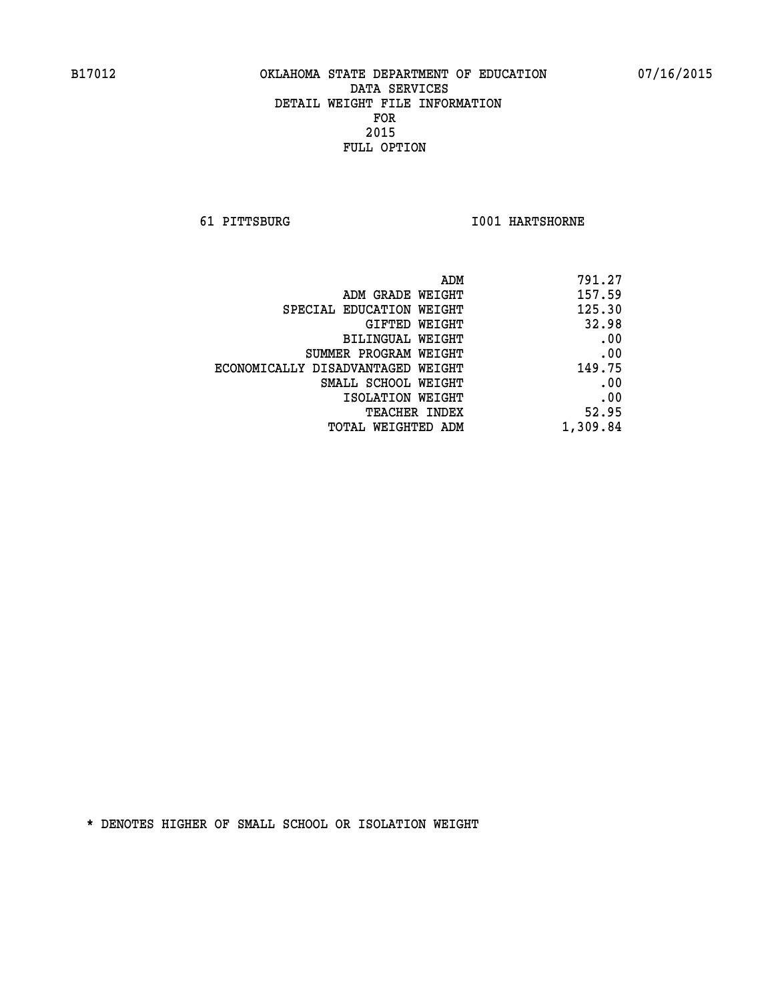**61 PITTSBURG I001 HARTSHORNE** 

| 791.27   |
|----------|
| 157.59   |
| 125.30   |
| 32.98    |
| .00      |
| .00      |
| 149.75   |
| .00      |
| .00      |
| 52.95    |
| 1,309.84 |
|          |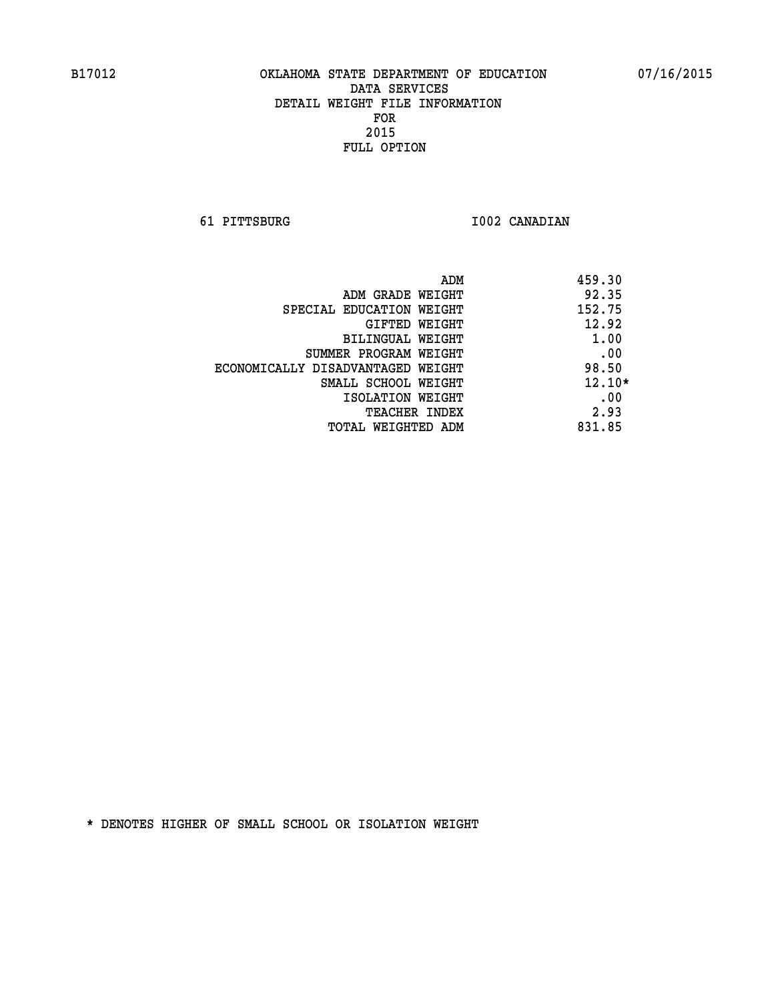**61 PITTSBURG I002 CANADIAN** 

| ADM                               | 459.30   |
|-----------------------------------|----------|
| ADM GRADE WEIGHT                  | 92.35    |
| SPECIAL EDUCATION WEIGHT          | 152.75   |
| GIFTED WEIGHT                     | 12.92    |
| BILINGUAL WEIGHT                  | 1.00     |
| SUMMER PROGRAM WEIGHT             | .00      |
| ECONOMICALLY DISADVANTAGED WEIGHT | 98.50    |
| SMALL SCHOOL WEIGHT               | $12.10*$ |
| ISOLATION WEIGHT                  | .00      |
| <b>TEACHER INDEX</b>              | 2.93     |
| TOTAL WEIGHTED ADM                | 831.85   |
|                                   |          |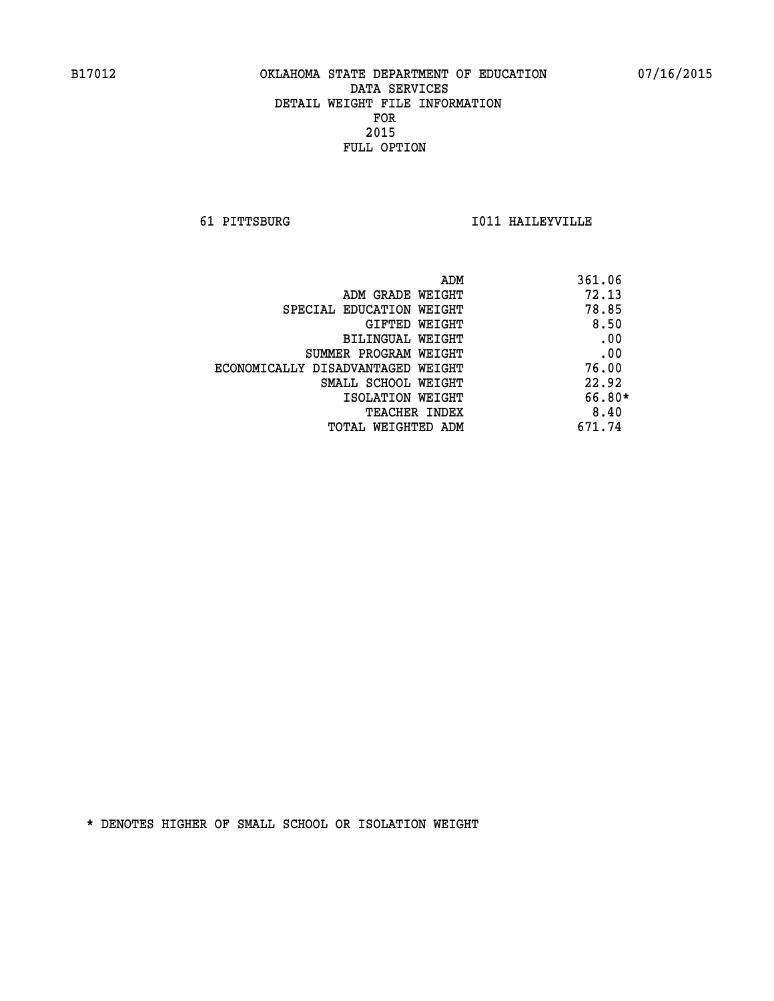**61 PITTSBURG I011 HAILEYVILLE** 

| ADM                               | 361.06 |
|-----------------------------------|--------|
| ADM GRADE WEIGHT                  | 72.13  |
| SPECIAL EDUCATION WEIGHT          | 78.85  |
| GIFTED WEIGHT                     | 8.50   |
| <b>BILINGUAL WEIGHT</b>           | .00    |
| SUMMER PROGRAM WEIGHT             | .00    |
| ECONOMICALLY DISADVANTAGED WEIGHT | 76.00  |
| SMALL SCHOOL WEIGHT               | 22.92  |
| ISOLATION WEIGHT                  | 66.80* |
| <b>TEACHER INDEX</b>              | 8.40   |
| TOTAL WEIGHTED ADM                | 671.74 |
|                                   |        |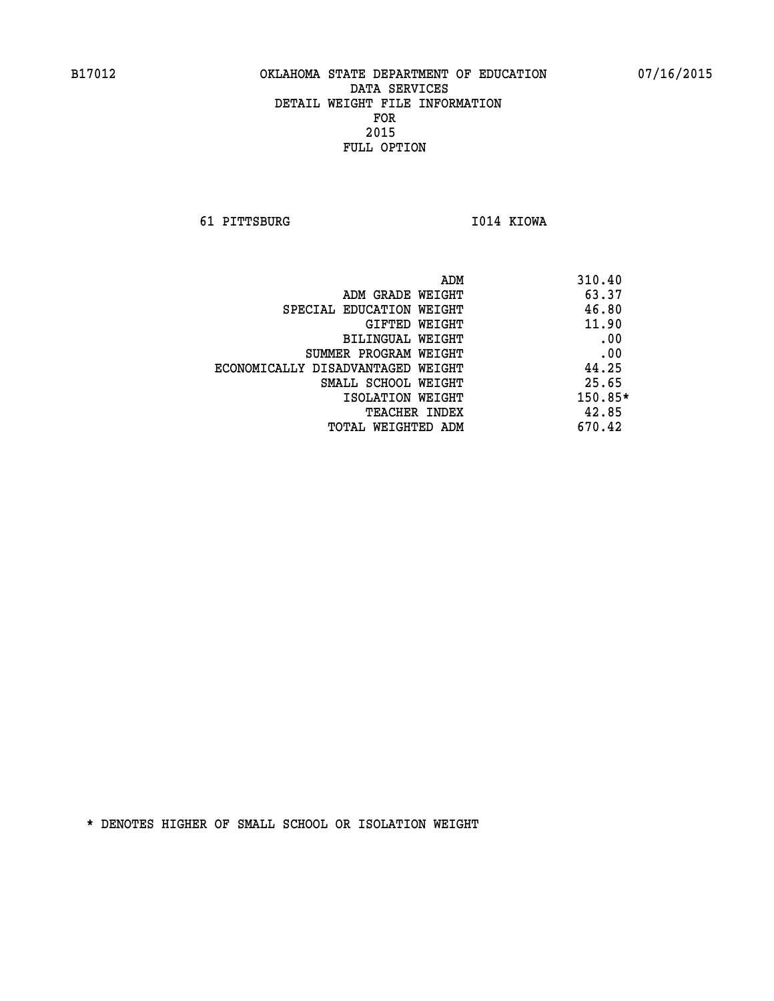**61 PITTSBURG I014 KIOWA** 

|                                   | ADM | 310.40  |
|-----------------------------------|-----|---------|
| ADM GRADE WEIGHT                  |     | 63.37   |
| SPECIAL EDUCATION WEIGHT          |     | 46.80   |
| GIFTED WEIGHT                     |     | 11.90   |
| BILINGUAL WEIGHT                  |     | .00     |
| SUMMER PROGRAM WEIGHT             |     | .00     |
| ECONOMICALLY DISADVANTAGED WEIGHT |     | 44.25   |
| SMALL SCHOOL WEIGHT               |     | 25.65   |
| ISOLATION WEIGHT                  |     | 150.85* |
| <b>TEACHER INDEX</b>              |     | 42.85   |
| TOTAL WEIGHTED ADM                |     | 670.42  |
|                                   |     |         |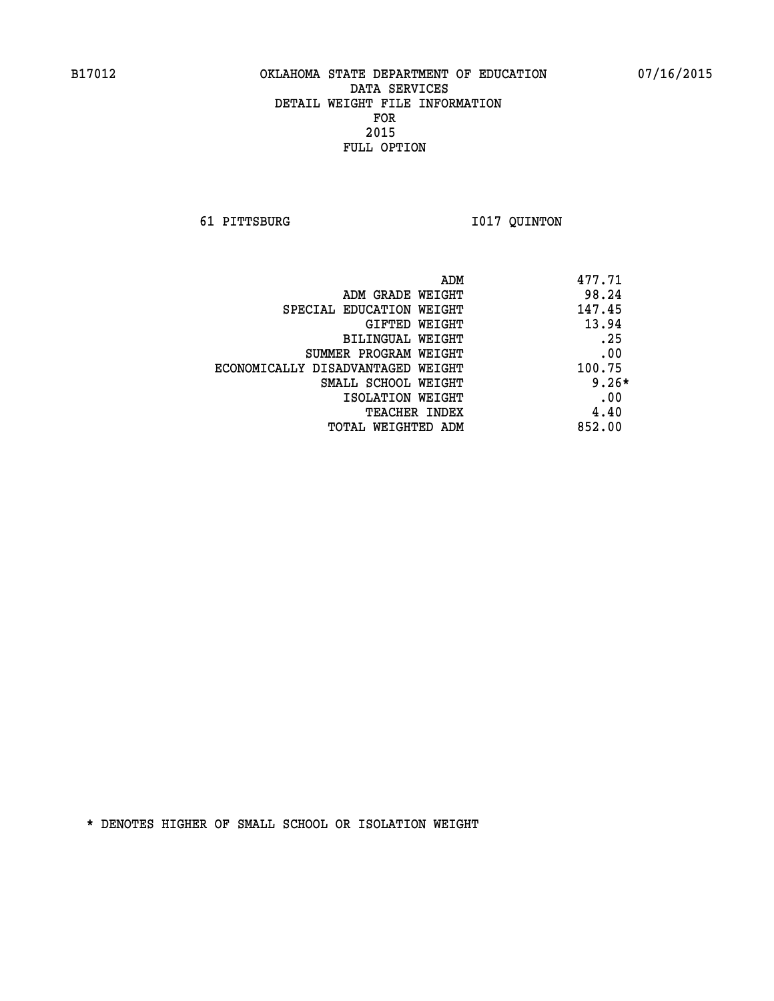**61 PITTSBURG I017 QUINTON** 

| 477.71<br>ADM                               |  |
|---------------------------------------------|--|
| 98.24<br>ADM GRADE WEIGHT                   |  |
| 147.45<br>SPECIAL EDUCATION WEIGHT          |  |
| 13.94<br>GIFTED WEIGHT                      |  |
| .25<br>BILINGUAL WEIGHT                     |  |
| .00<br>SUMMER PROGRAM WEIGHT                |  |
| 100.75<br>ECONOMICALLY DISADVANTAGED WEIGHT |  |
| $9.26*$<br>SMALL SCHOOL WEIGHT              |  |
| .00<br>ISOLATION WEIGHT                     |  |
| 4.40<br>TEACHER INDEX                       |  |
| 852.00<br>TOTAL WEIGHTED ADM                |  |
|                                             |  |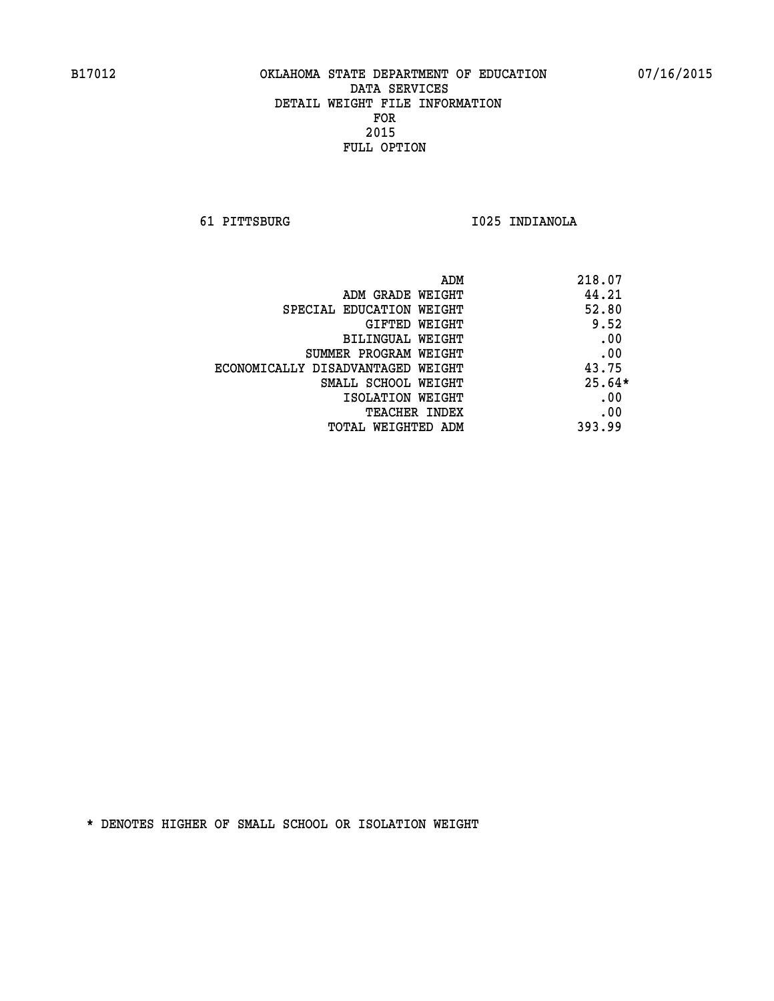**61 PITTSBURG I025 INDIANOLA** 

| ADM                               | 218.07   |
|-----------------------------------|----------|
| ADM GRADE WEIGHT                  | 44.21    |
| SPECIAL EDUCATION WEIGHT          | 52.80    |
| GIFTED WEIGHT                     | 9.52     |
| BILINGUAL WEIGHT                  | .00      |
| SUMMER PROGRAM WEIGHT             | .00      |
| ECONOMICALLY DISADVANTAGED WEIGHT | 43.75    |
| SMALL SCHOOL WEIGHT               | $25.64*$ |
| ISOLATION WEIGHT                  | .00      |
| <b>TEACHER INDEX</b>              | .00      |
| TOTAL WEIGHTED ADM                | 393.99   |
|                                   |          |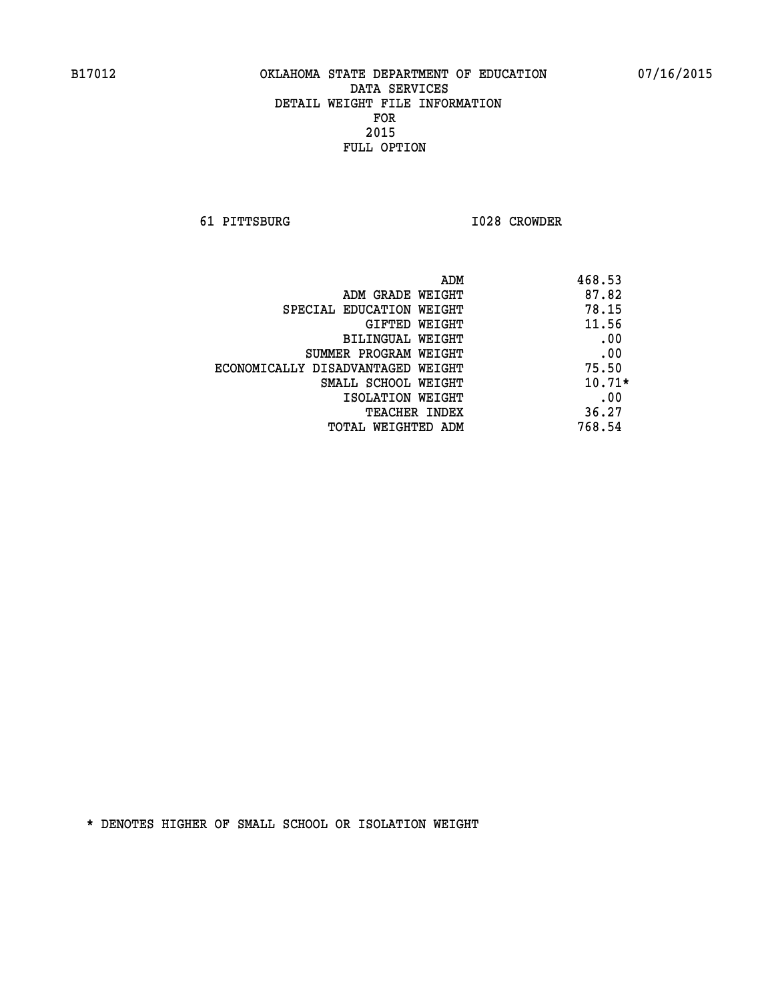**61 PITTSBURG I028 CROWDER** 

| 468.53<br>ADM                              |  |
|--------------------------------------------|--|
| 87.82<br>ADM GRADE WEIGHT                  |  |
| 78.15<br>SPECIAL EDUCATION WEIGHT          |  |
| 11.56<br>GIFTED WEIGHT                     |  |
| .00<br>BILINGUAL WEIGHT                    |  |
| .00<br>SUMMER PROGRAM WEIGHT               |  |
| 75.50<br>ECONOMICALLY DISADVANTAGED WEIGHT |  |
| $10.71*$<br>SMALL SCHOOL WEIGHT            |  |
| .00<br>ISOLATION WEIGHT                    |  |
| 36.27<br><b>TEACHER INDEX</b>              |  |
| 768.54<br>TOTAL WEIGHTED ADM               |  |
|                                            |  |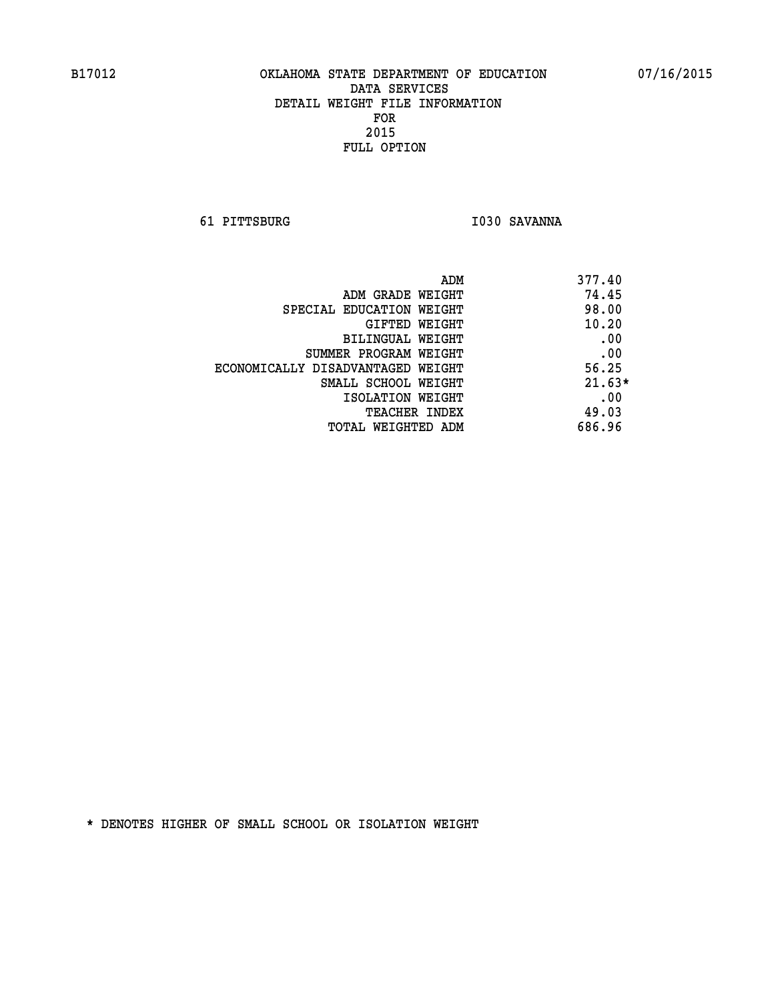**61 PITTSBURG I030 SAVANNA** 

| 377.40   | ADM                               |
|----------|-----------------------------------|
| 74.45    | ADM GRADE WEIGHT                  |
| 98.00    | SPECIAL EDUCATION WEIGHT          |
| 10.20    | <b>GIFTED WEIGHT</b>              |
| .00      | BILINGUAL WEIGHT                  |
| .00      | SUMMER PROGRAM WEIGHT             |
| 56.25    | ECONOMICALLY DISADVANTAGED WEIGHT |
| $21.63*$ | SMALL SCHOOL WEIGHT               |
| .00      | ISOLATION WEIGHT                  |
| 49.03    | <b>TEACHER INDEX</b>              |
| 686.96   | TOTAL WEIGHTED ADM                |
|          |                                   |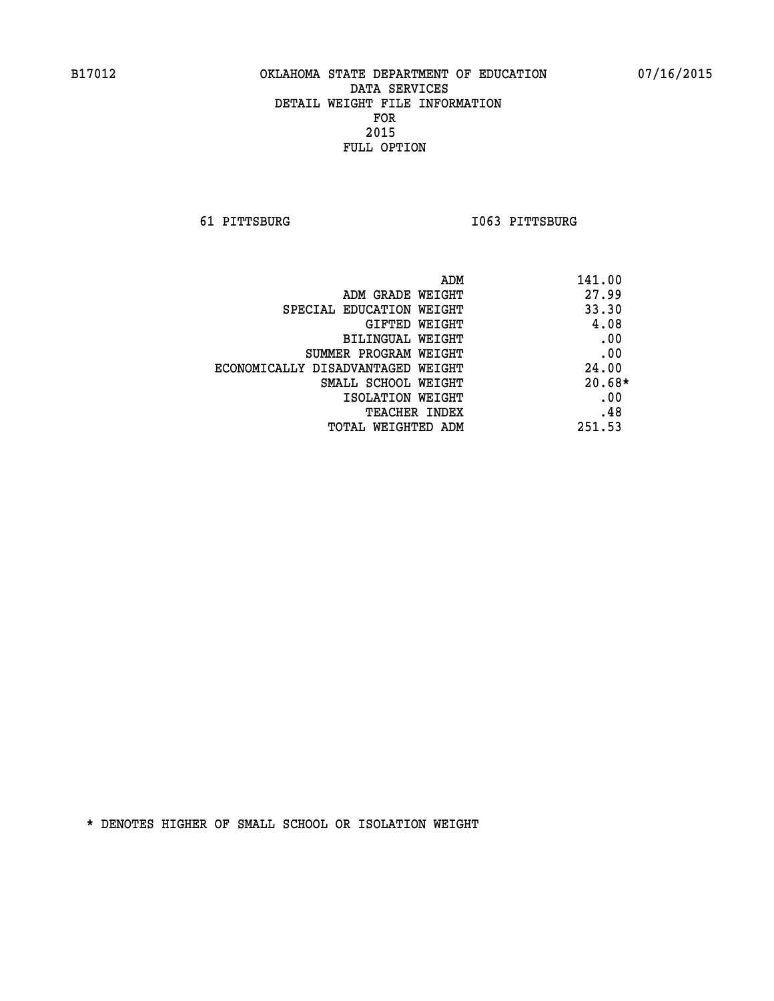**61 PITTSBURG I063 PITTSBURG** 

| ADM                               | 141.00   |
|-----------------------------------|----------|
| ADM GRADE WEIGHT                  | 27.99    |
| SPECIAL EDUCATION WEIGHT          | 33.30    |
| GIFTED WEIGHT                     | 4.08     |
| BILINGUAL WEIGHT                  | .00      |
| SUMMER PROGRAM WEIGHT             | .00      |
| ECONOMICALLY DISADVANTAGED WEIGHT | 24.00    |
| SMALL SCHOOL WEIGHT               | $20.68*$ |
| ISOLATION WEIGHT                  | .00      |
| <b>TEACHER INDEX</b>              | .48      |
| TOTAL WEIGHTED ADM                | 251.53   |
|                                   |          |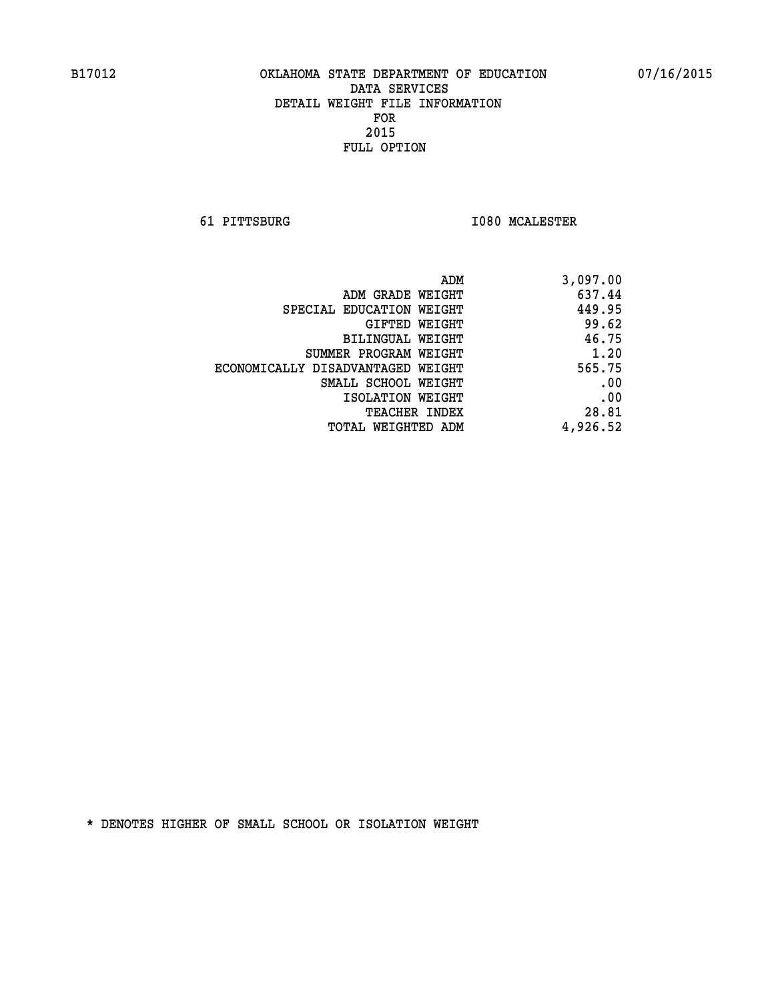**61 PITTSBURG I080 MCALESTER** 

| ADM                               | 3,097.00 |
|-----------------------------------|----------|
| ADM GRADE WEIGHT                  | 637.44   |
| SPECIAL EDUCATION WEIGHT          | 449.95   |
| GIFTED WEIGHT                     | 99.62    |
| BILINGUAL WEIGHT                  | 46.75    |
| SUMMER PROGRAM WEIGHT             | 1.20     |
| ECONOMICALLY DISADVANTAGED WEIGHT | 565.75   |
| SMALL SCHOOL WEIGHT               | .00      |
| ISOLATION WEIGHT                  | .00      |
| <b>TEACHER INDEX</b>              | 28.81    |
| TOTAL WEIGHTED ADM                | 4,926.52 |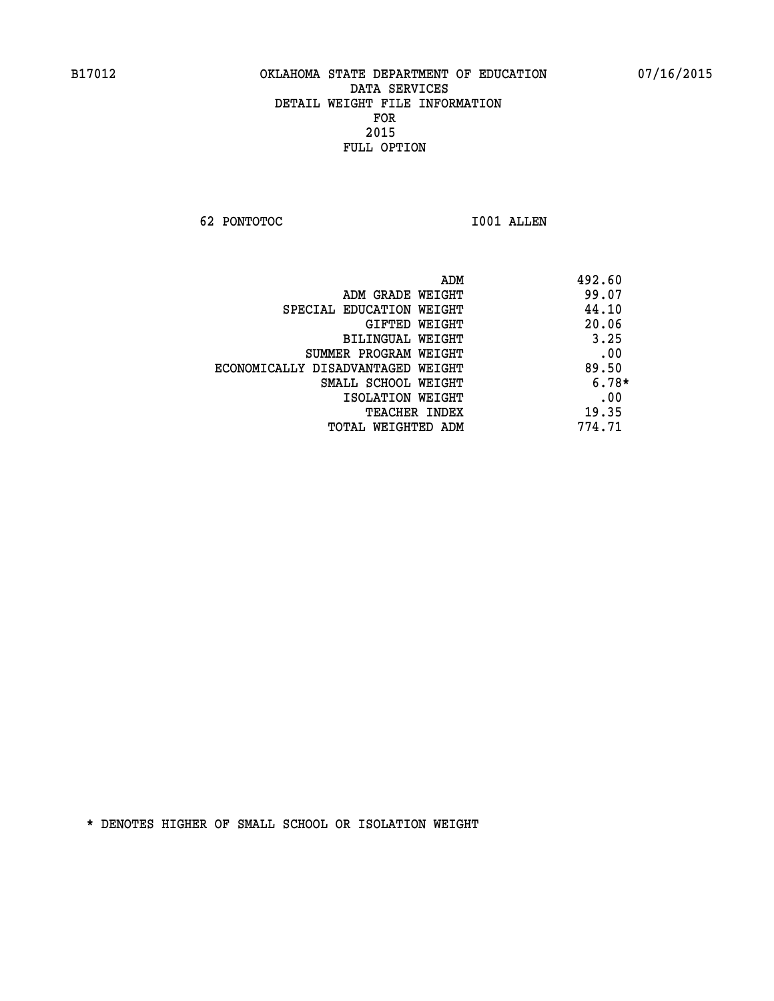**62 PONTOTOC I001 ALLEN** 

|                                   | ADM | 492.60  |
|-----------------------------------|-----|---------|
| ADM GRADE WEIGHT                  |     | 99.07   |
| SPECIAL EDUCATION WEIGHT          |     | 44.10   |
| GIFTED WEIGHT                     |     | 20.06   |
| BILINGUAL WEIGHT                  |     | 3.25    |
| SUMMER PROGRAM WEIGHT             |     | .00     |
| ECONOMICALLY DISADVANTAGED WEIGHT |     | 89.50   |
| SMALL SCHOOL WEIGHT               |     | $6.78*$ |
| ISOLATION WEIGHT                  |     | .00     |
| <b>TEACHER INDEX</b>              |     | 19.35   |
| TOTAL WEIGHTED ADM                |     | 774.71  |
|                                   |     |         |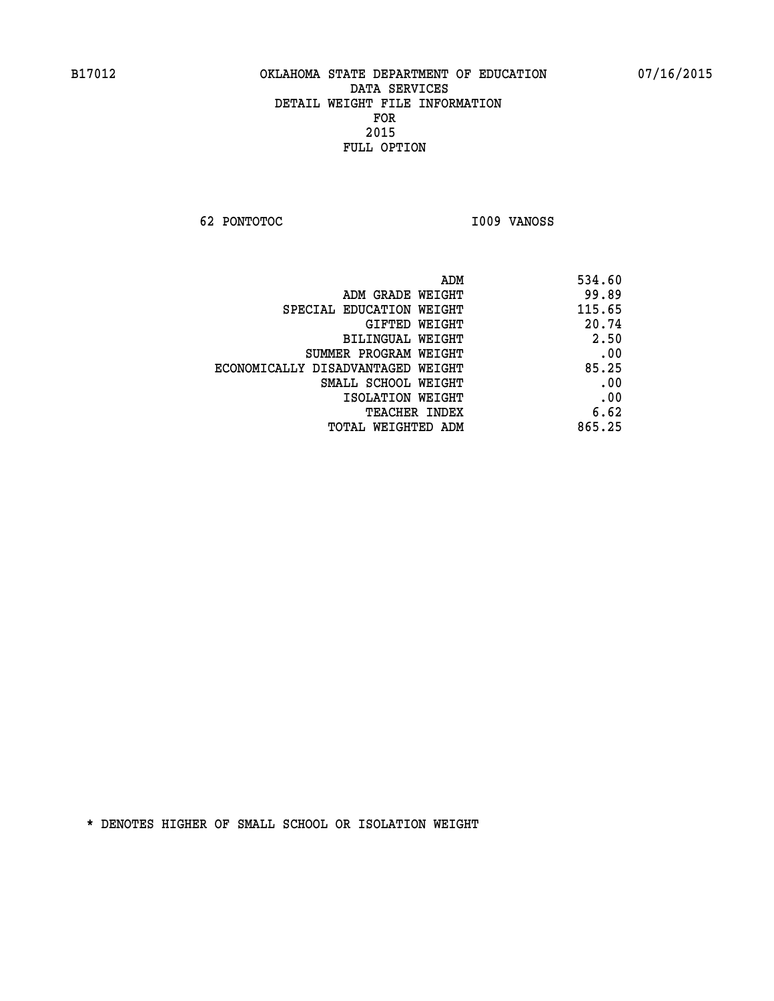**62 PONTOTOC I009 VANOSS** 

| ADM                               | 534.60 |
|-----------------------------------|--------|
| ADM GRADE WEIGHT                  | 99.89  |
| SPECIAL EDUCATION WEIGHT          | 115.65 |
| GIFTED WEIGHT                     | 20.74  |
| BILINGUAL WEIGHT                  | 2.50   |
| SUMMER PROGRAM WEIGHT             | .00    |
| ECONOMICALLY DISADVANTAGED WEIGHT | 85.25  |
| SMALL SCHOOL WEIGHT               | .00    |
| ISOLATION WEIGHT                  | .00    |
| <b>TEACHER INDEX</b>              | 6.62   |
| TOTAL WEIGHTED ADM                | 865.25 |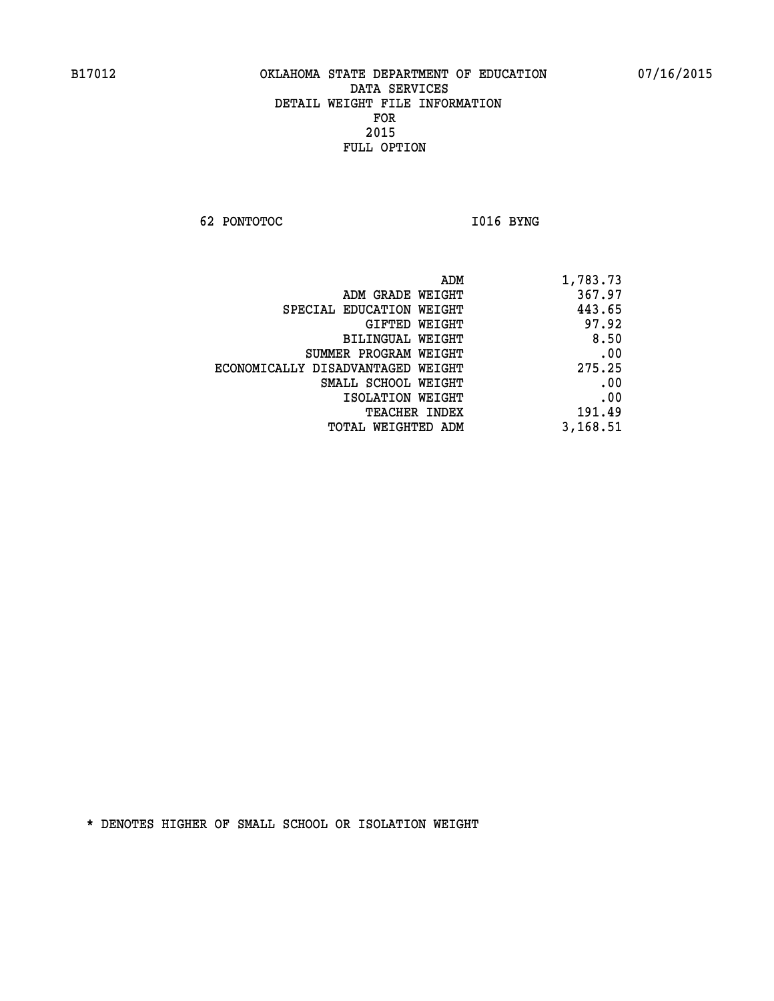**62 PONTOTOC** 1016 BYNG

| 1,783.73 |
|----------|
| 367.97   |
| 443.65   |
| 97.92    |
| 8.50     |
| .00      |
| 275.25   |
| .00      |
| .00      |
| 191.49   |
| 3,168.51 |
|          |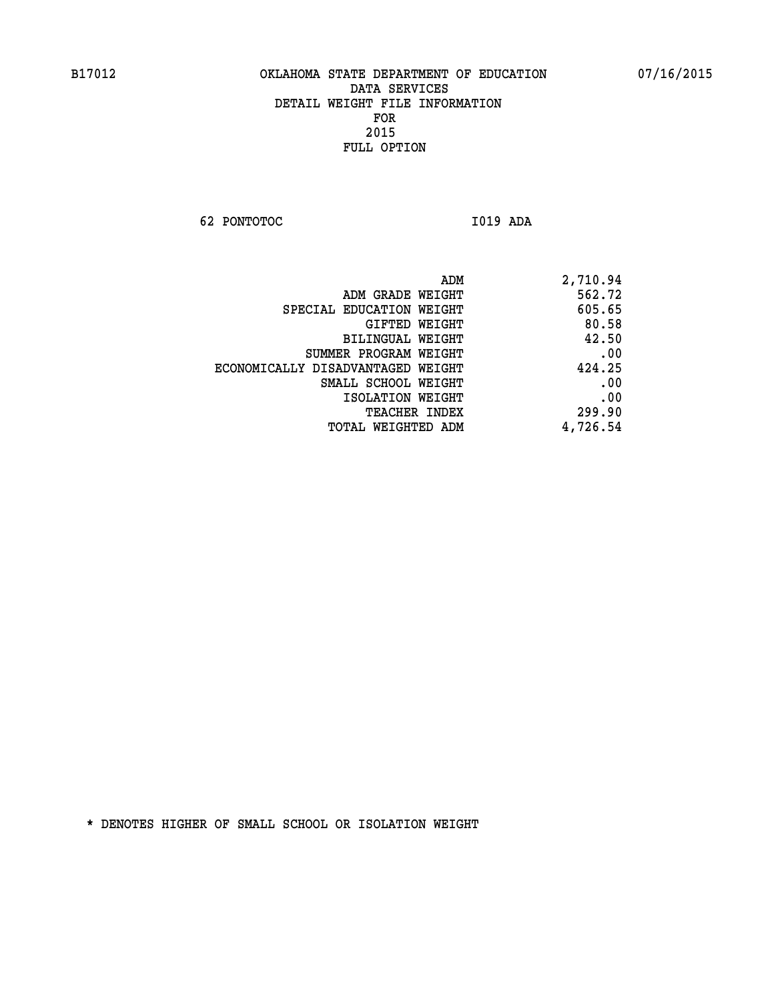**62 PONTOTOC I019 ADA** 

| ADM                               | 2,710.94 |
|-----------------------------------|----------|
| ADM GRADE WEIGHT                  | 562.72   |
| SPECIAL EDUCATION WEIGHT          | 605.65   |
| <b>GIFTED WEIGHT</b>              | 80.58    |
| <b>BILINGUAL WEIGHT</b>           | 42.50    |
| SUMMER PROGRAM WEIGHT             | .00      |
| ECONOMICALLY DISADVANTAGED WEIGHT | 424.25   |
| SMALL SCHOOL WEIGHT               | .00      |
| ISOLATION WEIGHT                  | .00      |
| TEACHER INDEX                     | 299.90   |
| TOTAL WEIGHTED ADM                | 4,726.54 |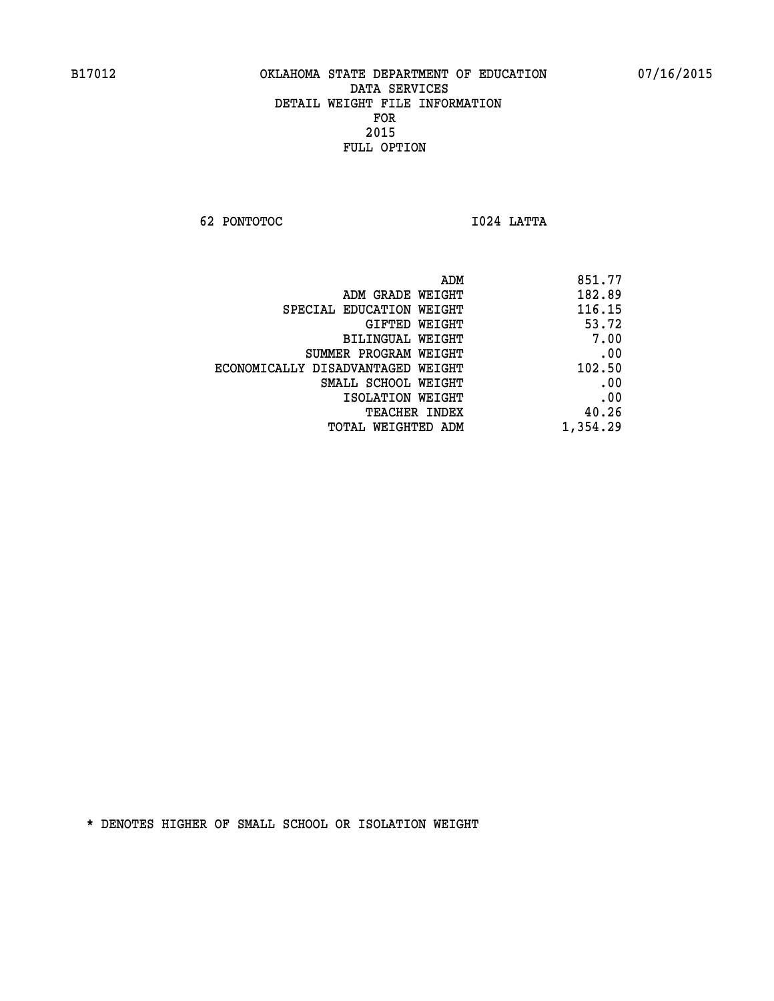**62 PONTOTOC I024 LATTA** 

| 851.77   |
|----------|
| 182.89   |
| 116.15   |
| 53.72    |
| 7.00     |
| .00      |
| 102.50   |
| .00      |
| .00      |
| 40.26    |
| 1,354.29 |
|          |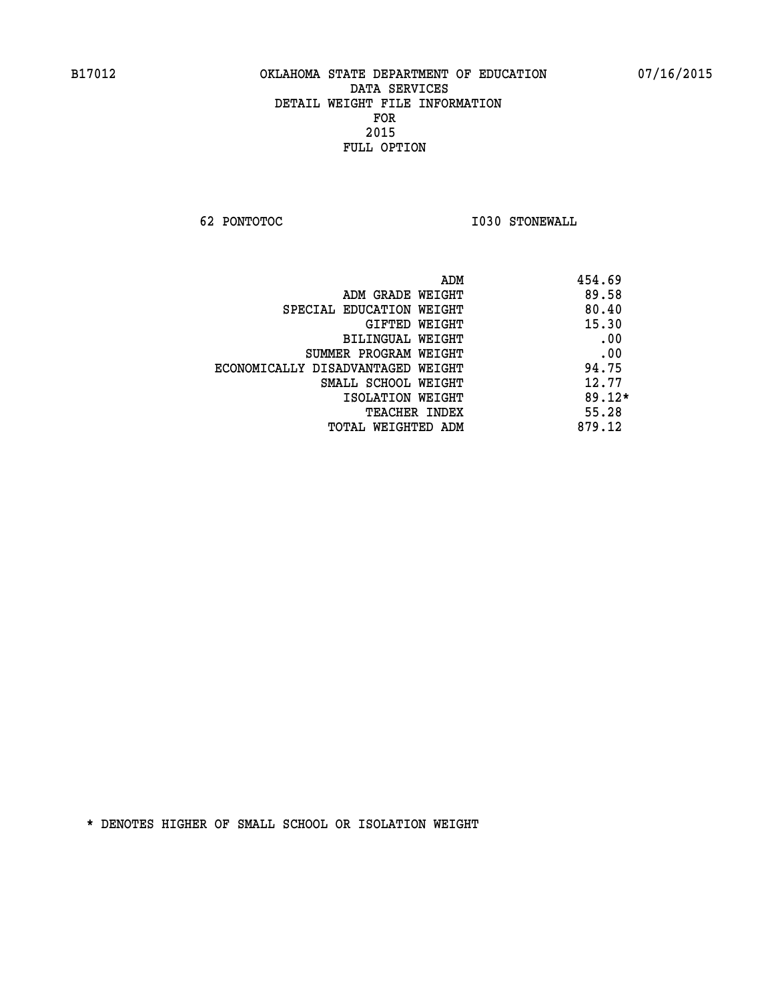**62 PONTOTOC I030 STONEWALL** 

| ADM                               | 454.69   |
|-----------------------------------|----------|
| ADM GRADE WEIGHT                  | 89.58    |
| SPECIAL EDUCATION WEIGHT          | 80.40    |
| GIFTED WEIGHT                     | 15.30    |
| BILINGUAL WEIGHT                  | .00      |
| SUMMER PROGRAM WEIGHT             | .00      |
| ECONOMICALLY DISADVANTAGED WEIGHT | 94.75    |
| SMALL SCHOOL WEIGHT               | 12.77    |
| ISOLATION WEIGHT                  | $89.12*$ |
| <b>TEACHER INDEX</b>              | 55.28    |
| TOTAL WEIGHTED ADM                | 879.12   |
|                                   |          |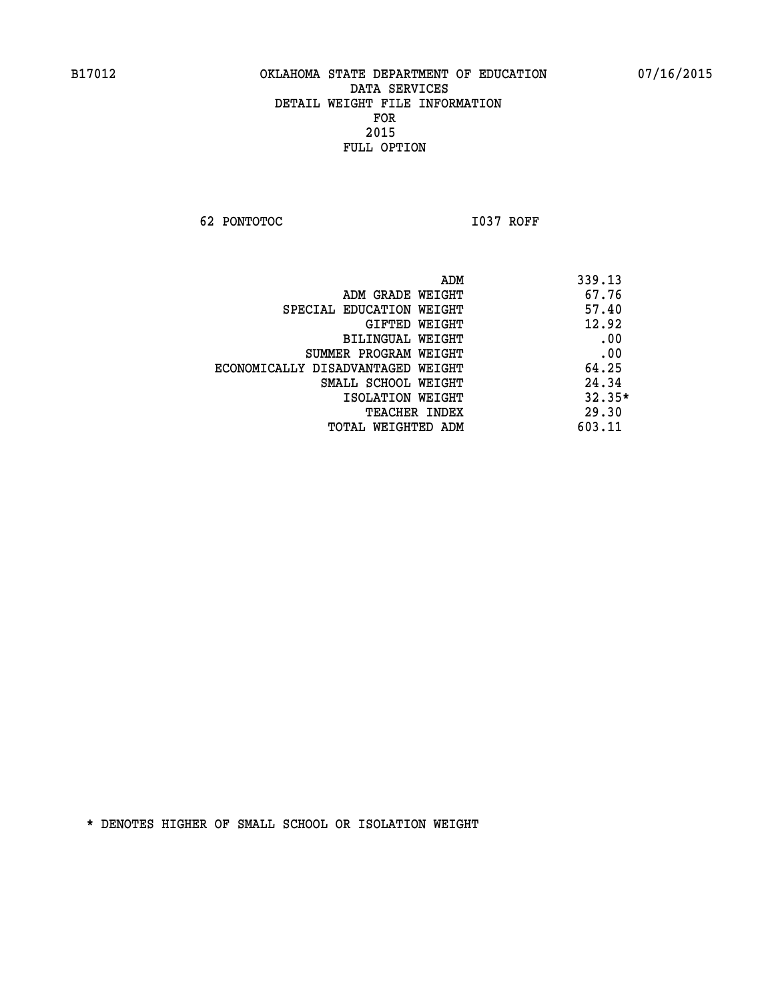**62 PONTOTOC I037 ROFF** 

|                                   | ADM | 339.13   |
|-----------------------------------|-----|----------|
| ADM GRADE WEIGHT                  |     | 67.76    |
| SPECIAL EDUCATION WEIGHT          |     | 57.40    |
| GIFTED WEIGHT                     |     | 12.92    |
| BILINGUAL WEIGHT                  |     | .00      |
| SUMMER PROGRAM WEIGHT             |     | .00      |
| ECONOMICALLY DISADVANTAGED WEIGHT |     | 64.25    |
| SMALL SCHOOL WEIGHT               |     | 24.34    |
| ISOLATION WEIGHT                  |     | $32.35*$ |
| <b>TEACHER INDEX</b>              |     | 29.30    |
| TOTAL WEIGHTED ADM                |     | 603.11   |
|                                   |     |          |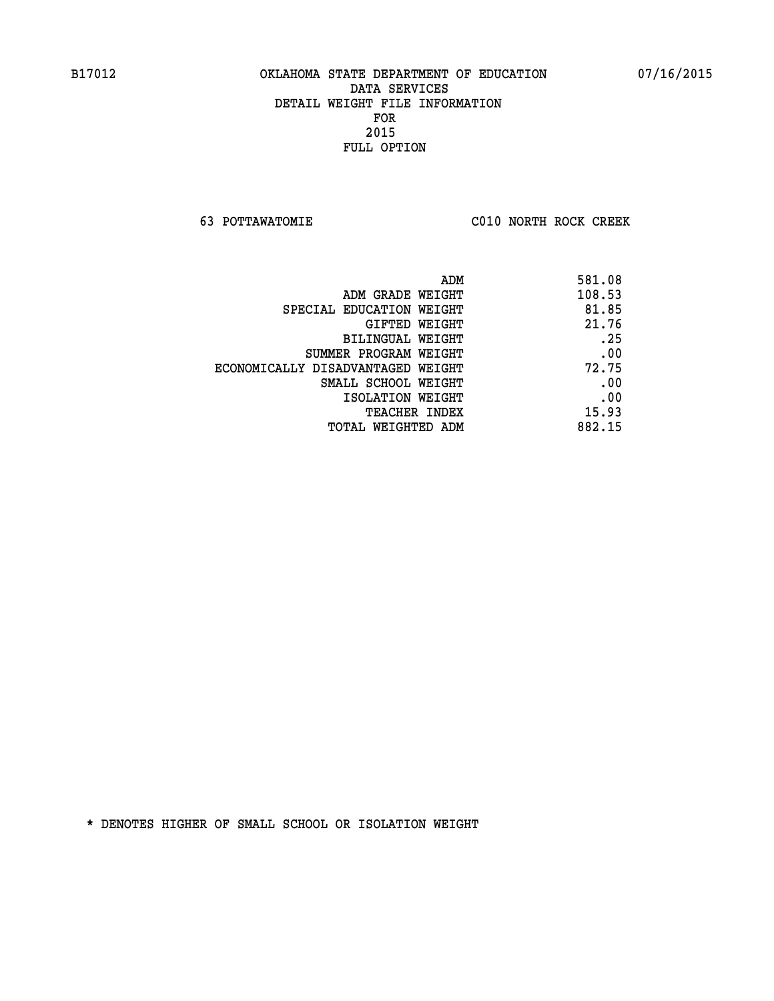**63 POTTAWATOMIE C010 NORTH ROCK CREEK** 

| ADM                               | 581.08 |
|-----------------------------------|--------|
| ADM GRADE WEIGHT                  | 108.53 |
| SPECIAL EDUCATION WEIGHT          | 81.85  |
| <b>GIFTED WEIGHT</b>              | 21.76  |
| <b>BILINGUAL WEIGHT</b>           | .25    |
| SUMMER PROGRAM WEIGHT             | .00    |
| ECONOMICALLY DISADVANTAGED WEIGHT | 72.75  |
| SMALL SCHOOL WEIGHT               | .00    |
| ISOLATION WEIGHT                  | .00    |
| <b>TEACHER INDEX</b>              | 15.93  |
| TOTAL WEIGHTED ADM                | 882.15 |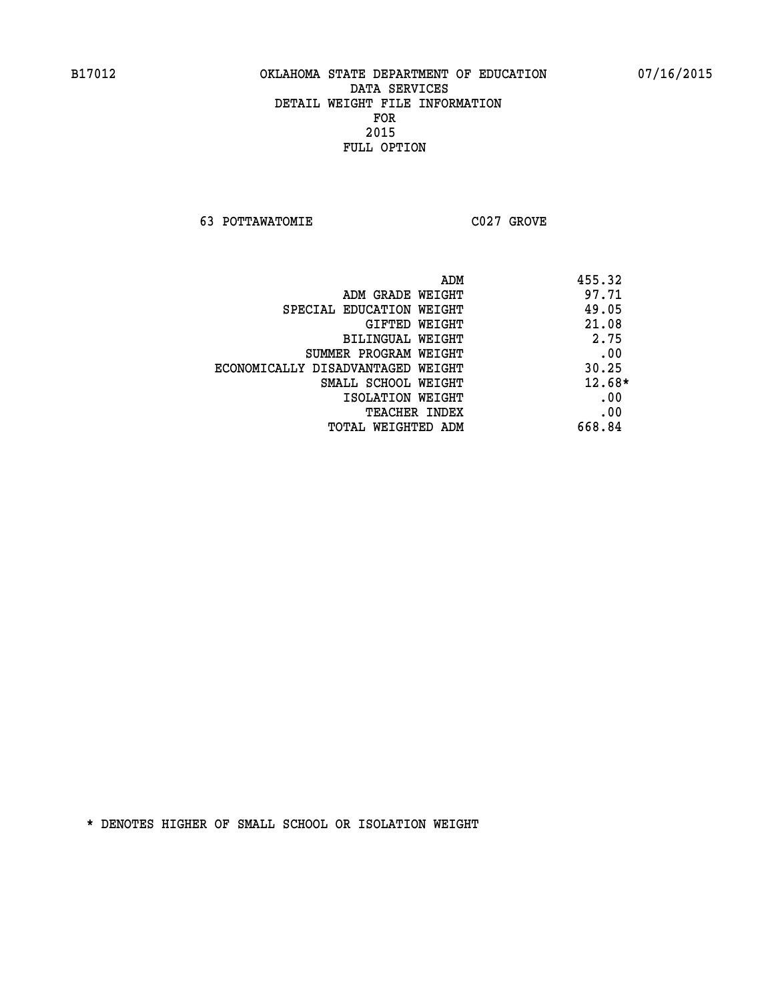**63 POTTAWATOMIE C027 GROVE** 

| ADM                               | 455.32   |
|-----------------------------------|----------|
| ADM GRADE WEIGHT                  | 97.71    |
| SPECIAL EDUCATION WEIGHT          | 49.05    |
| GIFTED WEIGHT                     | 21.08    |
| BILINGUAL WEIGHT                  | 2.75     |
| SUMMER PROGRAM WEIGHT             | .00      |
| ECONOMICALLY DISADVANTAGED WEIGHT | 30.25    |
| SMALL SCHOOL WEIGHT               | $12.68*$ |
| ISOLATION WEIGHT                  | .00      |
| <b>TEACHER INDEX</b>              | .00      |
| TOTAL WEIGHTED ADM                | 668.84   |
|                                   |          |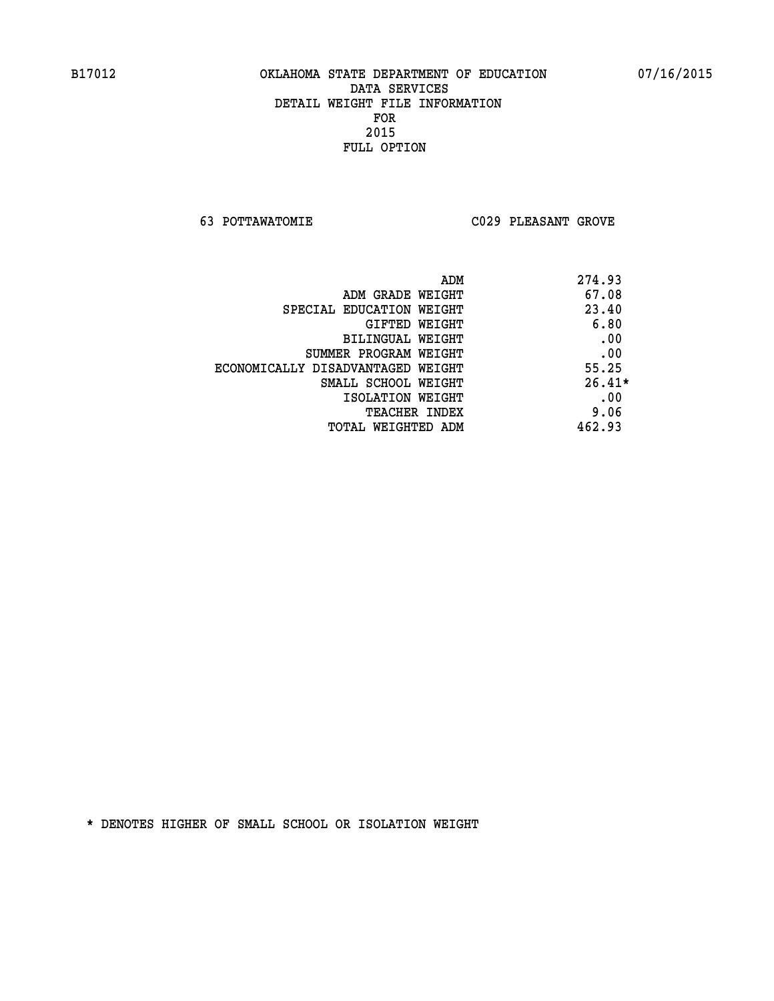**63 POTTAWATOMIE C029 PLEASANT GROVE** 

|                                   | ADM<br>274.93 |
|-----------------------------------|---------------|
| ADM GRADE WEIGHT                  | 67.08         |
| SPECIAL EDUCATION WEIGHT          | 23.40         |
| GIFTED WEIGHT                     | 6.80          |
| BILINGUAL WEIGHT                  | .00           |
| SUMMER PROGRAM WEIGHT             | .00           |
| ECONOMICALLY DISADVANTAGED WEIGHT | 55.25         |
| SMALL SCHOOL WEIGHT               | $26.41*$      |
| ISOLATION WEIGHT                  | .00           |
| <b>TEACHER INDEX</b>              | 9.06          |
| TOTAL WEIGHTED ADM                | 462.93        |
|                                   |               |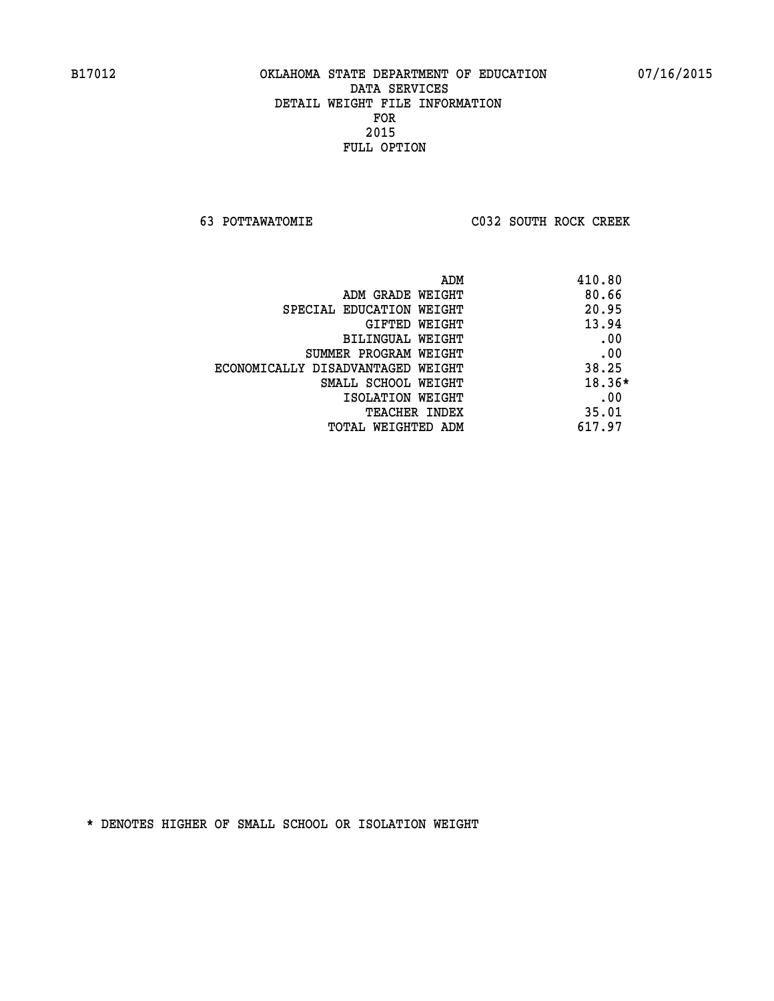**63 POTTAWATOMIE C032 SOUTH ROCK CREEK** 

|                                   | 410.80<br>ADM |
|-----------------------------------|---------------|
| ADM GRADE WEIGHT                  | 80.66         |
| SPECIAL EDUCATION WEIGHT          | 20.95         |
| GIFTED WEIGHT                     | 13.94         |
| BILINGUAL WEIGHT                  | .00           |
| SUMMER PROGRAM WEIGHT             | .00           |
| ECONOMICALLY DISADVANTAGED WEIGHT | 38.25         |
| SMALL SCHOOL WEIGHT               | $18.36*$      |
| ISOLATION WEIGHT                  | .00           |
| <b>TEACHER INDEX</b>              | 35.01         |
| TOTAL WEIGHTED ADM                | 617.97        |
|                                   |               |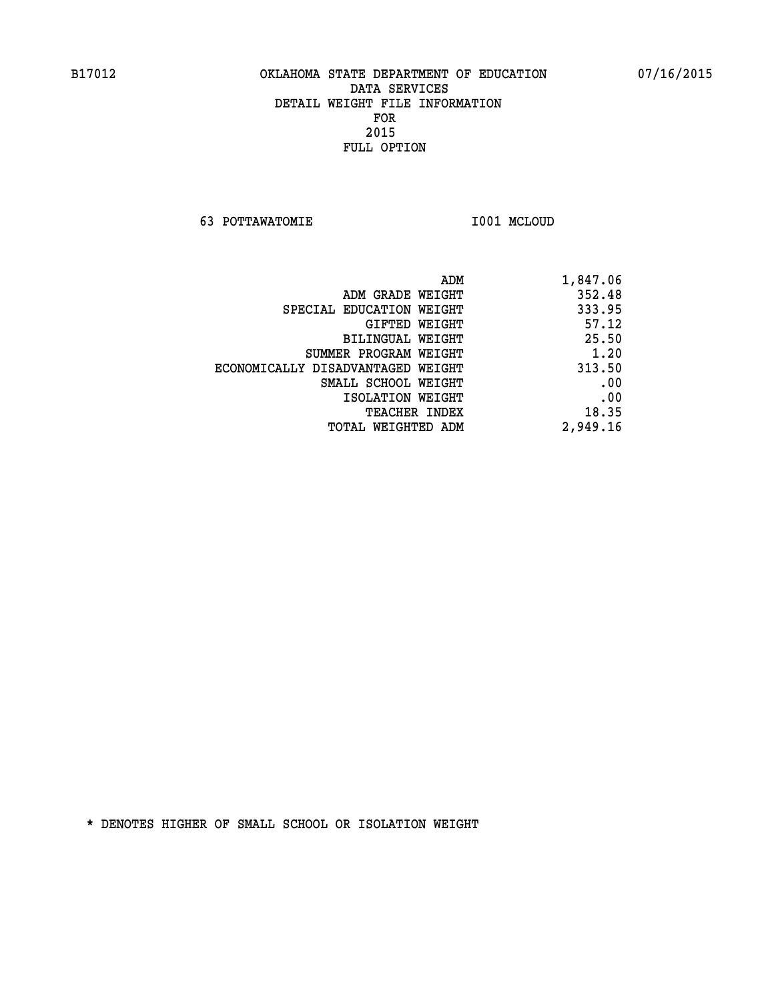**63 POTTAWATOMIE I001 MCLOUD** 

| 1,847.06 |
|----------|
| 352.48   |
| 333.95   |
| 57.12    |
| 25.50    |
| 1.20     |
| 313.50   |
| .00      |
| .00      |
| 18.35    |
| 2,949.16 |
|          |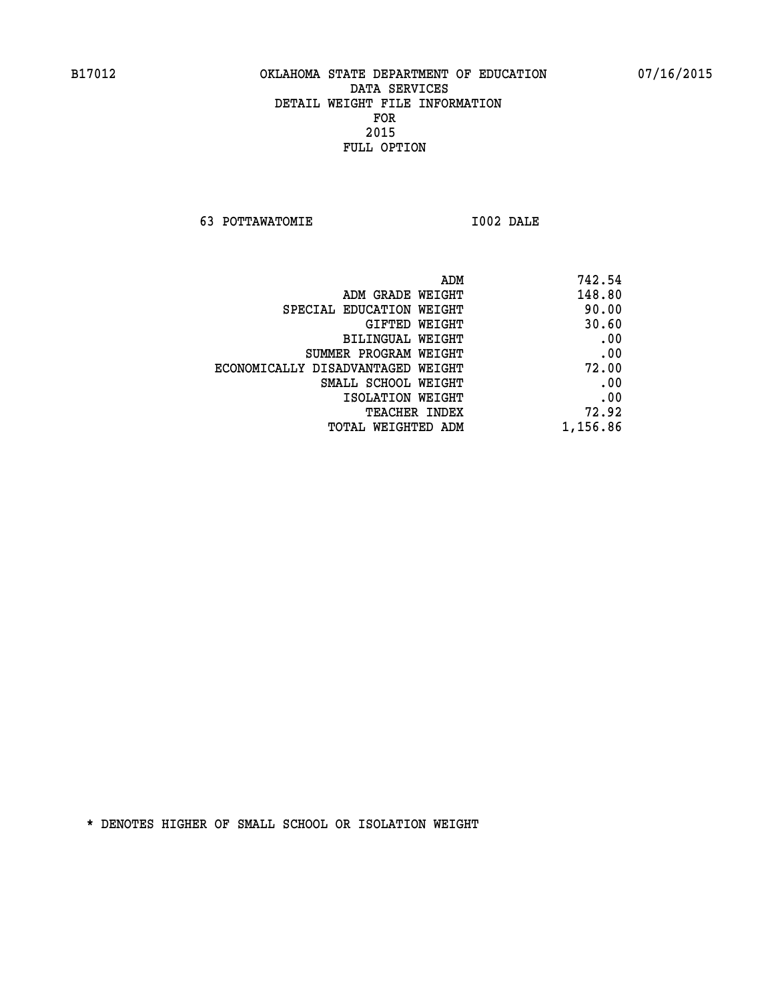**63 POTTAWATOMIE I002 DALE** 

 **ADM 742.54 EXAMPLE WEIGHT 148.80 SPECIAL EDUCATION WEIGHT 40.00 GIFTED WEIGHT 30.60 BILINGUAL WEIGHT .00 SUMMER PROGRAM WEIGHT .00 ECONOMICALLY DISADVANTAGED WEIGHT 72.00 SMALL SCHOOL WEIGHT .00 EXECUTED ISOLATION WEIGHT AND RESOLATION WEIGHT TEACHER INDEX** 72.92  **TOTAL WEIGHTED ADM 1,156.86**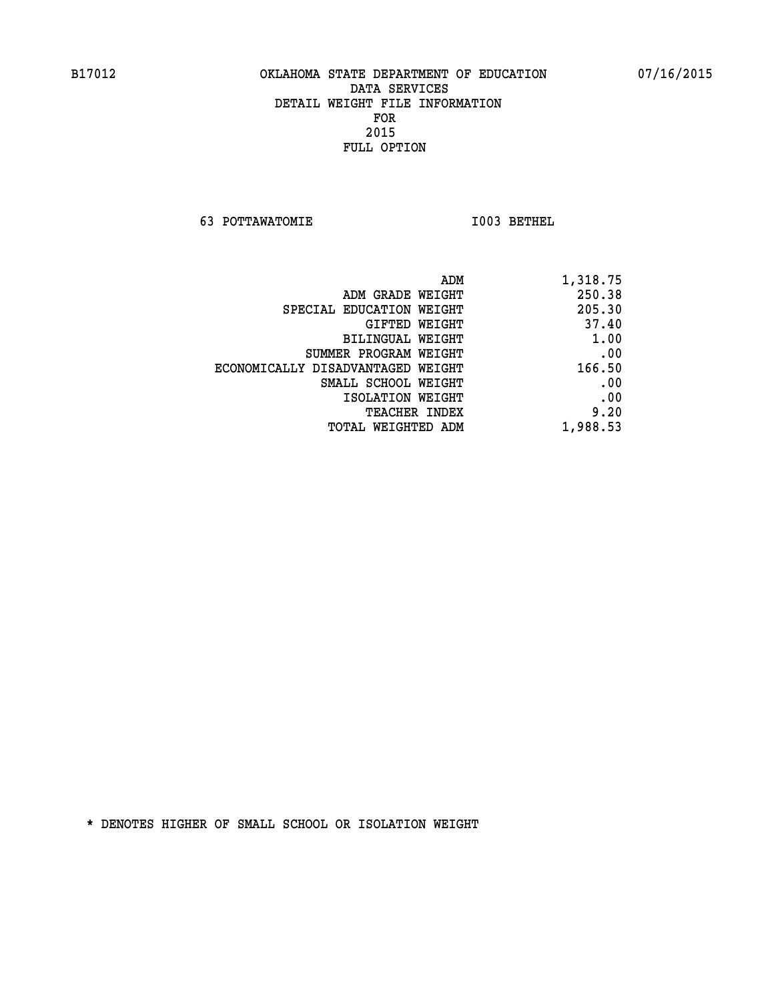**63 POTTAWATOMIE I003 BETHEL** 

| ADM                               | 1,318.75 |
|-----------------------------------|----------|
| ADM GRADE WEIGHT                  | 250.38   |
| SPECIAL EDUCATION WEIGHT          | 205.30   |
| GIFTED WEIGHT                     | 37.40    |
| BILINGUAL WEIGHT                  | 1.00     |
| SUMMER PROGRAM WEIGHT             | .00      |
| ECONOMICALLY DISADVANTAGED WEIGHT | 166.50   |
| SMALL SCHOOL WEIGHT               | .00      |
| ISOLATION WEIGHT                  | .00      |
| <b>TEACHER INDEX</b>              | 9.20     |
| TOTAL WEIGHTED ADM                | 1,988.53 |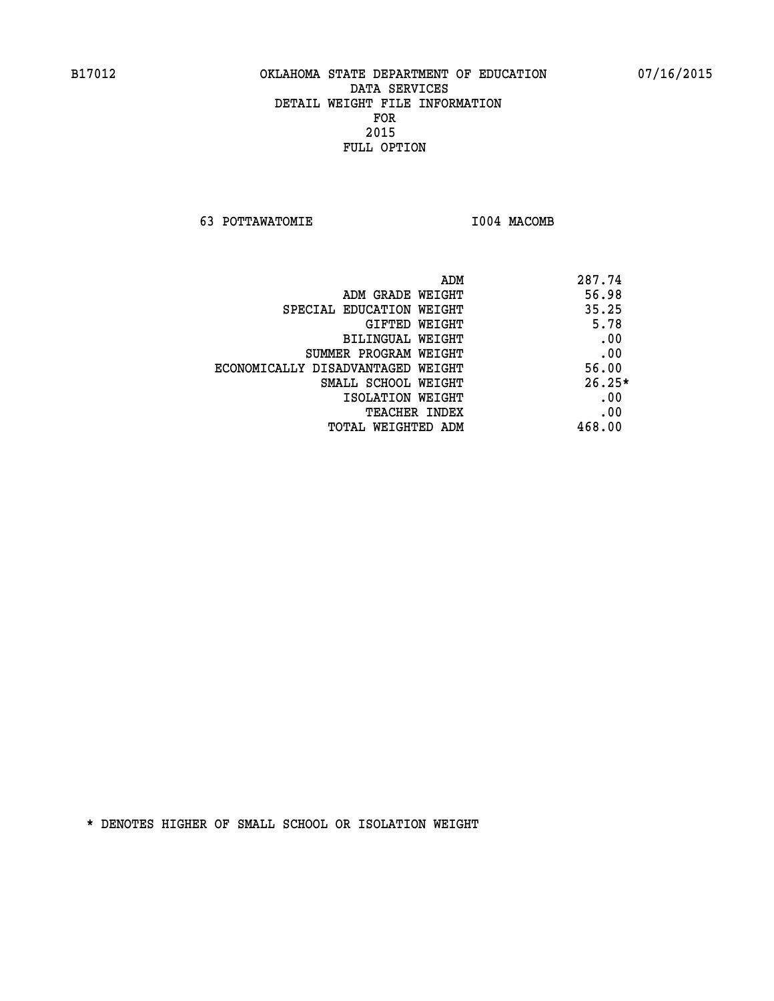**63 POTTAWATOMIE I004 MACOMB** 

| ADM<br>287.74                              |  |
|--------------------------------------------|--|
| 56.98<br>ADM GRADE WEIGHT                  |  |
| 35.25<br>SPECIAL EDUCATION WEIGHT          |  |
| 5.78<br><b>GIFTED WEIGHT</b>               |  |
| .00<br>BILINGUAL WEIGHT                    |  |
| .00<br>SUMMER PROGRAM WEIGHT               |  |
| 56.00<br>ECONOMICALLY DISADVANTAGED WEIGHT |  |
| $26.25*$<br>SMALL SCHOOL WEIGHT            |  |
| .00<br>ISOLATION WEIGHT                    |  |
| .00<br><b>TEACHER INDEX</b>                |  |
| 468.00<br>TOTAL WEIGHTED ADM               |  |
|                                            |  |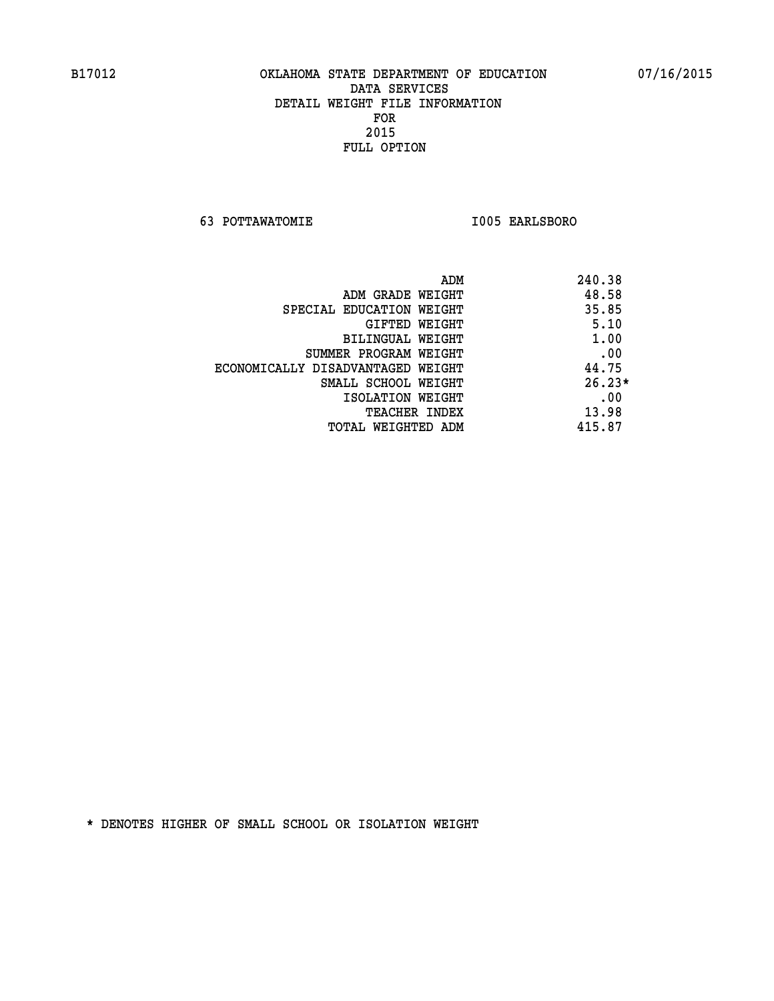**63 POTTAWATOMIE I005 EARLSBORO** 

|                                   | ADM | 240.38   |
|-----------------------------------|-----|----------|
| ADM GRADE WEIGHT                  |     | 48.58    |
| SPECIAL EDUCATION WEIGHT          |     | 35.85    |
| GIFTED WEIGHT                     |     | 5.10     |
| BILINGUAL WEIGHT                  |     | 1.00     |
| SUMMER PROGRAM WEIGHT             |     | .00      |
| ECONOMICALLY DISADVANTAGED WEIGHT |     | 44.75    |
| SMALL SCHOOL WEIGHT               |     | $26.23*$ |
| ISOLATION WEIGHT                  |     | .00      |
| <b>TEACHER INDEX</b>              |     | 13.98    |
| TOTAL WEIGHTED ADM                |     | 415.87   |
|                                   |     |          |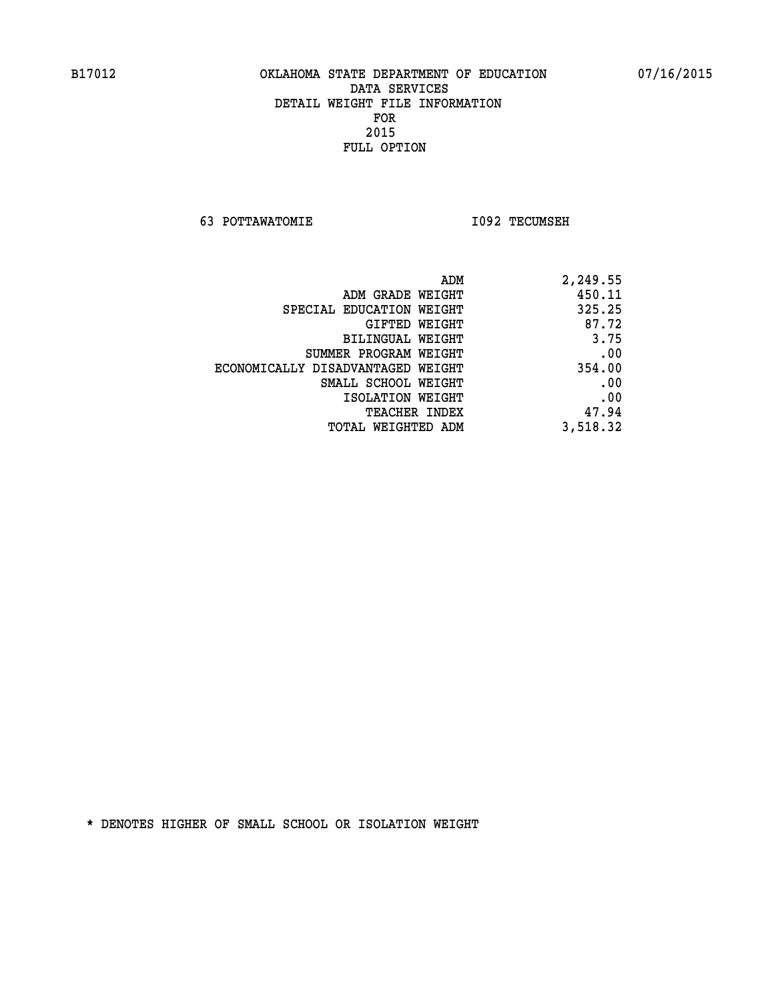**63 POTTAWATOMIE I092 TECUMSEH** 

| ADM                               | 2,249.55 |
|-----------------------------------|----------|
| ADM GRADE WEIGHT                  | 450.11   |
| SPECIAL EDUCATION WEIGHT          | 325.25   |
| GIFTED WEIGHT                     | 87.72    |
| <b>BILINGUAL WEIGHT</b>           | 3.75     |
| SUMMER PROGRAM WEIGHT             | .00      |
| ECONOMICALLY DISADVANTAGED WEIGHT | 354.00   |
| SMALL SCHOOL WEIGHT               | .00      |
| ISOLATION WEIGHT                  | .00      |
| TEACHER INDEX                     | 47.94    |
| TOTAL WEIGHTED ADM                | 3,518.32 |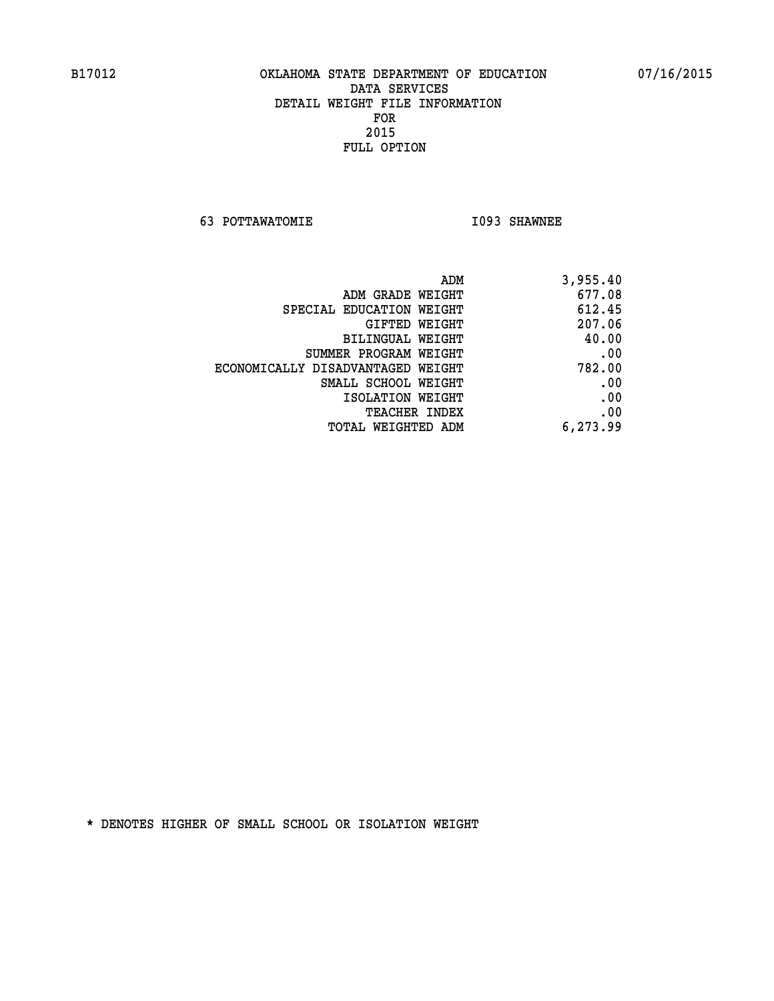**63 POTTAWATOMIE I093 SHAWNEE** 

| ADM                               | 3,955.40 |
|-----------------------------------|----------|
| ADM GRADE WEIGHT                  | 677.08   |
| SPECIAL EDUCATION WEIGHT          | 612.45   |
| GIFTED WEIGHT                     | 207.06   |
| BILINGUAL WEIGHT                  | 40.00    |
| SUMMER PROGRAM WEIGHT             | .00      |
| ECONOMICALLY DISADVANTAGED WEIGHT | 782.00   |
| SMALL SCHOOL WEIGHT               | .00      |
| ISOLATION WEIGHT                  | .00      |
| <b>TEACHER INDEX</b>              | .00      |
| TOTAL WEIGHTED ADM                | 6,273.99 |
|                                   |          |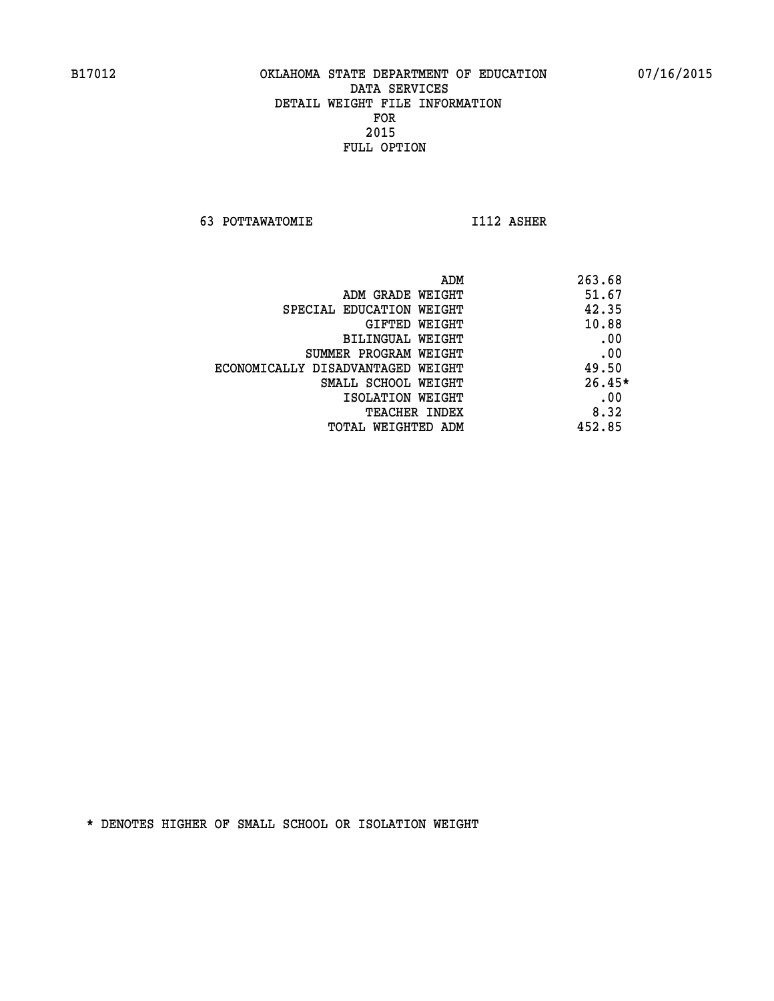**63 POTTAWATOMIE I112 ASHER** 

| ADM                               | 263.68   |
|-----------------------------------|----------|
| ADM GRADE WEIGHT                  | 51.67    |
| SPECIAL EDUCATION WEIGHT          | 42.35    |
| GIFTED WEIGHT                     | 10.88    |
| BILINGUAL WEIGHT                  | .00      |
| SUMMER PROGRAM WEIGHT             | .00      |
| ECONOMICALLY DISADVANTAGED WEIGHT | 49.50    |
| SMALL SCHOOL WEIGHT               | $26.45*$ |
| ISOLATION WEIGHT                  | .00      |
| <b>TEACHER INDEX</b>              | 8.32     |
| TOTAL WEIGHTED ADM                | 452.85   |
|                                   |          |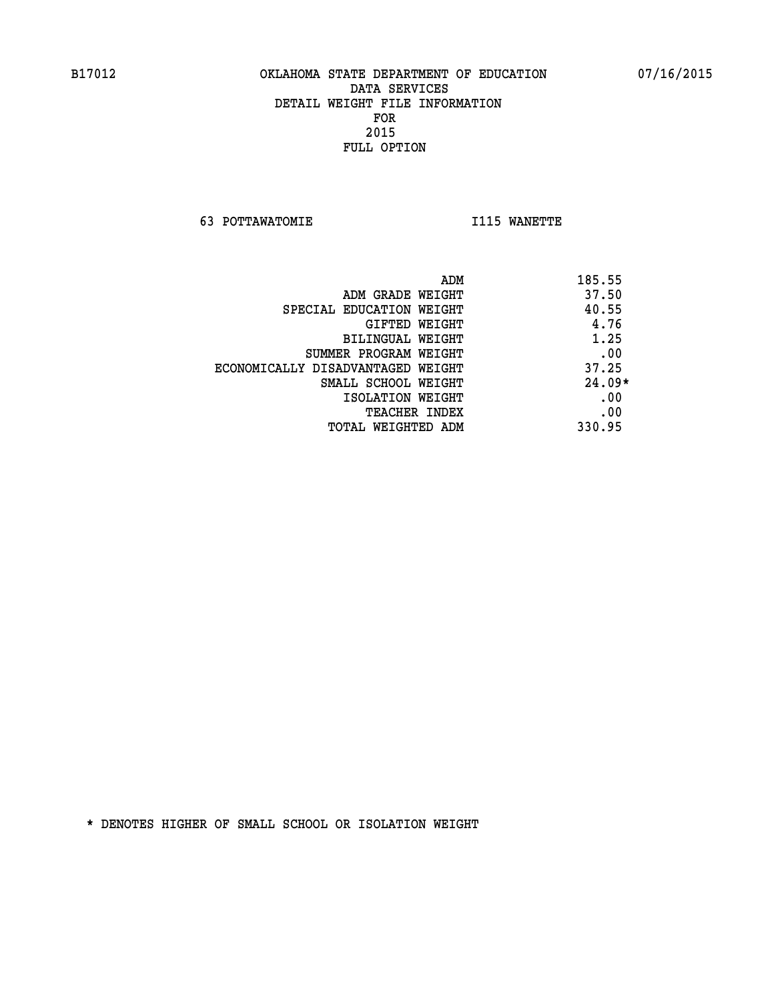**63 POTTAWATOMIE I115 WANETTE** 

|                                   | ADM<br>185.55 |  |
|-----------------------------------|---------------|--|
| ADM GRADE WEIGHT                  | 37.50         |  |
| SPECIAL EDUCATION WEIGHT          | 40.55         |  |
| GIFTED WEIGHT                     | 4.76          |  |
| BILINGUAL WEIGHT                  | 1.25          |  |
| SUMMER PROGRAM WEIGHT             | .00           |  |
| ECONOMICALLY DISADVANTAGED WEIGHT | 37.25         |  |
| SMALL SCHOOL WEIGHT               | $24.09*$      |  |
| ISOLATION WEIGHT                  | .00           |  |
| <b>TEACHER INDEX</b>              | .00           |  |
| TOTAL WEIGHTED ADM                | 330.95        |  |
|                                   |               |  |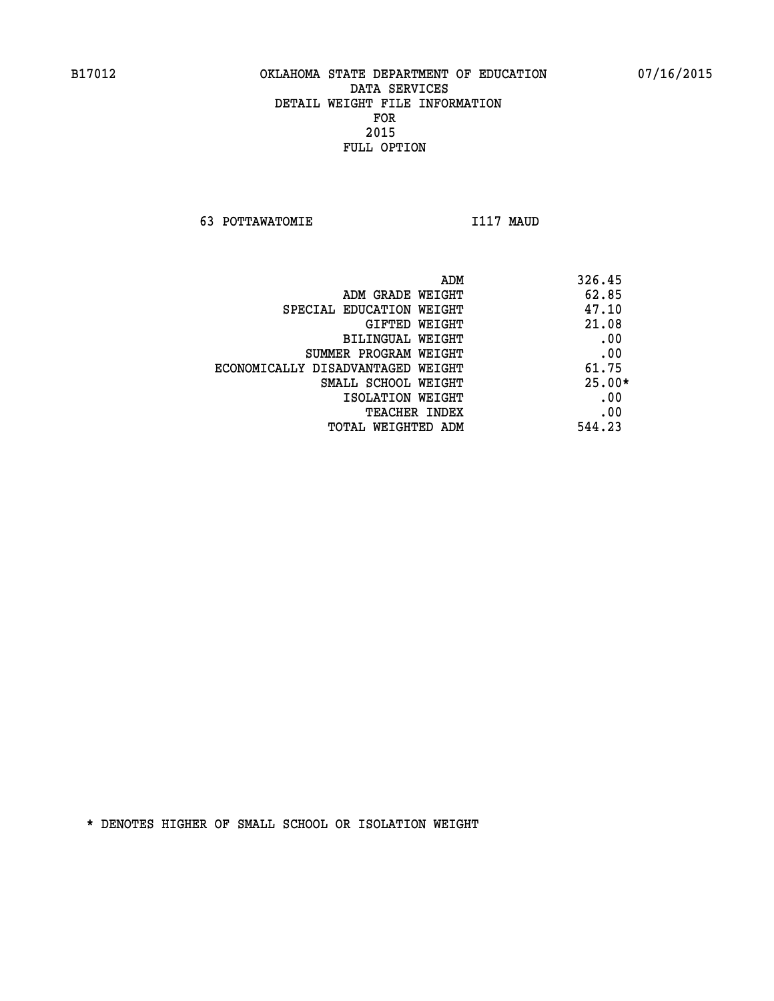**63 POTTAWATOMIE I117 MAUD** 

| ADM                               | 326.45   |
|-----------------------------------|----------|
| ADM GRADE WEIGHT                  | 62.85    |
| SPECIAL EDUCATION WEIGHT          | 47.10    |
| GIFTED WEIGHT                     | 21.08    |
| BILINGUAL WEIGHT                  | .00      |
| SUMMER PROGRAM WEIGHT             | .00      |
| ECONOMICALLY DISADVANTAGED WEIGHT | 61.75    |
| SMALL SCHOOL WEIGHT               | $25.00*$ |
| ISOLATION WEIGHT                  | .00      |
| <b>TEACHER INDEX</b>              | .00      |
| TOTAL WEIGHTED ADM                | 544.23   |
|                                   |          |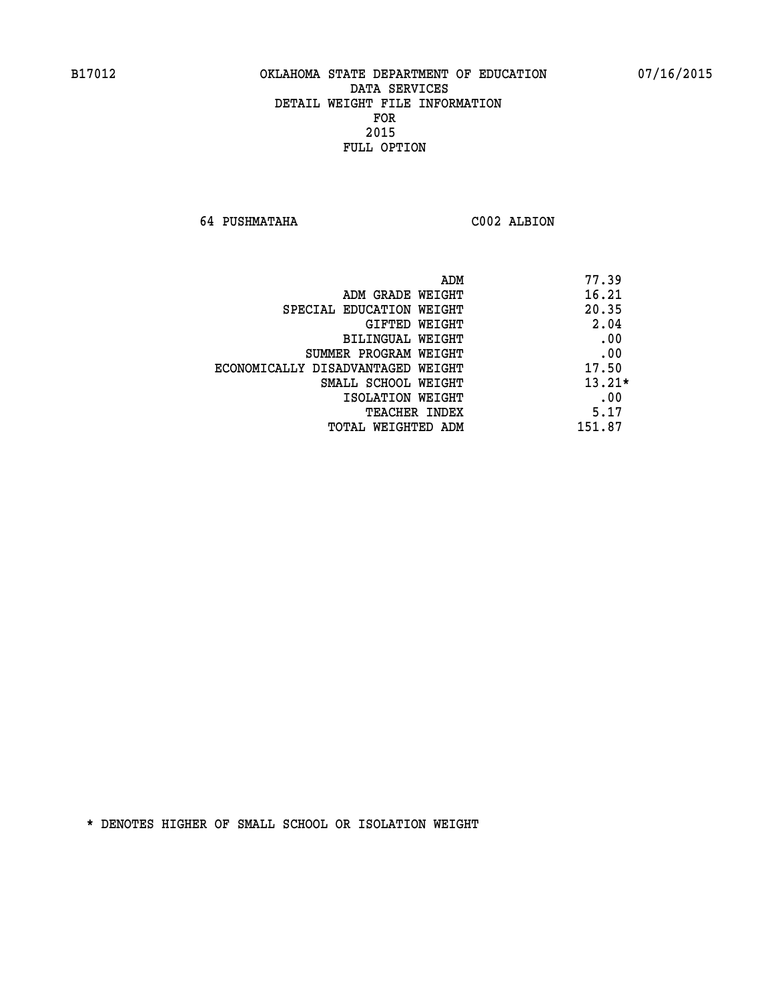**64 PUSHMATAHA C002 ALBION** 

| ADM                               | 77.39    |
|-----------------------------------|----------|
| ADM GRADE WEIGHT                  | 16.21    |
| SPECIAL EDUCATION WEIGHT          | 20.35    |
| GIFTED WEIGHT                     | 2.04     |
| <b>BILINGUAL WEIGHT</b>           | .00      |
| SUMMER PROGRAM WEIGHT             | .00      |
| ECONOMICALLY DISADVANTAGED WEIGHT | 17.50    |
| SMALL SCHOOL WEIGHT               | $13.21*$ |
| ISOLATION WEIGHT                  | .00      |
| TEACHER INDEX                     | 5.17     |
| TOTAL WEIGHTED ADM                | 151.87   |
|                                   |          |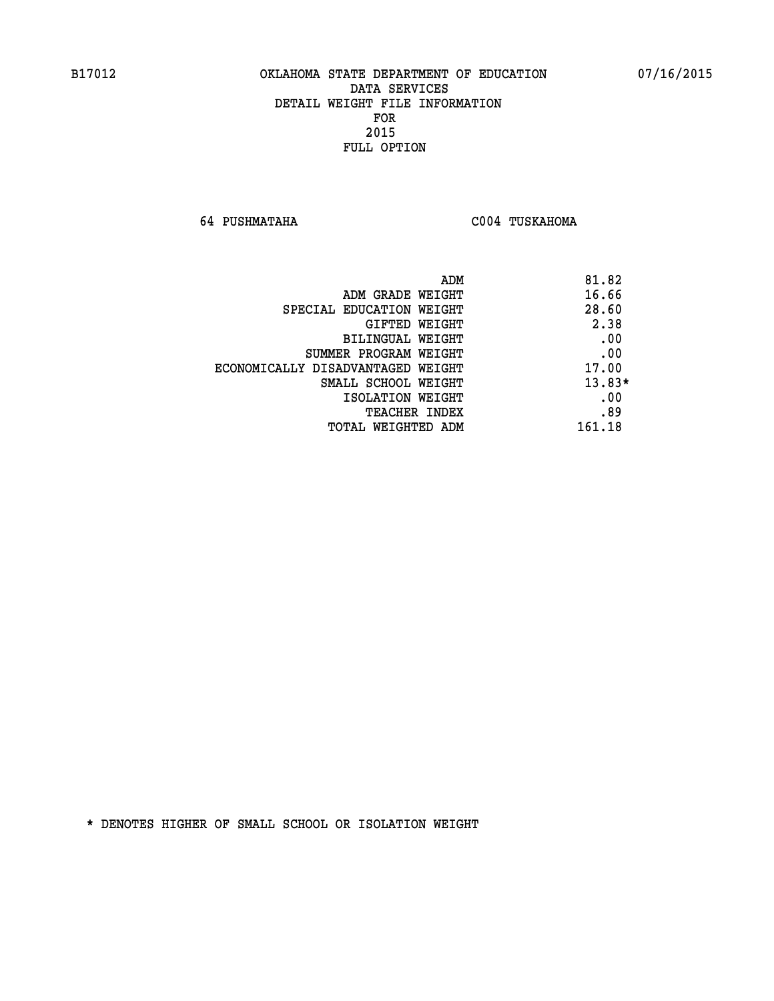**64 PUSHMATAHA C004 TUSKAHOMA** 

| ADM                               | 81.82    |
|-----------------------------------|----------|
| ADM GRADE WEIGHT                  | 16.66    |
| SPECIAL EDUCATION WEIGHT          | 28.60    |
| GIFTED WEIGHT                     | 2.38     |
| BILINGUAL WEIGHT                  | .00      |
| SUMMER PROGRAM WEIGHT             | .00      |
| ECONOMICALLY DISADVANTAGED WEIGHT | 17.00    |
| SMALL SCHOOL WEIGHT               | $13.83*$ |
| ISOLATION WEIGHT                  | .00      |
| <b>TEACHER INDEX</b>              | .89      |
| TOTAL WEIGHTED ADM                | 161.18   |
|                                   |          |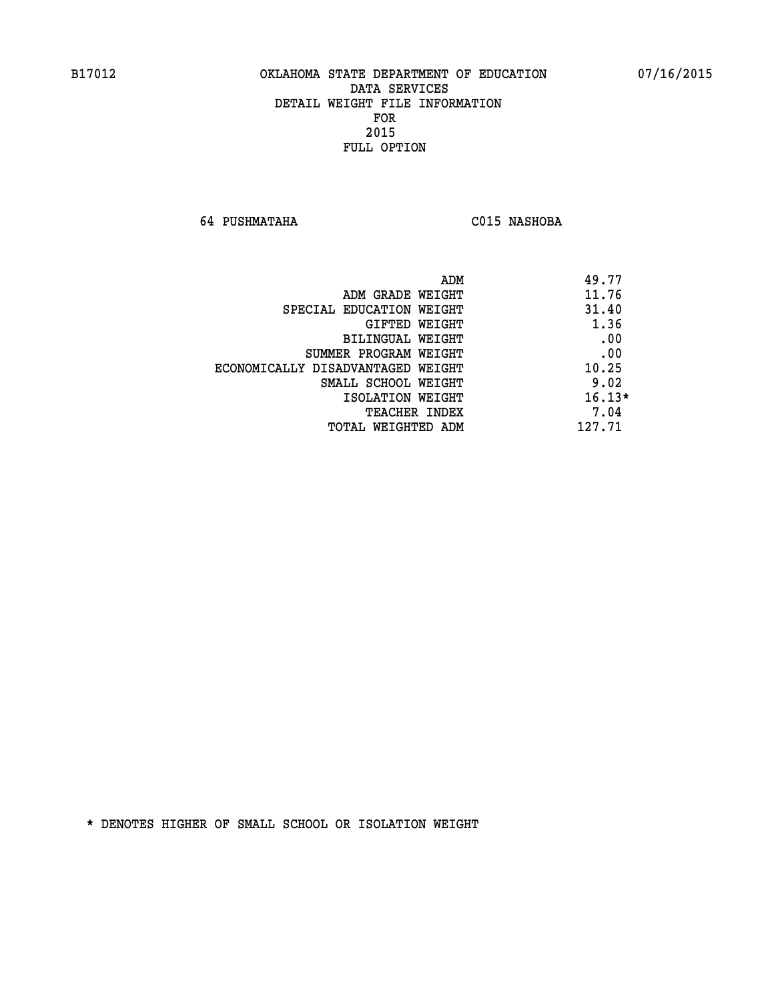**64 PUSHMATAHA C015 NASHOBA** 

| ADM<br>49.77                               |  |
|--------------------------------------------|--|
| 11.76<br>ADM GRADE WEIGHT                  |  |
| 31.40<br>SPECIAL EDUCATION WEIGHT          |  |
| 1.36<br>GIFTED WEIGHT                      |  |
| .00<br><b>BILINGUAL WEIGHT</b>             |  |
| .00<br>SUMMER PROGRAM WEIGHT               |  |
| 10.25<br>ECONOMICALLY DISADVANTAGED WEIGHT |  |
| 9.02<br>SMALL SCHOOL WEIGHT                |  |
| $16.13*$<br>ISOLATION WEIGHT               |  |
| 7.04<br>TEACHER INDEX                      |  |
| 127.71<br>TOTAL WEIGHTED ADM               |  |
|                                            |  |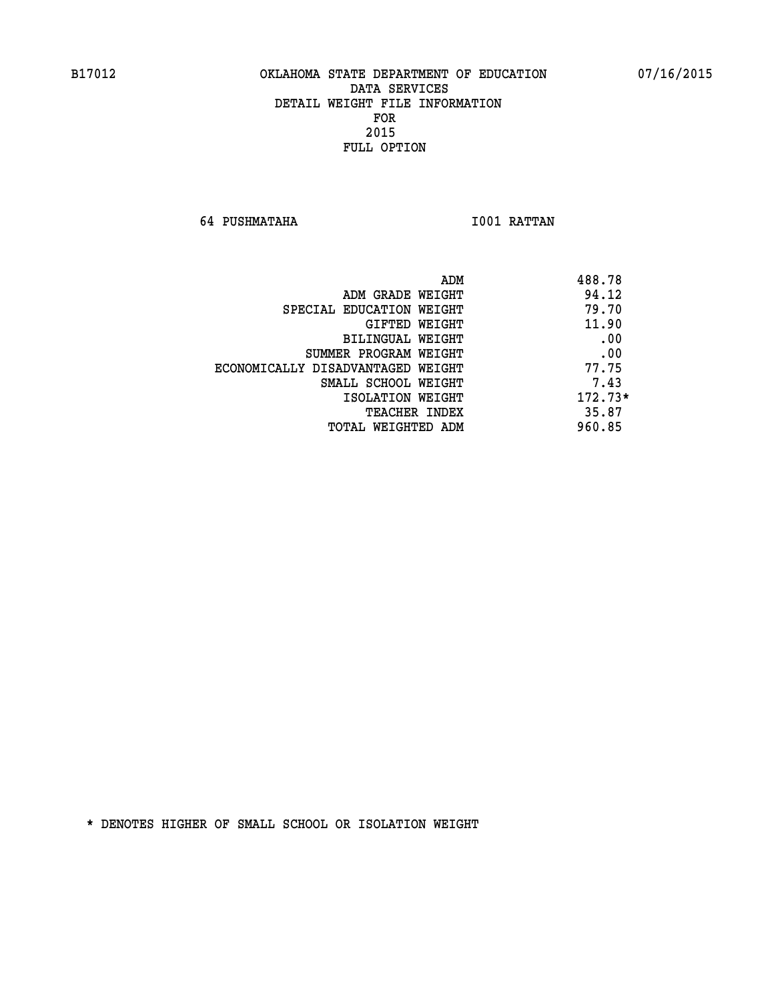**64 PUSHMATAHA I001 RATTAN** 

| ADM                               | 488.78    |
|-----------------------------------|-----------|
| ADM GRADE WEIGHT                  | 94.12     |
| SPECIAL EDUCATION WEIGHT          | 79.70     |
| GIFTED WEIGHT                     | 11.90     |
| BILINGUAL WEIGHT                  | .00       |
| SUMMER PROGRAM WEIGHT             | .00       |
| ECONOMICALLY DISADVANTAGED WEIGHT | 77.75     |
| SMALL SCHOOL WEIGHT               | 7.43      |
| ISOLATION WEIGHT                  | $172.73*$ |
| TEACHER INDEX                     | 35.87     |
| TOTAL WEIGHTED ADM                | 960.85    |
|                                   |           |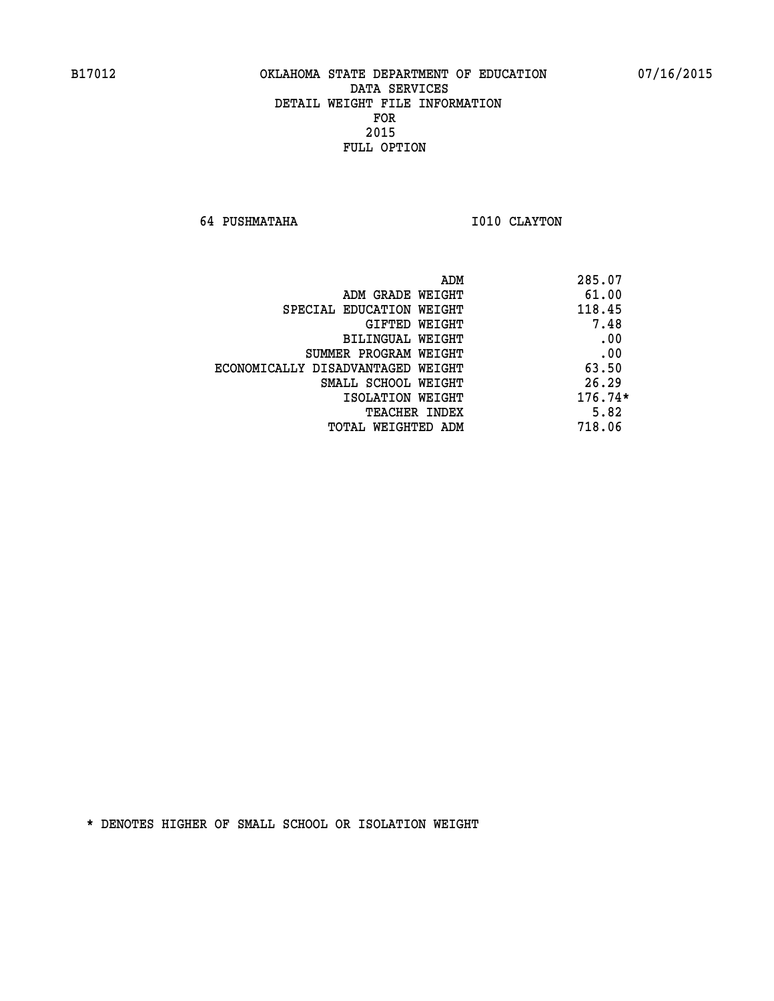**64 PUSHMATAHA 1010 CLAYTON** 

| ADM<br>285.07                      |                                   |
|------------------------------------|-----------------------------------|
| 61.00<br>ADM GRADE WEIGHT          |                                   |
| 118.45<br>SPECIAL EDUCATION WEIGHT |                                   |
| 7.48<br>GIFTED WEIGHT              |                                   |
| .00<br>BILINGUAL WEIGHT            |                                   |
| .00<br>SUMMER PROGRAM WEIGHT       |                                   |
| 63.50                              | ECONOMICALLY DISADVANTAGED WEIGHT |
| 26.29<br>SMALL SCHOOL WEIGHT       |                                   |
| $176.74*$<br>ISOLATION WEIGHT      |                                   |
| 5.82<br><b>TEACHER INDEX</b>       |                                   |
| 718.06<br>TOTAL WEIGHTED ADM       |                                   |
|                                    |                                   |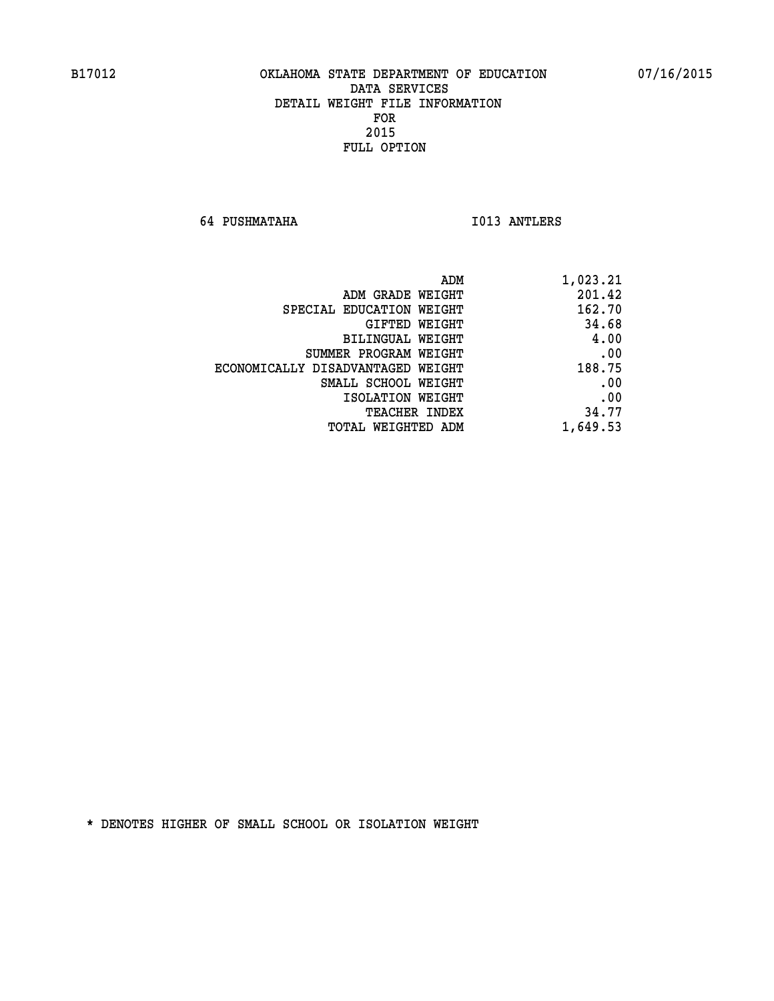**64 PUSHMATAHA I013 ANTLERS** 

| 1,023.21 |
|----------|
| 201.42   |
| 162.70   |
| 34.68    |
| 4.00     |
| .00      |
| 188.75   |
| .00      |
| .00      |
| 34.77    |
| 1,649.53 |
|          |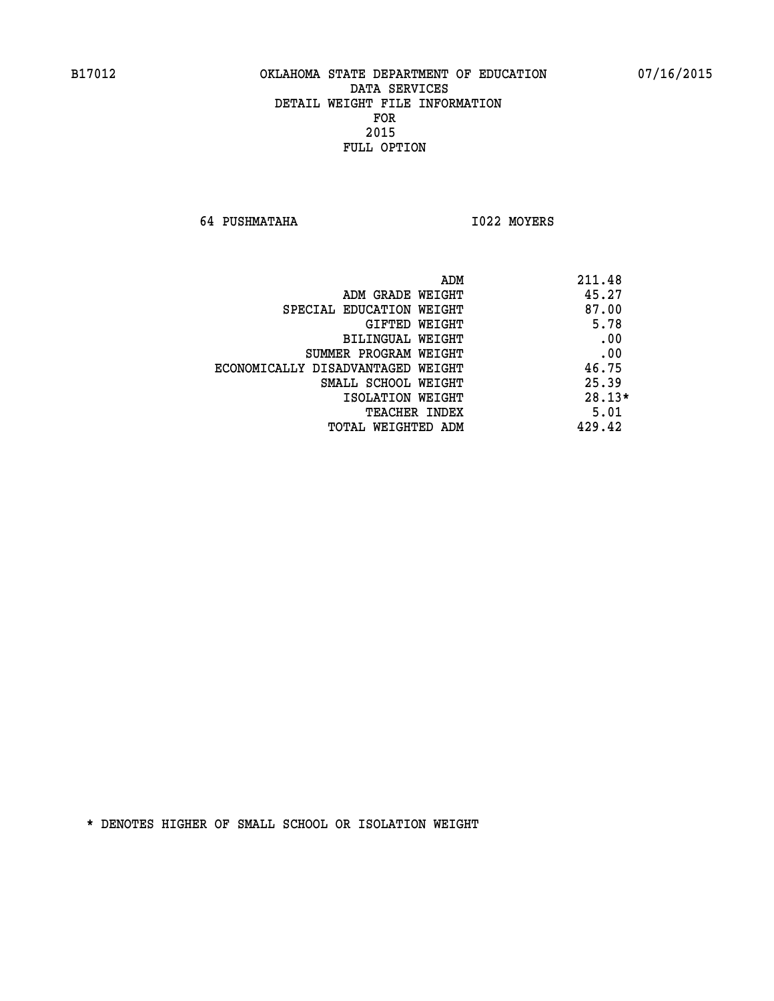**64 PUSHMATAHA I022 MOYERS** 

|                                   | ADM | 211.48   |
|-----------------------------------|-----|----------|
| ADM GRADE WEIGHT                  |     | 45.27    |
| SPECIAL EDUCATION WEIGHT          |     | 87.00    |
| GIFTED WEIGHT                     |     | 5.78     |
| BILINGUAL WEIGHT                  |     | .00      |
| SUMMER PROGRAM WEIGHT             |     | .00      |
| ECONOMICALLY DISADVANTAGED WEIGHT |     | 46.75    |
| SMALL SCHOOL WEIGHT               |     | 25.39    |
| ISOLATION WEIGHT                  |     | $28.13*$ |
| TEACHER INDEX                     |     | 5.01     |
| TOTAL WEIGHTED ADM                |     | 429.42   |
|                                   |     |          |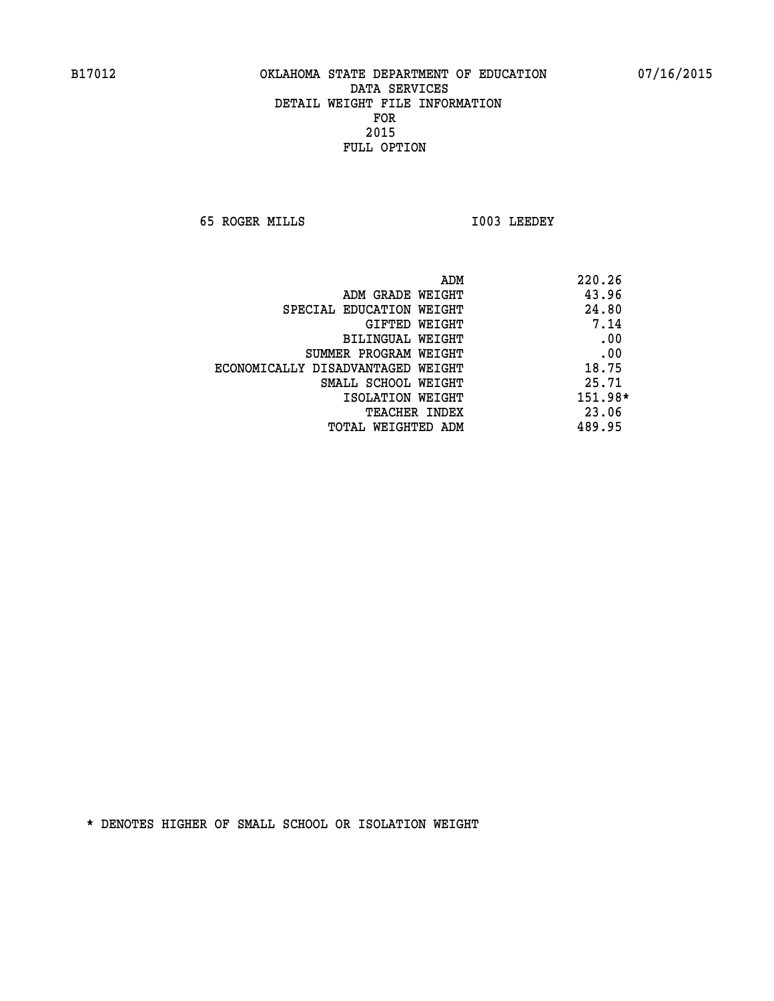**65 ROGER MILLS I003 LEEDEY** 

|                                   | ADM<br>220.26 |     |
|-----------------------------------|---------------|-----|
| ADM GRADE WEIGHT                  | 43.96         |     |
| SPECIAL EDUCATION WEIGHT          | 24.80         |     |
| GIFTED WEIGHT                     | 7.14          |     |
| BILINGUAL WEIGHT                  |               | .00 |
| SUMMER PROGRAM WEIGHT             |               | .00 |
| ECONOMICALLY DISADVANTAGED WEIGHT | 18.75         |     |
| SMALL SCHOOL WEIGHT               | 25.71         |     |
| ISOLATION WEIGHT                  | 151.98*       |     |
| <b>TEACHER INDEX</b>              | 23.06         |     |
| TOTAL WEIGHTED ADM                | 489.95        |     |
|                                   |               |     |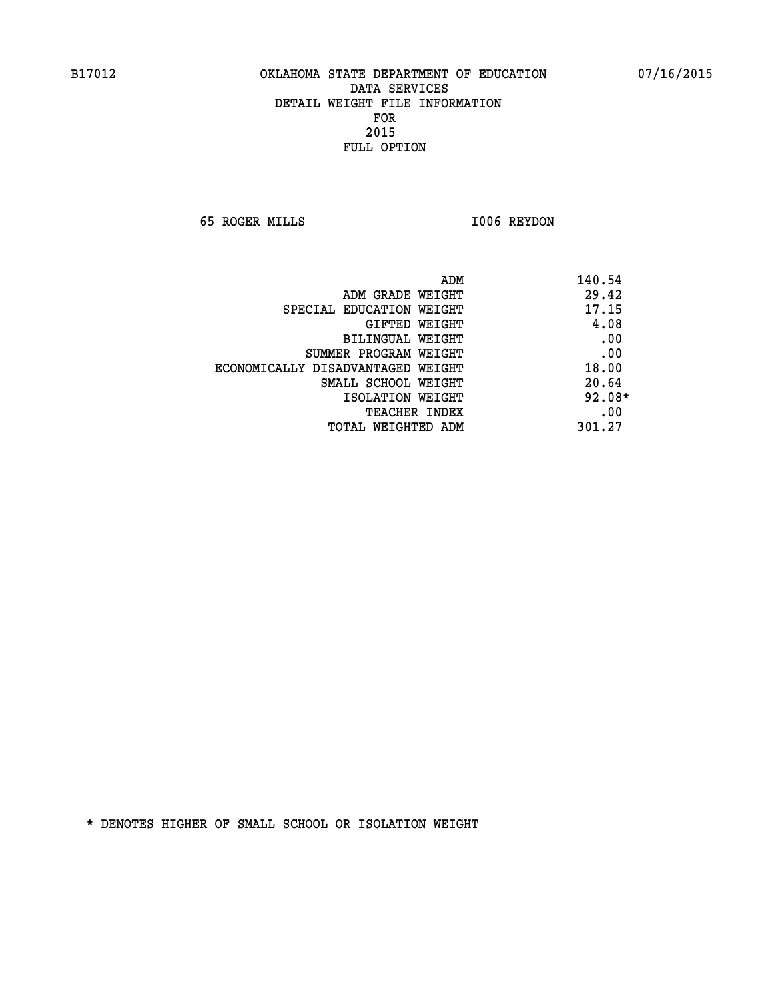**65 ROGER MILLS I006 REYDON** 

| ADM                               | 140.54   |  |
|-----------------------------------|----------|--|
| ADM GRADE WEIGHT                  | 29.42    |  |
| SPECIAL EDUCATION WEIGHT          | 17.15    |  |
| GIFTED WEIGHT                     | 4.08     |  |
| BILINGUAL WEIGHT                  | .00      |  |
| SUMMER PROGRAM WEIGHT             | .00      |  |
| ECONOMICALLY DISADVANTAGED WEIGHT | 18.00    |  |
| SMALL SCHOOL WEIGHT               | 20.64    |  |
| ISOLATION WEIGHT                  | $92.08*$ |  |
| <b>TEACHER INDEX</b>              | .00      |  |
| TOTAL WEIGHTED ADM                | 301.27   |  |
|                                   |          |  |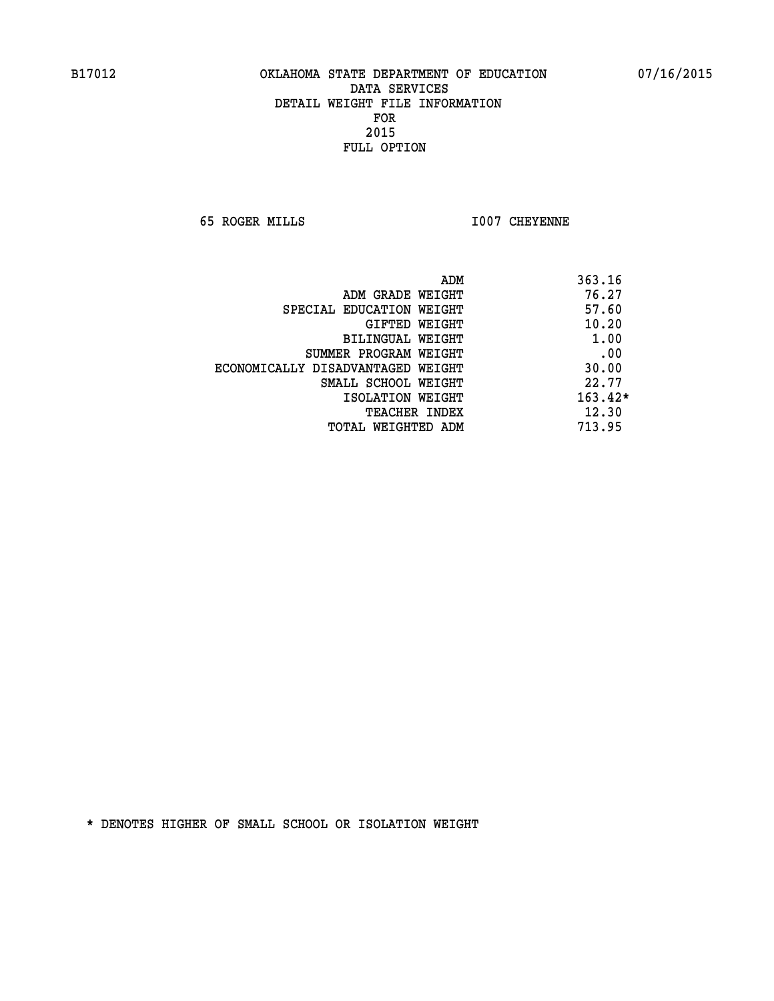**65 ROGER MILLS I007 CHEYENNE** 

|                                   | ADM | 363.16    |
|-----------------------------------|-----|-----------|
| ADM GRADE WEIGHT                  |     | 76.27     |
| SPECIAL EDUCATION WEIGHT          |     | 57.60     |
| GIFTED WEIGHT                     |     | 10.20     |
| BILINGUAL WEIGHT                  |     | 1.00      |
| SUMMER PROGRAM WEIGHT             |     | .00       |
| ECONOMICALLY DISADVANTAGED WEIGHT |     | 30.00     |
| SMALL SCHOOL WEIGHT               |     | 22.77     |
| ISOLATION WEIGHT                  |     | $163.42*$ |
| TEACHER INDEX                     |     | 12.30     |
| TOTAL WEIGHTED ADM                |     | 713.95    |
|                                   |     |           |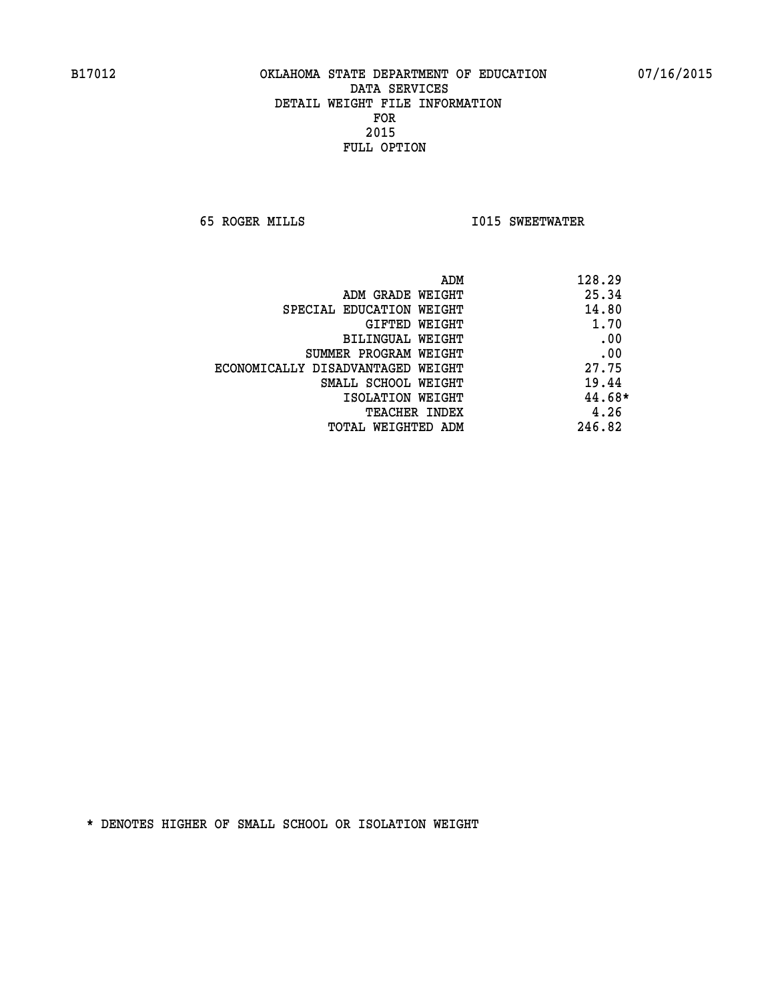**65 ROGER MILLS I015 SWEETWATER** 

| ADM<br>128.29 |                                   |
|---------------|-----------------------------------|
| 25.34         | ADM GRADE WEIGHT                  |
| 14.80         | SPECIAL EDUCATION WEIGHT          |
| 1.70          | GIFTED WEIGHT                     |
| .00           | BILINGUAL WEIGHT                  |
| .00           | SUMMER PROGRAM WEIGHT             |
| 27.75         | ECONOMICALLY DISADVANTAGED WEIGHT |
| 19.44         | SMALL SCHOOL WEIGHT               |
| 44.68*        | ISOLATION WEIGHT                  |
| 4.26          | <b>TEACHER INDEX</b>              |
| 246.82        | TOTAL WEIGHTED ADM                |
|               |                                   |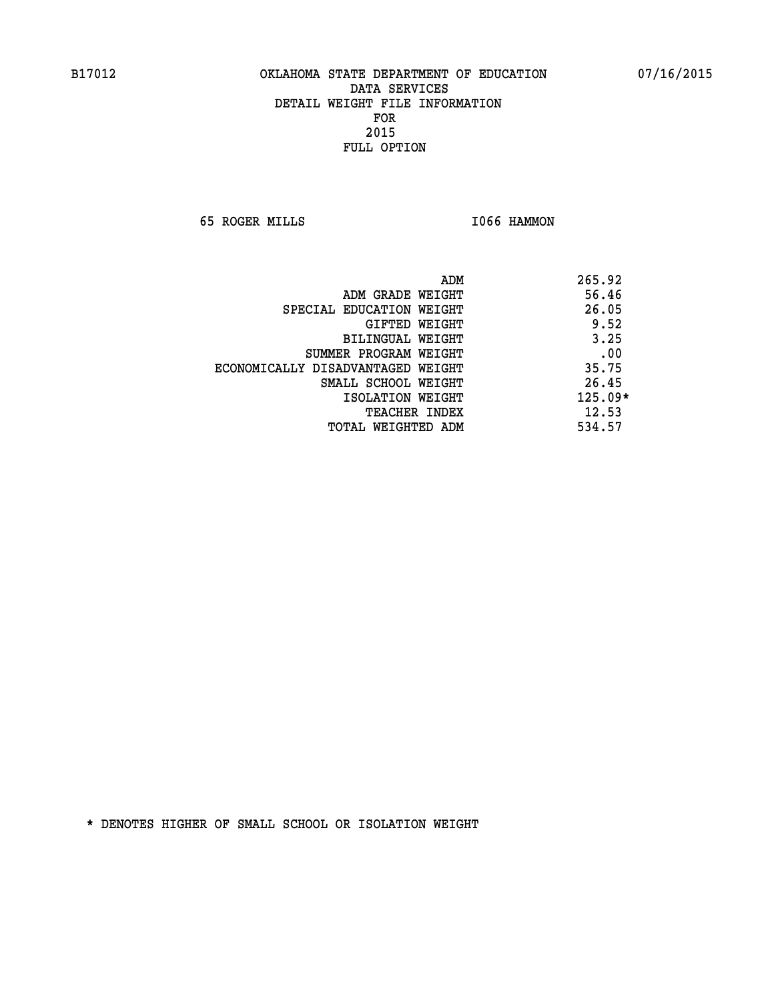**65 ROGER MILLS I066 HAMMON** 

|                                   | ADM | 265.92    |
|-----------------------------------|-----|-----------|
| ADM GRADE WEIGHT                  |     | 56.46     |
| SPECIAL EDUCATION WEIGHT          |     | 26.05     |
| GIFTED WEIGHT                     |     | 9.52      |
| BILINGUAL WEIGHT                  |     | 3.25      |
| SUMMER PROGRAM WEIGHT             |     | .00       |
| ECONOMICALLY DISADVANTAGED WEIGHT |     | 35.75     |
| SMALL SCHOOL WEIGHT               |     | 26.45     |
| ISOLATION WEIGHT                  |     | $125.09*$ |
| TEACHER INDEX                     |     | 12.53     |
| TOTAL WEIGHTED ADM                |     | 534.57    |
|                                   |     |           |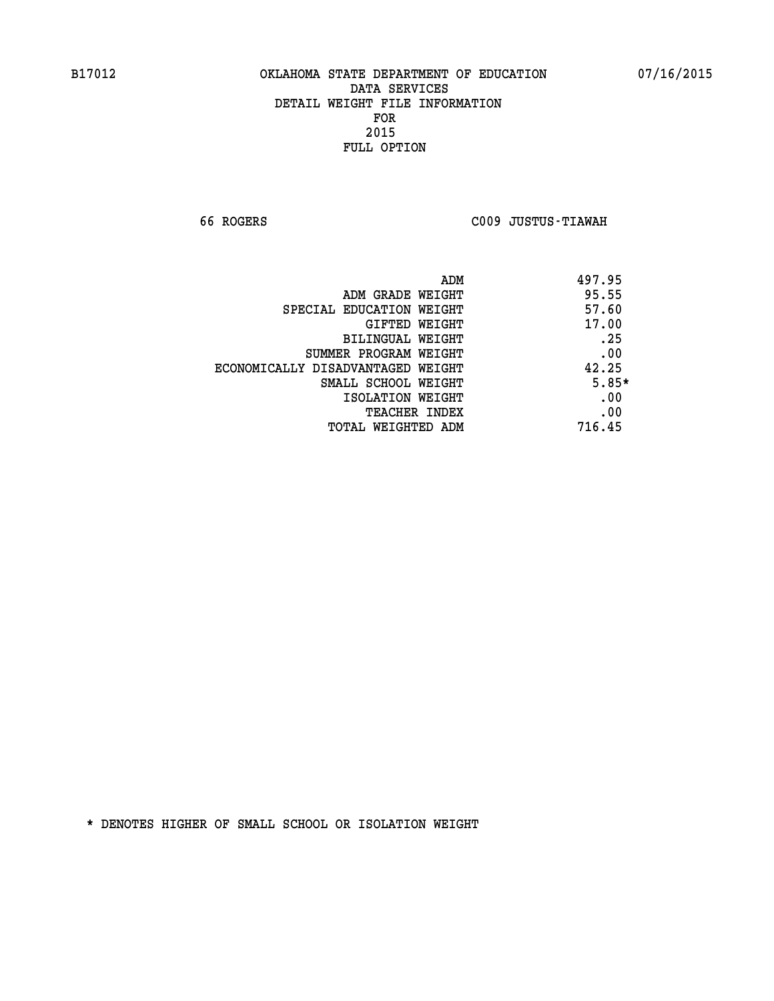**66 ROGERS C009 JUSTUS-TIAWAH** 

|                                   | 497.95<br>ADM |
|-----------------------------------|---------------|
| ADM GRADE WEIGHT                  | 95.55         |
| SPECIAL EDUCATION WEIGHT          | 57.60         |
| <b>GIFTED WEIGHT</b>              | 17.00         |
| BILINGUAL WEIGHT                  | .25           |
| SUMMER PROGRAM WEIGHT             | .00           |
| ECONOMICALLY DISADVANTAGED WEIGHT | 42.25         |
| SMALL SCHOOL WEIGHT               | $5.85*$       |
| ISOLATION WEIGHT                  | .00           |
| <b>TEACHER INDEX</b>              | .00           |
| TOTAL WEIGHTED ADM                | 716.45        |
|                                   |               |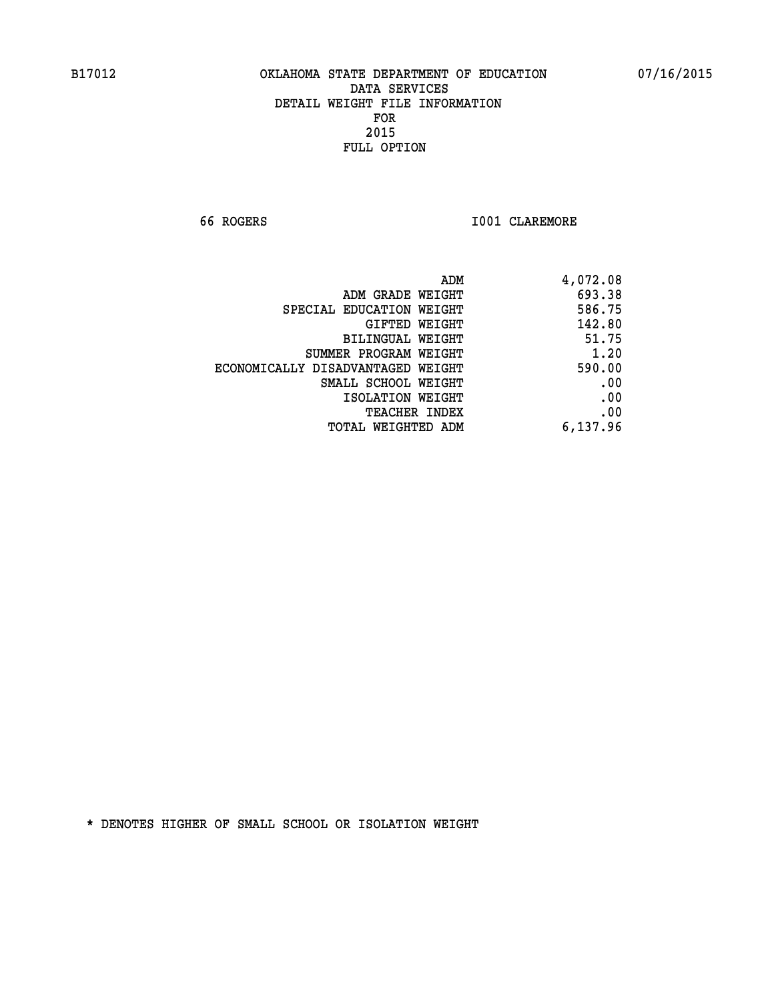**66 ROGERS I001 CLAREMORE** 

| ADM                               | 4,072.08 |
|-----------------------------------|----------|
| ADM GRADE WEIGHT                  | 693.38   |
| SPECIAL EDUCATION WEIGHT          | 586.75   |
| GIFTED WEIGHT                     | 142.80   |
| BILINGUAL WEIGHT                  | 51.75    |
| SUMMER PROGRAM WEIGHT             | 1.20     |
| ECONOMICALLY DISADVANTAGED WEIGHT | 590.00   |
| SMALL SCHOOL WEIGHT               | .00      |
| ISOLATION WEIGHT                  | .00      |
| <b>TEACHER INDEX</b>              | .00      |
| TOTAL WEIGHTED ADM                | 6,137.96 |
|                                   |          |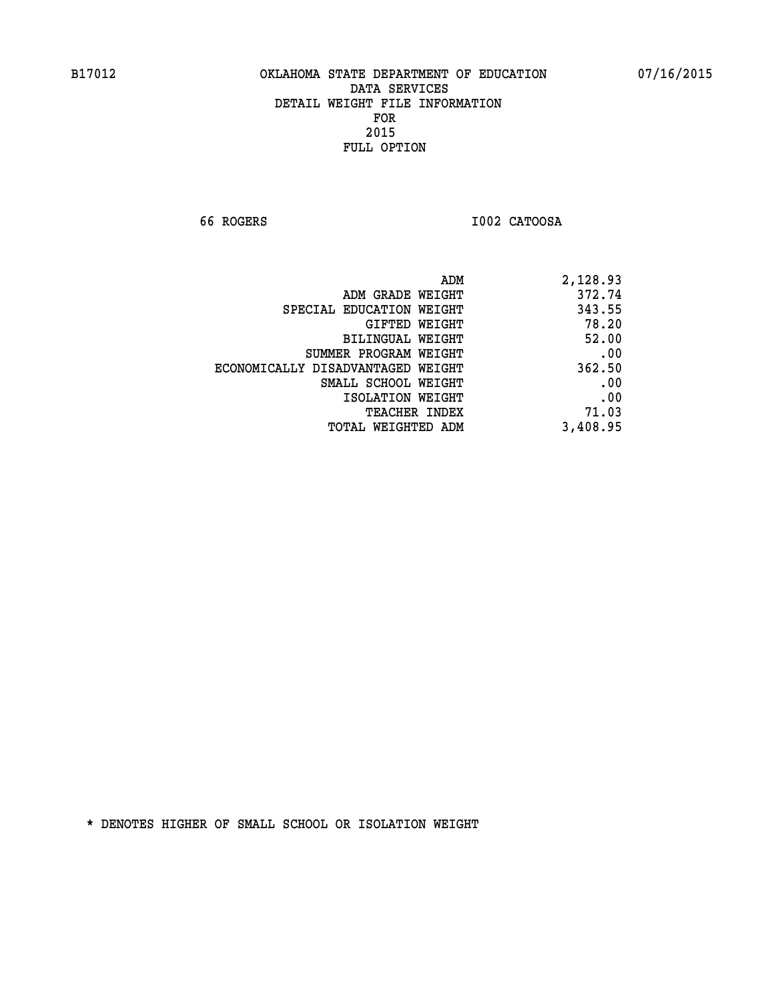**66 ROGERS I002 CATOOSA** 

| 2,128.93 |
|----------|
| 372.74   |
| 343.55   |
| 78.20    |
| 52.00    |
| .00      |
| 362.50   |
| .00      |
| .00      |
| 71.03    |
| 3,408.95 |
|          |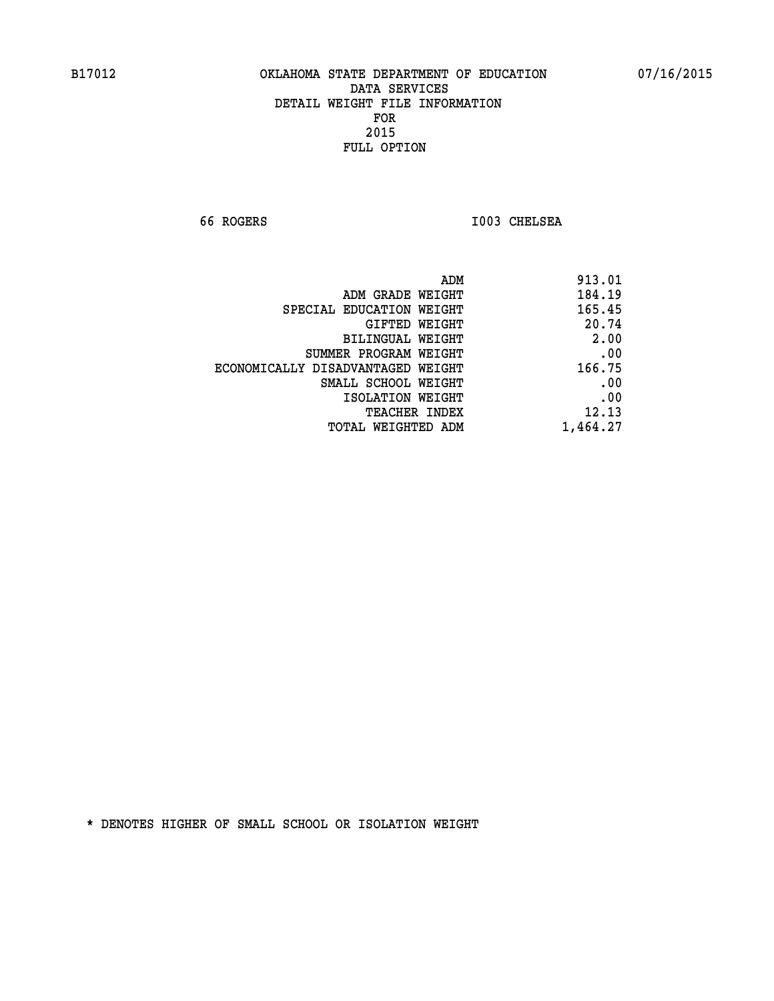**66 ROGERS I003 CHELSEA** 

| 913.01   |
|----------|
| 184.19   |
| 165.45   |
| 20.74    |
| 2.00     |
| .00      |
| 166.75   |
| .00      |
| .00      |
| 12.13    |
| 1,464.27 |
|          |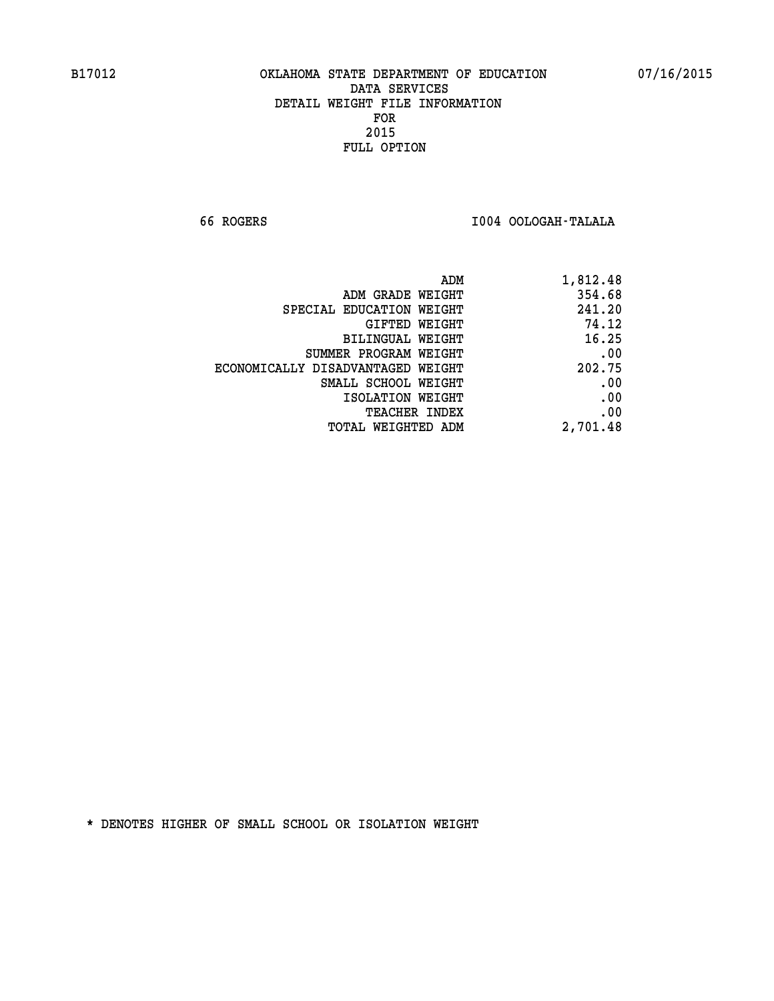**66 ROGERS I004 OOLOGAH-TALALA** 

|                                   | 1,812.48<br>ADM |
|-----------------------------------|-----------------|
| ADM GRADE WEIGHT                  | 354.68          |
| SPECIAL EDUCATION WEIGHT          | 241.20          |
| <b>GIFTED WEIGHT</b>              | 74.12           |
| BILINGUAL WEIGHT                  | 16.25           |
| SUMMER PROGRAM WEIGHT             | .00             |
| ECONOMICALLY DISADVANTAGED WEIGHT | 202.75          |
| SMALL SCHOOL WEIGHT               | .00             |
| ISOLATION WEIGHT                  | .00             |
| <b>TEACHER INDEX</b>              | .00             |
| <b>TOTAL WEIGHTED ADM</b>         | 2,701.48        |
|                                   |                 |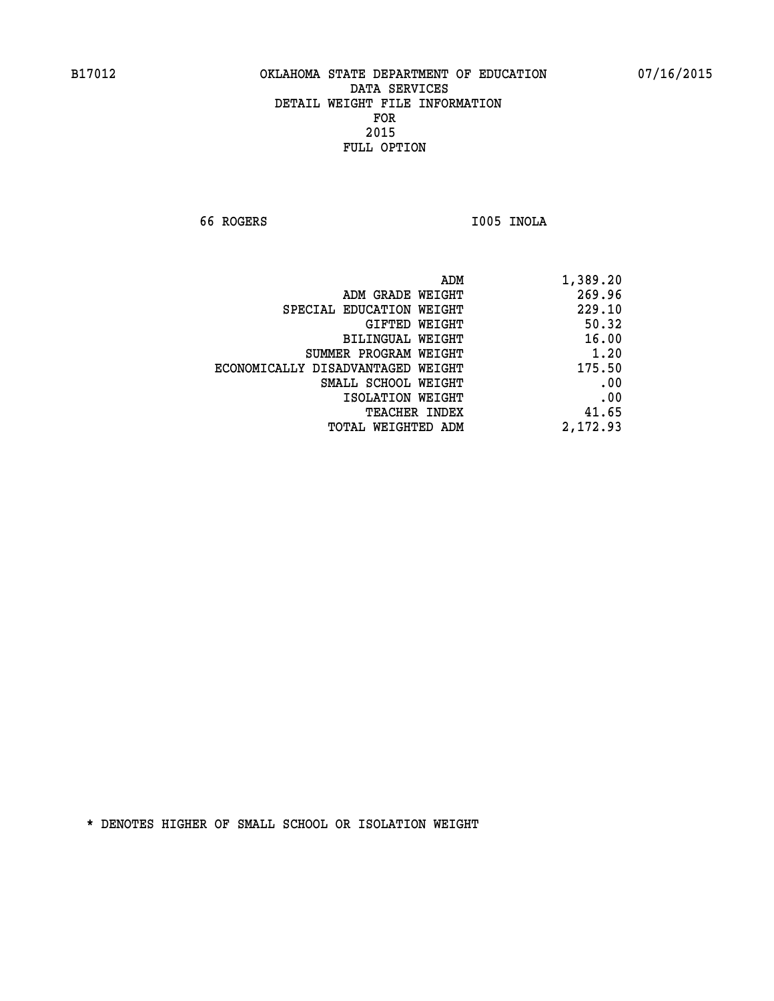**66 ROGERS I005 INOLA** 

| 269.96<br>ADM GRADE WEIGHT<br>229.10<br>SPECIAL EDUCATION WEIGHT<br>GIFTED WEIGHT<br>16.00<br>BILINGUAL WEIGHT<br>SUMMER PROGRAM WEIGHT<br>175.50<br>ECONOMICALLY DISADVANTAGED WEIGHT<br>SMALL SCHOOL WEIGHT<br>ISOLATION WEIGHT<br>41.65<br>TEACHER INDEX | 1,389.20 |
|-------------------------------------------------------------------------------------------------------------------------------------------------------------------------------------------------------------------------------------------------------------|----------|
|                                                                                                                                                                                                                                                             |          |
|                                                                                                                                                                                                                                                             |          |
|                                                                                                                                                                                                                                                             | 50.32    |
|                                                                                                                                                                                                                                                             |          |
|                                                                                                                                                                                                                                                             | 1.20     |
|                                                                                                                                                                                                                                                             |          |
|                                                                                                                                                                                                                                                             | .00      |
|                                                                                                                                                                                                                                                             | .00      |
|                                                                                                                                                                                                                                                             |          |
| 2,172.93<br>TOTAL WEIGHTED ADM                                                                                                                                                                                                                              |          |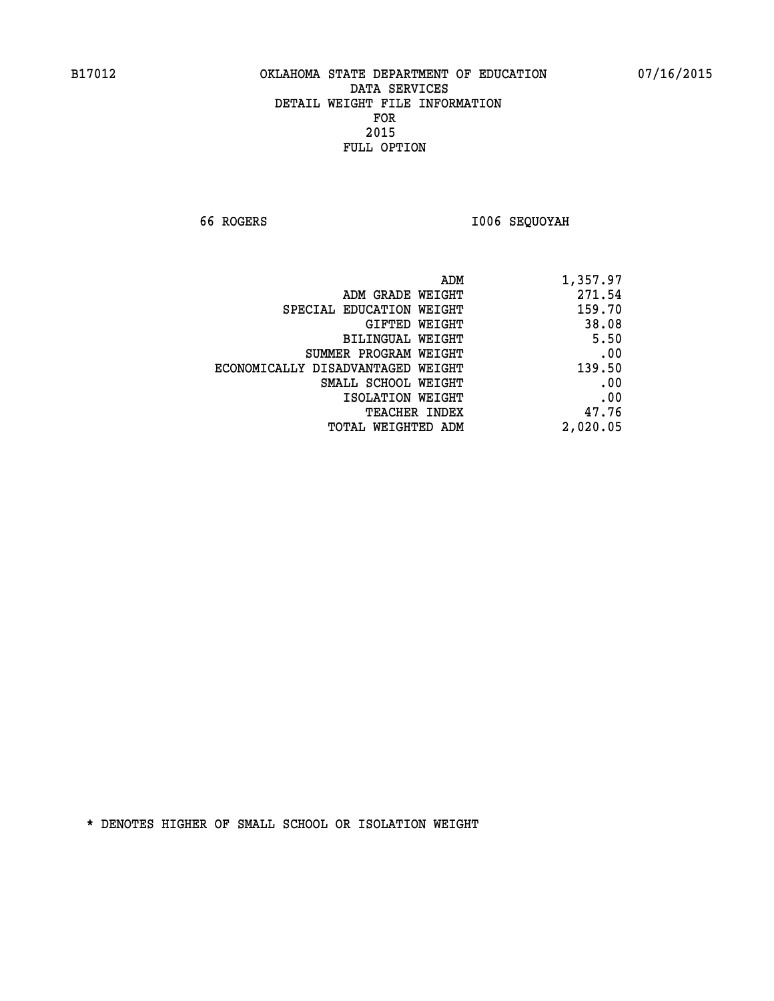**66 ROGERS I006 SEQUOYAH** 

| 1,357.97 |
|----------|
| 271.54   |
| 159.70   |
| 38.08    |
| 5.50     |
| .00      |
| 139.50   |
| .00      |
| .00      |
| 47.76    |
| 2,020.05 |
|          |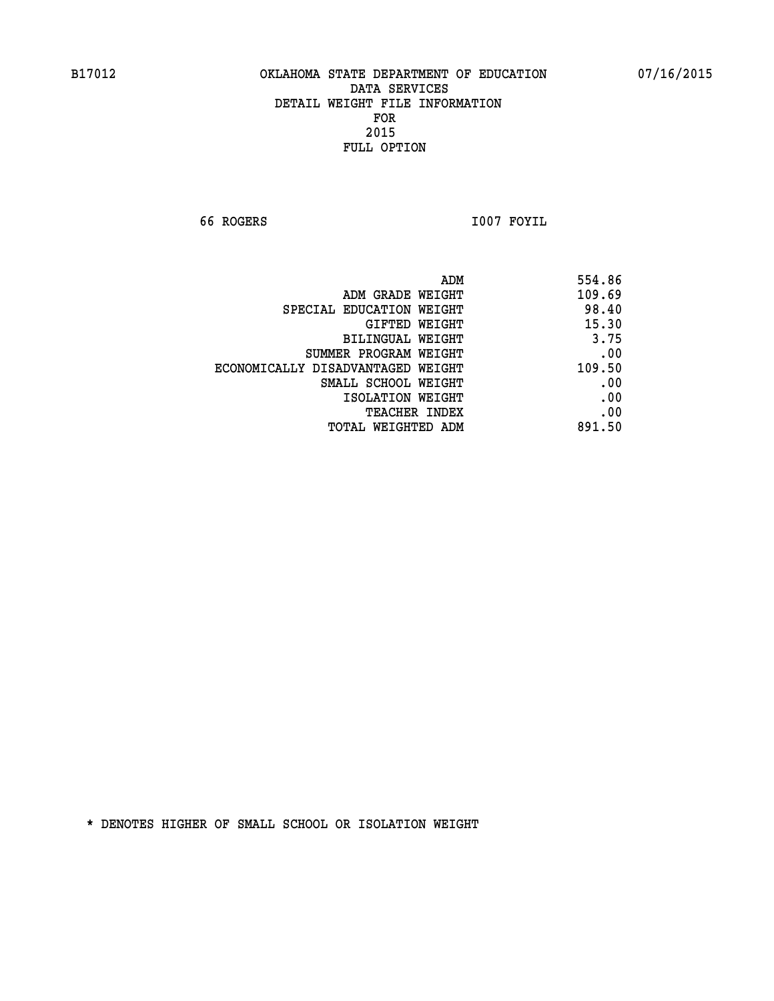**66 ROGERS I007 FOYIL** 

| 554.86 | ADM                               |
|--------|-----------------------------------|
| 109.69 | ADM GRADE WEIGHT                  |
| 98.40  | SPECIAL EDUCATION WEIGHT          |
| 15.30  | GIFTED WEIGHT                     |
| 3.75   | BILINGUAL WEIGHT                  |
| .00    | SUMMER PROGRAM WEIGHT             |
| 109.50 | ECONOMICALLY DISADVANTAGED WEIGHT |
| .00    | SMALL SCHOOL WEIGHT               |
| .00    | ISOLATION WEIGHT                  |
| .00    | <b>TEACHER INDEX</b>              |
| 891.50 | TOTAL WEIGHTED ADM                |
|        |                                   |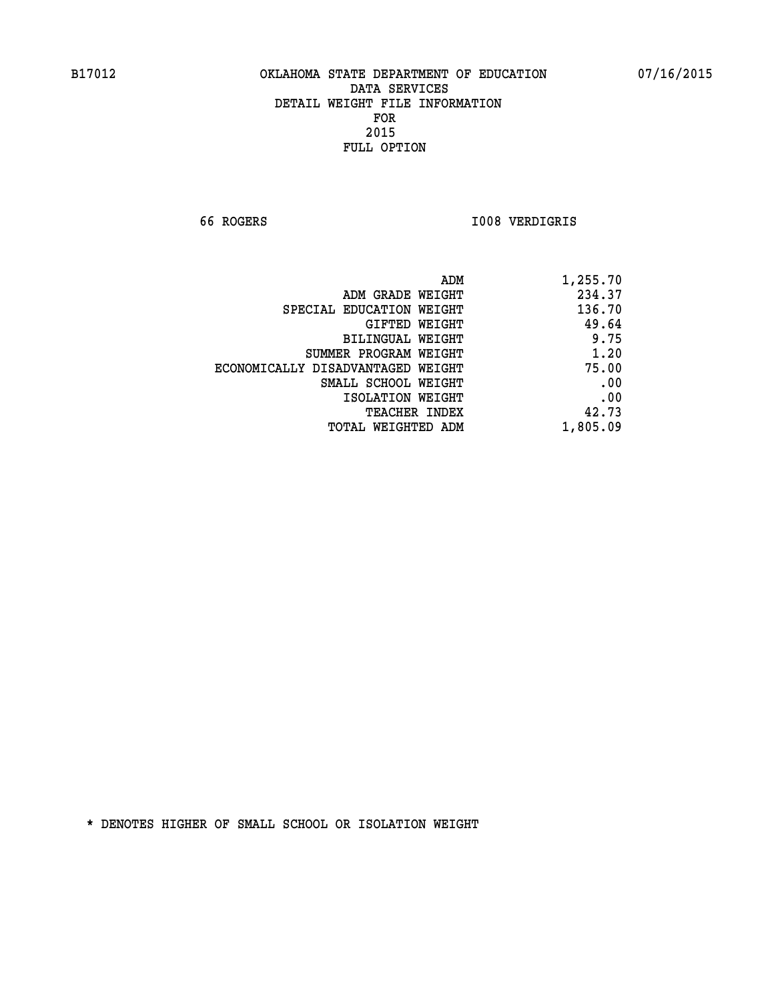**66 ROGERS I008 VERDIGRIS** 

| 1,255.70 |
|----------|
| 234.37   |
| 136.70   |
| 49.64    |
| 9.75     |
| 1.20     |
| 75.00    |
| .00      |
| .00      |
| 42.73    |
| 1,805.09 |
|          |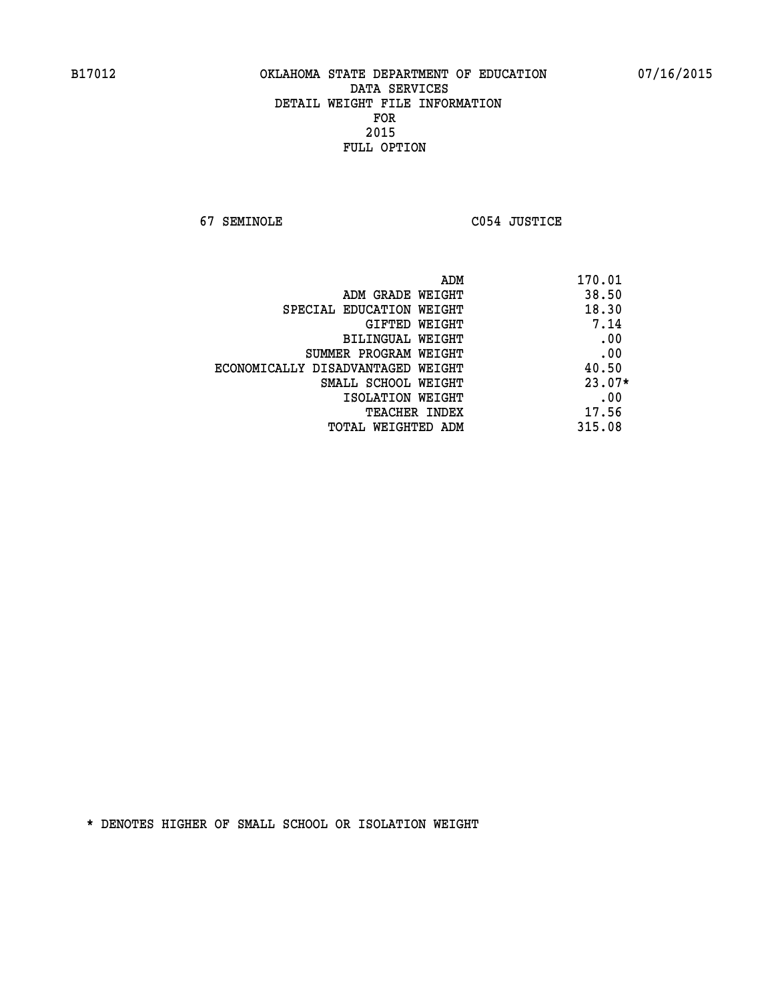**67 SEMINOLE C054 JUSTICE** 

|                                   | 170.01<br>ADM |
|-----------------------------------|---------------|
| ADM GRADE WEIGHT                  | 38.50         |
| SPECIAL EDUCATION WEIGHT          | 18.30         |
| GIFTED WEIGHT                     | 7.14          |
| BILINGUAL WEIGHT                  | .00           |
| SUMMER PROGRAM WEIGHT             | .00           |
| ECONOMICALLY DISADVANTAGED WEIGHT | 40.50         |
| SMALL SCHOOL WEIGHT               | $23.07*$      |
| ISOLATION WEIGHT                  | .00           |
| <b>TEACHER INDEX</b>              | 17.56         |
| TOTAL WEIGHTED ADM                | 315.08        |
|                                   |               |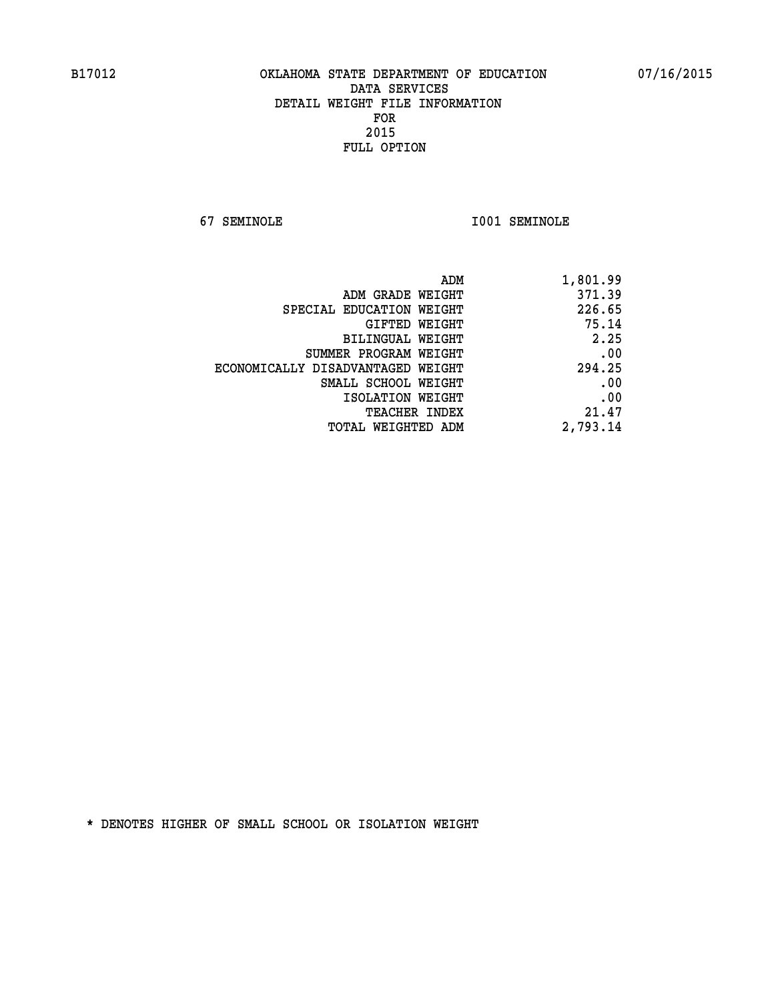**67 SEMINOLE I001 SEMINOLE** 

| 1,801.99 |
|----------|
| 371.39   |
| 226.65   |
| 75.14    |
| 2.25     |
| .00      |
| 294.25   |
| .00      |
| .00      |
| 21.47    |
| 2,793.14 |
|          |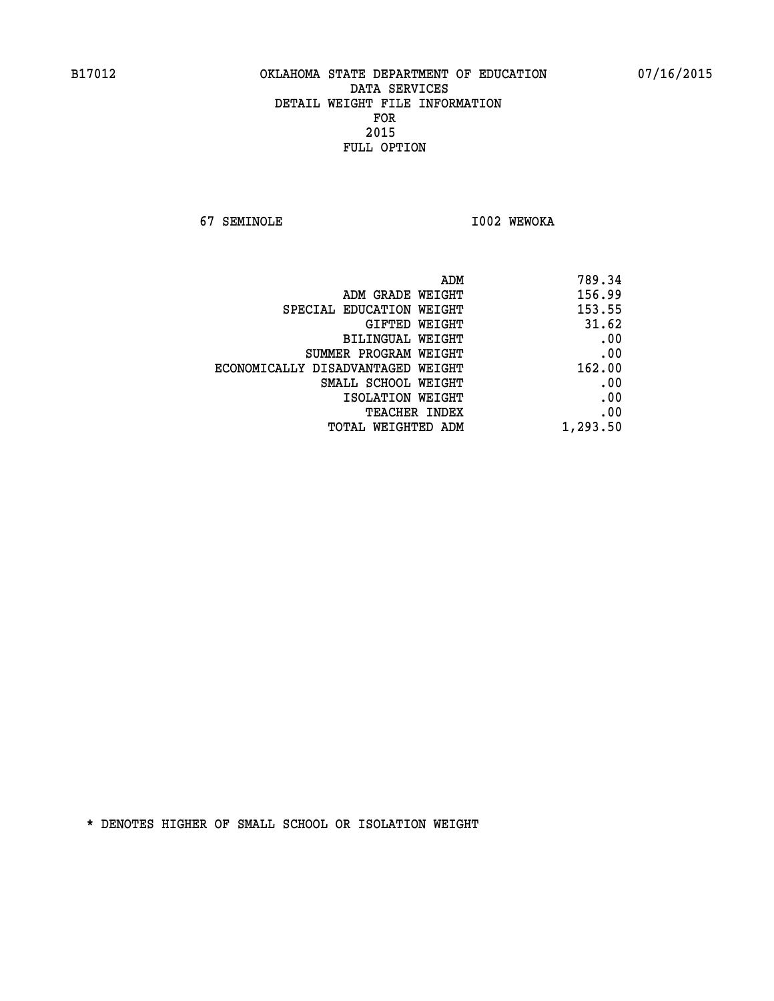**67 SEMINOLE I002 WEWOKA** 

| 789.34   |
|----------|
| 156.99   |
| 153.55   |
| 31.62    |
| .00      |
| .00      |
| 162.00   |
| .00      |
| .00      |
| .00      |
| 1,293.50 |
|          |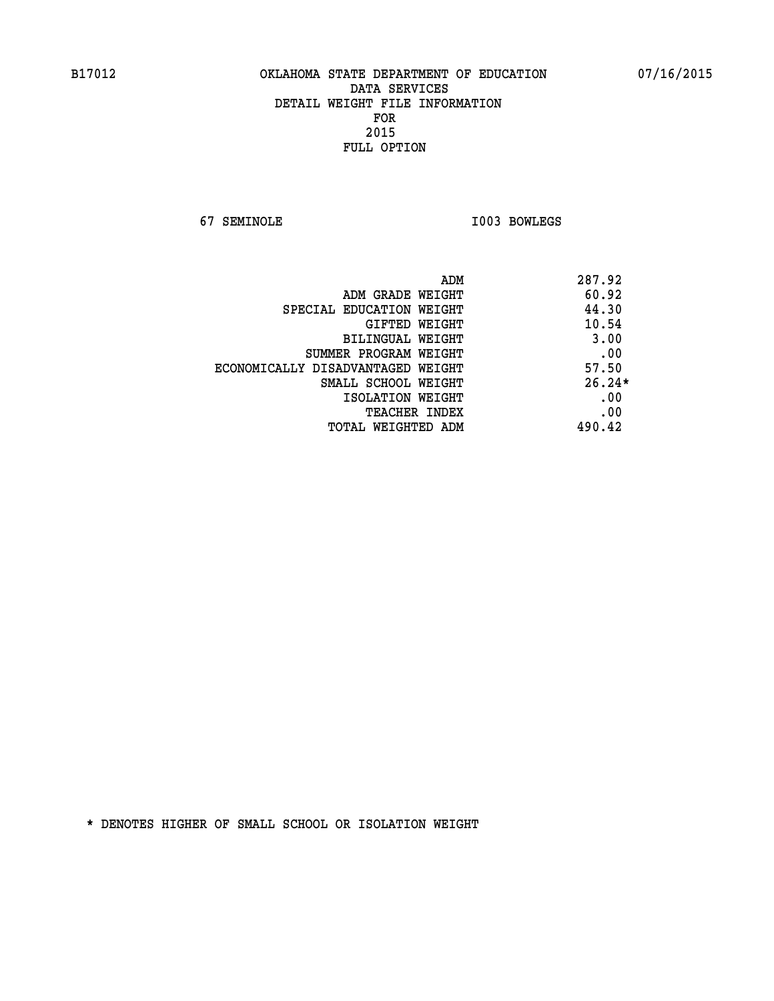**67 SEMINOLE I003 BOWLEGS** 

|                                   | 287.92<br>ADM |
|-----------------------------------|---------------|
| ADM GRADE WEIGHT                  | 60.92         |
| SPECIAL EDUCATION WEIGHT          | 44.30         |
| GIFTED WEIGHT                     | 10.54         |
| BILINGUAL WEIGHT                  | 3.00          |
| SUMMER PROGRAM WEIGHT             | .00           |
| ECONOMICALLY DISADVANTAGED WEIGHT | 57.50         |
| SMALL SCHOOL WEIGHT               | $26.24*$      |
| ISOLATION WEIGHT                  | .00           |
| <b>TEACHER INDEX</b>              | .00           |
| TOTAL WEIGHTED ADM                | 490.42        |
|                                   |               |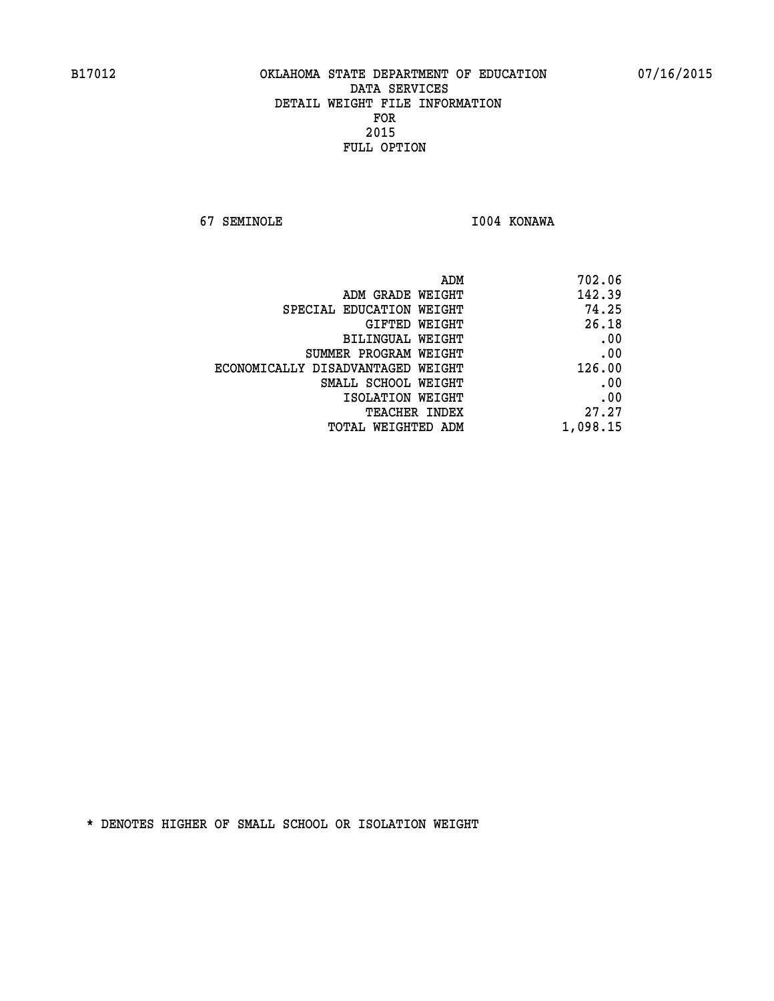**67 SEMINOLE I004 KONAWA** 

| 702.06   |
|----------|
| 142.39   |
| 74.25    |
| 26.18    |
| .00      |
| .00      |
| 126.00   |
| .00      |
| .00      |
| 27.27    |
| 1,098.15 |
|          |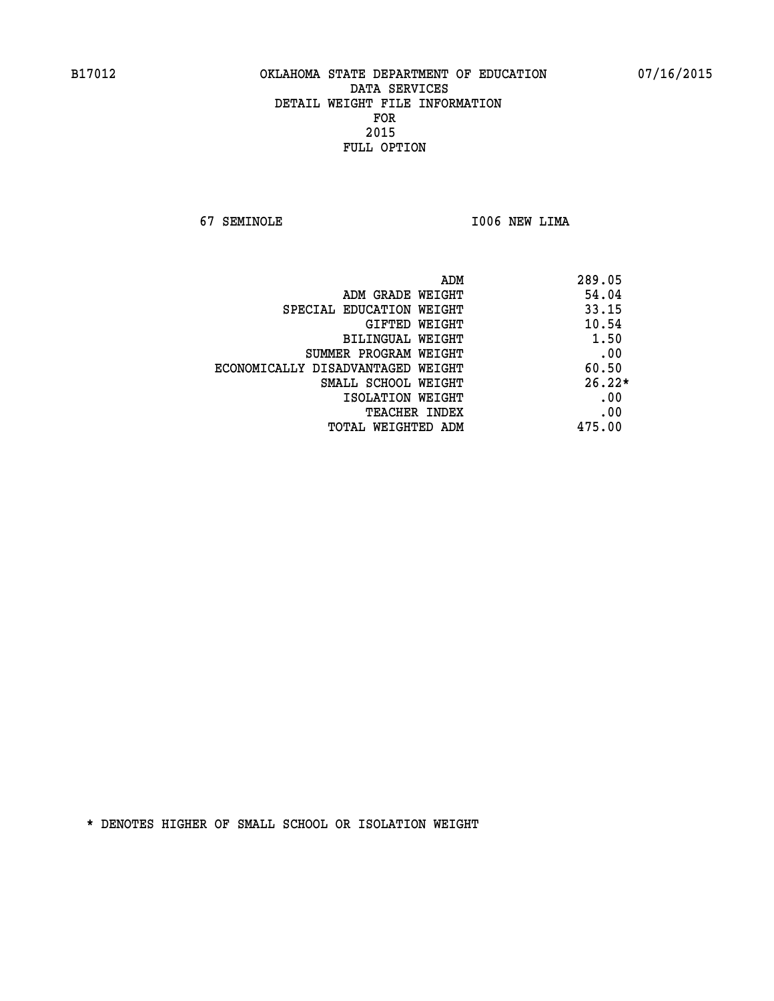**67 SEMINOLE I006 NEW LIMA** 

|                                   | 289.05<br>ADM |
|-----------------------------------|---------------|
| ADM GRADE WEIGHT                  | 54.04         |
| SPECIAL EDUCATION WEIGHT          | 33.15         |
| GIFTED WEIGHT                     | 10.54         |
| BILINGUAL WEIGHT                  | 1.50          |
| SUMMER PROGRAM WEIGHT             | .00           |
| ECONOMICALLY DISADVANTAGED WEIGHT | 60.50         |
| SMALL SCHOOL WEIGHT               | $26.22*$      |
| ISOLATION WEIGHT                  | .00           |
| <b>TEACHER INDEX</b>              | .00           |
| TOTAL WEIGHTED ADM                | 475.00        |
|                                   |               |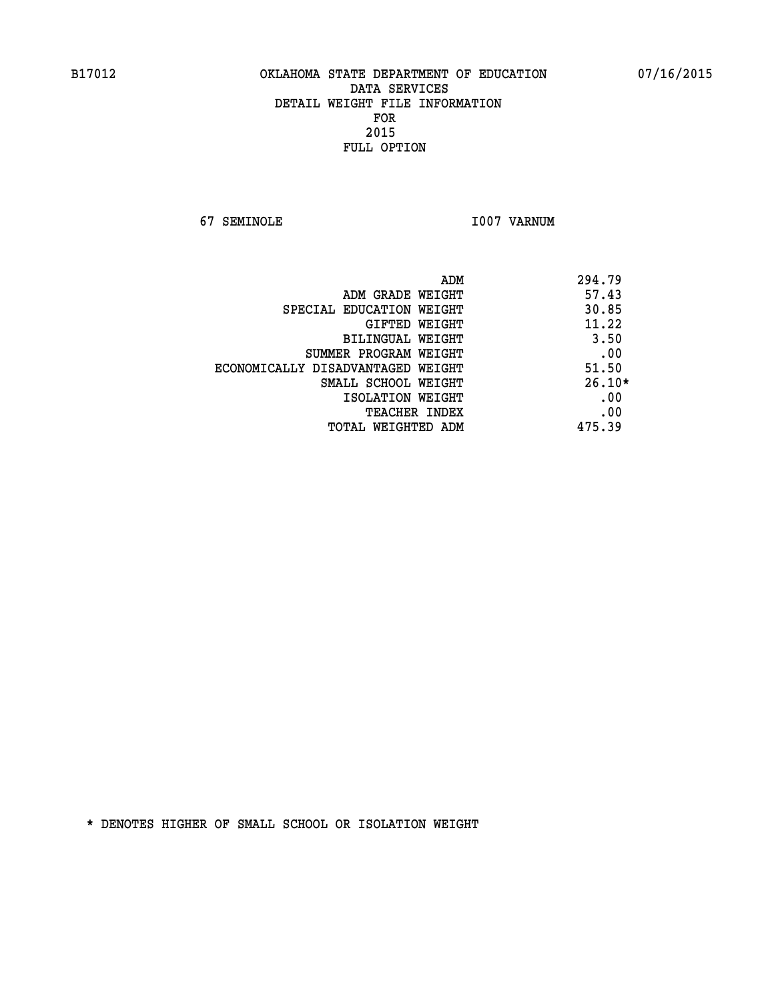**67 SEMINOLE I007 VARNUM** 

| ADM                               | 294.79   |
|-----------------------------------|----------|
| ADM GRADE WEIGHT                  | 57.43    |
| SPECIAL EDUCATION WEIGHT          | 30.85    |
| <b>GIFTED WEIGHT</b>              | 11.22    |
| BILINGUAL WEIGHT                  | 3.50     |
| SUMMER PROGRAM WEIGHT             | .00      |
| ECONOMICALLY DISADVANTAGED WEIGHT | 51.50    |
| SMALL SCHOOL WEIGHT               | $26.10*$ |
| ISOLATION WEIGHT                  | .00      |
| <b>TEACHER INDEX</b>              | .00      |
| TOTAL WEIGHTED ADM                | 475.39   |
|                                   |          |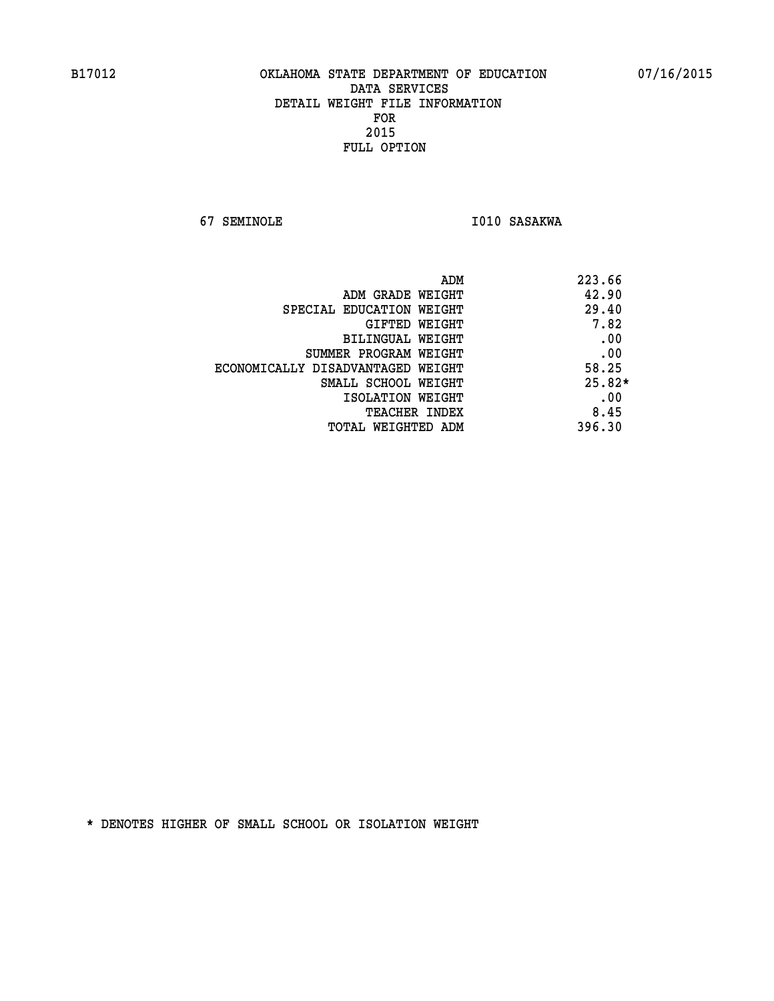**67 SEMINOLE I010 SASAKWA** 

| ADM<br>223.66 |                                   |
|---------------|-----------------------------------|
| 42.90         | ADM GRADE WEIGHT                  |
| 29.40         | SPECIAL EDUCATION WEIGHT          |
| 7.82          | GIFTED WEIGHT                     |
| .00           | BILINGUAL WEIGHT                  |
| .00           | SUMMER PROGRAM WEIGHT             |
| 58.25         | ECONOMICALLY DISADVANTAGED WEIGHT |
| $25.82*$      | SMALL SCHOOL WEIGHT               |
| .00           | ISOLATION WEIGHT                  |
| 8.45          | <b>TEACHER INDEX</b>              |
| 396.30        | TOTAL WEIGHTED ADM                |
|               |                                   |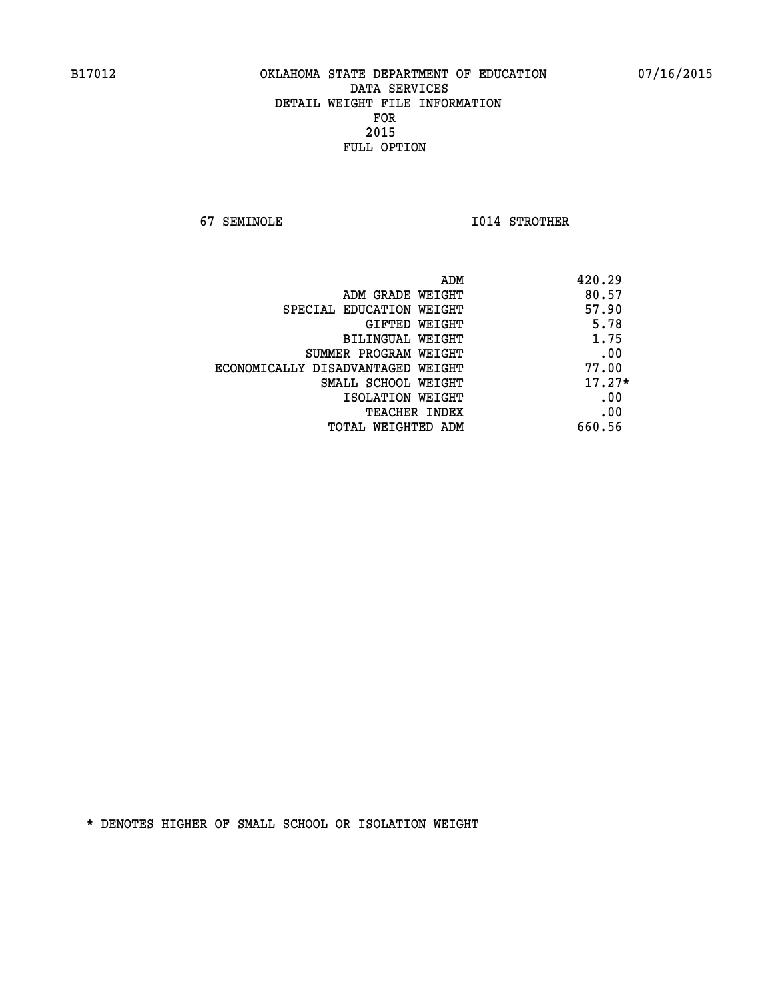**67 SEMINOLE I014 STROTHER** 

| ADM                               | 420.29   |
|-----------------------------------|----------|
| ADM GRADE WEIGHT                  | 80.57    |
| SPECIAL EDUCATION WEIGHT          | 57.90    |
| GIFTED WEIGHT                     | 5.78     |
| BILINGUAL WEIGHT                  | 1.75     |
| SUMMER PROGRAM WEIGHT             | .00      |
| ECONOMICALLY DISADVANTAGED WEIGHT | 77.00    |
| SMALL SCHOOL WEIGHT               | $17.27*$ |
| ISOLATION WEIGHT                  | .00      |
| <b>TEACHER INDEX</b>              | .00      |
| TOTAL WEIGHTED ADM                | 660.56   |
|                                   |          |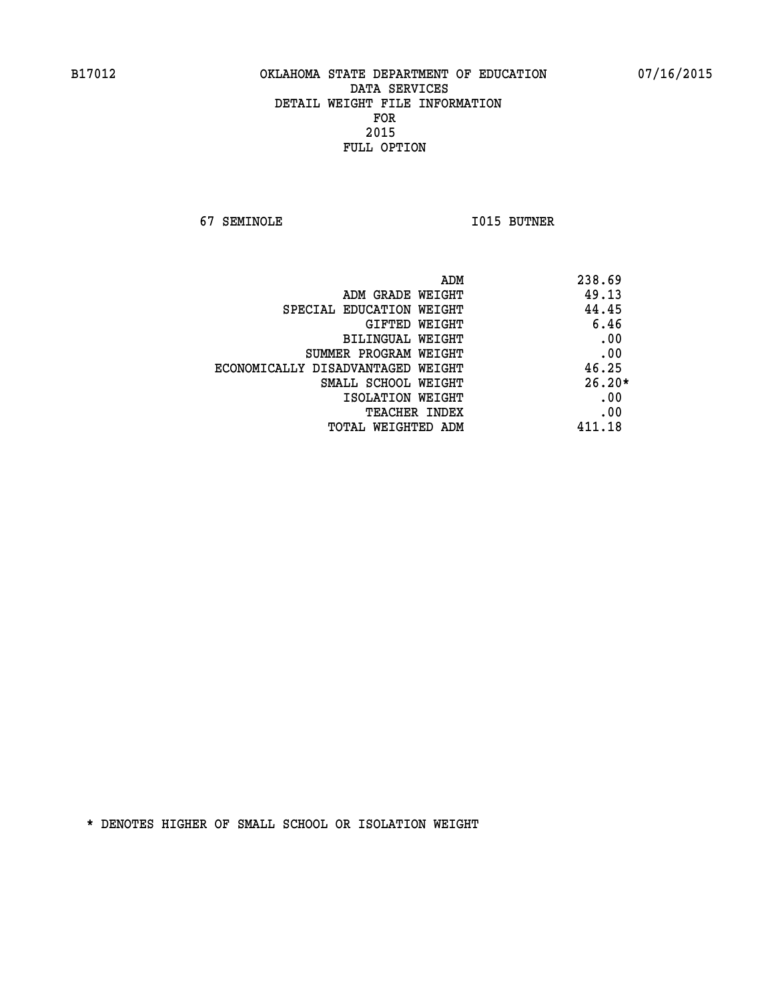**67 SEMINOLE I015 BUTNER** 

| ADM<br>238.69 |                                   |
|---------------|-----------------------------------|
| 49.13         | ADM GRADE WEIGHT                  |
| 44.45         | SPECIAL EDUCATION WEIGHT          |
| 6.46          | <b>GIFTED WEIGHT</b>              |
| .00           | BILINGUAL WEIGHT                  |
| .00           | SUMMER PROGRAM WEIGHT             |
| 46.25         | ECONOMICALLY DISADVANTAGED WEIGHT |
| $26.20*$      | SMALL SCHOOL WEIGHT               |
| .00           | ISOLATION WEIGHT                  |
| .00           | <b>TEACHER INDEX</b>              |
| 411.18        | TOTAL WEIGHTED ADM                |
|               |                                   |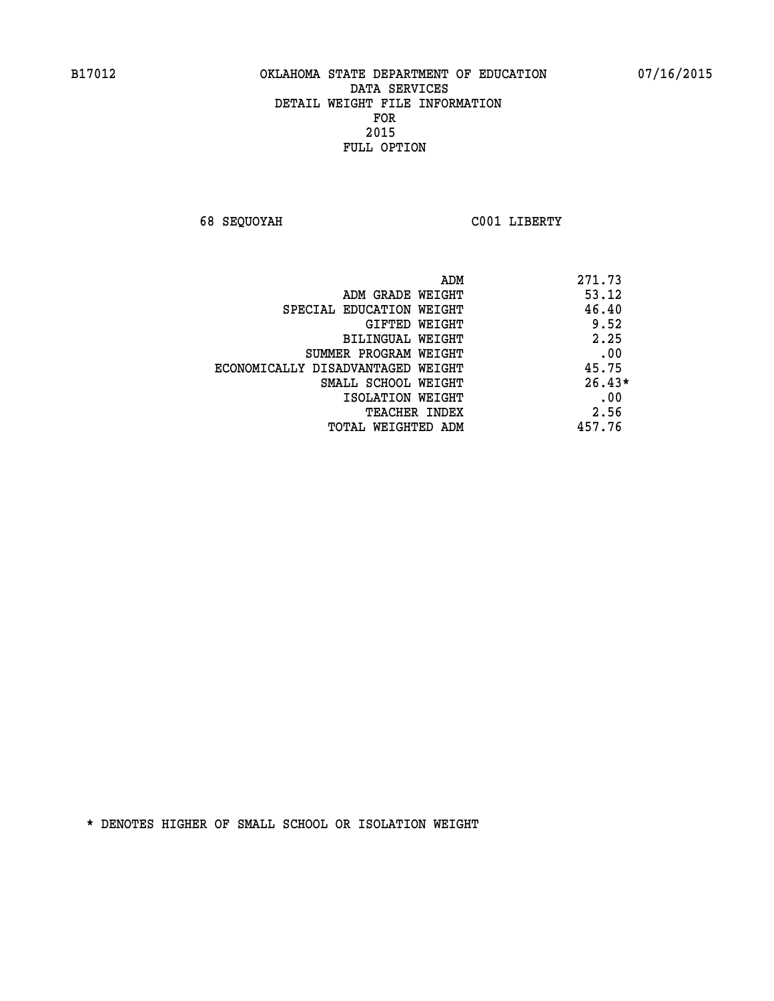**68 SEQUOYAH C001 LIBERTY** 

| 271.73<br>ADM                              |  |
|--------------------------------------------|--|
| 53.12<br>ADM GRADE WEIGHT                  |  |
| 46.40<br>SPECIAL EDUCATION WEIGHT          |  |
| 9.52<br>GIFTED WEIGHT                      |  |
| 2.25<br>BILINGUAL WEIGHT                   |  |
| .00<br>SUMMER PROGRAM WEIGHT               |  |
| 45.75<br>ECONOMICALLY DISADVANTAGED WEIGHT |  |
| $26.43*$<br>SMALL SCHOOL WEIGHT            |  |
| .00<br>ISOLATION WEIGHT                    |  |
| 2.56<br><b>TEACHER INDEX</b>               |  |
| 457.76<br>TOTAL WEIGHTED ADM               |  |
|                                            |  |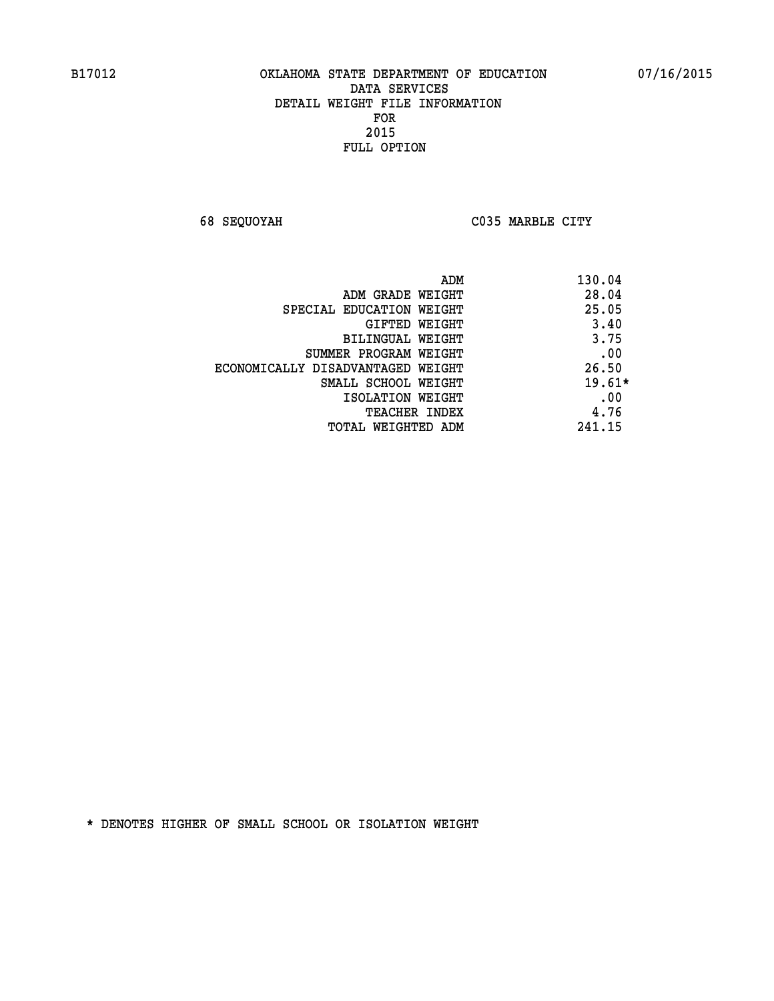**68 SEQUOYAH C035 MARBLE CITY** 

|                                   | 130.04<br>ADM |
|-----------------------------------|---------------|
| ADM GRADE WEIGHT                  | 28.04         |
| SPECIAL EDUCATION WEIGHT          | 25.05         |
| GIFTED WEIGHT                     | 3.40          |
| BILINGUAL WEIGHT                  | 3.75          |
| SUMMER PROGRAM WEIGHT             | .00           |
| ECONOMICALLY DISADVANTAGED WEIGHT | 26.50         |
| SMALL SCHOOL WEIGHT               | $19.61*$      |
| ISOLATION WEIGHT                  | .00           |
| <b>TEACHER INDEX</b>              | 4.76          |
| TOTAL WEIGHTED ADM                | 241.15        |
|                                   |               |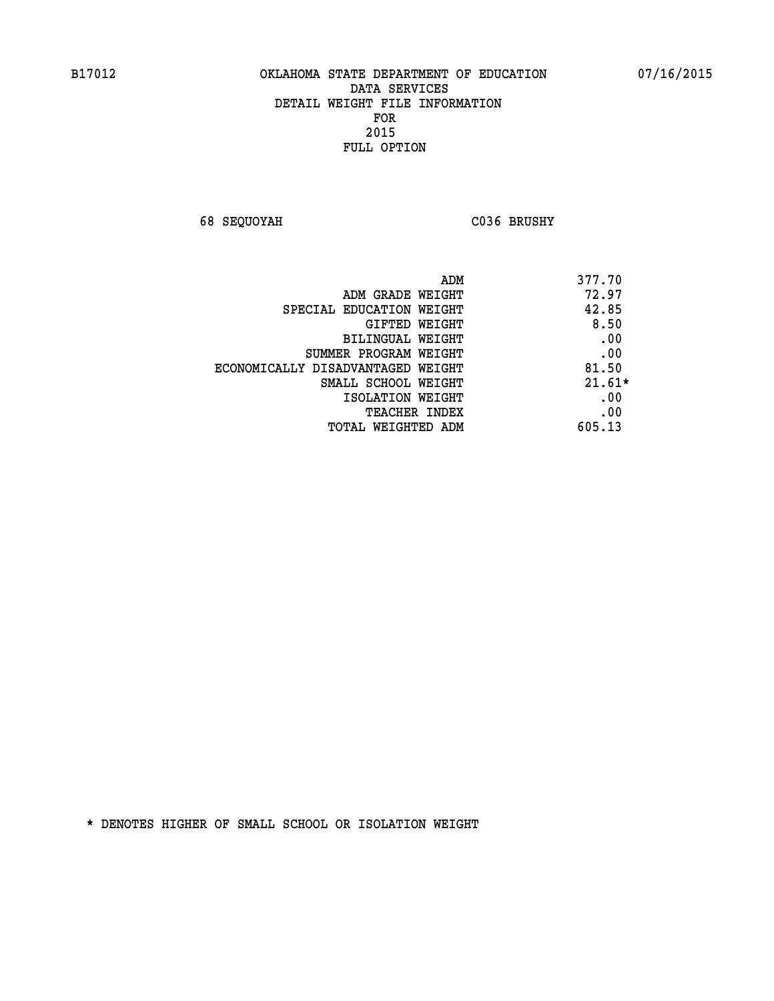**68 SEQUOYAH C036 BRUSHY** 

| 377.70<br>ADM                              |  |
|--------------------------------------------|--|
| 72.97<br>ADM GRADE WEIGHT                  |  |
| 42.85<br>SPECIAL EDUCATION WEIGHT          |  |
| 8.50<br>GIFTED WEIGHT                      |  |
| .00<br>BILINGUAL WEIGHT                    |  |
| .00<br>SUMMER PROGRAM WEIGHT               |  |
| 81.50<br>ECONOMICALLY DISADVANTAGED WEIGHT |  |
| $21.61*$<br>SMALL SCHOOL WEIGHT            |  |
| .00<br>ISOLATION WEIGHT                    |  |
| .00<br><b>TEACHER INDEX</b>                |  |
| 605.13<br>TOTAL WEIGHTED ADM               |  |
|                                            |  |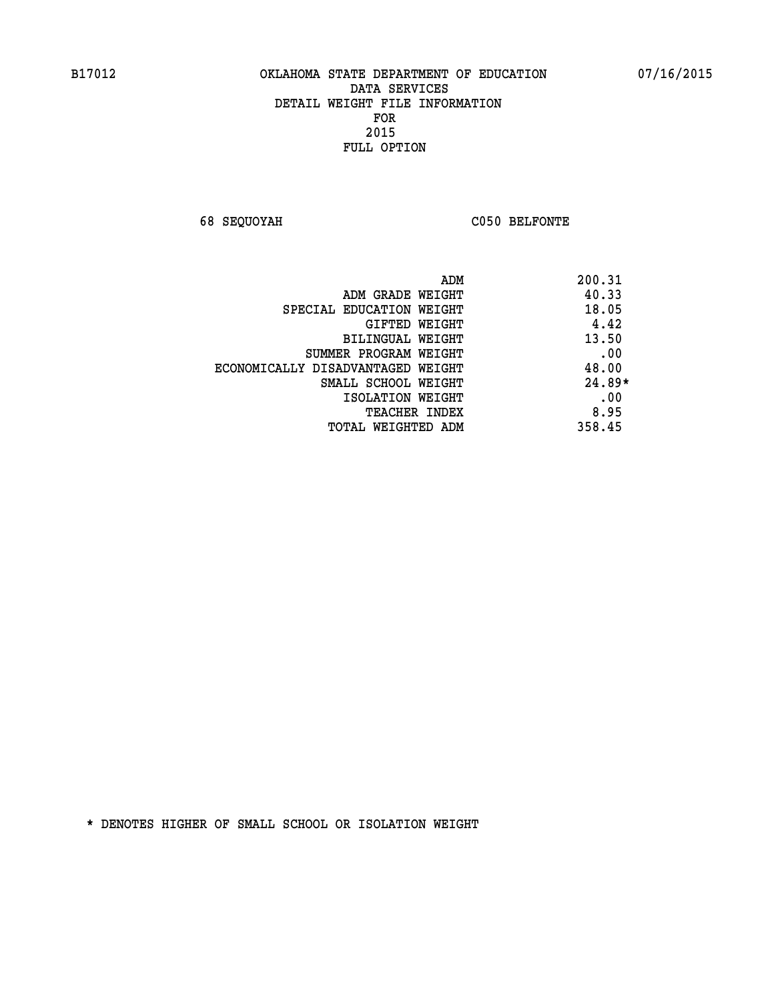**68 SEQUOYAH C050 BELFONTE** 

| ADM                               | 200.31   |
|-----------------------------------|----------|
| ADM GRADE WEIGHT                  | 40.33    |
| SPECIAL EDUCATION WEIGHT          | 18.05    |
| GIFTED WEIGHT                     | 4.42     |
| BILINGUAL WEIGHT                  | 13.50    |
| SUMMER PROGRAM WEIGHT             | .00      |
| ECONOMICALLY DISADVANTAGED WEIGHT | 48.00    |
| SMALL SCHOOL WEIGHT               | $24.89*$ |
| ISOLATION WEIGHT                  | .00      |
| <b>TEACHER INDEX</b>              | 8.95     |
| TOTAL WEIGHTED ADM                | 358.45   |
|                                   |          |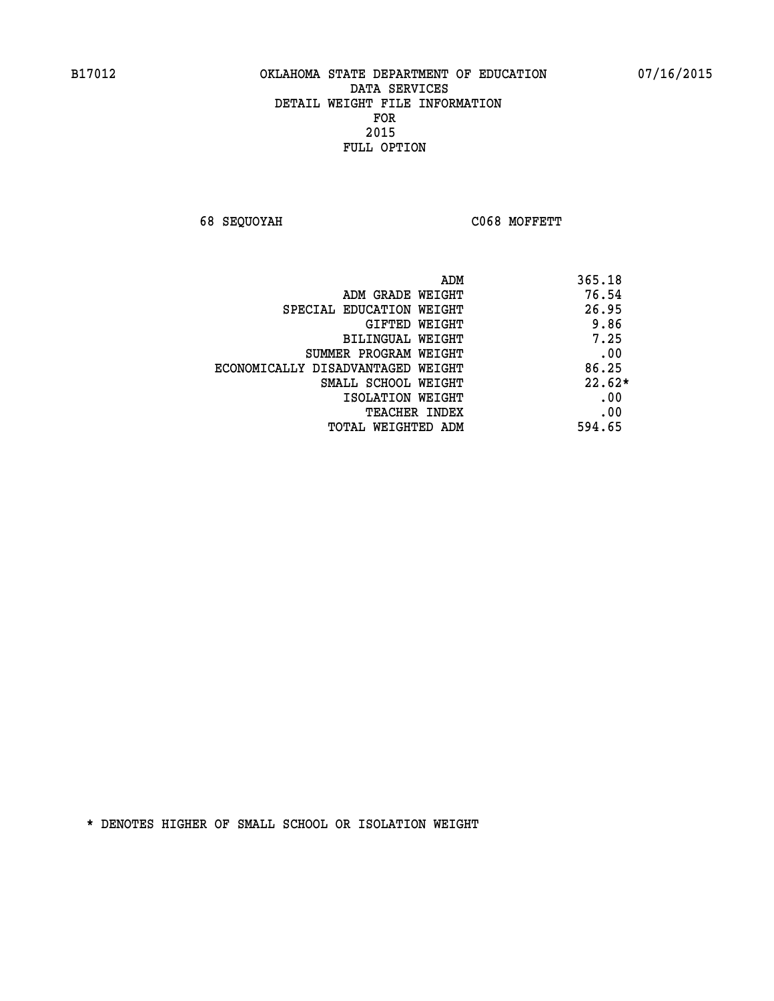**68 SEQUOYAH C068 MOFFETT** 

| ADM                               | 365.18   |
|-----------------------------------|----------|
| ADM GRADE WEIGHT                  | 76.54    |
| SPECIAL EDUCATION WEIGHT          | 26.95    |
| GIFTED WEIGHT                     | 9.86     |
| BILINGUAL WEIGHT                  | 7.25     |
| SUMMER PROGRAM WEIGHT             | .00      |
| ECONOMICALLY DISADVANTAGED WEIGHT | 86.25    |
| SMALL SCHOOL WEIGHT               | $22.62*$ |
| ISOLATION WEIGHT                  | .00      |
| <b>TEACHER INDEX</b>              | .00      |
| TOTAL WEIGHTED ADM                | 594.65   |
|                                   |          |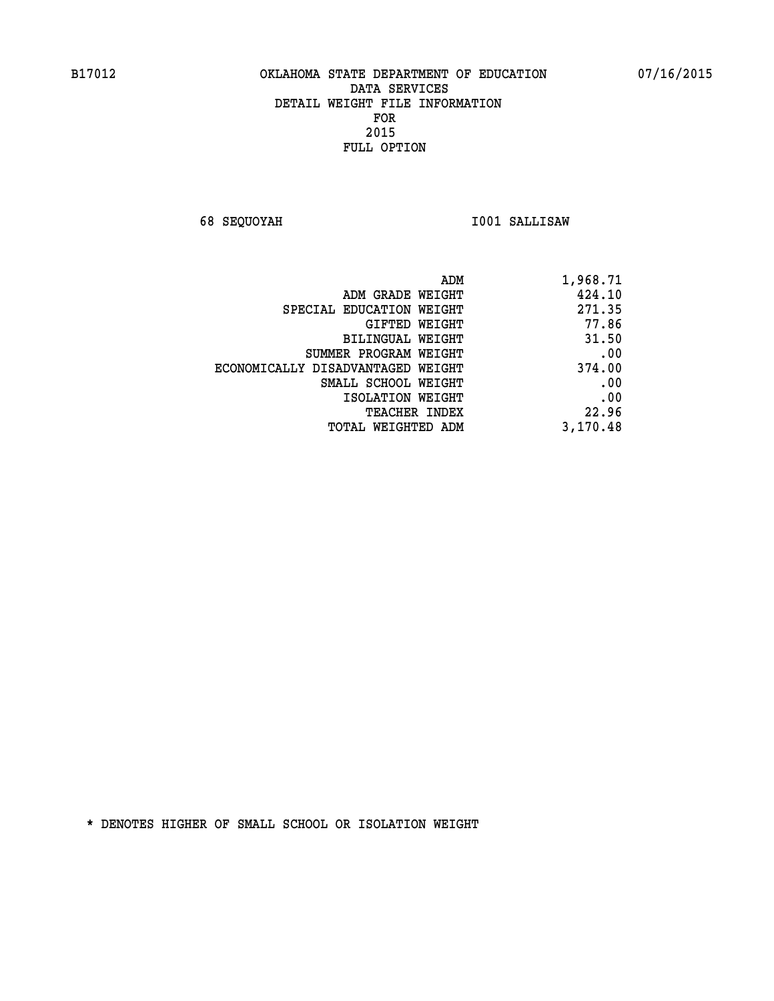**68 SEQUOYAH I001 SALLISAW** 

| ADM                               | 1,968.71 |
|-----------------------------------|----------|
| ADM GRADE WEIGHT                  | 424.10   |
| SPECIAL EDUCATION WEIGHT          | 271.35   |
| GIFTED WEIGHT                     | 77.86    |
| BILINGUAL WEIGHT                  | 31.50    |
| SUMMER PROGRAM WEIGHT             | .00      |
| ECONOMICALLY DISADVANTAGED WEIGHT | 374.00   |
| SMALL SCHOOL WEIGHT               | .00      |
| ISOLATION WEIGHT                  | .00      |
| <b>TEACHER INDEX</b>              | 22.96    |
| TOTAL WEIGHTED ADM                | 3,170.48 |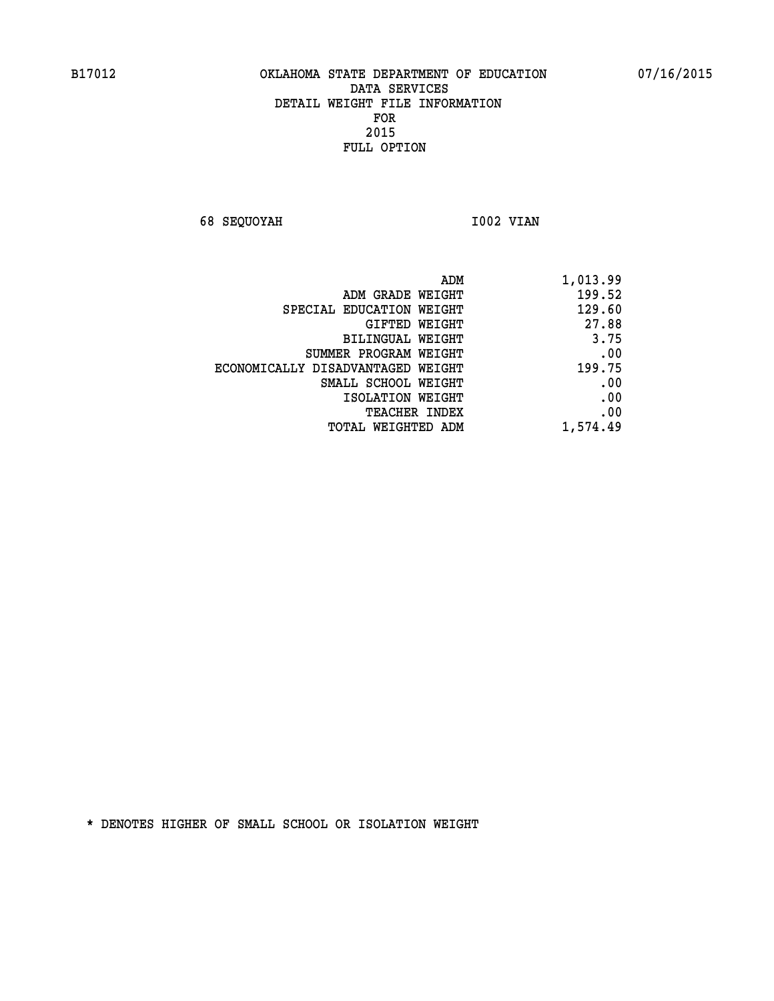**68 SEQUOYAH 1002 VIAN** 

| ADM<br>1,013.99                             |       |
|---------------------------------------------|-------|
| 199.52<br>ADM GRADE WEIGHT                  |       |
| 129.60<br>SPECIAL EDUCATION WEIGHT          |       |
| GIFTED WEIGHT                               | 27.88 |
| BILINGUAL WEIGHT                            | 3.75  |
| SUMMER PROGRAM WEIGHT                       | .00   |
| 199.75<br>ECONOMICALLY DISADVANTAGED WEIGHT |       |
| SMALL SCHOOL WEIGHT                         | .00   |
| ISOLATION WEIGHT                            | .00   |
| <b>TEACHER INDEX</b>                        | .00   |
| 1,574.49<br>TOTAL WEIGHTED ADM              |       |
|                                             |       |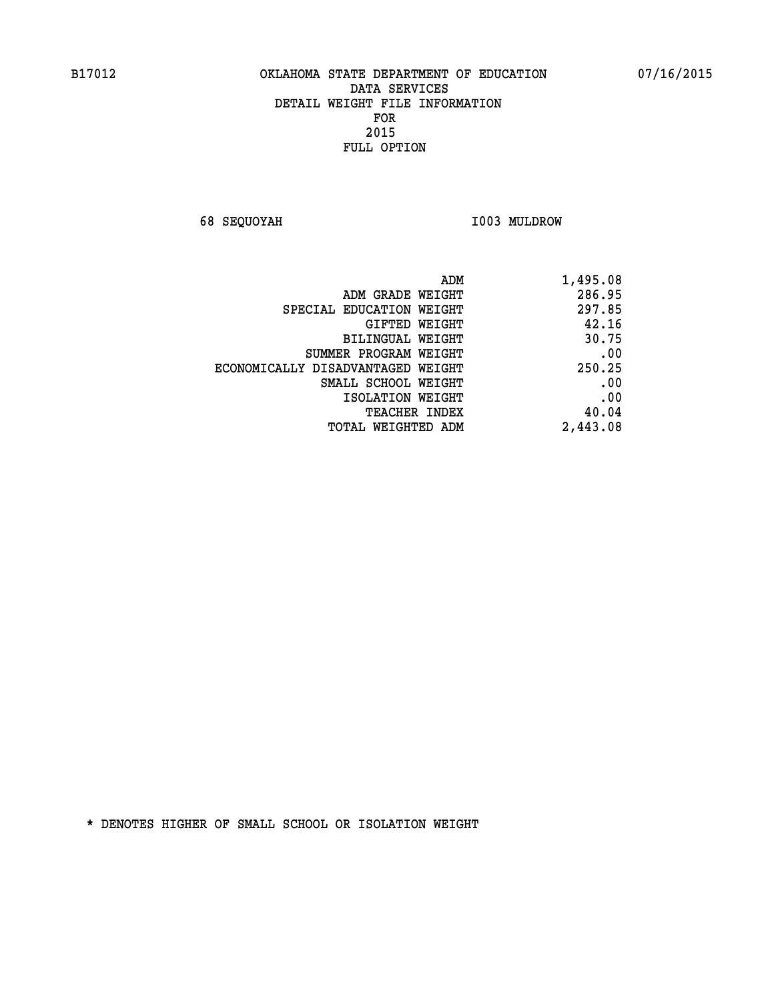**68 SEQUOYAH I003 MULDROW** 

| ADM                               | 1,495.08 |
|-----------------------------------|----------|
| ADM GRADE WEIGHT                  | 286.95   |
| SPECIAL EDUCATION WEIGHT          | 297.85   |
| GIFTED WEIGHT                     | 42.16    |
| BILINGUAL WEIGHT                  | 30.75    |
| SUMMER PROGRAM WEIGHT             | .00      |
| ECONOMICALLY DISADVANTAGED WEIGHT | 250.25   |
| SMALL SCHOOL WEIGHT               | .00      |
| ISOLATION WEIGHT                  | .00      |
| <b>TEACHER INDEX</b>              | 40.04    |
| <b>TOTAL WEIGHTED ADM</b>         | 2,443.08 |
|                                   |          |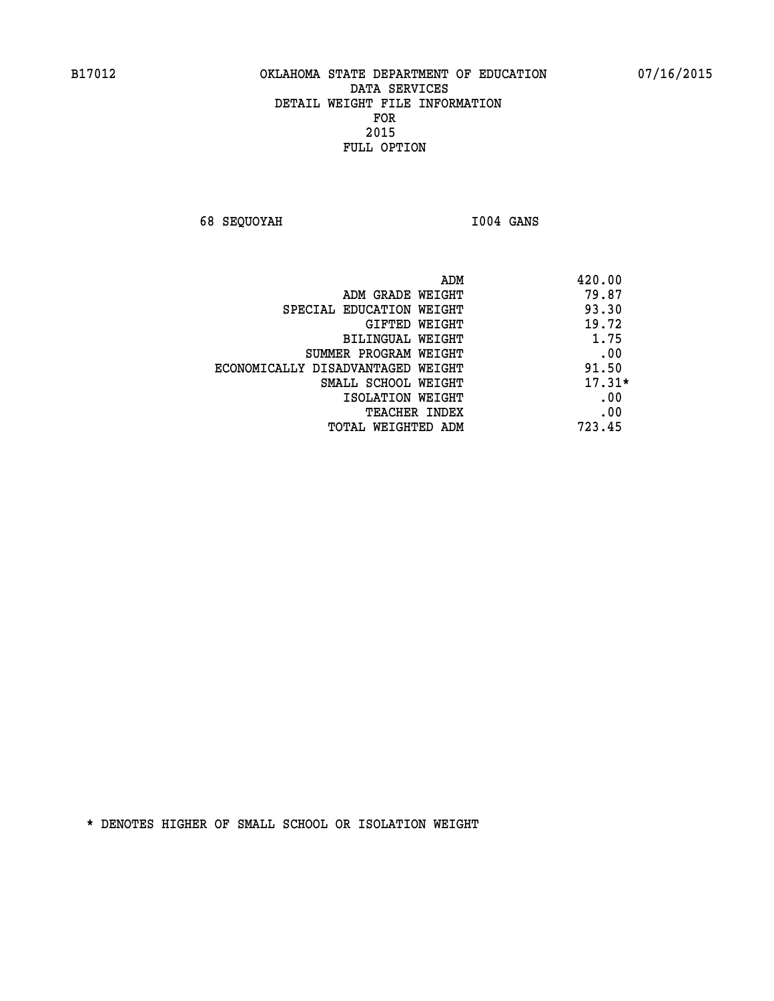**68 SEQUOYAH I004 GANS** 

| ADM                               | 420.00   |
|-----------------------------------|----------|
| ADM GRADE WEIGHT                  | 79.87    |
| SPECIAL EDUCATION WEIGHT          | 93.30    |
| <b>GIFTED WEIGHT</b>              | 19.72    |
| BILINGUAL WEIGHT                  | 1.75     |
| SUMMER PROGRAM WEIGHT             | .00      |
| ECONOMICALLY DISADVANTAGED WEIGHT | 91.50    |
| SMALL SCHOOL WEIGHT               | $17.31*$ |
| ISOLATION WEIGHT                  | .00      |
| <b>TEACHER INDEX</b>              | .00      |
| TOTAL WEIGHTED ADM                | 723.45   |
|                                   |          |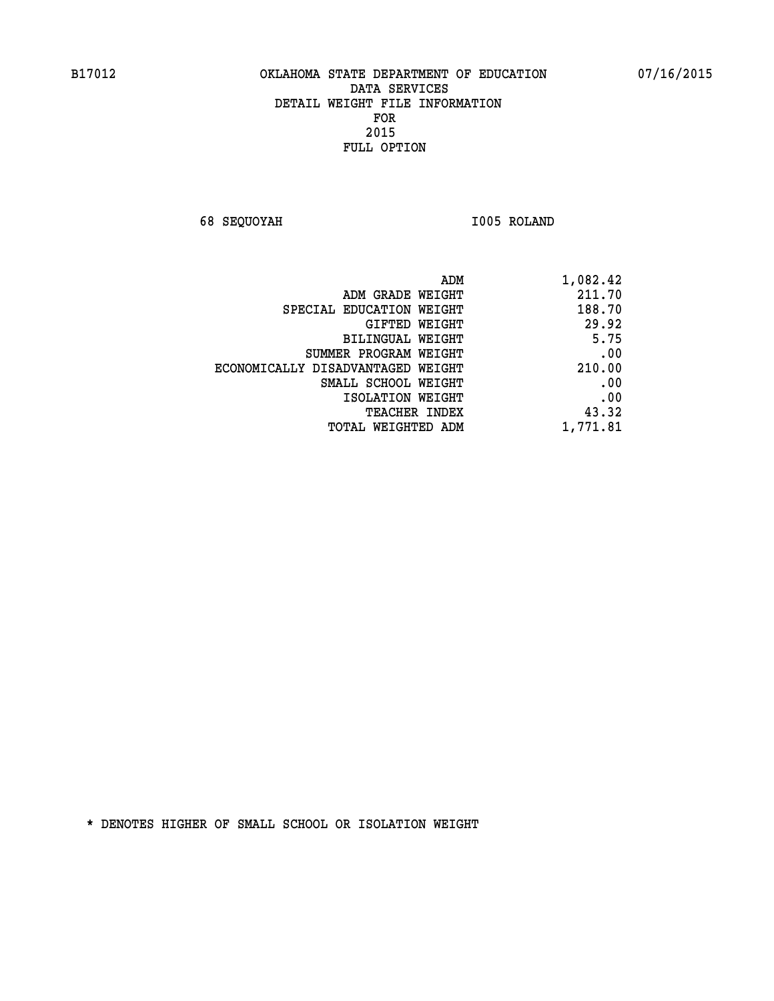**68 SEQUOYAH I005 ROLAND** 

| 1,082.42 |
|----------|
| 211.70   |
| 188.70   |
| 29.92    |
| 5.75     |
| .00      |
| 210.00   |
| .00      |
| .00      |
| 43.32    |
| 1,771.81 |
|          |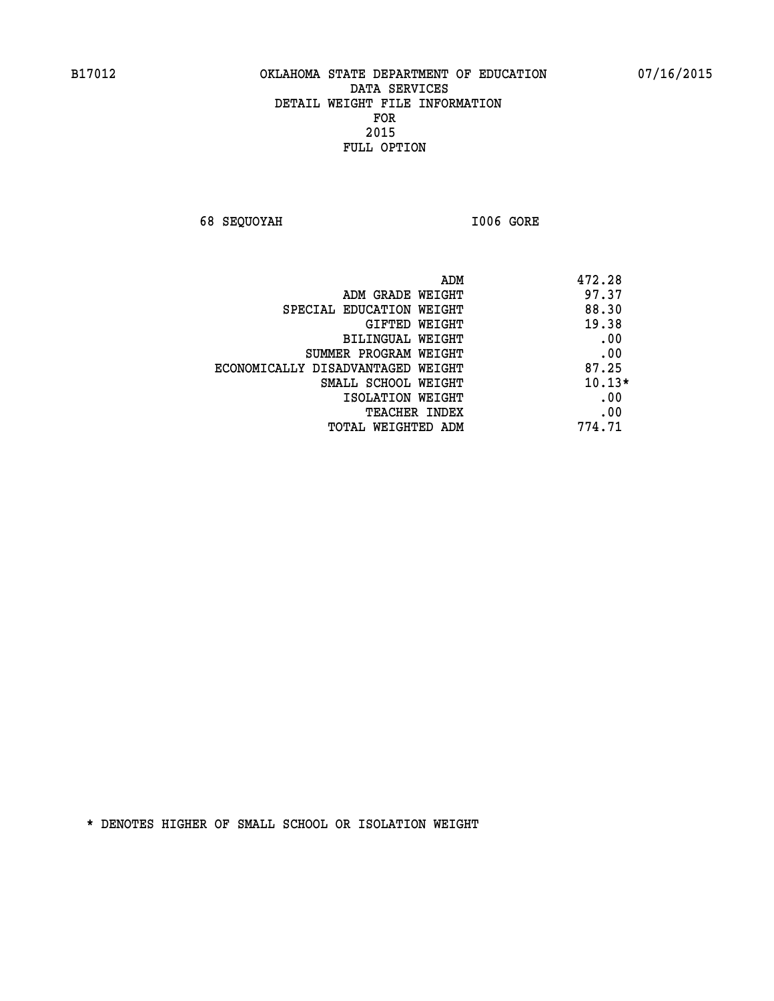**68 SEQUOYAH I006 GORE** 

| ADM                               | 472.28   |
|-----------------------------------|----------|
| ADM GRADE WEIGHT                  | 97.37    |
| SPECIAL EDUCATION WEIGHT          | 88.30    |
| GIFTED WEIGHT                     | 19.38    |
| BILINGUAL WEIGHT                  | .00      |
| SUMMER PROGRAM WEIGHT             | .00      |
| ECONOMICALLY DISADVANTAGED WEIGHT | 87.25    |
| SMALL SCHOOL WEIGHT               | $10.13*$ |
| ISOLATION WEIGHT                  | .00      |
| <b>TEACHER INDEX</b>              | .00      |
| TOTAL WEIGHTED ADM                | 774.71   |
|                                   |          |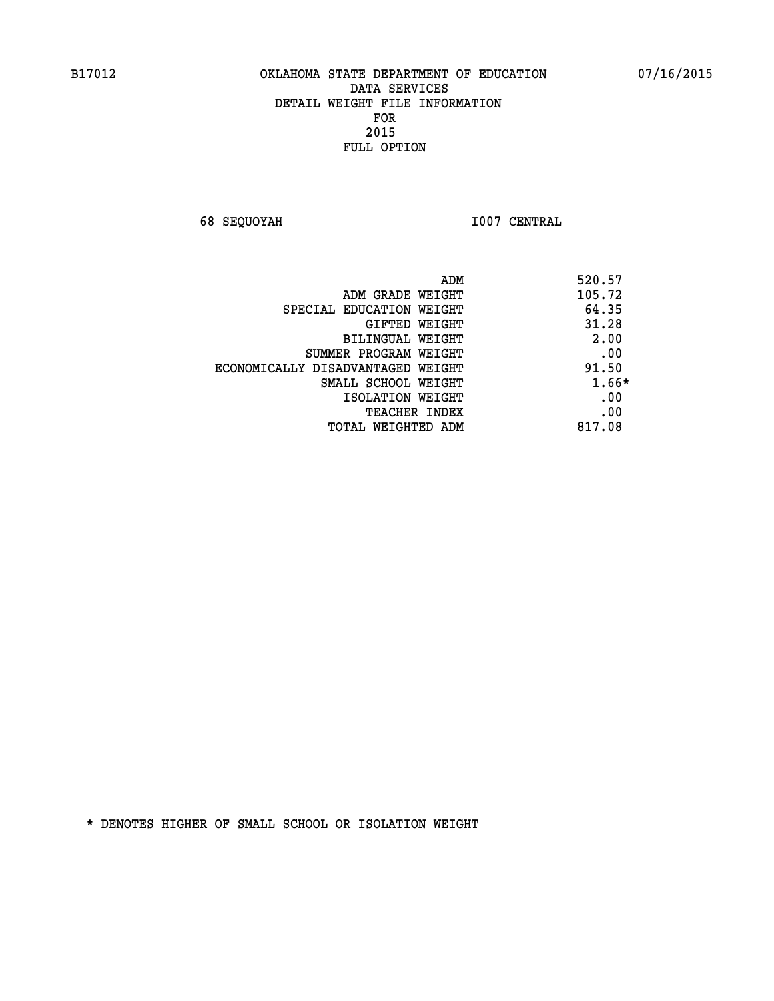**68 SEQUOYAH I007 CENTRAL** 

| ADM                               | 520.57 |
|-----------------------------------|--------|
| ADM GRADE WEIGHT                  | 105.72 |
| SPECIAL EDUCATION WEIGHT          | 64.35  |
| GIFTED WEIGHT                     | 31.28  |
| BILINGUAL WEIGHT                  | 2.00   |
| SUMMER PROGRAM WEIGHT             | .00    |
| ECONOMICALLY DISADVANTAGED WEIGHT | 91.50  |
| SMALL SCHOOL WEIGHT               | 1.66*  |
| ISOLATION WEIGHT                  | .00    |
| <b>TEACHER INDEX</b>              | .00    |
| TOTAL WEIGHTED ADM                | 817.08 |
|                                   |        |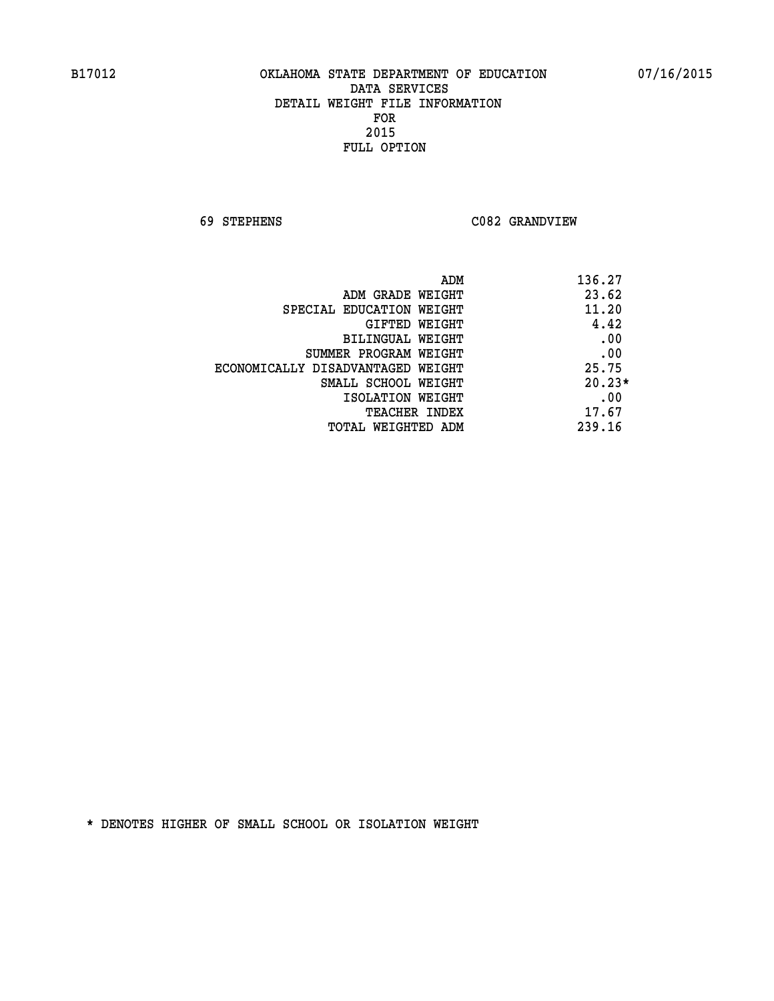**69 STEPHENS C082 GRANDVIEW** 

| ADM                               | 136.27   |
|-----------------------------------|----------|
| ADM GRADE WEIGHT                  | 23.62    |
| SPECIAL EDUCATION WEIGHT          | 11.20    |
| GIFTED WEIGHT                     | 4.42     |
| BILINGUAL WEIGHT                  | .00      |
| SUMMER PROGRAM WEIGHT             | .00      |
| ECONOMICALLY DISADVANTAGED WEIGHT | 25.75    |
| SMALL SCHOOL WEIGHT               | $20.23*$ |
| ISOLATION WEIGHT                  | .00      |
| <b>TEACHER INDEX</b>              | 17.67    |
| TOTAL WEIGHTED ADM                | 239.16   |
|                                   |          |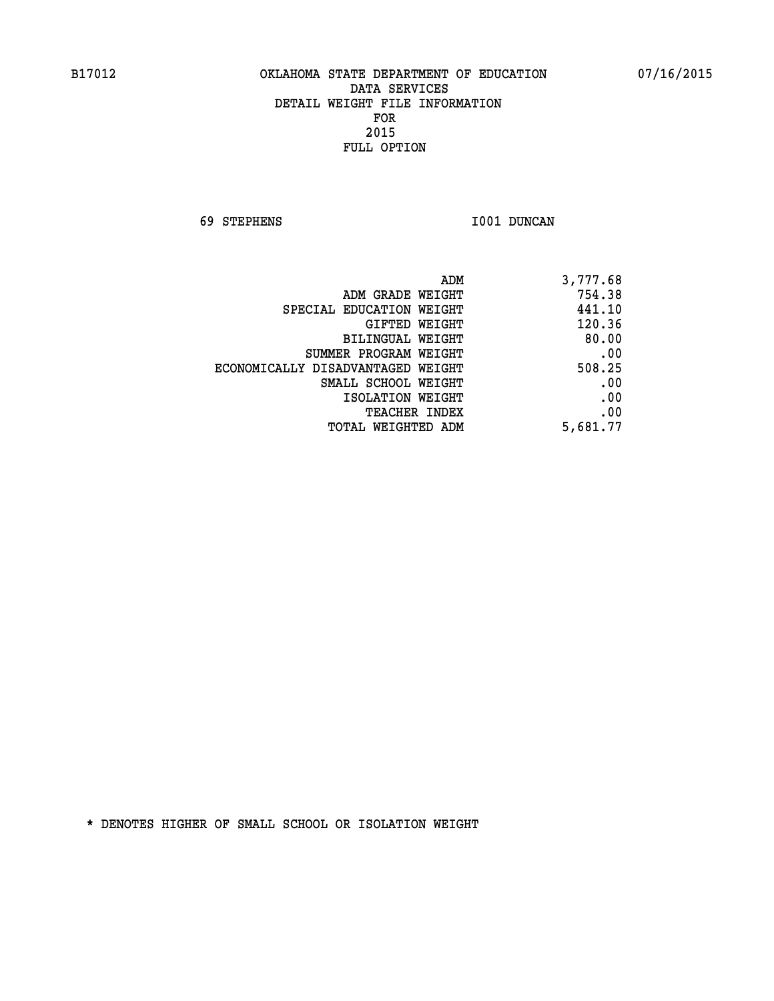**69 STEPHENS I001 DUNCAN** 

| 3,777.68 |
|----------|
| 754.38   |
| 441.10   |
| 120.36   |
| 80.00    |
| .00      |
| 508.25   |
| .00      |
| .00      |
| .00      |
| 5,681.77 |
|          |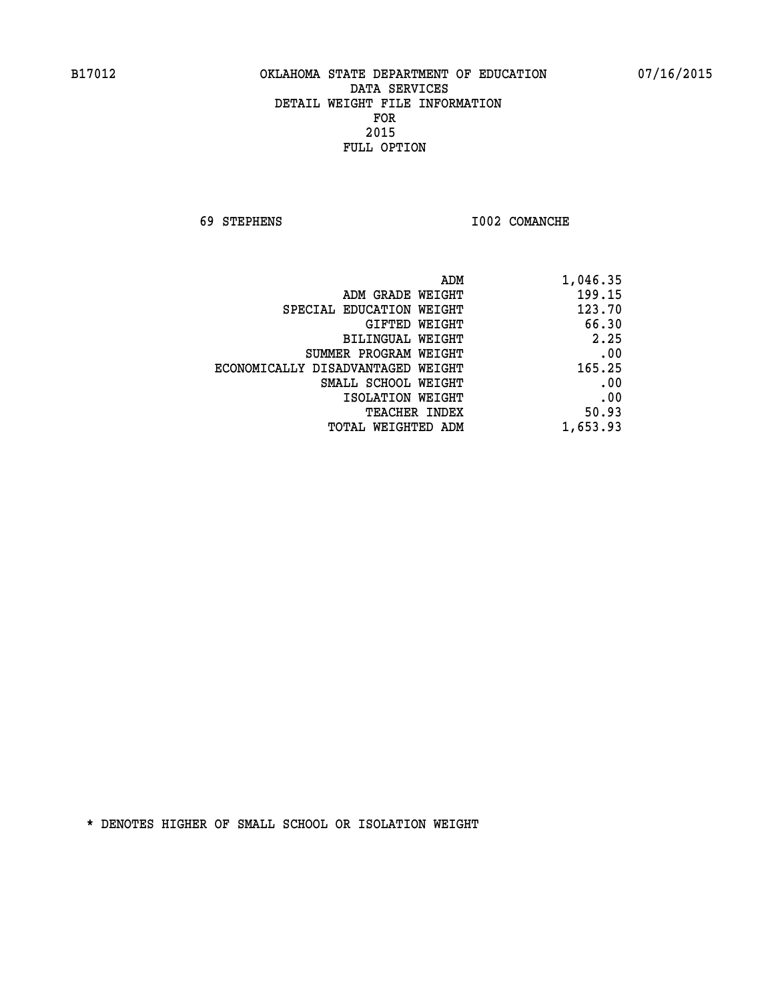**69 STEPHENS I002 COMANCHE** 

| 1,046.35 |
|----------|
| 199.15   |
| 123.70   |
| 66.30    |
| 2.25     |
| .00      |
| 165.25   |
| .00      |
| .00      |
| 50.93    |
| 1,653.93 |
|          |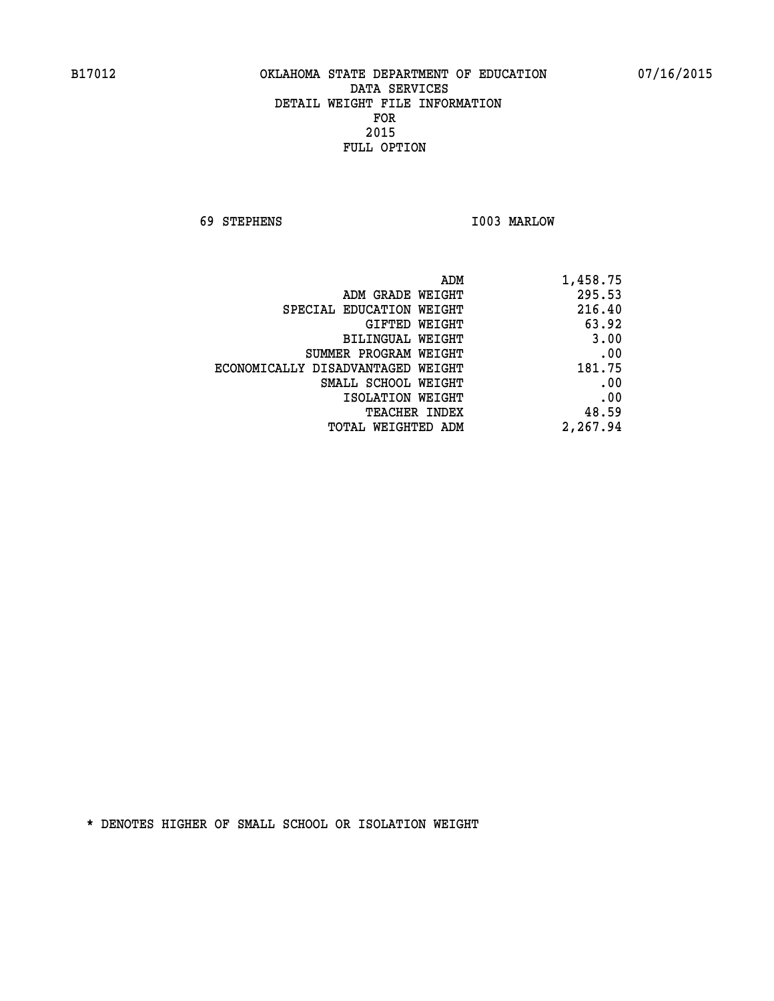**69 STEPHENS I003 MARLOW** 

| 1,458.75 |
|----------|
| 295.53   |
| 216.40   |
| 63.92    |
| 3.00     |
| .00      |
| 181.75   |
| .00      |
| .00      |
| 48.59    |
| 2,267.94 |
|          |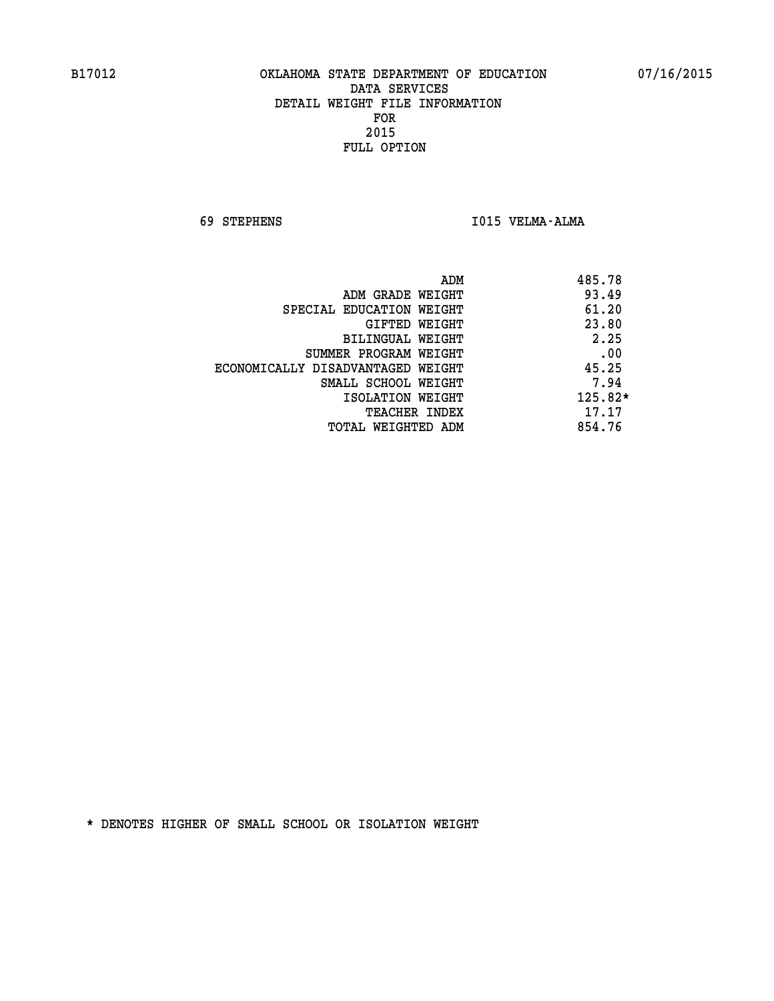**69 STEPHENS I015 VELMA-ALMA** 

| ADM                               | 485.78    |
|-----------------------------------|-----------|
| ADM GRADE WEIGHT                  | 93.49     |
| SPECIAL EDUCATION WEIGHT          | 61.20     |
| GIFTED WEIGHT                     | 23.80     |
| BILINGUAL WEIGHT                  | 2.25      |
| SUMMER PROGRAM WEIGHT             | .00       |
| ECONOMICALLY DISADVANTAGED WEIGHT | 45.25     |
| SMALL SCHOOL WEIGHT               | 7.94      |
| ISOLATION WEIGHT                  | $125.82*$ |
| TEACHER INDEX                     | 17.17     |
| TOTAL WEIGHTED ADM                | 854.76    |
|                                   |           |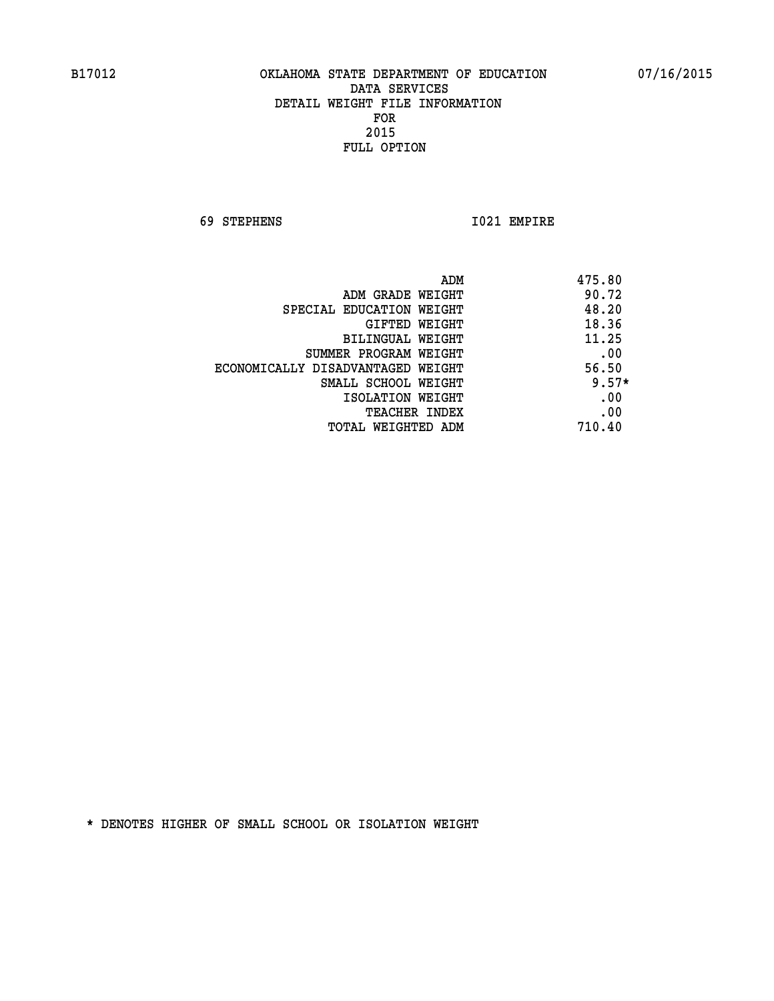**69 STEPHENS I021 EMPIRE** 

|                                   | ADM | 475.80  |
|-----------------------------------|-----|---------|
| ADM GRADE WEIGHT                  |     | 90.72   |
| SPECIAL EDUCATION WEIGHT          |     | 48.20   |
| GIFTED WEIGHT                     |     | 18.36   |
| BILINGUAL WEIGHT                  |     | 11.25   |
| SUMMER PROGRAM WEIGHT             |     | .00     |
| ECONOMICALLY DISADVANTAGED WEIGHT |     | 56.50   |
| SMALL SCHOOL WEIGHT               |     | $9.57*$ |
| ISOLATION WEIGHT                  |     | .00     |
| <b>TEACHER INDEX</b>              |     | .00     |
| TOTAL WEIGHTED ADM                |     | 710.40  |
|                                   |     |         |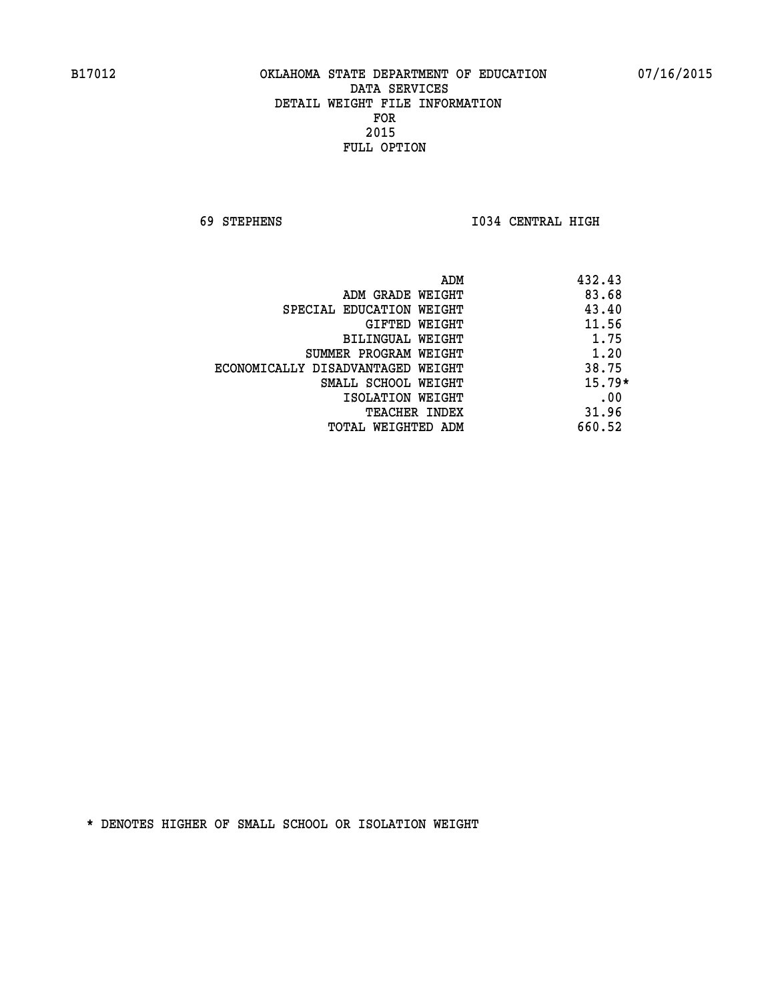**69 STEPHENS I034 CENTRAL HIGH** 

| ADM                               | 432.43   |
|-----------------------------------|----------|
| ADM GRADE WEIGHT                  | 83.68    |
| SPECIAL EDUCATION WEIGHT          | 43.40    |
| GIFTED WEIGHT                     | 11.56    |
| BILINGUAL WEIGHT                  | 1.75     |
| SUMMER PROGRAM WEIGHT             | 1.20     |
| ECONOMICALLY DISADVANTAGED WEIGHT | 38.75    |
| SMALL SCHOOL WEIGHT               | $15.79*$ |
| ISOLATION WEIGHT                  | .00      |
| <b>TEACHER INDEX</b>              | 31.96    |
| TOTAL WEIGHTED ADM                | 660.52   |
|                                   |          |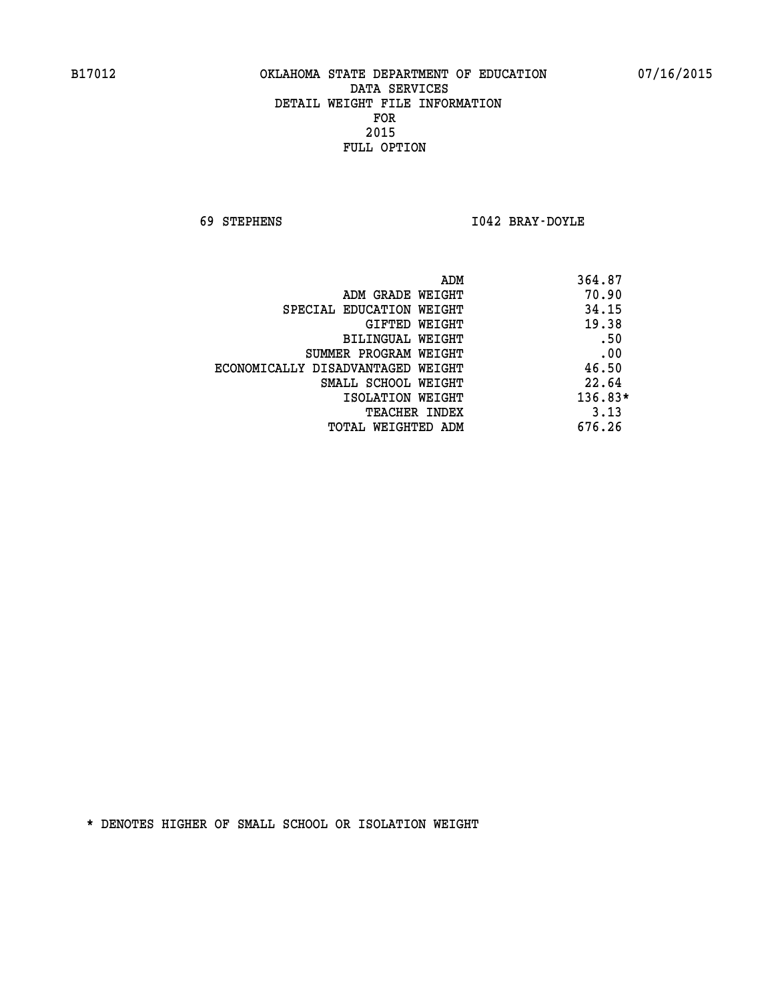**69 STEPHENS I042 BRAY-DOYLE** 

| 364.87<br>ADM                              |  |
|--------------------------------------------|--|
| 70.90<br>ADM GRADE WEIGHT                  |  |
| 34.15<br>SPECIAL EDUCATION WEIGHT          |  |
| 19.38<br>GIFTED WEIGHT                     |  |
| .50<br>BILINGUAL WEIGHT                    |  |
| .00<br>SUMMER PROGRAM WEIGHT               |  |
| 46.50<br>ECONOMICALLY DISADVANTAGED WEIGHT |  |
| 22.64<br>SMALL SCHOOL WEIGHT               |  |
| $136.83*$<br>ISOLATION WEIGHT              |  |
| 3.13<br><b>TEACHER INDEX</b>               |  |
| 676.26<br>TOTAL WEIGHTED ADM               |  |
|                                            |  |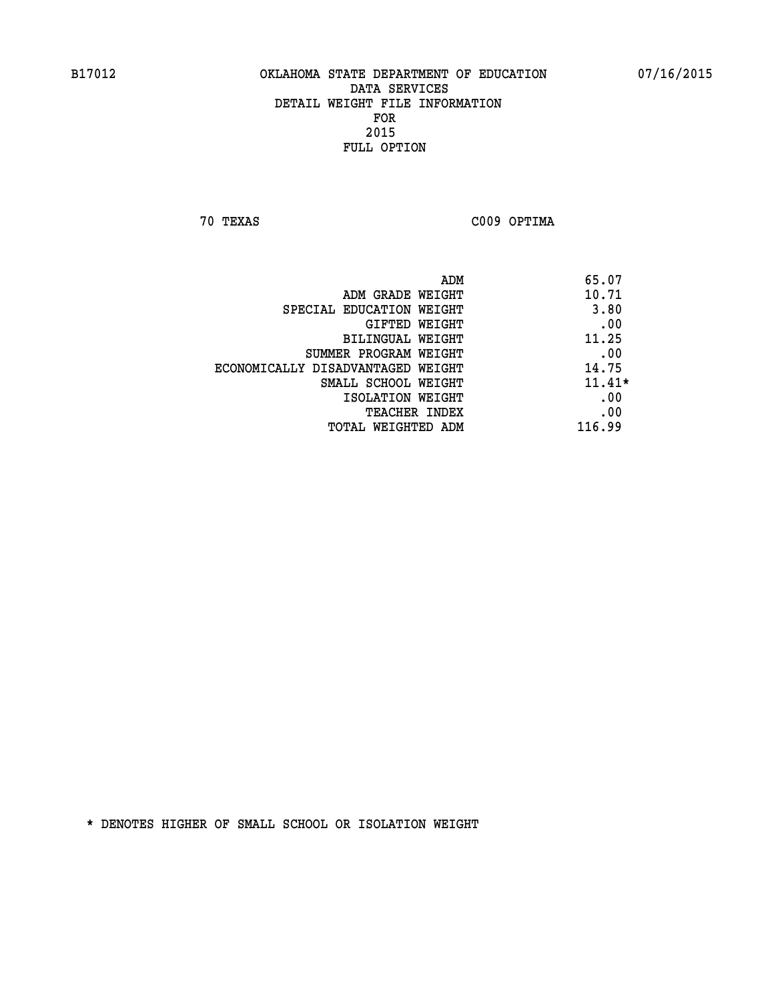**70 TEXAS C009 OPTIMA** 

| ADM                               | 65.07    |
|-----------------------------------|----------|
| ADM GRADE WEIGHT                  | 10.71    |
| SPECIAL EDUCATION WEIGHT          | 3.80     |
| GIFTED WEIGHT                     | .00      |
| BILINGUAL WEIGHT                  | 11.25    |
| SUMMER PROGRAM WEIGHT             | .00      |
| ECONOMICALLY DISADVANTAGED WEIGHT | 14.75    |
| SMALL SCHOOL WEIGHT               | $11.41*$ |
| ISOLATION WEIGHT                  | .00      |
| <b>TEACHER INDEX</b>              | .00      |
| TOTAL WEIGHTED ADM                | 116.99   |
|                                   |          |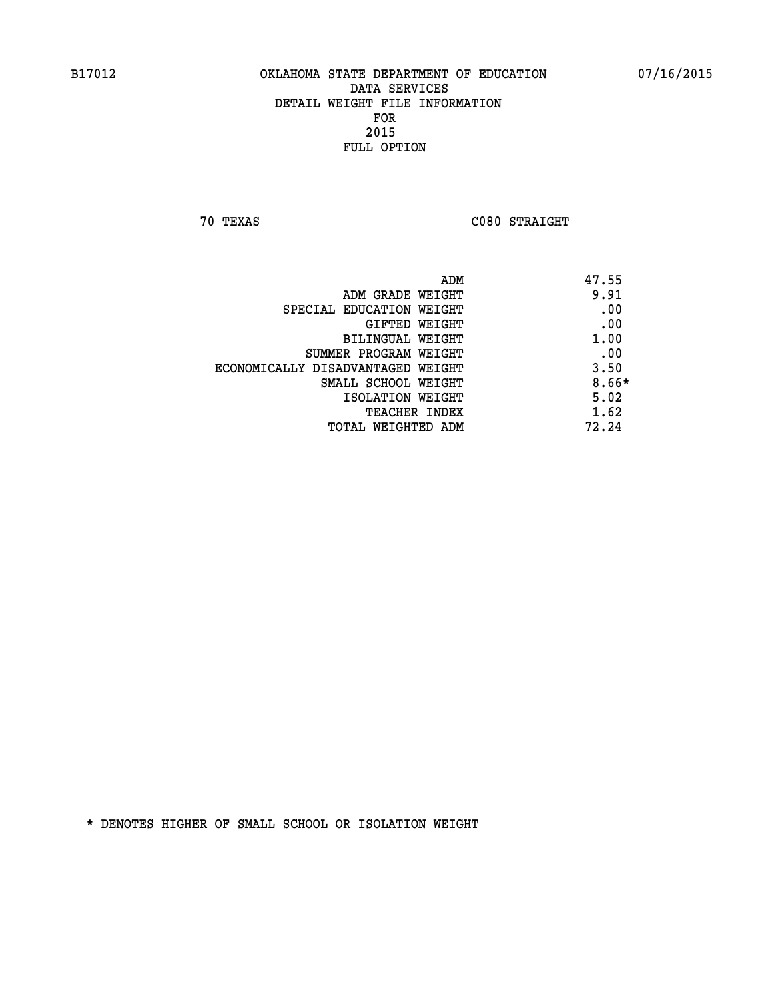**70 TEXAS C080 STRAIGHT** 

| ADM                               | 47.55   |
|-----------------------------------|---------|
| ADM GRADE WEIGHT                  | 9.91    |
| SPECIAL EDUCATION WEIGHT          | .00     |
| GIFTED WEIGHT                     | .00     |
| BILINGUAL WEIGHT                  | 1.00    |
| SUMMER PROGRAM WEIGHT             | .00     |
| ECONOMICALLY DISADVANTAGED WEIGHT | 3.50    |
| SMALL SCHOOL WEIGHT               | $8.66*$ |
| ISOLATION WEIGHT                  | 5.02    |
| <b>TEACHER INDEX</b>              | 1.62    |
| TOTAL WEIGHTED ADM                | 72.24   |
|                                   |         |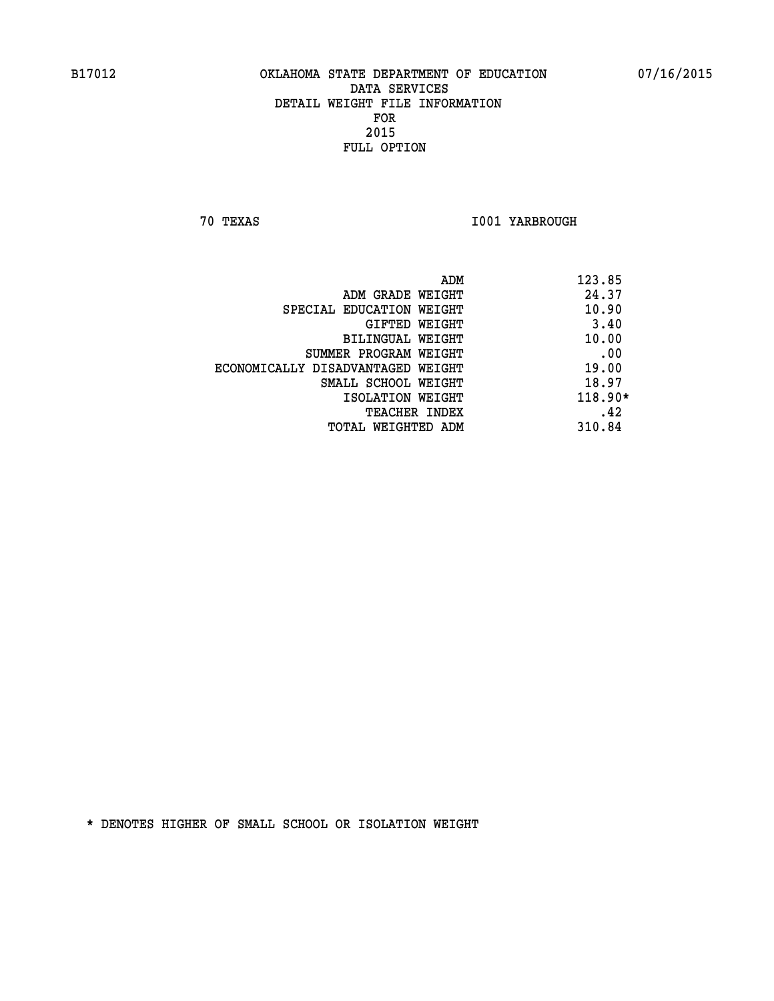**70 TEXAS I001 YARBROUGH** 

|                                   | ADM | 123.85    |
|-----------------------------------|-----|-----------|
| ADM GRADE WEIGHT                  |     | 24.37     |
| SPECIAL EDUCATION WEIGHT          |     | 10.90     |
| GIFTED WEIGHT                     |     | 3.40      |
| BILINGUAL WEIGHT                  |     | 10.00     |
| SUMMER PROGRAM WEIGHT             |     | .00       |
| ECONOMICALLY DISADVANTAGED WEIGHT |     | 19.00     |
| SMALL SCHOOL WEIGHT               |     | 18.97     |
| ISOLATION WEIGHT                  |     | $118.90*$ |
| TEACHER INDEX                     |     | .42       |
| TOTAL WEIGHTED ADM                |     | 310.84    |
|                                   |     |           |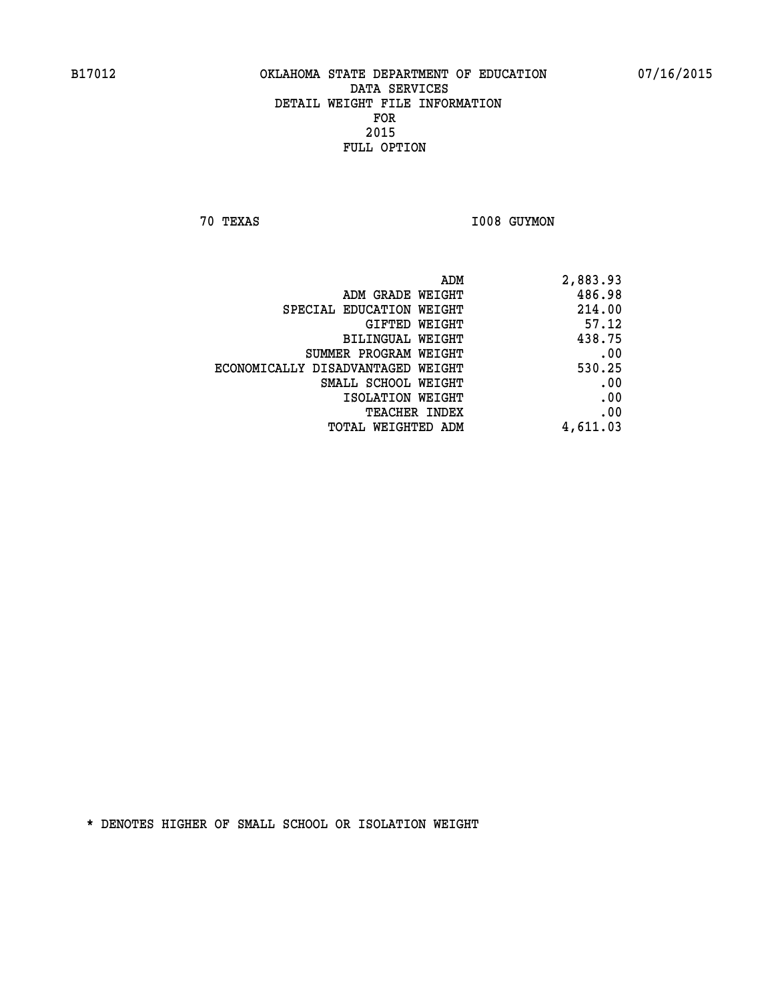**70 TEXAS I008 GUYMON** 

| ADM                               | 2,883.93 |
|-----------------------------------|----------|
| ADM GRADE WEIGHT                  | 486.98   |
| SPECIAL EDUCATION WEIGHT          | 214.00   |
| GIFTED WEIGHT                     | 57.12    |
| BILINGUAL WEIGHT                  | 438.75   |
| SUMMER PROGRAM WEIGHT             | .00      |
| ECONOMICALLY DISADVANTAGED WEIGHT | 530.25   |
| SMALL SCHOOL WEIGHT               | .00      |
| ISOLATION WEIGHT                  | .00      |
| <b>TEACHER INDEX</b>              | .00      |
| <b>TOTAL WEIGHTED ADM</b>         | 4,611.03 |
|                                   |          |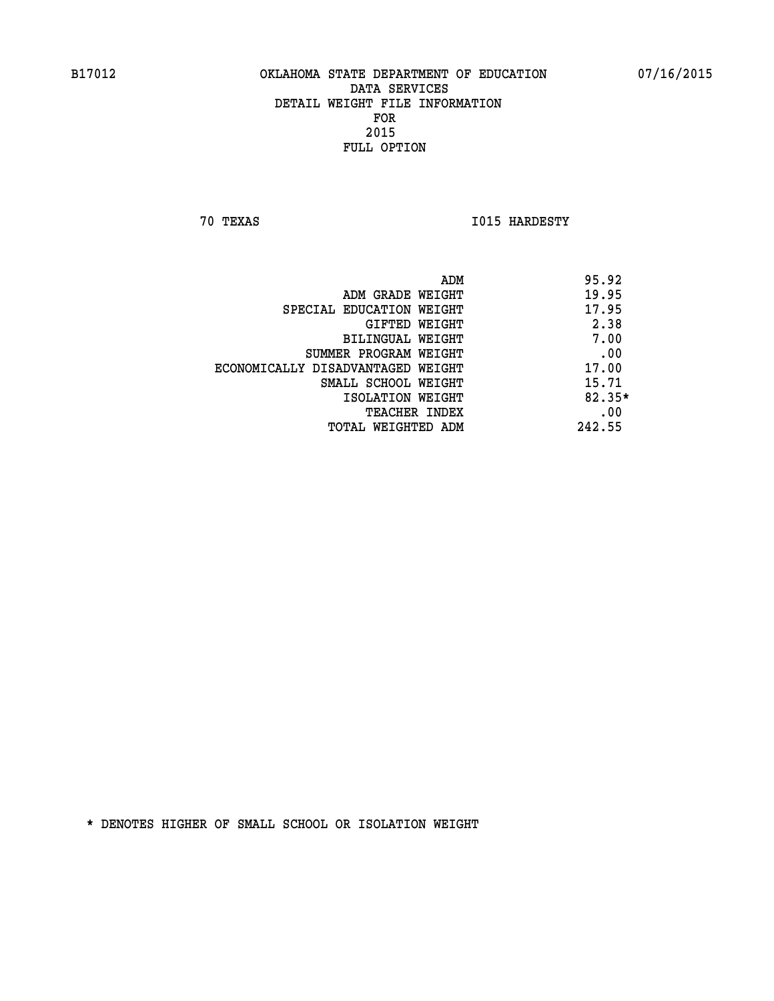**70 TEXAS I015 HARDESTY** 

|                                   | ADM | 95.92    |
|-----------------------------------|-----|----------|
| ADM GRADE WEIGHT                  |     | 19.95    |
| SPECIAL EDUCATION WEIGHT          |     | 17.95    |
| GIFTED WEIGHT                     |     | 2.38     |
| BILINGUAL WEIGHT                  |     | 7.00     |
| SUMMER PROGRAM WEIGHT             |     | .00      |
| ECONOMICALLY DISADVANTAGED WEIGHT |     | 17.00    |
| SMALL SCHOOL WEIGHT               |     | 15.71    |
| ISOLATION WEIGHT                  |     | $82.35*$ |
| TEACHER INDEX                     |     | .00      |
| TOTAL WEIGHTED ADM                |     | 242.55   |
|                                   |     |          |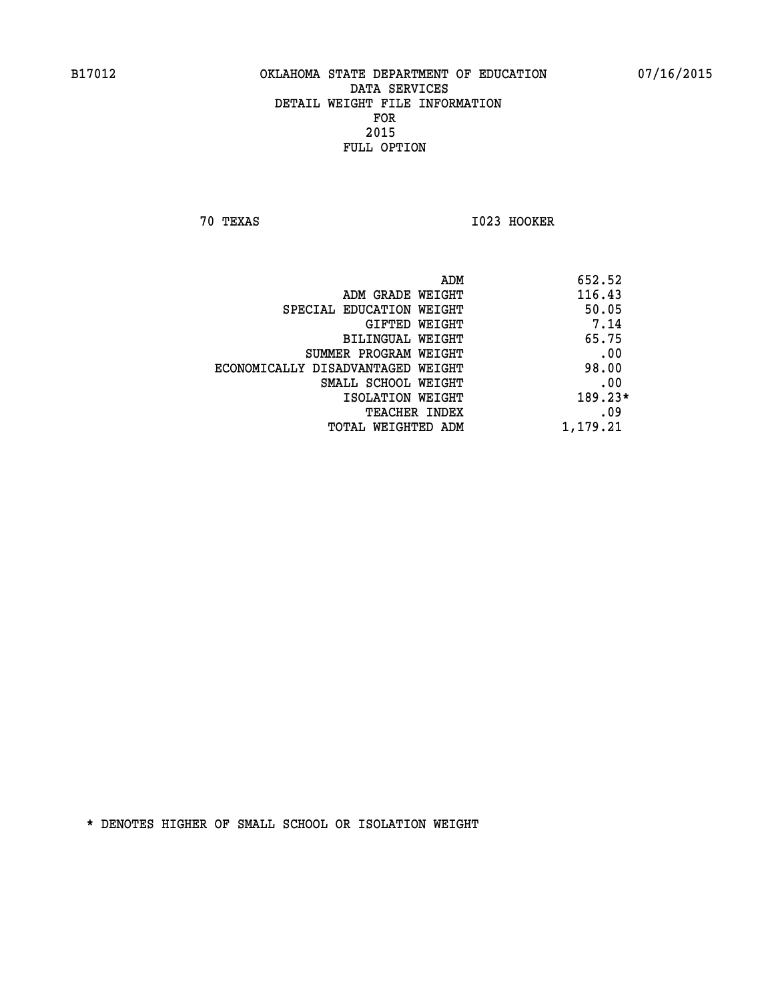**70 TEXAS I023 HOOKER** 

|                                   | 652.52<br>ADM |
|-----------------------------------|---------------|
| ADM GRADE WEIGHT                  | 116.43        |
| SPECIAL EDUCATION WEIGHT          | 50.05         |
| GIFTED WEIGHT                     | 7.14          |
| BILINGUAL WEIGHT                  | 65.75         |
| SUMMER PROGRAM WEIGHT             | .00           |
| ECONOMICALLY DISADVANTAGED WEIGHT | 98.00         |
| SMALL SCHOOL WEIGHT               | .00           |
| ISOLATION WEIGHT                  | $189.23*$     |
| TEACHER INDEX                     | .09           |
| TOTAL WEIGHTED ADM                | 1,179.21      |
|                                   |               |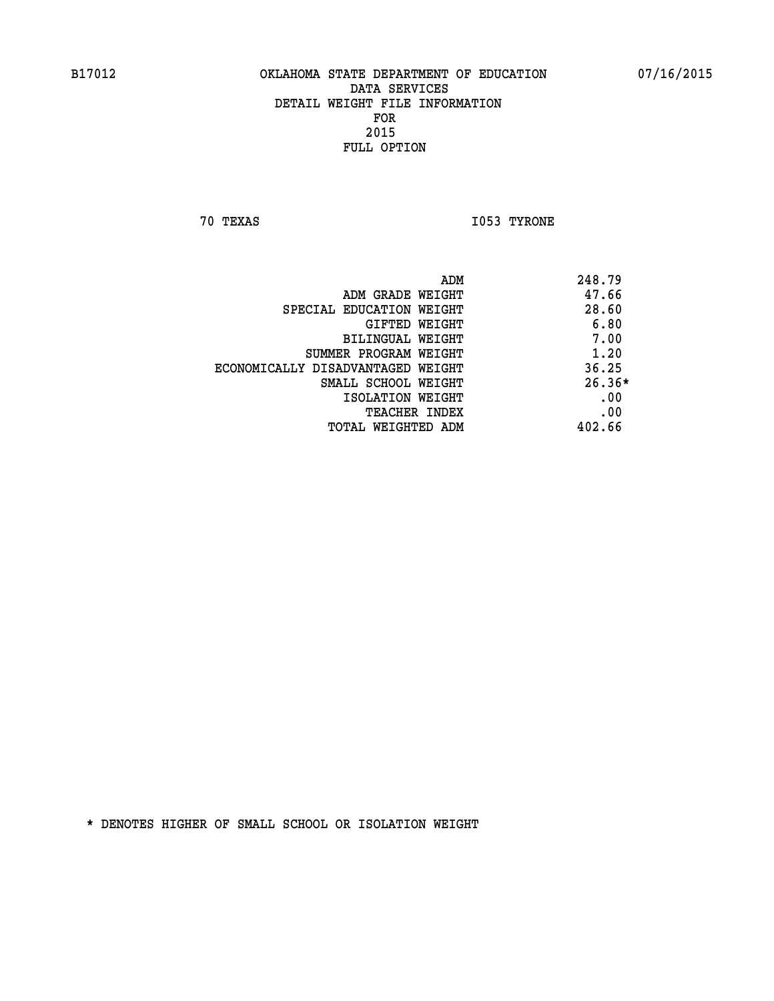**70 TEXAS I053 TYRONE** 

|                                   | ADM | 248.79   |
|-----------------------------------|-----|----------|
| ADM GRADE WEIGHT                  |     | 47.66    |
| SPECIAL EDUCATION WEIGHT          |     | 28.60    |
| GIFTED WEIGHT                     |     | 6.80     |
| BILINGUAL WEIGHT                  |     | 7.00     |
| SUMMER PROGRAM WEIGHT             |     | 1.20     |
| ECONOMICALLY DISADVANTAGED WEIGHT |     | 36.25    |
| SMALL SCHOOL WEIGHT               |     | $26.36*$ |
| ISOLATION WEIGHT                  |     | .00      |
| <b>TEACHER INDEX</b>              |     | .00      |
| TOTAL WEIGHTED ADM                |     | 402.66   |
|                                   |     |          |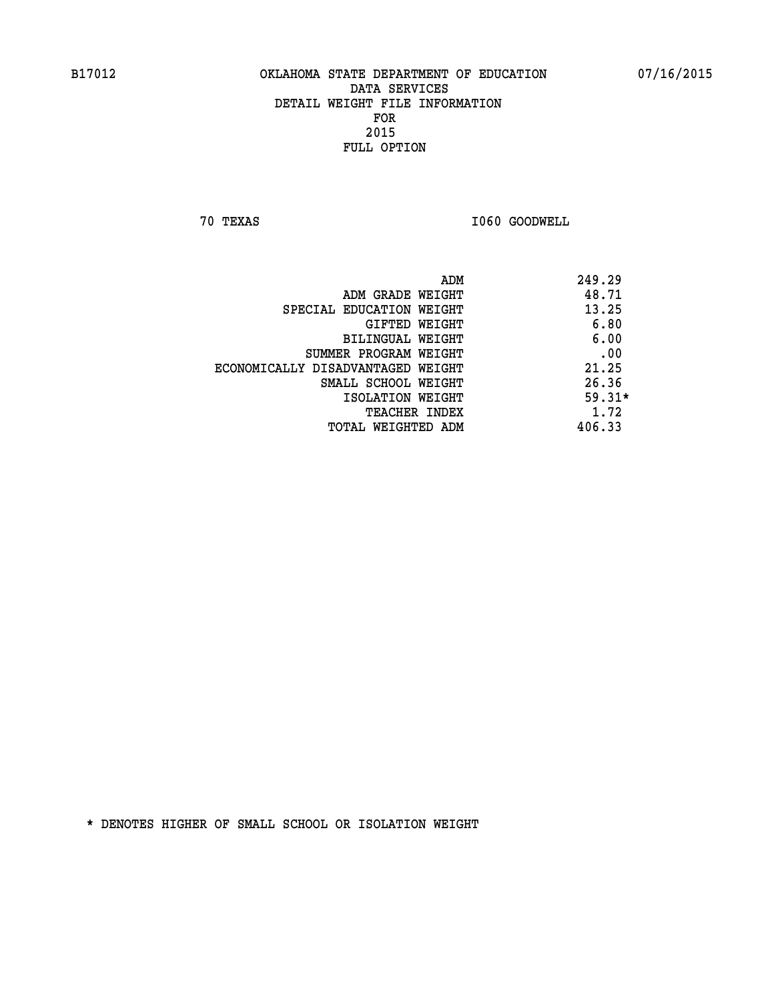**70 TEXAS I060 GOODWELL** 

|                                   | ADM | 249.29   |
|-----------------------------------|-----|----------|
| ADM GRADE WEIGHT                  |     | 48.71    |
| SPECIAL EDUCATION WEIGHT          |     | 13.25    |
| GIFTED WEIGHT                     |     | 6.80     |
| BILINGUAL WEIGHT                  |     | 6.00     |
| SUMMER PROGRAM WEIGHT             |     | .00      |
| ECONOMICALLY DISADVANTAGED WEIGHT |     | 21.25    |
| SMALL SCHOOL WEIGHT               |     | 26.36    |
| ISOLATION WEIGHT                  |     | $59.31*$ |
| <b>TEACHER INDEX</b>              |     | 1.72     |
| TOTAL WEIGHTED ADM                |     | 406.33   |
|                                   |     |          |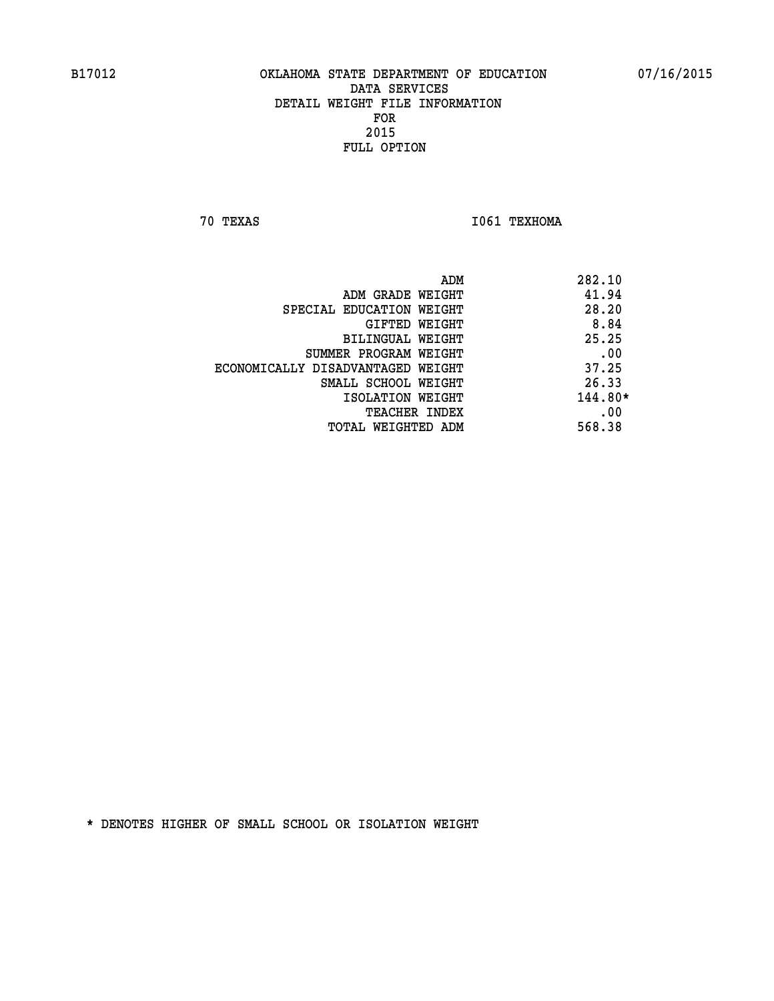**70 TEXAS I061 TEXHOMA** 

| ADM                               | 282.10    |
|-----------------------------------|-----------|
| ADM GRADE WEIGHT                  | 41.94     |
| SPECIAL EDUCATION WEIGHT          | 28.20     |
| GIFTED WEIGHT                     | 8.84      |
| BILINGUAL WEIGHT                  | 25.25     |
| SUMMER PROGRAM WEIGHT             | .00       |
| ECONOMICALLY DISADVANTAGED WEIGHT | 37.25     |
| SMALL SCHOOL WEIGHT               | 26.33     |
| ISOLATION WEIGHT                  | $144.80*$ |
| <b>TEACHER INDEX</b>              | .00       |
| TOTAL WEIGHTED ADM                | 568.38    |
|                                   |           |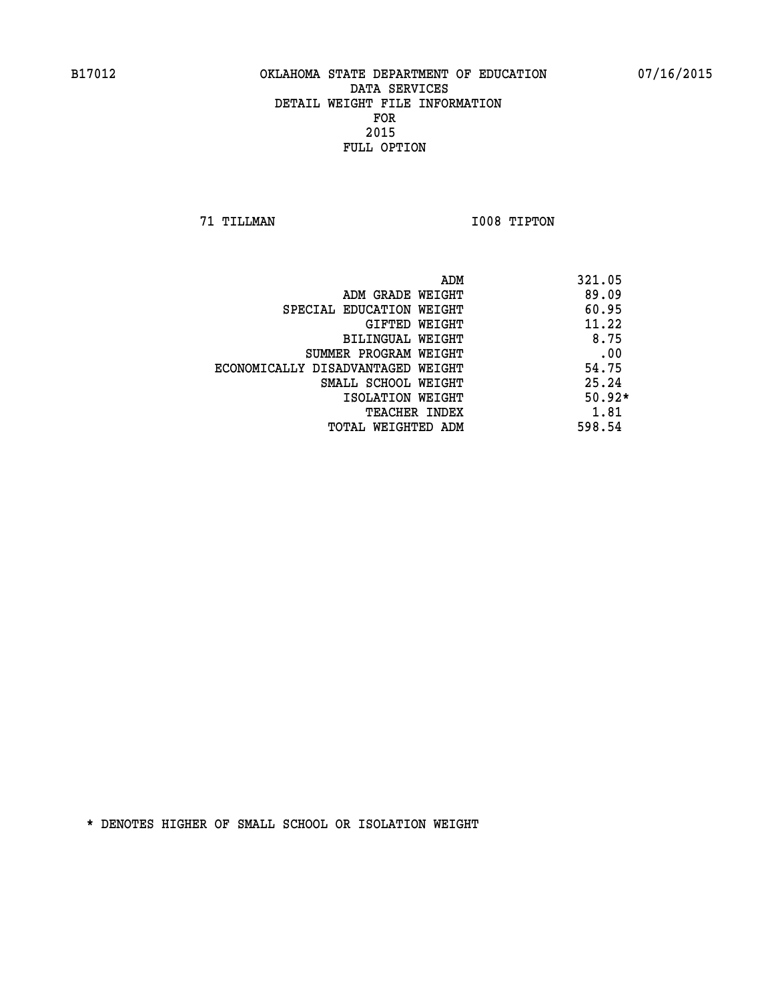**71 TILLMAN I008 TIPTON** 

| ADM                               | 321.05   |
|-----------------------------------|----------|
| ADM GRADE WEIGHT                  | 89.09    |
| SPECIAL EDUCATION WEIGHT          | 60.95    |
| GIFTED WEIGHT                     | 11.22    |
| BILINGUAL WEIGHT                  | 8.75     |
| SUMMER PROGRAM WEIGHT             | .00      |
| ECONOMICALLY DISADVANTAGED WEIGHT | 54.75    |
| SMALL SCHOOL WEIGHT               | 25.24    |
| ISOLATION WEIGHT                  | $50.92*$ |
| <b>TEACHER INDEX</b>              | 1.81     |
| TOTAL WEIGHTED ADM                | 598.54   |
|                                   |          |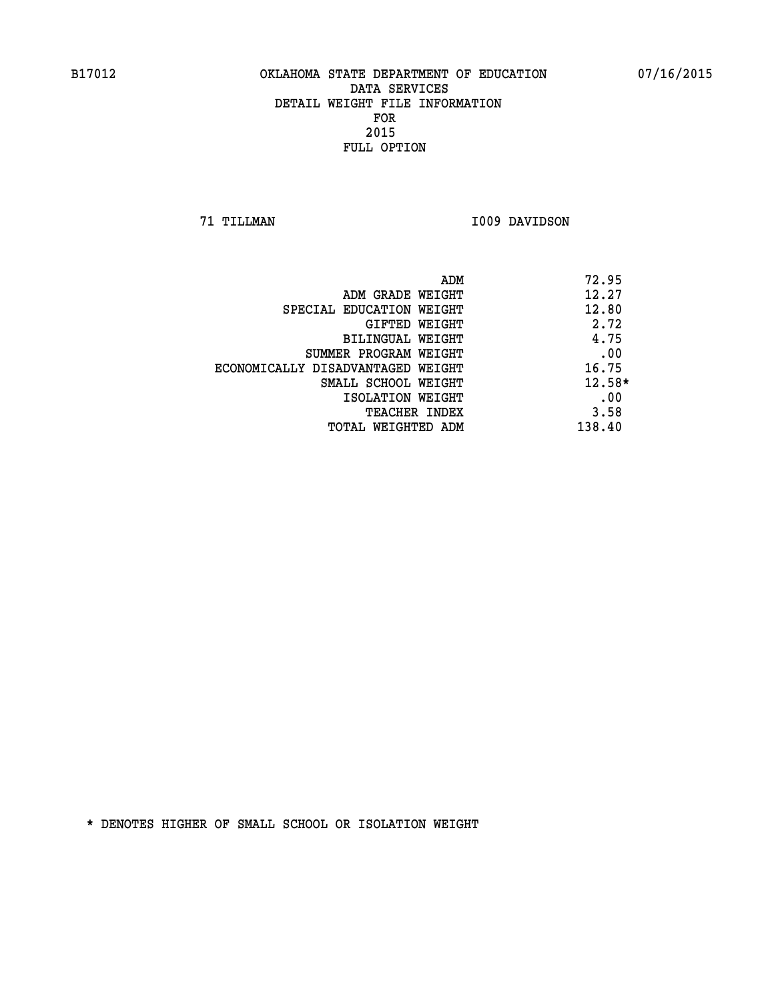**71 TILLMAN I009 DAVIDSON** 

|                                   | ADM | 72.95    |
|-----------------------------------|-----|----------|
| ADM GRADE WEIGHT                  |     | 12.27    |
| SPECIAL EDUCATION WEIGHT          |     | 12.80    |
| GIFTED WEIGHT                     |     | 2.72     |
| BILINGUAL WEIGHT                  |     | 4.75     |
| SUMMER PROGRAM WEIGHT             |     | .00      |
| ECONOMICALLY DISADVANTAGED WEIGHT |     | 16.75    |
| SMALL SCHOOL WEIGHT               |     | $12.58*$ |
| ISOLATION WEIGHT                  |     | .00      |
| TEACHER INDEX                     |     | 3.58     |
| TOTAL WEIGHTED ADM                |     | 138.40   |
|                                   |     |          |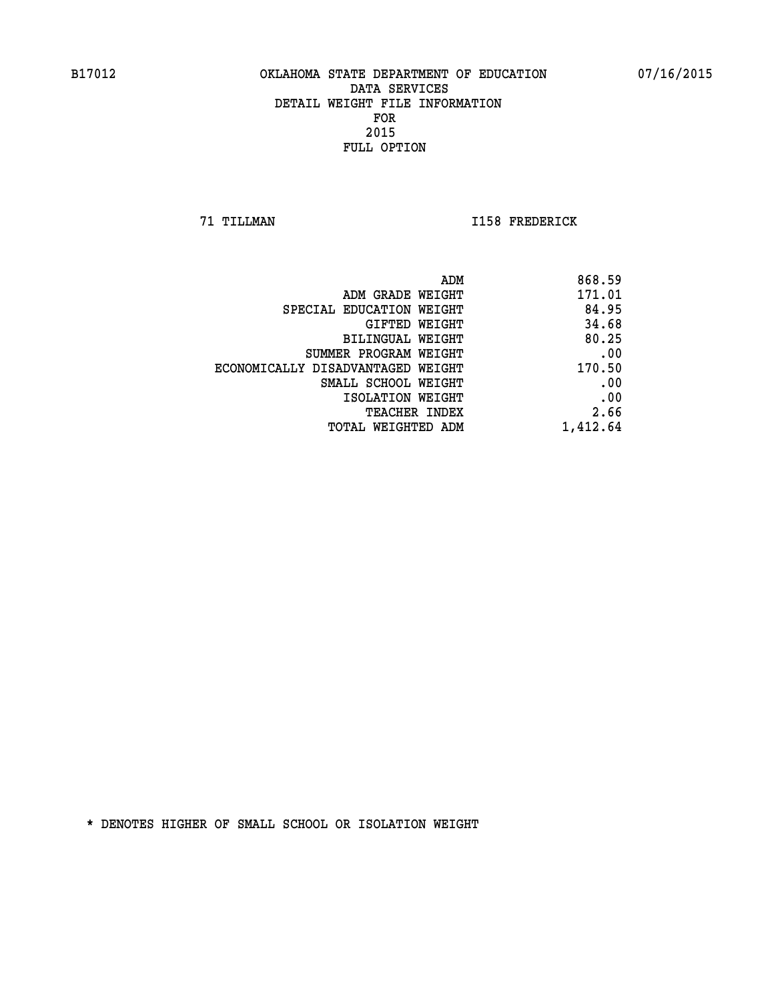**71 TILLMAN I158 FREDERICK** 

|                                   | ADM<br>868.59 |      |
|-----------------------------------|---------------|------|
| ADM GRADE WEIGHT                  | 171.01        |      |
| SPECIAL EDUCATION WEIGHT          | 84.95         |      |
| GIFTED WEIGHT                     | 34.68         |      |
| <b>BILINGUAL WEIGHT</b>           | 80.25         |      |
| SUMMER PROGRAM WEIGHT             |               | .00  |
| ECONOMICALLY DISADVANTAGED WEIGHT | 170.50        |      |
| SMALL SCHOOL WEIGHT               |               | .00  |
| ISOLATION WEIGHT                  |               | .00  |
| TEACHER INDEX                     |               | 2.66 |
| TOTAL WEIGHTED ADM                | 1,412.64      |      |
|                                   |               |      |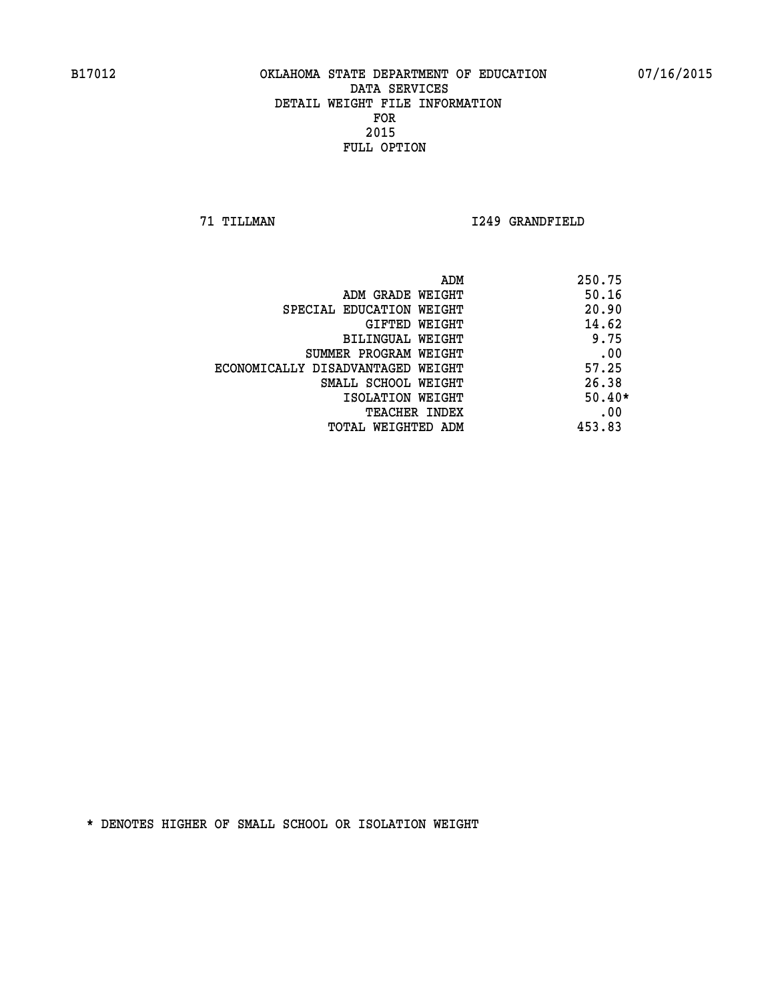**71 TILLMAN I249 GRANDFIELD** 

| ADM                               | 250.75   |
|-----------------------------------|----------|
| ADM GRADE WEIGHT                  | 50.16    |
| SPECIAL EDUCATION WEIGHT          | 20.90    |
| GIFTED WEIGHT                     | 14.62    |
| <b>BILINGUAL WEIGHT</b>           | 9.75     |
| SUMMER PROGRAM WEIGHT             | .00      |
| ECONOMICALLY DISADVANTAGED WEIGHT | 57.25    |
| SMALL SCHOOL WEIGHT               | 26.38    |
| ISOLATION WEIGHT                  | $50.40*$ |
| <b>TEACHER INDEX</b>              | .00      |
| TOTAL WEIGHTED ADM                | 453.83   |
|                                   |          |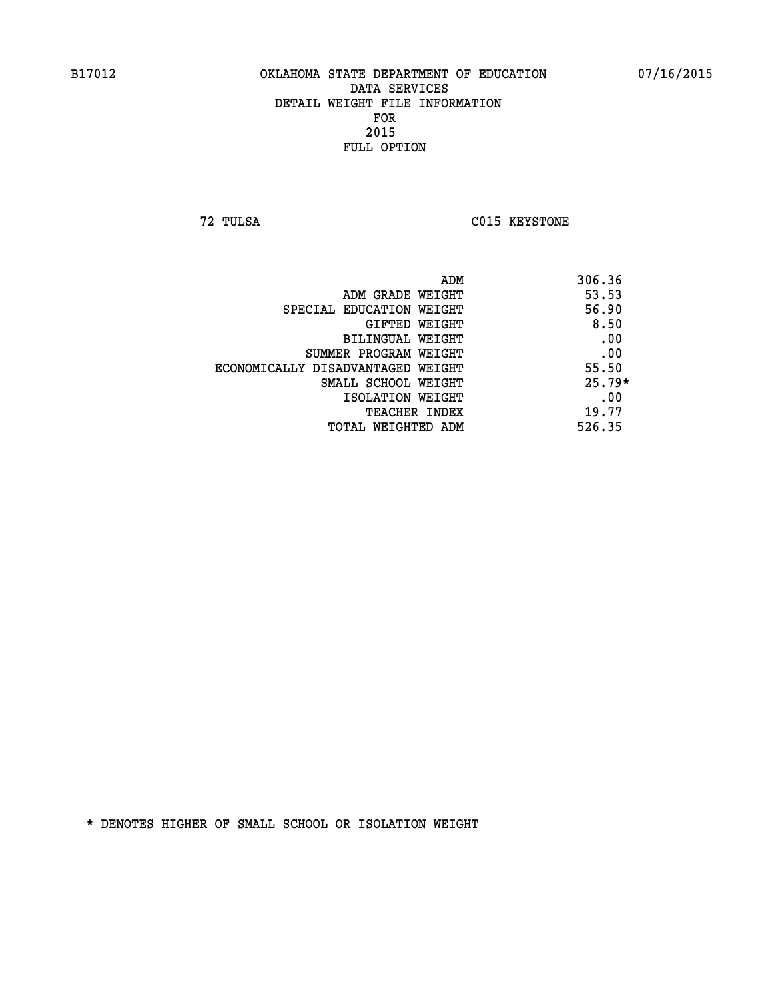**72 TULSA C015 KEYSTONE** 

| ADM                               | 306.36   |
|-----------------------------------|----------|
| ADM GRADE WEIGHT                  | 53.53    |
| SPECIAL EDUCATION WEIGHT          | 56.90    |
| GIFTED WEIGHT                     | 8.50     |
| BILINGUAL WEIGHT                  | .00      |
| SUMMER PROGRAM WEIGHT             | .00      |
| ECONOMICALLY DISADVANTAGED WEIGHT | 55.50    |
| SMALL SCHOOL WEIGHT               | $25.79*$ |
| ISOLATION WEIGHT                  | .00      |
| <b>TEACHER INDEX</b>              | 19.77    |
| TOTAL WEIGHTED ADM                | 526.35   |
|                                   |          |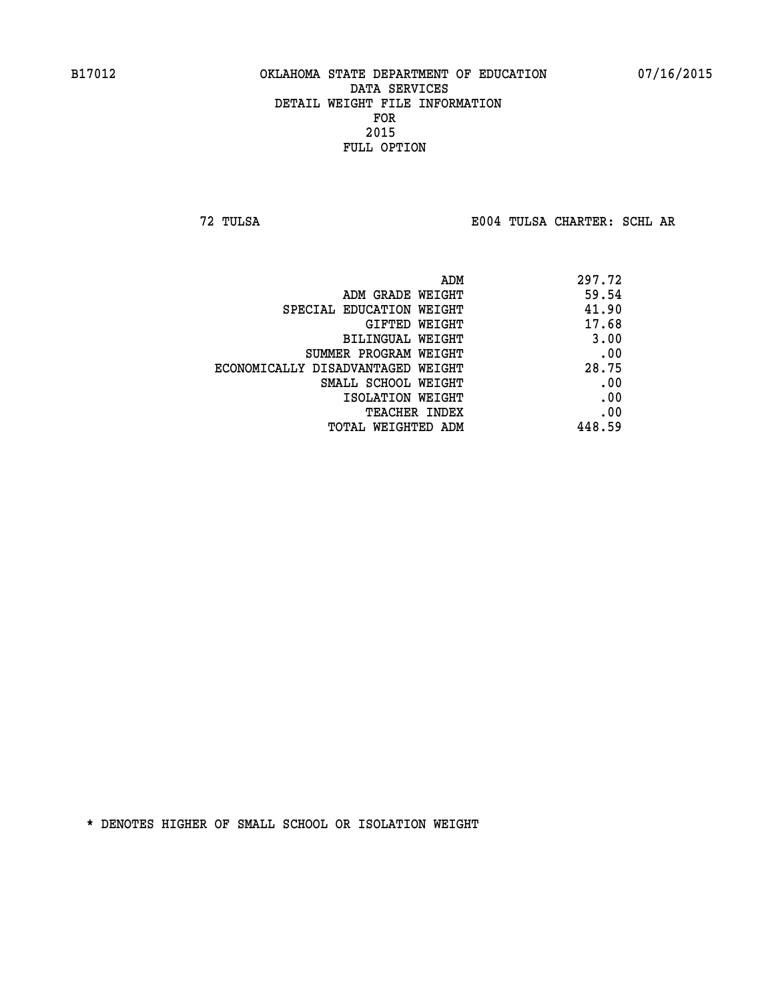**72 TULSA E004 TULSA CHARTER: SCHL AR**

|                                   | 297.72<br>ADM |     |
|-----------------------------------|---------------|-----|
| ADM GRADE WEIGHT                  | 59.54         |     |
| SPECIAL EDUCATION WEIGHT          | 41.90         |     |
| GIFTED WEIGHT                     | 17.68         |     |
| BILINGUAL WEIGHT                  | 3.00          |     |
| SUMMER PROGRAM WEIGHT             |               | .00 |
| ECONOMICALLY DISADVANTAGED WEIGHT | 28.75         |     |
| SMALL SCHOOL WEIGHT               |               | .00 |
| ISOLATION WEIGHT                  |               | .00 |
| <b>TEACHER INDEX</b>              |               | .00 |
| TOTAL WEIGHTED ADM                | 448.59        |     |
|                                   |               |     |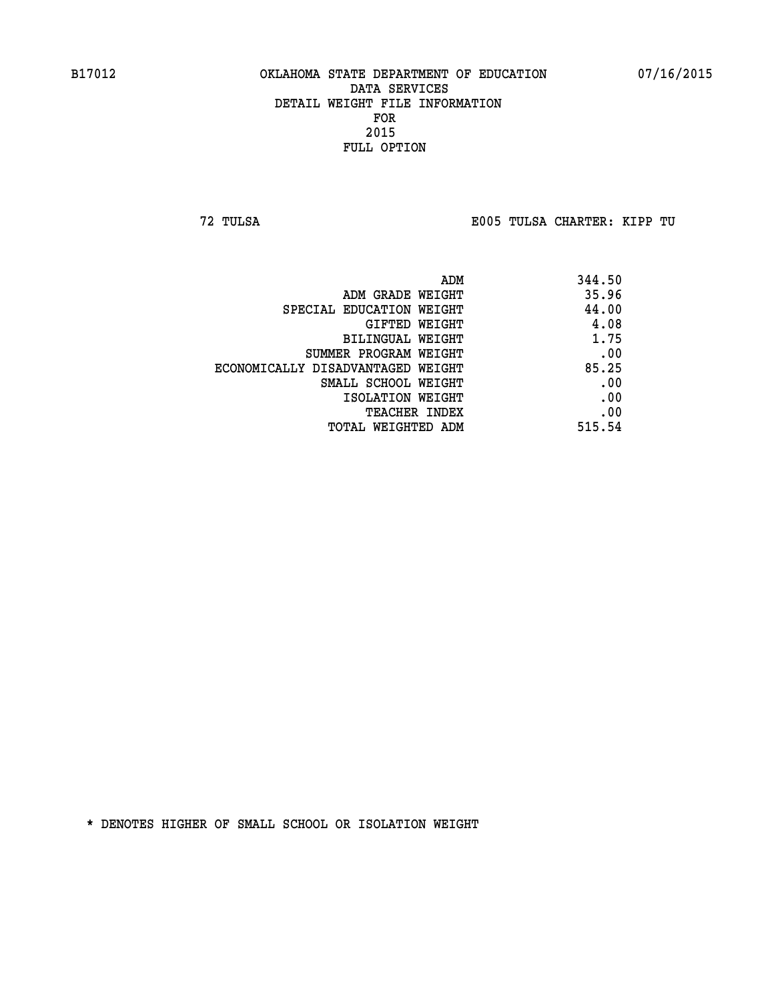**72 TULSA E005 TULSA CHARTER: KIPP TU**

| ADM                               | 344.50 |
|-----------------------------------|--------|
| ADM GRADE WEIGHT                  | 35.96  |
| SPECIAL EDUCATION WEIGHT          | 44.00  |
| GIFTED WEIGHT                     | 4.08   |
| BILINGUAL WEIGHT                  | 1.75   |
| SUMMER PROGRAM WEIGHT             | .00    |
| ECONOMICALLY DISADVANTAGED WEIGHT | 85.25  |
| SMALL SCHOOL WEIGHT               | .00    |
| ISOLATION WEIGHT                  | .00    |
| <b>TEACHER INDEX</b>              | .00    |
| TOTAL WEIGHTED ADM                | 515.54 |
|                                   |        |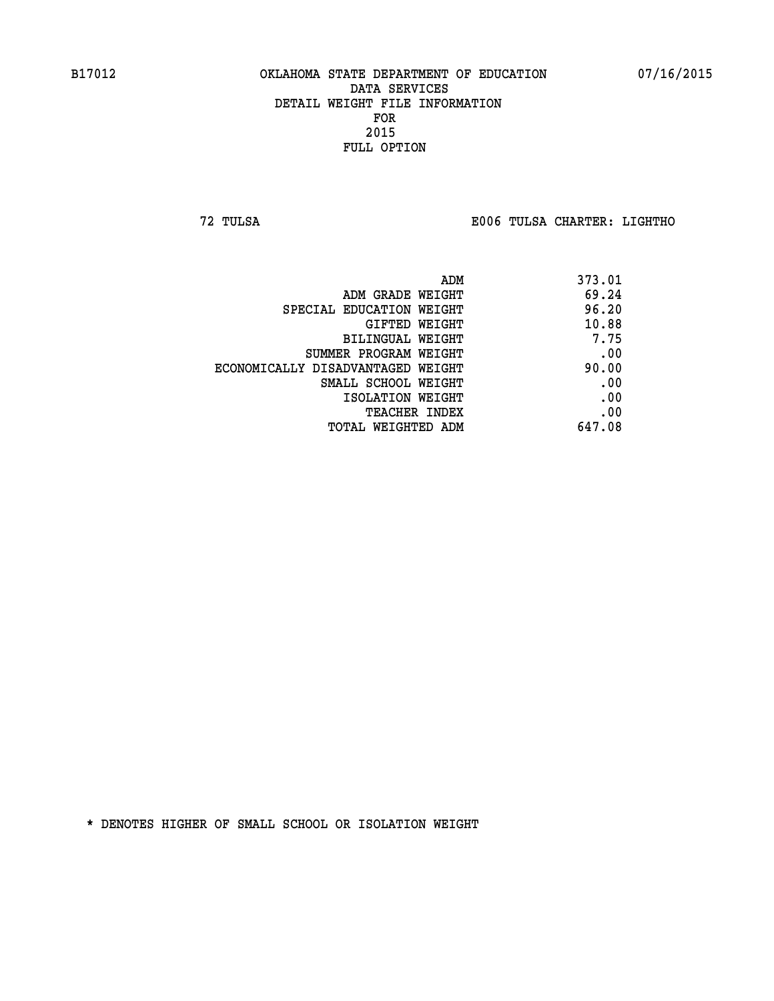**72 TULSA E006 TULSA CHARTER: LIGHTHO**

|                                   | 373.01<br>ADM |  |
|-----------------------------------|---------------|--|
| ADM GRADE WEIGHT                  | 69.24         |  |
| SPECIAL EDUCATION WEIGHT          | 96.20         |  |
| <b>GIFTED WEIGHT</b>              | 10.88         |  |
| BILINGUAL WEIGHT                  | 7.75          |  |
| SUMMER PROGRAM WEIGHT             | .00           |  |
| ECONOMICALLY DISADVANTAGED WEIGHT | 90.00         |  |
| SMALL SCHOOL WEIGHT               | .00           |  |
| ISOLATION WEIGHT                  | .00           |  |
| <b>TEACHER INDEX</b>              | .00           |  |
| TOTAL WEIGHTED ADM                | 647.08        |  |
|                                   |               |  |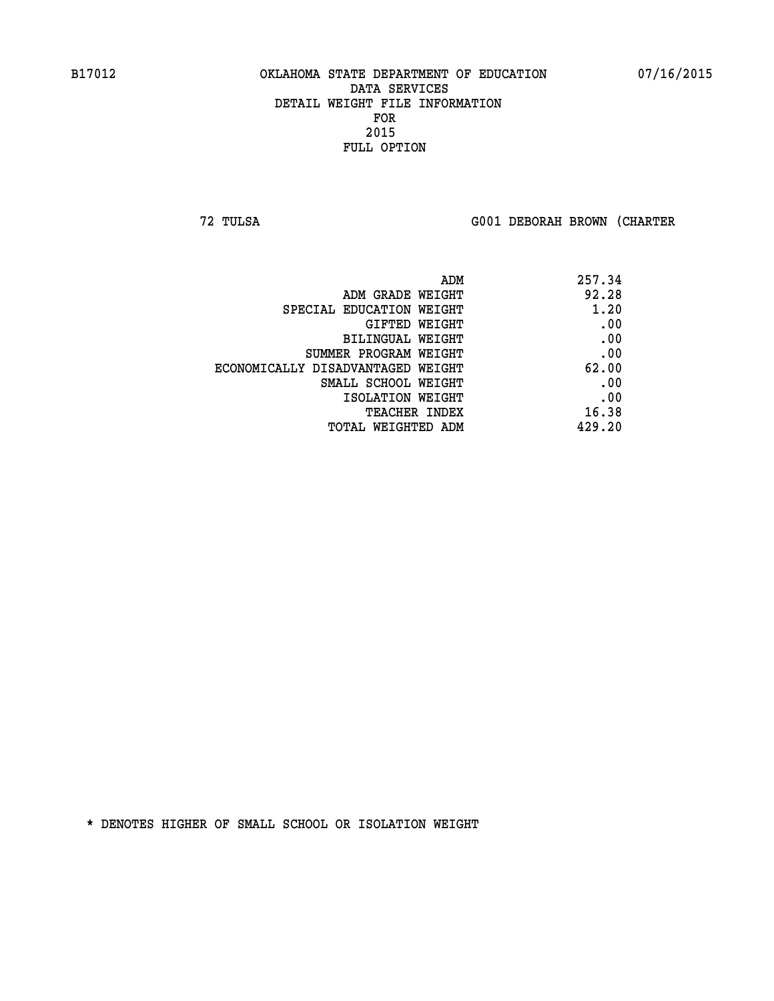**72 TULSA G001 DEBORAH BROWN (CHARTER**

| 257.34 |
|--------|
| 92.28  |
| 1.20   |
| .00    |
| .00    |
| .00    |
| 62.00  |
| .00    |
| .00    |
| 16.38  |
| 429.20 |
|        |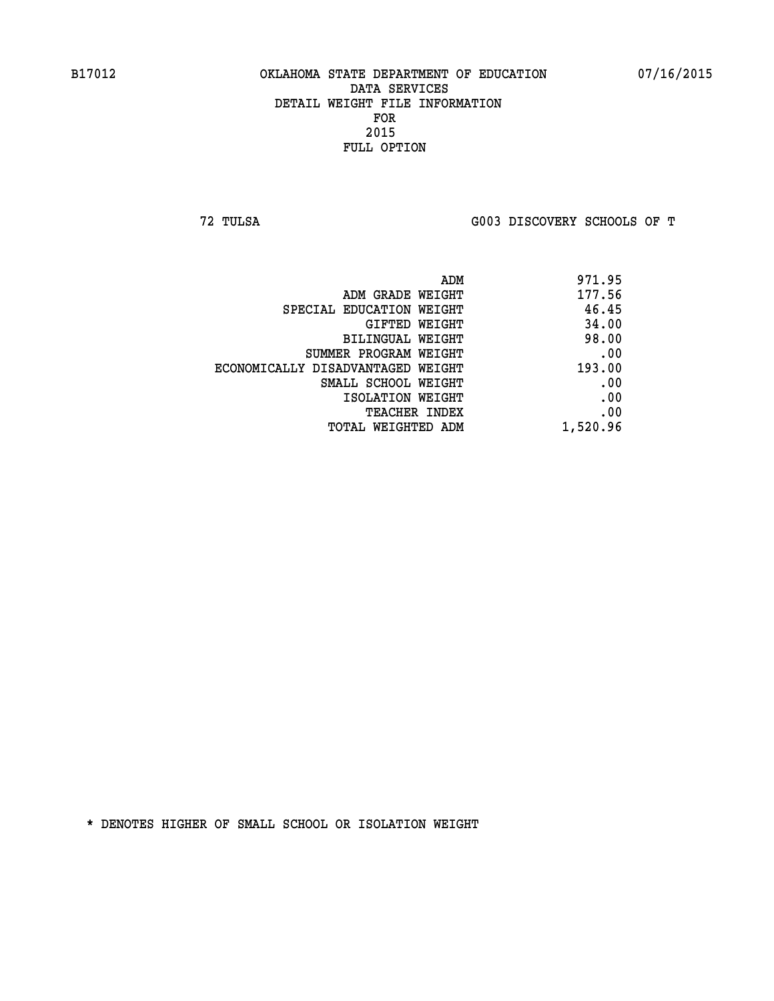**72 TULSA G003 DISCOVERY SCHOOLS OF T**

| ADM                               | 971.95   |
|-----------------------------------|----------|
| ADM GRADE WEIGHT                  | 177.56   |
| SPECIAL EDUCATION WEIGHT          | 46.45    |
| GIFTED WEIGHT                     | 34.00    |
| BILINGUAL WEIGHT                  | 98.00    |
| SUMMER PROGRAM WEIGHT             | .00      |
| ECONOMICALLY DISADVANTAGED WEIGHT | 193.00   |
| SMALL SCHOOL WEIGHT               | .00      |
| ISOLATION WEIGHT                  | .00      |
| <b>TEACHER INDEX</b>              | .00      |
| TOTAL WEIGHTED ADM                | 1,520.96 |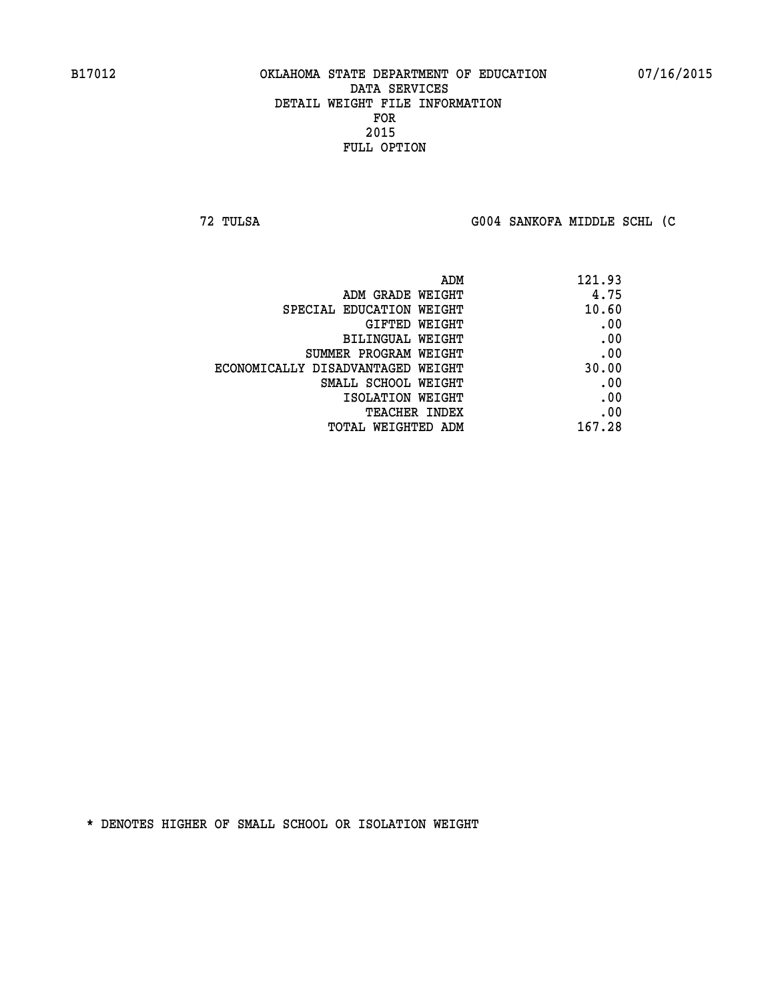**72 TULSA G004 SANKOFA MIDDLE SCHL (C**

| ADM                               | 121.93 |
|-----------------------------------|--------|
| ADM GRADE WEIGHT                  | 4.75   |
| SPECIAL EDUCATION WEIGHT          | 10.60  |
| GIFTED WEIGHT                     | .00    |
| BILINGUAL WEIGHT                  | .00    |
| SUMMER PROGRAM WEIGHT             | .00    |
| ECONOMICALLY DISADVANTAGED WEIGHT | 30.00  |
| SMALL SCHOOL WEIGHT               | .00    |
| ISOLATION WEIGHT                  | .00    |
| TEACHER INDEX                     | .00    |
| TOTAL WEIGHTED ADM                | 167.28 |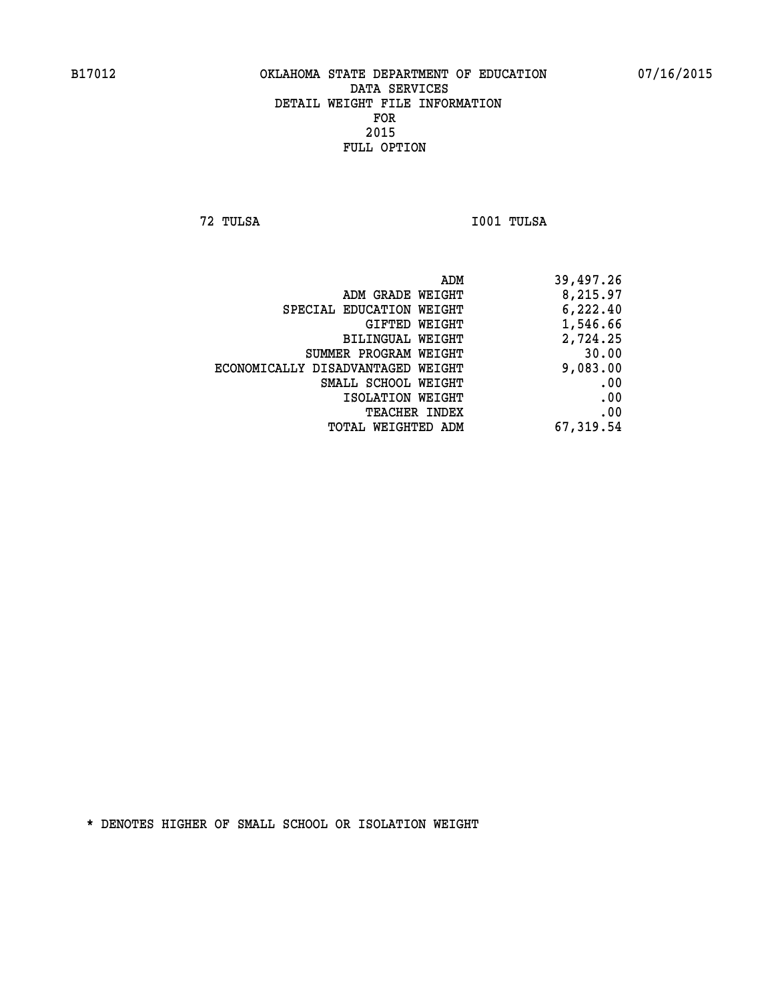**72 TULSA I001 TULSA** 

|                                   | ADM<br>39,497.26 |  |
|-----------------------------------|------------------|--|
| ADM GRADE WEIGHT                  | 8,215.97         |  |
| SPECIAL EDUCATION WEIGHT          | 6,222.40         |  |
| GIFTED WEIGHT                     | 1,546.66         |  |
| BILINGUAL WEIGHT                  | 2,724.25         |  |
| SUMMER PROGRAM WEIGHT             | 30.00            |  |
| ECONOMICALLY DISADVANTAGED WEIGHT | 9,083.00         |  |
| SMALL SCHOOL WEIGHT               | .00              |  |
| ISOLATION WEIGHT                  | .00              |  |
| <b>TEACHER INDEX</b>              | .00              |  |
| TOTAL WEIGHTED ADM                | 67,319.54        |  |
|                                   |                  |  |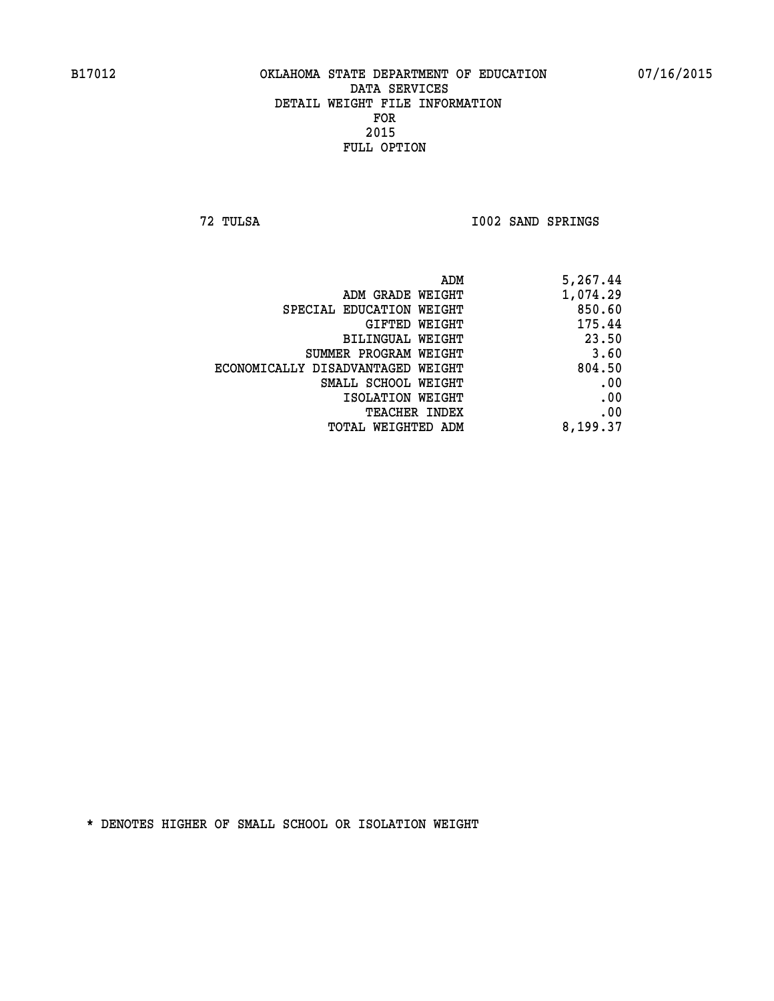**72 TULSA I002 SAND SPRINGS** 

| 1,074.29<br>ADM GRADE WEIGHT<br>850.60<br>SPECIAL EDUCATION WEIGHT<br>175.44<br>GIFTED WEIGHT<br>23.50<br>BILINGUAL WEIGHT<br>3.60<br>SUMMER PROGRAM WEIGHT<br>804.50<br>ECONOMICALLY DISADVANTAGED WEIGHT<br>SMALL SCHOOL WEIGHT |
|-----------------------------------------------------------------------------------------------------------------------------------------------------------------------------------------------------------------------------------|
|                                                                                                                                                                                                                                   |
|                                                                                                                                                                                                                                   |
|                                                                                                                                                                                                                                   |
|                                                                                                                                                                                                                                   |
|                                                                                                                                                                                                                                   |
|                                                                                                                                                                                                                                   |
|                                                                                                                                                                                                                                   |
| ISOLATION WEIGHT                                                                                                                                                                                                                  |
| TEACHER INDEX                                                                                                                                                                                                                     |
| 8,199.37<br>TOTAL WEIGHTED ADM                                                                                                                                                                                                    |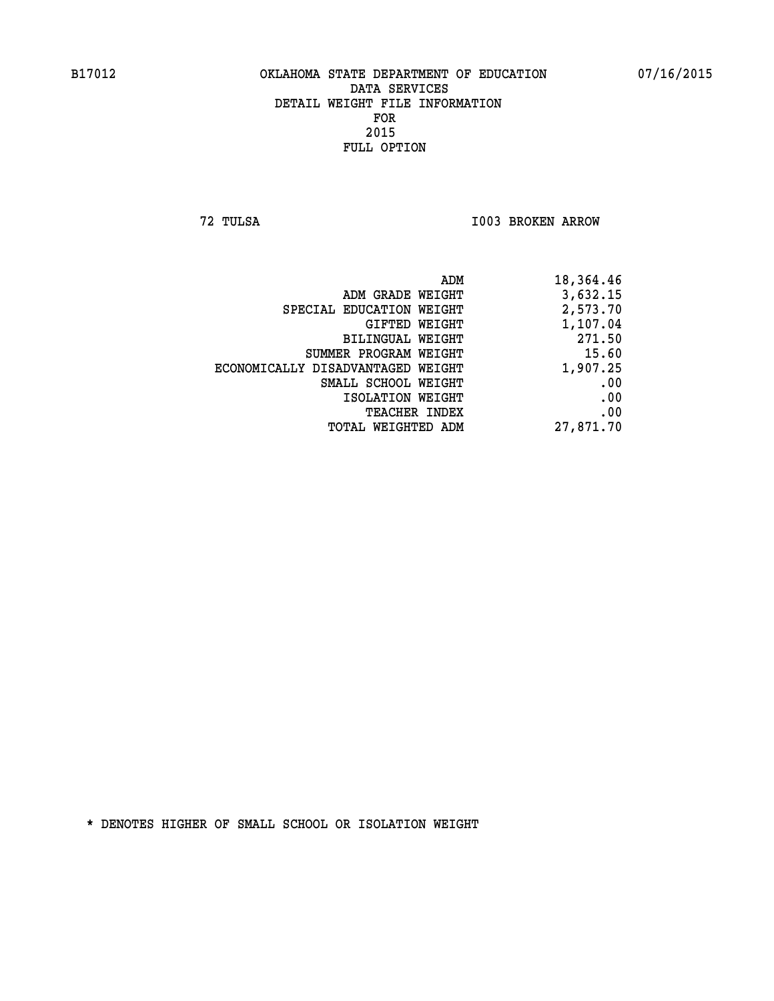**72 TULSA I003 BROKEN ARROW** 

|                                   | ADM<br>18,364.46 |
|-----------------------------------|------------------|
| ADM GRADE WEIGHT                  | 3,632.15         |
| SPECIAL EDUCATION WEIGHT          | 2,573.70         |
| GIFTED WEIGHT                     | 1,107.04         |
| BILINGUAL WEIGHT                  | 271.50           |
| SUMMER PROGRAM WEIGHT             | 15.60            |
| ECONOMICALLY DISADVANTAGED WEIGHT | 1,907.25         |
| SMALL SCHOOL WEIGHT               | .00              |
| ISOLATION WEIGHT                  | .00              |
| TEACHER INDEX                     | .00              |
| TOTAL WEIGHTED ADM                | 27,871.70        |
|                                   |                  |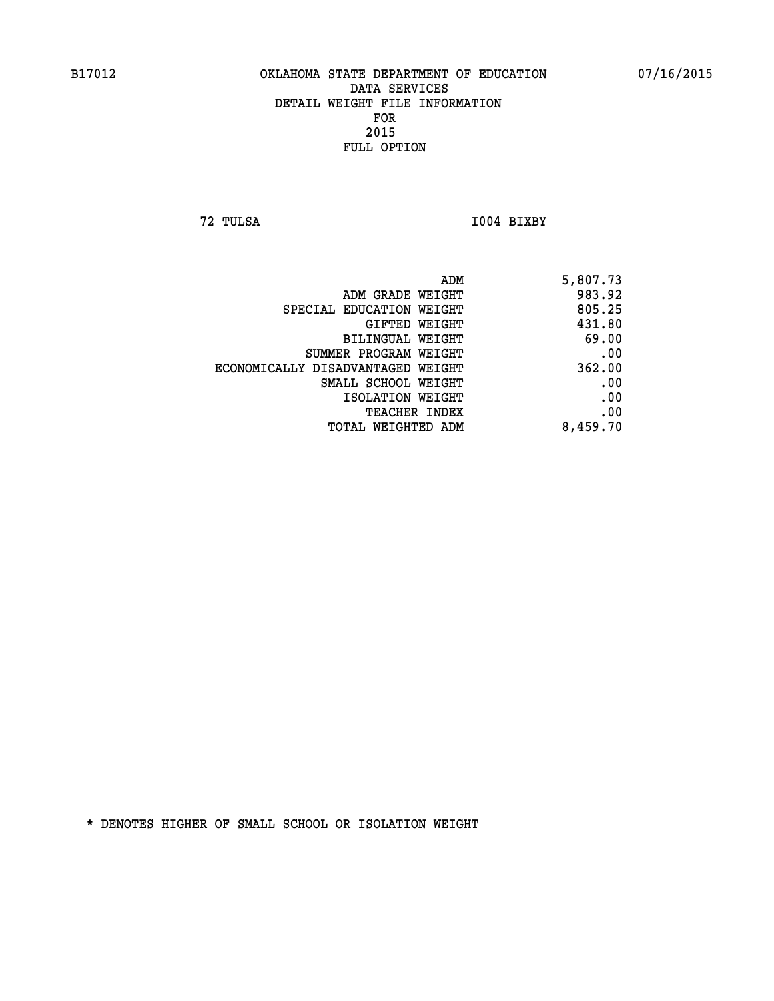**72 TULSA I004 BIXBY** 

| 5,807.73 |
|----------|
| 983.92   |
| 805.25   |
| 431.80   |
| 69.00    |
| .00      |
| 362.00   |
| .00      |
| .00      |
| .00      |
| 8,459.70 |
|          |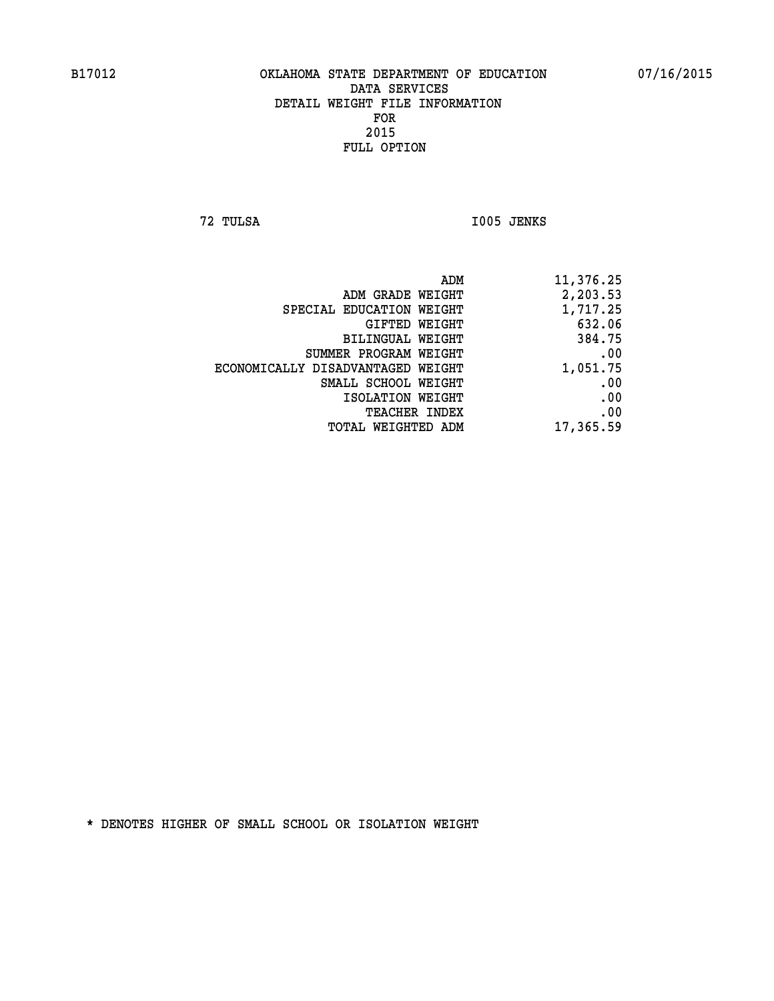**72 TULSA I005 JENKS** 

| ADM                               | 11,376.25 |
|-----------------------------------|-----------|
| ADM GRADE WEIGHT                  | 2,203.53  |
| SPECIAL EDUCATION WEIGHT          | 1,717.25  |
| GIFTED WEIGHT                     | 632.06    |
| BILINGUAL WEIGHT                  | 384.75    |
| SUMMER PROGRAM WEIGHT             | .00       |
| ECONOMICALLY DISADVANTAGED WEIGHT | 1,051.75  |
| SMALL SCHOOL WEIGHT               | .00       |
| ISOLATION WEIGHT                  | .00       |
| <b>TEACHER INDEX</b>              | .00       |
| TOTAL WEIGHTED ADM                | 17,365.59 |
|                                   |           |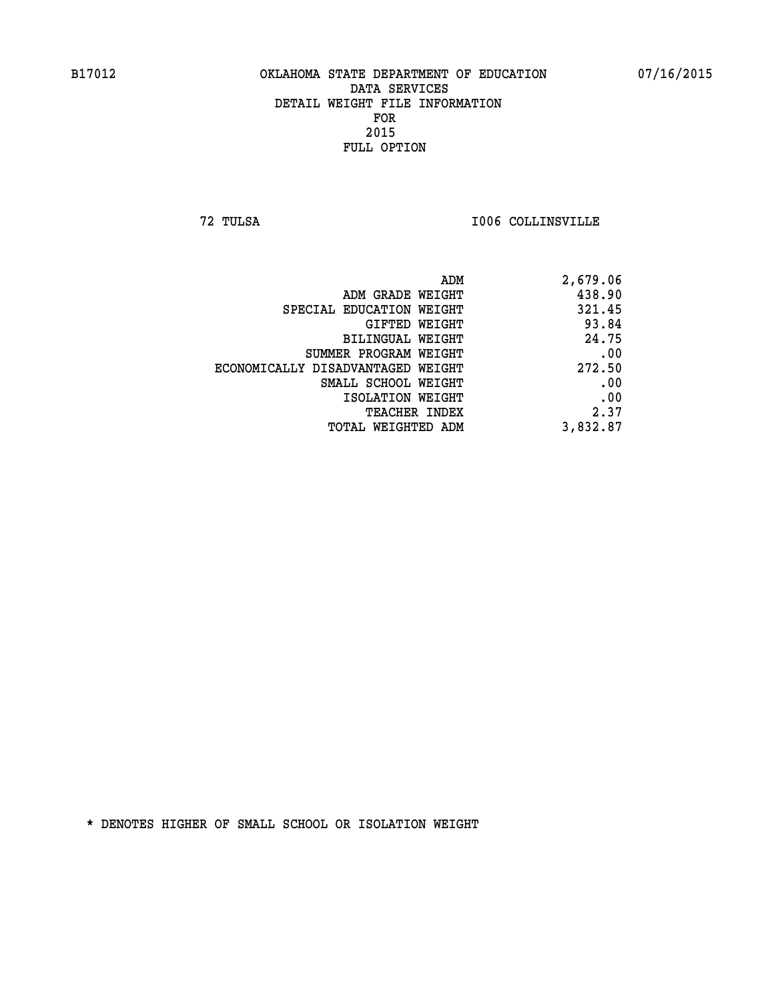**72 TULSA I006 COLLINSVILLE** 

| ADM                               | 2,679.06 |
|-----------------------------------|----------|
| ADM GRADE WEIGHT                  | 438.90   |
| SPECIAL EDUCATION WEIGHT          | 321.45   |
| GIFTED WEIGHT                     | 93.84    |
| BILINGUAL WEIGHT                  | 24.75    |
| SUMMER PROGRAM WEIGHT             | .00      |
| ECONOMICALLY DISADVANTAGED WEIGHT | 272.50   |
| SMALL SCHOOL WEIGHT               | .00      |
| ISOLATION WEIGHT                  | .00      |
| <b>TEACHER INDEX</b>              | 2.37     |
| <b>TOTAL WEIGHTED ADM</b>         | 3,832.87 |
|                                   |          |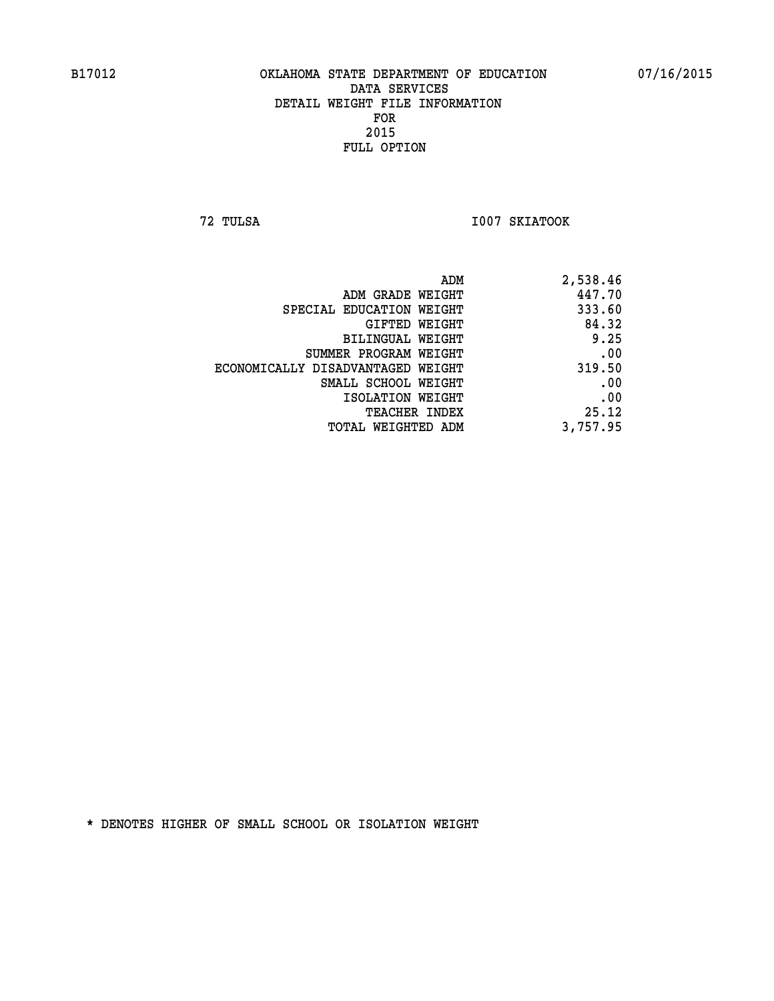**72 TULSA I007 SKIATOOK** 

| 2,538.46 |
|----------|
| 447.70   |
| 333.60   |
| 84.32    |
| 9.25     |
| .00      |
| 319.50   |
| .00      |
| .00      |
| 25.12    |
| 3,757.95 |
|          |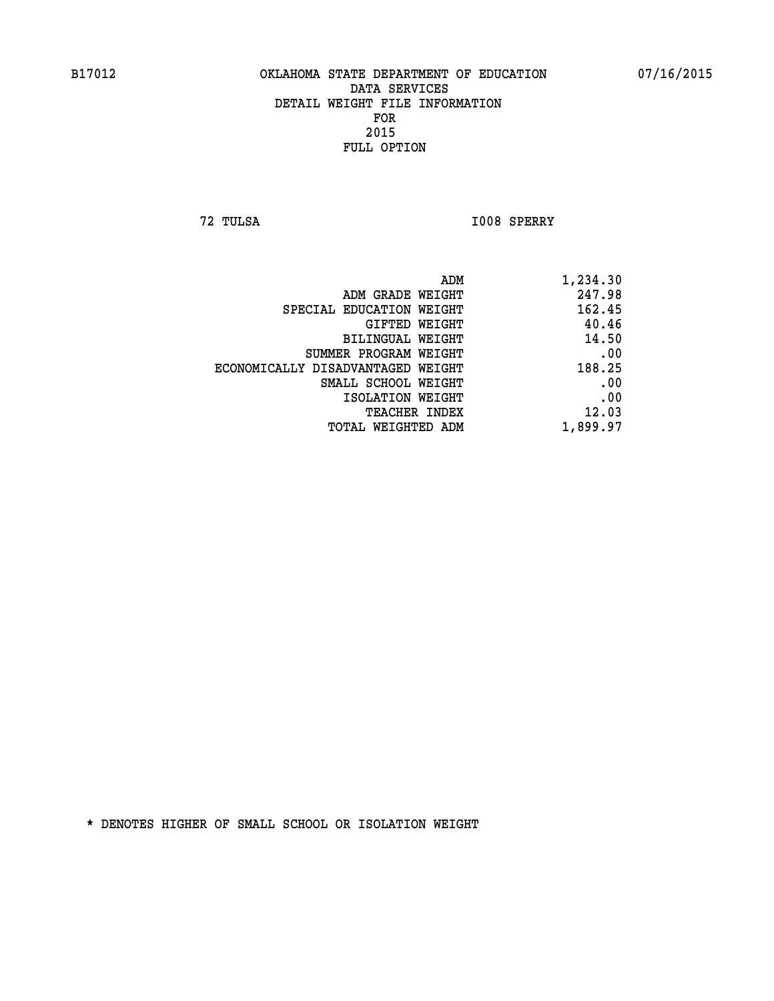**72 TULSA I008 SPERRY** 

| 1,234.30 |
|----------|
| 247.98   |
| 162.45   |
| 40.46    |
| 14.50    |
| .00      |
| 188.25   |
| .00      |
| .00      |
| 12.03    |
| 1,899.97 |
|          |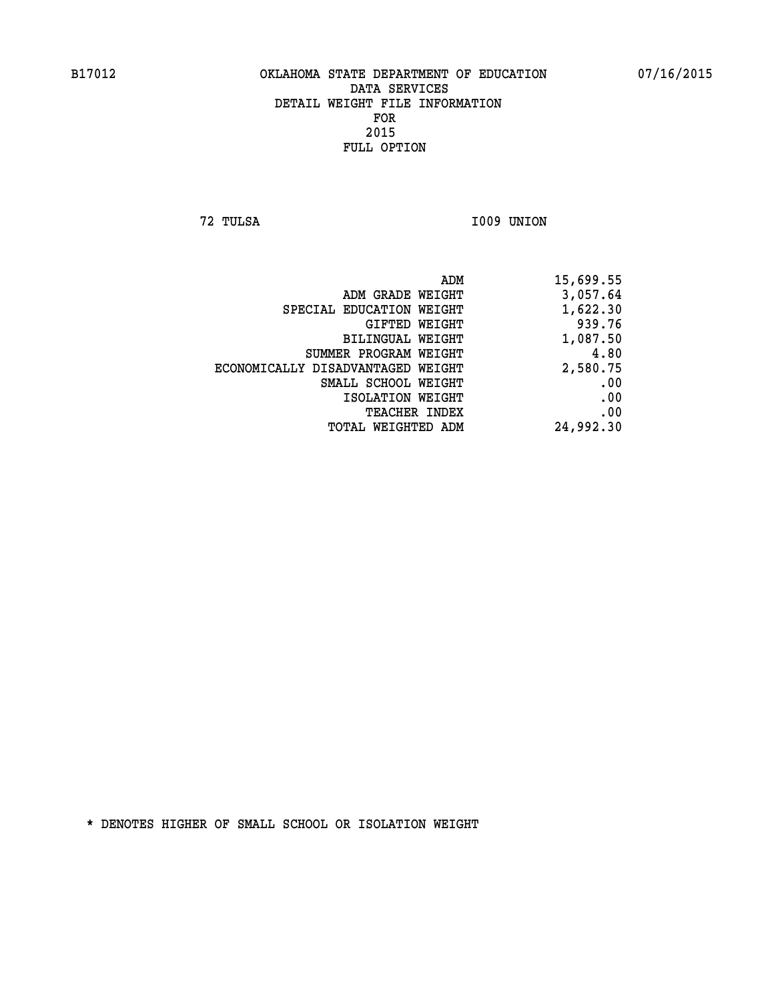**72 TULSA I009 UNION** 

| 15,699.55 |
|-----------|
| 3,057.64  |
| 1,622.30  |
| 939.76    |
| 1,087.50  |
| 4.80      |
| 2,580.75  |
| .00       |
| .00       |
| .00       |
| 24,992.30 |
|           |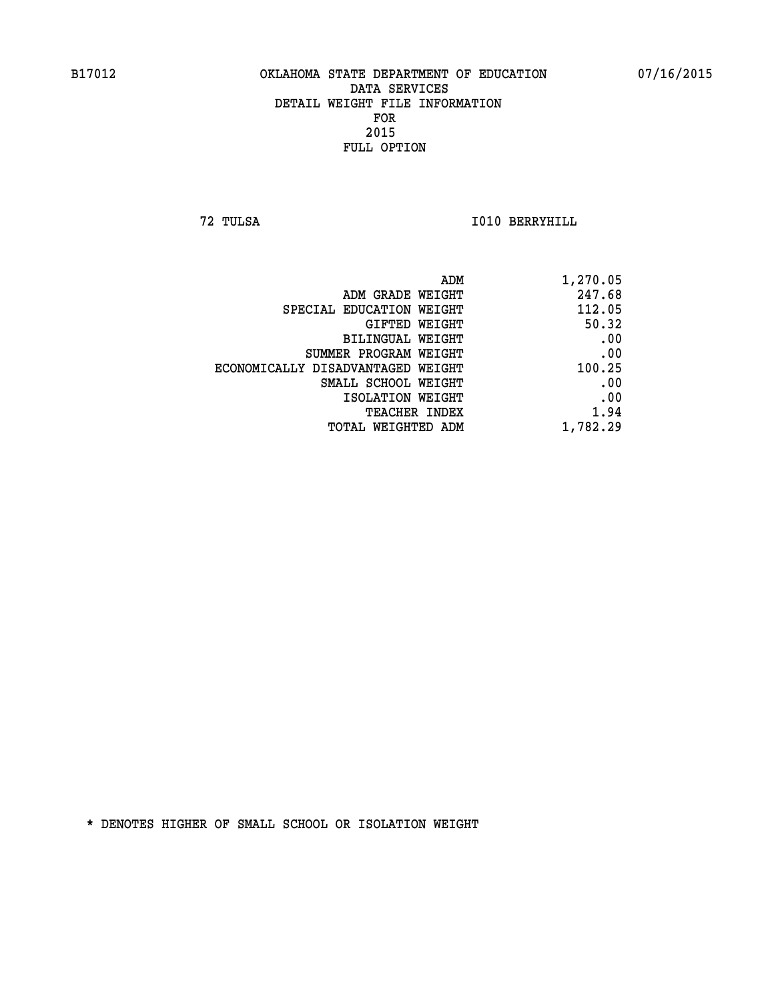**72 TULSA I010 BERRYHILL** 

| 1,270.05 |
|----------|
| 247.68   |
| 112.05   |
| 50.32    |
| .00      |
| .00      |
| 100.25   |
| .00      |
| .00      |
| 1.94     |
| 1,782.29 |
|          |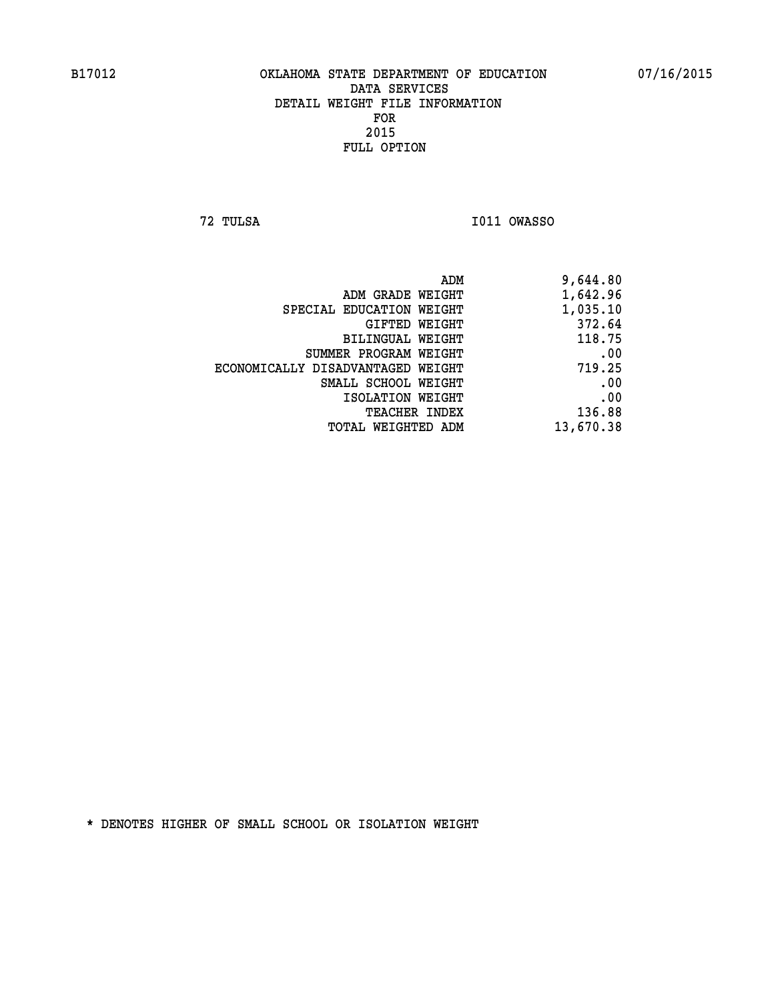**72 TULSA I011 OWASSO** 

|                                   | ADM<br>9,644.80 |
|-----------------------------------|-----------------|
| ADM GRADE WEIGHT                  | 1,642.96        |
| SPECIAL EDUCATION WEIGHT          | 1,035.10        |
| GIFTED WEIGHT                     | 372.64          |
| BILINGUAL WEIGHT                  | 118.75          |
| SUMMER PROGRAM WEIGHT             | .00             |
| ECONOMICALLY DISADVANTAGED WEIGHT | 719.25          |
| SMALL SCHOOL WEIGHT               | .00             |
| ISOLATION WEIGHT                  | .00             |
| TEACHER INDEX                     | 136.88          |
| TOTAL WEIGHTED ADM                | 13,670.38       |
|                                   |                 |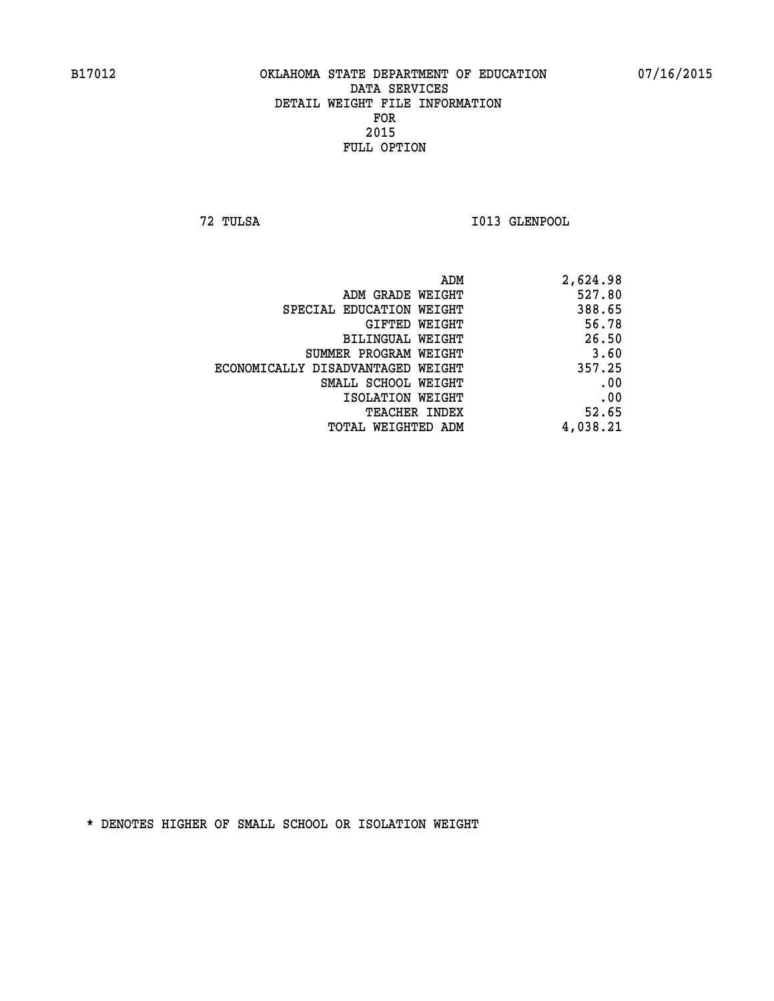**72 TULSA I013 GLENPOOL** 

| 2,624.98 |
|----------|
| 527.80   |
| 388.65   |
| 56.78    |
| 26.50    |
| 3.60     |
| 357.25   |
| .00      |
| .00      |
| 52.65    |
| 4,038.21 |
|          |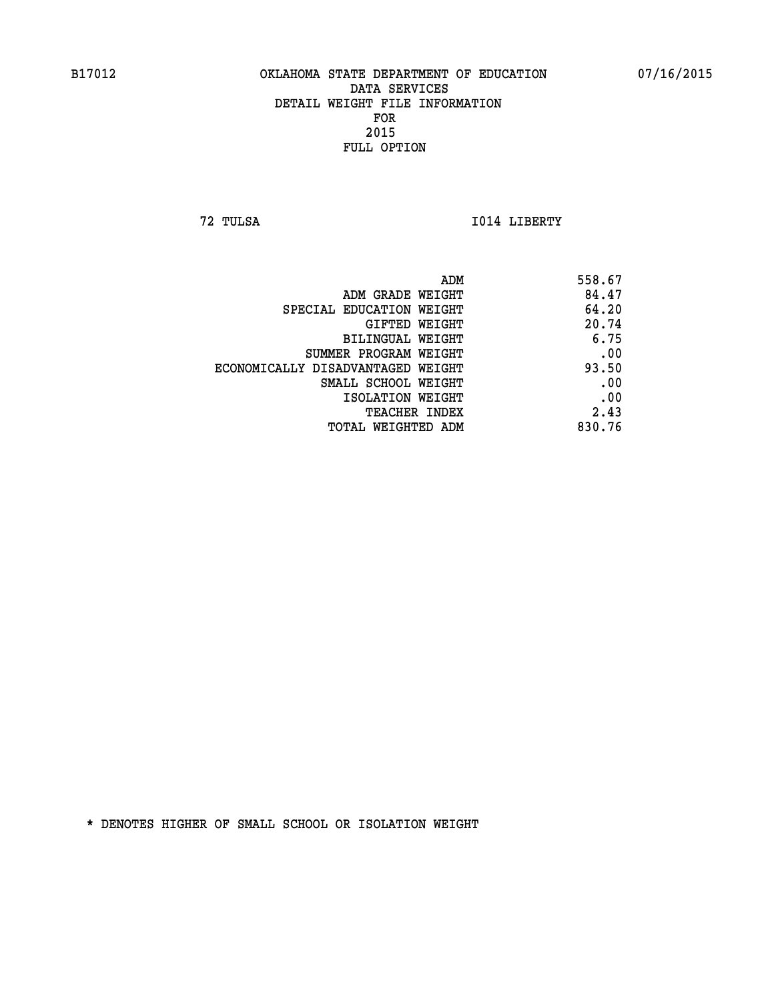**72 TULSA I014 LIBERTY** 

| ADM                               | 558.67 |
|-----------------------------------|--------|
| ADM GRADE WEIGHT                  | 84.47  |
| SPECIAL EDUCATION WEIGHT          | 64.20  |
| GIFTED WEIGHT                     | 20.74  |
| BILINGUAL WEIGHT                  | 6.75   |
| SUMMER PROGRAM WEIGHT             | .00    |
| ECONOMICALLY DISADVANTAGED WEIGHT | 93.50  |
| SMALL SCHOOL WEIGHT               | .00    |
| ISOLATION WEIGHT                  | .00    |
| TEACHER INDEX                     | 2.43   |
| TOTAL WEIGHTED ADM                | 830.76 |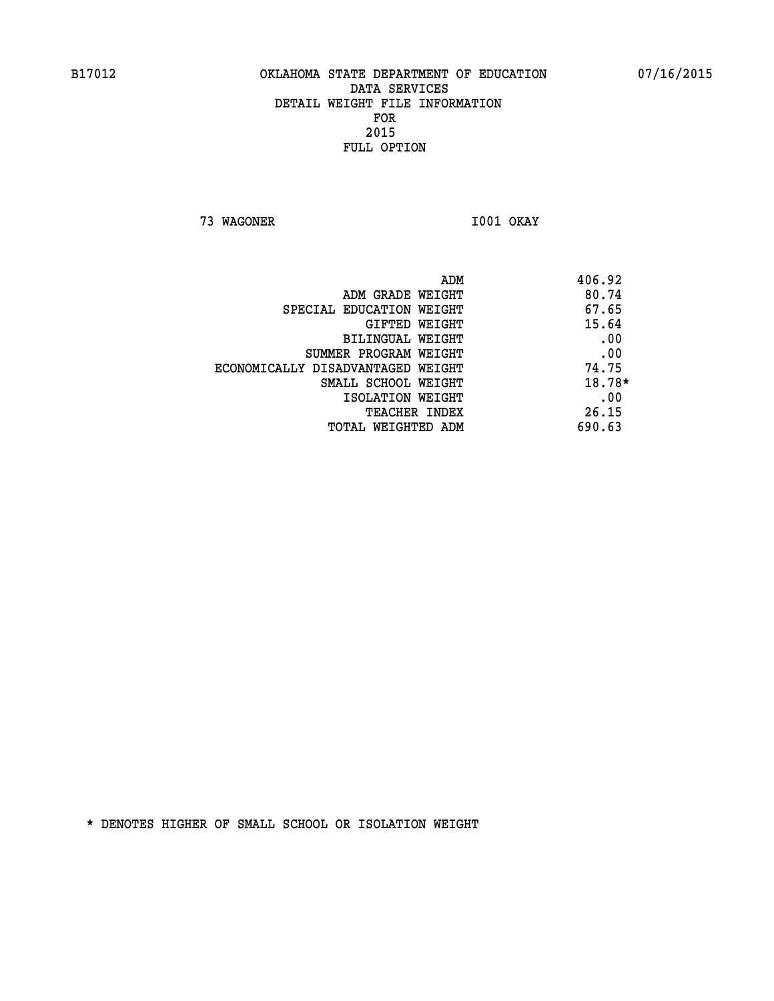**73 WAGONER I001 OKAY** 

| ADM                               | 406.92 |
|-----------------------------------|--------|
| ADM GRADE WEIGHT                  | 80.74  |
| SPECIAL EDUCATION WEIGHT          | 67.65  |
| GIFTED WEIGHT                     | 15.64  |
| BILINGUAL WEIGHT                  | .00    |
| SUMMER PROGRAM WEIGHT             | .00    |
| ECONOMICALLY DISADVANTAGED WEIGHT | 74.75  |
| SMALL SCHOOL WEIGHT               | 18.78* |
| ISOLATION WEIGHT                  | .00    |
| <b>TEACHER INDEX</b>              | 26.15  |
| TOTAL WEIGHTED ADM                | 690.63 |
|                                   |        |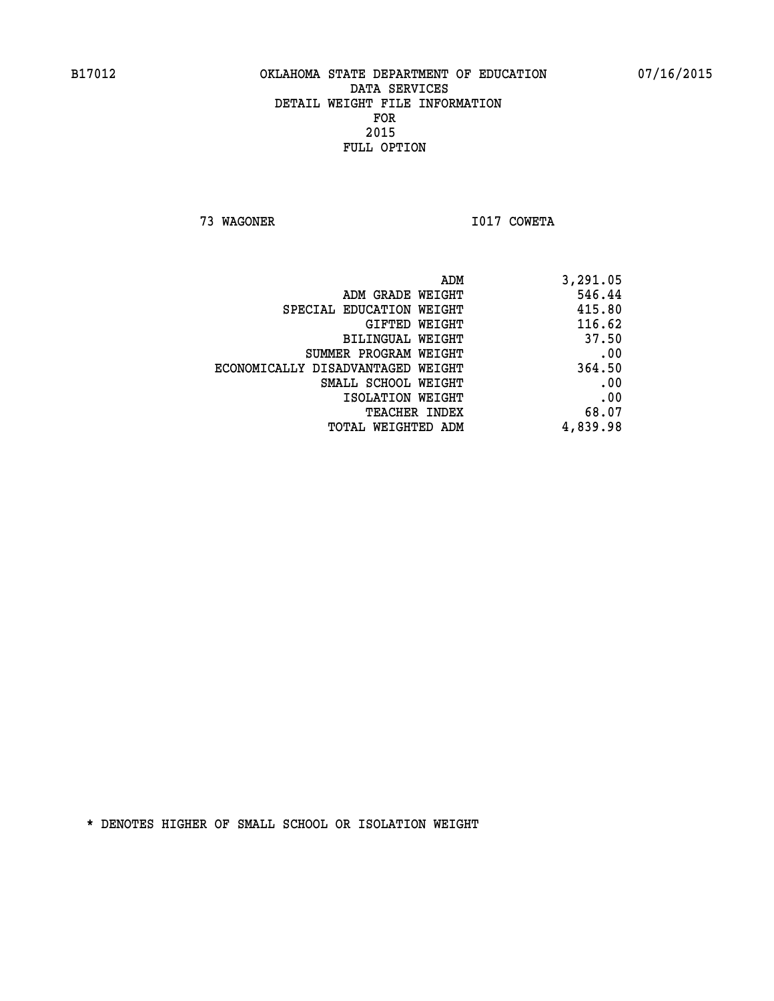**73 WAGONER I017 COWETA** 

| ADM                               | 3,291.05 |
|-----------------------------------|----------|
| ADM GRADE WEIGHT                  | 546.44   |
| SPECIAL EDUCATION WEIGHT          | 415.80   |
| GIFTED WEIGHT                     | 116.62   |
| BILINGUAL WEIGHT                  | 37.50    |
| SUMMER PROGRAM WEIGHT             | .00      |
| ECONOMICALLY DISADVANTAGED WEIGHT | 364.50   |
| SMALL SCHOOL WEIGHT               | .00      |
| ISOLATION WEIGHT                  | .00      |
| <b>TEACHER INDEX</b>              | 68.07    |
| TOTAL WEIGHTED ADM                | 4,839.98 |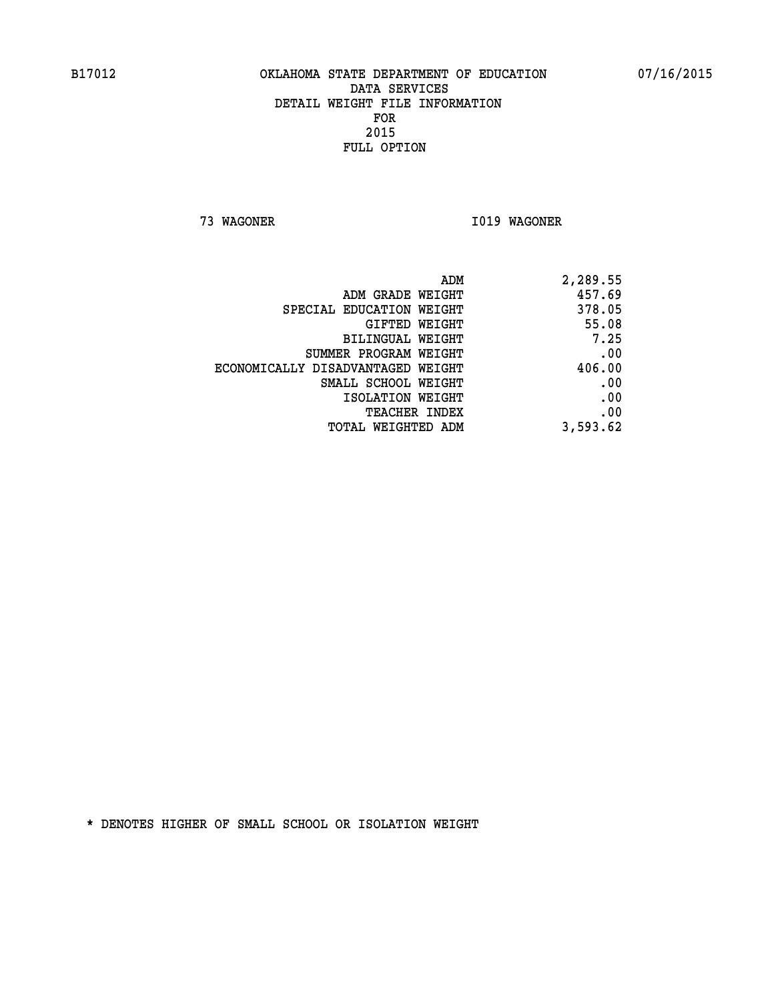**73 WAGONER I019 WAGONER** 

| 2,289.55 |
|----------|
| 457.69   |
| 378.05   |
| 55.08    |
| 7.25     |
| .00      |
| 406.00   |
| .00      |
| .00      |
| .00      |
| 3,593.62 |
|          |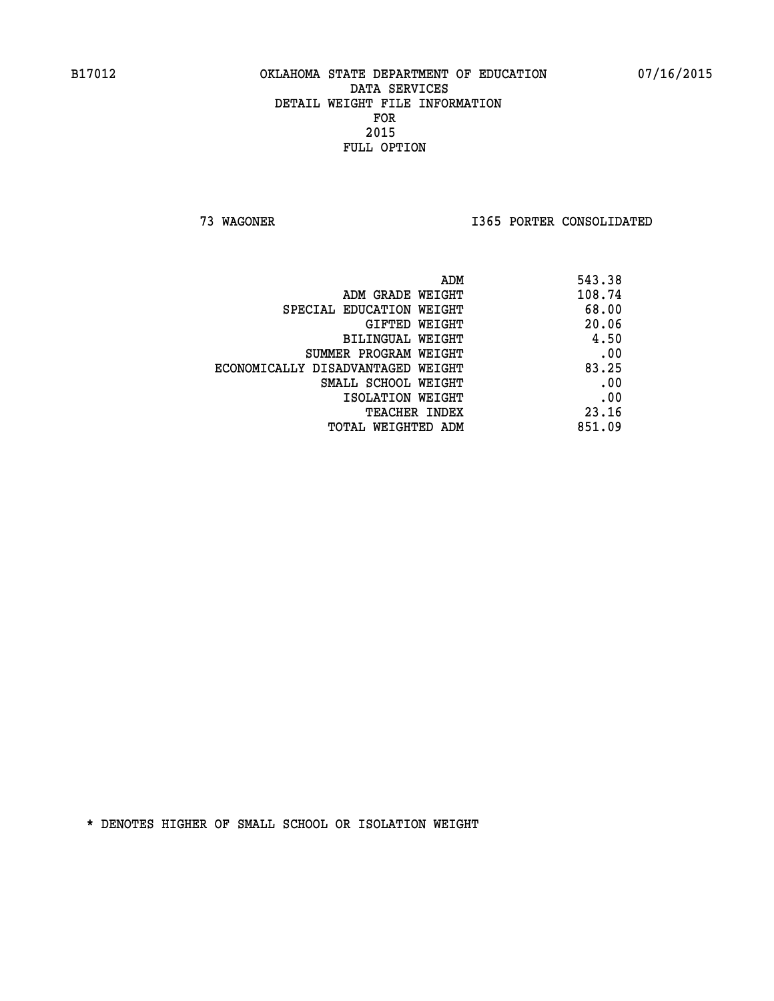**73 WAGONER I365 PORTER CONSOLIDATED** 

| ADM                               | 543.38 |
|-----------------------------------|--------|
| ADM GRADE WEIGHT                  | 108.74 |
| SPECIAL EDUCATION WEIGHT          | 68.00  |
| GIFTED WEIGHT                     | 20.06  |
| BILINGUAL WEIGHT                  | 4.50   |
| SUMMER PROGRAM WEIGHT             | .00    |
| ECONOMICALLY DISADVANTAGED WEIGHT | 83.25  |
| SMALL SCHOOL WEIGHT               | .00    |
| ISOLATION WEIGHT                  | .00    |
| <b>TEACHER INDEX</b>              | 23.16  |
| TOTAL WEIGHTED ADM                | 851.09 |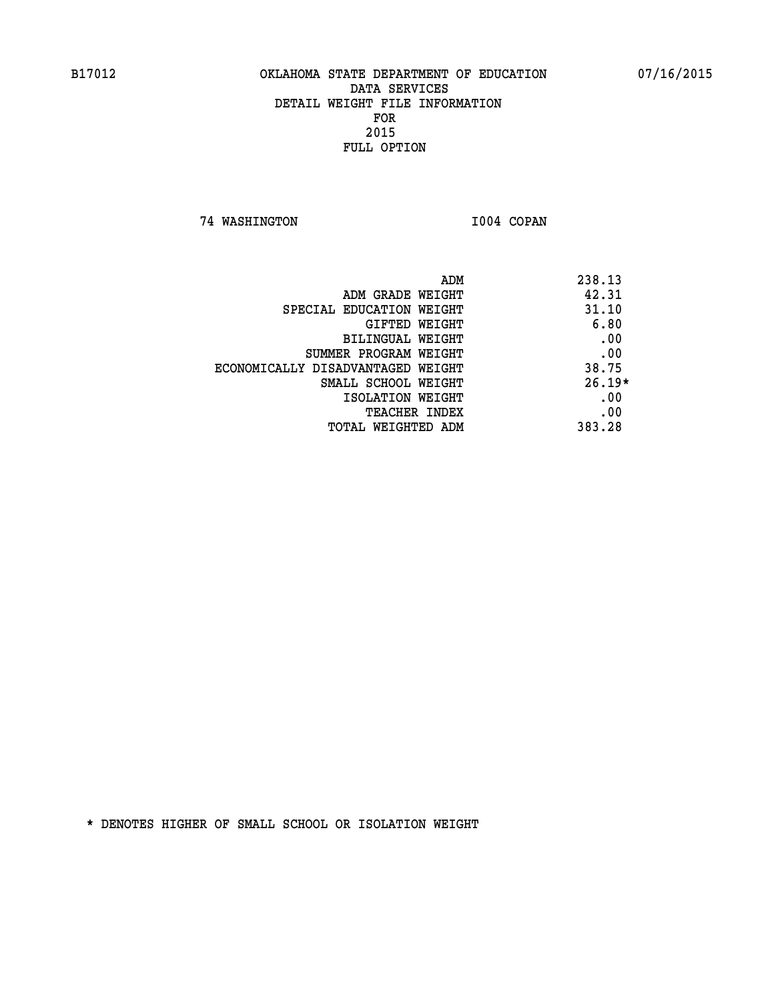**74 WASHINGTON I004 COPAN** 

| ADM                               | 238.13   |
|-----------------------------------|----------|
| ADM GRADE WEIGHT                  | 42.31    |
| SPECIAL EDUCATION WEIGHT          | 31.10    |
| GIFTED WEIGHT                     | 6.80     |
| BILINGUAL WEIGHT                  | .00      |
| SUMMER PROGRAM WEIGHT             | .00      |
| ECONOMICALLY DISADVANTAGED WEIGHT | 38.75    |
| SMALL SCHOOL WEIGHT               | $26.19*$ |
| ISOLATION WEIGHT                  | .00      |
| <b>TEACHER INDEX</b>              | .00      |
| TOTAL WEIGHTED ADM                | 383.28   |
|                                   |          |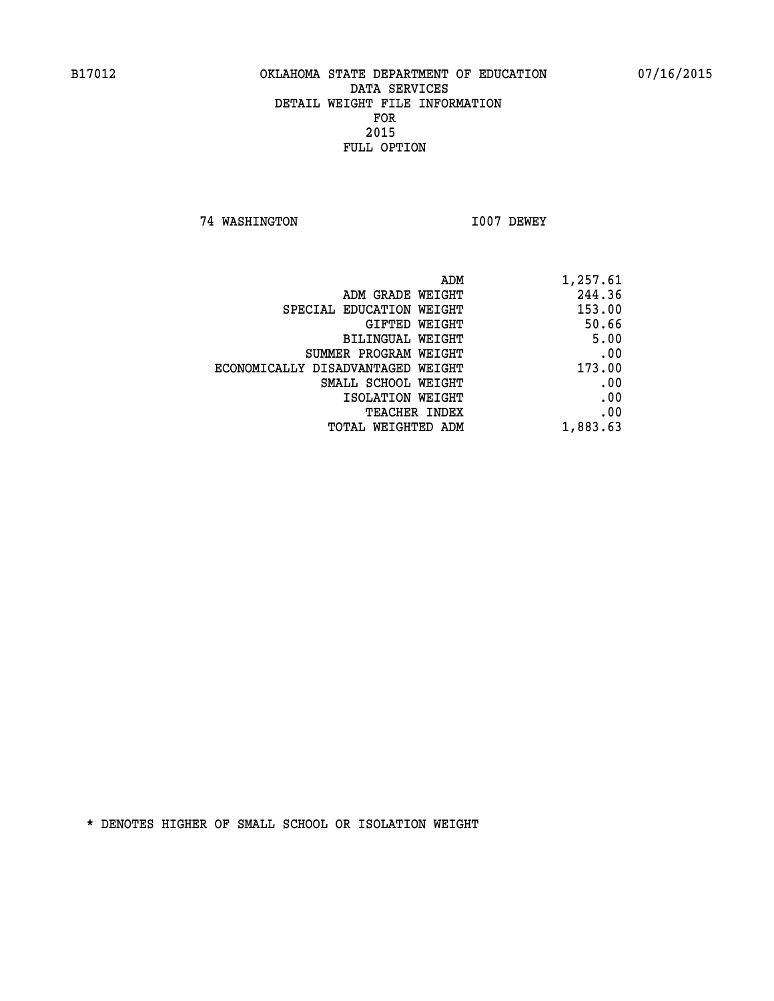**74 WASHINGTON I007 DEWEY** 

| ADM                               | 1,257.61 |
|-----------------------------------|----------|
| ADM GRADE WEIGHT                  | 244.36   |
| SPECIAL EDUCATION WEIGHT          | 153.00   |
| <b>GIFTED WEIGHT</b>              | 50.66    |
| BILINGUAL WEIGHT                  | 5.00     |
| SUMMER PROGRAM WEIGHT             | .00      |
| ECONOMICALLY DISADVANTAGED WEIGHT | 173.00   |
| SMALL SCHOOL WEIGHT               | .00      |
| ISOLATION WEIGHT                  | .00      |
| <b>TEACHER INDEX</b>              | .00      |
| <b>TOTAL WEIGHTED ADM</b>         | 1,883.63 |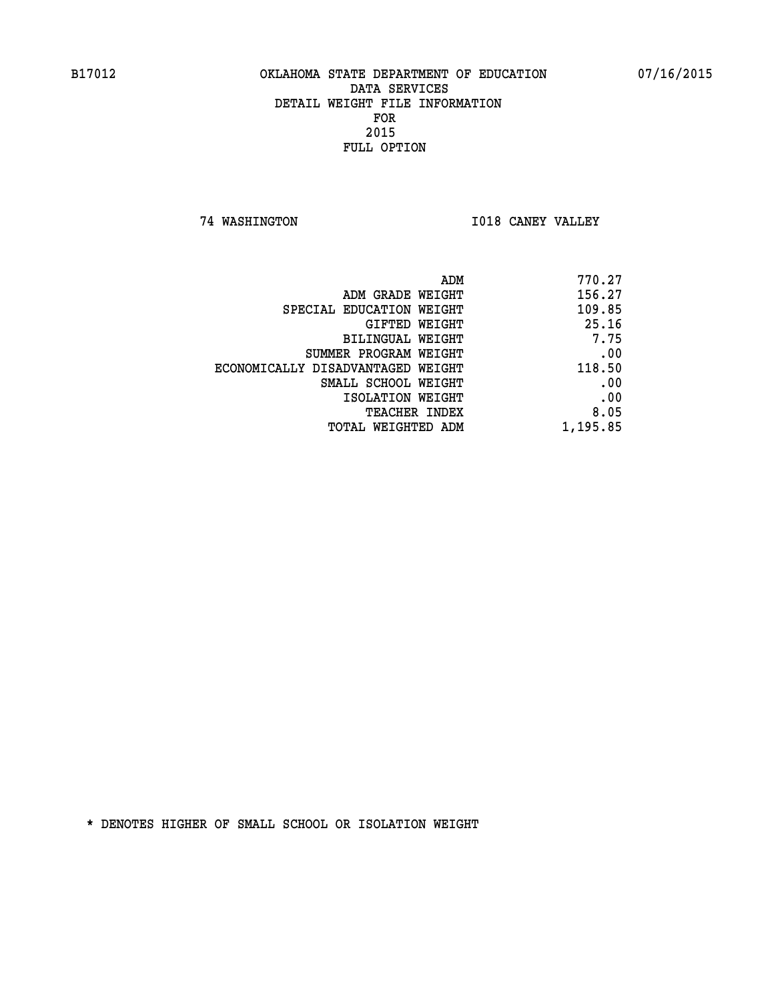**74 WASHINGTON I018 CANEY VALLEY** 

| 770.27   |
|----------|
| 156.27   |
| 109.85   |
| 25.16    |
| 7.75     |
| .00      |
| 118.50   |
| .00      |
| .00      |
| 8.05     |
| 1,195.85 |
|          |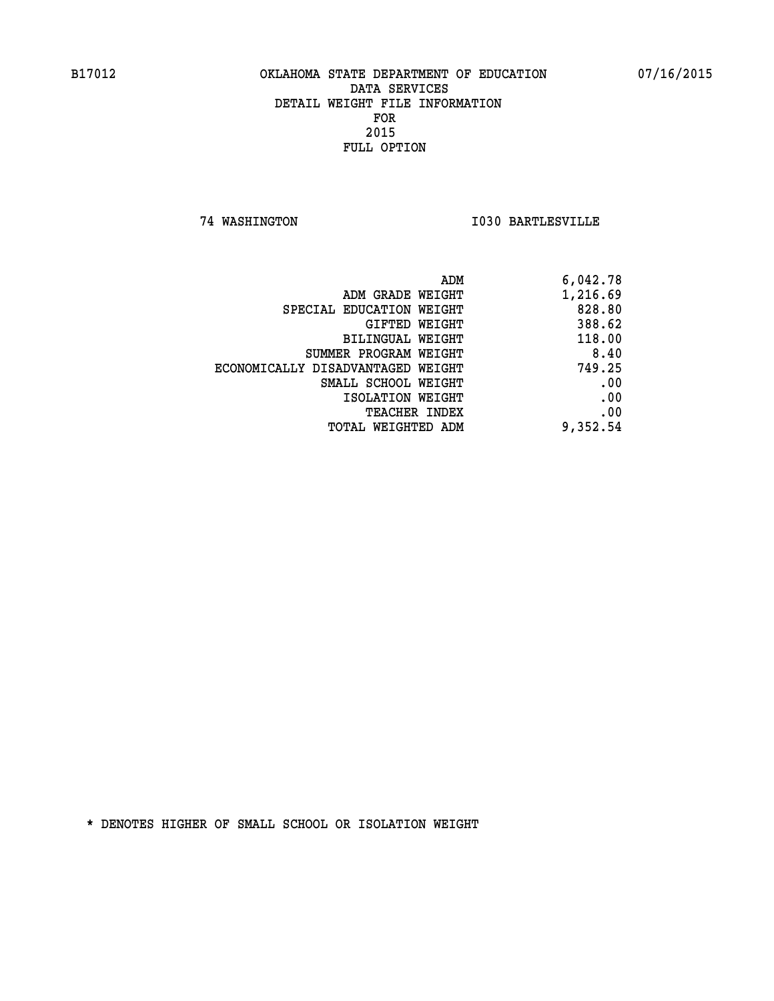**74 WASHINGTON I030 BARTLESVILLE** 

|                                   | 6,042.78<br>ADM |        |
|-----------------------------------|-----------------|--------|
| ADM GRADE WEIGHT                  | 1,216.69        |        |
| SPECIAL EDUCATION WEIGHT          |                 | 828.80 |
| GIFTED WEIGHT                     |                 | 388.62 |
| BILINGUAL WEIGHT                  |                 | 118.00 |
| SUMMER PROGRAM WEIGHT             |                 | 8.40   |
| ECONOMICALLY DISADVANTAGED WEIGHT |                 | 749.25 |
| SMALL SCHOOL WEIGHT               |                 | .00    |
| ISOLATION WEIGHT                  |                 | .00    |
| TEACHER INDEX                     |                 | .00    |
| TOTAL WEIGHTED ADM                | 9,352.54        |        |
|                                   |                 |        |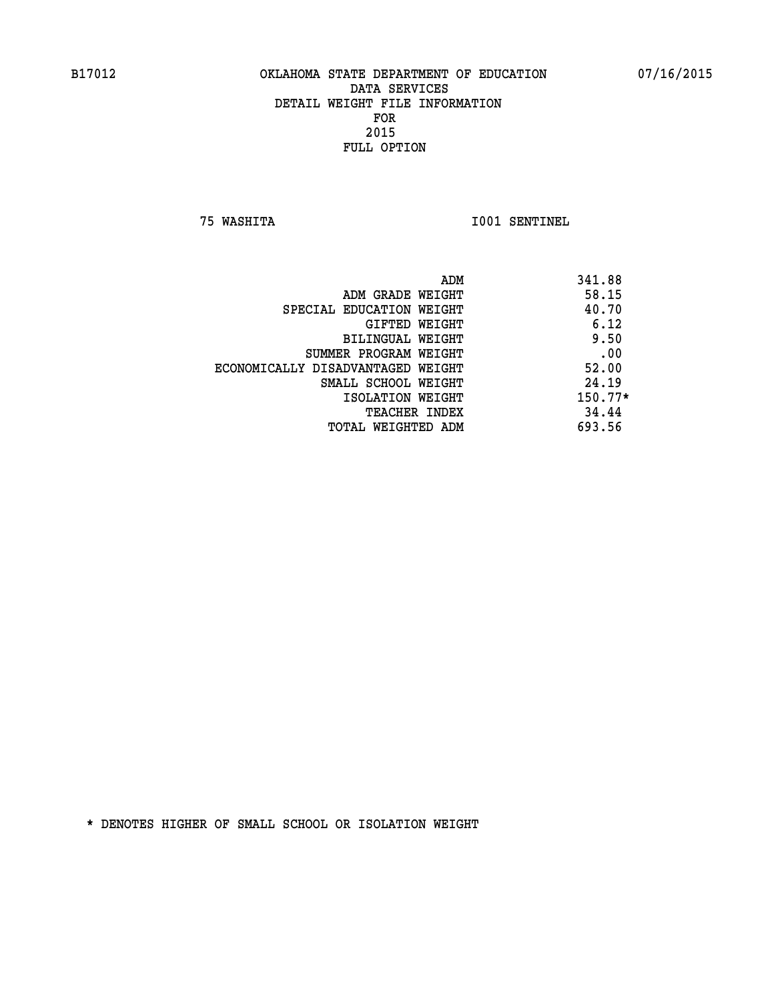**75 WASHITA I001 SENTINEL** 

| ADM                               | 341.88    |
|-----------------------------------|-----------|
| ADM GRADE WEIGHT                  | 58.15     |
| SPECIAL EDUCATION WEIGHT          | 40.70     |
| GIFTED WEIGHT                     | 6.12      |
| BILINGUAL WEIGHT                  | 9.50      |
| SUMMER PROGRAM WEIGHT             | .00       |
| ECONOMICALLY DISADVANTAGED WEIGHT | 52.00     |
| SMALL SCHOOL WEIGHT               | 24.19     |
| ISOLATION WEIGHT                  | $150.77*$ |
| TEACHER INDEX                     | 34.44     |
| TOTAL WEIGHTED ADM                | 693.56    |
|                                   |           |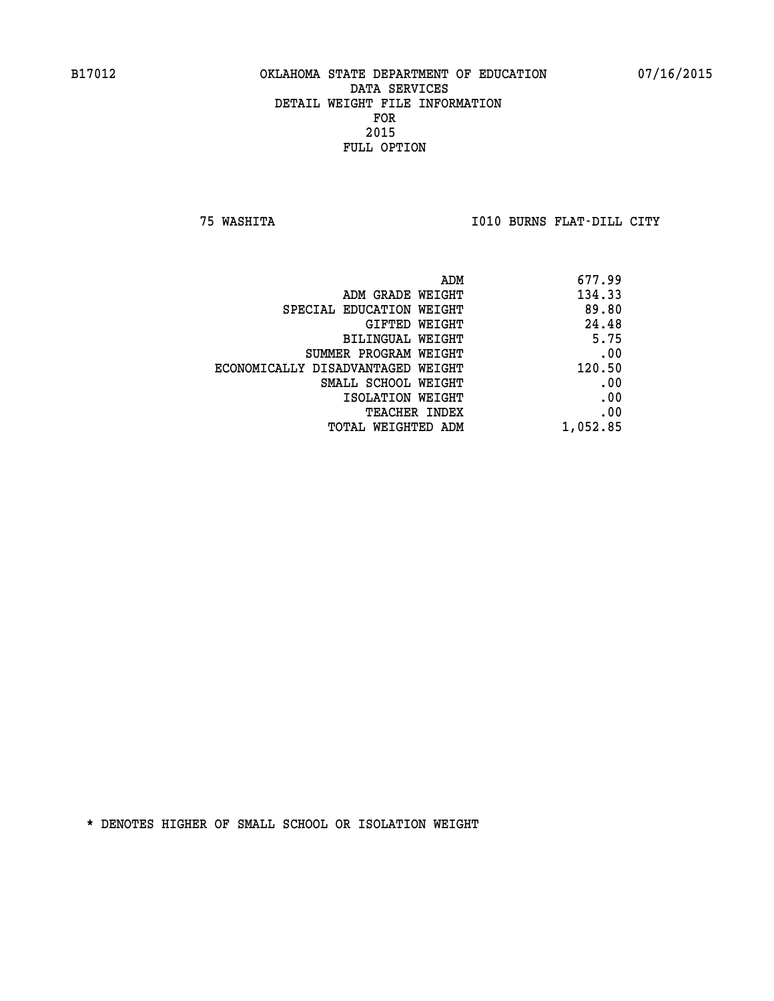**75 WASHITA I010 BURNS FLAT-DILL CITY** 

| ADM                               | 677.99   |
|-----------------------------------|----------|
| ADM GRADE WEIGHT                  | 134.33   |
| SPECIAL EDUCATION WEIGHT          | 89.80    |
| GIFTED WEIGHT                     | 24.48    |
| BILINGUAL WEIGHT                  | 5.75     |
| SUMMER PROGRAM WEIGHT             | .00      |
| ECONOMICALLY DISADVANTAGED WEIGHT | 120.50   |
| SMALL SCHOOL WEIGHT               | .00      |
| ISOLATION WEIGHT                  | .00      |
| <b>TEACHER INDEX</b>              | .00      |
| TOTAL WEIGHTED ADM                | 1,052.85 |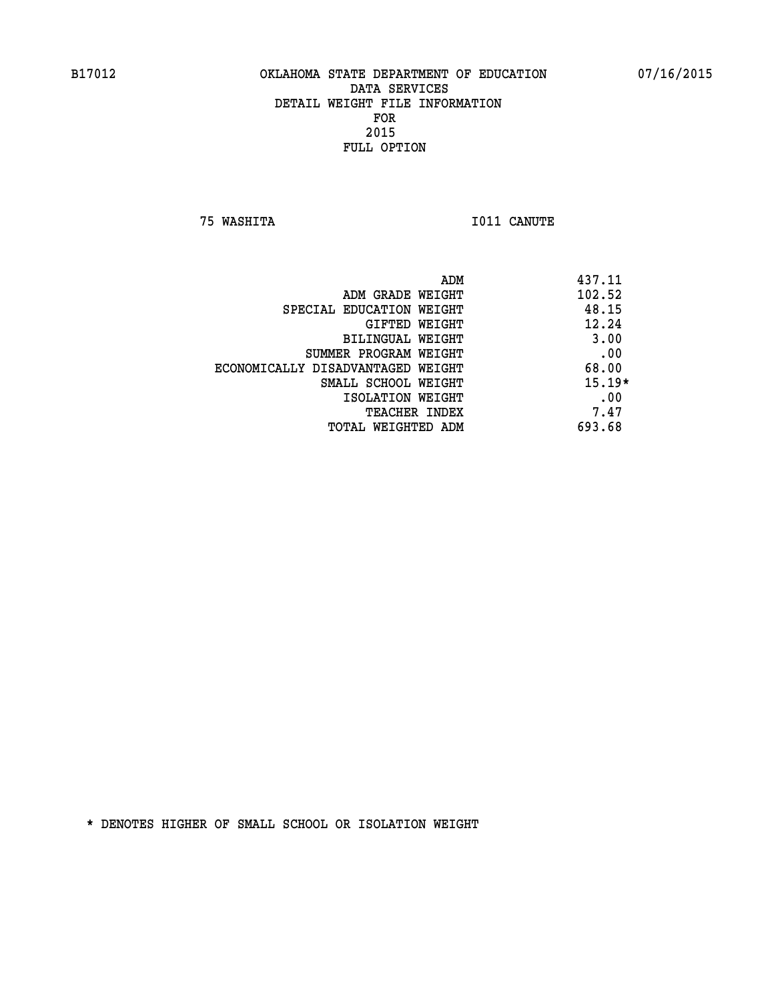**75 WASHITA I011 CANUTE** 

| ADM                               | 437.11   |
|-----------------------------------|----------|
| ADM GRADE WEIGHT                  | 102.52   |
| SPECIAL EDUCATION WEIGHT          | 48.15    |
| GIFTED WEIGHT                     | 12.24    |
| BILINGUAL WEIGHT                  | 3.00     |
| SUMMER PROGRAM WEIGHT             | .00      |
| ECONOMICALLY DISADVANTAGED WEIGHT | 68.00    |
| SMALL SCHOOL WEIGHT               | $15.19*$ |
| ISOLATION WEIGHT                  | .00      |
| <b>TEACHER INDEX</b>              | 7.47     |
| TOTAL WEIGHTED ADM                | 693.68   |
|                                   |          |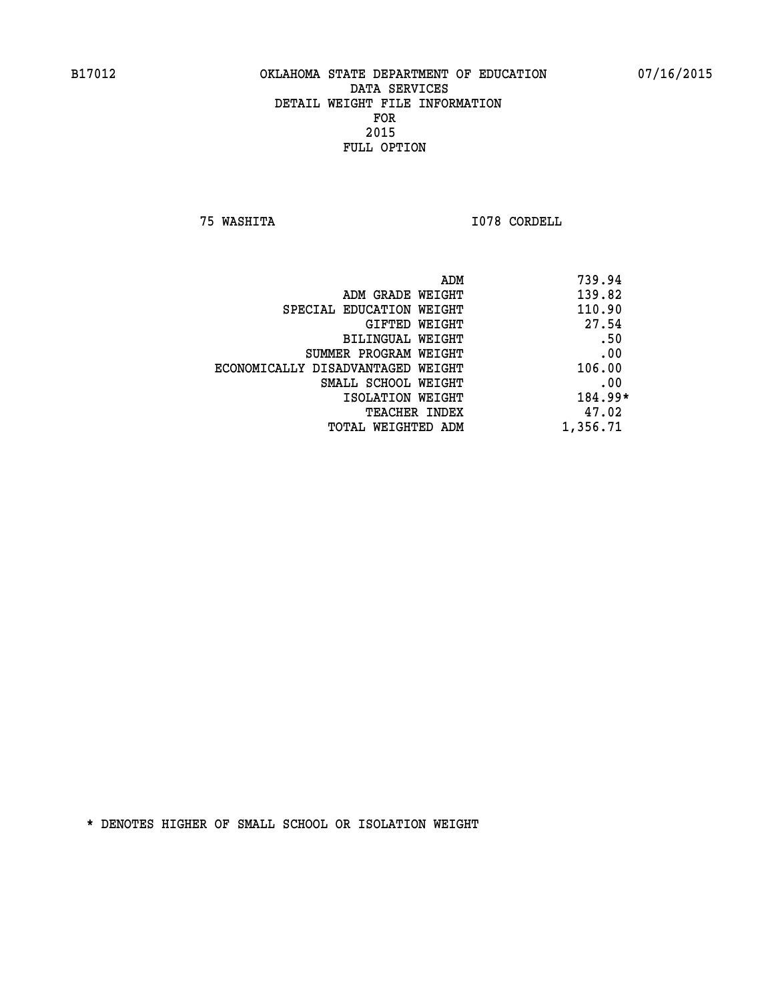**75 WASHITA I078 CORDELL** 

| ADM<br>739.94 |                                   |
|---------------|-----------------------------------|
| 139.82        | ADM GRADE WEIGHT                  |
| 110.90        | SPECIAL EDUCATION WEIGHT          |
| 27.54         | GIFTED WEIGHT                     |
| .50           | BILINGUAL WEIGHT                  |
| .00           | SUMMER PROGRAM WEIGHT             |
| 106.00        | ECONOMICALLY DISADVANTAGED WEIGHT |
| .00           | SMALL SCHOOL WEIGHT               |
| 184.99*       | ISOLATION WEIGHT                  |
| 47.02         | <b>TEACHER INDEX</b>              |
| 1,356.71      | TOTAL WEIGHTED ADM                |
|               |                                   |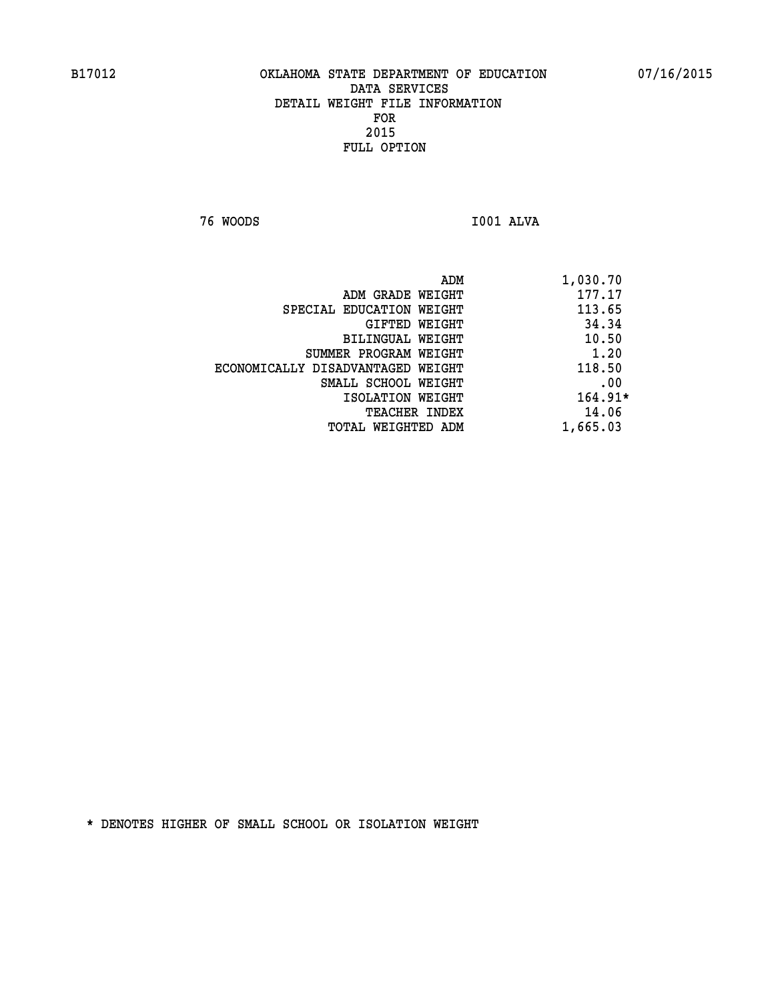**76 WOODS I001 ALVA** 

| 1,030.70<br>ADM |                                   |
|-----------------|-----------------------------------|
| 177.17          | ADM GRADE WEIGHT                  |
| 113.65          | SPECIAL EDUCATION WEIGHT          |
| 34.34           | GIFTED WEIGHT                     |
| 10.50           | BILINGUAL WEIGHT                  |
| 1.20            | SUMMER PROGRAM WEIGHT             |
| 118.50          | ECONOMICALLY DISADVANTAGED WEIGHT |
| .00             | SMALL SCHOOL WEIGHT               |
| $164.91*$       | ISOLATION WEIGHT                  |
| 14.06           | <b>TEACHER INDEX</b>              |
| 1,665.03        | TOTAL WEIGHTED ADM                |
|                 |                                   |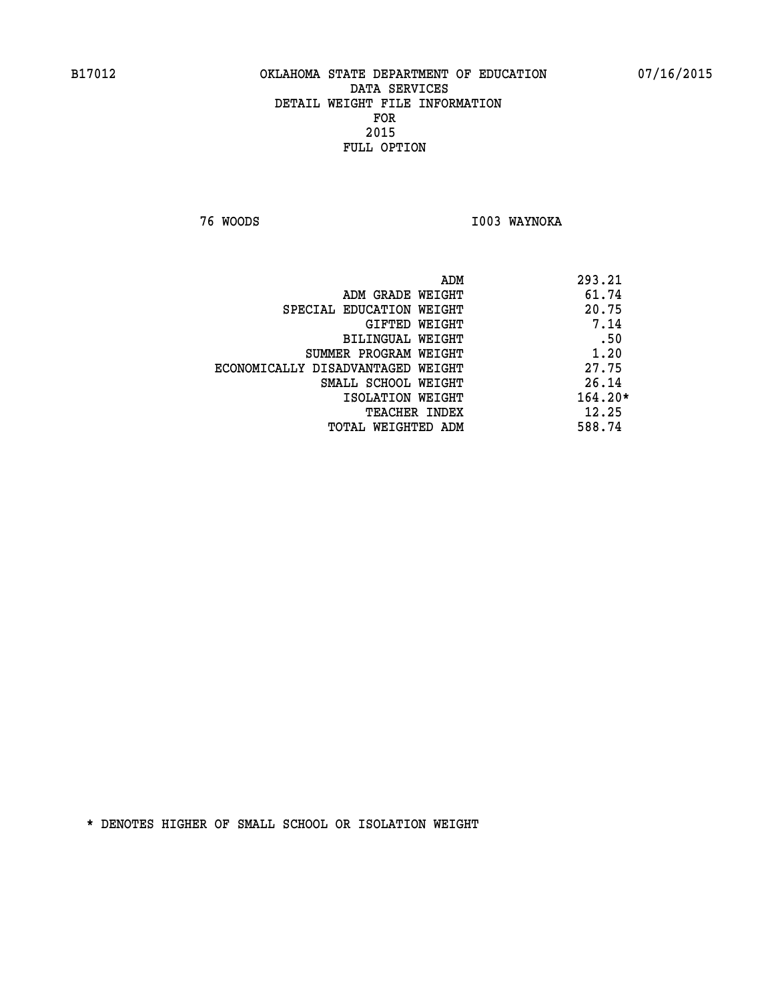**76 WOODS I003 WAYNOKA** 

|                                   | ADM | 293.21    |
|-----------------------------------|-----|-----------|
| ADM GRADE WEIGHT                  |     | 61.74     |
| SPECIAL EDUCATION WEIGHT          |     | 20.75     |
| GIFTED WEIGHT                     |     | 7.14      |
| BILINGUAL WEIGHT                  |     | .50       |
| SUMMER PROGRAM WEIGHT             |     | 1.20      |
| ECONOMICALLY DISADVANTAGED WEIGHT |     | 27.75     |
| SMALL SCHOOL WEIGHT               |     | 26.14     |
| ISOLATION WEIGHT                  |     | $164.20*$ |
| TEACHER INDEX                     |     | 12.25     |
| TOTAL WEIGHTED ADM                |     | 588.74    |
|                                   |     |           |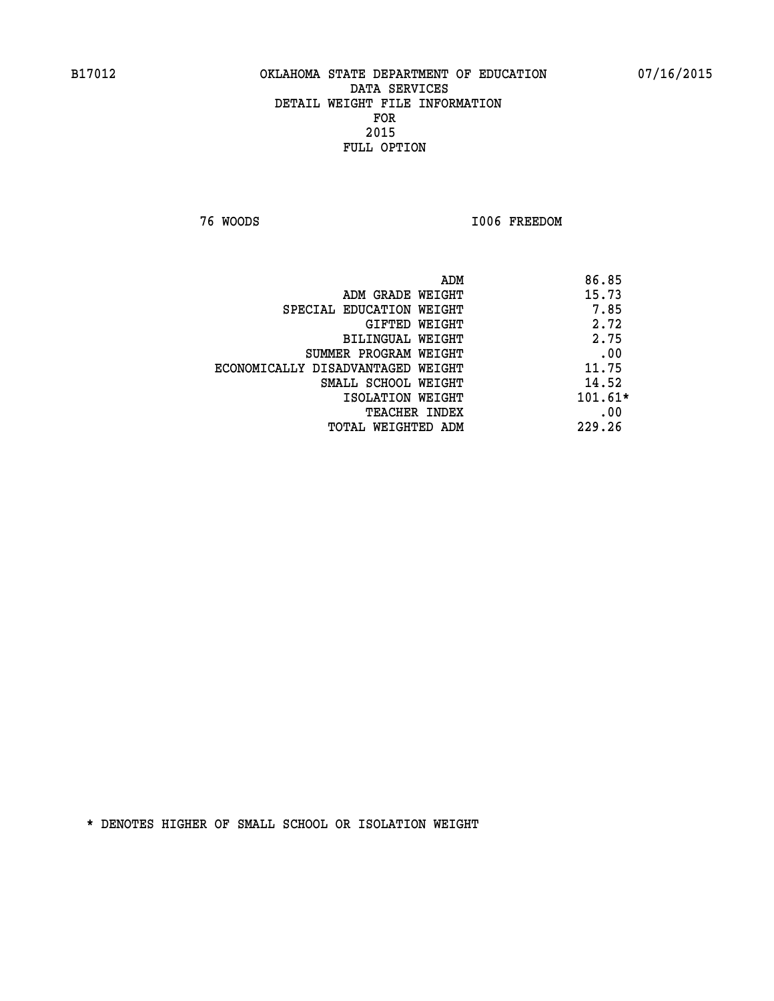**76 WOODS I006 FREEDOM** 

|                                   | ADM | 86.85     |
|-----------------------------------|-----|-----------|
| ADM GRADE WEIGHT                  |     | 15.73     |
| SPECIAL EDUCATION WEIGHT          |     | 7.85      |
| GIFTED WEIGHT                     |     | 2.72      |
| BILINGUAL WEIGHT                  |     | 2.75      |
| SUMMER PROGRAM WEIGHT             |     | .00       |
| ECONOMICALLY DISADVANTAGED WEIGHT |     | 11.75     |
| SMALL SCHOOL WEIGHT               |     | 14.52     |
| ISOLATION WEIGHT                  |     | $101.61*$ |
| <b>TEACHER INDEX</b>              |     | .00       |
| TOTAL WEIGHTED ADM                |     | 229.26    |
|                                   |     |           |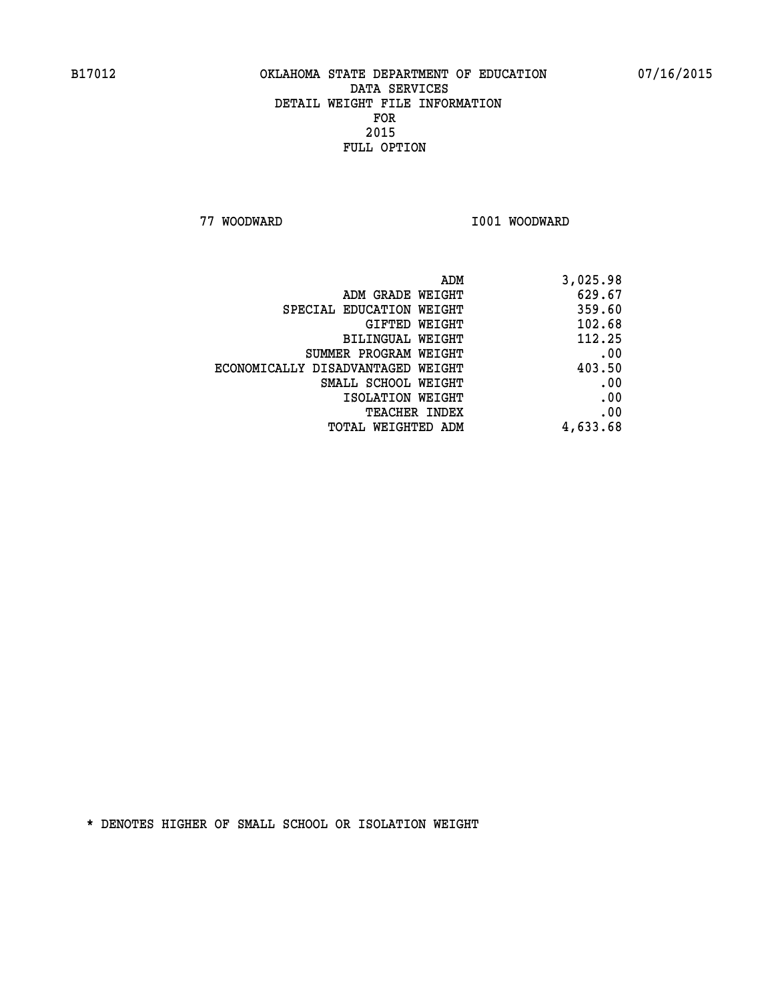**77 WOODWARD I001 WOODWARD** 

| 3,025.98 |
|----------|
| 629.67   |
| 359.60   |
| 102.68   |
| 112.25   |
| .00      |
| 403.50   |
| .00      |
| .00      |
| .00      |
| 4,633.68 |
|          |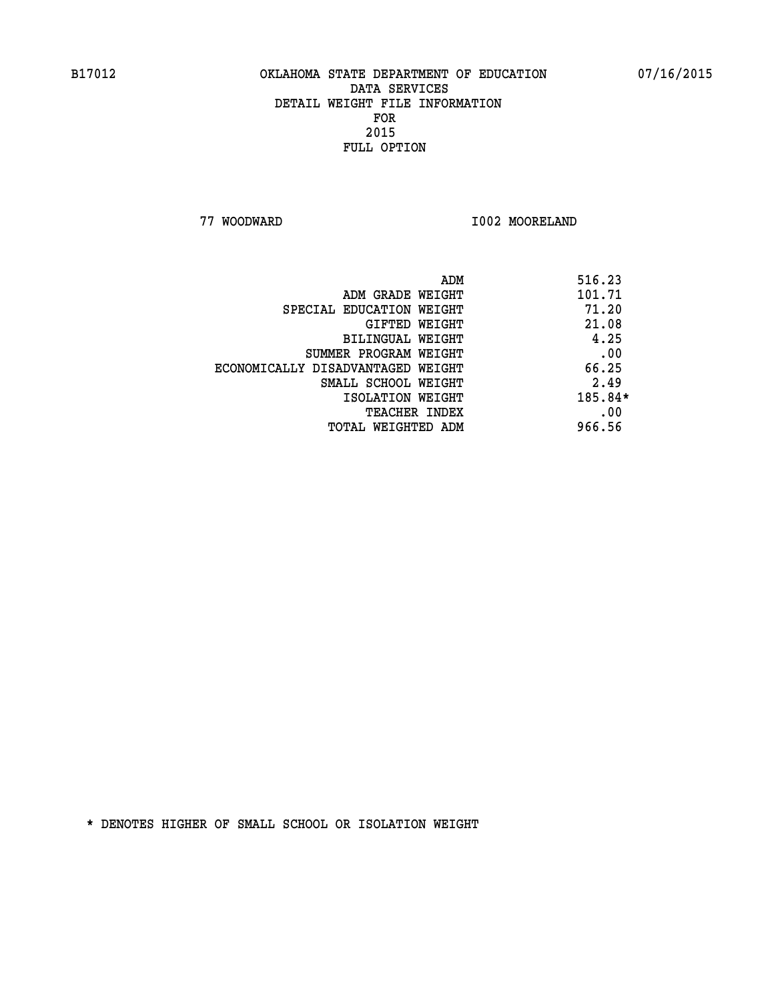**77 WOODWARD I002 MOORELAND** 

|                                   | ADM | 516.23  |
|-----------------------------------|-----|---------|
| ADM GRADE WEIGHT                  |     | 101.71  |
| SPECIAL EDUCATION WEIGHT          |     | 71.20   |
| GIFTED WEIGHT                     |     | 21.08   |
| BILINGUAL WEIGHT                  |     | 4.25    |
| SUMMER PROGRAM WEIGHT             |     | .00     |
| ECONOMICALLY DISADVANTAGED WEIGHT |     | 66.25   |
| SMALL SCHOOL WEIGHT               |     | 2.49    |
| ISOLATION WEIGHT                  |     | 185.84* |
| TEACHER INDEX                     |     | .00     |
| TOTAL WEIGHTED ADM                |     | 966.56  |
|                                   |     |         |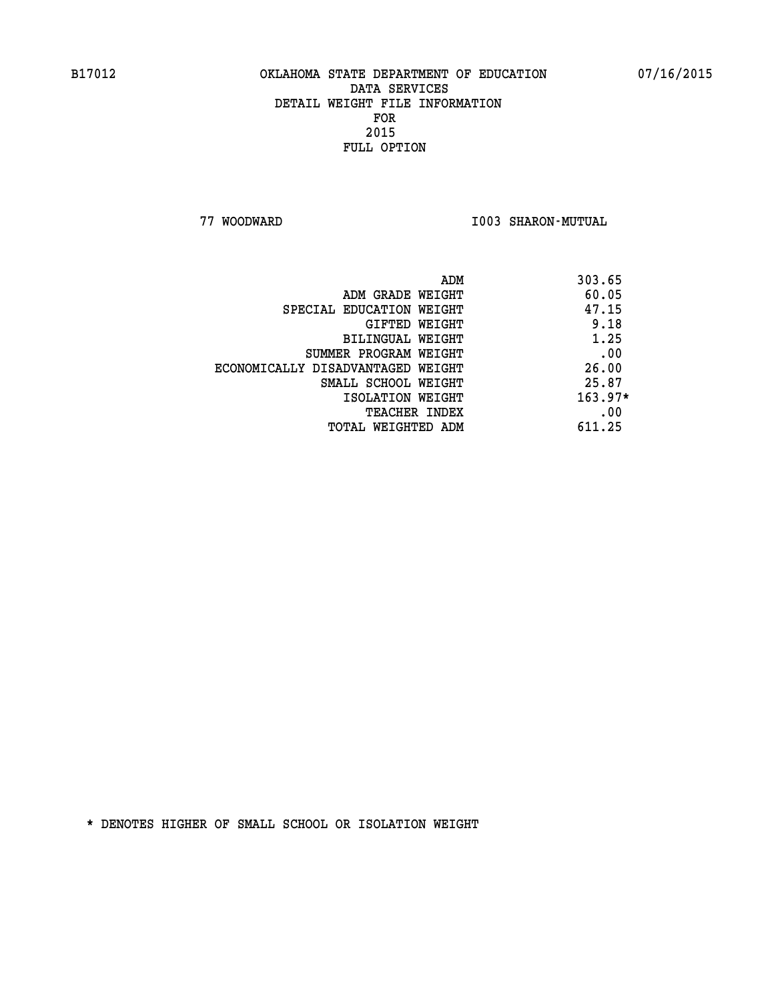## **B17012 OKLAHOMA STATE DEPARTMENT OF EDUCATION 07/16/2015 DATA SERVICES DETAIL WEIGHT FILE INFORMATION FOR 2015 FULL OPTION**

 **77 WOODWARD I003 SHARON-MUTUAL** 

|                                   | ADM | 303.65    |
|-----------------------------------|-----|-----------|
| ADM GRADE WEIGHT                  |     | 60.05     |
| SPECIAL EDUCATION WEIGHT          |     | 47.15     |
| GIFTED WEIGHT                     |     | 9.18      |
| BILINGUAL WEIGHT                  |     | 1.25      |
| SUMMER PROGRAM WEIGHT             |     | .00       |
| ECONOMICALLY DISADVANTAGED WEIGHT |     | 26.00     |
| SMALL SCHOOL WEIGHT               |     | 25.87     |
| ISOLATION WEIGHT                  |     | $163.97*$ |
| <b>TEACHER INDEX</b>              |     | .00       |
| TOTAL WEIGHTED ADM                |     | 611.25    |
|                                   |     |           |

 **\* DENOTES HIGHER OF SMALL SCHOOL OR ISOLATION WEIGHT**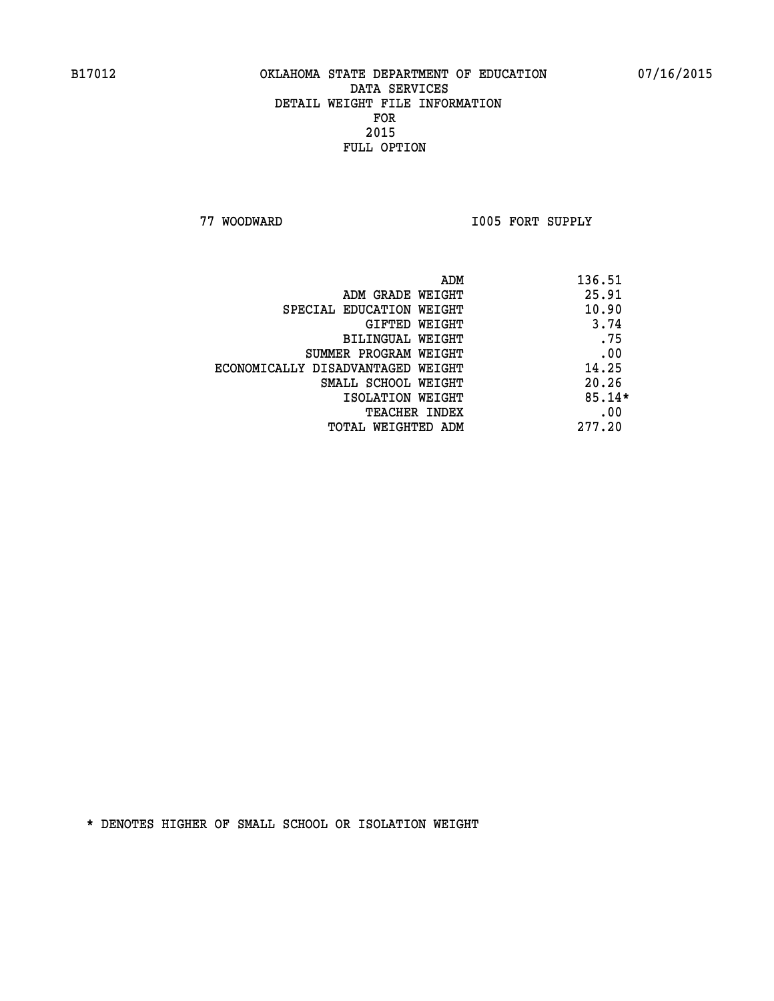## **B17012 OKLAHOMA STATE DEPARTMENT OF EDUCATION 07/16/2015 DATA SERVICES DETAIL WEIGHT FILE INFORMATION FOR 2015 FULL OPTION**

 **77 WOODWARD I005 FORT SUPPLY** 

| ADM                               | 136.51   |
|-----------------------------------|----------|
| ADM GRADE WEIGHT                  | 25.91    |
| SPECIAL EDUCATION WEIGHT          | 10.90    |
| GIFTED WEIGHT                     | 3.74     |
| BILINGUAL WEIGHT                  | .75      |
| SUMMER PROGRAM WEIGHT             | .00      |
| ECONOMICALLY DISADVANTAGED WEIGHT | 14.25    |
| SMALL SCHOOL WEIGHT               | 20.26    |
| ISOLATION WEIGHT                  | $85.14*$ |
| <b>TEACHER INDEX</b>              | .00      |
| TOTAL WEIGHTED ADM                | 277.20   |
|                                   |          |

 **\* DENOTES HIGHER OF SMALL SCHOOL OR ISOLATION WEIGHT**